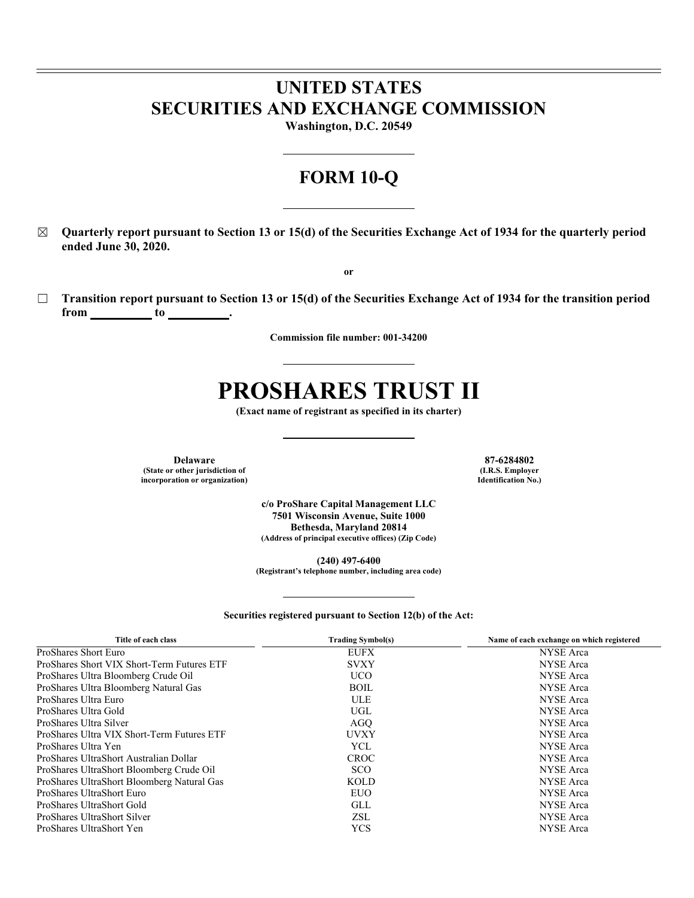## **UNITED STATES SECURITIES AND EXCHANGE COMMISSION**

**Washington, D.C. 20549** 

## **FORM 10-Q**

☒ **Quarterly report pursuant to Section 13 or 15(d) of the Securities Exchange Act of 1934 for the quarterly period ended June 30, 2020.** 

**or** 

☐ **Transition report pursuant to Section 13 or 15(d) of the Securities Exchange Act of 1934 for the transition period**  from to .

**Commission file number: 001-34200** 

# **PROSHARES TRUST II**

**(Exact name of registrant as specified in its charter)** 

**Delaware 87-6284802 (State or other jurisdiction of incorporation or organization)**

**(I.R.S. Employer Identification No.)**

**c/o ProShare Capital Management LLC 7501 Wisconsin Avenue, Suite 1000 Bethesda, Maryland 20814 (Address of principal executive offices) (Zip Code)** 

**(240) 497-6400 (Registrant's telephone number, including area code)** 

#### **Securities registered pursuant to Section 12(b) of the Act:**

| Title of each class                        | <b>Trading Symbol(s)</b> | Name of each exchange on which registered |
|--------------------------------------------|--------------------------|-------------------------------------------|
| ProShares Short Euro                       | <b>EUFX</b>              | NYSE Arca                                 |
| ProShares Short VIX Short-Term Futures ETF | <b>SVXY</b>              | NYSE Arca                                 |
| ProShares Ultra Bloomberg Crude Oil        | <b>UCO</b>               | <b>NYSE</b> Arca                          |
| ProShares Ultra Bloomberg Natural Gas      | <b>BOIL</b>              | <b>NYSE</b> Arca                          |
| ProShares Ultra Euro                       | <b>ULE</b>               | NYSE Arca                                 |
| ProShares Ultra Gold                       | UGL                      | NYSE Arca                                 |
| ProShares Ultra Silver                     | AGQ                      | NYSE Arca                                 |
| ProShares Ultra VIX Short-Term Futures ETF | <b>UVXY</b>              | NYSE Arca                                 |
| ProShares Ultra Yen                        | YCL                      | NYSE Arca                                 |
| ProShares UltraShort Australian Dollar     | <b>CROC</b>              | NYSE Arca                                 |
| ProShares UltraShort Bloomberg Crude Oil   | <b>SCO</b>               | NYSE Arca                                 |
| ProShares UltraShort Bloomberg Natural Gas | <b>KOLD</b>              | NYSE Arca                                 |
| ProShares UltraShort Euro                  | EUO                      | NYSE Arca                                 |
| ProShares UltraShort Gold                  | <b>GLL</b>               | <b>NYSE</b> Arca                          |
| ProShares UltraShort Silver                | ZSL                      | NYSE Arca                                 |
| ProShares UltraShort Yen                   | <b>YCS</b>               | <b>NYSE</b> Area                          |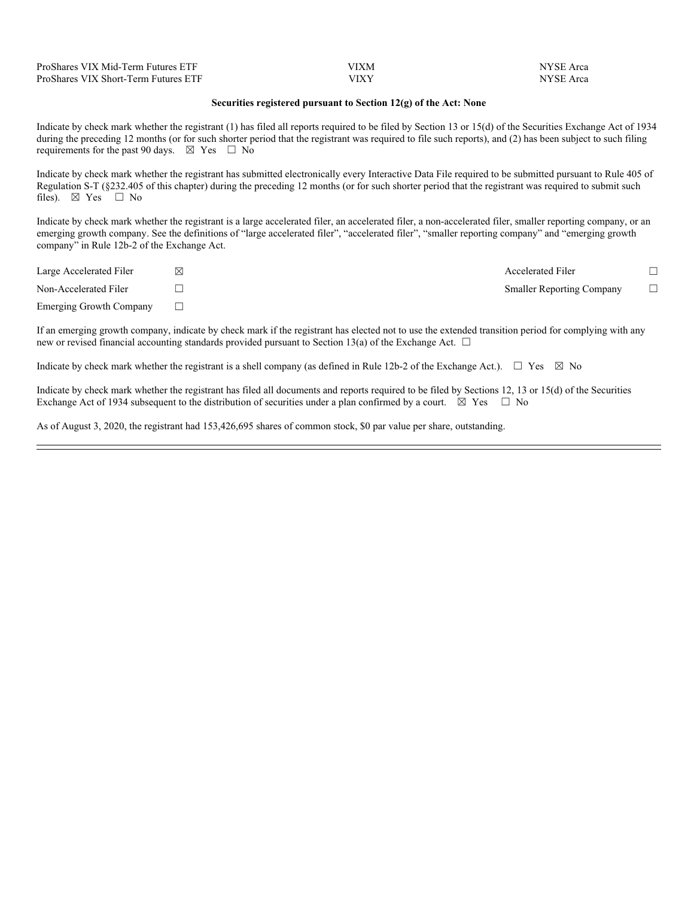| ProShares VIX Mid-Term Futures ETF   | VIXM- | <b>NYSE</b> Arca |
|--------------------------------------|-------|------------------|
| ProShares VIX Short-Term Futures ETF | VIXY  | NYSE Arca        |

### **Securities registered pursuant to Section 12(g) of the Act: None**

Indicate by check mark whether the registrant (1) has filed all reports required to be filed by Section 13 or 15(d) of the Securities Exchange Act of 1934 during the preceding 12 months (or for such shorter period that the registrant was required to file such reports), and (2) has been subject to such filing requirements for the past 90 days.  $\boxtimes$  Yes  $\Box$  No

Indicate by check mark whether the registrant has submitted electronically every Interactive Data File required to be submitted pursuant to Rule 405 of Regulation S-T (§232.405 of this chapter) during the preceding 12 months (or for such shorter period that the registrant was required to submit such files).  $\boxtimes$  Yes  $\Box$  No

Indicate by check mark whether the registrant is a large accelerated filer, an accelerated filer, a non-accelerated filer, smaller reporting company, or an emerging growth company. See the definitions of "large accelerated filer", "accelerated filer", "smaller reporting company" and "emerging growth company" in Rule 12b-2 of the Exchange Act.

| Large Accelerated Filer        | ⋉ | <b>Accelerated Filer</b>         |  |
|--------------------------------|---|----------------------------------|--|
| Non-Accelerated Filer          |   | <b>Smaller Reporting Company</b> |  |
| <b>Emerging Growth Company</b> |   |                                  |  |

If an emerging growth company, indicate by check mark if the registrant has elected not to use the extended transition period for complying with any new or revised financial accounting standards provided pursuant to Section 13(a) of the Exchange Act. □

Indicate by check mark whether the registrant is a shell company (as defined in Rule 12b-2 of the Exchange Act.).  $\Box$  Yes  $\boxtimes$  No

Indicate by check mark whether the registrant has filed all documents and reports required to be filed by Sections 12, 13 or 15(d) of the Securities Exchange Act of 1934 subsequent to the distribution of securities under a plan confirmed by a court.  $\boxtimes$  Yes  $\Box$  No

As of August 3, 2020, the registrant had 153,426,695 shares of common stock, \$0 par value per share, outstanding.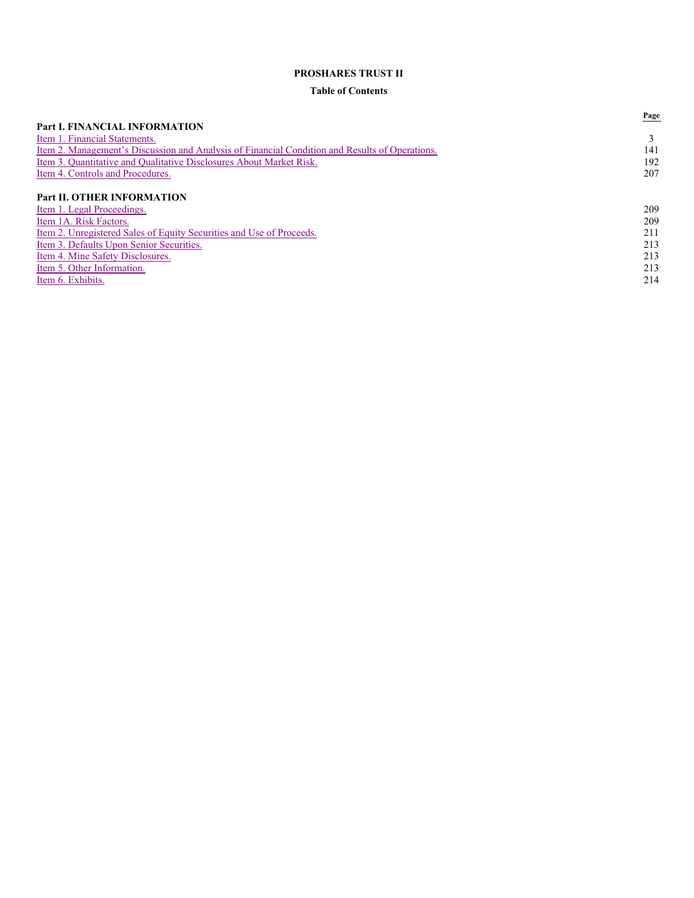### **PROSHARES TRUST II**

### **Table of Contents**

|                                                                                                | Page |
|------------------------------------------------------------------------------------------------|------|
| <b>Part I. FINANCIAL INFORMATION</b>                                                           |      |
| Item 1. Financial Statements.                                                                  |      |
| Item 2. Management's Discussion and Analysis of Financial Condition and Results of Operations. | 141  |
| Item 3. Quantitative and Qualitative Disclosures About Market Risk.                            | 192  |
| Item 4. Controls and Procedures.                                                               | 207  |
| <b>Part II. OTHER INFORMATION</b>                                                              |      |
| Item 1. Legal Proceedings.                                                                     | 209  |
| Item 1A. Risk Factors.                                                                         | 209  |
| Item 2. Unregistered Sales of Equity Securities and Use of Proceeds.                           | 211  |
| Item 3. Defaults Upon Senior Securities.                                                       | 213  |
| Item 4. Mine Safety Disclosures.                                                               | 213  |
| Item 5. Other Information.                                                                     | 213  |
| Item 6. Exhibits.                                                                              | 214  |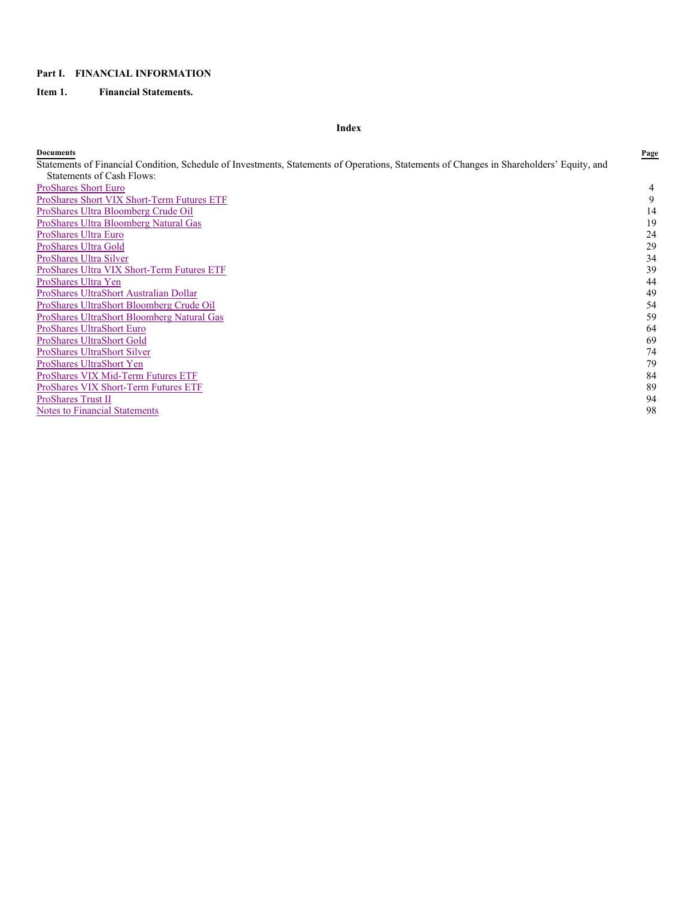### **Part I. FINANCIAL INFORMATION**

### **Item 1. Financial Statements.**

**Index** 

| <b>Documents</b>                                                                                                                         | Page |
|------------------------------------------------------------------------------------------------------------------------------------------|------|
| Statements of Financial Condition, Schedule of Investments, Statements of Operations, Statements of Changes in Shareholders' Equity, and |      |
| Statements of Cash Flows:                                                                                                                |      |
| <b>ProShares Short Euro</b>                                                                                                              | 4    |
| ProShares Short VIX Short-Term Futures ETF                                                                                               | 9    |
| ProShares Ultra Bloomberg Crude Oil                                                                                                      | 14   |
| ProShares Ultra Bloomberg Natural Gas                                                                                                    | 19   |
| ProShares Ultra Euro                                                                                                                     | 24   |
| ProShares Ultra Gold                                                                                                                     | 29   |
| ProShares Ultra Silver                                                                                                                   | 34   |
| ProShares Ultra VIX Short-Term Futures ETF                                                                                               | 39   |
| ProShares Ultra Yen                                                                                                                      | 44   |
| ProShares UltraShort Australian Dollar                                                                                                   | 49   |
| ProShares UltraShort Bloomberg Crude Oil                                                                                                 | 54   |
| ProShares UltraShort Bloomberg Natural Gas                                                                                               | 59   |
| ProShares UltraShort Euro                                                                                                                | 64   |
| <b>ProShares UltraShort Gold</b>                                                                                                         | 69   |
| <b>ProShares UltraShort Silver</b>                                                                                                       | 74   |
| ProShares UltraShort Yen                                                                                                                 | 79   |
| ProShares VIX Mid-Term Futures ETF                                                                                                       | 84   |
| ProShares VIX Short-Term Futures ETF                                                                                                     | 89   |
| <b>ProShares Trust II</b>                                                                                                                | 94   |
| Notes to Financial Statements                                                                                                            | 98   |
|                                                                                                                                          |      |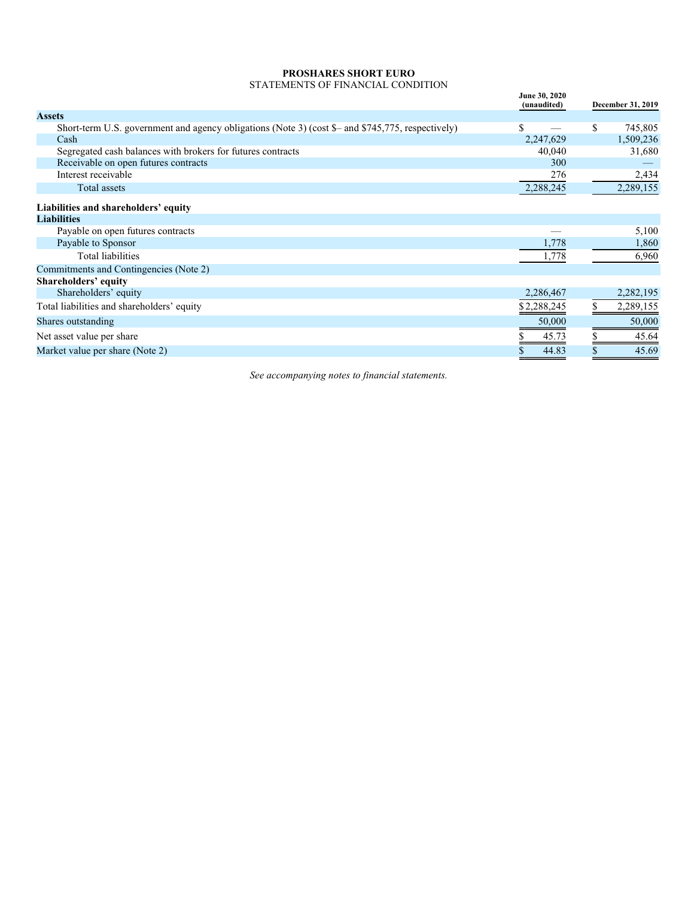### **PROSHARES SHORT EURO**  STATEMENTS OF FINANCIAL CONDITION

|                                                                                                   | June 30, 2020<br>(unaudited) | December 31, 2019 |
|---------------------------------------------------------------------------------------------------|------------------------------|-------------------|
| <b>Assets</b>                                                                                     |                              |                   |
| Short-term U.S. government and agency obligations (Note 3) (cost \$- and \$745,775, respectively) |                              | 745,805           |
| Cash                                                                                              | 2,247,629                    | 1,509,236         |
| Segregated cash balances with brokers for futures contracts                                       | 40,040                       | 31,680            |
| Receivable on open futures contracts                                                              | 300                          |                   |
| Interest receivable                                                                               | 276                          | 2.434             |
| Total assets                                                                                      | 2,288,245                    | 2,289,155         |

## **Liabilities and shareholders' equity**

| <b>Liabilities</b>                         |             |           |
|--------------------------------------------|-------------|-----------|
| Payable on open futures contracts          |             | 5,100     |
| Payable to Sponsor                         | 1,778       | 1,860     |
| Total liabilities                          | 1,778       | 6,960     |
| Commitments and Contingencies (Note 2)     |             |           |
| Shareholders' equity                       |             |           |
| Shareholders' equity                       | 2,286,467   | 2,282,195 |
| Total liabilities and shareholders' equity | \$2,288,245 | 2,289,155 |
| Shares outstanding                         | 50,000      | 50,000    |
| Net asset value per share                  | 45.73       | 45.64     |
| Market value per share (Note 2)            | 44.83       | 45.69     |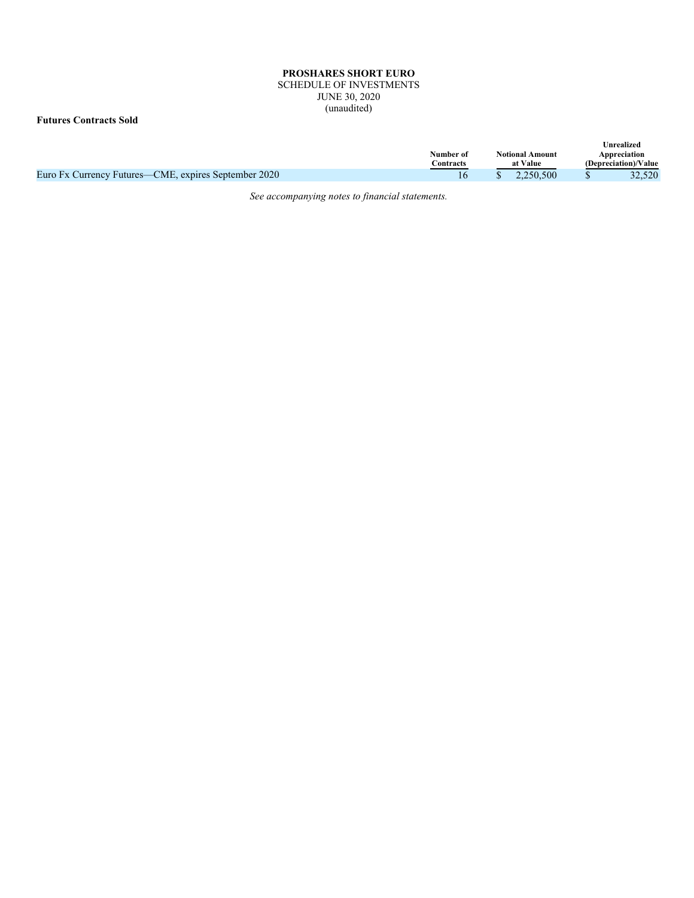### **PROSHARES SHORT EURO**  SCHEDULE OF INVESTMENTS JUNE 30, 2020 (unaudited)

**Futures Contracts Sold** 

|                                                      | Number of<br>Contracts | <b>Notional Amount</b><br>at Value | Unrealized<br>Appreciation<br>(Depreciation)/Value |
|------------------------------------------------------|------------------------|------------------------------------|----------------------------------------------------|
|                                                      |                        |                                    |                                                    |
| Euro Fx Currency Futures—CME, expires September 2020 |                        | 2.250.500                          | 32,520                                             |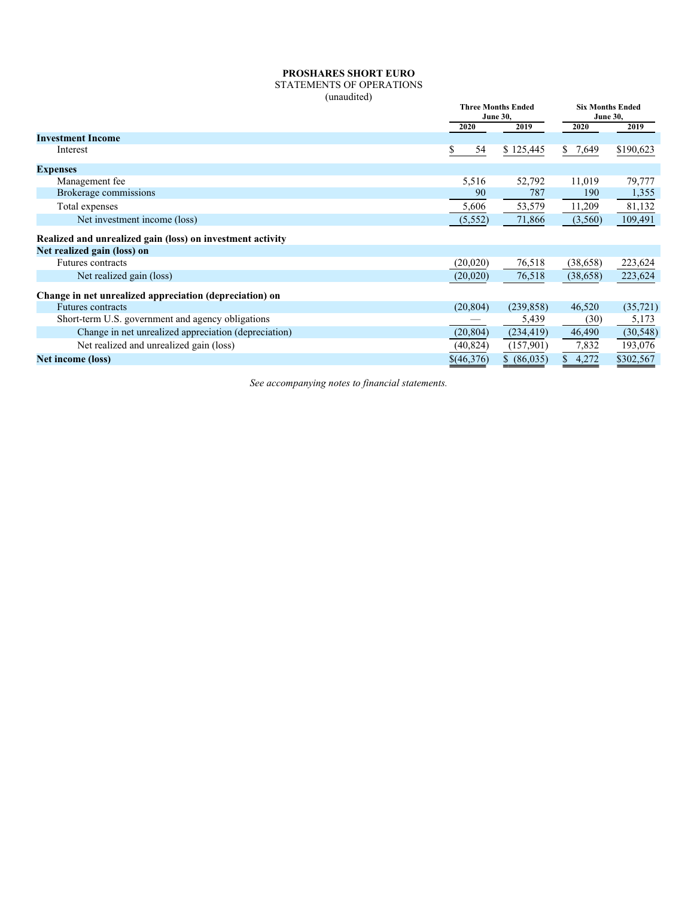### **PROSHARES SHORT EURO**  STATEMENTS OF OPERATIONS

(unaudited)

|                                                            | $($ unauun $\epsilon$ u |                                              |            |                                            |           |
|------------------------------------------------------------|-------------------------|----------------------------------------------|------------|--------------------------------------------|-----------|
|                                                            |                         | <b>Three Months Ended</b><br><b>June 30.</b> |            | <b>Six Months Ended</b><br><b>June 30,</b> |           |
|                                                            |                         |                                              |            |                                            |           |
|                                                            |                         | 2020                                         | 2019       | 2020                                       | 2019      |
| <b>Investment Income</b>                                   |                         |                                              |            |                                            |           |
| Interest                                                   |                         | 54<br>ъ.                                     | \$125,445  | \$<br>7,649                                | \$190,623 |
| <b>Expenses</b>                                            |                         |                                              |            |                                            |           |
| Management fee                                             |                         | 5,516                                        | 52,792     | 11,019                                     | 79,777    |
| Brokerage commissions                                      |                         | 90                                           | 787        | 190                                        | 1,355     |
| Total expenses                                             |                         | 5,606                                        | 53,579     | 11,209                                     | 81,132    |
| Net investment income (loss)                               |                         | (5, 552)                                     | 71,866     | (3,560)                                    | 109,491   |
| Realized and unrealized gain (loss) on investment activity |                         |                                              |            |                                            |           |
| Net realized gain (loss) on                                |                         |                                              |            |                                            |           |
| Futures contracts                                          |                         | (20, 020)                                    | 76,518     | (38, 658)                                  | 223,624   |
| Net realized gain (loss)                                   |                         | (20, 020)                                    | 76,518     | (38, 658)                                  | 223,624   |
| Change in net unrealized appreciation (depreciation) on    |                         |                                              |            |                                            |           |
| <b>Futures</b> contracts                                   |                         | (20, 804)                                    | (239, 858) | 46,520                                     | (35, 721) |
| Short-term U.S. government and agency obligations          |                         |                                              | 5,439      | (30)                                       | 5,173     |
| Change in net unrealized appreciation (depreciation)       |                         | (20, 804)                                    | (234, 419) | 46,490                                     | (30, 548) |
| Net realized and unrealized gain (loss)                    |                         | (40, 824)                                    | (157,901)  | 7,832                                      | 193,076   |
| Net income (loss)                                          |                         | \$(46,376)                                   | (86,035)   | 4,272<br>\$                                | \$302,567 |
|                                                            |                         |                                              |            |                                            |           |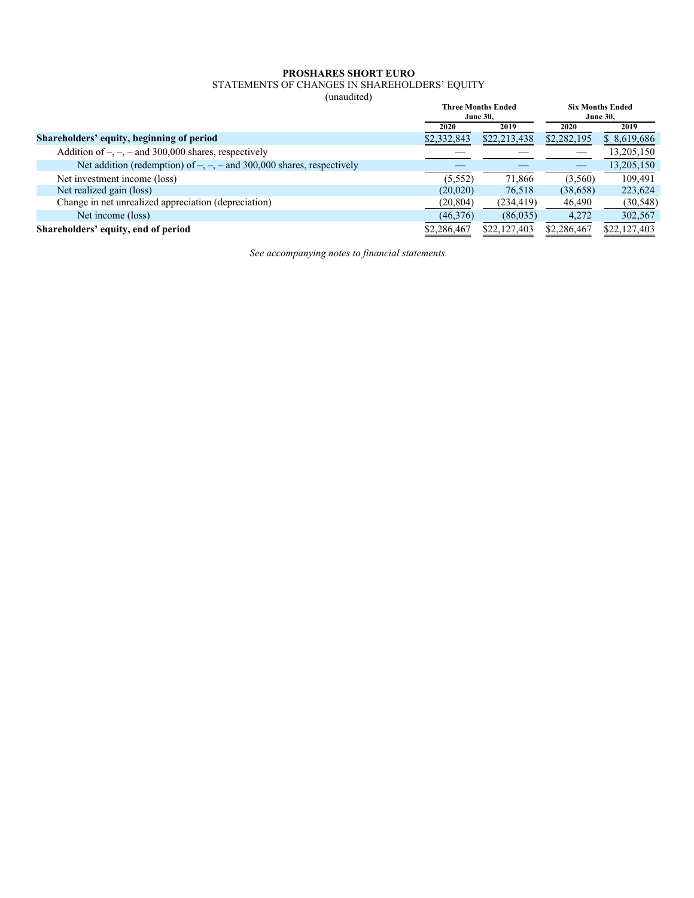### **PROSHARES SHORT EURO**

## STATEMENTS OF CHANGES IN SHAREHOLDERS' EQUITY

(unaudited)

|                                                                               | <b>Three Months Ended</b><br><b>June 30.</b> |              | <b>Six Months Ended</b><br><b>June 30,</b> |              |
|-------------------------------------------------------------------------------|----------------------------------------------|--------------|--------------------------------------------|--------------|
|                                                                               | 2020                                         | 2019         | 2020                                       | 2019         |
| Shareholders' equity, beginning of period                                     | \$2,332,843                                  | \$22,213,438 | \$2,282,195                                | \$ 8,619,686 |
| Addition of $-$ , $-$ , $-$ and 300,000 shares, respectively                  |                                              |              |                                            | 13,205,150   |
| Net addition (redemption) of $-$ , $-$ , $-$ and 300,000 shares, respectively |                                              |              |                                            | 13,205,150   |
| Net investment income (loss)                                                  | (5,552)                                      | 71.866       | (3,560)                                    | 109.491      |
| Net realized gain (loss)                                                      | (20,020)                                     | 76,518       | (38,658)                                   | 223,624      |
| Change in net unrealized appreciation (depreciation)                          | (20, 804)                                    | (234, 419)   | 46,490                                     | (30, 548)    |
| Net income (loss)                                                             | (46,376)                                     | (86,035)     | 4,272                                      | 302,567      |
| Shareholders' equity, end of period                                           | \$2,286,467                                  | \$22,127,403 | \$2,286,467                                | \$22,127,403 |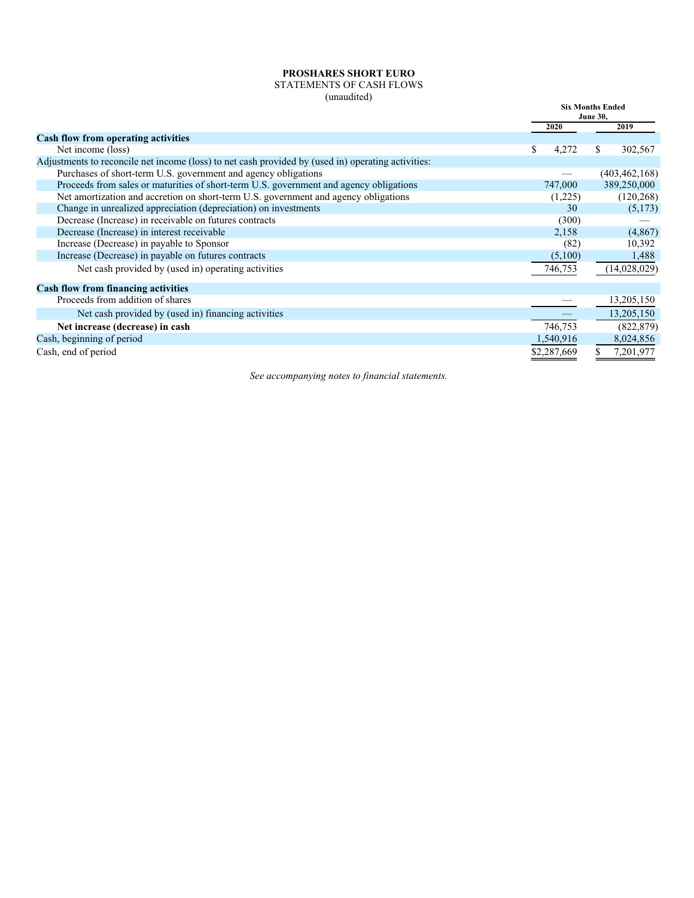## **PROSHARES SHORT EURO**

### STATEMENTS OF CASH FLOWS (unaudited)

| $($ unuuttuva                                                                                      |             |                                            |
|----------------------------------------------------------------------------------------------------|-------------|--------------------------------------------|
|                                                                                                    |             | <b>Six Months Ended</b><br><b>June 30,</b> |
|                                                                                                    | 2020        | 2019                                       |
| <b>Cash flow from operating activities</b>                                                         |             |                                            |
| Net income (loss)                                                                                  | \$<br>4,272 | 302,567<br>S.                              |
| Adjustments to reconcile net income (loss) to net cash provided by (used in) operating activities: |             |                                            |
| Purchases of short-term U.S. government and agency obligations                                     |             | (403, 462, 168)                            |
| Proceeds from sales or maturities of short-term U.S. government and agency obligations             | 747,000     | 389,250,000                                |
| Net amortization and accretion on short-term U.S. government and agency obligations                | (1,225)     | (120, 268)                                 |
| Change in unrealized appreciation (depreciation) on investments                                    | 30          | (5,173)                                    |
| Decrease (Increase) in receivable on futures contracts                                             | (300)       |                                            |
| Decrease (Increase) in interest receivable                                                         | 2,158       | (4,867)                                    |
| Increase (Decrease) in payable to Sponsor                                                          | (82)        | 10,392                                     |
| Increase (Decrease) in payable on futures contracts                                                | (5,100)     | 1,488                                      |
| Net cash provided by (used in) operating activities                                                | 746,753     | (14,028,029)                               |
| <b>Cash flow from financing activities</b>                                                         |             |                                            |
| Proceeds from addition of shares                                                                   |             | 13,205,150                                 |
| Net cash provided by (used in) financing activities                                                |             | 13,205,150                                 |
| Net increase (decrease) in cash                                                                    | 746,753     | (822, 879)                                 |
| Cash, beginning of period                                                                          | 1,540,916   | 8,024,856                                  |
| Cash, end of period                                                                                | \$2,287,669 | 7,201,977                                  |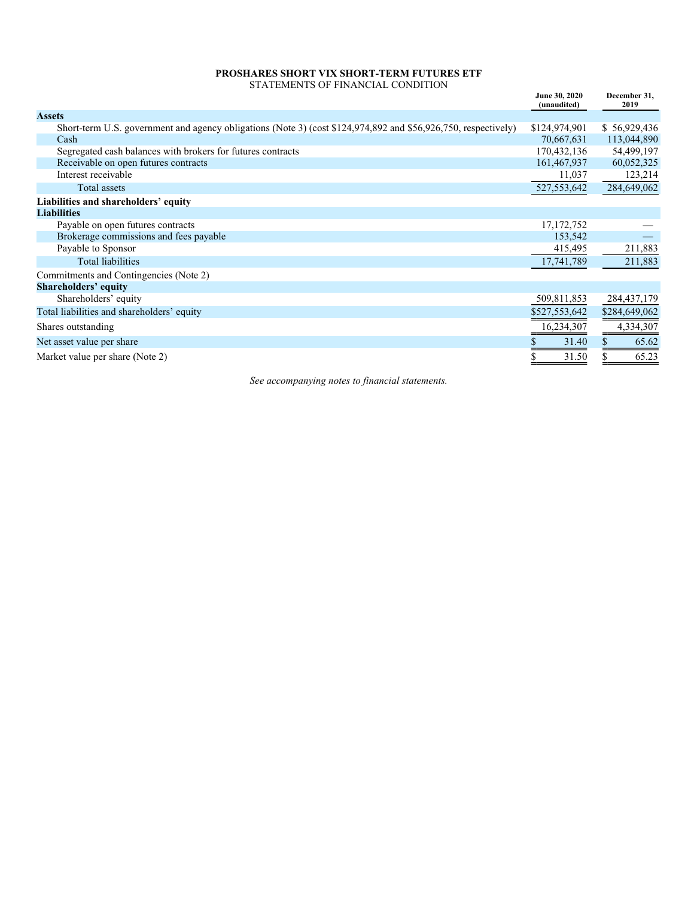STATEMENTS OF FINANCIAL CONDITION

|                                                                                                                | June 30, 2020<br>(unaudited) | December 31.<br>2019 |
|----------------------------------------------------------------------------------------------------------------|------------------------------|----------------------|
| <b>Assets</b>                                                                                                  |                              |                      |
| Short-term U.S. government and agency obligations (Note 3) (cost \$124,974,892 and \$56,926,750, respectively) | \$124,974,901                | \$56,929,436         |
| Cash                                                                                                           | 70,667,631                   | 113,044,890          |
| Segregated cash balances with brokers for futures contracts                                                    | 170,432,136                  | 54,499,197           |
| Receivable on open futures contracts                                                                           | 161,467,937                  | 60,052,325           |
| Interest receivable                                                                                            | 11,037                       | 123,214              |
| Total assets                                                                                                   | 527, 553, 642                | 284,649,062          |
| Liabilities and shareholders' equity                                                                           |                              |                      |
| <b>Liabilities</b>                                                                                             |                              |                      |
| Payable on open futures contracts                                                                              | 17, 172, 752                 |                      |
| Brokerage commissions and fees payable                                                                         | 153,542                      |                      |
| Payable to Sponsor                                                                                             | 415,495                      | 211,883              |
| <b>Total liabilities</b>                                                                                       | 17,741,789                   | 211,883              |
| Commitments and Contingencies (Note 2)                                                                         |                              |                      |
| <b>Shareholders' equity</b>                                                                                    |                              |                      |
| Shareholders' equity                                                                                           | 509,811,853                  | 284, 437, 179        |
| Total liabilities and shareholders' equity                                                                     | \$527,553,642                | \$284,649,062        |
| Shares outstanding                                                                                             | 16,234,307                   | 4,334,307            |
| Net asset value per share                                                                                      | 31.40                        | \$<br>65.62          |
| Market value per share (Note 2)                                                                                | 31.50                        | 65.23                |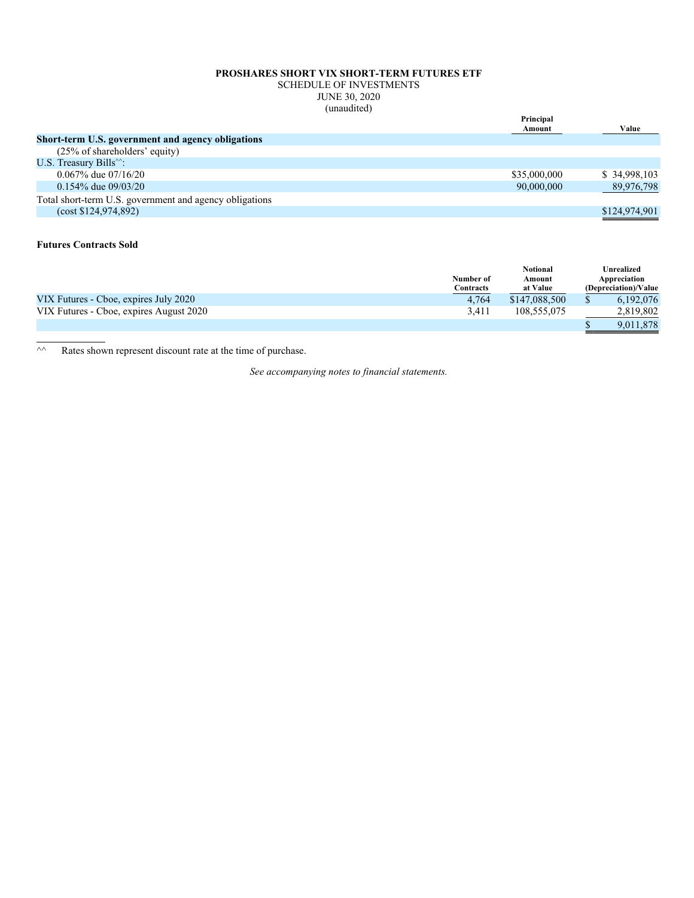## SCHEDULE OF INVESTMENTS

JUNE 30, 2020 (unaudited)

| (unauuiteu)                                             |              |               |
|---------------------------------------------------------|--------------|---------------|
|                                                         | Principal    |               |
|                                                         | Amount       | Value         |
| Short-term U.S. government and agency obligations       |              |               |
| $(25\% \text{ of sharcholders' equity})$                |              |               |
| U.S. Treasury Bills $\sim$ :                            |              |               |
| $0.067\%$ due $07/16/20$                                | \$35,000,000 | \$34,998,103  |
| $0.154\%$ due $09/03/20$                                | 90,000,000   | 89,976,798    |
| Total short-term U.S. government and agency obligations |              |               |
| (cost \$124,974,892)                                    |              | \$124,974,901 |

### **Futures Contracts Sold**

|                                         | Number of<br>Contracts | Notional<br>Amount<br>at Value | Unrealized<br>Appreciation<br>(Depreciation)/Value |
|-----------------------------------------|------------------------|--------------------------------|----------------------------------------------------|
| VIX Futures - Cboe, expires July 2020   | 4.764                  | \$147,088,500                  | 6.192.076                                          |
| VIX Futures - Cboe, expires August 2020 | 3.411                  | 108,555,075                    | 2.819.802                                          |
|                                         |                        |                                | 9.011.878                                          |

 $\overline{\wedge\wedge}$  Rates shown represent discount rate at the time of purchase.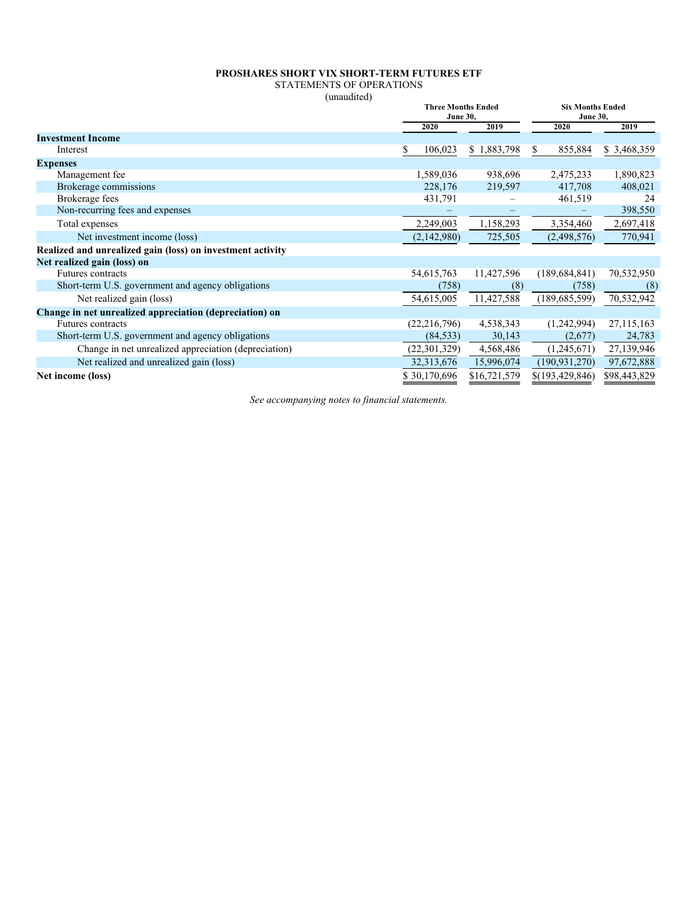### STATEMENTS OF OPERATIONS (unaudited)

|                                                            | <b>Three Months Ended</b><br><b>June 30,</b> |              | <b>Six Months Ended</b><br><b>June 30,</b> |              |
|------------------------------------------------------------|----------------------------------------------|--------------|--------------------------------------------|--------------|
|                                                            | 2019<br>2020                                 |              | 2020                                       | 2019         |
| <b>Investment Income</b>                                   |                                              |              |                                            |              |
| Interest                                                   | 106,023<br>S                                 | \$1,883,798  | 855,884                                    | \$ 3,468,359 |
| <b>Expenses</b>                                            |                                              |              |                                            |              |
| Management fee                                             | 1,589,036                                    | 938,696      | 2,475,233                                  | 1,890,823    |
| Brokerage commissions                                      | 228,176                                      | 219,597      | 417,708                                    | 408,021      |
| Brokerage fees                                             | 431,791                                      |              | 461,519                                    | 24           |
| Non-recurring fees and expenses                            |                                              |              |                                            | 398,550      |
| Total expenses                                             | 2,249,003                                    | 1,158,293    | 3,354,460                                  | 2,697,418    |
| Net investment income (loss)                               | (2,142,980)                                  | 725,505      | (2,498,576)                                | 770,941      |
| Realized and unrealized gain (loss) on investment activity |                                              |              |                                            |              |
| Net realized gain (loss) on                                |                                              |              |                                            |              |
| <b>Futures contracts</b>                                   | 54,615,763                                   | 11,427,596   | (189, 684, 841)                            | 70,532,950   |
| Short-term U.S. government and agency obligations          | (758)                                        | (8)          | (758)                                      | (8)          |
| Net realized gain (loss)                                   | 54,615,005                                   | 11,427,588   | (189, 685, 599)                            | 70,532,942   |
| Change in net unrealized appreciation (depreciation) on    |                                              |              |                                            |              |
| <b>Futures contracts</b>                                   | (22, 216, 796)                               | 4,538,343    | (1,242,994)                                | 27,115,163   |
| Short-term U.S. government and agency obligations          | (84, 533)                                    | 30,143       | (2,677)                                    | 24,783       |
| Change in net unrealized appreciation (depreciation)       | (22, 301, 329)                               | 4,568,486    | (1,245,671)                                | 27,139,946   |
| Net realized and unrealized gain (loss)                    | 32, 313, 676                                 | 15,996,074   | (190, 931, 270)                            | 97,672,888   |
| Net income (loss)                                          | \$30,170,696                                 | \$16,721,579 | \$(193,429,846)                            | \$98,443,829 |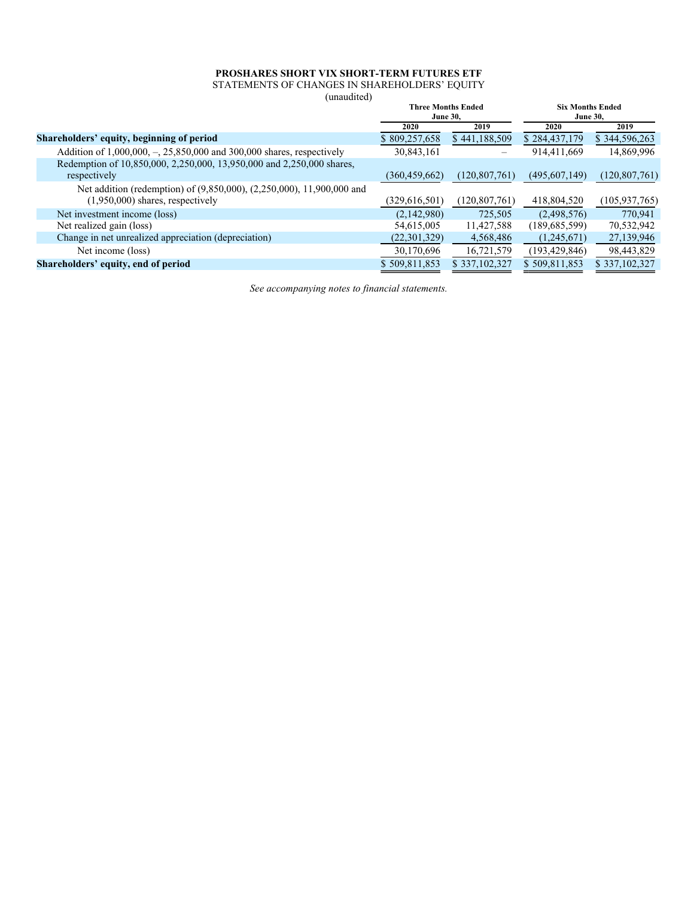STATEMENTS OF CHANGES IN SHAREHOLDERS' EQUITY

(unaudited)

|                                                                         | <b>Three Months Ended</b><br><b>June 30.</b> |                          |                 |                 | <b>Six Months Ended</b><br><b>June 30.</b> |  |
|-------------------------------------------------------------------------|----------------------------------------------|--------------------------|-----------------|-----------------|--------------------------------------------|--|
|                                                                         | 2020                                         | 2019                     | 2020            | 2019            |                                            |  |
| Shareholders' equity, beginning of period                               | \$809,257,658                                | \$441,188,509            | \$284,437,179   | \$344,596,263   |                                            |  |
| Addition of $1,000,000, -25,850,000$ and $300,000$ shares, respectively | 30,843,161                                   | $\overline{\phantom{m}}$ | 914,411,669     | 14,869,996      |                                            |  |
| Redemption of 10,850,000, 2,250,000, 13,950,000 and 2,250,000 shares,   |                                              |                          |                 |                 |                                            |  |
| respectively                                                            | (360, 459, 662)                              | (120, 807, 761)          | (495,607,149)   | (120, 807, 761) |                                            |  |
| Net addition (redemption) of (9,850,000), (2,250,000), 11,900,000 and   |                                              |                          |                 |                 |                                            |  |
| $(1,950,000)$ shares, respectively                                      | (329,616,501)                                | (120, 807, 761)          | 418,804,520     | (105, 937, 765) |                                            |  |
| Net investment income (loss)                                            | (2,142,980)                                  | 725.505                  | (2,498,576)     | 770.941         |                                            |  |
| Net realized gain (loss)                                                | 54,615,005                                   | 11,427,588               | (189, 685, 599) | 70,532,942      |                                            |  |
| Change in net unrealized appreciation (depreciation)                    | (22, 301, 329)                               | 4,568,486                | (1,245,671)     | 27,139,946      |                                            |  |
| Net income (loss)                                                       | 30.170.696                                   | 16,721,579               | (193, 429, 846) | 98,443,829      |                                            |  |
| Shareholders' equity, end of period                                     | \$509,811,853                                | \$337,102,327            | \$509,811,853   | \$337,102,327   |                                            |  |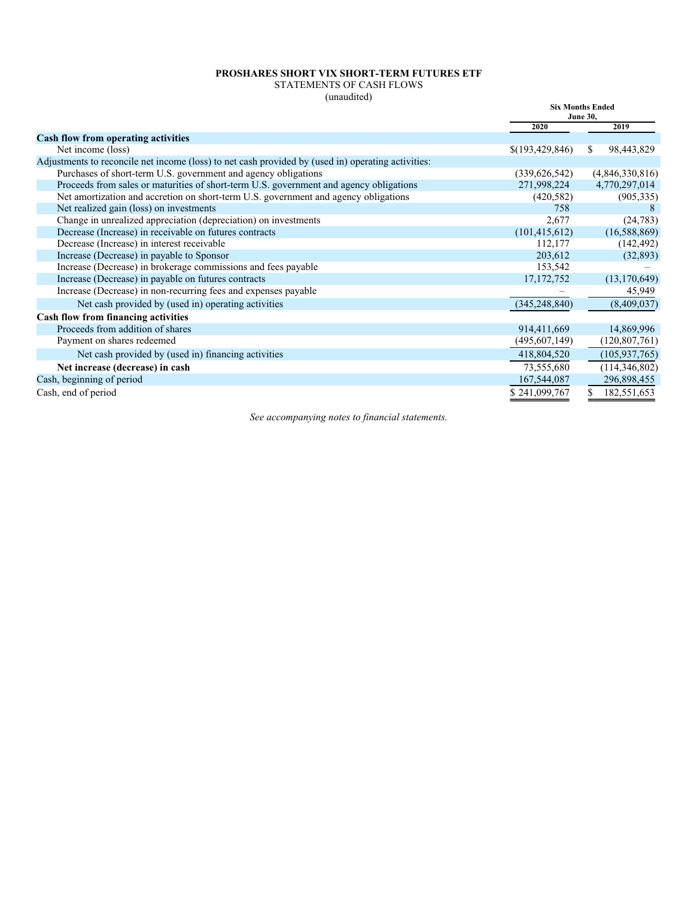### STATEMENTS OF CASH FLOWS (unaudited)

| $($ unauun $\epsilon$ u                                                                            |                         |                   |
|----------------------------------------------------------------------------------------------------|-------------------------|-------------------|
|                                                                                                    | <b>Six Months Ended</b> |                   |
|                                                                                                    |                         | <b>June 30.</b>   |
|                                                                                                    | 2020                    | 2019              |
| <b>Cash flow from operating activities</b>                                                         |                         |                   |
| Net income (loss)                                                                                  | \$(193,429,846)         | S.<br>98,443,829  |
| Adjustments to reconcile net income (loss) to net cash provided by (used in) operating activities: |                         |                   |
| Purchases of short-term U.S. government and agency obligations                                     | (339, 626, 542)         | (4,846,330,816)   |
| Proceeds from sales or maturities of short-term U.S. government and agency obligations             | 271,998,224             | 4,770,297,014     |
| Net amortization and accretion on short-term U.S. government and agency obligations                | (420, 582)              | (905, 335)        |
| Net realized gain (loss) on investments                                                            | 758                     |                   |
| Change in unrealized appreciation (depreciation) on investments                                    | 2,677                   | (24, 783)         |
| Decrease (Increase) in receivable on futures contracts                                             | (101, 415, 612)         | (16, 588, 869)    |
| Decrease (Increase) in interest receivable                                                         | 112,177                 | (142, 492)        |
| Increase (Decrease) in payable to Sponsor                                                          | 203,612                 | (32, 893)         |
| Increase (Decrease) in brokerage commissions and fees payable                                      | 153,542                 |                   |
| Increase (Decrease) in payable on futures contracts                                                | 17, 172, 752            | (13, 170, 649)    |
| Increase (Decrease) in non-recurring fees and expenses payable                                     |                         | 45,949            |
| Net cash provided by (used in) operating activities                                                | (345, 248, 840)         | (8,409,037)       |
| Cash flow from financing activities                                                                |                         |                   |
| Proceeds from addition of shares                                                                   | 914,411,669             | 14,869,996        |
| Payment on shares redeemed                                                                         | (495, 607, 149)         | (120, 807, 761)   |
| Net cash provided by (used in) financing activities                                                | 418,804,520             | (105, 937, 765)   |
| Net increase (decrease) in cash                                                                    | 73,555,680              | (114, 346, 802)   |
| Cash, beginning of period                                                                          | 167,544,087             | 296,898,455       |
| Cash, end of period                                                                                | \$241,099,767           | 182,551,653<br>S. |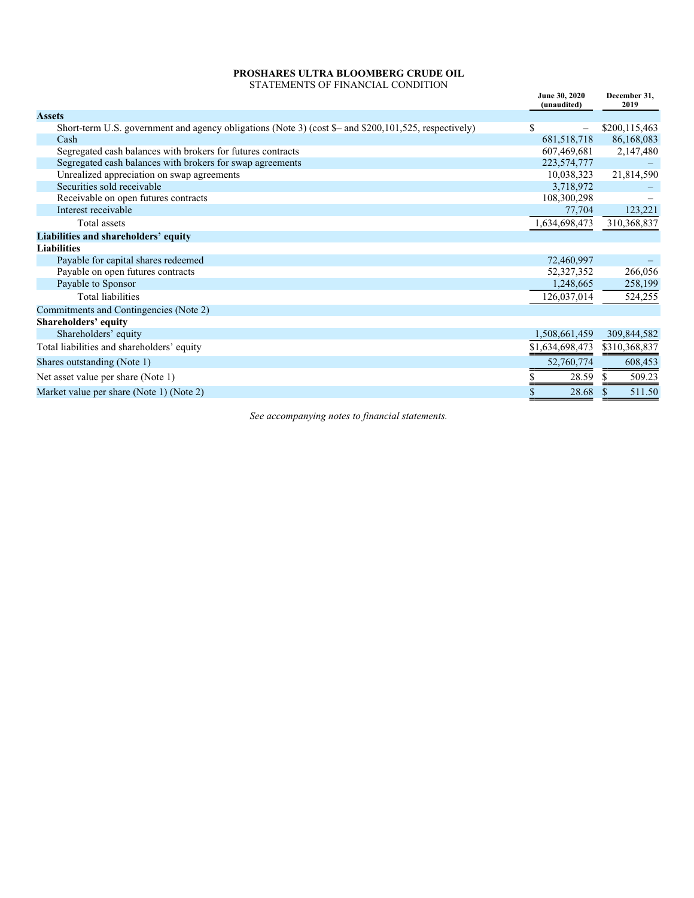STATEMENTS OF FINANCIAL CONDITION

|                                                                                                       | June 30, 2020<br>(unaudited) | December 31,<br>2019 |
|-------------------------------------------------------------------------------------------------------|------------------------------|----------------------|
| <b>Assets</b>                                                                                         |                              |                      |
| Short-term U.S. government and agency obligations (Note 3) (cost \$- and \$200,101,525, respectively) | \$                           | \$200,115,463        |
| Cash                                                                                                  | 681,518,718                  | 86,168,083           |
| Segregated cash balances with brokers for futures contracts                                           | 607,469,681                  | 2,147,480            |
| Segregated cash balances with brokers for swap agreements                                             | 223,574,777                  |                      |
| Unrealized appreciation on swap agreements                                                            | 10,038,323                   | 21,814,590           |
| Securities sold receivable                                                                            | 3,718,972                    |                      |
| Receivable on open futures contracts                                                                  | 108,300,298                  |                      |
| Interest receivable                                                                                   | 77,704                       | 123,221              |
| Total assets                                                                                          | 1,634,698,473                | 310,368,837          |
| Liabilities and shareholders' equity                                                                  |                              |                      |
| <b>Liabilities</b>                                                                                    |                              |                      |
| Payable for capital shares redeemed                                                                   | 72,460,997                   |                      |
| Payable on open futures contracts                                                                     | 52, 327, 352                 | 266,056              |
| Payable to Sponsor                                                                                    | 1,248,665                    | 258,199              |
| <b>Total liabilities</b>                                                                              | 126,037,014                  | 524,255              |
| Commitments and Contingencies (Note 2)                                                                |                              |                      |
| Shareholders' equity                                                                                  |                              |                      |
| Shareholders' equity                                                                                  | 1,508,661,459                | 309,844,582          |
| Total liabilities and shareholders' equity                                                            | \$1,634,698,473              | \$310,368,837        |
| Shares outstanding (Note 1)                                                                           | 52,760,774                   | 608,453              |
| Net asset value per share (Note 1)                                                                    | 28.59                        | 509.23<br>\$         |
| Market value per share (Note 1) (Note 2)                                                              | 28.68                        | 511.50               |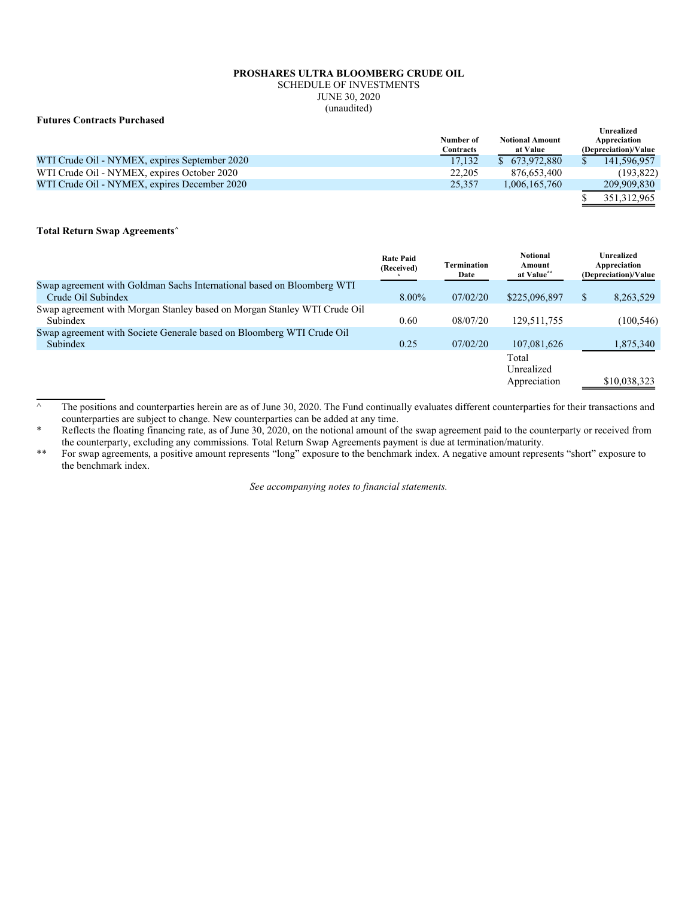### **PROSHARES ULTRA BLOOMBERG CRUDE OIL**  SCHEDULE OF INVESTMENTS JUNE 30, 2020 (unaudited)

### **Futures Contracts Purchased**

|                                               | Number of<br>Contracts | <b>Notional Amount</b><br>at Value | Unrealized<br>Appreciation<br>(Depreciation)/Value |
|-----------------------------------------------|------------------------|------------------------------------|----------------------------------------------------|
| WTI Crude Oil - NYMEX, expires September 2020 | 17.132                 | \$ 673,972,880                     | 141,596,957                                        |
| WTI Crude Oil - NYMEX, expires October 2020   | 22,205                 | 876,653,400                        | (193.822)                                          |
| WTI Crude Oil - NYMEX, expires December 2020  | 25.357                 | 1.006.165.760                      | 209,909,830                                        |
|                                               |                        |                                    | 351.312.965                                        |

### **Total Return Swap Agreements^**

|                                                                                              | <b>Rate Paid</b><br>(Received) | <b>Termination</b><br>Date | <b>Notional</b><br>Amount<br>at Value** |   | <b>Unrealized</b><br>Appreciation<br>(Depreciation)/Value |
|----------------------------------------------------------------------------------------------|--------------------------------|----------------------------|-----------------------------------------|---|-----------------------------------------------------------|
| Swap agreement with Goldman Sachs International based on Bloomberg WTI<br>Crude Oil Subindex | $8.00\%$                       | 07/02/20                   | \$225,096,897                           | S | 8,263,529                                                 |
| Swap agreement with Morgan Stanley based on Morgan Stanley WTI Crude Oil<br>Subindex         | 0.60                           | 08/07/20                   | 129,511,755                             |   | (100, 546)                                                |
| Swap agreement with Societe Generale based on Bloomberg WTI Crude Oil<br>Subindex            | 0.25                           | 07/02/20                   | 107,081,626                             |   | 1,875,340                                                 |
|                                                                                              |                                |                            | Total<br>Unrealized<br>Appreciation     |   | \$10,038,323                                              |

 $\overline{\phantom{a}}$  The positions and counterparties herein are as of June 30, 2020. The Fund continually evaluates different counterparties for their transactions and counterparties are subject to change. New counterparties can be added at any time.

\* Reflects the floating financing rate, as of June 30, 2020, on the notional amount of the swap agreement paid to the counterparty or received from the counterparty, excluding any commissions. Total Return Swap Agreements payment is due at termination/maturity.

\*\* For swap agreements, a positive amount represents "long" exposure to the benchmark index. A negative amount represents "short" exposure to the benchmark index.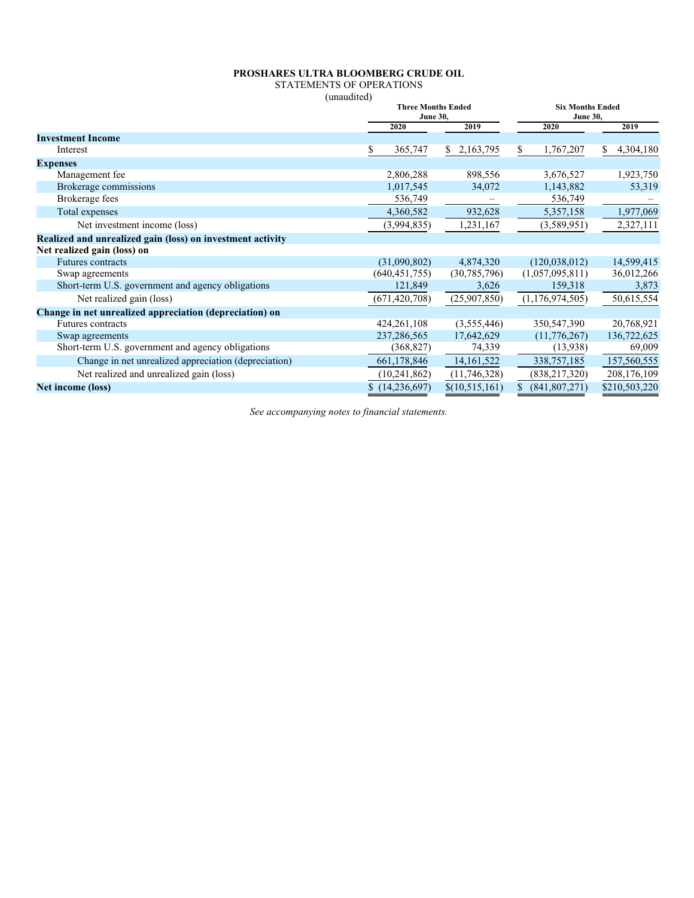STATEMENTS OF OPERATIONS (unaudited)

|                                                            | <b>Three Months Ended</b><br><b>June 30,</b> |                 | <b>Six Months Ended</b><br><b>June 30,</b> |                 |
|------------------------------------------------------------|----------------------------------------------|-----------------|--------------------------------------------|-----------------|
|                                                            | 2020                                         | 2019            | 2020                                       | 2019            |
| <b>Investment Income</b>                                   |                                              |                 |                                            |                 |
| Interest                                                   | 365,747<br>S                                 | 2,163,795<br>S. | 1,767,207<br>S.                            | 4,304,180<br>S. |
| <b>Expenses</b>                                            |                                              |                 |                                            |                 |
| Management fee                                             | 2,806,288                                    | 898,556         | 3,676,527                                  | 1,923,750       |
| Brokerage commissions                                      | 1,017,545                                    | 34,072          | 1,143,882                                  | 53,319          |
| Brokerage fees                                             | 536,749                                      |                 | 536,749                                    |                 |
| Total expenses                                             | 4,360,582                                    | 932,628         | 5,357,158                                  | 1,977,069       |
| Net investment income (loss)                               | (3,994,835)                                  | 1,231,167       | (3,589,951)                                | 2,327,111       |
| Realized and unrealized gain (loss) on investment activity |                                              |                 |                                            |                 |
| Net realized gain (loss) on                                |                                              |                 |                                            |                 |
| <b>Futures contracts</b>                                   | (31,090,802)                                 | 4,874,320       | (120, 038, 012)                            | 14,599,415      |
| Swap agreements                                            | (640, 451, 755)                              | (30, 785, 796)  | (1,057,095,811)                            | 36,012,266      |
| Short-term U.S. government and agency obligations          | 121,849                                      | 3,626           | 159,318                                    | 3,873           |
| Net realized gain (loss)                                   | (671, 420, 708)                              | (25,907,850)    | (1,176,974,505)                            | 50,615,554      |
| Change in net unrealized appreciation (depreciation) on    |                                              |                 |                                            |                 |
| <b>Futures contracts</b>                                   | 424, 261, 108                                | (3,555,446)     | 350, 547, 390                              | 20,768,921      |
| Swap agreements                                            | 237,286,565                                  | 17,642,629      | (11,776,267)                               | 136,722,625     |
| Short-term U.S. government and agency obligations          | (368, 827)                                   | 74,339          | (13,938)                                   | 69,009          |
| Change in net unrealized appreciation (depreciation)       | 661,178,846                                  | 14, 161, 522    | 338, 757, 185                              | 157,560,555     |
| Net realized and unrealized gain (loss)                    | (10, 241, 862)                               | (11,746,328)    | (838, 217, 320)                            | 208,176,109     |
| Net income (loss)                                          | \$(14,236,697)                               | \$(10,515,161)  | (841, 807, 271)                            | \$210,503,220   |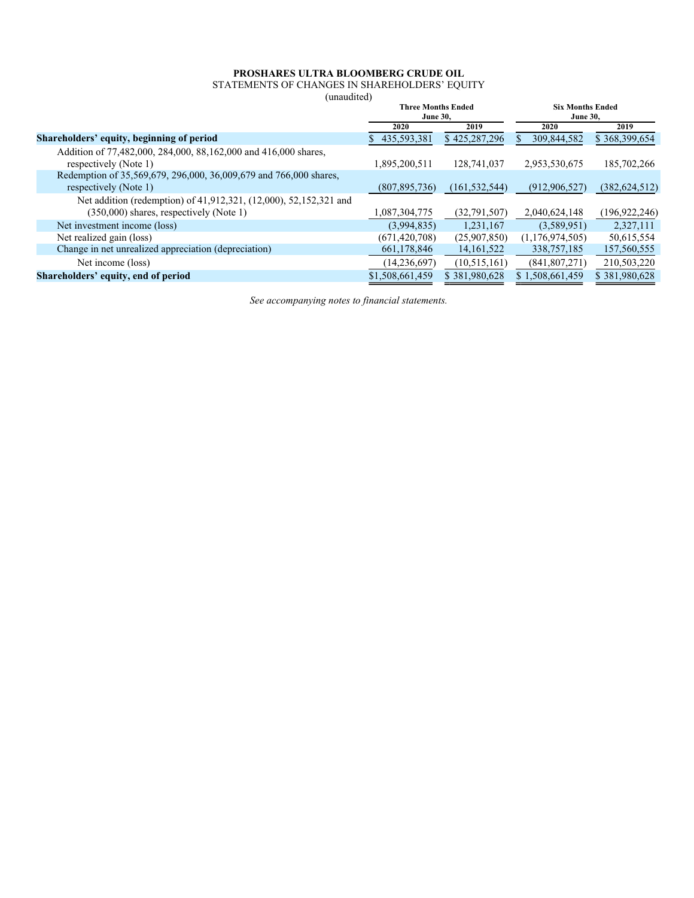STATEMENTS OF CHANGES IN SHAREHOLDERS' EQUITY

(unaudited)

|                                                                                                                | <b>Three Months Ended</b><br><b>June 30,</b> |                 | <b>Six Months Ended</b><br><b>June 30,</b> |                 |
|----------------------------------------------------------------------------------------------------------------|----------------------------------------------|-----------------|--------------------------------------------|-----------------|
|                                                                                                                | 2020                                         | 2019            | 2020                                       | 2019            |
| Shareholders' equity, beginning of period                                                                      | 435,593,381                                  | \$425,287,296   | 309,844,582                                | \$368,399,654   |
| Addition of 77,482,000, 284,000, 88,162,000 and 416,000 shares,<br>respectively (Note 1)                       | 1,895,200,511                                | 128,741,037     | 2,953,530,675                              | 185,702,266     |
| Redemption of 35,569,679, 296,000, 36,009,679 and 766,000 shares,<br>respectively (Note 1)                     | (807, 895, 736)                              | (161, 532, 544) | (912, 906, 527)                            | (382, 624, 512) |
| Net addition (redemption) of 41,912,321, (12,000), 52,152,321 and<br>$(350,000)$ shares, respectively (Note 1) | 1,087,304,775                                | (32,791,507)    | 2,040,624,148                              | (196, 922, 246) |
| Net investment income (loss)                                                                                   | (3,994,835)                                  | 1.231.167       | (3,589,951)                                | 2,327,111       |
| Net realized gain (loss)                                                                                       | (671, 420, 708)                              | (25,907,850)    | (1,176,974,505)                            | 50,615,554      |
| Change in net unrealized appreciation (depreciation)                                                           | 661,178,846                                  | 14, 161, 522    | 338,757,185                                | 157,560,555     |
| Net income (loss)                                                                                              | (14, 236, 697)                               | (10,515,161)    | (841, 807, 271)                            | 210,503,220     |
| Shareholders' equity, end of period                                                                            | \$1,508,661,459                              | \$381,980,628   | \$1,508,661,459                            | \$381,980,628   |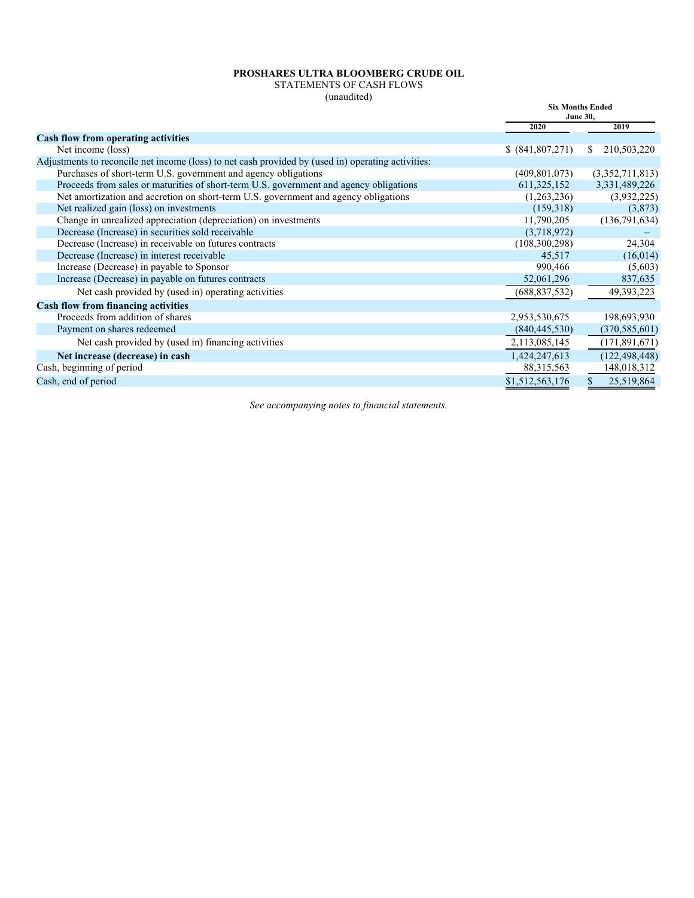### STATEMENTS OF CASH FLOWS (unaudited)

| , unuunnon,                                                                                        | <b>Six Months Ended</b><br><b>June 30,</b> |                   |
|----------------------------------------------------------------------------------------------------|--------------------------------------------|-------------------|
|                                                                                                    | 2020                                       | 2019              |
| Cash flow from operating activities                                                                |                                            |                   |
| Net income (loss)                                                                                  | \$ (841,807,271)                           | 210,503,220<br>S. |
| Adjustments to reconcile net income (loss) to net cash provided by (used in) operating activities: |                                            |                   |
| Purchases of short-term U.S. government and agency obligations                                     | (409, 801, 073)                            | (3,352,711,813)   |
| Proceeds from sales or maturities of short-term U.S. government and agency obligations             | 611, 325, 152                              | 3,331,489,226     |
| Net amortization and accretion on short-term U.S. government and agency obligations                | (1,263,236)                                | (3,932,225)       |
| Net realized gain (loss) on investments                                                            | (159,318)                                  | (3,873)           |
| Change in unrealized appreciation (depreciation) on investments                                    | 11,790,205                                 | (136,791,634)     |
| Decrease (Increase) in securities sold receivable                                                  | (3,718,972)                                |                   |
| Decrease (Increase) in receivable on futures contracts                                             | (108, 300, 298)                            | 24,304            |
| Decrease (Increase) in interest receivable                                                         | 45,517                                     | (16,014)          |
| Increase (Decrease) in payable to Sponsor                                                          | 990,466                                    | (5,603)           |
| Increase (Decrease) in payable on futures contracts                                                | 52,061,296                                 | 837,635           |
| Net cash provided by (used in) operating activities                                                | (688, 837, 532)                            | 49, 393, 223      |
| <b>Cash flow from financing activities</b>                                                         |                                            |                   |
| Proceeds from addition of shares                                                                   | 2,953,530,675                              | 198,693,930       |
| Payment on shares redeemed                                                                         | (840, 445, 530)                            | (370, 585, 601)   |
| Net cash provided by (used in) financing activities                                                | 2,113,085,145                              | (171,891,671)     |
| Net increase (decrease) in cash                                                                    | 1,424,247,613                              | (122, 498, 448)   |
| Cash, beginning of period                                                                          | 88, 315, 563                               | 148,018,312       |
| Cash, end of period                                                                                | \$1,512,563,176                            | \$<br>25,519,864  |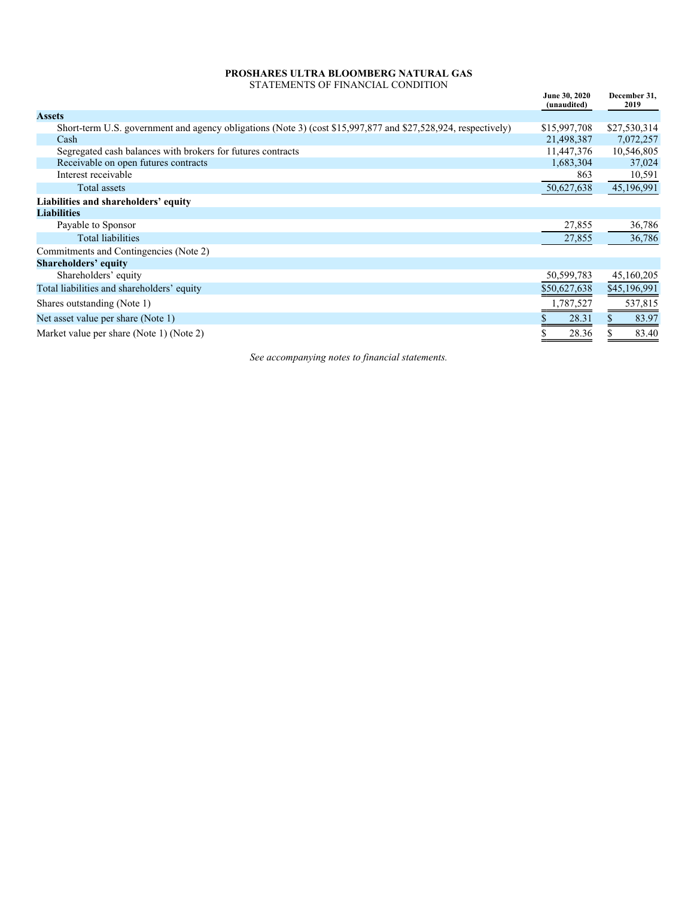| STATEMENTS OF FINANCIAL CONDITION |  |
|-----------------------------------|--|
|-----------------------------------|--|

|                                                                                                               | June 30, 2020<br>(unaudited) | December 31,<br>2019 |
|---------------------------------------------------------------------------------------------------------------|------------------------------|----------------------|
| <b>Assets</b>                                                                                                 |                              |                      |
| Short-term U.S. government and agency obligations (Note 3) (cost \$15,997,877 and \$27,528,924, respectively) | \$15,997,708                 | \$27,530,314         |
| Cash                                                                                                          | 21,498,387                   | 7,072,257            |
| Segregated cash balances with brokers for futures contracts                                                   | 11,447,376                   | 10,546,805           |
| Receivable on open futures contracts                                                                          | 1,683,304                    | 37,024               |
| Interest receivable                                                                                           | 863                          | 10,591               |
| <b>Total assets</b>                                                                                           | 50,627,638                   | 45,196,991           |
| Liabilities and shareholders' equity                                                                          |                              |                      |
| <b>Liabilities</b>                                                                                            |                              |                      |
| Payable to Sponsor                                                                                            | 27,855                       | 36,786               |
| <b>Total liabilities</b>                                                                                      | 27,855                       | 36,786               |
| Commitments and Contingencies (Note 2)                                                                        |                              |                      |
| <b>Shareholders' equity</b>                                                                                   |                              |                      |
| Shareholders' equity                                                                                          | 50,599,783                   | 45,160,205           |
| Total liabilities and shareholders' equity                                                                    | \$50,627,638                 | \$45,196,991         |
| Shares outstanding (Note 1)                                                                                   | 1,787,527                    | 537,815              |
| Net asset value per share (Note 1)                                                                            | 28.31                        | 83.97                |
| Market value per share (Note 1) (Note 2)                                                                      | 28.36                        | 83.40                |
|                                                                                                               |                              |                      |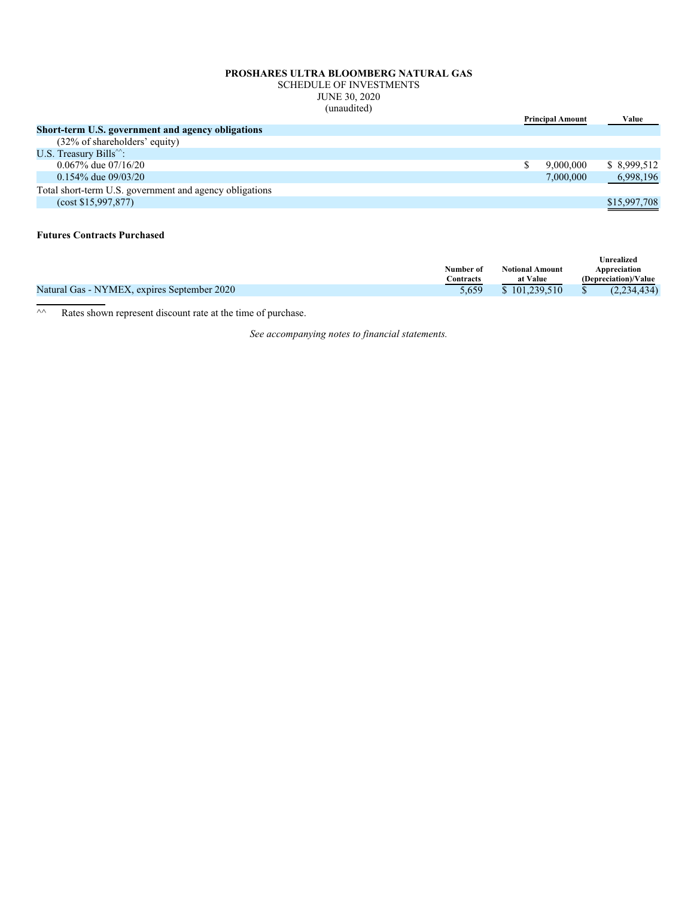### SCHEDULE OF INVESTMENTS JUNE 30, 2020

(unaudited)

|                                                         | <b>Principal Amount</b> |              |
|---------------------------------------------------------|-------------------------|--------------|
| Short-term U.S. government and agency obligations       |                         |              |
| (32% of shareholders' equity)                           |                         |              |
| U.S. Treasury Bills $\sim$ :                            |                         |              |
| $0.067\%$ due $07/16/20$                                | 9,000,000               | \$ 8,999,512 |
| $0.154\%$ due $09/03/20$                                | 7,000,000               | 6,998,196    |
| Total short-term U.S. government and agency obligations |                         |              |
| (cost \$15,997,877)                                     |                         | \$15,997,708 |
|                                                         |                         |              |

### **Futures Contracts Purchased**

|                                             |           |                        | <b>Unrealized</b>    |
|---------------------------------------------|-----------|------------------------|----------------------|
|                                             | Number of | <b>Notional Amount</b> | Appreciation         |
|                                             | Contracts | at Value               | (Depreciation)/Value |
| Natural Gas - NYMEX, expires September 2020 | 5.659     | \$101.239.510          | (2,234,434)          |

 $\overline{\wedge\wedge}$  Rates shown represent discount rate at the time of purchase.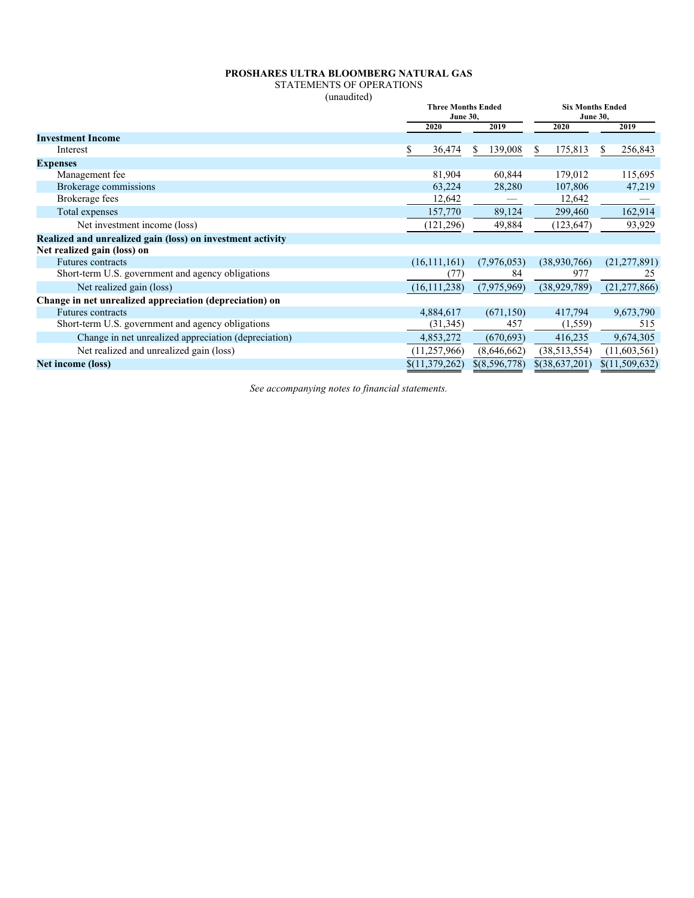### STATEMENTS OF OPERATIONS (unaudited)

|                                                            | $($ unauuncu |                                 |               |                                            |                |
|------------------------------------------------------------|--------------|---------------------------------|---------------|--------------------------------------------|----------------|
|                                                            |              | <b>Three Months Ended</b>       |               | <b>Six Months Ended</b><br><b>June 30.</b> |                |
|                                                            |              | <b>June 30.</b><br>2019<br>2020 |               | 2020                                       | 2019           |
| <b>Investment Income</b>                                   |              |                                 |               |                                            |                |
| Interest                                                   |              | 36,474                          | 139,008<br>S. | 175,813<br>Ж                               | 256,843        |
| <b>Expenses</b>                                            |              |                                 |               |                                            |                |
| Management fee                                             |              | 81,904                          | 60,844        | 179,012                                    | 115,695        |
| Brokerage commissions                                      |              | 63,224                          | 28,280        | 107,806                                    | 47,219         |
| Brokerage fees                                             |              | 12,642                          |               | 12,642                                     |                |
| Total expenses                                             |              | 157,770                         | 89,124        | 299,460                                    | 162,914        |
| Net investment income (loss)                               |              | (121, 296)                      | 49,884        | (123, 647)                                 | 93,929         |
| Realized and unrealized gain (loss) on investment activity |              |                                 |               |                                            |                |
| Net realized gain (loss) on                                |              |                                 |               |                                            |                |
| <b>Futures</b> contracts                                   |              | (16, 111, 161)                  | (7,976,053)   | (38,930,766)                               | (21, 277, 891) |
| Short-term U.S. government and agency obligations          |              | (77)                            | 84            | 977                                        | 25             |
| Net realized gain (loss)                                   |              | (16, 111, 238)                  | (7,975,969)   | (38, 929, 789)                             | (21, 277, 866) |
| Change in net unrealized appreciation (depreciation) on    |              |                                 |               |                                            |                |
| <b>Futures</b> contracts                                   |              | 4,884,617                       | (671, 150)    | 417,794                                    | 9,673,790      |
| Short-term U.S. government and agency obligations          |              | (31, 345)                       | 457           | (1, 559)                                   | 515            |
| Change in net unrealized appreciation (depreciation)       |              | 4,853,272                       | (670, 693)    | 416,235                                    | 9,674,305      |
| Net realized and unrealized gain (loss)                    |              | (11, 257, 966)                  | (8,646,662)   | (38,513,554)                               | (11,603,561)   |
| Net income (loss)                                          |              | \$(11,379,262)                  | \$(8,596,778) | \$(38,637,201)                             | \$(11,509,632) |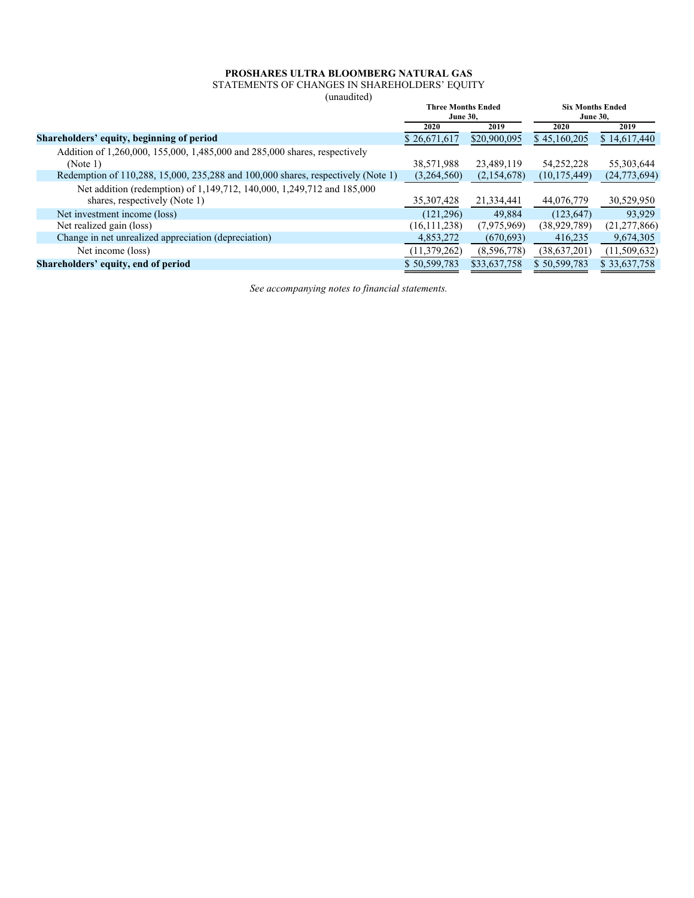### **PROSHARES ULTRA BLOOMBERG NATURAL GAS**  STATEMENTS OF CHANGES IN SHAREHOLDERS' EQUITY

(unaudited)

|                                                                                  | <b>Three Months Ended</b><br><b>June 30.</b> |              | <b>Six Months Ended</b><br><b>June 30,</b> |                |
|----------------------------------------------------------------------------------|----------------------------------------------|--------------|--------------------------------------------|----------------|
|                                                                                  | 2020                                         | 2019         | 2020                                       | 2019           |
| Shareholders' equity, beginning of period                                        | \$26,671,617                                 | \$20,900,095 | \$45,160,205                               | \$14,617,440   |
| Addition of 1,260,000, 155,000, 1,485,000 and 285,000 shares, respectively       |                                              |              |                                            |                |
| (Note 1)                                                                         | 38,571,988                                   | 23,489,119   | 54,252,228                                 | 55,303,644     |
| Redemption of 110,288, 15,000, 235,288 and 100,000 shares, respectively (Note 1) | (3,264,560)                                  | (2,154,678)  | (10, 175, 449)                             | (24, 773, 694) |
| Net addition (redemption) of 1,149,712, 140,000, 1,249,712 and 185,000           |                                              |              |                                            |                |
| shares, respectively (Note 1)                                                    | 35, 307, 428                                 | 21,334,441   | 44,076,779                                 | 30,529,950     |
| Net investment income (loss)                                                     | (121, 296)                                   | 49.884       | (123, 647)                                 | 93.929         |
| Net realized gain (loss)                                                         | (16, 111, 238)                               | (7,975,969)  | (38,929,789)                               | (21, 277, 866) |
| Change in net unrealized appreciation (depreciation)                             | 4,853,272                                    | (670, 693)   | 416,235                                    | 9,674,305      |
| Net income (loss)                                                                | (11,379,262)                                 | (8,596,778)  | (38,637,201)                               | (11,509,632)   |
| Shareholders' equity, end of period                                              | \$50,599,783                                 | \$33,637,758 | \$50,599,783                               | \$33,637,758   |
|                                                                                  |                                              |              |                                            |                |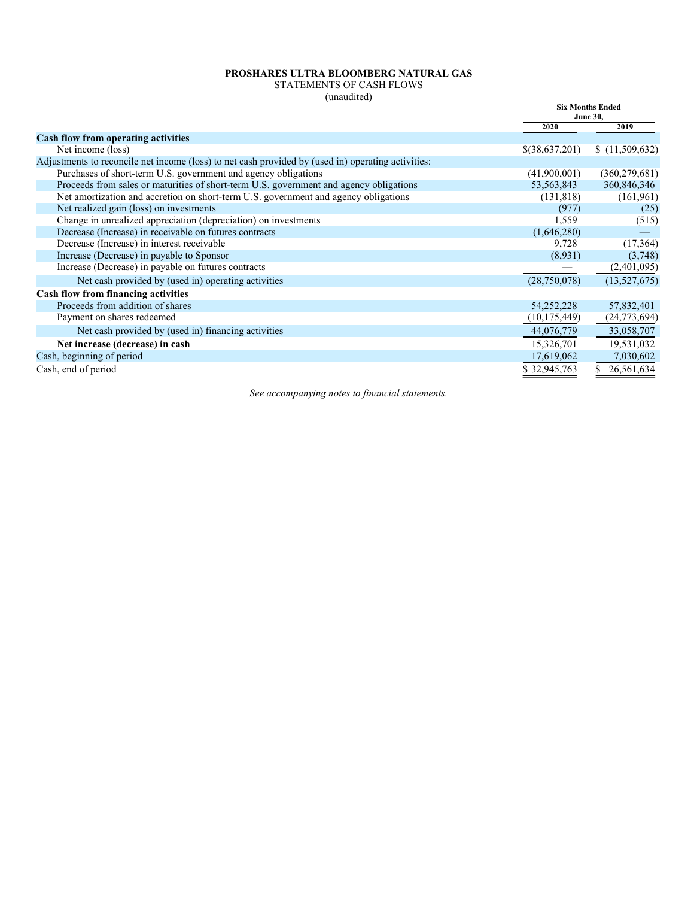### STATEMENTS OF CASH FLOWS (unaudited)

| , unuunnon,                                                                                        |                | <b>Six Months Ended</b><br><b>June 30.</b> |
|----------------------------------------------------------------------------------------------------|----------------|--------------------------------------------|
|                                                                                                    | 2020           | 2019                                       |
| Cash flow from operating activities                                                                |                |                                            |
| Net income (loss)                                                                                  | \$(38,637,201) | (11,509,632)                               |
| Adjustments to reconcile net income (loss) to net cash provided by (used in) operating activities: |                |                                            |
| Purchases of short-term U.S. government and agency obligations                                     | (41,900,001)   | (360, 279, 681)                            |
| Proceeds from sales or maturities of short-term U.S. government and agency obligations             | 53, 563, 843   | 360,846,346                                |
| Net amortization and accretion on short-term U.S. government and agency obligations                | (131, 818)     | (161, 961)                                 |
| Net realized gain (loss) on investments                                                            | (977)          | (25)                                       |
| Change in unrealized appreciation (depreciation) on investments                                    | 1,559          | (515)                                      |
| Decrease (Increase) in receivable on futures contracts                                             | (1,646,280)    |                                            |
| Decrease (Increase) in interest receivable                                                         | 9,728          | (17, 364)                                  |
| Increase (Decrease) in payable to Sponsor                                                          | (8,931)        | (3,748)                                    |
| Increase (Decrease) in payable on futures contracts                                                |                | (2,401,095)                                |
| Net cash provided by (used in) operating activities                                                | (28,750,078)   | (13, 527, 675)                             |
| Cash flow from financing activities                                                                |                |                                            |
| Proceeds from addition of shares                                                                   | 54,252,228     | 57,832,401                                 |
| Payment on shares redeemed                                                                         | (10, 175, 449) | (24, 773, 694)                             |
| Net cash provided by (used in) financing activities                                                | 44,076,779     | 33,058,707                                 |
| Net increase (decrease) in cash                                                                    | 15,326,701     | 19,531,032                                 |
| Cash, beginning of period                                                                          | 17,619,062     | 7,030,602                                  |
| Cash, end of period                                                                                | \$32,945,763   | 26,561,634                                 |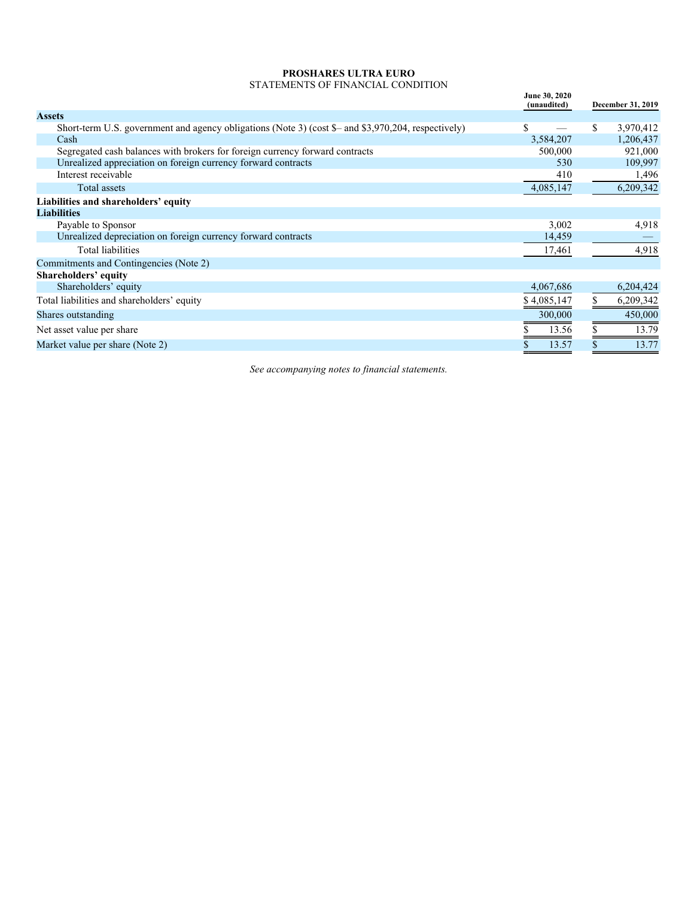## **PROSHARES ULTRA EURO**

## STATEMENTS OF FINANCIAL CONDITION

| этатемергэ от тирарскае сорогцор                                                                    |                              |                   |
|-----------------------------------------------------------------------------------------------------|------------------------------|-------------------|
|                                                                                                     | June 30, 2020<br>(unaudited) | December 31, 2019 |
| <b>Assets</b>                                                                                       |                              |                   |
| Short-term U.S. government and agency obligations (Note 3) (cost \$- and \$3,970,204, respectively) | S                            | 3,970,412<br>S.   |
| Cash                                                                                                | 3,584,207                    | 1,206,437         |
| Segregated cash balances with brokers for foreign currency forward contracts                        | 500,000                      | 921,000           |
| Unrealized appreciation on foreign currency forward contracts                                       | 530                          | 109,997           |
| Interest receivable                                                                                 | 410                          | 1,496             |
| Total assets                                                                                        | 4,085,147                    | 6,209,342         |
| Liabilities and shareholders' equity                                                                |                              |                   |
| <b>Liabilities</b>                                                                                  |                              |                   |
| Payable to Sponsor                                                                                  | 3,002                        | 4,918             |
| Unrealized depreciation on foreign currency forward contracts                                       | 14,459                       |                   |
| Total liabilities                                                                                   | 17,461                       | 4,918             |
| Commitments and Contingencies (Note 2)                                                              |                              |                   |
| Shareholders' equity                                                                                |                              |                   |
| Shareholders' equity                                                                                | 4,067,686                    | 6,204,424         |
| Total liabilities and shareholders' equity                                                          | \$4,085,147                  | 6,209,342         |
| Shares outstanding                                                                                  | 300,000                      | 450,000           |
| Net asset value per share                                                                           | 13.56                        | 13.79             |
| Market value per share (Note 2)                                                                     | 13.57                        | 13.77             |
|                                                                                                     |                              |                   |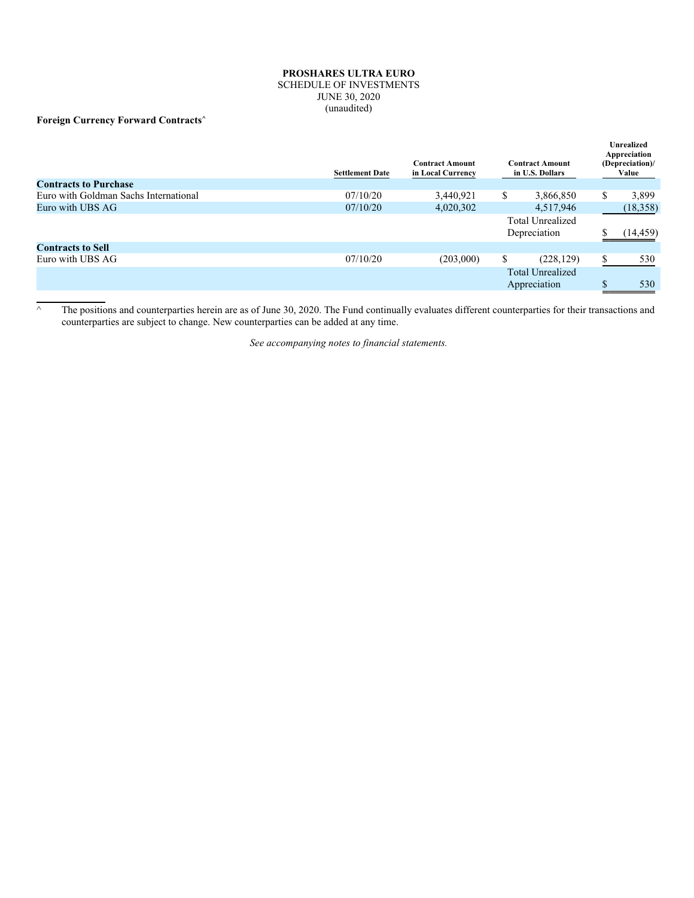### **PROSHARES ULTRA EURO**  SCHEDULE OF INVESTMENTS JUNE 30, 2020 (unaudited)

### **Foreign Currency Forward Contracts^**

|                                       | <b>Settlement Date</b> | <b>Contract Amount</b><br>in Local Currency | <b>Contract Amount</b><br>in U.S. Dollars |              |    | <b>Unrealized</b><br>Appreciation<br>(Depreciation)/<br>Value |
|---------------------------------------|------------------------|---------------------------------------------|-------------------------------------------|--------------|----|---------------------------------------------------------------|
| <b>Contracts to Purchase</b>          |                        |                                             |                                           |              |    |                                                               |
| Euro with Goldman Sachs International | 07/10/20               | 3,440,921                                   | \$                                        | 3,866,850    | S. | 3,899                                                         |
| Euro with UBS AG                      | 07/10/20               | 4,020,302                                   |                                           | 4,517,946    |    | (18, 358)                                                     |
|                                       |                        |                                             | Total Unrealized<br>Depreciation          |              |    | (14, 459)                                                     |
| <b>Contracts to Sell</b>              |                        |                                             |                                           |              |    |                                                               |
| Euro with UBS AG                      | 07/10/20               | (203,000)                                   | \$                                        | (228, 129)   | S  | 530                                                           |
|                                       |                        |                                             | <b>Total Unrealized</b>                   |              |    |                                                               |
|                                       |                        |                                             |                                           | Appreciation |    | 530                                                           |

 $\land$  The positions and counterparties herein are as of June 30, 2020. The Fund continually evaluates different counterparties for their transactions and counterparties are subject to change. New counterparties can be added at any time.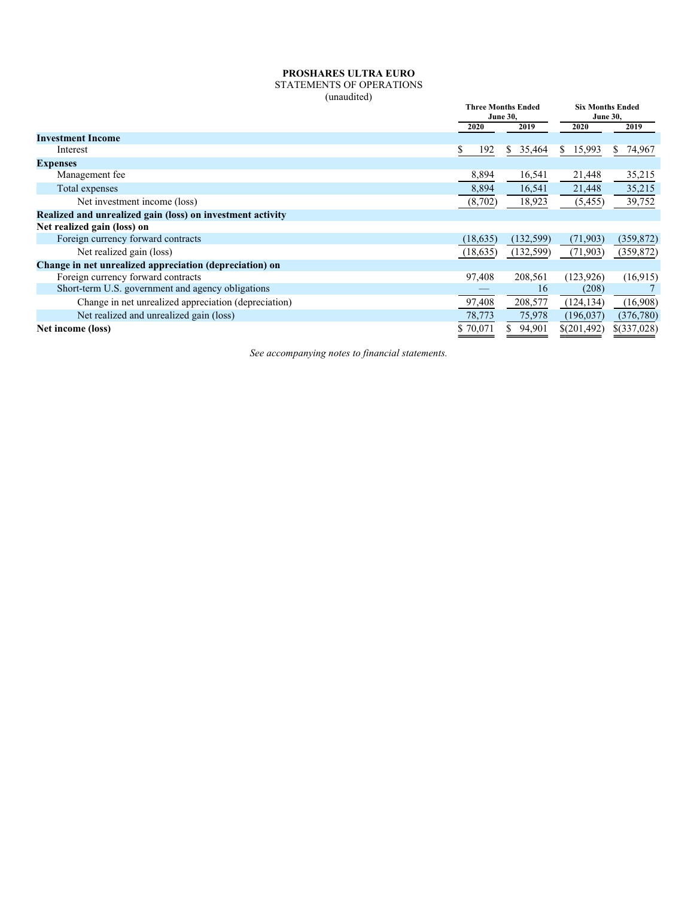### **PROSHARES ULTRA EURO**  STATEMENTS OF OPERATIONS

(unaudited)

| $($ unuuttuva $($                                          |           |                           |                                            |              |  |
|------------------------------------------------------------|-----------|---------------------------|--------------------------------------------|--------------|--|
|                                                            |           | <b>Three Months Ended</b> | <b>Six Months Ended</b><br><b>June 30,</b> |              |  |
|                                                            |           | <b>June 30,</b>           |                                            |              |  |
|                                                            | 2020      | 2019                      | 2020                                       | 2019         |  |
| <b>Investment Income</b>                                   |           |                           |                                            |              |  |
| Interest                                                   | 192<br>Ъ. | 35,464<br>S.              | 15,993<br>S.                               | 74,967<br>S. |  |
| <b>Expenses</b>                                            |           |                           |                                            |              |  |
| Management fee                                             | 8,894     | 16,541                    | 21,448                                     | 35,215       |  |
| Total expenses                                             | 8,894     | 16,541                    | 21,448                                     | 35,215       |  |
| Net investment income (loss)                               | (8,702)   | 18,923                    | (5,455)                                    | 39,752       |  |
| Realized and unrealized gain (loss) on investment activity |           |                           |                                            |              |  |
| Net realized gain (loss) on                                |           |                           |                                            |              |  |
| Foreign currency forward contracts                         | (18, 635) | (132, 599)                | (71, 903)                                  | (359, 872)   |  |
| Net realized gain (loss)                                   | (18, 635) | (132, 599)                | (71,903)                                   | (359, 872)   |  |
| Change in net unrealized appreciation (depreciation) on    |           |                           |                                            |              |  |
| Foreign currency forward contracts                         | 97,408    | 208,561                   | (123, 926)                                 | (16,915)     |  |
| Short-term U.S. government and agency obligations          |           | 16                        | (208)                                      |              |  |
| Change in net unrealized appreciation (depreciation)       | 97,408    | 208,577                   | (124, 134)                                 | (16,908)     |  |
| Net realized and unrealized gain (loss)                    | 78,773    | 75,978                    | (196, 037)                                 | (376, 780)   |  |
| Net income (loss)                                          | \$70,071  | 94,901                    | \$(201,492)                                | \$(337,028)  |  |
|                                                            |           |                           |                                            |              |  |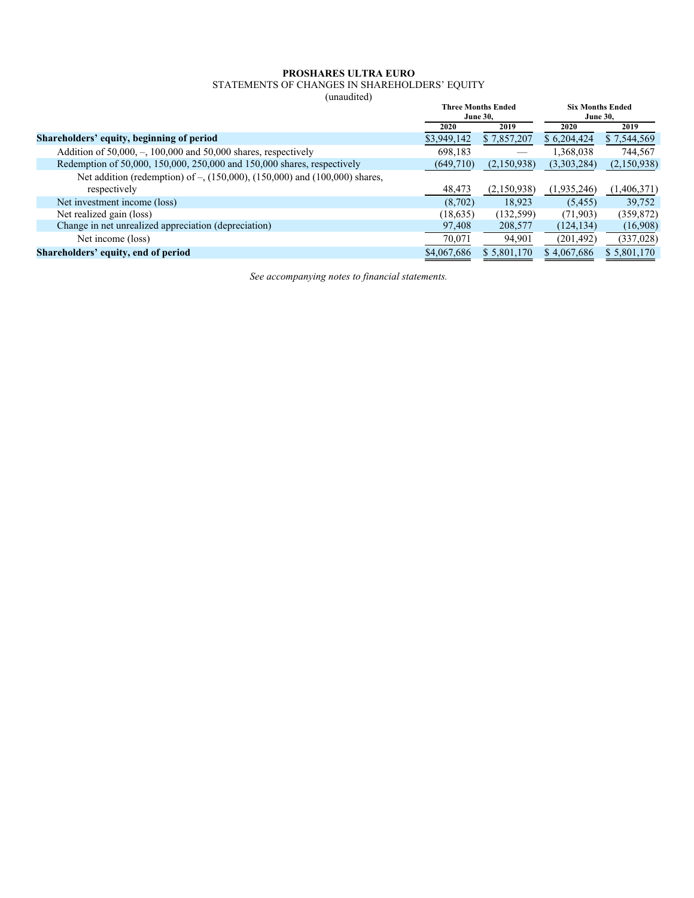### **PROSHARES ULTRA EURO**  STATEMENTS OF CHANGES IN SHAREHOLDERS' EQUITY

(unaudited)

|                                                                                | <b>Three Months Ended</b><br><b>June 30,</b> |             | <b>Six Months Ended</b><br><b>June 30,</b> |             |
|--------------------------------------------------------------------------------|----------------------------------------------|-------------|--------------------------------------------|-------------|
|                                                                                | <b>2020</b>                                  | 2019        | 2020                                       | 2019        |
| Shareholders' equity, beginning of period                                      | \$3,949,142                                  | \$7,857,207 | \$6,204,424                                | \$7,544,569 |
| Addition of $50,000, -100,000$ and $50,000$ shares, respectively               | 698.183                                      |             | 1,368,038                                  | 744.567     |
| Redemption of 50,000, 150,000, 250,000 and 150,000 shares, respectively        | (649,710)                                    | (2,150,938) | (3,303,284)                                | (2,150,938) |
| Net addition (redemption) of $-, (150,000), (150,000)$ and $(100,000)$ shares, |                                              |             |                                            |             |
| respectively                                                                   | 48,473                                       | (2,150,938) | (1,935,246)                                | (1,406,371) |
| Net investment income (loss)                                                   | (8,702)                                      | 18,923      | (5,455)                                    | 39.752      |
| Net realized gain (loss)                                                       | (18, 635)                                    | (132, 599)  | (71,903)                                   | (359, 872)  |
| Change in net unrealized appreciation (depreciation)                           | 97,408                                       | 208,577     | (124, 134)                                 | (16,908)    |
| Net income (loss)                                                              | 70,071                                       | 94,901      | (201, 492)                                 | (337,028)   |
| Shareholders' equity, end of period                                            | \$4,067,686                                  | \$5,801,170 | \$4,067,686                                | \$5,801,170 |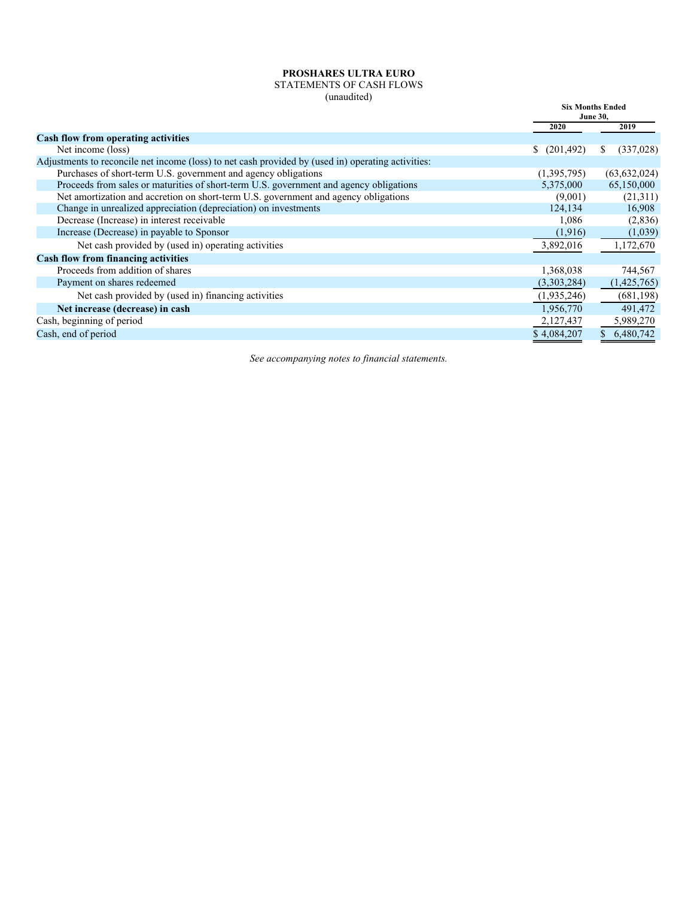## **PROSHARES ULTRA EURO**  STATEMENTS OF CASH FLOWS

(unaudited)

| , unuunnon,                                                                                        | <b>Six Months Ended</b><br><b>June 30,</b> |                 |  |
|----------------------------------------------------------------------------------------------------|--------------------------------------------|-----------------|--|
|                                                                                                    | 2020                                       | 2019            |  |
| <b>Cash flow from operating activities</b>                                                         |                                            |                 |  |
| Net income (loss)                                                                                  | $$^{(201,492)}$$                           | (337,028)<br>У. |  |
| Adjustments to reconcile net income (loss) to net cash provided by (used in) operating activities: |                                            |                 |  |
| Purchases of short-term U.S. government and agency obligations                                     | (1,395,795)                                | (63, 632, 024)  |  |
| Proceeds from sales or maturities of short-term U.S. government and agency obligations             | 5,375,000                                  | 65,150,000      |  |
| Net amortization and accretion on short-term U.S. government and agency obligations                | (9,001)                                    | (21,311)        |  |
| Change in unrealized appreciation (depreciation) on investments                                    | 124,134                                    | 16,908          |  |
| Decrease (Increase) in interest receivable                                                         | 1,086                                      | (2,836)         |  |
| Increase (Decrease) in payable to Sponsor                                                          | (1,916)                                    | (1,039)         |  |
| Net cash provided by (used in) operating activities                                                | 3,892,016                                  | 1,172,670       |  |
| <b>Cash flow from financing activities</b>                                                         |                                            |                 |  |
| Proceeds from addition of shares                                                                   | 1,368,038                                  | 744,567         |  |
| Payment on shares redeemed                                                                         | (3,303,284)                                | (1,425,765)     |  |
| Net cash provided by (used in) financing activities                                                | (1,935,246)                                | (681, 198)      |  |
| Net increase (decrease) in cash                                                                    | 1,956,770                                  | 491,472         |  |
| Cash, beginning of period                                                                          | 2,127,437                                  | 5,989,270       |  |
| Cash, end of period                                                                                | \$4,084,207                                | 6,480,742       |  |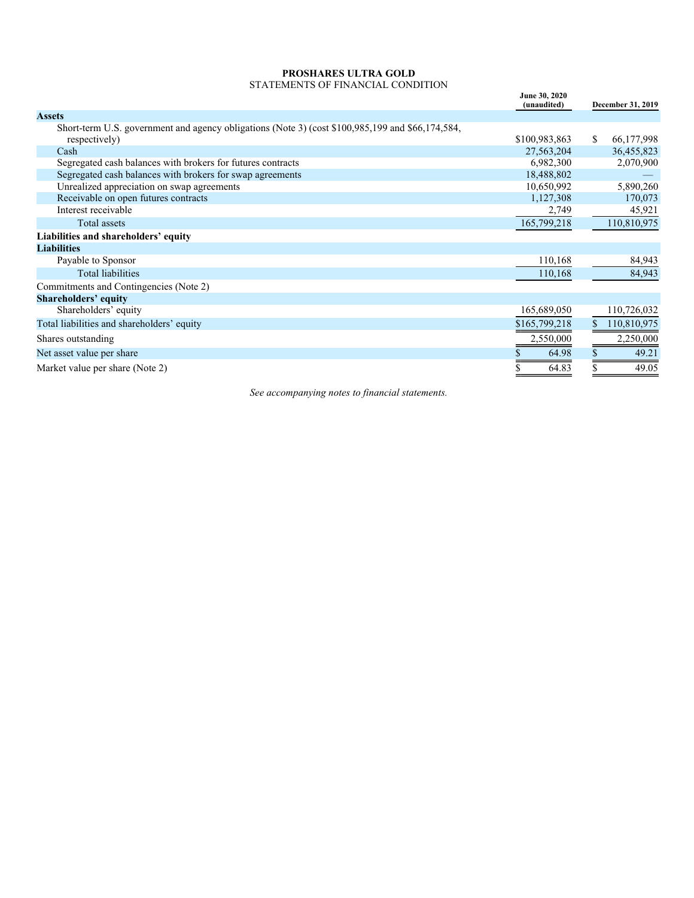### **PROSHARES ULTRA GOLD**  STATEMENTS OF FINANCIAL CONDITION

| 91 ATEMENTS OF THYANCIAE CONDITION                                                               |                              |                             |         |
|--------------------------------------------------------------------------------------------------|------------------------------|-----------------------------|---------|
|                                                                                                  | June 30, 2020<br>(unaudited) | December 31, 2019           |         |
| <b>Assets</b>                                                                                    |                              |                             |         |
| Short-term U.S. government and agency obligations (Note 3) (cost \$100,985,199 and \$66,174,584, |                              |                             |         |
| respectively)                                                                                    | \$100,983,863                | 66,177,998<br>S.            |         |
| Cash                                                                                             | 27,563,204                   | 36,455,823                  |         |
| Segregated cash balances with brokers for futures contracts                                      | 6,982,300                    | 2,070,900                   |         |
| Segregated cash balances with brokers for swap agreements                                        | 18,488,802                   |                             |         |
| Unrealized appreciation on swap agreements                                                       | 10,650,992                   | 5,890,260                   |         |
| Receivable on open futures contracts                                                             | 1,127,308                    |                             | 170,073 |
| Interest receivable                                                                              | 2,749                        |                             | 45,921  |
| Total assets                                                                                     | 165,799,218                  | 110,810,975                 |         |
| Liabilities and shareholders' equity                                                             |                              |                             |         |
| <b>Liabilities</b>                                                                               |                              |                             |         |
| Payable to Sponsor                                                                               | 110,168                      |                             | 84,943  |
| <b>Total liabilities</b>                                                                         | 110,168                      |                             | 84,943  |
| Commitments and Contingencies (Note 2)                                                           |                              |                             |         |
| Shareholders' equity                                                                             |                              |                             |         |
| Shareholders' equity                                                                             | 165,689,050                  | 110,726,032                 |         |
| Total liabilities and shareholders' equity                                                       | \$165,799,218                | $\mathbb{S}$<br>110,810,975 |         |
| Shares outstanding                                                                               | 2,550,000                    | 2,250,000                   |         |
| Net asset value per share                                                                        | 64.98                        |                             | 49.21   |
| Market value per share (Note 2)                                                                  | 64.83                        |                             | 49.05   |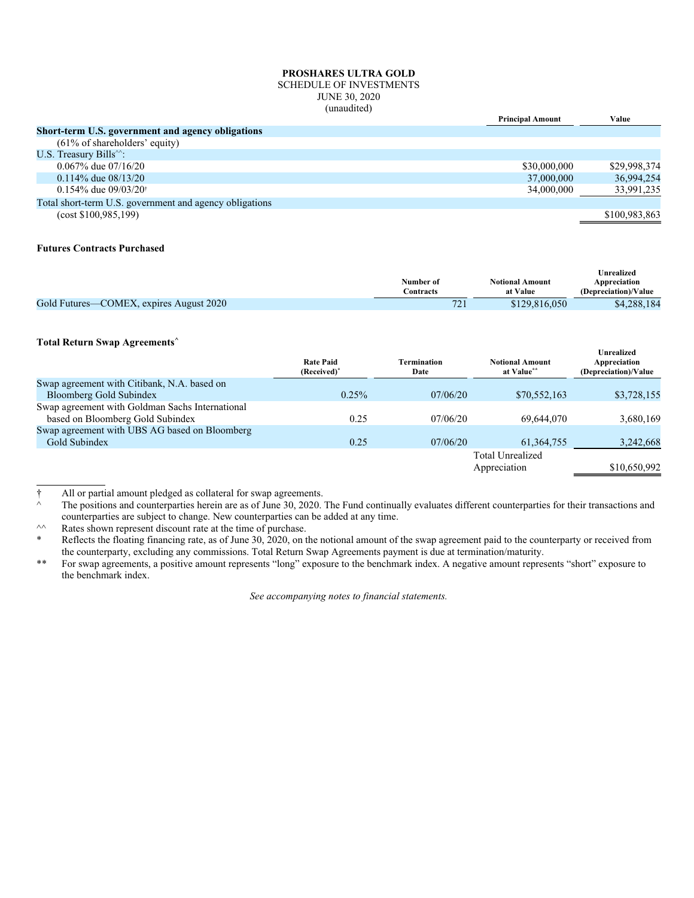### **PROSHARES ULTRA GOLD**  SCHEDULE OF INVESTMENTS JUNE 30, 2020

### (unaudited)

|                                                         | <b>Principal Amount</b> | Value         |
|---------------------------------------------------------|-------------------------|---------------|
| Short-term U.S. government and agency obligations       |                         |               |
| $(61\% \text{ of sharedholders' equity})$               |                         |               |
| U.S. Treasury Bills $\sim$ :                            |                         |               |
| $0.067\%$ due $07/16/20$                                | \$30,000,000            | \$29,998,374  |
| $0.114\%$ due $08/13/20$                                | 37,000,000              | 36,994,254    |
| $0.154\%$ due $09/03/20^{\dagger}$                      | 34,000,000              | 33,991,235    |
| Total short-term U.S. government and agency obligations |                         |               |
| (cost \$100,985,199)                                    |                         | \$100,983,863 |

#### **Futures Contracts Purchased**

|                                         |                  |                        | Unrealized           |
|-----------------------------------------|------------------|------------------------|----------------------|
|                                         | Number of        | <b>Notional Amount</b> | Appreciation         |
|                                         | <b>Contracts</b> | at Value               | (Depreciation)/Value |
| Gold Futures—COMEX, expires August 2020 | 721              | \$129,816,050          | \$4,288,184          |

### **Total Return Swap Agreements^**

|                                                 | <b>Rate Paid</b><br>(Received)* | <b>Termination</b><br>Date | <b>Notional Amount</b><br>at Value** | Unrealized<br>Appreciation<br>(Depreciation)/Value |
|-------------------------------------------------|---------------------------------|----------------------------|--------------------------------------|----------------------------------------------------|
| Swap agreement with Citibank, N.A. based on     |                                 |                            |                                      |                                                    |
| Bloomberg Gold Subindex                         | $0.25\%$                        | 07/06/20                   | \$70,552,163                         | \$3,728,155                                        |
| Swap agreement with Goldman Sachs International |                                 |                            |                                      |                                                    |
| based on Bloomberg Gold Subindex                | 0.25                            | 07/06/20                   | 69,644,070                           | 3,680,169                                          |
| Swap agreement with UBS AG based on Bloomberg   |                                 |                            |                                      |                                                    |
| Gold Subindex                                   | 0.25                            | 07/06/20                   | 61, 364, 755                         | 3,242,668                                          |
|                                                 |                                 |                            | <b>Total Unrealized</b>              |                                                    |
|                                                 |                                 |                            | Appreciation                         | \$10,650,992                                       |

<sup>†</sup> All or partial amount pledged as collateral for swap agreements.<br>  $\sim$  The positions and counterparties herein are as of lune 30–2020

The positions and counterparties herein are as of June 30, 2020. The Fund continually evaluates different counterparties for their transactions and counterparties are subject to change. New counterparties can be added at any time.

 $\wedge$  Rates shown represent discount rate at the time of purchase.

Reflects the floating financing rate, as of June 30, 2020, on the notional amount of the swap agreement paid to the counterparty or received from the counterparty, excluding any commissions. Total Return Swap Agreements payment is due at termination/maturity.

\*\* For swap agreements, a positive amount represents "long" exposure to the benchmark index. A negative amount represents "short" exposure to the benchmark index.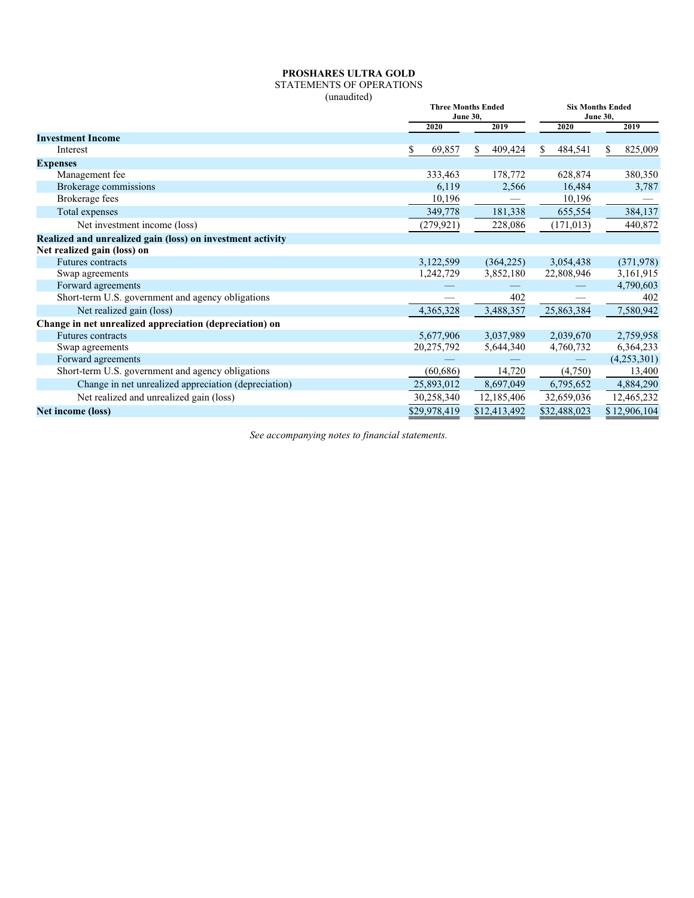### **PROSHARES ULTRA GOLD**  STATEMENTS OF OPERATIONS

(unaudited)

|                                                            | <b>Three Months Ended</b><br>June 30. |              |               | <b>Six Months Ended</b><br>June 30. |
|------------------------------------------------------------|---------------------------------------|--------------|---------------|-------------------------------------|
|                                                            | 2020                                  | 2019         | 2020          | 2019                                |
| <b>Investment Income</b>                                   |                                       |              |               |                                     |
| Interest                                                   | 69,857                                | 409,424      | 484,541<br>S. | 825,009<br>S                        |
| <b>Expenses</b>                                            |                                       |              |               |                                     |
| Management fee                                             | 333,463                               | 178,772      | 628,874       | 380,350                             |
| Brokerage commissions                                      | 6,119                                 | 2,566        | 16,484        | 3,787                               |
| Brokerage fees                                             | 10,196                                |              | 10,196        |                                     |
| Total expenses                                             | 349,778                               | 181,338      | 655,554       | 384,137                             |
| Net investment income (loss)                               | (279, 921)                            | 228,086      | (171, 013)    | 440,872                             |
| Realized and unrealized gain (loss) on investment activity |                                       |              |               |                                     |
| Net realized gain (loss) on                                |                                       |              |               |                                     |
| <b>Futures</b> contracts                                   | 3,122,599                             | (364,225)    | 3,054,438     | (371, 978)                          |
| Swap agreements                                            | 1,242,729                             | 3,852,180    | 22,808,946    | 3,161,915                           |
| Forward agreements                                         |                                       |              |               | 4,790,603                           |
| Short-term U.S. government and agency obligations          |                                       | 402          |               | 402                                 |
| Net realized gain (loss)                                   | 4,365,328                             | 3,488,357    | 25,863,384    | 7,580,942                           |
| Change in net unrealized appreciation (depreciation) on    |                                       |              |               |                                     |
| <b>Futures</b> contracts                                   | 5,677,906                             | 3,037,989    | 2,039,670     | 2,759,958                           |
| Swap agreements                                            | 20,275,792                            | 5,644,340    | 4,760,732     | 6,364,233                           |
| Forward agreements                                         |                                       |              |               | (4,253,301)                         |
| Short-term U.S. government and agency obligations          | (60, 686)                             | 14,720       | (4,750)       | 13,400                              |
| Change in net unrealized appreciation (depreciation)       | 25,893,012                            | 8,697,049    | 6,795,652     | 4,884,290                           |
| Net realized and unrealized gain (loss)                    | 30,258,340                            | 12,185,406   | 32,659,036    | 12,465,232                          |
| Net income (loss)                                          | \$29,978,419                          | \$12,413,492 | \$32,488,023  | \$12,906,104                        |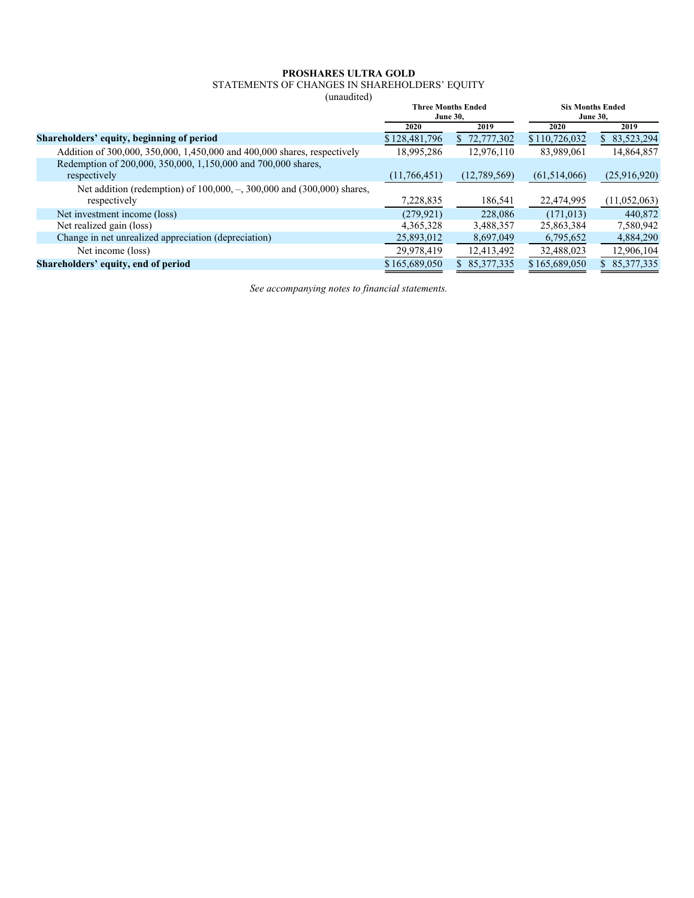### **PROSHARES ULTRA GOLD**  STATEMENTS OF CHANGES IN SHAREHOLDERS' EQUITY

(unaudited)

|                                                                                        | <b>Three Months Ended</b><br><b>June 30.</b> |              | <b>Six Months Ended</b><br><b>June 30,</b> |               |
|----------------------------------------------------------------------------------------|----------------------------------------------|--------------|--------------------------------------------|---------------|
|                                                                                        | 2020                                         | 2019         | <b>2020</b>                                | 2019          |
| Shareholders' equity, beginning of period                                              | \$128,481,796                                | \$72,777,302 | \$110,726,032                              | \$ 83,523,294 |
| Addition of 300,000, 350,000, 1,450,000 and 400,000 shares, respectively               | 18,995,286                                   | 12,976,110   | 83,989,061                                 | 14,864,857    |
| Redemption of 200,000, 350,000, 1,150,000 and 700,000 shares,<br>respectively          | (11,766,451)                                 | (12,789,569) | (61,514,066)                               | (25,916,920)  |
| Net addition (redemption) of 100,000, -, 300,000 and (300,000) shares,<br>respectively | 7,228,835                                    | 186,541      | 22,474,995                                 | (11,052,063)  |
| Net investment income (loss)                                                           | (279, 921)                                   | 228,086      | (171, 013)                                 | 440,872       |
| Net realized gain (loss)                                                               | 4,365,328                                    | 3,488,357    | 25,863,384                                 | 7,580,942     |
| Change in net unrealized appreciation (depreciation)                                   | 25,893,012                                   | 8,697,049    | 6,795,652                                  | 4,884,290     |
| Net income (loss)                                                                      | 29,978,419                                   | 12,413,492   | 32,488,023                                 | 12,906,104    |
| Shareholders' equity, end of period                                                    | \$165,689,050                                | \$85,377,335 | \$165,689,050                              | \$85,377,335  |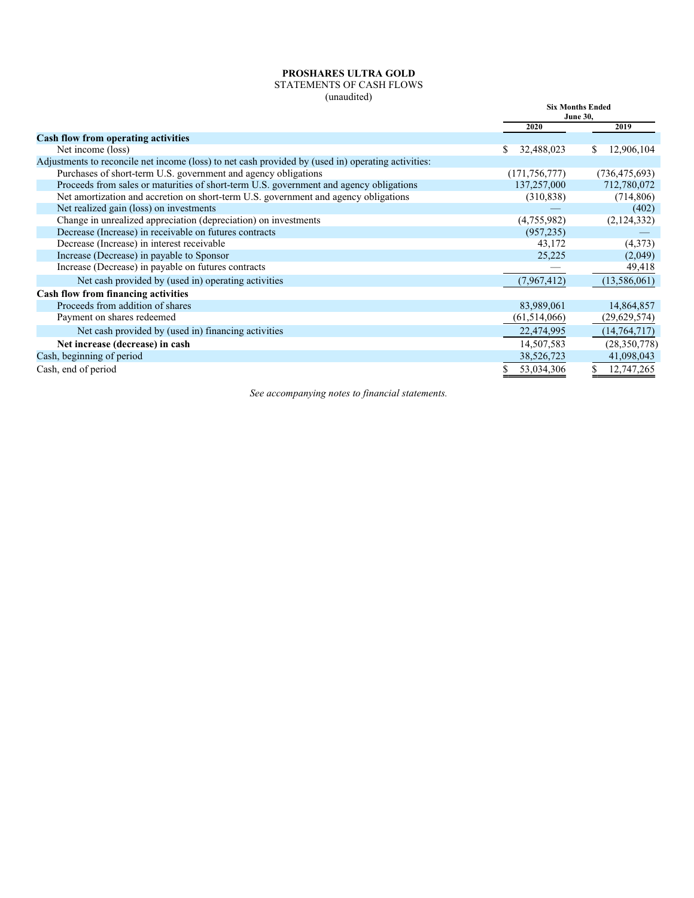## **PROSHARES ULTRA GOLD**  STATEMENTS OF CASH FLOWS

| (unaudited) |  |
|-------------|--|
|-------------|--|

| ,                                                                                                  | <b>Six Months Ended</b> | <b>June 30,</b>  |
|----------------------------------------------------------------------------------------------------|-------------------------|------------------|
|                                                                                                    | 2020                    | 2019             |
| <b>Cash flow from operating activities</b>                                                         |                         |                  |
| Net income (loss)                                                                                  | 32,488,023              | 12,906,104<br>S. |
| Adjustments to reconcile net income (loss) to net cash provided by (used in) operating activities: |                         |                  |
| Purchases of short-term U.S. government and agency obligations                                     | (171, 756, 777)         | (736, 475, 693)  |
| Proceeds from sales or maturities of short-term U.S. government and agency obligations             | 137,257,000             | 712,780,072      |
| Net amortization and accretion on short-term U.S. government and agency obligations                | (310, 838)              | (714,806)        |
| Net realized gain (loss) on investments                                                            |                         | (402)            |
| Change in unrealized appreciation (depreciation) on investments                                    | (4,755,982)             | (2,124,332)      |
| Decrease (Increase) in receivable on futures contracts                                             | (957, 235)              |                  |
| Decrease (Increase) in interest receivable                                                         | 43,172                  | (4,373)          |
| Increase (Decrease) in payable to Sponsor                                                          | 25,225                  | (2,049)          |
| Increase (Decrease) in payable on futures contracts                                                |                         | 49,418           |
| Net cash provided by (used in) operating activities                                                | (7,967,412)             | (13,586,061)     |
| Cash flow from financing activities                                                                |                         |                  |
| Proceeds from addition of shares                                                                   | 83,989,061              | 14,864,857       |
| Payment on shares redeemed                                                                         | (61,514,066)            | (29,629,574)     |
| Net cash provided by (used in) financing activities                                                | 22,474,995              | (14,764,717)     |
| Net increase (decrease) in cash                                                                    | 14,507,583              | (28,350,778)     |
| Cash, beginning of period                                                                          | 38,526,723              | 41,098,043       |
| Cash, end of period                                                                                | 53,034,306              | 12,747,265       |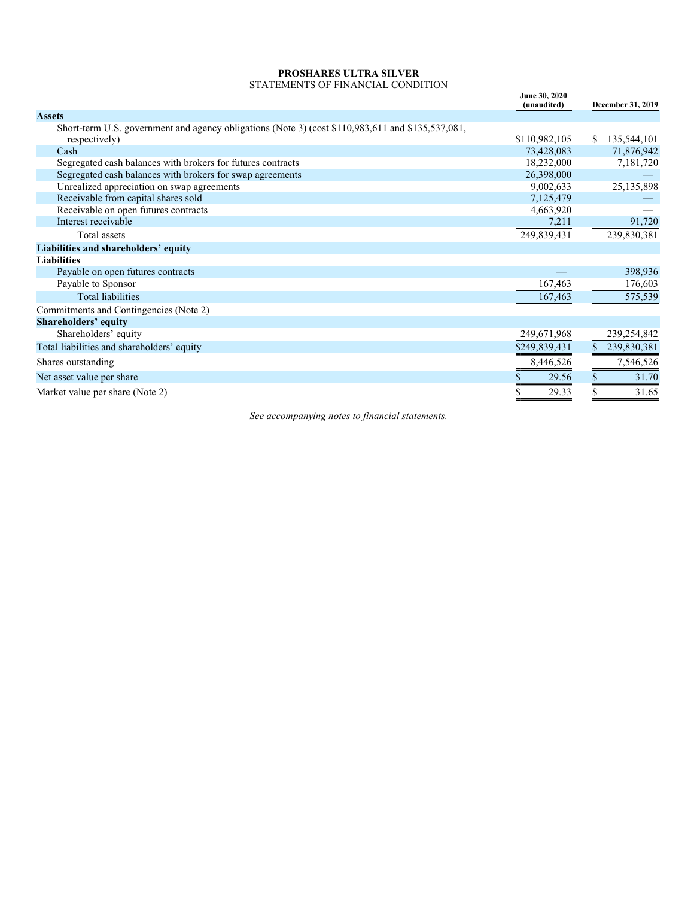### **PROSHARES ULTRA SILVER**  STATEMENTS OF FINANCIAL CONDITION

| 91 ATEMENTS OF THYANCIAE CONDITION                                                                |                              |                              |
|---------------------------------------------------------------------------------------------------|------------------------------|------------------------------|
|                                                                                                   | June 30, 2020<br>(unaudited) | December 31, 2019            |
| <b>Assets</b>                                                                                     |                              |                              |
| Short-term U.S. government and agency obligations (Note 3) (cost \$110,983,611 and \$135,537,081, |                              |                              |
| respectively)                                                                                     | \$110,982,105                | <sup>\$</sup><br>135,544,101 |
| Cash                                                                                              | 73,428,083                   | 71,876,942                   |
| Segregated cash balances with brokers for futures contracts                                       | 18,232,000                   | 7,181,720                    |
| Segregated cash balances with brokers for swap agreements                                         | 26,398,000                   |                              |
| Unrealized appreciation on swap agreements                                                        | 9,002,633                    | 25,135,898                   |
| Receivable from capital shares sold                                                               | 7,125,479                    |                              |
| Receivable on open futures contracts                                                              | 4,663,920                    |                              |
| Interest receivable                                                                               | 7,211                        | 91,720                       |
| Total assets                                                                                      | 249,839,431                  | 239,830,381                  |
| Liabilities and shareholders' equity                                                              |                              |                              |
| <b>Liabilities</b>                                                                                |                              |                              |
| Payable on open futures contracts                                                                 |                              | 398,936                      |
| Payable to Sponsor                                                                                | 167,463                      | 176,603                      |
| <b>Total liabilities</b>                                                                          | 167,463                      | 575,539                      |
| Commitments and Contingencies (Note 2)                                                            |                              |                              |
| <b>Shareholders' equity</b>                                                                       |                              |                              |
| Shareholders' equity                                                                              | 249,671,968                  | 239,254,842                  |
| Total liabilities and shareholders' equity                                                        | \$249,839,431                | 239,830,381<br>\$            |
| Shares outstanding                                                                                | 8,446,526                    | 7,546,526                    |
| Net asset value per share                                                                         | 29.56                        | 31.70                        |
| Market value per share (Note 2)                                                                   | 29.33                        | 31.65                        |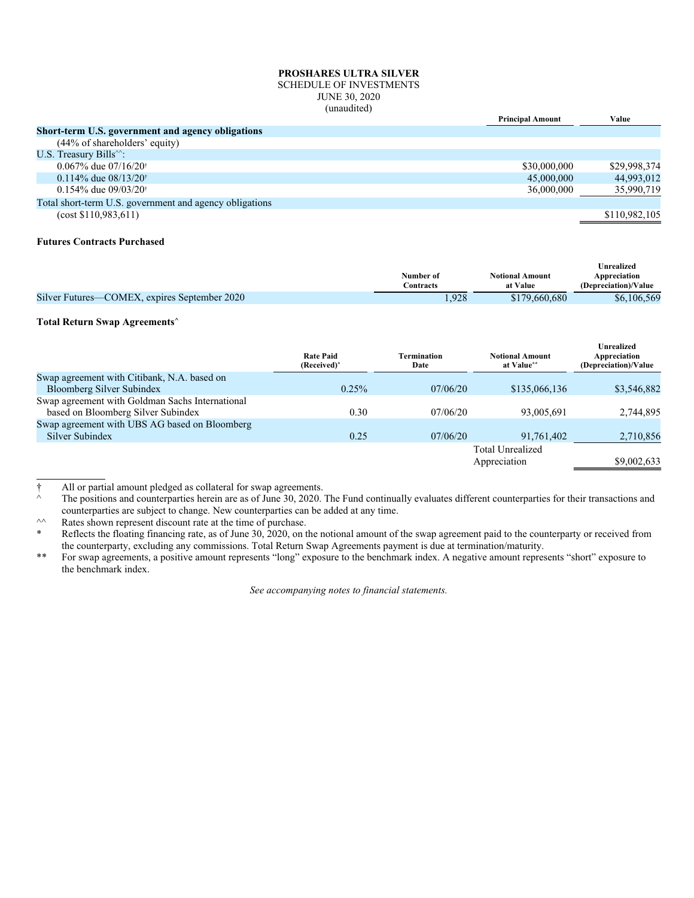#### **PROSHARES ULTRA SILVER**  SCHEDULE OF INVESTMENTS JUNE 30, 2020 (unaudited)

|                                                         | <b>Principal Amount</b> | Value         |
|---------------------------------------------------------|-------------------------|---------------|
| Short-term U.S. government and agency obligations       |                         |               |
| $(44\% \text{ of sharedholders' equity})$               |                         |               |
| U.S. Treasury Bills $\sim$ :                            |                         |               |
| $0.067\%$ due $07/16/20^{\dagger}$                      | \$30,000,000            | \$29,998,374  |
| $0.114\%$ due $08/13/20^{\dagger}$                      | 45,000,000              | 44.993.012    |
| $0.154\%$ due $09/03/20^{\dagger}$                      | 36,000,000              | 35,990,719    |
| Total short-term U.S. government and agency obligations |                         |               |
| (cost \$110,983,611)                                    |                         | \$110,982,105 |

#### **Futures Contracts Purchased**

|                                              |           |                        | <b>Unrealized</b>    |
|----------------------------------------------|-----------|------------------------|----------------------|
|                                              | Number of | <b>Notional Amount</b> | Appreciation         |
|                                              | Contracts | at Value               | (Depreciation)/Value |
| Silver Futures—COMEX, expires September 2020 | .928      | \$179,660,680          | \$6,106,569          |

#### **Total Return Swap Agreements^**

|                                                 | <b>Rate Paid</b><br>(Received)* | <b>Termination</b><br>Date | <b>Notional Amount</b><br>at Value** | Unrealized<br>Appreciation<br>(Depreciation)/Value |
|-------------------------------------------------|---------------------------------|----------------------------|--------------------------------------|----------------------------------------------------|
| Swap agreement with Citibank, N.A. based on     |                                 |                            |                                      |                                                    |
| Bloomberg Silver Subindex                       | $0.25\%$                        | 07/06/20                   | \$135,066,136                        | \$3,546,882                                        |
| Swap agreement with Goldman Sachs International |                                 |                            |                                      |                                                    |
| based on Bloomberg Silver Subindex              | 0.30                            | 07/06/20                   | 93,005,691                           | 2,744,895                                          |
| Swap agreement with UBS AG based on Bloomberg   |                                 |                            |                                      |                                                    |
| Silver Subindex                                 | 0.25                            | 07/06/20                   | 91,761,402                           | 2,710,856                                          |
|                                                 |                                 |                            | <b>Total Unrealized</b>              |                                                    |
|                                                 |                                 |                            | Appreciation                         | \$9,002,633                                        |

<sup>&</sup>lt;sup>†</sup> All or partial amount pledged as collateral for swap agreements.<br>The positions and counterparties bergin are as of lune 30, 2020.

The positions and counterparties herein are as of June 30, 2020. The Fund continually evaluates different counterparties for their transactions and counterparties are subject to change. New counterparties can be added at any time.

 $\wedge$  Rates shown represent discount rate at the time of purchase.

Reflects the floating financing rate, as of June 30, 2020, on the notional amount of the swap agreement paid to the counterparty or received from the counterparty, excluding any commissions. Total Return Swap Agreements payment is due at termination/maturity.

<sup>\*\*</sup> For swap agreements, a positive amount represents "long" exposure to the benchmark index. A negative amount represents "short" exposure to the benchmark index.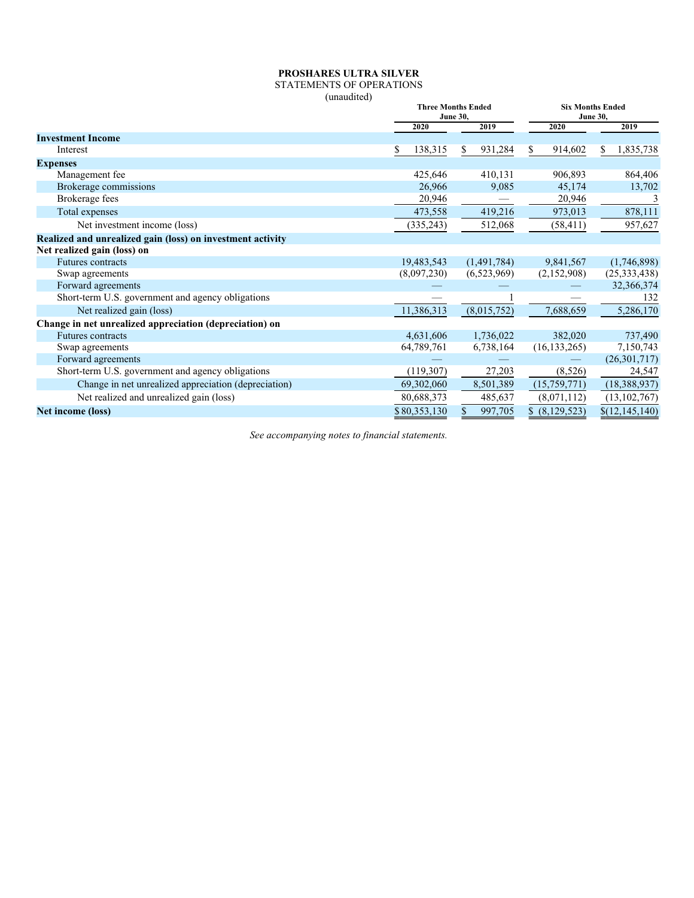## **PROSHARES ULTRA SILVER**  STATEMENTS OF OPERATIONS

(unaudited)

|                                                            | <b>Three Months Ended</b><br>June 30. |             |                   | <b>Six Months Ended</b><br><b>June 30.</b> |
|------------------------------------------------------------|---------------------------------------|-------------|-------------------|--------------------------------------------|
|                                                            | 2020                                  | 2019        | 2020              | 2019                                       |
| <b>Investment Income</b>                                   |                                       |             |                   |                                            |
| Interest                                                   | 138,315<br>\$                         | 931,284     | 914,602           | 1,835,738                                  |
| <b>Expenses</b>                                            |                                       |             |                   |                                            |
| Management fee                                             | 425,646                               | 410,131     | 906,893           | 864,406                                    |
| Brokerage commissions                                      | 26,966                                | 9,085       | 45,174            | 13,702                                     |
| Brokerage fees                                             | 20,946                                |             | 20,946            | 3                                          |
| Total expenses                                             | 473,558                               | 419,216     | 973,013           | 878,111                                    |
| Net investment income (loss)                               | (335, 243)                            | 512,068     | (58, 411)         | 957,627                                    |
| Realized and unrealized gain (loss) on investment activity |                                       |             |                   |                                            |
| Net realized gain (loss) on                                |                                       |             |                   |                                            |
| <b>Futures contracts</b>                                   | 19,483,543                            | (1,491,784) | 9,841,567         | (1,746,898)                                |
| Swap agreements                                            | (8,097,230)                           | (6,523,969) | (2,152,908)       | (25, 333, 438)                             |
| Forward agreements                                         |                                       |             |                   | 32,366,374                                 |
| Short-term U.S. government and agency obligations          |                                       |             |                   | 132                                        |
| Net realized gain (loss)                                   | 11,386,313                            | (8,015,752) | 7,688,659         | 5,286,170                                  |
| Change in net unrealized appreciation (depreciation) on    |                                       |             |                   |                                            |
| <b>Futures</b> contracts                                   | 4,631,606                             | 1,736,022   | 382,020           | 737,490                                    |
| Swap agreements                                            | 64,789,761                            | 6,738,164   | (16, 133, 265)    | 7,150,743                                  |
| Forward agreements                                         |                                       |             |                   | (26,301,717)                               |
| Short-term U.S. government and agency obligations          | (119,307)                             | 27,203      | (8,526)           | 24,547                                     |
| Change in net unrealized appreciation (depreciation)       | 69,302,060                            | 8,501,389   | (15,759,771)      | (18, 388, 937)                             |
| Net realized and unrealized gain (loss)                    | 80,688,373                            | 485,637     | (8,071,112)       | (13, 102, 767)                             |
| Net income (loss)                                          | \$80,353,130                          | 997,705     | (8,129,523)<br>S. | \$(12,145,140)                             |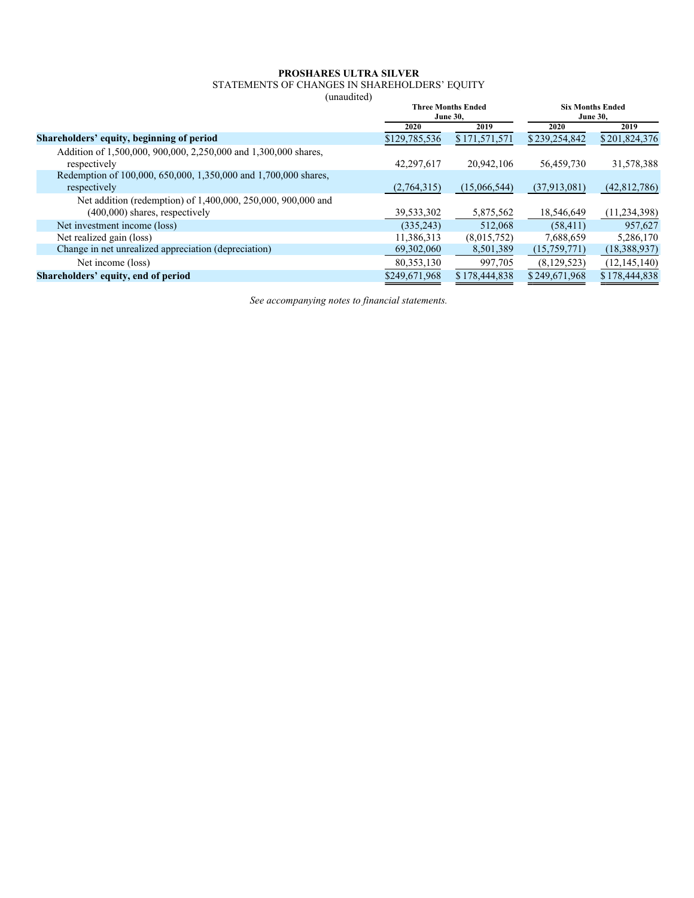## **PROSHARES ULTRA SILVER**  STATEMENTS OF CHANGES IN SHAREHOLDERS' EQUITY

(unaudited)

|                                                                                                  |               | <b>Three Months Ended</b><br><b>June 30.</b> | <b>Six Months Ended</b><br><b>June 30,</b> |                |  |
|--------------------------------------------------------------------------------------------------|---------------|----------------------------------------------|--------------------------------------------|----------------|--|
|                                                                                                  | 2020          | 2019                                         | 2020                                       | 2019           |  |
| Shareholders' equity, beginning of period                                                        | \$129,785,536 | \$171,571,571                                | \$239,254,842                              | \$201,824,376  |  |
| Addition of 1,500,000, 900,000, 2,250,000 and 1,300,000 shares,<br>respectively                  | 42.297.617    | 20,942,106                                   | 56,459,730                                 | 31,578,388     |  |
| Redemption of 100,000, 650,000, 1,350,000 and 1,700,000 shares,<br>respectively                  | (2,764,315)   | (15,066,544)                                 | (37,913,081)                               | (42,812,786)   |  |
| Net addition (redemption) of 1,400,000, 250,000, 900,000 and<br>$(400,000)$ shares, respectively | 39,533,302    | 5,875,562                                    | 18,546,649                                 | (11, 234, 398) |  |
| Net investment income (loss)                                                                     | (335.243)     | 512,068                                      | (58, 411)                                  | 957,627        |  |
| Net realized gain (loss)                                                                         | 11,386,313    | (8,015,752)                                  | 7,688,659                                  | 5,286,170      |  |
| Change in net unrealized appreciation (depreciation)                                             | 69,302,060    | 8,501,389                                    | (15,759,771)                               | (18,388,937)   |  |
| Net income (loss)                                                                                | 80,353,130    | 997,705                                      | (8,129,523)                                | (12, 145, 140) |  |
| Shareholders' equity, end of period                                                              | \$249,671,968 | \$178,444,838                                | \$249,671,968                              | \$178,444,838  |  |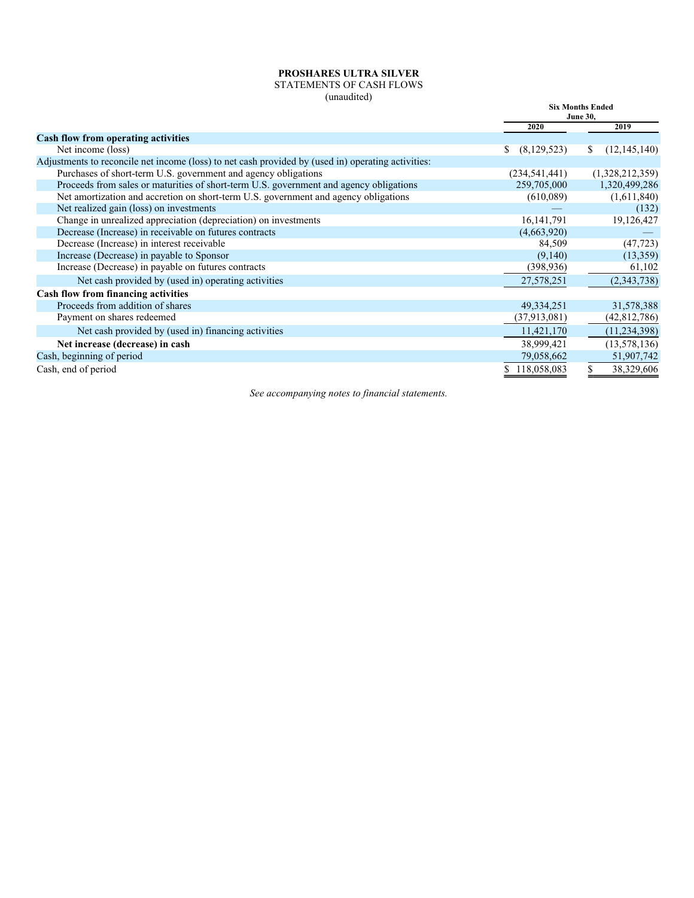### **PROSHARES ULTRA SILVER**  STATEMENTS OF CASH FLOWS (unaudited)

| ,                                                                                                  | <b>Six Months Ended</b><br><b>June 30,</b> |                      |
|----------------------------------------------------------------------------------------------------|--------------------------------------------|----------------------|
|                                                                                                    | 2020                                       | 2019                 |
| <b>Cash flow from operating activities</b>                                                         |                                            |                      |
| Net income (loss)                                                                                  | (8,129,523)<br>S.                          | (12, 145, 140)<br>S. |
| Adjustments to reconcile net income (loss) to net cash provided by (used in) operating activities: |                                            |                      |
| Purchases of short-term U.S. government and agency obligations                                     | (234, 541, 441)                            | (1,328,212,359)      |
| Proceeds from sales or maturities of short-term U.S. government and agency obligations             | 259,705,000                                | 1,320,499,286        |
| Net amortization and accretion on short-term U.S. government and agency obligations                | (610,089)                                  | (1,611,840)          |
| Net realized gain (loss) on investments                                                            |                                            | (132)                |
| Change in unrealized appreciation (depreciation) on investments                                    | 16, 141, 791                               | 19,126,427           |
| Decrease (Increase) in receivable on futures contracts                                             | (4,663,920)                                |                      |
| Decrease (Increase) in interest receivable                                                         | 84,509                                     | (47, 723)            |
| Increase (Decrease) in payable to Sponsor                                                          | (9,140)                                    | (13,359)             |
| Increase (Decrease) in payable on futures contracts                                                | (398, 936)                                 | 61,102               |
| Net cash provided by (used in) operating activities                                                | 27,578,251                                 | (2,343,738)          |
| Cash flow from financing activities                                                                |                                            |                      |
| Proceeds from addition of shares                                                                   | 49,334,251                                 | 31,578,388           |
| Payment on shares redeemed                                                                         | (37,913,081)                               | (42,812,786)         |
| Net cash provided by (used in) financing activities                                                | 11,421,170                                 | (11, 234, 398)       |
| Net increase (decrease) in cash                                                                    | 38,999,421                                 | (13, 578, 136)       |
| Cash, beginning of period                                                                          | 79,058,662                                 | 51,907,742           |
| Cash, end of period                                                                                | 118,058,083                                | 38,329,606           |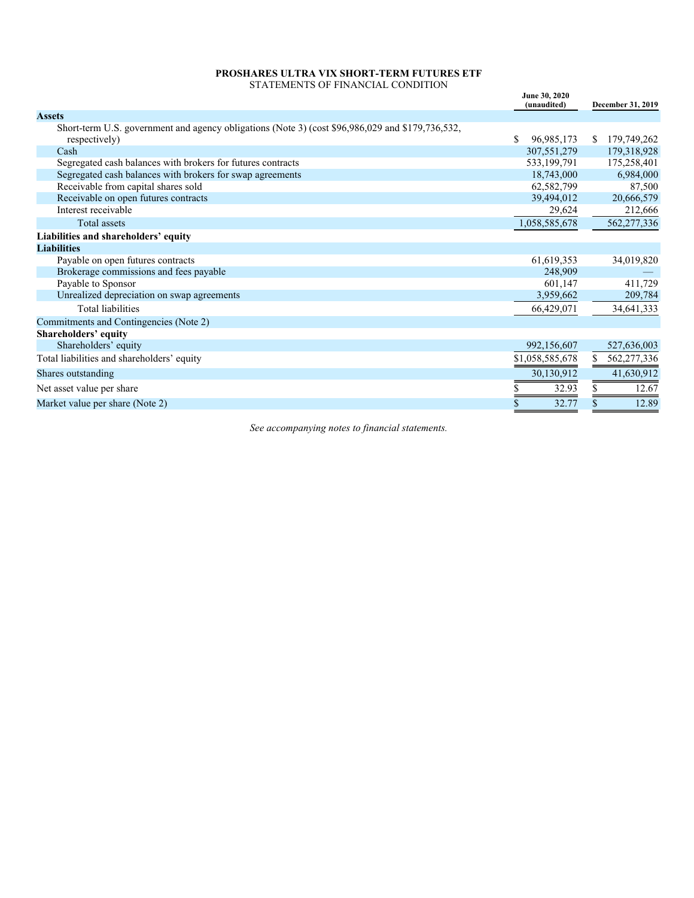| STATEMENTS OF FINANCIAL CONDITION |  |
|-----------------------------------|--|
|                                   |  |

|                                                                                                  | June 30, 2020<br>(unaudited) | December 31, 2019 |
|--------------------------------------------------------------------------------------------------|------------------------------|-------------------|
| <b>Assets</b>                                                                                    |                              |                   |
| Short-term U.S. government and agency obligations (Note 3) (cost \$96,986,029 and \$179,736,532, |                              |                   |
| respectively)                                                                                    | \$<br>96,985,173             | 179,749,262<br>S. |
| Cash                                                                                             | 307,551,279                  | 179,318,928       |
| Segregated cash balances with brokers for futures contracts                                      | 533,199,791                  | 175,258,401       |
| Segregated cash balances with brokers for swap agreements                                        | 18,743,000                   | 6,984,000         |
| Receivable from capital shares sold                                                              | 62,582,799                   | 87,500            |
| Receivable on open futures contracts                                                             | 39,494,012                   | 20,666,579        |
| Interest receivable                                                                              | 29,624                       | 212,666           |
| <b>Total assets</b>                                                                              | 1,058,585,678                | 562, 277, 336     |
| Liabilities and shareholders' equity                                                             |                              |                   |
| <b>Liabilities</b>                                                                               |                              |                   |
| Payable on open futures contracts                                                                | 61,619,353                   | 34,019,820        |
| Brokerage commissions and fees payable                                                           | 248,909                      |                   |
| Payable to Sponsor                                                                               | 601,147                      | 411,729           |
| Unrealized depreciation on swap agreements                                                       | 3,959,662                    | 209,784           |
| <b>Total liabilities</b>                                                                         | 66,429,071                   | 34,641,333        |
| Commitments and Contingencies (Note 2)                                                           |                              |                   |
| Shareholders' equity                                                                             |                              |                   |
| Shareholders' equity                                                                             | 992,156,607                  | 527,636,003       |
| Total liabilities and shareholders' equity                                                       | \$1,058,585,678              | 562, 277, 336     |
| Shares outstanding                                                                               | 30,130,912                   | 41,630,912        |
| Net asset value per share                                                                        | 32.93                        | 12.67             |
| Market value per share (Note 2)                                                                  | 32.77<br>S                   | 12.89             |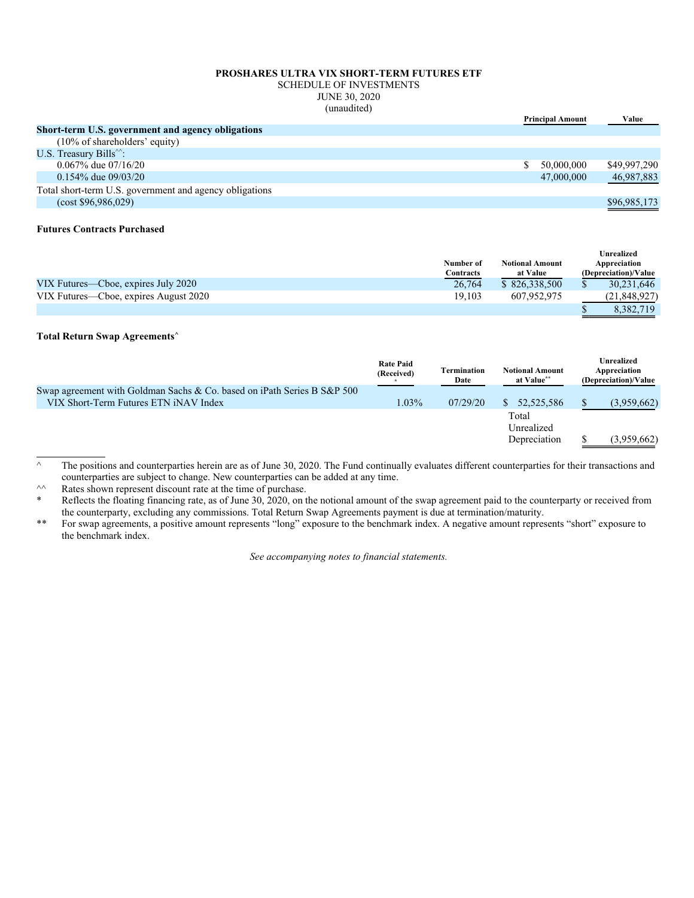#### SCHEDULE OF INVESTMENTS JUNE 30, 2020

(unaudited)

|                                                         | <b>Principal Amount</b> | Value        |
|---------------------------------------------------------|-------------------------|--------------|
| Short-term U.S. government and agency obligations       |                         |              |
| (10% of shareholders' equity)                           |                         |              |
| U.S. Treasury Bills $\sim$ :                            |                         |              |
| $0.067\%$ due $07/16/20$                                | 50,000,000              | \$49,997,290 |
| $0.154\%$ due $09/03/20$                                | 47,000,000              | 46,987,883   |
| Total short-term U.S. government and agency obligations |                         |              |
| (cost \$96,986,029)                                     |                         | \$96,985,173 |

#### **Futures Contracts Purchased**

|                                       |           |                        | Unrealized           |
|---------------------------------------|-----------|------------------------|----------------------|
|                                       | Number of | <b>Notional Amount</b> | Appreciation         |
|                                       | Contracts | at Value               | (Depreciation)/Value |
| VIX Futures—Cboe, expires July 2020   | 26,764    | \$826,338,500          | 30.231.646           |
| VIX Futures—Cboe, expires August 2020 | 19.103    | 607.952.975            | (21, 848, 927)       |
|                                       |           |                        | 8.382.719            |

## **Total Return Swap Agreements^**

|                                                                         | <b>Rate Paid</b><br>(Received) | Termination<br>Date | <b>Notional Amount</b><br>at Value** | <b>Unrealized</b><br>Appreciation<br>(Depreciation)/Value |
|-------------------------------------------------------------------------|--------------------------------|---------------------|--------------------------------------|-----------------------------------------------------------|
| Swap agreement with Goldman Sachs & Co. based on iPath Series B S&P 500 |                                |                     |                                      |                                                           |
| VIX Short-Term Futures ETN iNAV Index                                   | 1.03%                          | 07/29/20            | 52,525,586<br><sup>S</sup>           | (3,959,662)                                               |
|                                                                         |                                |                     | Total<br>Unrealized<br>Depreciation  | (3,959,662)                                               |

 $\land$  The positions and counterparties herein are as of June 30, 2020. The Fund continually evaluates different counterparties for their transactions and counterparties are subject to change. New counterparties can be added at any time.

 $\wedge$  Rates shown represent discount rate at the time of purchase.

Reflects the floating financing rate, as of June 30, 2020, on the notional amount of the swap agreement paid to the counterparty or received from the counterparty, excluding any commissions. Total Return Swap Agreements payment is due at termination/maturity.

<sup>\*\*</sup> For swap agreements, a positive amount represents "long" exposure to the benchmark index. A negative amount represents "short" exposure to the benchmark index.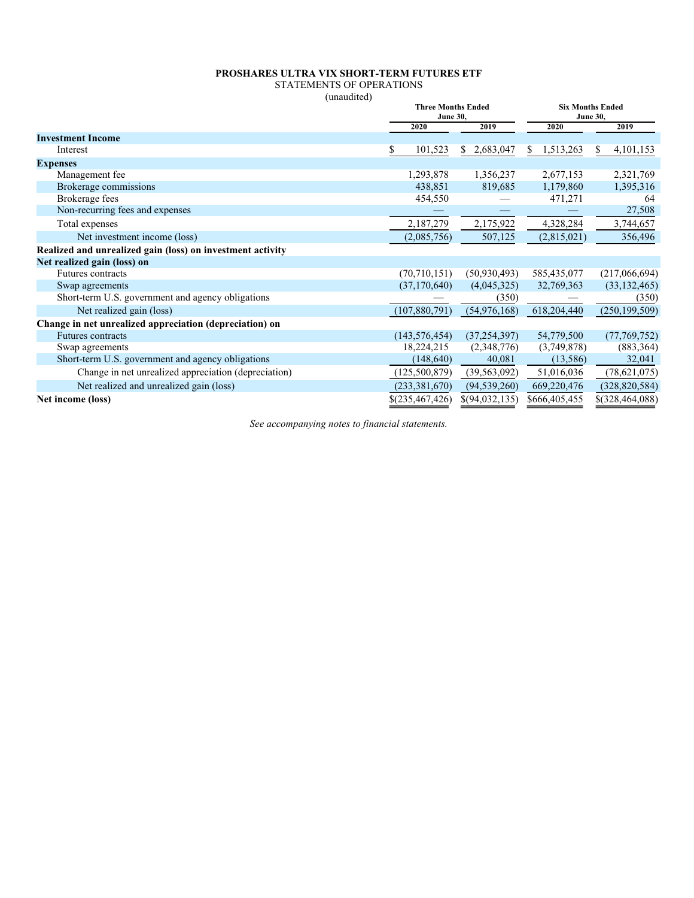STATEMENTS OF OPERATIONS (unaudited)

|                                                            | <b>Three Months Ended</b><br><b>June 30,</b> |                 |               | <b>Six Months Ended</b><br><b>June 30,</b> |    |               |    |                 |
|------------------------------------------------------------|----------------------------------------------|-----------------|---------------|--------------------------------------------|----|---------------|----|-----------------|
|                                                            |                                              | 2020            |               | 2019                                       |    | 2020          |    | 2019            |
| <b>Investment Income</b>                                   |                                              |                 |               |                                            |    |               |    |                 |
| Interest                                                   |                                              | 101,523         | <sup>\$</sup> | 2,683,047                                  | S. | 1,513,263     | S. | 4,101,153       |
| <b>Expenses</b>                                            |                                              |                 |               |                                            |    |               |    |                 |
| Management fee                                             |                                              | 1,293,878       |               | 1,356,237                                  |    | 2,677,153     |    | 2,321,769       |
| Brokerage commissions                                      |                                              | 438,851         |               | 819,685                                    |    | 1,179,860     |    | 1,395,316       |
| Brokerage fees                                             |                                              | 454,550         |               |                                            |    | 471,271       |    | 64              |
| Non-recurring fees and expenses                            |                                              |                 |               |                                            |    |               |    | 27,508          |
| Total expenses                                             |                                              | 2,187,279       |               | 2,175,922                                  |    | 4,328,284     |    | 3,744,657       |
| Net investment income (loss)                               |                                              | (2,085,756)     |               | 507,125                                    |    | (2,815,021)   |    | 356,496         |
| Realized and unrealized gain (loss) on investment activity |                                              |                 |               |                                            |    |               |    |                 |
| Net realized gain (loss) on                                |                                              |                 |               |                                            |    |               |    |                 |
| <b>Futures contracts</b>                                   |                                              | (70, 710, 151)  |               | (50, 930, 493)                             |    | 585,435,077   |    | (217,066,694)   |
| Swap agreements                                            |                                              | (37,170,640)    |               | (4,045,325)                                |    | 32,769,363    |    | (33, 132, 465)  |
| Short-term U.S. government and agency obligations          |                                              |                 |               | (350)                                      |    |               |    | (350)           |
| Net realized gain (loss)                                   |                                              | (107, 880, 791) |               | (54, 976, 168)                             |    | 618,204,440   |    | (250, 199, 509) |
| Change in net unrealized appreciation (depreciation) on    |                                              |                 |               |                                            |    |               |    |                 |
| <b>Futures</b> contracts                                   |                                              | (143, 576, 454) |               | (37, 254, 397)                             |    | 54,779,500    |    | (77,769,752)    |
| Swap agreements                                            |                                              | 18,224,215      |               | (2,348,776)                                |    | (3,749,878)   |    | (883, 364)      |
| Short-term U.S. government and agency obligations          |                                              | (148, 640)      |               | 40,081                                     |    | (13, 586)     |    | 32,041          |
| Change in net unrealized appreciation (depreciation)       |                                              | (125,500,879)   |               | (39, 563, 092)                             |    | 51,016,036    |    | (78,621,075)    |
| Net realized and unrealized gain (loss)                    |                                              | (233, 381, 670) |               | (94, 539, 260)                             |    | 669,220,476   |    | (328, 820, 584) |
| Net income (loss)                                          |                                              | \$(235,467,426) |               | $\{(94, 032, 135)$                         |    | \$666,405,455 |    | \$(328,464,088) |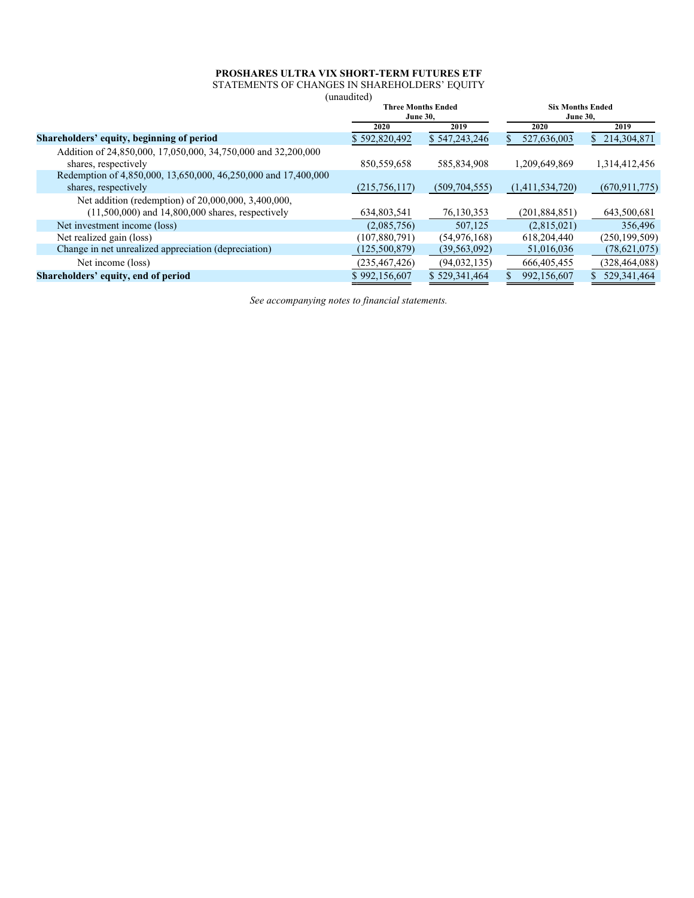STATEMENTS OF CHANGES IN SHAREHOLDERS' EQUITY

| (unaudited) |  |
|-------------|--|
|             |  |

|                                                                                                             |                 | <b>Three Months Ended</b><br><b>June 30,</b> |                 | <b>Six Months Ended</b><br><b>June 30,</b> |  |
|-------------------------------------------------------------------------------------------------------------|-----------------|----------------------------------------------|-----------------|--------------------------------------------|--|
|                                                                                                             | 2020            | 2019                                         | 2020            | 2019                                       |  |
| Shareholders' equity, beginning of period                                                                   | \$592,820,492   | \$547,243,246                                | 527,636,003     | \$214,304,871                              |  |
| Addition of 24,850,000, 17,050,000, 34,750,000 and 32,200,000<br>shares, respectively                       | 850,559,658     | 585,834,908                                  | 1,209,649,869   | 1,314,412,456                              |  |
| Redemption of 4,850,000, 13,650,000, 46,250,000 and 17,400,000<br>shares, respectively                      | (215,756,117)   | (509, 704, 555)                              | (1,411,534,720) | (670, 911, 775)                            |  |
| Net addition (redemption) of 20,000,000, 3,400,000,<br>$(11,500,000)$ and $14,800,000$ shares, respectively | 634,803,541     | 76,130,353                                   | (201, 884, 851) | 643,500,681                                |  |
| Net investment income (loss)                                                                                | (2,085,756)     | 507.125                                      | (2,815,021)     | 356,496                                    |  |
| Net realized gain (loss)                                                                                    | (107,880,791)   | (54, 976, 168)                               | 618,204,440     | (250, 199, 509)                            |  |
| Change in net unrealized appreciation (depreciation)                                                        | (125, 500, 879) | (39, 563, 092)                               | 51,016,036      | (78,621,075)                               |  |
| Net income (loss)                                                                                           | (235, 467, 426) | (94, 032, 135)                               | 666,405,455     | (328,464,088)                              |  |
| Shareholders' equity, end of period                                                                         | \$992,156,607   | \$529,341,464                                | 992,156,607     | 529, 341, 464                              |  |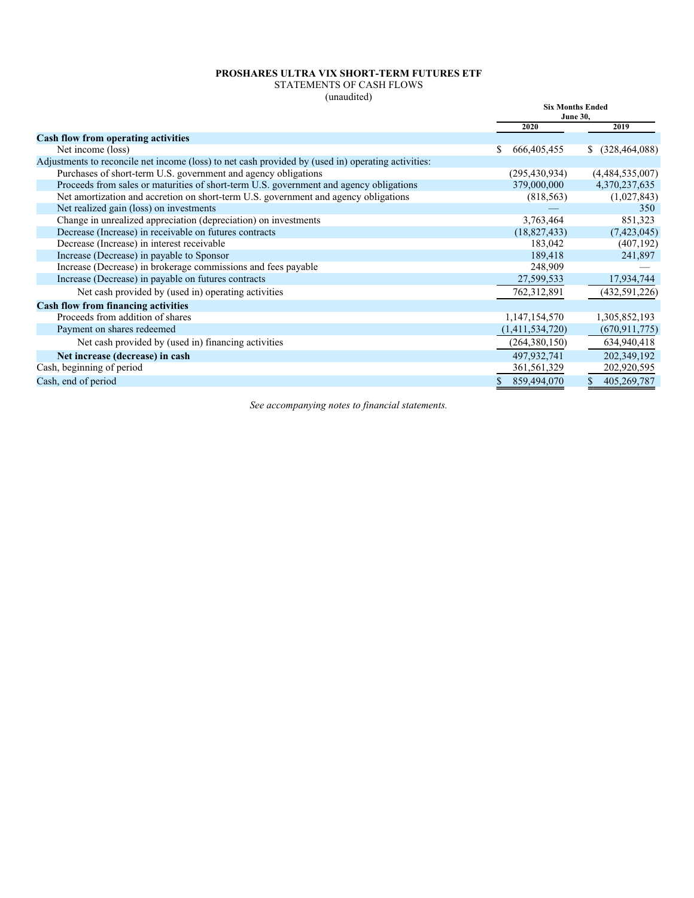## STATEMENTS OF CASH FLOWS (unaudited)

| , unuunnon                                                                                         | <b>Six Months Ended</b> |                     |
|----------------------------------------------------------------------------------------------------|-------------------------|---------------------|
|                                                                                                    | <b>June 30.</b>         |                     |
|                                                                                                    | 2020                    | 2019                |
| <b>Cash flow from operating activities</b>                                                         |                         |                     |
| Net income (loss)                                                                                  | 666,405,455             | $$^{(328,464,088)}$ |
| Adjustments to reconcile net income (loss) to net cash provided by (used in) operating activities: |                         |                     |
| Purchases of short-term U.S. government and agency obligations                                     | (295, 430, 934)         | (4,484,535,007)     |
| Proceeds from sales or maturities of short-term U.S. government and agency obligations             | 379,000,000             | 4,370,237,635       |
| Net amortization and accretion on short-term U.S. government and agency obligations                | (818, 563)              | (1,027,843)         |
| Net realized gain (loss) on investments                                                            |                         | 350                 |
| Change in unrealized appreciation (depreciation) on investments                                    | 3,763,464               | 851,323             |
| Decrease (Increase) in receivable on futures contracts                                             | (18, 827, 433)          | (7,423,045)         |
| Decrease (Increase) in interest receivable                                                         | 183,042                 | (407, 192)          |
| Increase (Decrease) in payable to Sponsor                                                          | 189,418                 | 241,897             |
| Increase (Decrease) in brokerage commissions and fees payable                                      | 248,909                 |                     |
| Increase (Decrease) in payable on futures contracts                                                | 27,599,533              | 17,934,744          |
| Net cash provided by (used in) operating activities                                                | 762,312,891             | (432, 591, 226)     |
| <b>Cash flow from financing activities</b>                                                         |                         |                     |
| Proceeds from addition of shares                                                                   | 1,147,154,570           | 1,305,852,193       |
| Payment on shares redeemed                                                                         | (1,411,534,720)         | (670, 911, 775)     |
| Net cash provided by (used in) financing activities                                                | (264, 380, 150)         | 634,940,418         |
| Net increase (decrease) in cash                                                                    | 497,932,741             | 202,349,192         |
| Cash, beginning of period                                                                          | 361, 561, 329           | 202,920,595         |
| Cash, end of period                                                                                | 859,494,070             | \$<br>405,269,787   |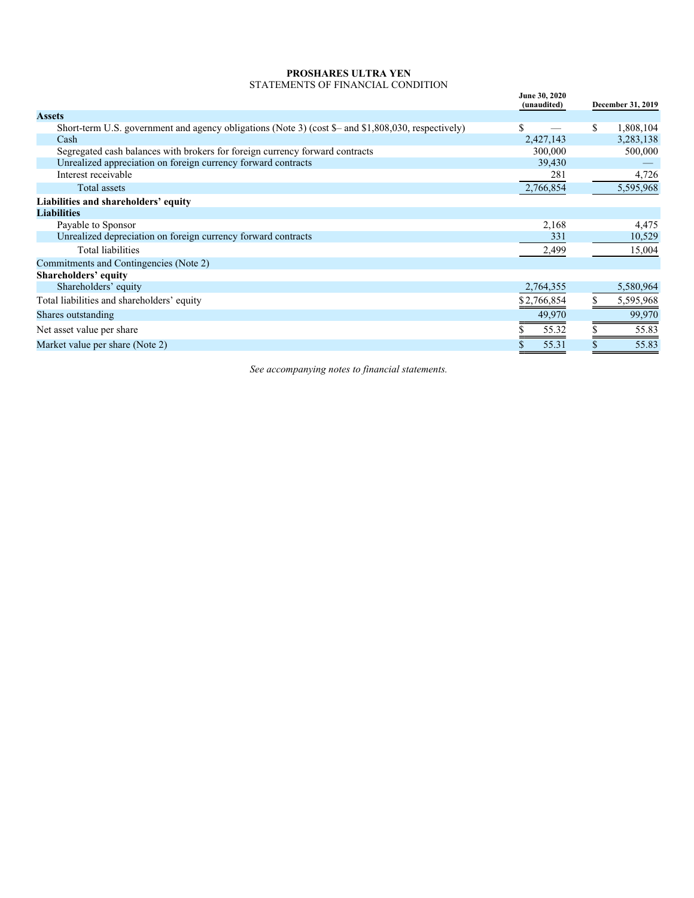## **PROSHARES ULTRA YEN**  STATEMENTS OF FINANCIAL CONDITION

|                                                                                                     | June 30, 2020 |                   |
|-----------------------------------------------------------------------------------------------------|---------------|-------------------|
| <b>Assets</b>                                                                                       | (unaudited)   | December 31, 2019 |
|                                                                                                     | \$            |                   |
| Short-term U.S. government and agency obligations (Note 3) (cost \$- and \$1,808,030, respectively) |               | \$<br>1,808,104   |
| Cash                                                                                                | 2,427,143     | 3,283,138         |
| Segregated cash balances with brokers for foreign currency forward contracts                        | 300,000       | 500,000           |
| Unrealized appreciation on foreign currency forward contracts                                       | 39,430        |                   |
| Interest receivable                                                                                 | 281           | 4,726             |
| Total assets                                                                                        | 2,766,854     | 5,595,968         |
| Liabilities and shareholders' equity                                                                |               |                   |
| <b>Liabilities</b>                                                                                  |               |                   |
| Payable to Sponsor                                                                                  | 2,168         | 4,475             |
| Unrealized depreciation on foreign currency forward contracts                                       | 331           | 10,529            |
| <b>Total liabilities</b>                                                                            | 2,499         | 15,004            |
| Commitments and Contingencies (Note 2)                                                              |               |                   |
| <b>Shareholders' equity</b>                                                                         |               |                   |
| Shareholders' equity                                                                                | 2,764,355     | 5,580,964         |
| Total liabilities and shareholders' equity                                                          | \$2,766,854   | 5,595,968<br>\$   |
| Shares outstanding                                                                                  | 49,970        | 99,970            |
| Net asset value per share                                                                           | 55.32         | 55.83             |
| Market value per share (Note 2)                                                                     | 55.31         | 55.83             |
|                                                                                                     |               |                   |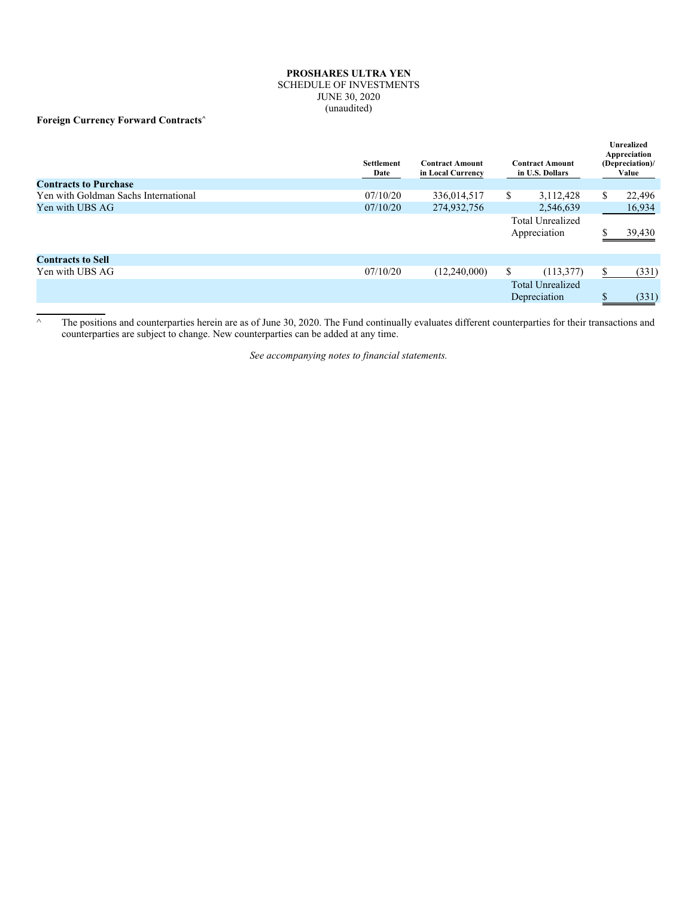### **PROSHARES ULTRA YEN**  SCHEDULE OF INVESTMENTS JUNE 30, 2020 (unaudited)

## **Foreign Currency Forward Contracts^**

| <b>Contracts to Purchase</b>         | <b>Settlement</b><br>Date | <b>Contract Amount</b><br>in Local Currency |                                         | <b>Contract Amount</b><br>in U.S. Dollars |    | Unrealized<br>Appreciation<br>(Depreciation)/<br>Value |
|--------------------------------------|---------------------------|---------------------------------------------|-----------------------------------------|-------------------------------------------|----|--------------------------------------------------------|
| Yen with Goldman Sachs International | 07/10/20                  | 336,014,517                                 | \$.                                     | 3,112,428                                 | \$ | 22,496                                                 |
| Yen with UBS AG                      | 07/10/20                  | 274,932,756                                 |                                         | 2,546,639                                 |    | 16,934                                                 |
|                                      |                           |                                             | <b>Total Unrealized</b><br>Appreciation |                                           |    | 39,430                                                 |
| <b>Contracts to Sell</b>             |                           |                                             |                                         |                                           |    |                                                        |
| Yen with UBS AG                      | 07/10/20                  | (12,240,000)                                | \$                                      | (113,377)                                 | S. | (331)                                                  |
|                                      |                           |                                             | <b>Total Unrealized</b><br>Depreciation |                                           |    | (331)                                                  |

 $\land$  The positions and counterparties herein are as of June 30, 2020. The Fund continually evaluates different counterparties for their transactions and counterparties are subject to change. New counterparties can be added at any time.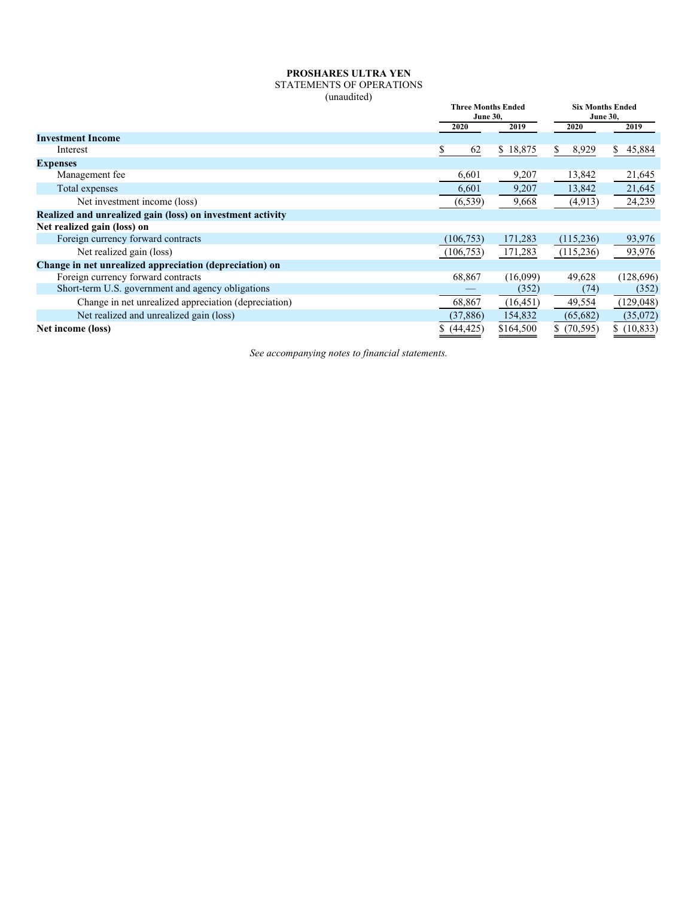### **PROSHARES ULTRA YEN**  STATEMENTS OF OPERATIONS (unaudited)

|                                                            | $($ unauuncu |                                              |           |                                            |              |
|------------------------------------------------------------|--------------|----------------------------------------------|-----------|--------------------------------------------|--------------|
|                                                            |              | <b>Three Months Ended</b><br><b>June 30,</b> |           | <b>Six Months Ended</b><br><b>June 30,</b> |              |
|                                                            |              | 2020                                         | 2019      | 2020                                       | 2019         |
| <b>Investment Income</b>                                   |              |                                              |           |                                            |              |
| Interest                                                   |              | 62<br>S                                      | \$18,875  | 8,929<br>\$                                | S.<br>45,884 |
| <b>Expenses</b>                                            |              |                                              |           |                                            |              |
| Management fee                                             |              | 6,601                                        | 9,207     | 13,842                                     | 21,645       |
| Total expenses                                             |              | 6,601                                        | 9,207     | 13,842                                     | 21,645       |
| Net investment income (loss)                               |              | (6, 539)                                     | 9,668     | (4,913)                                    | 24,239       |
| Realized and unrealized gain (loss) on investment activity |              |                                              |           |                                            |              |
| Net realized gain (loss) on                                |              |                                              |           |                                            |              |
| Foreign currency forward contracts                         |              | (106, 753)                                   | 171,283   | (115,236)                                  | 93,976       |
| Net realized gain (loss)                                   |              | (106, 753)                                   | 171,283   | (115, 236)                                 | 93,976       |
| Change in net unrealized appreciation (depreciation) on    |              |                                              |           |                                            |              |
| Foreign currency forward contracts                         |              | 68,867                                       | (16,099)  | 49,628                                     | (128, 696)   |
| Short-term U.S. government and agency obligations          |              |                                              | (352)     | (74)                                       | (352)        |
| Change in net unrealized appreciation (depreciation)       |              | 68,867                                       | (16, 451) | 49,554                                     | (129, 048)   |
| Net realized and unrealized gain (loss)                    |              | (37, 886)                                    | 154,832   | (65, 682)                                  | (35,072)     |
| Net income (loss)                                          |              | (44, 425)                                    | \$164,500 | (70, 595)<br>S.                            | (10, 833)    |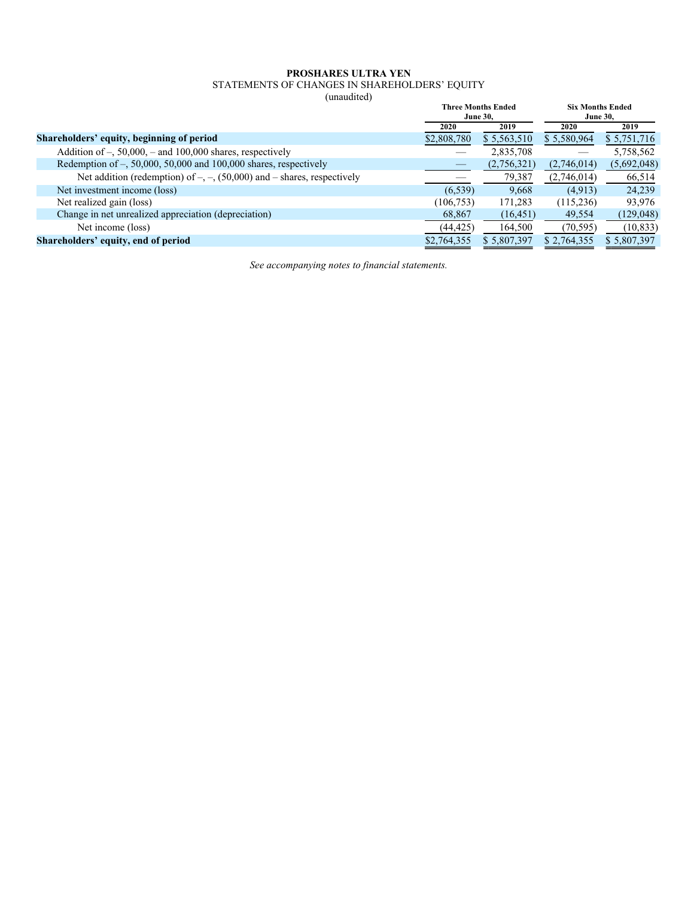### **PROSHARES ULTRA YEN**  STATEMENTS OF CHANGES IN SHAREHOLDERS' EQUITY (unaudited)

|                                                                                | <b>Three Months Ended</b><br><b>June 30.</b> |             | <b>Six Months Ended</b><br><b>June 30,</b> |             |
|--------------------------------------------------------------------------------|----------------------------------------------|-------------|--------------------------------------------|-------------|
|                                                                                | 2020                                         | 2019        | 2020                                       | 2019        |
| Shareholders' equity, beginning of period                                      | \$2,808,780                                  | \$5,563,510 | \$5,580,964                                | \$5,751,716 |
| Addition of $-$ , 50,000, $-$ and 100,000 shares, respectively                 |                                              | 2,835,708   |                                            | 5,758,562   |
| Redemption of $-$ , 50,000, 50,000 and 100,000 shares, respectively            |                                              | (2,756,321) | (2,746,014)                                | (5,692,048) |
| Net addition (redemption) of $-$ , $-$ , (50,000) and $-$ shares, respectively |                                              | 79,387      | (2,746,014)                                | 66,514      |
| Net investment income (loss)                                                   | (6, 539)                                     | 9,668       | (4,913)                                    | 24,239      |
| Net realized gain (loss)                                                       | (106, 753)                                   | 171,283     | (115,236)                                  | 93,976      |
| Change in net unrealized appreciation (depreciation)                           | 68,867                                       | (16, 451)   | 49,554                                     | (129, 048)  |
| Net income (loss)                                                              | (44, 425)                                    | 164,500     | (70, 595)                                  | (10, 833)   |
| Shareholders' equity, end of period                                            | \$2,764,355                                  | \$5,807,397 | \$2,764,355                                | \$5,807,397 |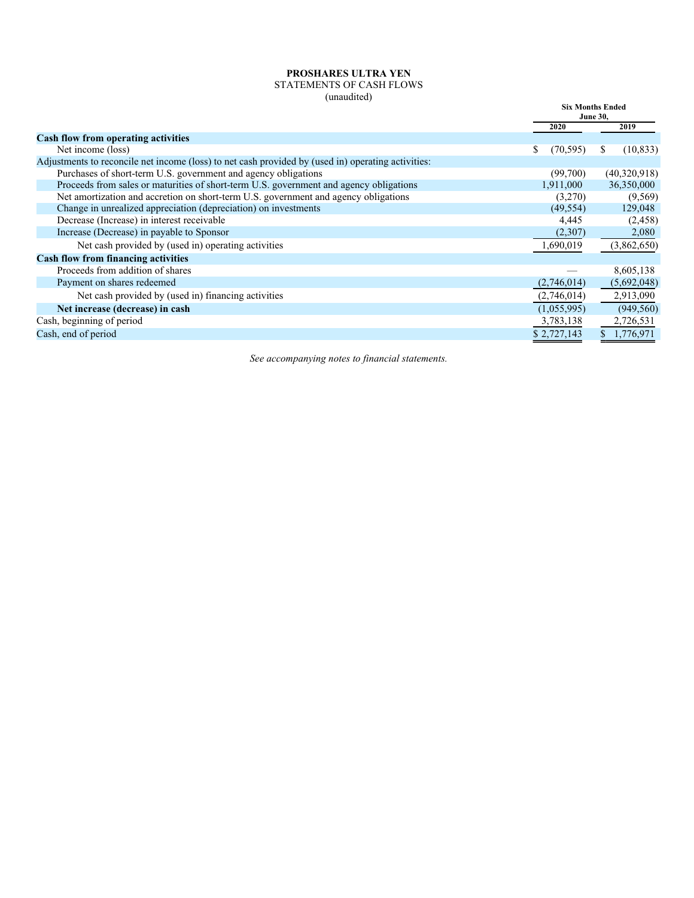### **PROSHARES ULTRA YEN**  STATEMENTS OF CASH FLOWS (unaudited)

| (unduutuvu)                                                                                        |                |                                            |
|----------------------------------------------------------------------------------------------------|----------------|--------------------------------------------|
|                                                                                                    |                | <b>Six Months Ended</b><br><b>June 30,</b> |
|                                                                                                    | 2020           | 2019                                       |
| Cash flow from operating activities                                                                |                |                                            |
| Net income (loss)                                                                                  | (70, 595)<br>S | (10, 833)<br>S.                            |
| Adjustments to reconcile net income (loss) to net cash provided by (used in) operating activities: |                |                                            |
| Purchases of short-term U.S. government and agency obligations                                     | (99,700)       | (40,320,918)                               |
| Proceeds from sales or maturities of short-term U.S. government and agency obligations             | 1,911,000      | 36,350,000                                 |
| Net amortization and accretion on short-term U.S. government and agency obligations                | (3,270)        | (9,569)                                    |
| Change in unrealized appreciation (depreciation) on investments                                    | (49, 554)      | 129,048                                    |
| Decrease (Increase) in interest receivable                                                         | 4,445          | (2,458)                                    |
| Increase (Decrease) in payable to Sponsor                                                          | (2,307)        | 2,080                                      |
| Net cash provided by (used in) operating activities                                                | 1,690,019      | (3,862,650)                                |
| <b>Cash flow from financing activities</b>                                                         |                |                                            |
| Proceeds from addition of shares                                                                   |                | 8,605,138                                  |
| Payment on shares redeemed                                                                         | (2,746,014)    | (5,692,048)                                |
| Net cash provided by (used in) financing activities                                                | (2,746,014)    | 2,913,090                                  |
| Net increase (decrease) in cash                                                                    | (1,055,995)    | (949, 560)                                 |
| Cash, beginning of period                                                                          | 3,783,138      | 2,726,531                                  |
| Cash, end of period                                                                                | \$2,727,143    | 1,776,971                                  |
|                                                                                                    |                |                                            |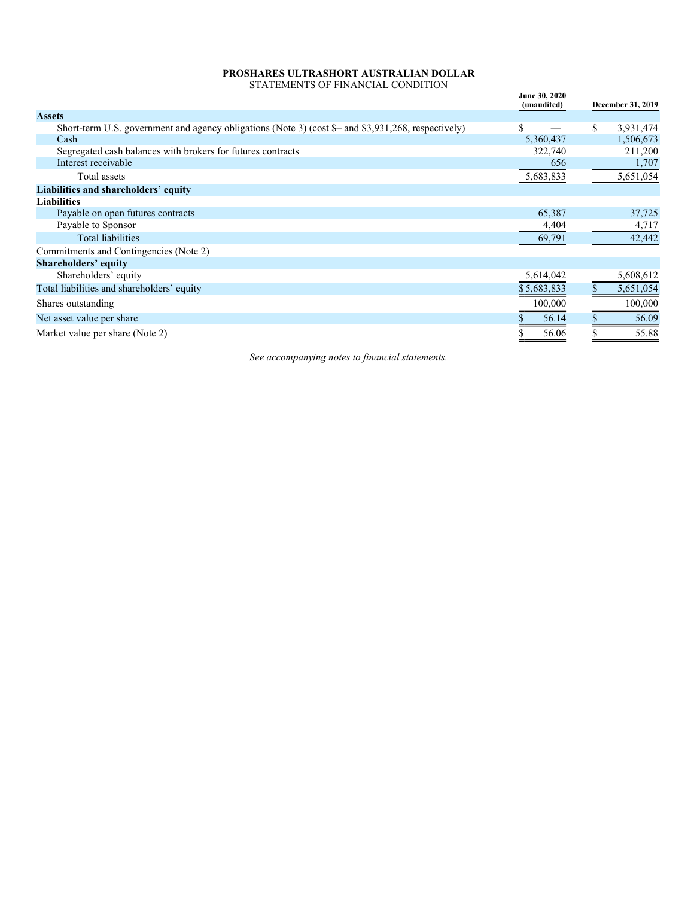STATEMENTS OF FINANCIAL CONDITION

|                                                                                                     | June 30, 2020<br>(unaudited) | December 31, 2019 |
|-----------------------------------------------------------------------------------------------------|------------------------------|-------------------|
| <b>Assets</b>                                                                                       |                              |                   |
| Short-term U.S. government and agency obligations (Note 3) (cost \$- and \$3,931,268, respectively) |                              | 3,931,474<br>\$   |
| Cash                                                                                                | 5,360,437                    | 1,506,673         |
| Segregated cash balances with brokers for futures contracts                                         | 322,740                      | 211,200           |
| Interest receivable                                                                                 | 656                          | 1,707             |
| Total assets                                                                                        | 5,683,833                    | 5,651,054         |
| Liabilities and shareholders' equity                                                                |                              |                   |
| <b>Liabilities</b>                                                                                  |                              |                   |
| Payable on open futures contracts                                                                   | 65,387                       | 37,725            |
| Payable to Sponsor                                                                                  | 4,404                        | 4,717             |
| <b>Total liabilities</b>                                                                            | 69,791                       | 42,442            |
| Commitments and Contingencies (Note 2)                                                              |                              |                   |
| <b>Shareholders' equity</b>                                                                         |                              |                   |
| Shareholders' equity                                                                                | 5,614,042                    | 5,608,612         |
| Total liabilities and shareholders' equity                                                          | \$5,683,833                  | 5,651,054         |
| Shares outstanding                                                                                  | 100,000                      | 100,000           |
| Net asset value per share                                                                           | 56.14                        | 56.09             |
| Market value per share (Note 2)                                                                     | 56.06                        | 55.88             |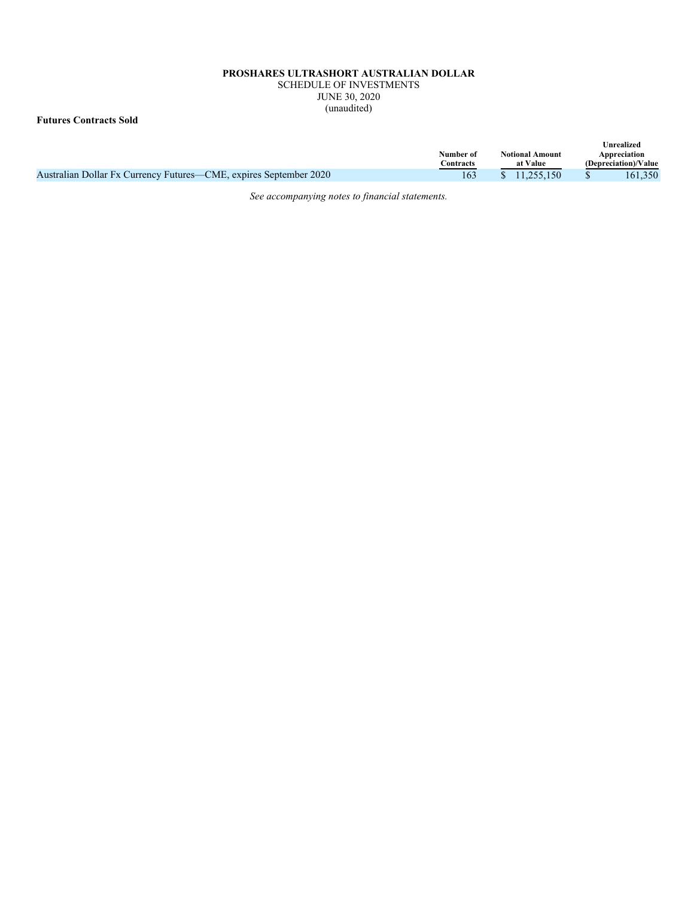### SCHEDULE OF INVESTMENTS JUNE 30, 2020 (unaudited)

**Futures Contracts Sold** 

|                                                                   |           |                 | Unrealized           |
|-------------------------------------------------------------------|-----------|-----------------|----------------------|
|                                                                   | Number of | Notional Amount | Appreciation         |
|                                                                   | Contracts | at Value        | (Depreciation)/Value |
| Australian Dollar Fx Currency Futures—CME, expires September 2020 | 163       | \$11.255.150    | 161.350              |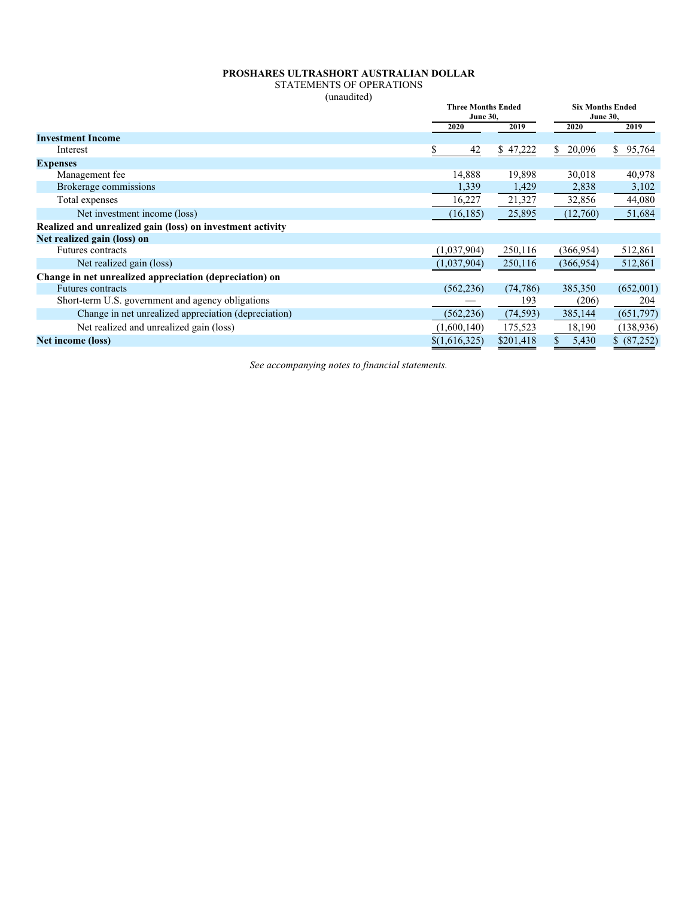STATEMENTS OF OPERATIONS (unaudited)

| <b>Three Months Ended</b> |           |                                     |                                 |
|---------------------------|-----------|-------------------------------------|---------------------------------|
|                           |           | <b>June 30,</b>                     |                                 |
|                           |           |                                     | 2019                            |
|                           |           |                                     |                                 |
| 42                        |           | 20,096<br>\$                        | \$95,764                        |
|                           |           |                                     |                                 |
| 14,888                    | 19,898    | 30,018                              | 40,978                          |
| 1,339                     | 1,429     | 2,838                               | 3,102                           |
| 16,227                    | 21,327    | 32,856                              | 44,080                          |
| (16, 185)                 | 25,895    | (12,760)                            | 51,684                          |
|                           |           |                                     |                                 |
|                           |           |                                     |                                 |
| (1,037,904)               | 250,116   | (366, 954)                          | 512,861                         |
| (1,037,904)               | 250,116   | (366, 954)                          | 512,861                         |
|                           |           |                                     |                                 |
| (562, 236)                | (74, 786) | 385,350                             | (652,001)                       |
|                           | 193       | (206)                               | 204                             |
| (562, 236)                | (74, 593) | 385,144                             | (651,797)                       |
| (1,600,140)               | 175,523   | 18,190                              | (138, 936)                      |
| \$(1,616,325)             | \$201,418 | 5,430<br>\$                         | \$ (87,252)                     |
| $($ unauun $\epsilon$ u)  | 2020      | <b>June 30,</b><br>2019<br>\$47,222 | <b>Six Months Ended</b><br>2020 |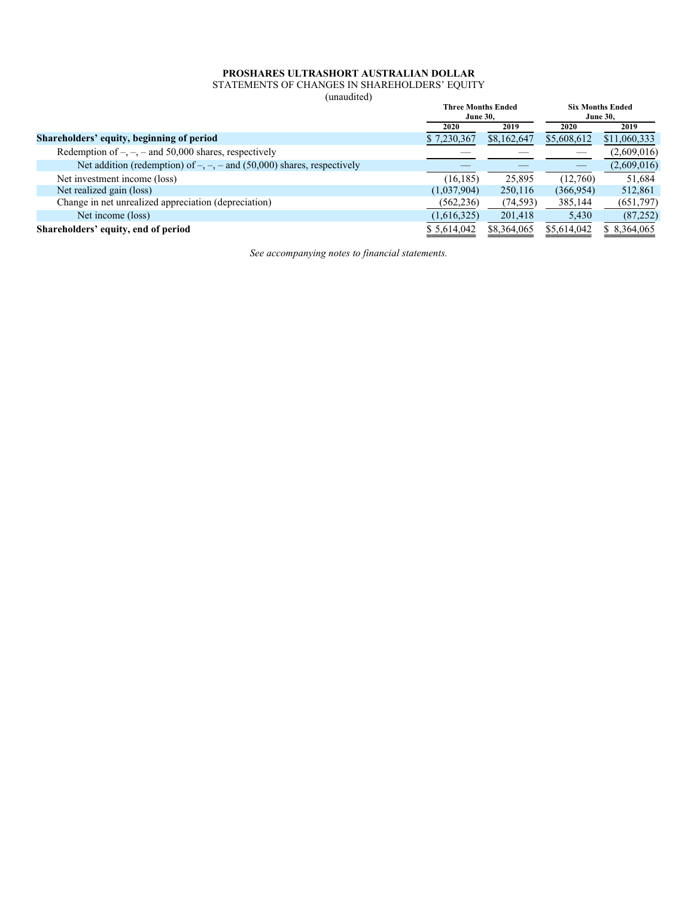# STATEMENTS OF CHANGES IN SHAREHOLDERS' EQUITY

(unaudited)

|                                                                                | <b>Three Months Ended</b><br><b>June 30.</b> |             | <b>Six Months Ended</b><br><b>June 30.</b> |              |
|--------------------------------------------------------------------------------|----------------------------------------------|-------------|--------------------------------------------|--------------|
|                                                                                | 2020                                         | 2019        | 2020                                       | 2019         |
| Shareholders' equity, beginning of period                                      | \$7,230,367                                  | \$8,162,647 | \$5,608,612                                | \$11,060,333 |
| Redemption of $-$ , $-$ , $-$ and 50,000 shares, respectively                  |                                              |             |                                            | (2,609,016)  |
| Net addition (redemption) of $-$ , $-$ , $-$ and (50,000) shares, respectively |                                              |             |                                            | (2,609,016)  |
| Net investment income (loss)                                                   | (16, 185)                                    | 25,895      | (12,760)                                   | 51.684       |
| Net realized gain (loss)                                                       | (1,037,904)                                  | 250,116     | (366, 954)                                 | 512,861      |
| Change in net unrealized appreciation (depreciation)                           | (562, 236)                                   | (74, 593)   | 385,144                                    | (651,797)    |
| Net income (loss)                                                              | (1,616,325)                                  | 201,418     | 5,430                                      | (87,252)     |
| Shareholders' equity, end of period                                            | \$5,614,042                                  | \$8,364,065 | \$5,614,042                                | \$ 8,364,065 |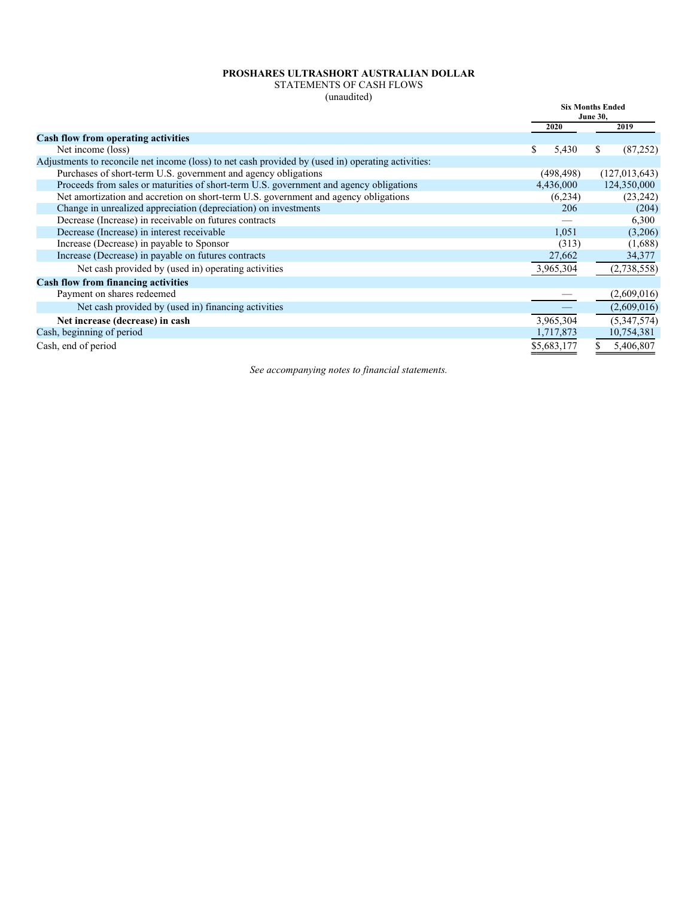## STATEMENTS OF CASH FLOWS (unaudited)

| $($ unauun $\epsilon$ u                                                                            |                                            |                 |
|----------------------------------------------------------------------------------------------------|--------------------------------------------|-----------------|
|                                                                                                    | <b>Six Months Ended</b><br><b>June 30,</b> |                 |
|                                                                                                    | 2020                                       | 2019            |
| Cash flow from operating activities                                                                |                                            |                 |
| Net income (loss)                                                                                  | \$<br>5,430                                | \$<br>(87,252)  |
| Adjustments to reconcile net income (loss) to net cash provided by (used in) operating activities: |                                            |                 |
| Purchases of short-term U.S. government and agency obligations                                     | (498,498)                                  | (127, 013, 643) |
| Proceeds from sales or maturities of short-term U.S. government and agency obligations             | 4,436,000                                  | 124,350,000     |
| Net amortization and accretion on short-term U.S. government and agency obligations                | (6,234)                                    | (23, 242)       |
| Change in unrealized appreciation (depreciation) on investments                                    | 206                                        | (204)           |
| Decrease (Increase) in receivable on futures contracts                                             |                                            | 6,300           |
| Decrease (Increase) in interest receivable                                                         | 1,051                                      | (3,206)         |
| Increase (Decrease) in payable to Sponsor                                                          | (313)                                      | (1,688)         |
| Increase (Decrease) in payable on futures contracts                                                | 27,662                                     | 34,377          |
| Net cash provided by (used in) operating activities                                                | 3,965,304                                  | (2,738,558)     |
| <b>Cash flow from financing activities</b>                                                         |                                            |                 |
| Payment on shares redeemed                                                                         |                                            | (2,609,016)     |
| Net cash provided by (used in) financing activities                                                |                                            | (2,609,016)     |
| Net increase (decrease) in cash                                                                    | 3,965,304                                  | (5,347,574)     |
| Cash, beginning of period                                                                          | 1,717,873                                  | 10,754,381      |
| Cash, end of period                                                                                | \$5,683,177                                | 5,406,807       |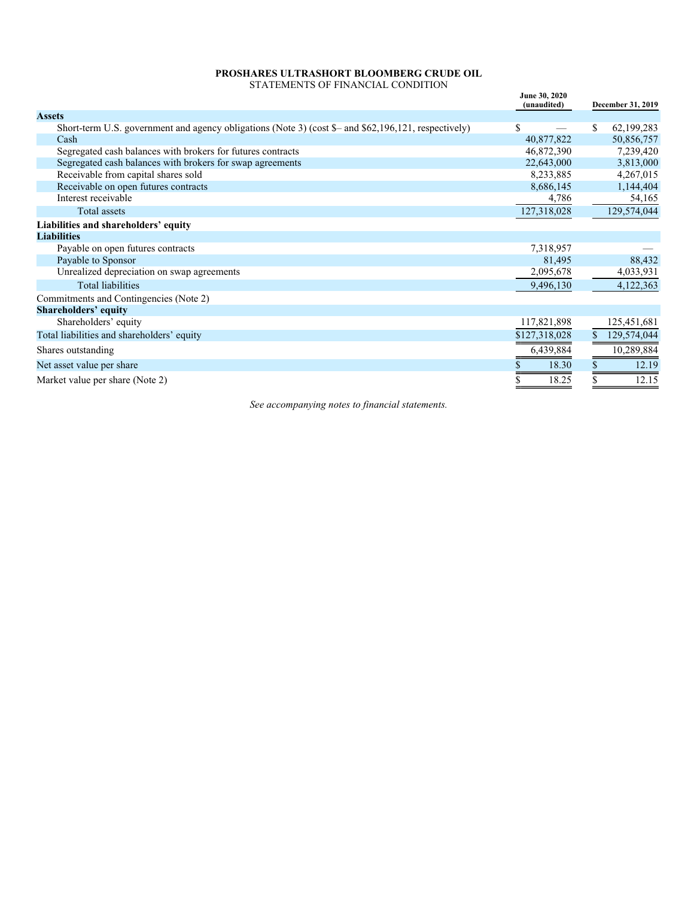STATEMENTS OF FINANCIAL CONDITION

|                                                                                                      | June 30, 2020<br>(unaudited) | <b>December 31, 2019</b>    |
|------------------------------------------------------------------------------------------------------|------------------------------|-----------------------------|
| <b>Assets</b>                                                                                        |                              |                             |
| Short-term U.S. government and agency obligations (Note 3) (cost \$- and \$62,196,121, respectively) | \$                           | S.<br>62,199,283            |
| Cash                                                                                                 | 40,877,822                   | 50,856,757                  |
| Segregated cash balances with brokers for futures contracts                                          | 46,872,390                   | 7,239,420                   |
| Segregated cash balances with brokers for swap agreements                                            | 22,643,000                   | 3,813,000                   |
| Receivable from capital shares sold                                                                  | 8,233,885                    | 4,267,015                   |
| Receivable on open futures contracts                                                                 | 8,686,145                    | 1,144,404                   |
| Interest receivable                                                                                  | 4,786                        | 54,165                      |
| Total assets                                                                                         | 127,318,028                  | 129,574,044                 |
| Liabilities and shareholders' equity                                                                 |                              |                             |
| <b>Liabilities</b>                                                                                   |                              |                             |
| Payable on open futures contracts                                                                    | 7,318,957                    |                             |
| Payable to Sponsor                                                                                   | 81,495                       | 88,432                      |
| Unrealized depreciation on swap agreements                                                           | 2,095,678                    | 4,033,931                   |
| <b>Total liabilities</b>                                                                             | 9,496,130                    | 4,122,363                   |
| Commitments and Contingencies (Note 2)                                                               |                              |                             |
| <b>Shareholders' equity</b>                                                                          |                              |                             |
| Shareholders' equity                                                                                 | 117,821,898                  | 125,451,681                 |
| Total liabilities and shareholders' equity                                                           | \$127,318,028                | $\mathbb{S}$<br>129,574,044 |
| Shares outstanding                                                                                   | 6,439,884                    | 10,289,884                  |
| Net asset value per share                                                                            | 18.30                        | 12.19                       |
| Market value per share (Note 2)                                                                      | 18.25                        | 12.15                       |
|                                                                                                      |                              |                             |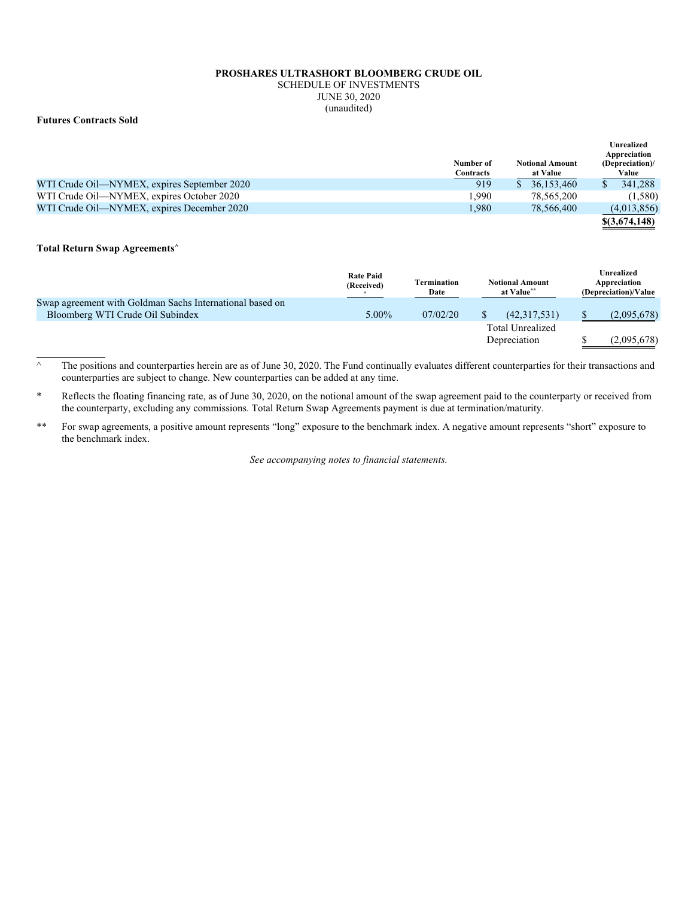#### SCHEDULE OF INVESTMENTS JUNE 30, 2020

## (unaudited)

**Unrealized**

### **Futures Contracts Sold**

|                                             | Number of<br>Contracts | <b>Notional Amount</b><br>at Value | unreanzed<br>Appreciation<br>(Depreciation)/<br>Value |
|---------------------------------------------|------------------------|------------------------------------|-------------------------------------------------------|
| WTI Crude Oil—NYMEX, expires September 2020 | 919                    | 36.153.460                         | 341.288                                               |
| WTI Crude Oil—NYMEX, expires October 2020   | 1.990                  | 78,565,200                         | (1,580)                                               |
| WTI Crude Oil—NYMEX, expires December 2020  | 1.980                  | 78,566,400                         | (4,013,856)                                           |
|                                             |                        |                                    | \$(3,674,148)                                         |

#### **Total Return Swap Agreements^**

|                                                                                              | <b>Rate Paid</b><br>(Received) | Termination<br>Date | <b>Notional Amount</b><br>at Value**    | Unrealized<br>Appreciation<br>(Depreciation)/Value |
|----------------------------------------------------------------------------------------------|--------------------------------|---------------------|-----------------------------------------|----------------------------------------------------|
| Swap agreement with Goldman Sachs International based on<br>Bloomberg WTI Crude Oil Subindex | $5.00\%$                       | 07/02/20            | (42,317,531)                            | (2,095,678)                                        |
|                                                                                              |                                |                     | <b>Total Unrealized</b><br>Depreciation | (2,095,678)                                        |

 $\land$  The positions and counterparties herein are as of June 30, 2020. The Fund continually evaluates different counterparties for their transactions and counterparties are subject to change. New counterparties can be added at any time.

\*\* For swap agreements, a positive amount represents "long" exposure to the benchmark index. A negative amount represents "short" exposure to the benchmark index.

<sup>\*</sup> Reflects the floating financing rate, as of June 30, 2020, on the notional amount of the swap agreement paid to the counterparty or received from the counterparty, excluding any commissions. Total Return Swap Agreements payment is due at termination/maturity.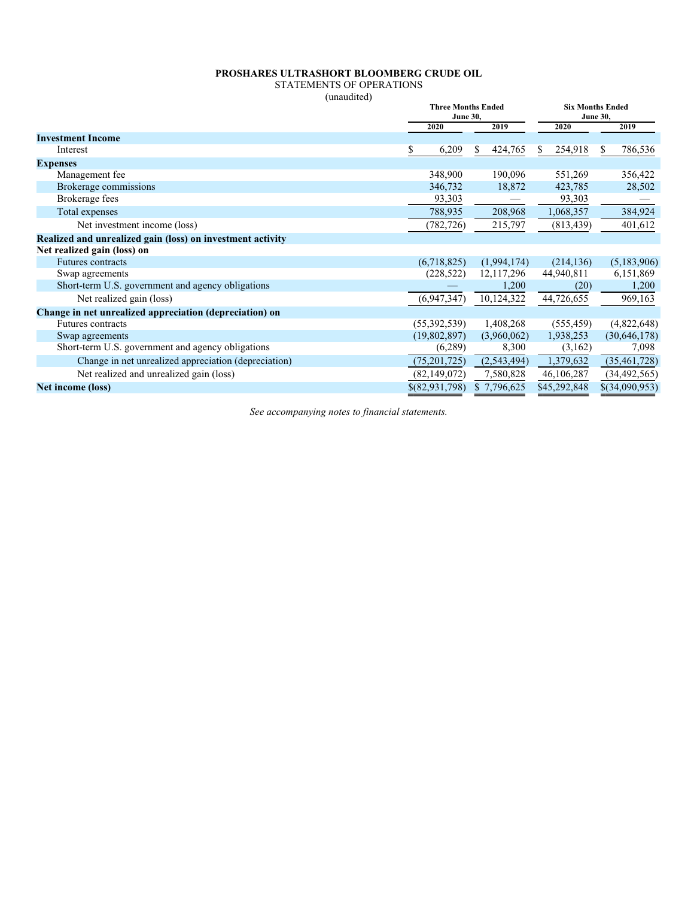### STATEMENTS OF OPERATIONS (unaudited)

|                                                            |                | <b>Three Months Ended</b><br><b>June 30,</b> |              | <b>Six Months Ended</b><br><b>June 30,</b> |  |
|------------------------------------------------------------|----------------|----------------------------------------------|--------------|--------------------------------------------|--|
|                                                            | 2020           | 2019                                         | 2020         | 2019                                       |  |
| <b>Investment Income</b>                                   |                |                                              |              |                                            |  |
| Interest                                                   | 6,209          | 424,765<br>S                                 | 254,918<br>S | 786,536                                    |  |
| <b>Expenses</b>                                            |                |                                              |              |                                            |  |
| Management fee                                             | 348,900        | 190,096                                      | 551,269      | 356,422                                    |  |
| Brokerage commissions                                      | 346,732        | 18,872                                       | 423,785      | 28,502                                     |  |
| Brokerage fees                                             | 93,303         |                                              | 93,303       |                                            |  |
| Total expenses                                             | 788,935        | 208,968                                      | 1,068,357    | 384,924                                    |  |
| Net investment income (loss)                               | (782, 726)     | 215,797                                      | (813, 439)   | 401,612                                    |  |
| Realized and unrealized gain (loss) on investment activity |                |                                              |              |                                            |  |
| Net realized gain (loss) on                                |                |                                              |              |                                            |  |
| <b>Futures</b> contracts                                   | (6,718,825)    | (1,994,174)                                  | (214, 136)   | (5,183,906)                                |  |
| Swap agreements                                            | (228, 522)     | 12, 117, 296                                 | 44,940,811   | 6,151,869                                  |  |
| Short-term U.S. government and agency obligations          |                | 1,200                                        | (20)         | 1,200                                      |  |
| Net realized gain (loss)                                   | (6,947,347)    | 10,124,322                                   | 44,726,655   | 969,163                                    |  |
| Change in net unrealized appreciation (depreciation) on    |                |                                              |              |                                            |  |
| <b>Futures</b> contracts                                   | (55,392,539)   | 1,408,268                                    | (555, 459)   | (4,822,648)                                |  |
| Swap agreements                                            | (19,802,897)   | (3,960,062)                                  | 1,938,253    | (30, 646, 178)                             |  |
| Short-term U.S. government and agency obligations          | (6,289)        | 8,300                                        | (3,162)      | 7,098                                      |  |
| Change in net unrealized appreciation (depreciation)       | (75,201,725)   | (2, 543, 494)                                | 1,379,632    | (35,461,728)                               |  |
| Net realized and unrealized gain (loss)                    | (82, 149, 072) | 7,580,828                                    | 46,106,287   | (34, 492, 565)                             |  |
| Net income (loss)                                          | \$(82,931,798) | \$7,796,625                                  | \$45,292,848 | \$(34,090,953)                             |  |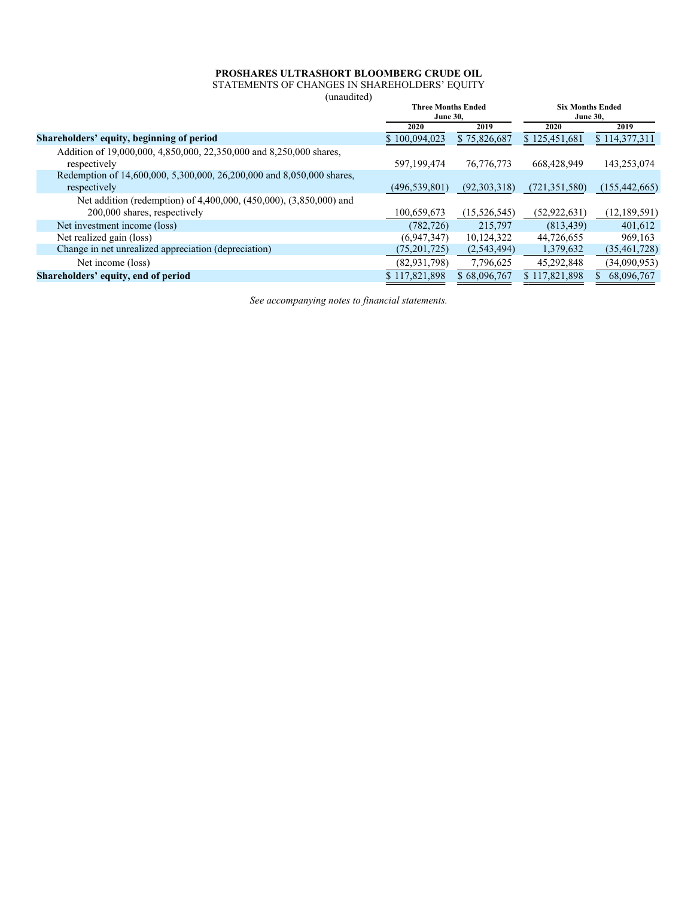STATEMENTS OF CHANGES IN SHAREHOLDERS' EQUITY

|                                                                                                    | <b>Three Months Ended</b><br><b>June 30.</b> |                | <b>Six Months Ended</b> | <b>June 30.</b> |  |
|----------------------------------------------------------------------------------------------------|----------------------------------------------|----------------|-------------------------|-----------------|--|
|                                                                                                    | 2020                                         | 2019           | 2020                    | 2019            |  |
| Shareholders' equity, beginning of period                                                          | \$100,094,023                                | \$75,826,687   | \$125,451,681           | \$114,377,311   |  |
| Addition of 19,000,000, 4,850,000, 22,350,000 and 8,250,000 shares,<br>respectively                | 597,199,474                                  | 76,776,773     | 668,428,949             | 143,253,074     |  |
| Redemption of 14,600,000, 5,300,000, 26,200,000 and 8,050,000 shares,<br>respectively              | (496, 539, 801)                              | (92, 303, 318) | (721, 351, 580)         | (155,442,665)   |  |
| Net addition (redemption) of 4,400,000, (450,000), (3,850,000) and<br>200,000 shares, respectively | 100,659,673                                  | (15,526,545)   | (52, 922, 631)          | (12, 189, 591)  |  |
| Net investment income (loss)                                                                       | (782, 726)                                   | 215,797        | (813, 439)              | 401,612         |  |
| Net realized gain (loss)                                                                           | (6,947,347)                                  | 10,124,322     | 44,726,655              | 969,163         |  |
| Change in net unrealized appreciation (depreciation)                                               | (75,201,725)                                 | (2,543,494)    | 1,379,632               | (35, 461, 728)  |  |
| Net income (loss)                                                                                  | (82, 931, 798)                               | 7,796,625      | 45,292,848              | (34,090,953)    |  |
| Shareholders' equity, end of period                                                                | \$117,821,898                                | \$68,096,767   | \$117,821,898           | 68,096,767      |  |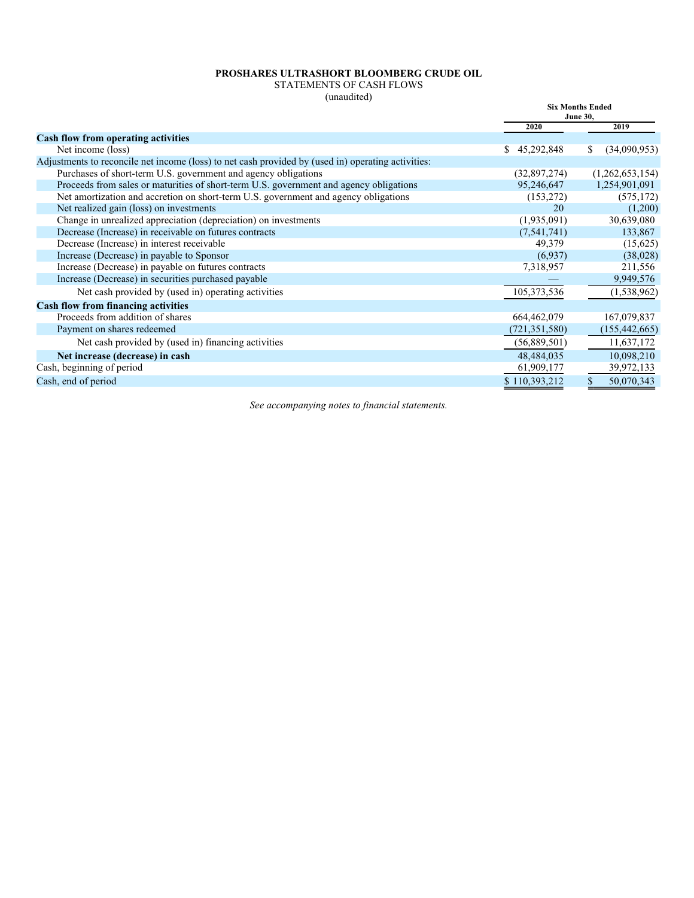## STATEMENTS OF CASH FLOWS (unaudited)

| $($ unauun $\epsilon$ u                                                                            |                  |                            |
|----------------------------------------------------------------------------------------------------|------------------|----------------------------|
|                                                                                                    |                  | <b>Six Months Ended</b>    |
|                                                                                                    |                  | <b>June 30,</b>            |
|                                                                                                    | 2020             | 2019                       |
| <b>Cash flow from operating activities</b>                                                         |                  |                            |
| Net income (loss)                                                                                  | 45,292,848<br>S. | (34,090,953)<br>S.         |
| Adjustments to reconcile net income (loss) to net cash provided by (used in) operating activities: |                  |                            |
| Purchases of short-term U.S. government and agency obligations                                     | (32,897,274)     | (1,262,653,154)            |
| Proceeds from sales or maturities of short-term U.S. government and agency obligations             | 95,246,647       | 1,254,901,091              |
| Net amortization and accretion on short-term U.S. government and agency obligations                | (153, 272)       | (575, 172)                 |
| Net realized gain (loss) on investments                                                            | 20               | (1,200)                    |
| Change in unrealized appreciation (depreciation) on investments                                    | (1,935,091)      | 30,639,080                 |
| Decrease (Increase) in receivable on futures contracts                                             | (7, 541, 741)    | 133,867                    |
| Decrease (Increase) in interest receivable                                                         | 49,379           | (15,625)                   |
| Increase (Decrease) in payable to Sponsor                                                          | (6,937)          | (38,028)                   |
| Increase (Decrease) in payable on futures contracts                                                | 7,318,957        | 211,556                    |
| Increase (Decrease) in securities purchased payable                                                |                  | 9,949,576                  |
| Net cash provided by (used in) operating activities                                                | 105, 373, 536    | (1, 538, 962)              |
| <b>Cash flow from financing activities</b>                                                         |                  |                            |
| Proceeds from addition of shares                                                                   | 664, 462, 079    | 167,079,837                |
| Payment on shares redeemed                                                                         | (721, 351, 580)  | (155, 442, 665)            |
| Net cash provided by (used in) financing activities                                                | (56,889,501)     | 11,637,172                 |
| Net increase (decrease) in cash                                                                    | 48,484,035       | 10,098,210                 |
| Cash, beginning of period                                                                          | 61,909,177       | 39,972,133                 |
| Cash, end of period                                                                                | \$110,393,212    | $\mathbb{S}$<br>50,070,343 |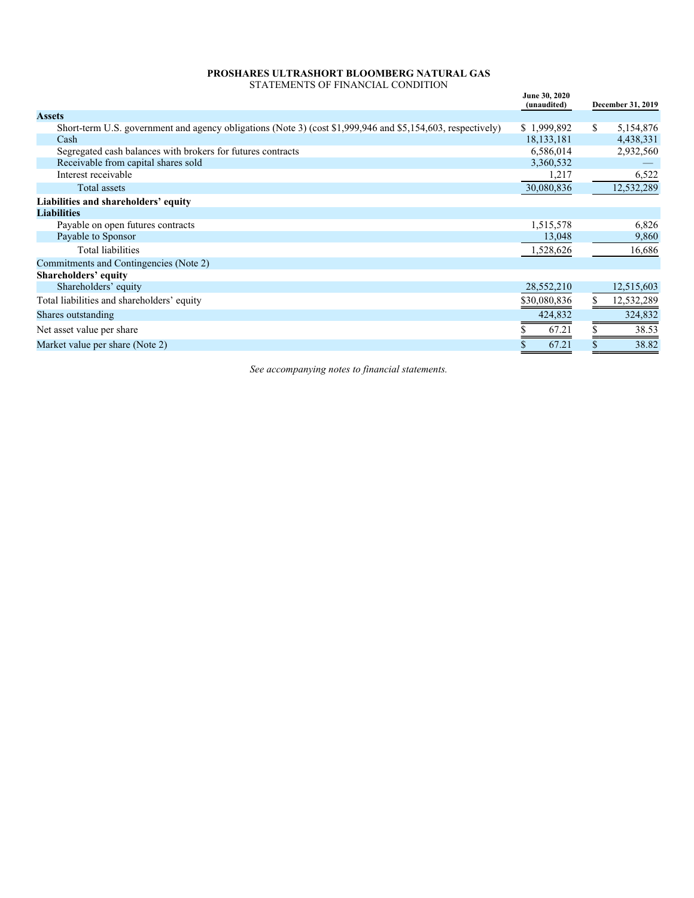## **PROSHARES ULTRASHORT BLOOMBERG NATURAL GAS**  STATEMENTS OF FINANCIAL CONDITION

| этатемертэ от тирарскае сорогиор                                                                            |                              |                   |
|-------------------------------------------------------------------------------------------------------------|------------------------------|-------------------|
|                                                                                                             | June 30, 2020<br>(unaudited) | December 31, 2019 |
| <b>Assets</b>                                                                                               |                              |                   |
| Short-term U.S. government and agency obligations (Note 3) (cost \$1,999,946 and \$5,154,603, respectively) | \$1,999,892                  | 5,154,876<br>S.   |
| Cash                                                                                                        | 18, 133, 181                 | 4,438,331         |
| Segregated cash balances with brokers for futures contracts                                                 | 6,586,014                    | 2,932,560         |
| Receivable from capital shares sold                                                                         | 3,360,532                    |                   |
| Interest receivable                                                                                         | 1,217                        | 6,522             |
| Total assets                                                                                                | 30,080,836                   | 12,532,289        |
| Liabilities and shareholders' equity                                                                        |                              |                   |
| <b>Liabilities</b>                                                                                          |                              |                   |
| Payable on open futures contracts                                                                           | 1,515,578                    | 6,826             |
| Payable to Sponsor                                                                                          | 13,048                       | 9,860             |
| Total liabilities                                                                                           | 1,528,626                    | 16,686            |
| Commitments and Contingencies (Note 2)                                                                      |                              |                   |
| Shareholders' equity                                                                                        |                              |                   |
| Shareholders' equity                                                                                        | 28,552,210                   | 12,515,603        |
| Total liabilities and shareholders' equity                                                                  | \$30,080,836                 | 12,532,289<br>\$  |
| Shares outstanding                                                                                          | 424,832                      | 324,832           |
| Net asset value per share                                                                                   | 67.21                        | 38.53             |
| Market value per share (Note 2)                                                                             | 67.21                        | 38.82             |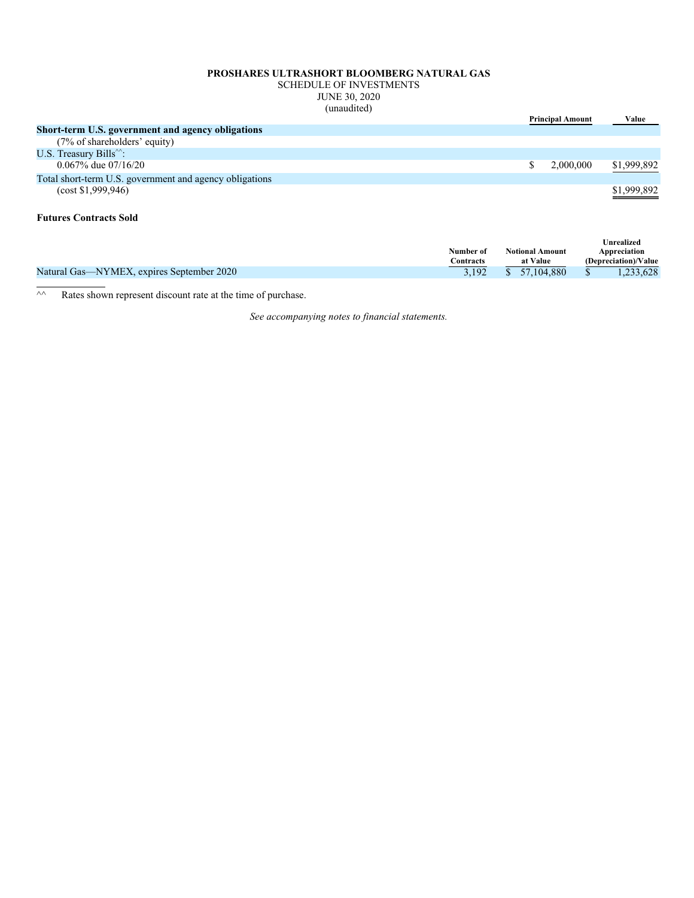## **PROSHARES ULTRASHORT BLOOMBERG NATURAL GAS**

# SCHEDULE OF INVESTMENTS

JUNE 30, 2020 (unaudited)

|                                                         | anaanou |                         |             |
|---------------------------------------------------------|---------|-------------------------|-------------|
|                                                         |         | <b>Principal Amount</b> | Value       |
| Short-term U.S. government and agency obligations       |         |                         |             |
| (7% of shareholders' equity)                            |         |                         |             |
| U.S. Treasury Bills $\sim$ :                            |         |                         |             |
| $0.067\%$ due $07/16/20$                                |         | 2.000.000               | \$1,999,892 |
| Total short-term U.S. government and agency obligations |         |                         |             |
| (cost \$1,999,946)                                      |         |                         | \$1,999,892 |
|                                                         |         |                         |             |
|                                                         |         |                         |             |

### **Futures Contracts Sold**

|                                           | Number of<br>Contracts | <b>Notional Amount</b><br>at Value | <b>Unrealized</b><br>Appreciation<br>(Depreciation)/Value |
|-------------------------------------------|------------------------|------------------------------------|-----------------------------------------------------------|
| Natural Gas—NYMEX, expires September 2020 | 3.192                  | 57.104.880<br>S                    | .233.628                                                  |

 $\overline{\wedge\wedge}$  Rates shown represent discount rate at the time of purchase.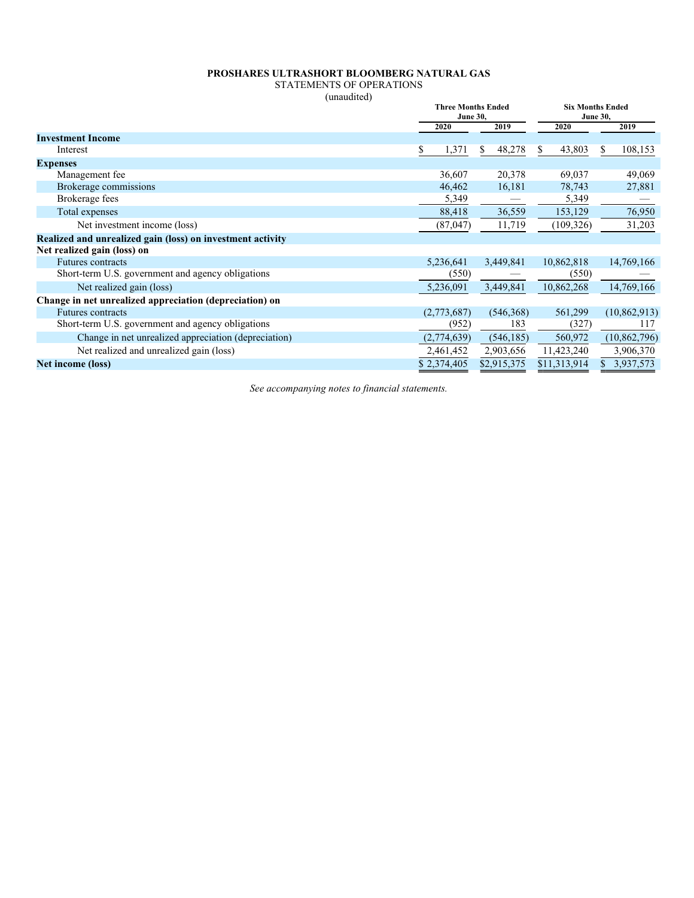## **PROSHARES ULTRASHORT BLOOMBERG NATURAL GAS**

## STATEMENTS OF OPERATIONS (unaudited)

|                                                            | <b>Three Months Ended</b><br><b>June 30,</b> |             | <b>Six Months Ended</b><br><b>June 30,</b> |                |
|------------------------------------------------------------|----------------------------------------------|-------------|--------------------------------------------|----------------|
|                                                            | 2020                                         | 2019        | 2020                                       | 2019           |
| <b>Investment Income</b>                                   |                                              |             |                                            |                |
| Interest                                                   | 1,371<br>S                                   | 48,278<br>S | 43,803<br>S                                | 108,153<br>S   |
| <b>Expenses</b>                                            |                                              |             |                                            |                |
| Management fee                                             | 36,607                                       | 20,378      | 69,037                                     | 49,069         |
| Brokerage commissions                                      | 46,462                                       | 16,181      | 78,743                                     | 27,881         |
| Brokerage fees                                             | 5,349                                        |             | 5,349                                      |                |
| Total expenses                                             | 88,418                                       | 36,559      | 153,129                                    | 76,950         |
| Net investment income (loss)                               | (87, 047)                                    | 11,719      | (109, 326)                                 | 31,203         |
| Realized and unrealized gain (loss) on investment activity |                                              |             |                                            |                |
| Net realized gain (loss) on                                |                                              |             |                                            |                |
| <b>Futures</b> contracts                                   | 5,236,641                                    | 3,449,841   | 10,862,818                                 | 14,769,166     |
| Short-term U.S. government and agency obligations          | (550)                                        |             | (550)                                      |                |
| Net realized gain (loss)                                   | 5,236,091                                    | 3,449,841   | 10,862,268                                 | 14,769,166     |
| Change in net unrealized appreciation (depreciation) on    |                                              |             |                                            |                |
| <b>Futures contracts</b>                                   | (2,773,687)                                  | (546, 368)  | 561,299                                    | (10, 862, 913) |
| Short-term U.S. government and agency obligations          | (952)                                        | 183         | (327)                                      | 117            |
| Change in net unrealized appreciation (depreciation)       | (2,774,639)                                  | (546, 185)  | 560,972                                    | (10,862,796)   |
| Net realized and unrealized gain (loss)                    | 2,461,452                                    | 2,903,656   | 11,423,240                                 | 3,906,370      |
| Net income (loss)                                          | \$2,374,405                                  | \$2,915,375 | \$11,313,914                               | 3,937,573      |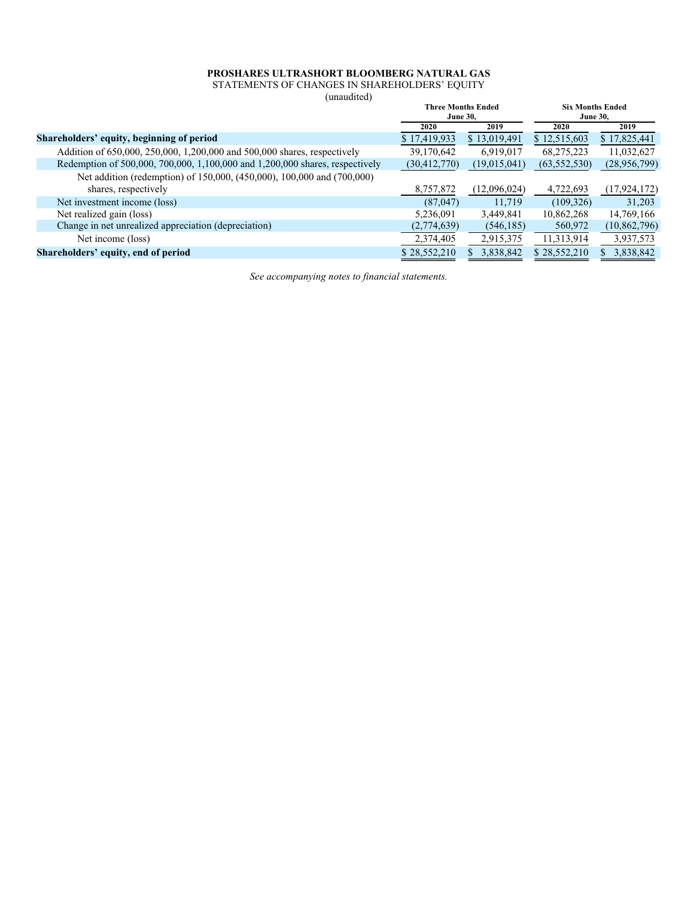## **PROSHARES ULTRASHORT BLOOMBERG NATURAL GAS**  STATEMENTS OF CHANGES IN SHAREHOLDERS' EQUITY

(unaudited)

|                                                                              | <b>Three Months Ended</b><br><b>June 30,</b> |              | <b>Six Months Ended</b><br><b>June 30,</b> |                |  |
|------------------------------------------------------------------------------|----------------------------------------------|--------------|--------------------------------------------|----------------|--|
|                                                                              | 2020                                         | 2019         | <b>2020</b>                                | 2019           |  |
| Shareholders' equity, beginning of period                                    | \$17,419,933                                 | \$13,019,491 | \$12,515,603                               | \$17,825,441   |  |
| Addition of 650,000, 250,000, 1,200,000 and 500,000 shares, respectively     | 39,170,642                                   | 6.919.017    | 68,275,223                                 | 11,032,627     |  |
| Redemption of 500,000, 700,000, 1,100,000 and 1,200,000 shares, respectively | (30, 412, 770)                               | (19,015,041) | (63, 552, 530)                             | (28,956,799)   |  |
| Net addition (redemption) of 150,000, (450,000), 100,000 and (700,000)       |                                              |              |                                            |                |  |
| shares, respectively                                                         | 8,757,872                                    | (12,096,024) | 4,722,693                                  | (17, 924, 172) |  |
| Net investment income (loss)                                                 | (87,047)                                     | 11.719       | (109, 326)                                 | 31,203         |  |
| Net realized gain (loss)                                                     | 5,236,091                                    | 3,449,841    | 10,862,268                                 | 14,769,166     |  |
| Change in net unrealized appreciation (depreciation)                         | (2,774,639)                                  | (546, 185)   | 560,972                                    | (10, 862, 796) |  |
| Net income (loss)                                                            | 2,374,405                                    | 2,915,375    | 11,313,914                                 | 3,937,573      |  |
| Shareholders' equity, end of period                                          | \$28,552,210                                 | 3,838,842    | \$28,552,210                               | 3,838,842      |  |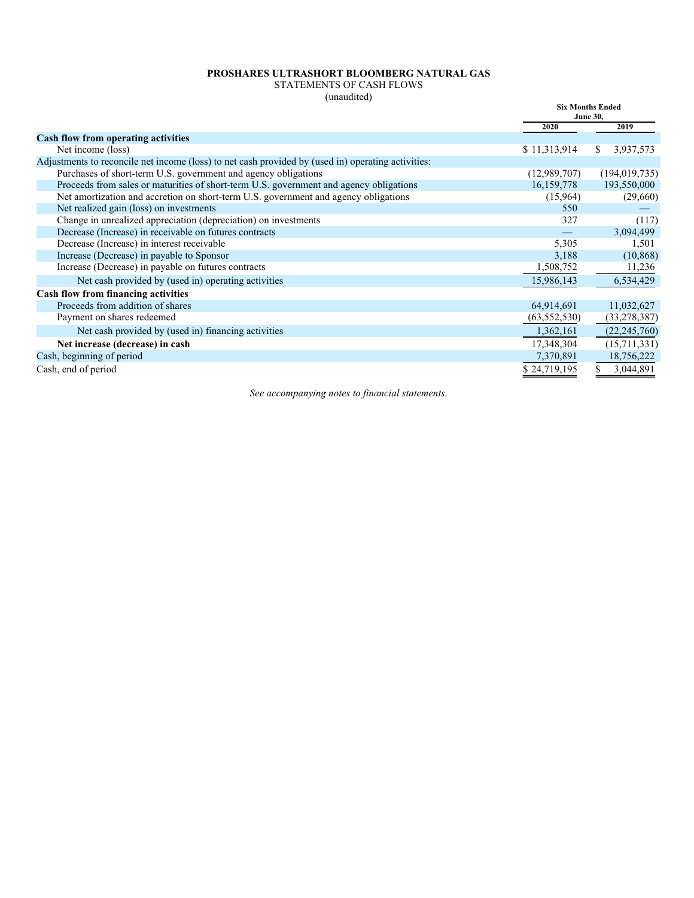# **PROSHARES ULTRASHORT BLOOMBERG NATURAL GAS**

## STATEMENTS OF CASH FLOWS (unaudited)

| $($ unauun $\epsilon$ u                                                                            |                |                         |
|----------------------------------------------------------------------------------------------------|----------------|-------------------------|
|                                                                                                    |                | <b>Six Months Ended</b> |
|                                                                                                    | 2020           | <b>June 30,</b><br>2019 |
| <b>Cash flow from operating activities</b>                                                         |                |                         |
| Net income (loss)                                                                                  | \$11,313,914   | \$<br>3,937,573         |
| Adjustments to reconcile net income (loss) to net cash provided by (used in) operating activities: |                |                         |
| Purchases of short-term U.S. government and agency obligations                                     | (12,989,707)   | (194, 019, 735)         |
| Proceeds from sales or maturities of short-term U.S. government and agency obligations             | 16, 159, 778   | 193,550,000             |
| Net amortization and accretion on short-term U.S. government and agency obligations                | (15,964)       | (29,660)                |
| Net realized gain (loss) on investments                                                            | 550            |                         |
| Change in unrealized appreciation (depreciation) on investments                                    | 327            | (117)                   |
| Decrease (Increase) in receivable on futures contracts                                             |                | 3,094,499               |
| Decrease (Increase) in interest receivable                                                         | 5,305          | 1,501                   |
| Increase (Decrease) in payable to Sponsor                                                          | 3,188          | (10, 868)               |
| Increase (Decrease) in payable on futures contracts                                                | 1,508,752      | 11,236                  |
| Net cash provided by (used in) operating activities                                                | 15,986,143     | 6,534,429               |
| Cash flow from financing activities                                                                |                |                         |
| Proceeds from addition of shares                                                                   | 64,914,691     | 11,032,627              |
| Payment on shares redeemed                                                                         | (63, 552, 530) | (33, 278, 387)          |
| Net cash provided by (used in) financing activities                                                | 1,362,161      | (22, 245, 760)          |
| Net increase (decrease) in cash                                                                    | 17,348,304     | (15,711,331)            |
| Cash, beginning of period                                                                          | 7,370,891      | 18,756,222              |
| Cash, end of period                                                                                | \$24,719,195   | 3,044,891               |
|                                                                                                    |                |                         |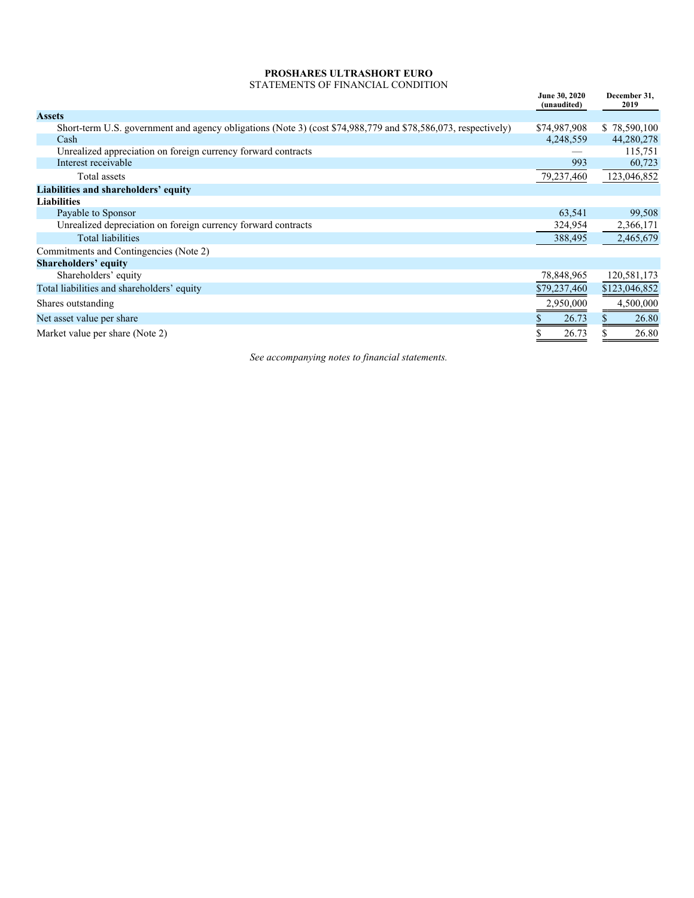# **PROSHARES ULTRASHORT EURO**

STATEMENTS OF FINANCIAL CONDITION

|                                                                                                               | June 30, 2020<br>(unaudited) | December 31,<br>2019 |
|---------------------------------------------------------------------------------------------------------------|------------------------------|----------------------|
| <b>Assets</b>                                                                                                 |                              |                      |
| Short-term U.S. government and agency obligations (Note 3) (cost \$74,988,779 and \$78,586,073, respectively) | \$74,987,908                 | \$78,590,100         |
| Cash                                                                                                          | 4,248,559                    | 44,280,278           |
| Unrealized appreciation on foreign currency forward contracts                                                 |                              | 115,751              |
| Interest receivable                                                                                           | 993                          | 60,723               |
| Total assets                                                                                                  | 79,237,460                   | 123,046,852          |
| Liabilities and shareholders' equity                                                                          |                              |                      |
| <b>Liabilities</b>                                                                                            |                              |                      |
| Payable to Sponsor                                                                                            | 63,541                       | 99,508               |
| Unrealized depreciation on foreign currency forward contracts                                                 | 324,954                      | 2,366,171            |
| <b>Total liabilities</b>                                                                                      | 388,495                      | 2,465,679            |
| Commitments and Contingencies (Note 2)                                                                        |                              |                      |
| <b>Shareholders' equity</b>                                                                                   |                              |                      |
| Shareholders' equity                                                                                          | 78,848,965                   | 120,581,173          |
| Total liabilities and shareholders' equity                                                                    | \$79,237,460                 | \$123,046,852        |
| Shares outstanding                                                                                            | 2,950,000                    | 4,500,000            |
| Net asset value per share                                                                                     | 26.73                        | 26.80                |
| Market value per share (Note 2)                                                                               | 26.73                        | 26.80                |
|                                                                                                               |                              |                      |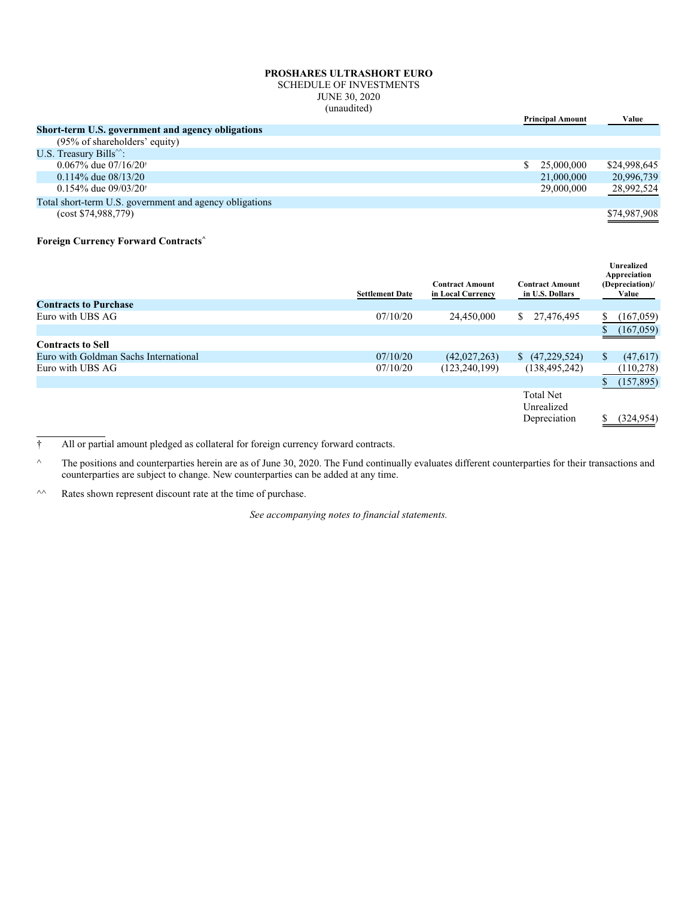#### **PROSHARES ULTRASHORT EURO**  SCHEDULE OF INVESTMENTS JUNE 30, 2020

(unaudited)

|                                                         | *********** |                         |              |
|---------------------------------------------------------|-------------|-------------------------|--------------|
|                                                         |             | <b>Principal Amount</b> | Value        |
| Short-term U.S. government and agency obligations       |             |                         |              |
| (95% of shareholders' equity)                           |             |                         |              |
| U.S. Treasury Bills $\sim$ :                            |             |                         |              |
| $0.067\%$ due $07/16/20^+$                              |             | 25,000,000              | \$24,998,645 |
| $0.114\%$ due $08/13/20$                                |             | 21,000,000              | 20,996,739   |
| $0.154\%$ due $09/03/20^{\dagger}$                      |             | 29,000,000              | 28,992,524   |
| Total short-term U.S. government and agency obligations |             |                         |              |
| (cost \$74,988,779)                                     |             |                         | \$74,987,908 |
|                                                         |             |                         |              |

## **Foreign Currency Forward Contracts^**

|                                       | <b>Settlement Date</b> | <b>Contract Amount</b><br>in Local Currency | <b>Contract Amount</b><br>in U.S. Dollars      | <b>Unrealized</b><br>Appreciation<br>(Depreciation)/<br>Value |
|---------------------------------------|------------------------|---------------------------------------------|------------------------------------------------|---------------------------------------------------------------|
| <b>Contracts to Purchase</b>          |                        |                                             |                                                |                                                               |
| Euro with UBS AG                      | 07/10/20               | 24,450,000                                  | 27,476,495<br><sup>S</sup>                     | (167, 059)<br>S.                                              |
|                                       |                        |                                             |                                                | (167, 059)                                                    |
| <b>Contracts to Sell</b>              |                        |                                             |                                                |                                                               |
| Euro with Goldman Sachs International | 07/10/20               | (42,027,263)                                | (47,229,524)                                   | $\mathbb{S}$<br>(47,617)                                      |
| Euro with UBS AG                      | 07/10/20               | (123, 240, 199)                             | (138, 495, 242)                                | (110, 278)                                                    |
|                                       |                        |                                             |                                                | (157, 895)                                                    |
|                                       |                        |                                             | <b>Total Net</b><br>Unrealized<br>Depreciation | (324, 954)                                                    |

<sup>†</sup> All or partial amount pledged as collateral for foreign currency forward contracts.

 $\land$  The positions and counterparties herein are as of June 30, 2020. The Fund continually evaluates different counterparties for their transactions and counterparties are subject to change. New counterparties can be added at any time.

 $\wedge$  Rates shown represent discount rate at the time of purchase.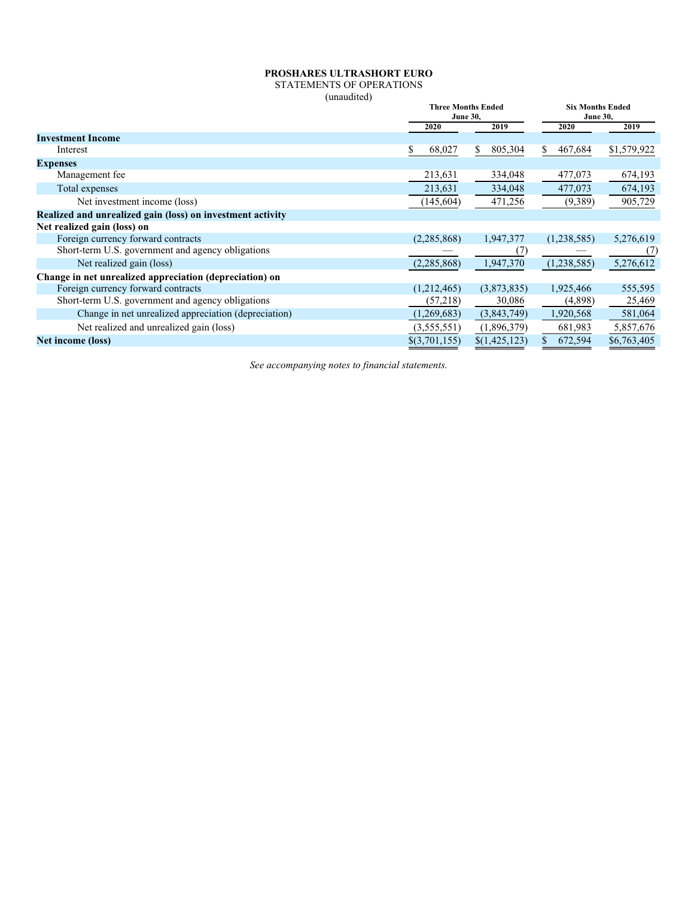## **PROSHARES ULTRASHORT EURO**

# STATEMENTS OF OPERATIONS

| (unaudited) |
|-------------|
|-------------|

|                                                            | $($ unuuttuva |                                              |               |                         |             |
|------------------------------------------------------------|---------------|----------------------------------------------|---------------|-------------------------|-------------|
|                                                            |               | <b>Three Months Ended</b><br><b>June 30,</b> |               | <b>Six Months Ended</b> |             |
|                                                            |               |                                              |               | <b>June 30,</b>         |             |
|                                                            |               | 2020                                         | 2019          | 2020                    | 2019        |
| <b>Investment Income</b>                                   |               |                                              |               |                         |             |
| Interest                                                   |               | 68,027                                       | 805,304<br>\$ | 467,684<br>S.           | \$1,579,922 |
| <b>Expenses</b>                                            |               |                                              |               |                         |             |
| Management fee                                             |               | 213,631                                      | 334,048       | 477,073                 | 674,193     |
| Total expenses                                             |               | 213,631                                      | 334,048       | 477,073                 | 674,193     |
| Net investment income (loss)                               |               | (145, 604)                                   | 471,256       | (9,389)                 | 905,729     |
| Realized and unrealized gain (loss) on investment activity |               |                                              |               |                         |             |
| Net realized gain (loss) on                                |               |                                              |               |                         |             |
| Foreign currency forward contracts                         |               | (2, 285, 868)                                | 1,947,377     | (1,238,585)             | 5,276,619   |
| Short-term U.S. government and agency obligations          |               |                                              | 7             |                         | (7)         |
| Net realized gain (loss)                                   |               | (2,285,868)                                  | 1,947,370     | (1,238,585)             | 5,276,612   |
| Change in net unrealized appreciation (depreciation) on    |               |                                              |               |                         |             |
| Foreign currency forward contracts                         |               | (1,212,465)                                  | (3,873,835)   | 1,925,466               | 555,595     |
| Short-term U.S. government and agency obligations          |               | (57,218)                                     | 30,086        | (4,898)                 | 25,469      |
| Change in net unrealized appreciation (depreciation)       |               | (1,269,683)                                  | (3,843,749)   | 1,920,568               | 581,064     |
| Net realized and unrealized gain (loss)                    |               | (3,555,551)                                  | (1,896,379)   | 681,983                 | 5,857,676   |
| Net income (loss)                                          |               | \$(3,701,155)                                | \$(1,425,123) | 672,594                 | \$6,763,405 |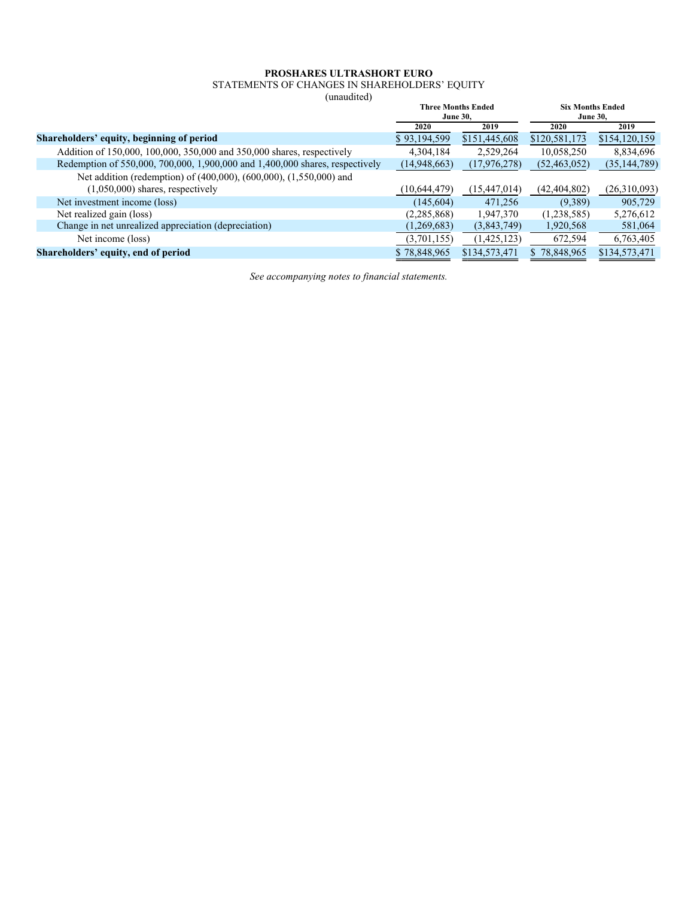## **PROSHARES ULTRASHORT EURO**  STATEMENTS OF CHANGES IN SHAREHOLDERS' EQUITY

(unaudited)

|                                                                              | <b>Three Months Ended</b><br><b>June 30.</b> |                | <b>Six Months Ended</b><br><b>June 30,</b> |                |  |
|------------------------------------------------------------------------------|----------------------------------------------|----------------|--------------------------------------------|----------------|--|
|                                                                              | <b>2020</b>                                  | 2019           | 2020                                       | 2019           |  |
| Shareholders' equity, beginning of period                                    | \$93,194,599                                 | \$151,445,608  | \$120,581,173                              | \$154,120,159  |  |
| Addition of 150,000, 100,000, 350,000 and 350,000 shares, respectively       | 4,304,184                                    | 2,529,264      | 10.058.250                                 | 8,834,696      |  |
| Redemption of 550,000, 700,000, 1,900,000 and 1,400,000 shares, respectively | (14,948,663)                                 | (17, 976, 278) | (52, 463, 052)                             | (35, 144, 789) |  |
| Net addition (redemption) of (400,000), (600,000), (1,550,000) and           |                                              |                |                                            |                |  |
| $(1,050,000)$ shares, respectively                                           | (10,644,479)                                 | (15,447,014)   | (42, 404, 802)                             | (26,310,093)   |  |
| Net investment income (loss)                                                 | (145,604)                                    | 471,256        | (9,389)                                    | 905,729        |  |
| Net realized gain (loss)                                                     | (2,285,868)                                  | 1,947,370      | (1,238,585)                                | 5,276,612      |  |
| Change in net unrealized appreciation (depreciation)                         | (1,269,683)                                  | (3,843,749)    | 1,920,568                                  | 581,064        |  |
| Net income (loss)                                                            | (3,701,155)                                  | (1,425,123)    | 672,594                                    | 6,763,405      |  |
| Shareholders' equity, end of period                                          | \$78,848,965                                 | \$134,573,471  | 78.848.965                                 | \$134,573,471  |  |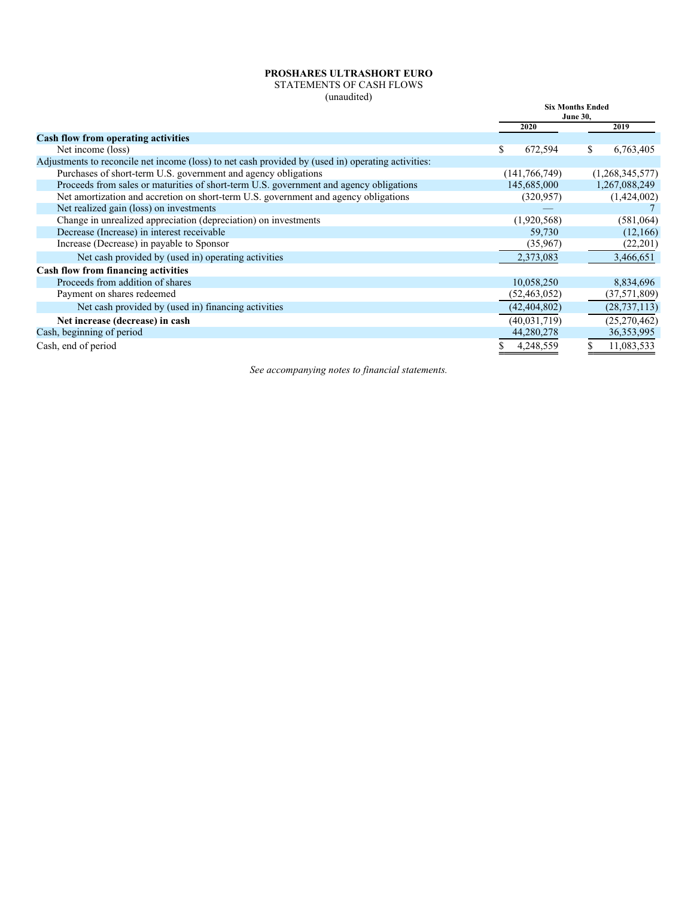## **PROSHARES ULTRASHORT EURO**  STATEMENTS OF CASH FLOWS

(unaudited)

| $($ unuuttuva                                                                                      |                 |                                            |
|----------------------------------------------------------------------------------------------------|-----------------|--------------------------------------------|
|                                                                                                    |                 | <b>Six Months Ended</b><br><b>June 30,</b> |
|                                                                                                    | 2020            | 2019                                       |
| <b>Cash flow from operating activities</b>                                                         |                 |                                            |
| Net income (loss)                                                                                  | 672,594<br>S    | 6,763,405<br>S.                            |
| Adjustments to reconcile net income (loss) to net cash provided by (used in) operating activities: |                 |                                            |
| Purchases of short-term U.S. government and agency obligations                                     | (141, 766, 749) | (1,268,345,577)                            |
| Proceeds from sales or maturities of short-term U.S. government and agency obligations             | 145,685,000     | 1,267,088,249                              |
| Net amortization and accretion on short-term U.S. government and agency obligations                | (320, 957)      | (1,424,002)                                |
| Net realized gain (loss) on investments                                                            |                 |                                            |
| Change in unrealized appreciation (depreciation) on investments                                    | (1,920,568)     | (581,064)                                  |
| Decrease (Increase) in interest receivable                                                         | 59,730          | (12,166)                                   |
| Increase (Decrease) in payable to Sponsor                                                          | (35,967)        | (22,201)                                   |
| Net cash provided by (used in) operating activities                                                | 2,373,083       | 3,466,651                                  |
| Cash flow from financing activities                                                                |                 |                                            |
| Proceeds from addition of shares                                                                   | 10,058,250      | 8,834,696                                  |
| Payment on shares redeemed                                                                         | (52, 463, 052)  | (37,571,809)                               |
| Net cash provided by (used in) financing activities                                                | (42, 404, 802)  | (28, 737, 113)                             |
| Net increase (decrease) in cash                                                                    | (40, 031, 719)  | (25,270,462)                               |
| Cash, beginning of period                                                                          | 44,280,278      | 36, 353, 995                               |
| Cash, end of period                                                                                | 4,248,559       | 11,083,533                                 |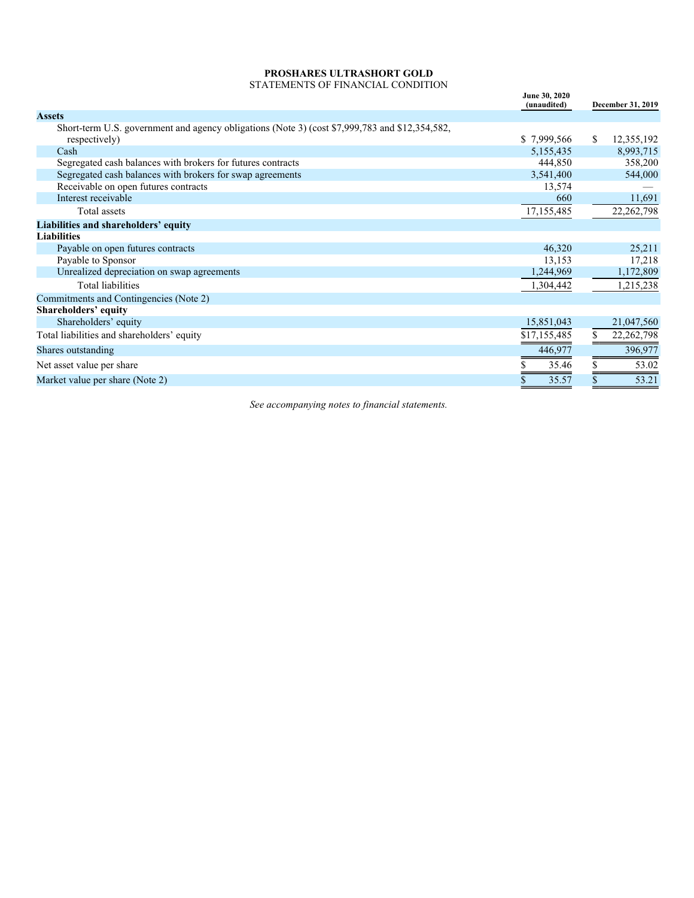## **PROSHARES ULTRASHORT GOLD**  STATEMENTS OF FINANCIAL CONDITION

|                                                                                                | June 30, 2020<br>(unaudited) | December 31, 2019 |
|------------------------------------------------------------------------------------------------|------------------------------|-------------------|
| <b>Assets</b>                                                                                  |                              |                   |
| Short-term U.S. government and agency obligations (Note 3) (cost \$7,999,783 and \$12,354,582, |                              |                   |
| respectively)                                                                                  | \$7,999,566                  | 12,355,192<br>\$  |
| Cash                                                                                           | 5,155,435                    | 8,993,715         |
| Segregated cash balances with brokers for futures contracts                                    | 444,850                      | 358,200           |
| Segregated cash balances with brokers for swap agreements                                      | 3,541,400                    | 544,000           |
| Receivable on open futures contracts                                                           | 13,574                       |                   |
| Interest receivable                                                                            | 660                          | 11,691            |
| Total assets                                                                                   | 17,155,485                   | 22, 262, 798      |
| Liabilities and shareholders' equity                                                           |                              |                   |
| <b>Liabilities</b>                                                                             |                              |                   |
| Payable on open futures contracts                                                              | 46,320                       | 25,211            |
| Payable to Sponsor                                                                             | 13,153                       | 17,218            |
| Unrealized depreciation on swap agreements                                                     | 1,244,969                    | 1,172,809         |
| <b>Total liabilities</b>                                                                       | 1,304,442                    | 1,215,238         |
| Commitments and Contingencies (Note 2)                                                         |                              |                   |
| Shareholders' equity                                                                           |                              |                   |
| Shareholders' equity                                                                           | 15,851,043                   | 21,047,560        |
| Total liabilities and shareholders' equity                                                     | \$17,155,485                 | 22,262,798<br>\$  |
| Shares outstanding                                                                             | 446,977                      | 396,977           |
| Net asset value per share                                                                      | 35.46                        | 53.02             |
| Market value per share (Note 2)                                                                | 35.57                        | 53.21             |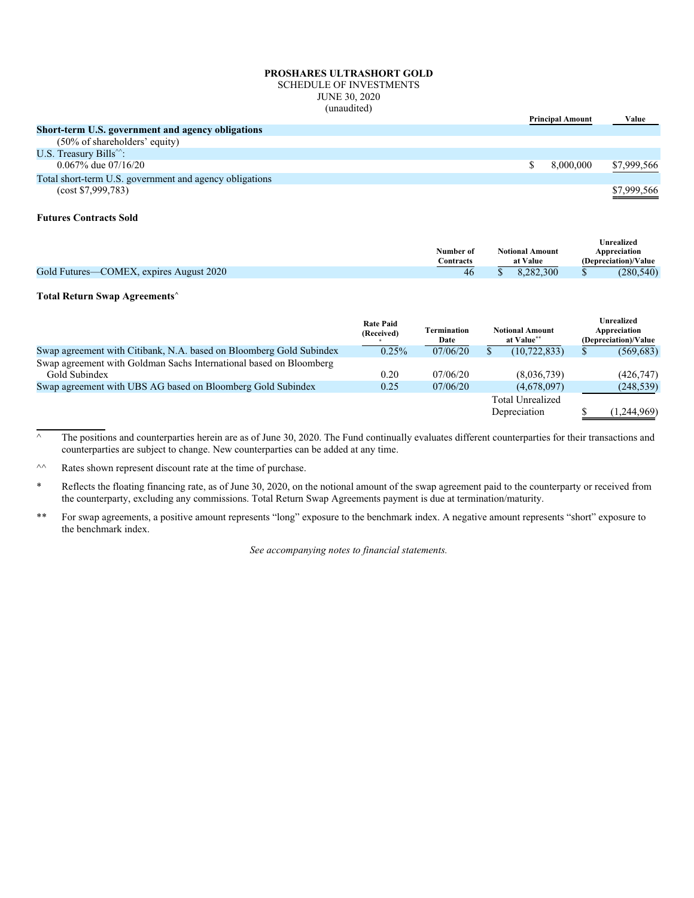#### **PROSHARES ULTRASHORT GOLD**  SCHEDULE OF INVESTMENTS JUNE 30, 2020 (unaudited)

|                                                         |  | <b>Principal Amount</b> | Value       |
|---------------------------------------------------------|--|-------------------------|-------------|
| Short-term U.S. government and agency obligations       |  |                         |             |
| (50% of shareholders' equity)                           |  |                         |             |
| U.S. Treasury Bills $\sim$ :                            |  |                         |             |
| $0.067\%$ due $07/16/20$                                |  | 8.000.000               | \$7,999,566 |
| Total short-term U.S. government and agency obligations |  |                         |             |
| (cost \$7,999,783)                                      |  |                         | \$7,999,566 |
|                                                         |  |                         |             |

#### **Futures Contracts Sold**

|                                         | Number of | <b>Notional Amount</b> | Unrealized<br>Appreciation |  |  |
|-----------------------------------------|-----------|------------------------|----------------------------|--|--|
|                                         | Contracts | at Value               | (Depreciation)/Value       |  |  |
| Gold Futures—COMEX, expires August 2020 | 46        | 8.282.300              | (280, 540)                 |  |  |

#### **Total Return Swap Agreements^**

|                                                                     | <b>Rate Paid</b><br>(Received) | <b>Termination</b><br>Date | <b>Notional Amount</b><br>at Value** |                                         |             |  | <b>Unrealized</b><br>Appreciation<br>(Depreciation)/Value |
|---------------------------------------------------------------------|--------------------------------|----------------------------|--------------------------------------|-----------------------------------------|-------------|--|-----------------------------------------------------------|
| Swap agreement with Citibank, N.A. based on Bloomberg Gold Subindex | $0.25\%$                       | 07/06/20                   |                                      | (10, 722, 833)                          | (569, 683)  |  |                                                           |
| Swap agreement with Goldman Sachs International based on Bloomberg  |                                |                            |                                      |                                         |             |  |                                                           |
| Gold Subindex                                                       | 0.20                           | 07/06/20                   |                                      | (8,036,739)                             | (426,747)   |  |                                                           |
| Swap agreement with UBS AG based on Bloomberg Gold Subindex         | 0.25                           | 07/06/20                   |                                      | (4,678,097)                             | (248, 539)  |  |                                                           |
|                                                                     |                                |                            |                                      | <b>Total Unrealized</b><br>Depreciation | (1,244,969) |  |                                                           |

 $\land$  The positions and counterparties herein are as of June 30, 2020. The Fund continually evaluates different counterparties for their transactions and counterparties are subject to change. New counterparties can be added at any time.

 $\wedge$  Rates shown represent discount rate at the time of purchase.

\* Reflects the floating financing rate, as of June 30, 2020, on the notional amount of the swap agreement paid to the counterparty or received from the counterparty, excluding any commissions. Total Return Swap Agreements payment is due at termination/maturity.

\*\* For swap agreements, a positive amount represents "long" exposure to the benchmark index. A negative amount represents "short" exposure to the benchmark index.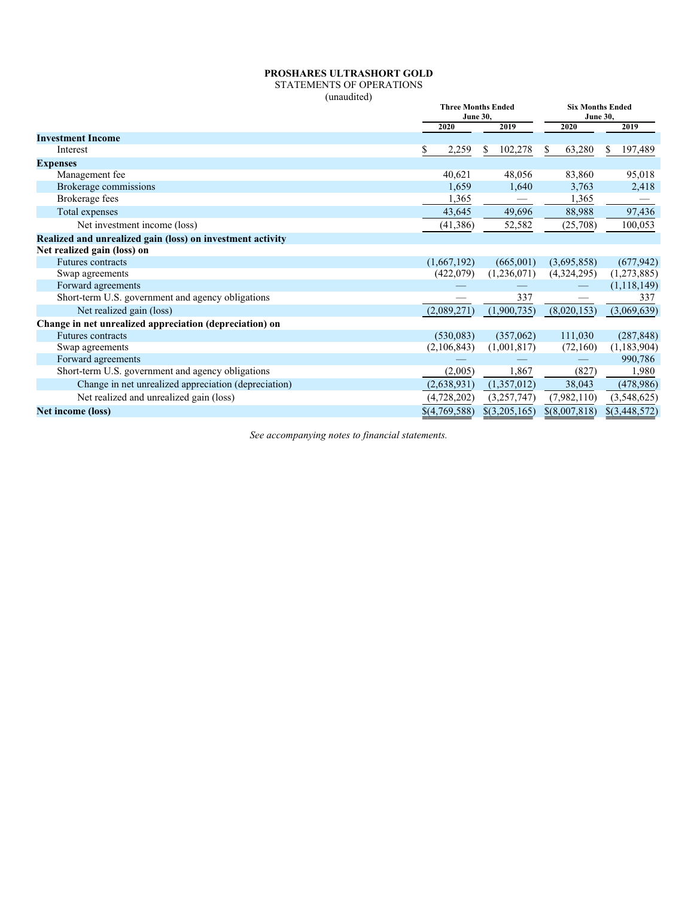## **PROSHARES ULTRASHORT GOLD**  STATEMENTS OF OPERATIONS

(unaudited)

| $($ unuuttuva $($ |               |               |                                                      |                         |  |
|-------------------|---------------|---------------|------------------------------------------------------|-------------------------|--|
|                   |               |               | <b>Six Months Ended</b>                              |                         |  |
|                   |               |               |                                                      | 2019                    |  |
|                   |               |               |                                                      |                         |  |
|                   | 2,259<br>S    | 102,278<br>\$ | 63,280<br>S                                          | 197,489<br>S            |  |
|                   |               |               |                                                      |                         |  |
|                   | 40,621        | 48,056        | 83,860                                               | 95,018                  |  |
|                   | 1,659         | 1,640         | 3,763                                                | 2,418                   |  |
|                   | 1,365         |               | 1,365                                                |                         |  |
|                   | 43,645        | 49,696        | 88,988                                               | 97,436                  |  |
|                   | (41,386)      | 52,582        | (25,708)                                             | 100,053                 |  |
|                   |               |               |                                                      |                         |  |
|                   |               |               |                                                      |                         |  |
|                   | (1,667,192)   | (665,001)     | (3,695,858)                                          | (677, 942)              |  |
|                   | (422,079)     | (1,236,071)   | (4,324,295)                                          | (1,273,885)             |  |
|                   |               |               |                                                      | (1,118,149)             |  |
|                   |               | 337           |                                                      | 337                     |  |
|                   | (2,089,271)   | (1,900,735)   | (8,020,153)                                          | (3,069,639)             |  |
|                   |               |               |                                                      |                         |  |
|                   | (530,083)     | (357,062)     | 111,030                                              | (287, 848)              |  |
|                   | (2,106,843)   | (1,001,817)   | (72,160)                                             | (1,183,904)             |  |
|                   |               |               |                                                      | 990,786                 |  |
|                   | (2,005)       | 1,867         | (827)                                                | 1,980                   |  |
|                   | (2,638,931)   | (1,357,012)   | 38,043                                               | (478,986)               |  |
|                   | (4,728,202)   | (3,257,747)   | (7,982,110)                                          | (3,548,625)             |  |
|                   | \$(4,769,588) | \$(3,205,165) | \$(8,007,818)                                        | \$(3,448,572)           |  |
|                   |               | 2020          | <b>Three Months Ended</b><br><b>June 30,</b><br>2019 | <b>June 30,</b><br>2020 |  |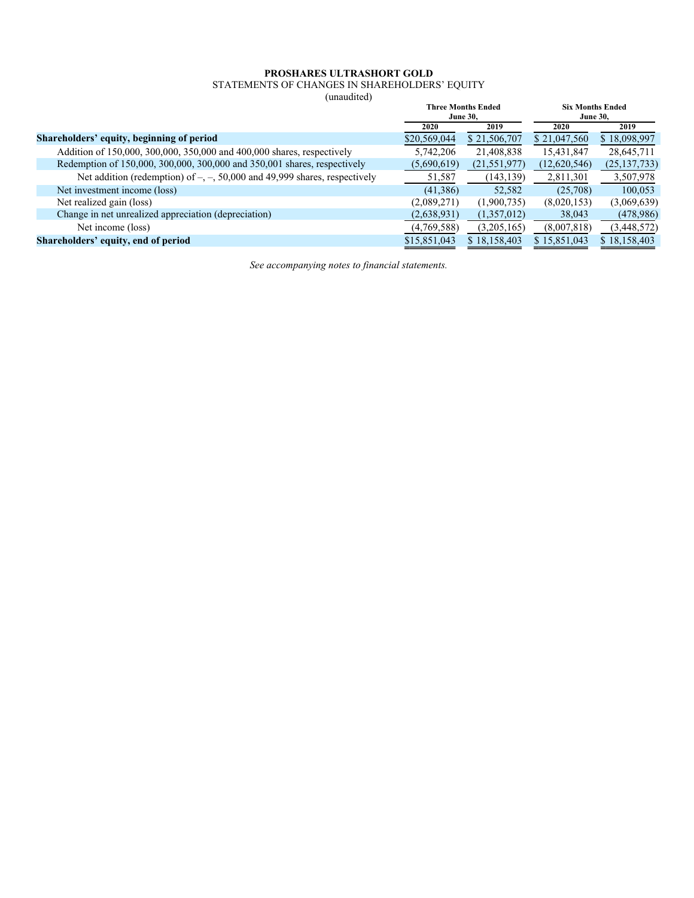# **PROSHARES ULTRASHORT GOLD**  STATEMENTS OF CHANGES IN SHAREHOLDERS' EQUITY

(unaudited)

|                                                                                 | <b>Three Months Ended</b><br><b>June 30,</b> |                | <b>Six Months Ended</b><br><b>June 30,</b> |                |
|---------------------------------------------------------------------------------|----------------------------------------------|----------------|--------------------------------------------|----------------|
|                                                                                 | <b>2020</b>                                  | 2019           | 2020                                       | 2019           |
| Shareholders' equity, beginning of period                                       | \$20,569,044                                 | \$21,506,707   | \$21,047,560                               | \$18,098,997   |
| Addition of 150,000, 300,000, 350,000 and 400,000 shares, respectively          | 5,742,206                                    | 21,408,838     | 15,431,847                                 | 28,645,711     |
| Redemption of 150,000, 300,000, 300,000 and 350,001 shares, respectively        | (5,690,619)                                  | (21, 551, 977) | (12,620,546)                               | (25, 137, 733) |
| Net addition (redemption) of $-$ , $-$ , 50,000 and 49,999 shares, respectively | 51,587                                       | (143, 139)     | 2,811,301                                  | 3,507,978      |
| Net investment income (loss)                                                    | (41, 386)                                    | 52.582         | (25,708)                                   | 100.053        |
| Net realized gain (loss)                                                        | (2,089,271)                                  | (1,900,735)    | (8,020,153)                                | (3,069,639)    |
| Change in net unrealized appreciation (depreciation)                            | (2,638,931)                                  | (1,357,012)    | 38,043                                     | (478,986)      |
| Net income (loss)                                                               | (4,769,588)                                  | (3,205,165)    | (8,007,818)                                | (3,448,572)    |
| Shareholders' equity, end of period                                             | \$15,851,043                                 | \$18,158,403   | \$15,851,043                               | \$18,158,403   |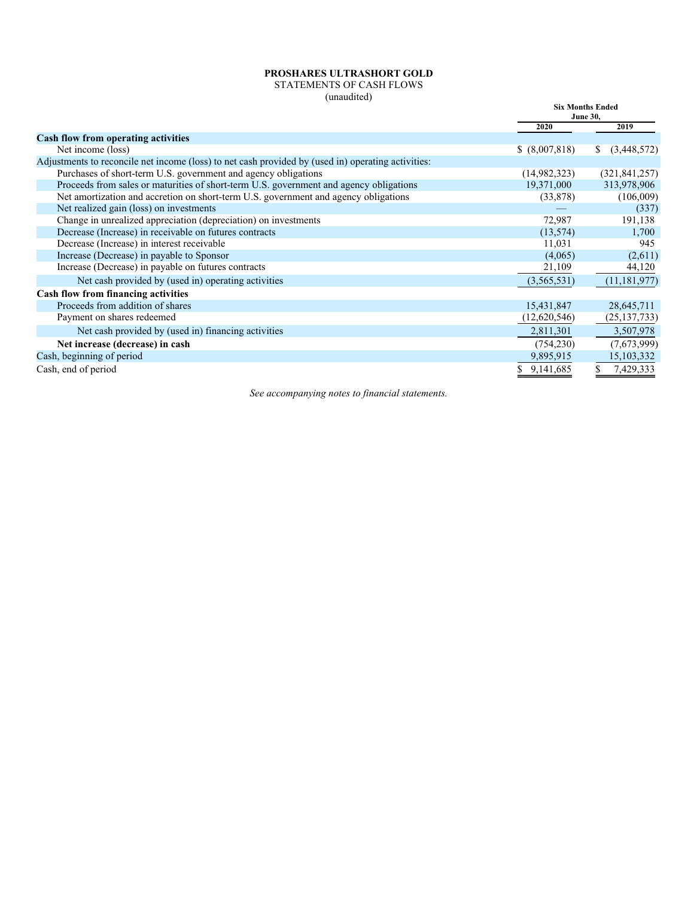# **PROSHARES ULTRASHORT GOLD**

## STATEMENTS OF CASH FLOWS (unaudited)

| $($ unauun $\epsilon$ u                                                                            |                         |                   |
|----------------------------------------------------------------------------------------------------|-------------------------|-------------------|
|                                                                                                    | <b>Six Months Ended</b> |                   |
|                                                                                                    |                         | <b>June 30,</b>   |
|                                                                                                    | 2020                    | 2019              |
| <b>Cash flow from operating activities</b>                                                         |                         |                   |
| Net income (loss)                                                                                  | \$ (8,007,818)          | (3,448,572)<br>S. |
| Adjustments to reconcile net income (loss) to net cash provided by (used in) operating activities: |                         |                   |
| Purchases of short-term U.S. government and agency obligations                                     | (14,982,323)            | (321, 841, 257)   |
| Proceeds from sales or maturities of short-term U.S. government and agency obligations             | 19,371,000              | 313,978,906       |
| Net amortization and accretion on short-term U.S. government and agency obligations                | (33,878)                | (106,009)         |
| Net realized gain (loss) on investments                                                            |                         | (337)             |
| Change in unrealized appreciation (depreciation) on investments                                    | 72,987                  | 191,138           |
| Decrease (Increase) in receivable on futures contracts                                             | (13, 574)               | 1,700             |
| Decrease (Increase) in interest receivable                                                         | 11,031                  | 945               |
| Increase (Decrease) in payable to Sponsor                                                          | (4,065)                 | (2,611)           |
| Increase (Decrease) in payable on futures contracts                                                | 21,109                  | 44,120            |
| Net cash provided by (used in) operating activities                                                | (3,565,531)             | (11, 181, 977)    |
| Cash flow from financing activities                                                                |                         |                   |
| Proceeds from addition of shares                                                                   | 15,431,847              | 28,645,711        |
| Payment on shares redeemed                                                                         | (12,620,546)            | (25, 137, 733)    |
| Net cash provided by (used in) financing activities                                                | 2,811,301               | 3,507,978         |
| Net increase (decrease) in cash                                                                    | (754, 230)              | (7,673,999)       |
| Cash, beginning of period                                                                          | 9,895,915               | 15, 103, 332      |
| Cash, end of period                                                                                | 9,141,685               | 7,429,333         |
|                                                                                                    |                         |                   |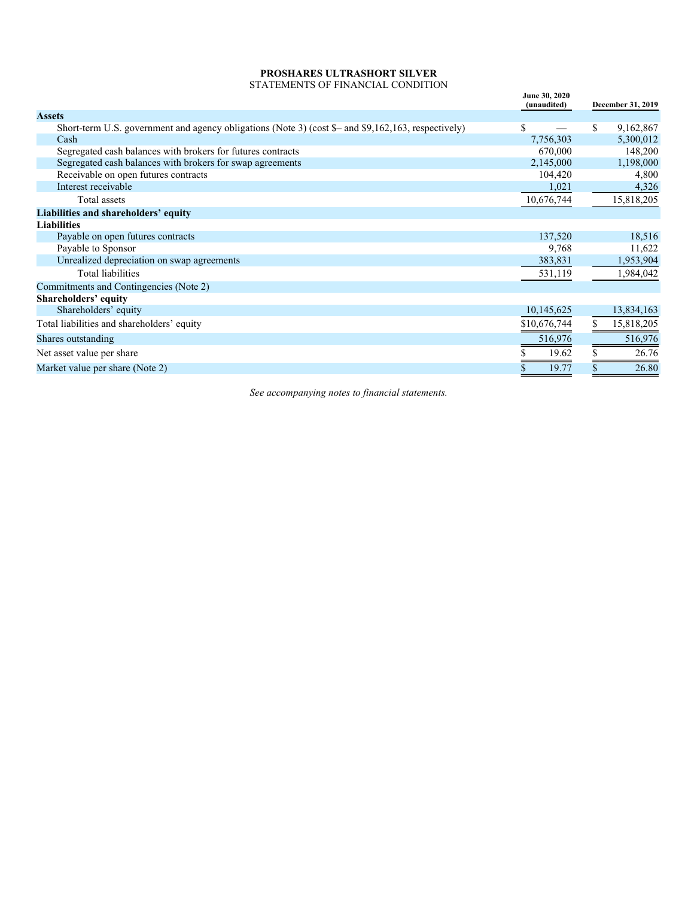# **PROSHARES ULTRASHORT SILVER**

| STATEMENTS OF FINANCIAL CONDITION |  |
|-----------------------------------|--|
|-----------------------------------|--|

|                                                                                                     | June 30, 2020<br>(unaudited) | December 31, 2019 |
|-----------------------------------------------------------------------------------------------------|------------------------------|-------------------|
| <b>Assets</b>                                                                                       |                              |                   |
| Short-term U.S. government and agency obligations (Note 3) (cost \$- and \$9,162,163, respectively) | S                            | 9,162,867<br>S.   |
| Cash                                                                                                | 7,756,303                    | 5,300,012         |
| Segregated cash balances with brokers for futures contracts                                         | 670,000                      | 148,200           |
| Segregated cash balances with brokers for swap agreements                                           | 2,145,000                    | 1,198,000         |
| Receivable on open futures contracts                                                                | 104,420                      | 4,800             |
| Interest receivable                                                                                 | 1,021                        | 4,326             |
| Total assets                                                                                        | 10,676,744                   | 15,818,205        |
| Liabilities and shareholders' equity                                                                |                              |                   |
| <b>Liabilities</b>                                                                                  |                              |                   |
| Payable on open futures contracts                                                                   | 137,520                      | 18,516            |
| Payable to Sponsor                                                                                  | 9,768                        | 11,622            |
| Unrealized depreciation on swap agreements                                                          | 383,831                      | 1,953,904         |
| <b>Total liabilities</b>                                                                            | 531,119                      | 1,984,042         |
| Commitments and Contingencies (Note 2)                                                              |                              |                   |
| Shareholders' equity                                                                                |                              |                   |
| Shareholders' equity                                                                                | 10,145,625                   | 13,834,163        |
| Total liabilities and shareholders' equity                                                          | \$10,676,744                 | \$<br>15,818,205  |
| Shares outstanding                                                                                  | 516,976                      | 516,976           |
| Net asset value per share                                                                           | 19.62                        | 26.76             |
| Market value per share (Note 2)                                                                     | 19.77                        | 26.80             |
|                                                                                                     |                              |                   |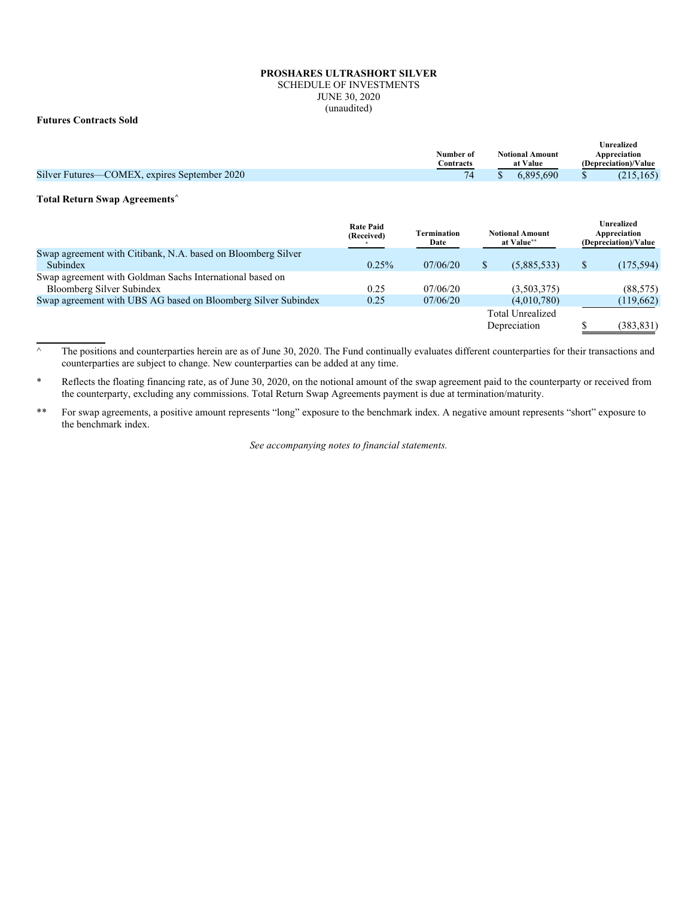#### **PROSHARES ULTRASHORT SILVER**  SCHEDULE OF INVESTMENTS JUNE 30, 2020 (unaudited)

**Futures Contracts Sold** 

|                                              | Number of<br>Contracts | <b>Notional Amount</b><br>at Value | Ulfreanzeu<br>Appreciation<br>(Depreciation)/Value |
|----------------------------------------------|------------------------|------------------------------------|----------------------------------------------------|
| Silver Futures—COMEX, expires September 2020 |                        | 6.895.690                          | (215.165)                                          |
|                                              |                        |                                    |                                                    |

**Unrealized**

## **Total Return Swap Agreements^**

|                                                               | <b>Rate Paid</b><br>(Received) | <b>Termination</b><br>Date | <b>Notional Amount</b><br>at Value** |                         | <b>Unrealized</b><br>Appreciation<br>(Depreciation)/Value |
|---------------------------------------------------------------|--------------------------------|----------------------------|--------------------------------------|-------------------------|-----------------------------------------------------------|
| Swap agreement with Citibank, N.A. based on Bloomberg Silver  |                                |                            |                                      |                         |                                                           |
| Subindex                                                      | 0.25%                          | 07/06/20                   |                                      | (5,885,533)             | \$<br>(175, 594)                                          |
| Swap agreement with Goldman Sachs International based on      |                                |                            |                                      |                         |                                                           |
| Bloomberg Silver Subindex                                     | 0.25                           | 07/06/20                   |                                      | (3,503,375)             | (88, 575)                                                 |
| Swap agreement with UBS AG based on Bloomberg Silver Subindex | 0.25                           | 07/06/20                   |                                      | (4,010,780)             | (119,662)                                                 |
|                                                               |                                |                            |                                      | <b>Total Unrealized</b> |                                                           |
|                                                               |                                |                            |                                      | Depreciation            | (383, 831)                                                |

 $\overline{\phantom{a}}$  The positions and counterparties herein are as of June 30, 2020. The Fund continually evaluates different counterparties for their transactions and counterparties are subject to change. New counterparties can be added at any time.

\* Reflects the floating financing rate, as of June 30, 2020, on the notional amount of the swap agreement paid to the counterparty or received from the counterparty, excluding any commissions. Total Return Swap Agreements payment is due at termination/maturity.

\*\* For swap agreements, a positive amount represents "long" exposure to the benchmark index. A negative amount represents "short" exposure to the benchmark index.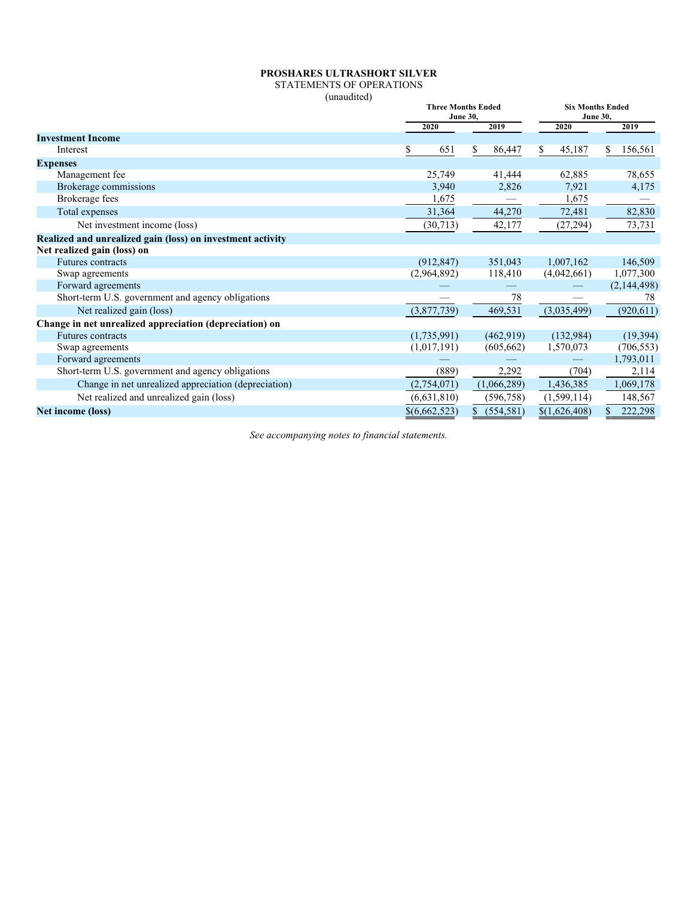# **PROSHARES ULTRASHORT SILVER**

STATEMENTS OF OPERATIONS (unaudited)

| (unduliva) |                           |             |                          |                                            |
|------------|---------------------------|-------------|--------------------------|--------------------------------------------|
|            | <b>Three Months Ended</b> |             |                          |                                            |
|            | 2020                      | 2019        | 2020                     | 2019                                       |
|            |                           |             |                          |                                            |
|            | 651                       | S<br>86,447 | 45,187<br>\$             | 156,561<br>\$                              |
|            |                           |             |                          |                                            |
|            | 25,749                    | 41,444      | 62,885                   | 78,655                                     |
|            | 3,940                     | 2,826       | 7,921                    | 4,175                                      |
|            | 1,675                     |             | 1,675                    |                                            |
|            | 31,364                    | 44,270      | 72,481                   | 82,830                                     |
|            | (30,713)                  | 42,177      | (27, 294)                | 73,731                                     |
|            |                           |             |                          |                                            |
|            |                           |             |                          |                                            |
|            | (912, 847)                | 351,043     | 1,007,162                | 146,509                                    |
|            | (2,964,892)               | 118,410     | (4,042,661)              | 1,077,300                                  |
|            |                           |             |                          | (2,144,498)                                |
|            |                           | 78          |                          | 78                                         |
|            | (3,877,739)               | 469,531     | (3,035,499)              | (920, 611)                                 |
|            |                           |             |                          |                                            |
|            | (1,735,991)               | (462,919)   | (132, 984)               | (19,394)                                   |
|            | (1,017,191)               | (605, 662)  | 1,570,073                | (706, 553)                                 |
|            |                           |             |                          | 1,793,011                                  |
|            | (889)                     |             | (704)                    | 2,114                                      |
|            | (2,754,071)               | (1,066,289) | 1,436,385                | 1,069,178                                  |
|            | (6, 631, 810)             | (596, 758)  | (1,599,114)              | 148,567                                    |
|            | \$(6,662,523)             | (554, 581)  | \$(1,626,408)            | 222,298                                    |
|            |                           |             | <b>June 30,</b><br>2,292 | <b>Six Months Ended</b><br><b>June 30,</b> |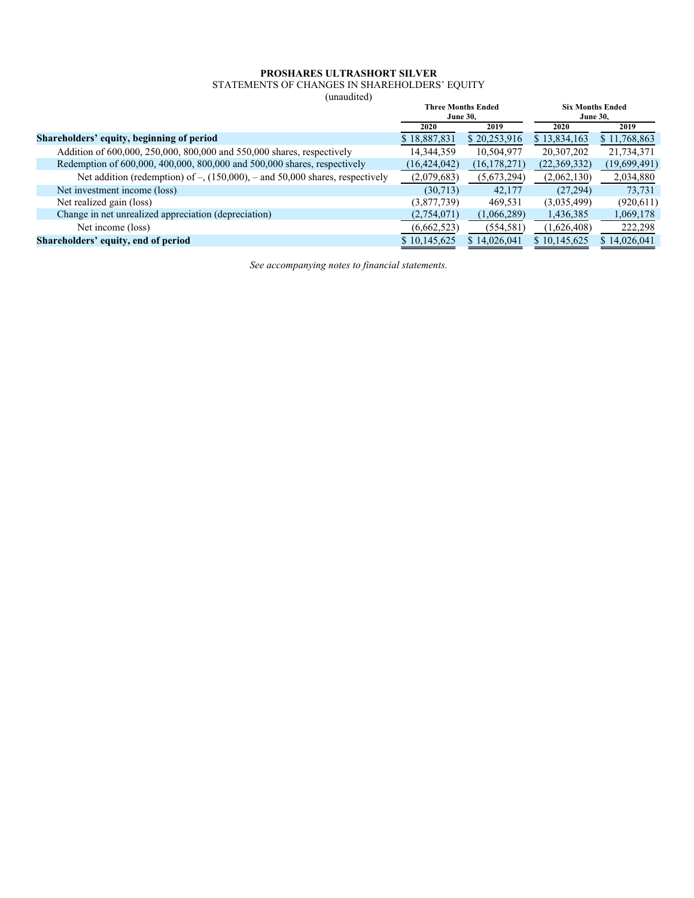## **PROSHARES ULTRASHORT SILVER**  STATEMENTS OF CHANGES IN SHAREHOLDERS' EQUITY

(unaudited)

|                                                                                | <b>Three Months Ended</b><br><b>June 30.</b> |                | <b>Six Months Ended</b><br><b>June 30,</b> |              |
|--------------------------------------------------------------------------------|----------------------------------------------|----------------|--------------------------------------------|--------------|
|                                                                                | 2020                                         | 2019           | <b>2020</b>                                | 2019         |
| Shareholders' equity, beginning of period                                      | \$18,887,831                                 | \$20,253,916   | \$13,834,163                               | \$11,768,863 |
| Addition of 600,000, 250,000, 800,000 and 550,000 shares, respectively         | 14,344,359                                   | 10,504,977     | 20,307,202                                 | 21,734,371   |
| Redemption of 600,000, 400,000, 800,000 and 500,000 shares, respectively       | (16, 424, 042)                               | (16, 178, 271) | (22,369,332)                               | (19,699,491) |
| Net addition (redemption) of $-, (150,000), -$ and 50,000 shares, respectively | (2,079,683)                                  | (5,673,294)    | (2,062,130)                                | 2,034,880    |
| Net investment income (loss)                                                   | (30,713)                                     | 42,177         | (27, 294)                                  | 73.731       |
| Net realized gain (loss)                                                       | (3,877,739)                                  | 469,531        | (3,035,499)                                | (920, 611)   |
| Change in net unrealized appreciation (depreciation)                           | (2,754,071)                                  | (1,066,289)    | 1,436,385                                  | 1,069,178    |
| Net income (loss)                                                              | (6,662,523)                                  | (554, 581)     | (1,626,408)                                | 222,298      |
| Shareholders' equity, end of period                                            | \$10,145,625                                 | \$14,026,041   | \$10,145,625                               | \$14,026,041 |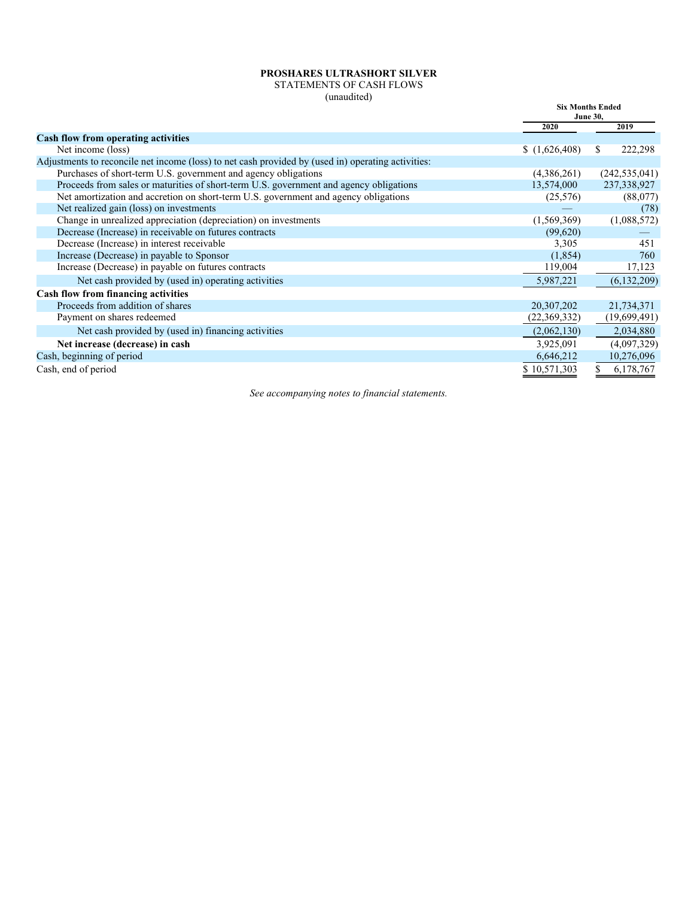# **PROSHARES ULTRASHORT SILVER**

## STATEMENTS OF CASH FLOWS (unaudited)

| $($ unauun $\epsilon$ u                                                                            |              |                         |
|----------------------------------------------------------------------------------------------------|--------------|-------------------------|
|                                                                                                    |              | <b>Six Months Ended</b> |
|                                                                                                    |              | <b>June 30,</b>         |
|                                                                                                    | 2020         | 2019                    |
| <b>Cash flow from operating activities</b>                                                         |              |                         |
| Net income (loss)                                                                                  | (1,626,408)  | 222,298<br>S.           |
| Adjustments to reconcile net income (loss) to net cash provided by (used in) operating activities: |              |                         |
| Purchases of short-term U.S. government and agency obligations                                     | (4,386,261)  | (242, 535, 041)         |
| Proceeds from sales or maturities of short-term U.S. government and agency obligations             | 13,574,000   | 237,338,927             |
| Net amortization and accretion on short-term U.S. government and agency obligations                | (25, 576)    | (88,077)                |
| Net realized gain (loss) on investments                                                            |              | (78)                    |
| Change in unrealized appreciation (depreciation) on investments                                    | (1,569,369)  | (1,088,572)             |
| Decrease (Increase) in receivable on futures contracts                                             | (99,620)     |                         |
| Decrease (Increase) in interest receivable                                                         | 3,305        | 451                     |
| Increase (Decrease) in payable to Sponsor                                                          | (1, 854)     | 760                     |
| Increase (Decrease) in payable on futures contracts                                                | 119,004      | 17,123                  |
| Net cash provided by (used in) operating activities                                                | 5,987,221    | (6,132,209)             |
| Cash flow from financing activities                                                                |              |                         |
| Proceeds from addition of shares                                                                   | 20,307,202   | 21,734,371              |
| Payment on shares redeemed                                                                         | (22,369,332) | (19,699,491)            |
| Net cash provided by (used in) financing activities                                                | (2,062,130)  | 2,034,880               |
| Net increase (decrease) in cash                                                                    | 3,925,091    | (4,097,329)             |
| Cash, beginning of period                                                                          | 6,646,212    | 10,276,096              |
| Cash, end of period                                                                                | \$10,571,303 | 6,178,767               |
|                                                                                                    |              |                         |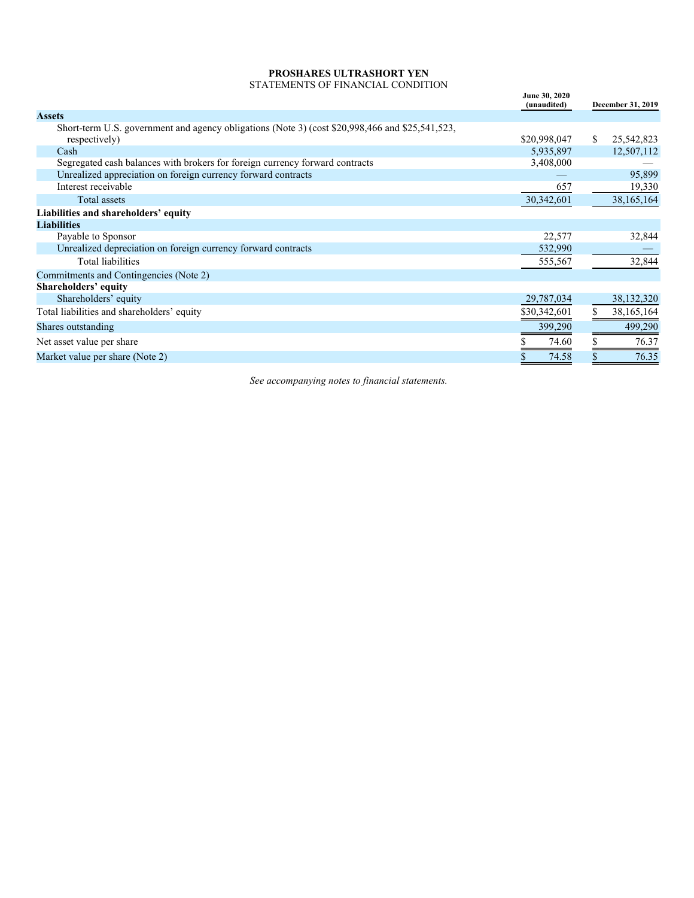## **PROSHARES ULTRASHORT YEN**  STATEMENTS OF FINANCIAL CONDITION

| этатемертэ от тирарскае совотнов                                                                |                              |                    |
|-------------------------------------------------------------------------------------------------|------------------------------|--------------------|
|                                                                                                 | June 30, 2020<br>(unaudited) | December 31, 2019  |
| <b>Assets</b>                                                                                   |                              |                    |
| Short-term U.S. government and agency obligations (Note 3) (cost \$20,998,466 and \$25,541,523, |                              |                    |
| respectively)                                                                                   | \$20,998,047                 | 25,542,823<br>S.   |
| Cash                                                                                            | 5,935,897                    | 12,507,112         |
| Segregated cash balances with brokers for foreign currency forward contracts                    | 3,408,000                    |                    |
| Unrealized appreciation on foreign currency forward contracts                                   |                              | 95,899             |
| Interest receivable                                                                             | 657                          | 19,330             |
| Total assets                                                                                    | 30,342,601                   | 38,165,164         |
| Liabilities and shareholders' equity                                                            |                              |                    |
| <b>Liabilities</b>                                                                              |                              |                    |
| Payable to Sponsor                                                                              | 22,577                       | 32,844             |
| Unrealized depreciation on foreign currency forward contracts                                   | 532,990                      |                    |
| <b>Total liabilities</b>                                                                        | 555,567                      | 32,844             |
| Commitments and Contingencies (Note 2)                                                          |                              |                    |
| Shareholders' equity                                                                            |                              |                    |
| Shareholders' equity                                                                            | 29,787,034                   | 38, 132, 320       |
| Total liabilities and shareholders' equity                                                      | \$30,342,601                 | 38, 165, 164<br>\$ |
| Shares outstanding                                                                              | 399,290                      | 499,290            |
| Net asset value per share                                                                       | 74.60                        | 76.37              |
| Market value per share (Note 2)                                                                 | 74.58                        | 76.35              |
|                                                                                                 |                              |                    |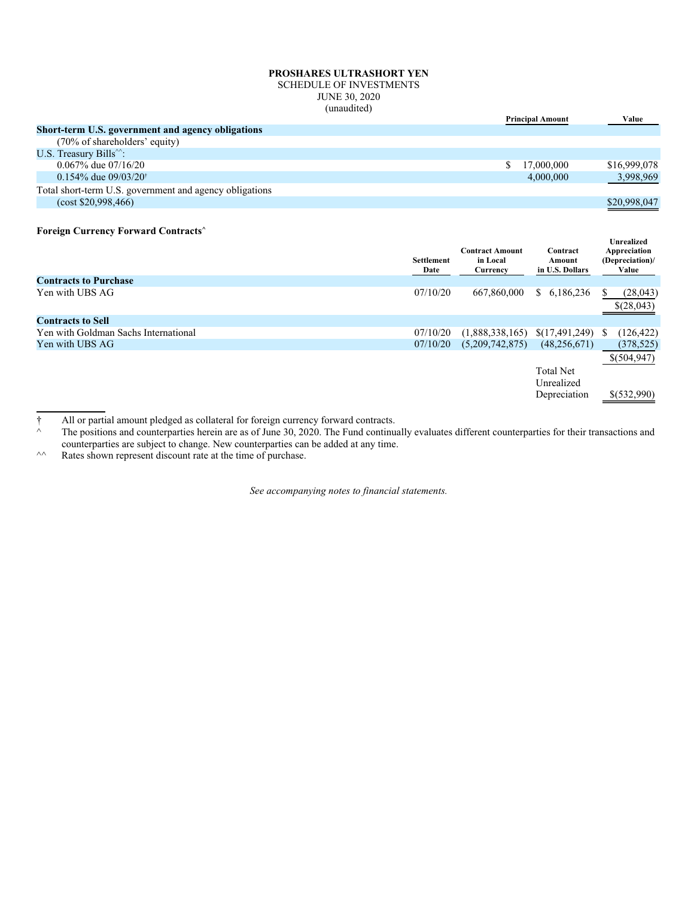#### **PROSHARES ULTRASHORT YEN**  SCHEDULE OF INVESTMENTS

# JUNE 30, 2020

(unaudited)

| -------------                                           |                         |              |
|---------------------------------------------------------|-------------------------|--------------|
|                                                         | <b>Principal Amount</b> | Value        |
| Short-term U.S. government and agency obligations       |                         |              |
| $(70\% \text{ of sharcholders' equity})$                |                         |              |
| U.S. Treasury Bills $\sim$ :                            |                         |              |
| $0.067\%$ due $07/16/20$                                | 17,000,000              | \$16,999,078 |
| $0.154\%$ due $09/03/20^{\dagger}$                      | 4.000.000               | 3,998,969    |
| Total short-term U.S. government and agency obligations |                         |              |
| (cost \$20,998,466)                                     |                         | \$20,998,047 |

## **Foreign Currency Forward Contracts^**

| Fortigh Currency Forward Contracts   |                           |                                                |                                                |                                                               |
|--------------------------------------|---------------------------|------------------------------------------------|------------------------------------------------|---------------------------------------------------------------|
|                                      | <b>Settlement</b><br>Date | <b>Contract Amount</b><br>in Local<br>Currency | Contract<br>Amount<br>in U.S. Dollars          | <b>Unrealized</b><br>Appreciation<br>(Depreciation)/<br>Value |
| <b>Contracts to Purchase</b>         |                           |                                                |                                                |                                                               |
| Yen with UBS AG                      | 07/10/20                  | 667,860,000                                    | 6,186,236<br><sup>S</sup>                      | (28, 043)<br>S.<br>\$(28,043)                                 |
| <b>Contracts to Sell</b>             |                           |                                                |                                                |                                                               |
| Yen with Goldman Sachs International | 07/10/20                  | (1,888,338,165)                                | \$(17,491,249)                                 | (126, 422)<br>S.                                              |
| Yen with UBS AG                      | 07/10/20                  | (5,209,742,875)                                | (48, 256, 671)                                 | (378, 525)                                                    |
|                                      |                           |                                                |                                                | \$(504,947)                                                   |
|                                      |                           |                                                | <b>Total Net</b><br>Unrealized<br>Depreciation | \$(532,990)                                                   |

<sup>†</sup> All or partial amount pledged as collateral for foreign currency forward contracts.<br>The positions and counterparties herein are as of lune 30, 2020. The Eund continua

The positions and counterparties herein are as of June 30, 2020. The Fund continually evaluates different counterparties for their transactions and counterparties are subject to change. New counterparties can be added at any time.

 $\wedge$  Rates shown represent discount rate at the time of purchase.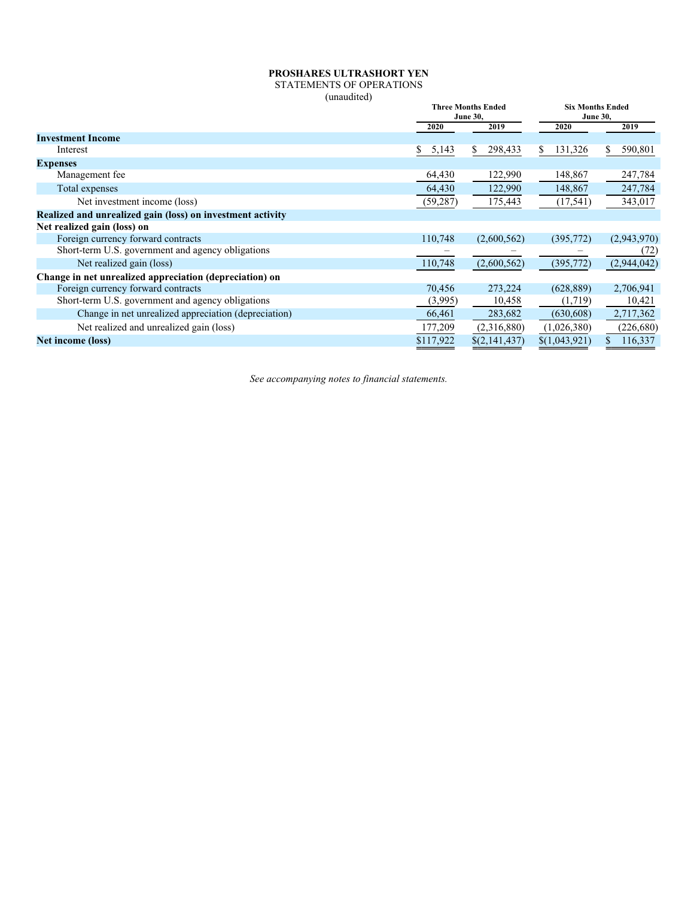# **PROSHARES ULTRASHORT YEN**

# STATEMENTS OF OPERATIONS

(unaudited)

|                                                            |             | <b>Three Months Ended</b> |                         | <b>Six Months Ended</b> |
|------------------------------------------------------------|-------------|---------------------------|-------------------------|-------------------------|
|                                                            | 2020        | <b>June 30,</b><br>2019   | <b>June 30,</b><br>2020 | 2019                    |
| <b>Investment Income</b>                                   |             |                           |                         |                         |
| Interest                                                   | 5,143<br>S. | 298,433<br>S.             | 131,326<br>S.           | 590,801                 |
| <b>Expenses</b>                                            |             |                           |                         |                         |
| Management fee                                             | 64,430      | 122,990                   | 148,867                 | 247,784                 |
| Total expenses                                             | 64,430      | 122,990                   | 148,867                 | 247,784                 |
| Net investment income (loss)                               | (59, 287)   | 175,443                   | (17, 541)               | 343,017                 |
| Realized and unrealized gain (loss) on investment activity |             |                           |                         |                         |
| Net realized gain (loss) on                                |             |                           |                         |                         |
| Foreign currency forward contracts                         | 110,748     | (2,600,562)               | (395,772)               | (2,943,970)             |
| Short-term U.S. government and agency obligations          |             |                           |                         | (72)                    |
| Net realized gain (loss)                                   | 110,748     | (2,600,562)               | (395,772)               | (2,944,042)             |
| Change in net unrealized appreciation (depreciation) on    |             |                           |                         |                         |
| Foreign currency forward contracts                         | 70,456      | 273,224                   | (628, 889)              | 2,706,941               |
| Short-term U.S. government and agency obligations          | (3,995)     | 10,458                    | (1,719)                 | 10,421                  |
| Change in net unrealized appreciation (depreciation)       | 66,461      | 283,682                   | (630, 608)              | 2,717,362               |
| Net realized and unrealized gain (loss)                    | 177,209     | (2,316,880)               | (1,026,380)             | (226,680)               |
| Net income (loss)                                          | \$117,922   | \$(2,141,437)             | \$(1,043,921)           | 116,337                 |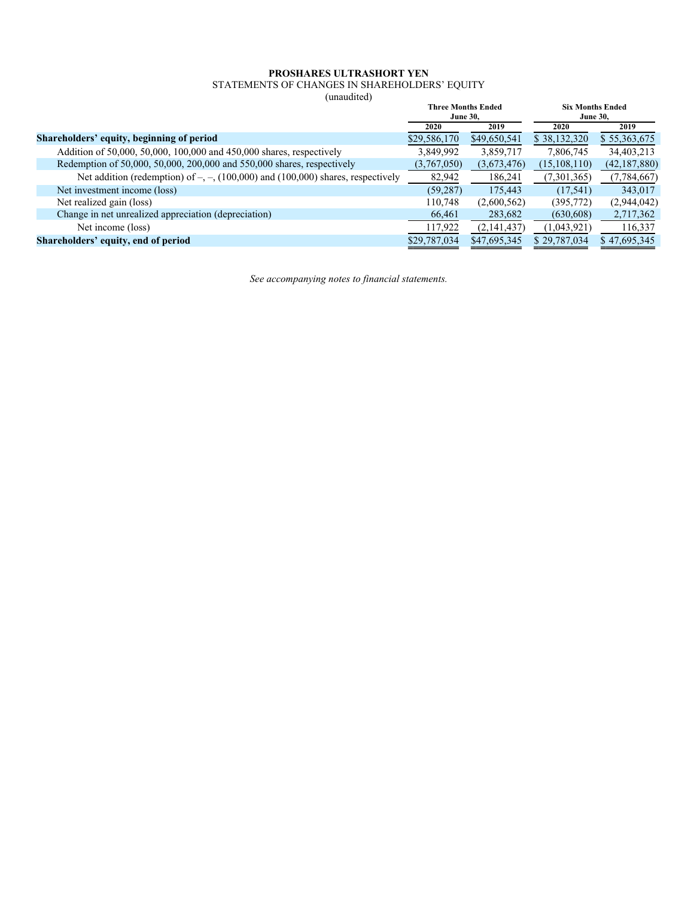## **PROSHARES ULTRASHORT YEN**  STATEMENTS OF CHANGES IN SHAREHOLDERS' EQUITY

(unaudited)

|                                                                                       | <b>Three Months Ended</b><br><b>June 30.</b> |              |                | <b>Six Months Ended</b><br><b>June 30,</b> |  |
|---------------------------------------------------------------------------------------|----------------------------------------------|--------------|----------------|--------------------------------------------|--|
|                                                                                       | 2020                                         | 2019         | 2020           | 2019                                       |  |
| Shareholders' equity, beginning of period                                             | \$29,586,170                                 | \$49,650,541 | \$38,132,320   | \$55,363,675                               |  |
| Addition of 50,000, 50,000, 100,000 and 450,000 shares, respectively                  | 3,849,992                                    | 3,859,717    | 7,806,745      | 34,403,213                                 |  |
| Redemption of 50,000, 50,000, 200,000 and 550,000 shares, respectively                | (3,767,050)                                  | (3,673,476)  | (15, 108, 110) | (42, 187, 880)                             |  |
| Net addition (redemption) of $-$ , $-$ , (100,000) and (100,000) shares, respectively | 82,942                                       | 186,241      | (7,301,365)    | (7,784,667)                                |  |
| Net investment income (loss)                                                          | (59, 287)                                    | 175,443      | (17, 541)      | 343,017                                    |  |
| Net realized gain (loss)                                                              | 110.748                                      | (2,600,562)  | (395,772)      | (2,944,042)                                |  |
| Change in net unrealized appreciation (depreciation)                                  | 66,461                                       | 283,682      | (630, 608)     | 2,717,362                                  |  |
| Net income (loss)                                                                     | 117,922                                      | (2,141,437)  | (1,043,921)    | 116,337                                    |  |
| Shareholders' equity, end of period                                                   | \$29,787,034                                 | \$47,695,345 | \$29,787,034   | \$47,695,345                               |  |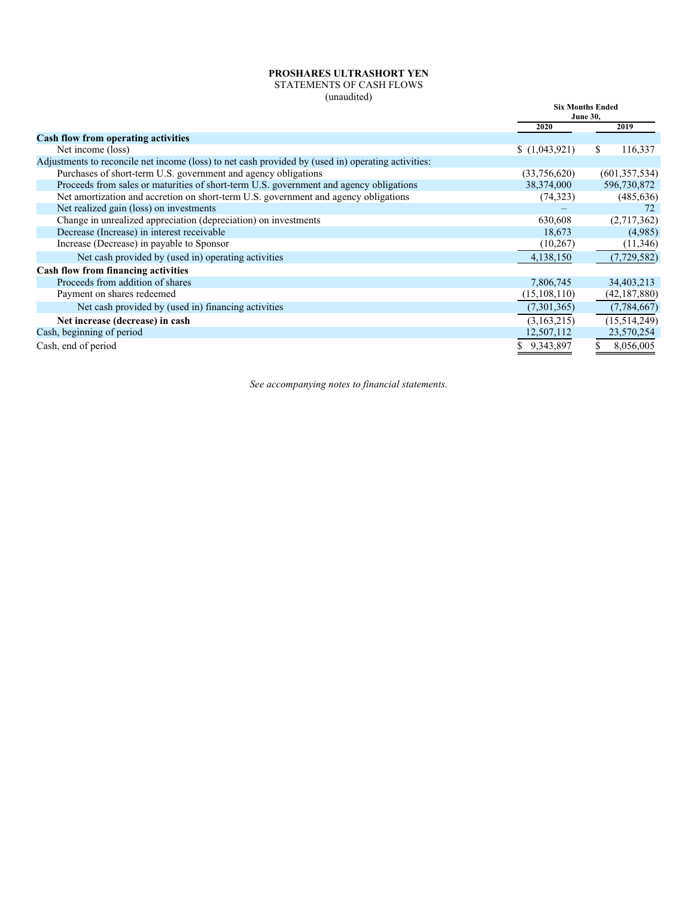# **PROSHARES ULTRASHORT YEN**

## STATEMENTS OF CASH FLOWS (unaudited)

| , unuunnon,                                                                                        | <b>Six Months Ended</b><br><b>June 30,</b> |                 |
|----------------------------------------------------------------------------------------------------|--------------------------------------------|-----------------|
|                                                                                                    | 2020                                       | 2019            |
| <b>Cash flow from operating activities</b>                                                         |                                            |                 |
| Net income (loss)                                                                                  | (1,043,921)                                | 116,337<br>S.   |
| Adjustments to reconcile net income (loss) to net cash provided by (used in) operating activities: |                                            |                 |
| Purchases of short-term U.S. government and agency obligations                                     | (33,756,620)                               | (601, 357, 534) |
| Proceeds from sales or maturities of short-term U.S. government and agency obligations             | 38,374,000                                 | 596,730,872     |
| Net amortization and accretion on short-term U.S. government and agency obligations                | (74, 323)                                  | (485, 636)      |
| Net realized gain (loss) on investments                                                            |                                            | 72              |
| Change in unrealized appreciation (depreciation) on investments                                    | 630,608                                    | (2,717,362)     |
| Decrease (Increase) in interest receivable                                                         | 18,673                                     | (4,985)         |
| Increase (Decrease) in payable to Sponsor                                                          | (10, 267)                                  | (11,346)        |
| Net cash provided by (used in) operating activities                                                | 4,138,150                                  | (7,729,582)     |
| Cash flow from financing activities                                                                |                                            |                 |
| Proceeds from addition of shares                                                                   | 7,806,745                                  | 34,403,213      |
| Payment on shares redeemed                                                                         | (15, 108, 110)                             | (42, 187, 880)  |
| Net cash provided by (used in) financing activities                                                | (7,301,365)                                | (7,784,667)     |
| Net increase (decrease) in cash                                                                    | (3,163,215)                                | (15,514,249)    |
| Cash, beginning of period                                                                          | 12,507,112                                 | 23,570,254      |
| Cash, end of period                                                                                | \$9,343,897                                | 8,056,005<br>\$ |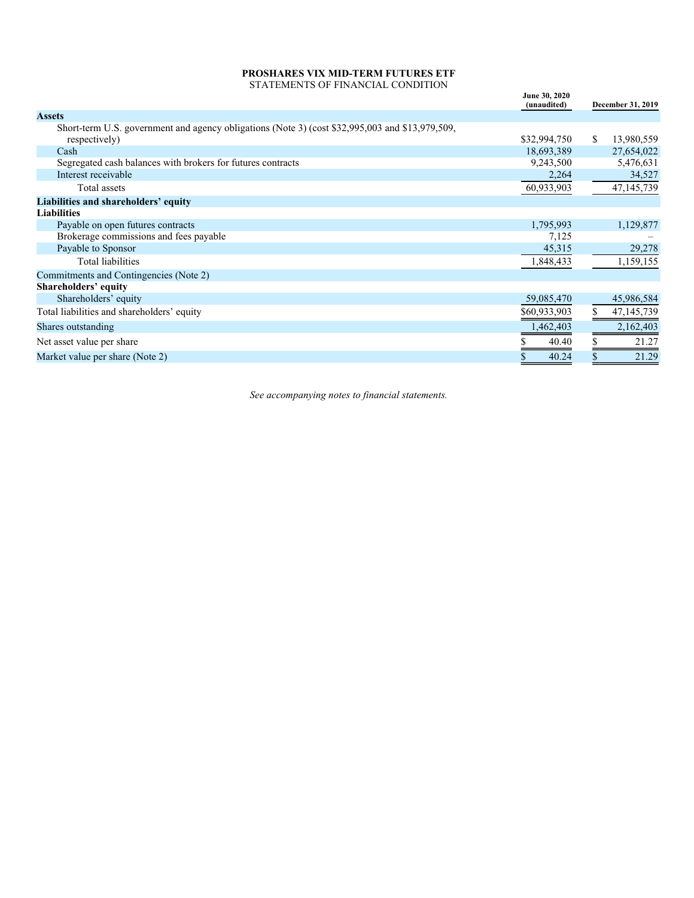STATEMENTS OF FINANCIAL CONDITION

| <u>STATEMENTS OF FINANCIAL CONDITION</u>                                                        |                              |                    |
|-------------------------------------------------------------------------------------------------|------------------------------|--------------------|
|                                                                                                 | June 30, 2020<br>(unaudited) | December 31, 2019  |
| <b>Assets</b>                                                                                   |                              |                    |
| Short-term U.S. government and agency obligations (Note 3) (cost \$32,995,003 and \$13,979,509, |                              |                    |
| respectively)                                                                                   | \$32,994,750                 | 13,980,559<br>S.   |
| Cash                                                                                            | 18,693,389                   | 27,654,022         |
| Segregated cash balances with brokers for futures contracts                                     | 9,243,500                    | 5,476,631          |
| Interest receivable                                                                             | 2,264                        | 34,527             |
| Total assets                                                                                    | 60,933,903                   | 47,145,739         |
| Liabilities and shareholders' equity                                                            |                              |                    |
| <b>Liabilities</b>                                                                              |                              |                    |
| Payable on open futures contracts                                                               | 1,795,993                    | 1,129,877          |
| Brokerage commissions and fees payable                                                          | 7,125                        |                    |
| Payable to Sponsor                                                                              | 45,315                       | 29,278             |
| Total liabilities                                                                               | 1,848,433                    | 1,159,155          |
| Commitments and Contingencies (Note 2)                                                          |                              |                    |
| Shareholders' equity                                                                            |                              |                    |
| Shareholders' equity                                                                            | 59,085,470                   | 45,986,584         |
| Total liabilities and shareholders' equity                                                      | \$60,933,903                 | \$<br>47, 145, 739 |
| Shares outstanding                                                                              | 1,462,403                    | 2,162,403          |
| Net asset value per share                                                                       | 40.40                        | 21.27              |
| Market value per share (Note 2)                                                                 | 40.24                        | 21.29              |
|                                                                                                 |                              |                    |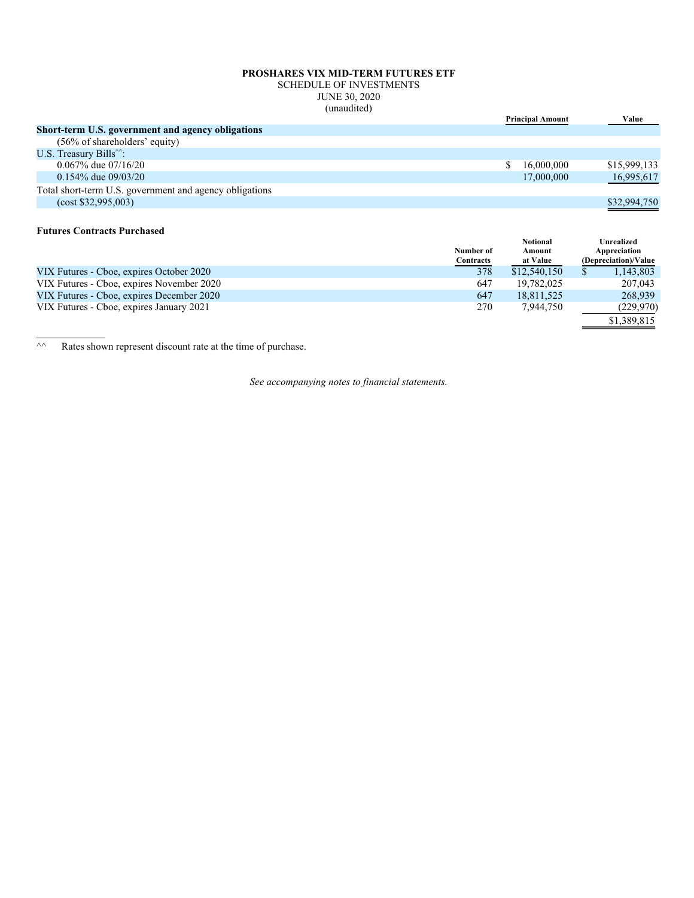### SCHEDULE OF INVESTMENTS JUNE 30, 2020

(unaudited)

|                                                         | <b>Principal Amount</b> | Value        |
|---------------------------------------------------------|-------------------------|--------------|
| Short-term U.S. government and agency obligations       |                         |              |
| $(56\% \text{ of sharedholders' equity})$               |                         |              |
| U.S. Treasury Bills $\sim$ :                            |                         |              |
| $0.067\%$ due $07/16/20$                                | 16,000,000              | \$15,999,133 |
| $0.154\%$ due $09/03/20$                                | 17,000,000              | 16,995,617   |
| Total short-term U.S. government and agency obligations |                         |              |
| (cost \$32,995,003)                                     |                         | \$32,994,750 |
|                                                         |                         |              |

# **Futures Contracts Purchased**

| Tutul ts Contracts Turchastu              | Number of | Notional<br>Amount |  | <b>Unrealized</b><br>Appreciation |  |
|-------------------------------------------|-----------|--------------------|--|-----------------------------------|--|
|                                           | Contracts | at Value           |  | (Depreciation)/Value              |  |
| VIX Futures - Cboe, expires October 2020  | 378       | \$12,540,150       |  | 1,143,803                         |  |
| VIX Futures - Cboe, expires November 2020 | 647       | 19,782,025         |  | 207,043                           |  |
| VIX Futures - Cboe, expires December 2020 | 647       | 18,811,525         |  | 268,939                           |  |
| VIX Futures - Cboe, expires January 2021  | 270       | 7.944.750          |  | (229,970)                         |  |
|                                           |           |                    |  | \$1,389,815                       |  |

 $\overline{\wedge\wedge}$  Rates shown represent discount rate at the time of purchase.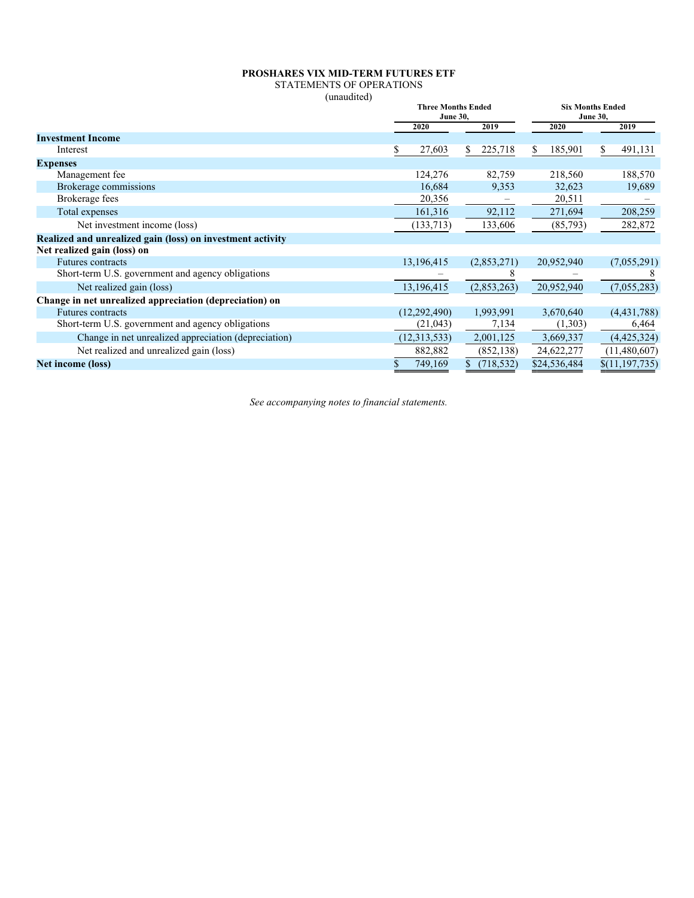## STATEMENTS OF OPERATIONS (unaudited)

|                                                            | <b>Three Months Ended</b><br><b>June 30,</b> |             | <b>Six Months Ended</b><br><b>June 30,</b> |                |
|------------------------------------------------------------|----------------------------------------------|-------------|--------------------------------------------|----------------|
|                                                            | 2020                                         | 2019        | 2020                                       | 2019           |
| <b>Investment Income</b>                                   |                                              |             |                                            |                |
| Interest                                                   | 27,603<br>S                                  | 225,718     | 185,901                                    | 491,131<br>S.  |
| <b>Expenses</b>                                            |                                              |             |                                            |                |
| Management fee                                             | 124,276                                      | 82,759      | 218,560                                    | 188,570        |
| Brokerage commissions                                      | 16,684                                       | 9,353       | 32,623                                     | 19,689         |
| Brokerage fees                                             | 20,356                                       |             | 20,511                                     |                |
| Total expenses                                             | 161,316                                      | 92,112      | 271,694                                    | 208,259        |
| Net investment income (loss)                               | (133, 713)                                   | 133,606     | (85,793)                                   | 282,872        |
| Realized and unrealized gain (loss) on investment activity |                                              |             |                                            |                |
| Net realized gain (loss) on                                |                                              |             |                                            |                |
| <b>Futures contracts</b>                                   | 13,196,415                                   | (2,853,271) | 20,952,940                                 | (7,055,291)    |
| Short-term U.S. government and agency obligations          |                                              |             |                                            |                |
| Net realized gain (loss)                                   | 13,196,415                                   | (2,853,263) | 20,952,940                                 | (7,055,283)    |
| Change in net unrealized appreciation (depreciation) on    |                                              |             |                                            |                |
| <b>Futures</b> contracts                                   | (12, 292, 490)                               | 1,993,991   | 3,670,640                                  | (4,431,788)    |
| Short-term U.S. government and agency obligations          | (21, 043)                                    | 7,134       | (1,303)                                    | 6,464          |
| Change in net unrealized appreciation (depreciation)       | (12, 313, 533)                               | 2,001,125   | 3,669,337                                  | (4,425,324)    |
| Net realized and unrealized gain (loss)                    | 882,882                                      | (852, 138)  | 24,622,277                                 | (11,480,607)   |
| Net income (loss)                                          | 749,169<br>S                                 | (718, 532)  | \$24,536,484                               | \$(11,197,735) |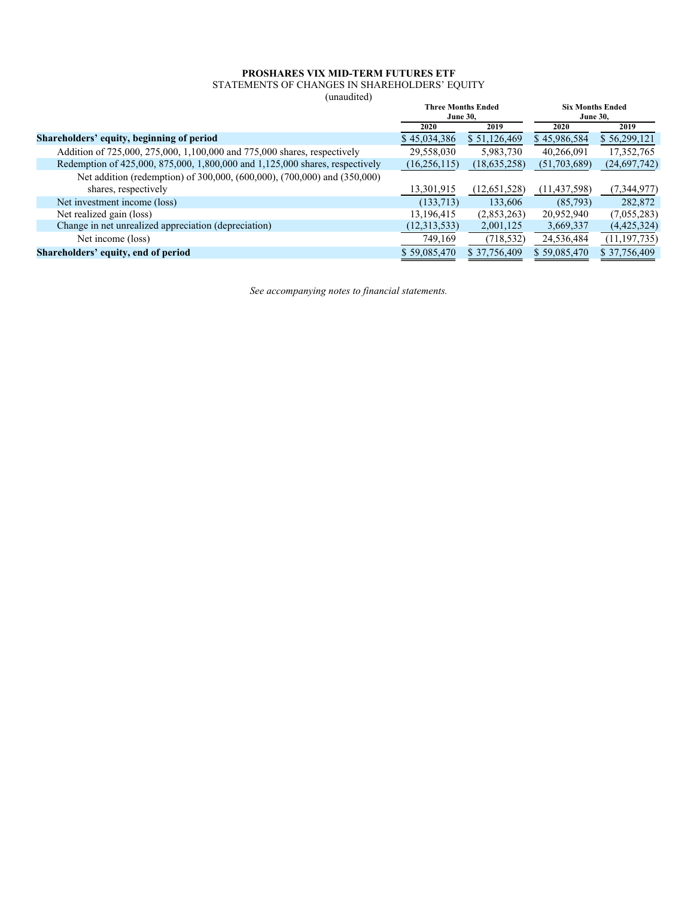## **PROSHARES VIX MID-TERM FUTURES ETF**  STATEMENTS OF CHANGES IN SHAREHOLDERS' EQUITY

(unaudited)

|                                                                              | <b>Three Months Ended</b><br><b>June 30,</b> |                | <b>Six Months Ended</b><br><b>June 30,</b> |                |
|------------------------------------------------------------------------------|----------------------------------------------|----------------|--------------------------------------------|----------------|
|                                                                              | 2020                                         | 2019           | <b>2020</b>                                | 2019           |
| Shareholders' equity, beginning of period                                    | \$45,034,386                                 | \$51,126,469   | \$45,986,584                               | \$56,299,121   |
| Addition of 725,000, 275,000, 1,100,000 and 775,000 shares, respectively     | 29,558,030                                   | 5,983,730      | 40,266,091                                 | 17,352,765     |
| Redemption of 425,000, 875,000, 1,800,000 and 1,125,000 shares, respectively | (16, 256, 115)                               | (18, 635, 258) | (51,703,689)                               | (24,697,742)   |
| Net addition (redemption) of 300,000, (600,000), (700,000) and (350,000)     |                                              |                |                                            |                |
| shares, respectively                                                         | 13,301,915                                   | (12,651,528)   | (11, 437, 598)                             | (7,344,977)    |
| Net investment income (loss)                                                 | (133,713)                                    | 133,606        | (85,793)                                   | 282,872        |
| Net realized gain (loss)                                                     | 13,196,415                                   | (2,853,263)    | 20,952,940                                 | (7,055,283)    |
| Change in net unrealized appreciation (depreciation)                         | (12,313,533)                                 | 2,001,125      | 3,669,337                                  | (4,425,324)    |
| Net income (loss)                                                            | 749,169                                      | (718, 532)     | 24,536,484                                 | (11, 197, 735) |
| Shareholders' equity, end of period                                          | \$59,085,470                                 | \$37,756,409   | \$59,085,470                               | \$37,756,409   |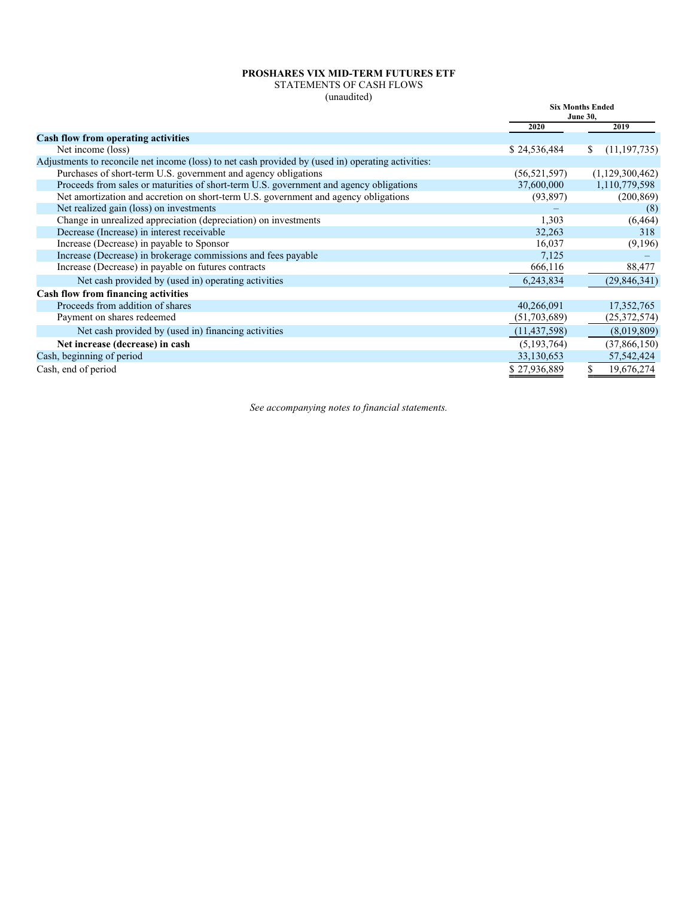## STATEMENTS OF CASH FLOWS (unaudited)

| , unuunnon,                                                                                        | <b>Six Months Ended</b><br><b>June 30,</b> |                      |
|----------------------------------------------------------------------------------------------------|--------------------------------------------|----------------------|
|                                                                                                    | 2020                                       | 2019                 |
| <b>Cash flow from operating activities</b>                                                         |                                            |                      |
| Net income (loss)                                                                                  | \$24,536,484                               | (11, 197, 735)<br>S. |
| Adjustments to reconcile net income (loss) to net cash provided by (used in) operating activities: |                                            |                      |
| Purchases of short-term U.S. government and agency obligations                                     | (56, 521, 597)                             | (1,129,300,462)      |
| Proceeds from sales or maturities of short-term U.S. government and agency obligations             | 37,600,000                                 | 1,110,779,598        |
| Net amortization and accretion on short-term U.S. government and agency obligations                | (93, 897)                                  | (200, 869)           |
| Net realized gain (loss) on investments                                                            |                                            | (8)                  |
| Change in unrealized appreciation (depreciation) on investments                                    | 1,303                                      | (6, 464)             |
| Decrease (Increase) in interest receivable                                                         | 32,263                                     | 318                  |
| Increase (Decrease) in payable to Sponsor                                                          | 16,037                                     | (9,196)              |
| Increase (Decrease) in brokerage commissions and fees payable                                      | 7,125                                      |                      |
| Increase (Decrease) in payable on futures contracts                                                | 666,116                                    | 88,477               |
| Net cash provided by (used in) operating activities                                                | 6,243,834                                  | (29, 846, 341)       |
| Cash flow from financing activities                                                                |                                            |                      |
| Proceeds from addition of shares                                                                   | 40,266,091                                 | 17,352,765           |
| Payment on shares redeemed                                                                         | (51,703,689)                               | (25,372,574)         |
| Net cash provided by (used in) financing activities                                                | (11, 437, 598)                             | (8,019,809)          |
| Net increase (decrease) in cash                                                                    | (5,193,764)                                | (37,866,150)         |
| Cash, beginning of period                                                                          | 33,130,653                                 | 57, 542, 424         |
| Cash, end of period                                                                                | \$27,936,889                               | 19,676,274           |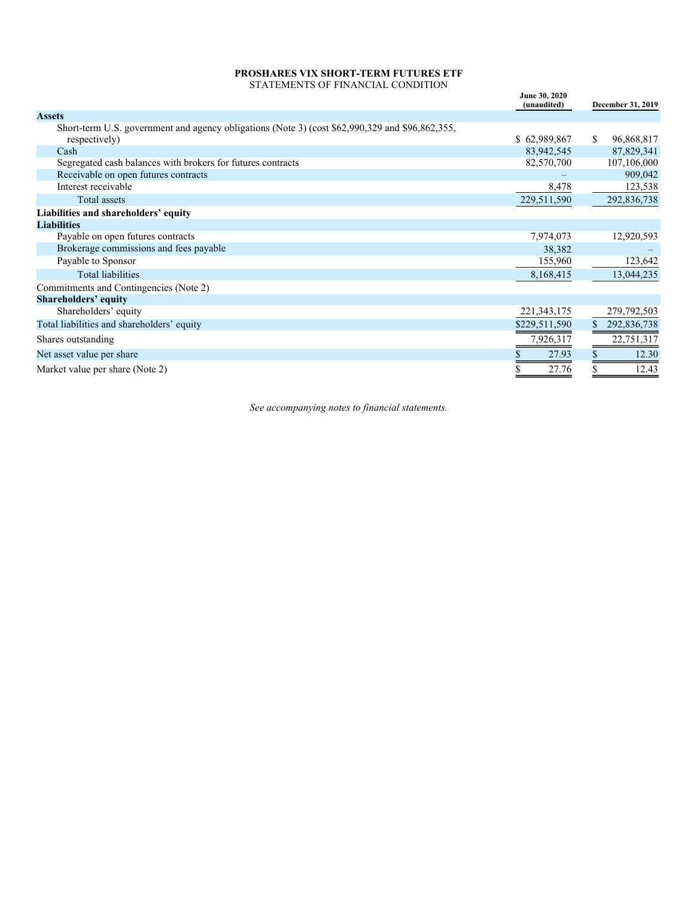STATEMENTS OF FINANCIAL CONDITION

|                                                                                                 | June 30, 2020<br>(unaudited) | December 31, 2019 |
|-------------------------------------------------------------------------------------------------|------------------------------|-------------------|
| <b>Assets</b>                                                                                   |                              |                   |
| Short-term U.S. government and agency obligations (Note 3) (cost \$62,990,329 and \$96,862,355, |                              |                   |
| respectively)                                                                                   | \$62,989,867                 | 96,868,817<br>S.  |
| Cash                                                                                            | 83,942,545                   | 87,829,341        |
| Segregated cash balances with brokers for futures contracts                                     | 82,570,700                   | 107,106,000       |
| Receivable on open futures contracts                                                            |                              | 909,042           |
| Interest receivable                                                                             | 8,478                        | 123,538           |
| Total assets                                                                                    | 229,511,590                  | 292,836,738       |
| Liabilities and shareholders' equity                                                            |                              |                   |
| <b>Liabilities</b>                                                                              |                              |                   |
| Payable on open futures contracts                                                               | 7,974,073                    | 12,920,593        |
| Brokerage commissions and fees payable                                                          | 38,382                       |                   |
| Payable to Sponsor                                                                              | 155,960                      | 123,642           |
| <b>Total liabilities</b>                                                                        | 8,168,415                    | 13,044,235        |
| Commitments and Contingencies (Note 2)                                                          |                              |                   |
| <b>Shareholders' equity</b>                                                                     |                              |                   |
| Shareholders' equity                                                                            | 221, 343, 175                | 279,792,503       |
| Total liabilities and shareholders' equity                                                      | \$229,511,590                | \$<br>292,836,738 |
| Shares outstanding                                                                              | 7,926,317                    | 22,751,317        |
| Net asset value per share                                                                       | 27.93                        | 12.30             |
| Market value per share (Note 2)                                                                 | 27.76                        | 12.43             |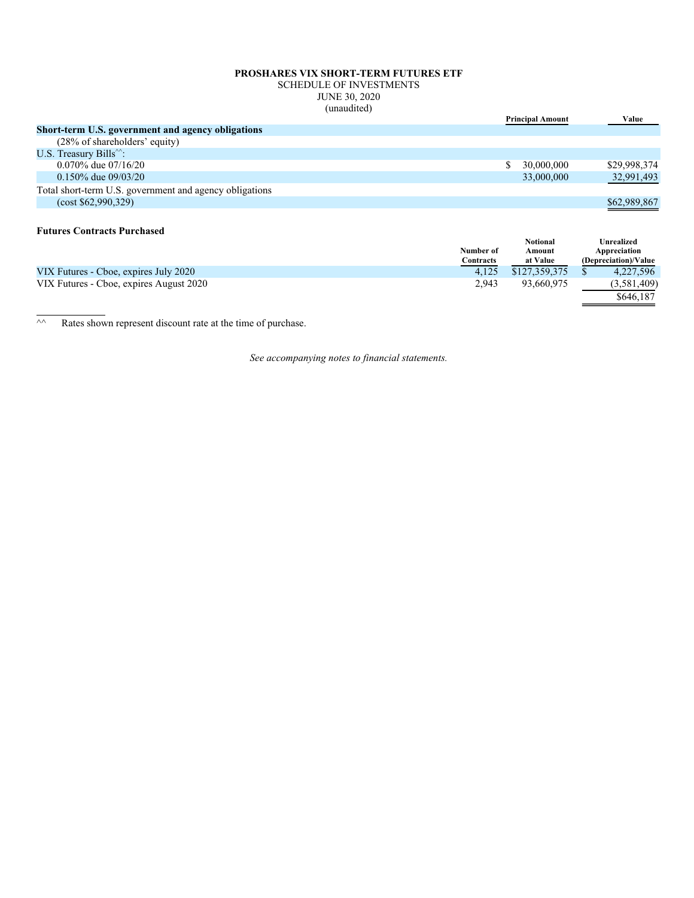### SCHEDULE OF INVESTMENTS JUNE 30, 2020

(unaudited)

|                                                         | <b>Principal Amount</b> | Value        |
|---------------------------------------------------------|-------------------------|--------------|
| Short-term U.S. government and agency obligations       |                         |              |
| (28% of shareholders' equity)                           |                         |              |
| U.S. Treasury Bills $\sim$ :                            |                         |              |
| $0.070\%$ due $07/16/20$                                | 30,000,000              | \$29,998,374 |
| $0.150\%$ due $09/03/20$                                | 33,000,000              | 32,991,493   |
| Total short-term U.S. government and agency obligations |                         |              |
| (cost \$62,990,329)                                     |                         | \$62,989,867 |
|                                                         |                         |              |

# **Futures Contracts Purchased**

| Tutules Contracts I ulchased            | Number of<br>Contracts | <b>Notional</b><br>Amount<br>at Value | Unrealized<br>Appreciation<br>(Depreciation)/Value |
|-----------------------------------------|------------------------|---------------------------------------|----------------------------------------------------|
| VIX Futures - Cboe, expires July 2020   | 4.125                  | \$127,359,375                         | 4.227.596                                          |
| VIX Futures - Cboe, expires August 2020 | 2.943                  | 93,660,975                            | (3,581,409)                                        |
|                                         |                        |                                       | \$646,187                                          |

 $\overline{\wedge\wedge}$  Rates shown represent discount rate at the time of purchase.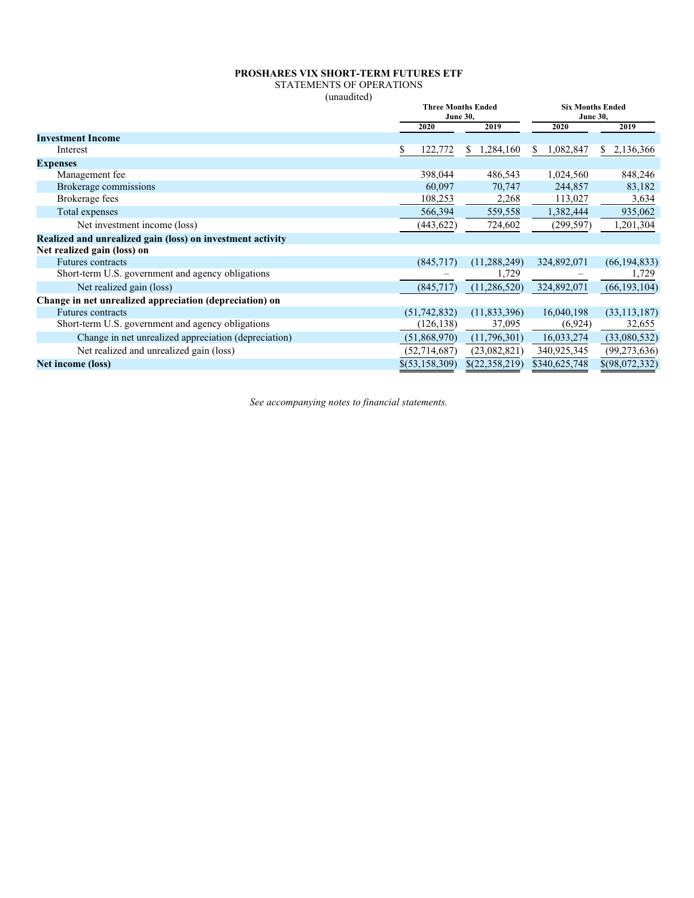## STATEMENTS OF OPERATIONS (unaudited)

|                                                            | $($ unauun $\epsilon$ u |                                              |                |    |                                            |    |               |    |                |
|------------------------------------------------------------|-------------------------|----------------------------------------------|----------------|----|--------------------------------------------|----|---------------|----|----------------|
|                                                            |                         | <b>Three Months Ended</b><br><b>June 30,</b> |                |    | <b>Six Months Ended</b><br><b>June 30,</b> |    |               |    |                |
|                                                            |                         |                                              | 2020           |    | 2019                                       |    | 2020          |    | 2019           |
| <b>Investment Income</b>                                   |                         |                                              |                |    |                                            |    |               |    |                |
| Interest                                                   |                         | S                                            | 122,772        | S. | 1,284,160                                  | ъ. | 1,082,847     | S. | 2,136,366      |
| <b>Expenses</b>                                            |                         |                                              |                |    |                                            |    |               |    |                |
| Management fee                                             |                         |                                              | 398,044        |    | 486,543                                    |    | 1,024,560     |    | 848,246        |
| Brokerage commissions                                      |                         |                                              | 60,097         |    | 70,747                                     |    | 244,857       |    | 83,182         |
| Brokerage fees                                             |                         |                                              | 108,253        |    | 2,268                                      |    | 113,027       |    | 3,634          |
| Total expenses                                             |                         |                                              | 566,394        |    | 559,558                                    |    | 1,382,444     |    | 935,062        |
| Net investment income (loss)                               |                         |                                              | (443, 622)     |    | 724,602                                    |    | (299, 597)    |    | 1,201,304      |
| Realized and unrealized gain (loss) on investment activity |                         |                                              |                |    |                                            |    |               |    |                |
| Net realized gain (loss) on                                |                         |                                              |                |    |                                            |    |               |    |                |
| <b>Futures contracts</b>                                   |                         |                                              | (845,717)      |    | (11, 288, 249)                             |    | 324,892,071   |    | (66, 194, 833) |
| Short-term U.S. government and agency obligations          |                         |                                              |                |    | 1,729                                      |    |               |    | 1,729          |
| Net realized gain (loss)                                   |                         |                                              | (845,717)      |    | (11,286,520)                               |    | 324,892,071   |    | (66, 193, 104) |
| Change in net unrealized appreciation (depreciation) on    |                         |                                              |                |    |                                            |    |               |    |                |
| <b>Futures</b> contracts                                   |                         |                                              | (51, 742, 832) |    | (11, 833, 396)                             |    | 16,040,198    |    | (33, 113, 187) |
| Short-term U.S. government and agency obligations          |                         |                                              | (126, 138)     |    | 37,095                                     |    | (6,924)       |    | 32,655         |
| Change in net unrealized appreciation (depreciation)       |                         |                                              | (51,868,970)   |    | (11,796,301)                               |    | 16,033,274    |    | (33,080,532)   |
| Net realized and unrealized gain (loss)                    |                         |                                              | (52, 714, 687) |    | (23,082,821)                               |    | 340,925,345   |    | (99, 273, 636) |
| Net income (loss)                                          |                         |                                              | \$(53,158,309) |    | \$(22,358,219)                             |    | \$340,625,748 |    | \$(98,072,332) |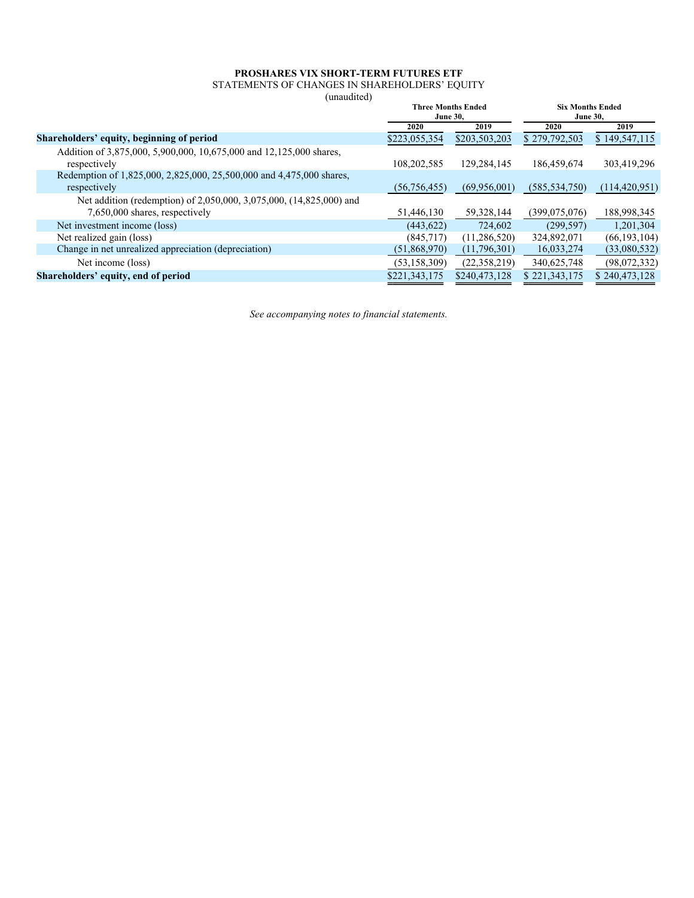## **PROSHARES VIX SHORT-TERM FUTURES ETF**  STATEMENTS OF CHANGES IN SHAREHOLDERS' EQUITY

(unaudited)

|                                                                                                       | <b>Three Months Ended</b><br><b>June 30.</b> |                | <b>Six Months Ended</b><br><b>June 30,</b> |                 |
|-------------------------------------------------------------------------------------------------------|----------------------------------------------|----------------|--------------------------------------------|-----------------|
|                                                                                                       | 2020                                         | 2019           | 2020                                       | 2019            |
| Shareholders' equity, beginning of period                                                             | \$223,055,354                                | \$203,503,203  | \$279,792,503                              | \$149,547,115   |
| Addition of 3,875,000, 5,900,000, 10,675,000 and 12,125,000 shares,<br>respectively                   | 108,202,585                                  | 129,284,145    | 186,459,674                                | 303,419,296     |
| Redemption of 1,825,000, 2,825,000, 25,500,000 and 4,475,000 shares,<br>respectively                  | (56, 756, 455)                               | (69,956,001)   | (585, 534, 750)                            | (114, 420, 951) |
| Net addition (redemption) of 2,050,000, 3,075,000, (14,825,000) and<br>7,650,000 shares, respectively | 51,446,130                                   | 59,328,144     | (399,075,076)                              | 188,998,345     |
| Net investment income (loss)                                                                          | (443.622)                                    | 724,602        | (299, 597)                                 | 1,201,304       |
| Net realized gain (loss)                                                                              | (845,717)                                    | (11,286,520)   | 324,892,071                                | (66, 193, 104)  |
| Change in net unrealized appreciation (depreciation)                                                  | (51,868,970)                                 | (11,796,301)   | 16,033,274                                 | (33,080,532)    |
| Net income (loss)                                                                                     | (53, 158, 309)                               | (22, 358, 219) | 340,625,748                                | (98,072,332)    |
| Shareholders' equity, end of period                                                                   | \$221,343,175                                | \$240,473,128  | \$221,343,175                              | \$240,473,128   |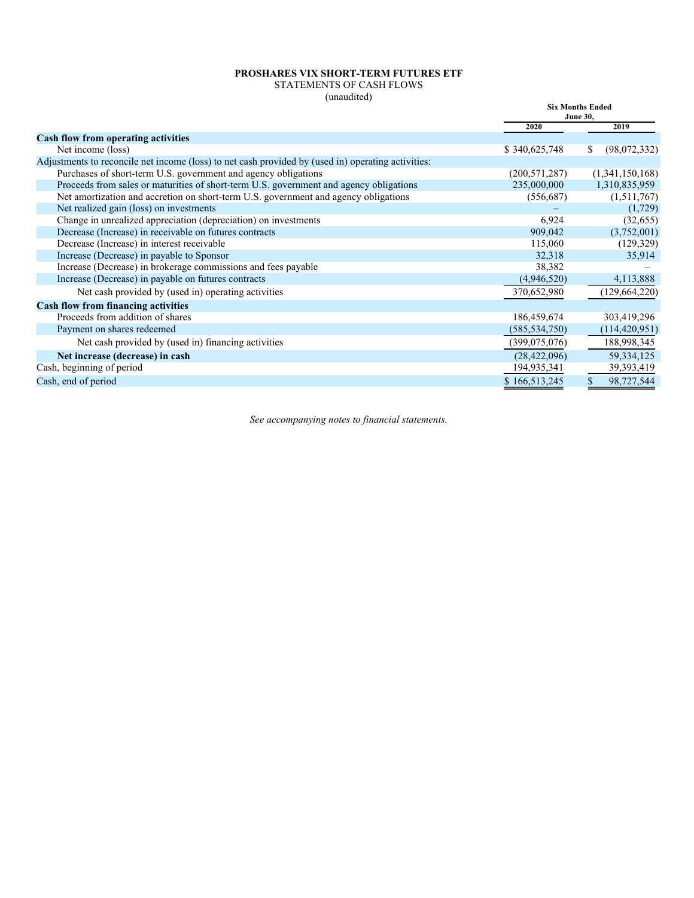## STATEMENTS OF CASH FLOWS (unaudited)

| $($ unauun $\epsilon$ u)                                                                           |                 |                            |
|----------------------------------------------------------------------------------------------------|-----------------|----------------------------|
|                                                                                                    |                 | <b>Six Months Ended</b>    |
|                                                                                                    |                 | <b>June 30,</b>            |
|                                                                                                    | 2020            | 2019                       |
| <b>Cash flow from operating activities</b>                                                         |                 |                            |
| Net income (loss)                                                                                  | \$340,625,748   | (98,072,332)<br>S.         |
| Adjustments to reconcile net income (loss) to net cash provided by (used in) operating activities: |                 |                            |
| Purchases of short-term U.S. government and agency obligations                                     | (200, 571, 287) | (1,341,150,168)            |
| Proceeds from sales or maturities of short-term U.S. government and agency obligations             | 235,000,000     | 1,310,835,959              |
| Net amortization and accretion on short-term U.S. government and agency obligations                | (556, 687)      | (1,511,767)                |
| Net realized gain (loss) on investments                                                            |                 | (1,729)                    |
| Change in unrealized appreciation (depreciation) on investments                                    | 6,924           | (32, 655)                  |
| Decrease (Increase) in receivable on futures contracts                                             | 909,042         | (3,752,001)                |
| Decrease (Increase) in interest receivable                                                         | 115,060         | (129, 329)                 |
| Increase (Decrease) in payable to Sponsor                                                          | 32,318          | 35,914                     |
| Increase (Decrease) in brokerage commissions and fees payable                                      | 38,382          |                            |
| Increase (Decrease) in payable on futures contracts                                                | (4,946,520)     | 4,113,888                  |
| Net cash provided by (used in) operating activities                                                | 370,652,980     | (129, 664, 220)            |
| <b>Cash flow from financing activities</b>                                                         |                 |                            |
| Proceeds from addition of shares                                                                   | 186,459,674     | 303,419,296                |
| Payment on shares redeemed                                                                         | (585, 534, 750) | (114, 420, 951)            |
| Net cash provided by (used in) financing activities                                                | (399,075,076)   | 188,998,345                |
| Net increase (decrease) in cash                                                                    | (28, 422, 096)  | 59, 334, 125               |
| Cash, beginning of period                                                                          | 194,935,341     | 39, 393, 419               |
| Cash, end of period                                                                                | \$166,513,245   | $\mathbb{S}$<br>98,727,544 |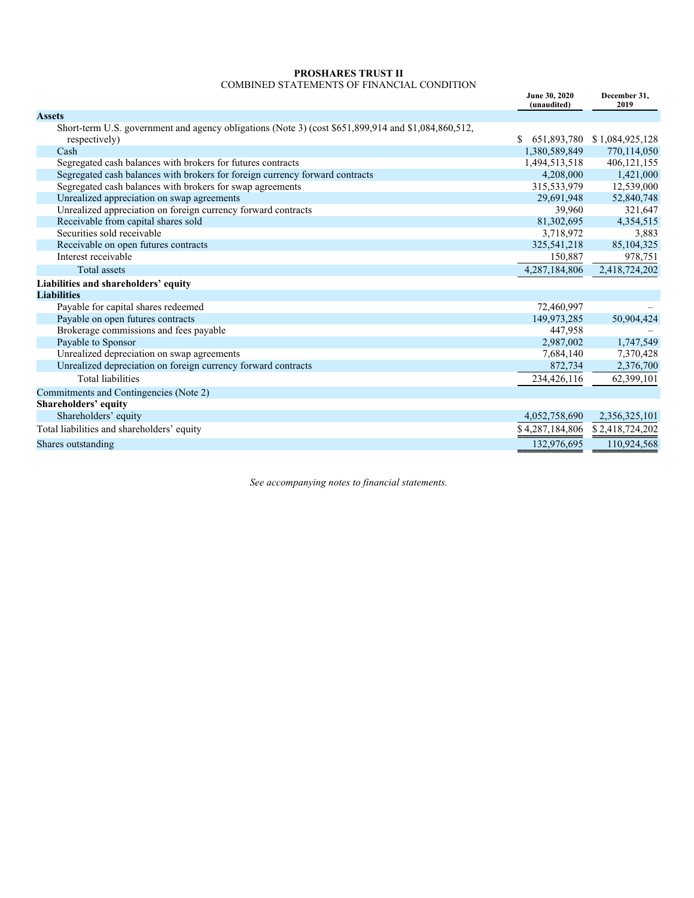## **PROSHARES TRUST II**  COMBINED STATEMENTS OF FINANCIAL CONDITION

|                                                                                                     | June 30, 2020<br>(unaudited) | December 31,<br>2019        |
|-----------------------------------------------------------------------------------------------------|------------------------------|-----------------------------|
| <b>Assets</b>                                                                                       |                              |                             |
| Short-term U.S. government and agency obligations (Note 3) (cost \$651,899,914 and \$1,084,860,512, |                              |                             |
| respectively)                                                                                       | S.                           | 651,893,780 \$1,084,925,128 |
| Cash                                                                                                | 1,380,589,849                | 770,114,050                 |
| Segregated cash balances with brokers for futures contracts                                         | 1,494,513,518                | 406, 121, 155               |
| Segregated cash balances with brokers for foreign currency forward contracts                        | 4,208,000                    | 1,421,000                   |
| Segregated cash balances with brokers for swap agreements                                           | 315,533,979                  | 12,539,000                  |
| Unrealized appreciation on swap agreements                                                          | 29,691,948                   | 52,840,748                  |
| Unrealized appreciation on foreign currency forward contracts                                       | 39,960                       | 321,647                     |
| Receivable from capital shares sold                                                                 | 81,302,695                   | 4,354,515                   |
| Securities sold receivable                                                                          | 3,718,972                    | 3,883                       |
| Receivable on open futures contracts                                                                | 325, 541, 218                | 85, 104, 325                |
| Interest receivable                                                                                 | 150,887                      | 978,751                     |
| <b>Total assets</b>                                                                                 | 4,287,184,806                | 2,418,724,202               |
| Liabilities and shareholders' equity                                                                |                              |                             |
| <b>Liabilities</b>                                                                                  |                              |                             |
| Payable for capital shares redeemed                                                                 | 72,460,997                   |                             |
| Payable on open futures contracts                                                                   | 149,973,285                  | 50,904,424                  |
| Brokerage commissions and fees payable                                                              | 447,958                      |                             |
| Payable to Sponsor                                                                                  | 2,987,002                    | 1,747,549                   |
| Unrealized depreciation on swap agreements                                                          | 7,684,140                    | 7,370,428                   |
| Unrealized depreciation on foreign currency forward contracts                                       | 872,734                      | 2,376,700                   |
| <b>Total liabilities</b>                                                                            | 234,426,116                  | 62,399,101                  |
| Commitments and Contingencies (Note 2)                                                              |                              |                             |
| Shareholders' equity                                                                                |                              |                             |
| Shareholders' equity                                                                                | 4,052,758,690                | 2,356,325,101               |
| Total liabilities and shareholders' equity                                                          | \$4,287,184,806              | \$2,418,724,202             |
| Shares outstanding                                                                                  | 132,976,695                  | 110,924,568                 |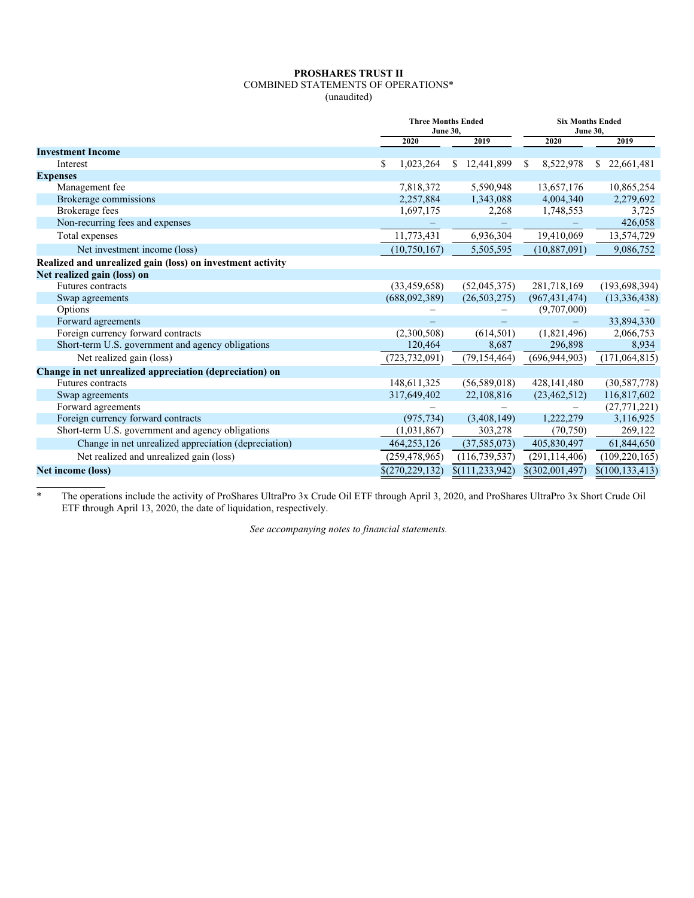#### **PROSHARES TRUST II**  COMBINED STATEMENTS OF OPERATIONS\* (unaudited)

|                                                            | <b>Three Months Ended</b><br><b>June 30,</b> |                   | <b>Six Months Ended</b><br><b>June 30,</b> |                   |  |
|------------------------------------------------------------|----------------------------------------------|-------------------|--------------------------------------------|-------------------|--|
|                                                            | 2020                                         | 2019              | 2020                                       | 2019              |  |
| <b>Investment Income</b>                                   |                                              |                   |                                            |                   |  |
| Interest                                                   | 1,023,264<br>S                               | 12,441,899<br>S.  | 8,522,978<br><sup>S</sup>                  | 22,661,481<br>S.  |  |
| <b>Expenses</b>                                            |                                              |                   |                                            |                   |  |
| Management fee                                             | 7,818,372                                    | 5,590,948         | 13,657,176                                 | 10,865,254        |  |
| Brokerage commissions                                      | 2,257,884                                    | 1,343,088         | 4,004,340                                  | 2,279,692         |  |
| Brokerage fees                                             | 1,697,175                                    | 2,268             | 1,748,553                                  | 3,725             |  |
| Non-recurring fees and expenses                            |                                              |                   |                                            | 426,058           |  |
| Total expenses                                             | 11,773,431                                   | 6,936,304         | 19,410,069                                 | 13,574,729        |  |
| Net investment income (loss)                               | (10, 750, 167)                               | 5,505,595         | (10,887,091)                               | 9,086,752         |  |
| Realized and unrealized gain (loss) on investment activity |                                              |                   |                                            |                   |  |
| Net realized gain (loss) on                                |                                              |                   |                                            |                   |  |
| Futures contracts                                          | (33, 459, 658)                               | (52,045,375)      | 281,718,169                                | (193, 698, 394)   |  |
| Swap agreements                                            | (688,092,389)                                | (26,503,275)      | (967, 431, 474)                            | (13, 336, 438)    |  |
| Options                                                    |                                              |                   | (9,707,000)                                |                   |  |
| Forward agreements                                         |                                              |                   |                                            | 33,894,330        |  |
| Foreign currency forward contracts                         | (2,300,508)                                  | (614, 501)        | (1,821,496)                                | 2,066,753         |  |
| Short-term U.S. government and agency obligations          | 120,464                                      | 8,687             | 296,898                                    | 8,934             |  |
| Net realized gain (loss)                                   | (723,732,091)                                | (79, 154, 464)    | (696, 944, 903)                            | (171, 064, 815)   |  |
| Change in net unrealized appreciation (depreciation) on    |                                              |                   |                                            |                   |  |
| Futures contracts                                          | 148,611,325                                  | (56,589,018)      | 428,141,480                                | (30, 587, 778)    |  |
| Swap agreements                                            | 317,649,402                                  | 22,108,816        | (23, 462, 512)                             | 116,817,602       |  |
| Forward agreements                                         |                                              |                   |                                            | (27, 771, 221)    |  |
| Foreign currency forward contracts                         | (975, 734)                                   | (3,408,149)       | 1,222,279                                  | 3,116,925         |  |
| Short-term U.S. government and agency obligations          | (1,031,867)                                  | 303,278           | (70, 750)                                  | 269,122           |  |
| Change in net unrealized appreciation (depreciation)       | 464,253,126                                  | (37,585,073)      | 405,830,497                                | 61,844,650        |  |
| Net realized and unrealized gain (loss)                    | (259, 478, 965)                              | (116, 739, 537)   | (291, 114, 406)                            | (109, 220, 165)   |  |
| Net income (loss)                                          | \$(270, 229, 132)                            | \$(111, 233, 942) | \$(302,001,497)                            | \$(100, 133, 413) |  |

\* The operations include the activity of ProShares UltraPro 3x Crude Oil ETF through April 3, 2020, and ProShares UltraPro 3x Short Crude Oil ETF through April 13, 2020, the date of liquidation, respectively.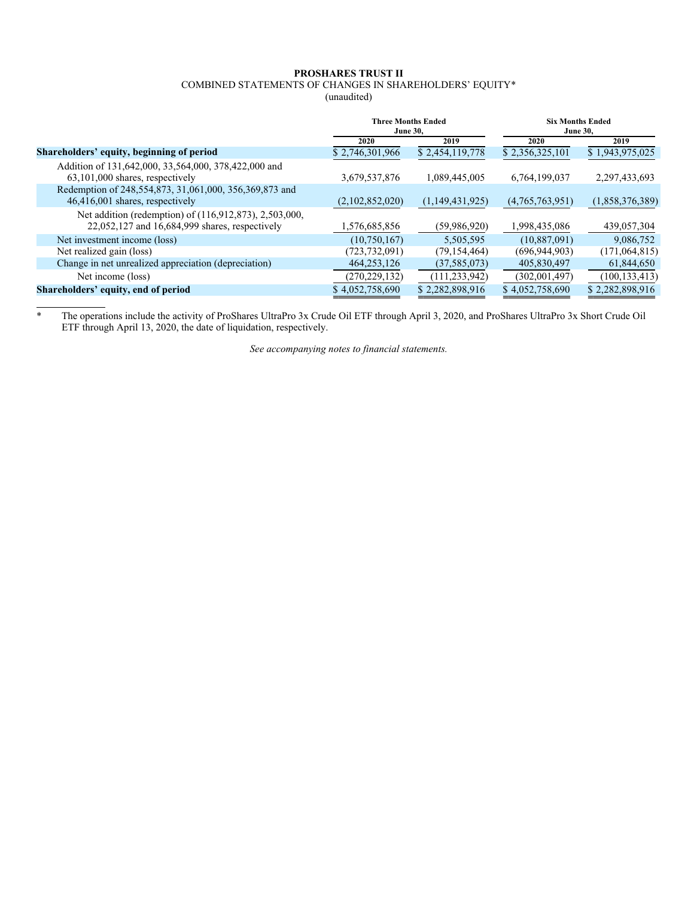#### **PROSHARES TRUST II**

## COMBINED STATEMENTS OF CHANGES IN SHAREHOLDERS' EQUITY\*

(unaudited)

|                                                        | <b>Three Months Ended</b><br><b>June 30,</b> |                 | <b>Six Months Ended</b><br><b>June 30,</b> |                 |
|--------------------------------------------------------|----------------------------------------------|-----------------|--------------------------------------------|-----------------|
|                                                        | 2020                                         | 2019            | 2020                                       | 2019            |
| Shareholders' equity, beginning of period              | \$2,746,301,966                              | \$2,454,119,778 | \$2,356,325,101                            | \$1,943,975,025 |
| Addition of 131,642,000, 33,564,000, 378,422,000 and   |                                              |                 |                                            |                 |
| 63,101,000 shares, respectively                        | 3,679,537,876                                | 1,089,445,005   | 6,764,199,037                              | 2,297,433,693   |
| Redemption of 248,554,873, 31,061,000, 356,369,873 and |                                              |                 |                                            |                 |
| 46,416,001 shares, respectively                        | (2,102,852,020)                              | (1,149,431,925) | (4,765,763,951)                            | (1,858,376,389) |
| Net addition (redemption) of (116,912,873), 2,503,000, |                                              |                 |                                            |                 |
| $22,052,127$ and $16,684,999$ shares, respectively     | 1,576,685,856                                | (59,986,920)    | 1,998,435,086                              | 439,057,304     |
| Net investment income (loss)                           | (10,750,167)                                 | 5,505,595       | (10,887,091)                               | 9,086,752       |
| Net realized gain (loss)                               | (723, 732, 091)                              | (79, 154, 464)  | (696, 944, 903)                            | (171, 064, 815) |
| Change in net unrealized appreciation (depreciation)   | 464,253,126                                  | (37, 585, 073)  | 405,830,497                                | 61,844,650      |
| Net income (loss)                                      | (270, 229, 132)                              | (111, 233, 942) | (302,001,497)                              | (100, 133, 413) |
| Shareholders' equity, end of period                    | \$4,052,758,690                              | \$2,282,898,916 | \$4,052,758,690                            | \$2.282,898,916 |

\* The operations include the activity of ProShares UltraPro 3x Crude Oil ETF through April 3, 2020, and ProShares UltraPro 3x Short Crude Oil ETF through April 13, 2020, the date of liquidation, respectively.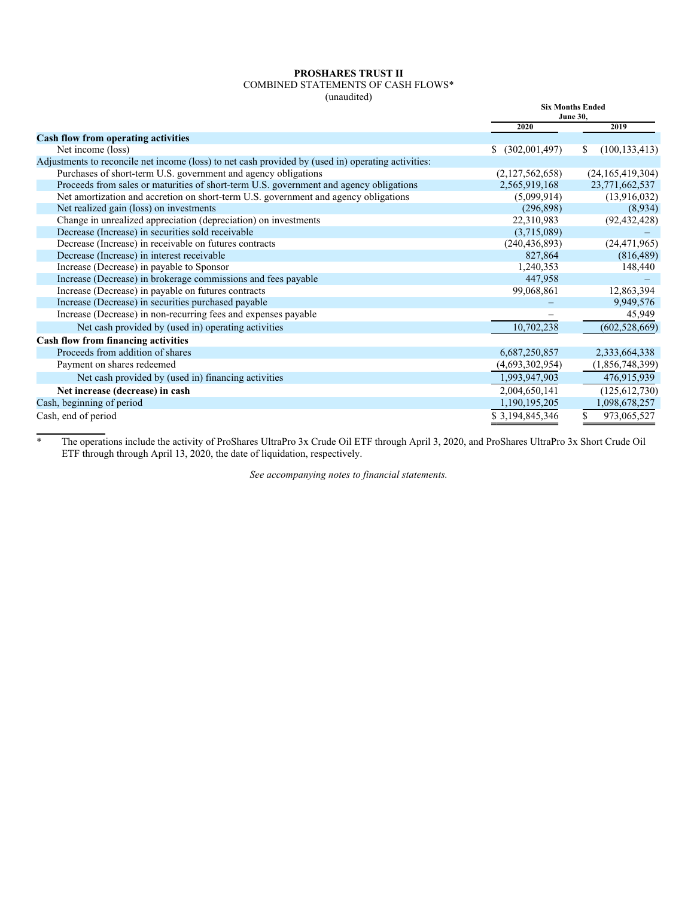# **PROSHARES TRUST II**  COMBINED STATEMENTS OF CASH FLOWS\*

(unaudited)

|                                                                                                    | , unuunnon<br><b>Six Months Ended</b><br><b>June 30,</b> |                        |
|----------------------------------------------------------------------------------------------------|----------------------------------------------------------|------------------------|
|                                                                                                    | 2020                                                     | 2019                   |
| <b>Cash flow from operating activities</b>                                                         |                                                          |                        |
| Net income (loss)                                                                                  | \$ (302,001,497)                                         | (100, 133, 413)<br>\$. |
| Adjustments to reconcile net income (loss) to net cash provided by (used in) operating activities: |                                                          |                        |
| Purchases of short-term U.S. government and agency obligations                                     | (2,127,562,658)                                          | (24, 165, 419, 304)    |
| Proceeds from sales or maturities of short-term U.S. government and agency obligations             | 2,565,919,168                                            | 23,771,662,537         |
| Net amortization and accretion on short-term U.S. government and agency obligations                | (5,099,914)                                              | (13,916,032)           |
| Net realized gain (loss) on investments                                                            | (296, 898)                                               | (8,934)                |
| Change in unrealized appreciation (depreciation) on investments                                    | 22,310,983                                               | (92, 432, 428)         |
| Decrease (Increase) in securities sold receivable                                                  | (3,715,089)                                              |                        |
| Decrease (Increase) in receivable on futures contracts                                             | (240, 436, 893)                                          | (24, 471, 965)         |
| Decrease (Increase) in interest receivable                                                         | 827,864                                                  | (816, 489)             |
| Increase (Decrease) in payable to Sponsor                                                          | 1,240,353                                                | 148,440                |
| Increase (Decrease) in brokerage commissions and fees payable                                      | 447,958                                                  |                        |
| Increase (Decrease) in payable on futures contracts                                                | 99,068,861                                               | 12,863,394             |
| Increase (Decrease) in securities purchased payable                                                |                                                          | 9,949,576              |
| Increase (Decrease) in non-recurring fees and expenses payable                                     |                                                          | 45,949                 |
| Net cash provided by (used in) operating activities                                                | 10,702,238                                               | (602, 528, 669)        |
| Cash flow from financing activities                                                                |                                                          |                        |
| Proceeds from addition of shares                                                                   | 6,687,250,857                                            | 2,333,664,338          |
| Payment on shares redeemed                                                                         | (4,693,302,954)                                          | (1,856,748,399)        |
| Net cash provided by (used in) financing activities                                                | 1,993,947,903                                            | 476,915,939            |
| Net increase (decrease) in cash                                                                    | 2,004,650,141                                            | (125, 612, 730)        |
| Cash, beginning of period                                                                          | 1,190,195,205                                            | 1,098,678,257          |
| Cash, end of period                                                                                | \$3,194,845,346                                          | \$<br>973,065,527      |

\* The operations include the activity of ProShares UltraPro 3x Crude Oil ETF through April 3, 2020, and ProShares UltraPro 3x Short Crude Oil ETF through through April 13, 2020, the date of liquidation, respectively.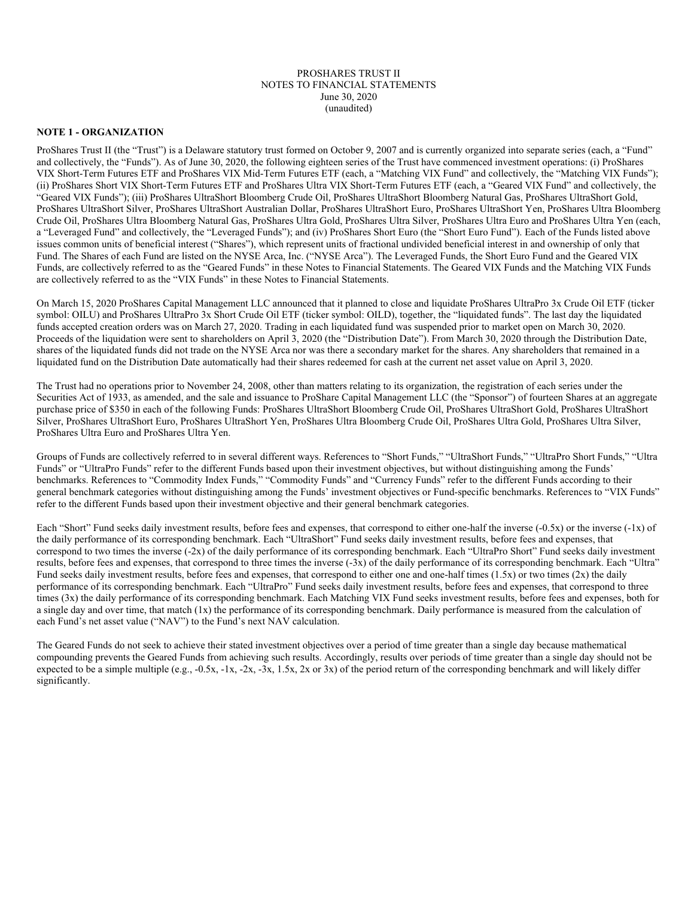#### PROSHARES TRUST II NOTES TO FINANCIAL STATEMENTS June 30, 2020 (unaudited)

#### **NOTE 1 - ORGANIZATION**

ProShares Trust II (the "Trust") is a Delaware statutory trust formed on October 9, 2007 and is currently organized into separate series (each, a "Fund" and collectively, the "Funds"). As of June 30, 2020, the following eighteen series of the Trust have commenced investment operations: (i) ProShares VIX Short-Term Futures ETF and ProShares VIX Mid-Term Futures ETF (each, a "Matching VIX Fund" and collectively, the "Matching VIX Funds"); (ii) ProShares Short VIX Short-Term Futures ETF and ProShares Ultra VIX Short-Term Futures ETF (each, a "Geared VIX Fund" and collectively, the "Geared VIX Funds"); (iii) ProShares UltraShort Bloomberg Crude Oil, ProShares UltraShort Bloomberg Natural Gas, ProShares UltraShort Gold, ProShares UltraShort Silver, ProShares UltraShort Australian Dollar, ProShares UltraShort Euro, ProShares UltraShort Yen, ProShares Ultra Bloomberg Crude Oil, ProShares Ultra Bloomberg Natural Gas, ProShares Ultra Gold, ProShares Ultra Silver, ProShares Ultra Euro and ProShares Ultra Yen (each, a "Leveraged Fund" and collectively, the "Leveraged Funds"); and (iv) ProShares Short Euro (the "Short Euro Fund"). Each of the Funds listed above issues common units of beneficial interest ("Shares"), which represent units of fractional undivided beneficial interest in and ownership of only that Fund. The Shares of each Fund are listed on the NYSE Arca, Inc. ("NYSE Arca"). The Leveraged Funds, the Short Euro Fund and the Geared VIX Funds, are collectively referred to as the "Geared Funds" in these Notes to Financial Statements. The Geared VIX Funds and the Matching VIX Funds are collectively referred to as the "VIX Funds" in these Notes to Financial Statements.

On March 15, 2020 ProShares Capital Management LLC announced that it planned to close and liquidate ProShares UltraPro 3x Crude Oil ETF (ticker symbol: OILU) and ProShares UltraPro 3x Short Crude Oil ETF (ticker symbol: OILD), together, the "liquidated funds". The last day the liquidated funds accepted creation orders was on March 27, 2020. Trading in each liquidated fund was suspended prior to market open on March 30, 2020. Proceeds of the liquidation were sent to shareholders on April 3, 2020 (the "Distribution Date"). From March 30, 2020 through the Distribution Date, shares of the liquidated funds did not trade on the NYSE Arca nor was there a secondary market for the shares. Any shareholders that remained in a liquidated fund on the Distribution Date automatically had their shares redeemed for cash at the current net asset value on April 3, 2020.

The Trust had no operations prior to November 24, 2008, other than matters relating to its organization, the registration of each series under the Securities Act of 1933, as amended, and the sale and issuance to ProShare Capital Management LLC (the "Sponsor") of fourteen Shares at an aggregate purchase price of \$350 in each of the following Funds: ProShares UltraShort Bloomberg Crude Oil, ProShares UltraShort Gold, ProShares UltraShort Silver, ProShares UltraShort Euro, ProShares UltraShort Yen, ProShares Ultra Bloomberg Crude Oil, ProShares Ultra Gold, ProShares Ultra Silver, ProShares Ultra Euro and ProShares Ultra Yen.

Groups of Funds are collectively referred to in several different ways. References to "Short Funds," "UltraShort Funds," "UltraPro Short Funds," "Ultra Funds" or "UltraPro Funds" refer to the different Funds based upon their investment objectives, but without distinguishing among the Funds' benchmarks. References to "Commodity Index Funds," "Commodity Funds" and "Currency Funds" refer to the different Funds according to their general benchmark categories without distinguishing among the Funds' investment objectives or Fund-specific benchmarks. References to "VIX Funds" refer to the different Funds based upon their investment objective and their general benchmark categories.

Each "Short" Fund seeks daily investment results, before fees and expenses, that correspond to either one-half the inverse (-0.5x) or the inverse (-1x) of the daily performance of its corresponding benchmark. Each "UltraShort" Fund seeks daily investment results, before fees and expenses, that correspond to two times the inverse (-2x) of the daily performance of its corresponding benchmark. Each "UltraPro Short" Fund seeks daily investment results, before fees and expenses, that correspond to three times the inverse (-3x) of the daily performance of its corresponding benchmark. Each "Ultra" Fund seeks daily investment results, before fees and expenses, that correspond to either one and one-half times (1.5x) or two times (2x) the daily performance of its corresponding benchmark. Each "UltraPro" Fund seeks daily investment results, before fees and expenses, that correspond to three times (3x) the daily performance of its corresponding benchmark. Each Matching VIX Fund seeks investment results, before fees and expenses, both for a single day and over time, that match (1x) the performance of its corresponding benchmark. Daily performance is measured from the calculation of each Fund's net asset value ("NAV") to the Fund's next NAV calculation.

The Geared Funds do not seek to achieve their stated investment objectives over a period of time greater than a single day because mathematical compounding prevents the Geared Funds from achieving such results. Accordingly, results over periods of time greater than a single day should not be expected to be a simple multiple (e.g.,  $-0.5x$ ,  $-1x$ ,  $-2x$ ,  $-3x$ ,  $1.5x$ , 2x or 3x) of the period return of the corresponding benchmark and will likely differ significantly.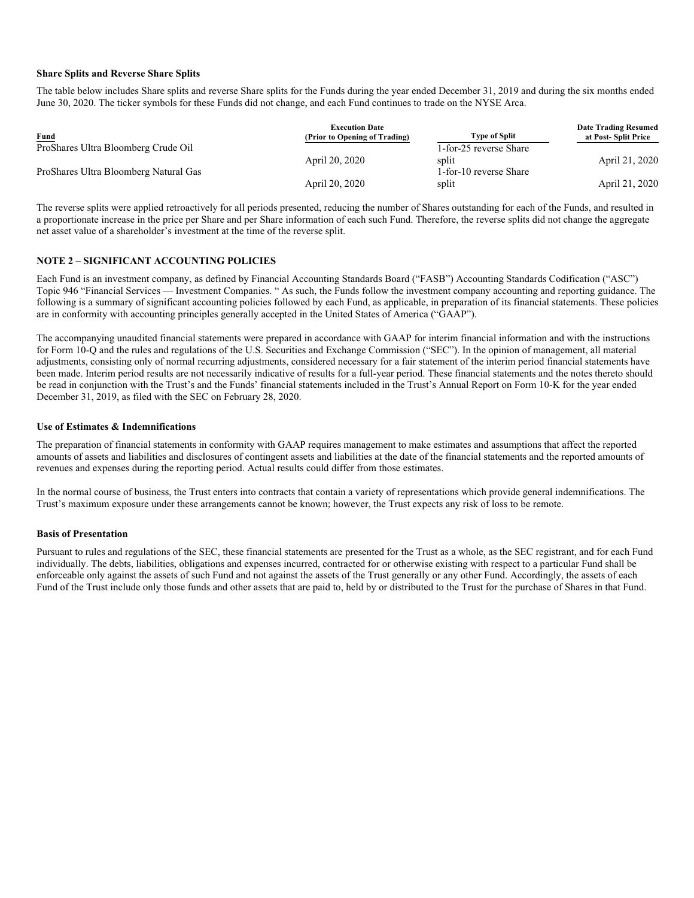#### **Share Splits and Reverse Share Splits**

The table below includes Share splits and reverse Share splits for the Funds during the year ended December 31, 2019 and during the six months ended June 30, 2020. The ticker symbols for these Funds did not change, and each Fund continues to trade on the NYSE Arca.

| Fund                                  | <b>Execution Date</b><br>(Prior to Opening of Trading) | <b>Type of Split</b>   | <b>Date Trading Resumed</b><br>at Post-Split Price |
|---------------------------------------|--------------------------------------------------------|------------------------|----------------------------------------------------|
| ProShares Ultra Bloomberg Crude Oil   |                                                        | 1-for-25 reverse Share |                                                    |
|                                       | April 20, 2020                                         | split                  | April 21, 2020                                     |
| ProShares Ultra Bloomberg Natural Gas |                                                        | 1-for-10 reverse Share |                                                    |
|                                       | April 20, 2020                                         | split                  | April 21, 2020                                     |

The reverse splits were applied retroactively for all periods presented, reducing the number of Shares outstanding for each of the Funds, and resulted in a proportionate increase in the price per Share and per Share information of each such Fund. Therefore, the reverse splits did not change the aggregate net asset value of a shareholder's investment at the time of the reverse split.

### **NOTE 2 – SIGNIFICANT ACCOUNTING POLICIES**

Each Fund is an investment company, as defined by Financial Accounting Standards Board ("FASB") Accounting Standards Codification ("ASC") Topic 946 "Financial Services — Investment Companies. " As such, the Funds follow the investment company accounting and reporting guidance. The following is a summary of significant accounting policies followed by each Fund, as applicable, in preparation of its financial statements. These policies are in conformity with accounting principles generally accepted in the United States of America ("GAAP").

The accompanying unaudited financial statements were prepared in accordance with GAAP for interim financial information and with the instructions for Form 10-Q and the rules and regulations of the U.S. Securities and Exchange Commission ("SEC"). In the opinion of management, all material adjustments, consisting only of normal recurring adjustments, considered necessary for a fair statement of the interim period financial statements have been made. Interim period results are not necessarily indicative of results for a full-year period. These financial statements and the notes thereto should be read in conjunction with the Trust's and the Funds' financial statements included in the Trust's Annual Report on Form 10-K for the year ended December 31, 2019, as filed with the SEC on February 28, 2020.

### **Use of Estimates & Indemnifications**

The preparation of financial statements in conformity with GAAP requires management to make estimates and assumptions that affect the reported amounts of assets and liabilities and disclosures of contingent assets and liabilities at the date of the financial statements and the reported amounts of revenues and expenses during the reporting period. Actual results could differ from those estimates.

In the normal course of business, the Trust enters into contracts that contain a variety of representations which provide general indemnifications. The Trust's maximum exposure under these arrangements cannot be known; however, the Trust expects any risk of loss to be remote.

### **Basis of Presentation**

Pursuant to rules and regulations of the SEC, these financial statements are presented for the Trust as a whole, as the SEC registrant, and for each Fund individually. The debts, liabilities, obligations and expenses incurred, contracted for or otherwise existing with respect to a particular Fund shall be enforceable only against the assets of such Fund and not against the assets of the Trust generally or any other Fund. Accordingly, the assets of each Fund of the Trust include only those funds and other assets that are paid to, held by or distributed to the Trust for the purchase of Shares in that Fund.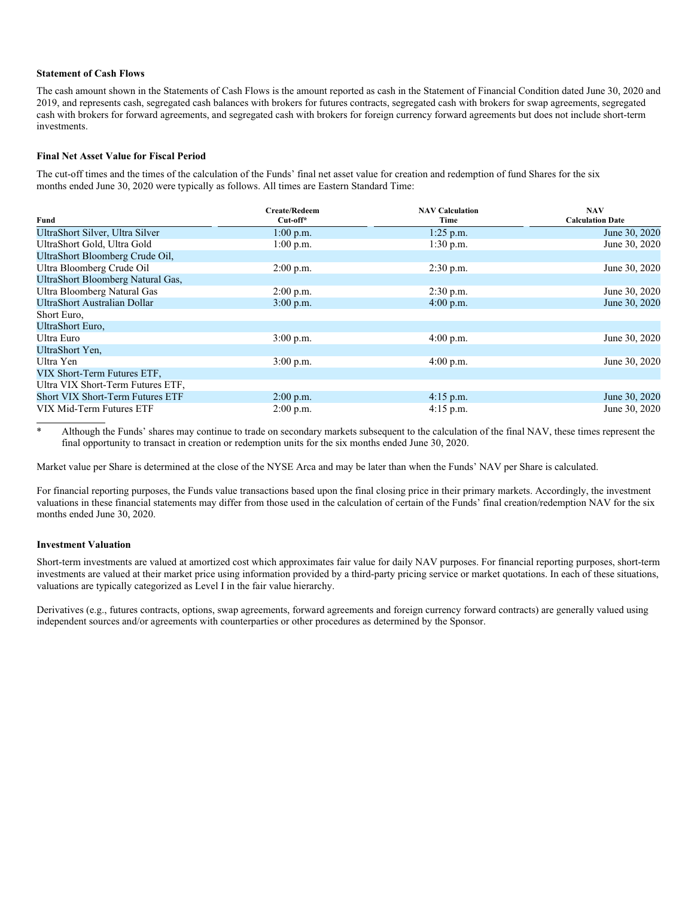#### **Statement of Cash Flows**

The cash amount shown in the Statements of Cash Flows is the amount reported as cash in the Statement of Financial Condition dated June 30, 2020 and 2019, and represents cash, segregated cash balances with brokers for futures contracts, segregated cash with brokers for swap agreements, segregated cash with brokers for forward agreements, and segregated cash with brokers for foreign currency forward agreements but does not include short-term investments.

### **Final Net Asset Value for Fiscal Period**

The cut-off times and the times of the calculation of the Funds' final net asset value for creation and redemption of fund Shares for the six months ended June 30, 2020 were typically as follows. All times are Eastern Standard Time:

| Fund                                    | <b>Create/Redeem</b><br>$Cut-off*$ | <b>NAV Calculation</b><br>Time | <b>NAV</b><br><b>Calculation Date</b> |
|-----------------------------------------|------------------------------------|--------------------------------|---------------------------------------|
| UltraShort Silver, Ultra Silver         | $1:00$ p.m.                        | $1:25$ p.m.                    | June 30, 2020                         |
| UltraShort Gold, Ultra Gold             | $1:00$ p.m.                        | 1:30 p.m.                      | June 30, 2020                         |
| UltraShort Bloomberg Crude Oil,         |                                    |                                |                                       |
| Ultra Bloomberg Crude Oil               | $2:00$ p.m.                        | $2:30$ p.m.                    | June 30, 2020                         |
| UltraShort Bloomberg Natural Gas,       |                                    |                                |                                       |
| Ultra Bloomberg Natural Gas             | $2:00$ p.m.                        | $2:30$ p.m.                    | June 30, 2020                         |
| UltraShort Australian Dollar            | $3:00$ p.m.                        | $4:00$ p.m.                    | June 30, 2020                         |
| Short Euro,                             |                                    |                                |                                       |
| UltraShort Euro,                        |                                    |                                |                                       |
| Ultra Euro                              | $3:00$ p.m.                        | $4:00$ p.m.                    | June 30, 2020                         |
| UltraShort Yen,                         |                                    |                                |                                       |
| Ultra Yen                               | 3:00 p.m.                          | 4:00 p.m.                      | June 30, 2020                         |
| VIX Short-Term Futures ETF,             |                                    |                                |                                       |
| Ultra VIX Short-Term Futures ETF,       |                                    |                                |                                       |
| <b>Short VIX Short-Term Futures ETF</b> | $2:00$ p.m.                        | $4:15$ p.m.                    | June 30, 2020                         |
| VIX Mid-Term Futures ETF                | $2:00$ p.m.                        | $4:15$ p.m.                    | June 30, 2020                         |

\* Although the Funds' shares may continue to trade on secondary markets subsequent to the calculation of the final NAV, these times represent the final opportunity to transact in creation or redemption units for the six months ended June 30, 2020.

Market value per Share is determined at the close of the NYSE Arca and may be later than when the Funds' NAV per Share is calculated.

For financial reporting purposes, the Funds value transactions based upon the final closing price in their primary markets. Accordingly, the investment valuations in these financial statements may differ from those used in the calculation of certain of the Funds' final creation/redemption NAV for the six months ended June 30, 2020.

#### **Investment Valuation**

Short-term investments are valued at amortized cost which approximates fair value for daily NAV purposes. For financial reporting purposes, short-term investments are valued at their market price using information provided by a third-party pricing service or market quotations. In each of these situations, valuations are typically categorized as Level I in the fair value hierarchy.

Derivatives (e.g., futures contracts, options, swap agreements, forward agreements and foreign currency forward contracts) are generally valued using independent sources and/or agreements with counterparties or other procedures as determined by the Sponsor.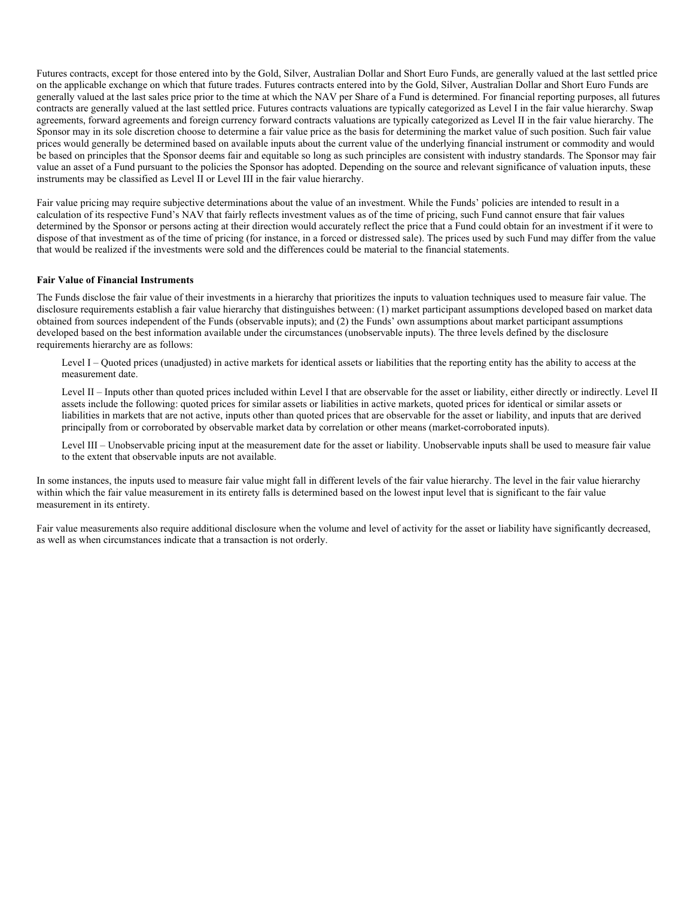Futures contracts, except for those entered into by the Gold, Silver, Australian Dollar and Short Euro Funds, are generally valued at the last settled price on the applicable exchange on which that future trades. Futures contracts entered into by the Gold, Silver, Australian Dollar and Short Euro Funds are generally valued at the last sales price prior to the time at which the NAV per Share of a Fund is determined. For financial reporting purposes, all futures contracts are generally valued at the last settled price. Futures contracts valuations are typically categorized as Level I in the fair value hierarchy. Swap agreements, forward agreements and foreign currency forward contracts valuations are typically categorized as Level II in the fair value hierarchy. The Sponsor may in its sole discretion choose to determine a fair value price as the basis for determining the market value of such position. Such fair value prices would generally be determined based on available inputs about the current value of the underlying financial instrument or commodity and would be based on principles that the Sponsor deems fair and equitable so long as such principles are consistent with industry standards. The Sponsor may fair value an asset of a Fund pursuant to the policies the Sponsor has adopted. Depending on the source and relevant significance of valuation inputs, these instruments may be classified as Level II or Level III in the fair value hierarchy.

Fair value pricing may require subjective determinations about the value of an investment. While the Funds' policies are intended to result in a calculation of its respective Fund's NAV that fairly reflects investment values as of the time of pricing, such Fund cannot ensure that fair values determined by the Sponsor or persons acting at their direction would accurately reflect the price that a Fund could obtain for an investment if it were to dispose of that investment as of the time of pricing (for instance, in a forced or distressed sale). The prices used by such Fund may differ from the value that would be realized if the investments were sold and the differences could be material to the financial statements.

#### **Fair Value of Financial Instruments**

The Funds disclose the fair value of their investments in a hierarchy that prioritizes the inputs to valuation techniques used to measure fair value. The disclosure requirements establish a fair value hierarchy that distinguishes between: (1) market participant assumptions developed based on market data obtained from sources independent of the Funds (observable inputs); and (2) the Funds' own assumptions about market participant assumptions developed based on the best information available under the circumstances (unobservable inputs). The three levels defined by the disclosure requirements hierarchy are as follows:

Level I – Quoted prices (unadjusted) in active markets for identical assets or liabilities that the reporting entity has the ability to access at the measurement date.

Level II – Inputs other than quoted prices included within Level I that are observable for the asset or liability, either directly or indirectly. Level II assets include the following: quoted prices for similar assets or liabilities in active markets, quoted prices for identical or similar assets or liabilities in markets that are not active, inputs other than quoted prices that are observable for the asset or liability, and inputs that are derived principally from or corroborated by observable market data by correlation or other means (market-corroborated inputs).

Level III – Unobservable pricing input at the measurement date for the asset or liability. Unobservable inputs shall be used to measure fair value to the extent that observable inputs are not available.

In some instances, the inputs used to measure fair value might fall in different levels of the fair value hierarchy. The level in the fair value hierarchy within which the fair value measurement in its entirety falls is determined based on the lowest input level that is significant to the fair value measurement in its entirety.

Fair value measurements also require additional disclosure when the volume and level of activity for the asset or liability have significantly decreased, as well as when circumstances indicate that a transaction is not orderly.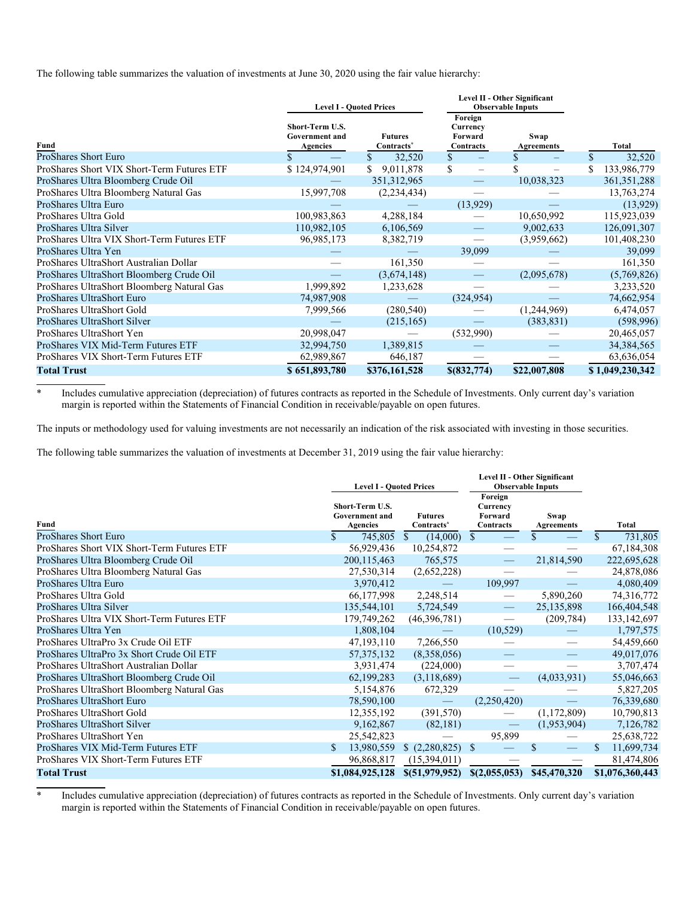The following table summarizes the valuation of investments at June 30, 2020 using the fair value hierarchy:

|                                            | <b>Level I - Quoted Prices</b>                              |                              | Level II - Other Significant<br><b>Observable Inputs</b> |                                |                  |
|--------------------------------------------|-------------------------------------------------------------|------------------------------|----------------------------------------------------------|--------------------------------|------------------|
| Fund                                       | Short-Term U.S.<br><b>Government</b> and<br><b>Agencies</b> | <b>Futures</b><br>Contracts* | Foreign<br>Currency<br>Forward<br>Contracts              | Swap<br><b>Agreements</b>      | <b>Total</b>     |
| <b>ProShares Short Euro</b>                |                                                             | 32,520                       |                                                          |                                | 32,520<br>\$     |
| ProShares Short VIX Short-Term Futures ETF | \$124,974,901                                               | 9,011,878                    | \$                                                       | \$<br>$\overline{\phantom{0}}$ | S<br>133,986,779 |
| ProShares Ultra Bloomberg Crude Oil        |                                                             | 351, 312, 965                |                                                          | 10,038,323                     | 361, 351, 288    |
| ProShares Ultra Bloomberg Natural Gas      | 15,997,708                                                  | (2, 234, 434)                |                                                          |                                | 13,763,274       |
| ProShares Ultra Euro                       |                                                             |                              | (13,929)                                                 |                                | (13,929)         |
| ProShares Ultra Gold                       | 100,983,863                                                 | 4,288,184                    |                                                          | 10,650,992                     | 115,923,039      |
| ProShares Ultra Silver                     | 110,982,105                                                 | 6,106,569                    |                                                          | 9,002,633                      | 126,091,307      |
| ProShares Ultra VIX Short-Term Futures ETF | 96,985,173                                                  | 8,382,719                    |                                                          | (3,959,662)                    | 101,408,230      |
| ProShares Ultra Yen                        |                                                             |                              | 39,099                                                   |                                | 39,099           |
| ProShares UltraShort Australian Dollar     |                                                             | 161,350                      |                                                          |                                | 161,350          |
| ProShares UltraShort Bloomberg Crude Oil   |                                                             | (3,674,148)                  |                                                          | (2,095,678)                    | (5,769,826)      |
| ProShares UltraShort Bloomberg Natural Gas | 1,999,892                                                   | 1,233,628                    |                                                          |                                | 3,233,520        |
| ProShares UltraShort Euro                  | 74,987,908                                                  |                              | (324, 954)                                               |                                | 74,662,954       |
| ProShares UltraShort Gold                  | 7,999,566                                                   | (280, 540)                   |                                                          | (1,244,969)                    | 6,474,057        |
| ProShares UltraShort Silver                |                                                             | (215, 165)                   |                                                          | (383, 831)                     | (598, 996)       |
| ProShares UltraShort Yen                   | 20,998,047                                                  |                              | (532,990)                                                |                                | 20,465,057       |
| ProShares VIX Mid-Term Futures ETF         | 32,994,750                                                  | 1,389,815                    |                                                          |                                | 34, 384, 565     |
| ProShares VIX Short-Term Futures ETF       | 62,989,867                                                  | 646,187                      |                                                          |                                | 63,636,054       |
| <b>Total Trust</b>                         | \$651,893,780                                               | \$376,161,528                | \$(832,774)                                              | \$22,007,808                   | \$1,049,230,342  |

\* Includes cumulative appreciation (depreciation) of futures contracts as reported in the Schedule of Investments. Only current day's variation margin is reported within the Statements of Financial Condition in receivable/payable on open futures.

The inputs or methodology used for valuing investments are not necessarily an indication of the risk associated with investing in those securities.

The following table summarizes the valuation of investments at December 31, 2019 using the fair value hierarchy:

|                                            | <b>Level I - Quoted Prices</b>                                     |                              | <b>Level II - Other Significant</b><br><b>Observable Inputs</b> |                           |                             |
|--------------------------------------------|--------------------------------------------------------------------|------------------------------|-----------------------------------------------------------------|---------------------------|-----------------------------|
|                                            |                                                                    |                              | Foreign                                                         |                           |                             |
| Fund                                       | <b>Short-Term U.S.</b><br><b>Government</b> and<br><b>Agencies</b> | <b>Futures</b><br>Contracts* | Currency<br>Forward<br>Contracts                                | Swap<br><b>Agreements</b> | Total                       |
| <b>ProShares Short Euro</b>                | \$<br>745,805                                                      | $\mathbb{S}$<br>(14,000)     | $\mathbb{S}$                                                    |                           | 731,805<br>\$               |
| ProShares Short VIX Short-Term Futures ETF | 56,929,436                                                         | 10,254,872                   |                                                                 |                           | 67,184,308                  |
| ProShares Ultra Bloomberg Crude Oil        | 200, 115, 463                                                      | 765,575                      | $\hspace{0.1mm}-\hspace{0.1mm}$                                 | 21,814,590                | 222,695,628                 |
| ProShares Ultra Bloomberg Natural Gas      | 27,530,314                                                         | (2,652,228)                  | $\overbrace{\phantom{aaaaa}}$                                   |                           | 24,878,086                  |
| ProShares Ultra Euro                       | 3,970,412                                                          |                              | 109,997                                                         |                           | 4,080,409                   |
| ProShares Ultra Gold                       | 66,177,998                                                         | 2,248,514                    |                                                                 | 5,890,260                 | 74,316,772                  |
| ProShares Ultra Silver                     | 135,544,101                                                        | 5,724,549                    |                                                                 | 25, 135, 898              | 166,404,548                 |
| ProShares Ultra VIX Short-Term Futures ETF | 179,749,262                                                        | (46,396,781)                 | $\hspace{0.1mm}-\hspace{0.1mm}$                                 | (209, 784)                | 133, 142, 697               |
| ProShares Ultra Yen                        | 1,808,104                                                          |                              | (10, 529)                                                       |                           | 1,797,575                   |
| ProShares UltraPro 3x Crude Oil ETF        | 47,193,110                                                         | 7,266,550                    |                                                                 |                           | 54,459,660                  |
| ProShares UltraPro 3x Short Crude Oil ETF  | 57, 375, 132                                                       | (8,358,056)                  |                                                                 |                           | 49,017,076                  |
| ProShares UltraShort Australian Dollar     | 3,931,474                                                          | (224,000)                    |                                                                 |                           | 3,707,474                   |
| ProShares UltraShort Bloomberg Crude Oil   | 62,199,283                                                         | (3,118,689)                  |                                                                 | (4,033,931)               | 55,046,663                  |
| ProShares UltraShort Bloomberg Natural Gas | 5,154,876                                                          | 672,329                      |                                                                 |                           | 5,827,205                   |
| ProShares UltraShort Euro                  | 78,590,100                                                         |                              | (2,250,420)                                                     |                           | 76,339,680                  |
| ProShares UltraShort Gold                  | 12,355,192                                                         | (391,570)                    |                                                                 | (1,172,809)               | 10,790,813                  |
| <b>ProShares UltraShort Silver</b>         | 9,162,867                                                          | (82, 181)                    |                                                                 | (1,953,904)               | 7,126,782                   |
| ProShares UltraShort Yen                   | 25,542,823                                                         |                              | 95,899                                                          |                           | 25,638,722                  |
| ProShares VIX Mid-Term Futures ETF         | 13,980,559<br>S                                                    | $(2,280,825)$ \$             |                                                                 | \$                        | 11,699,734<br><sup>\$</sup> |
| ProShares VIX Short-Term Futures ETF       | 96,868,817                                                         | (15,394,011)                 |                                                                 |                           | 81,474,806                  |
| <b>Total Trust</b>                         | \$1,084,925,128                                                    | \$(51,979,952)               | \$(2,055,053)                                                   | \$45,470,320              | \$1,076,360,443             |

\* Includes cumulative appreciation (depreciation) of futures contracts as reported in the Schedule of Investments. Only current day's variation margin is reported within the Statements of Financial Condition in receivable/payable on open futures.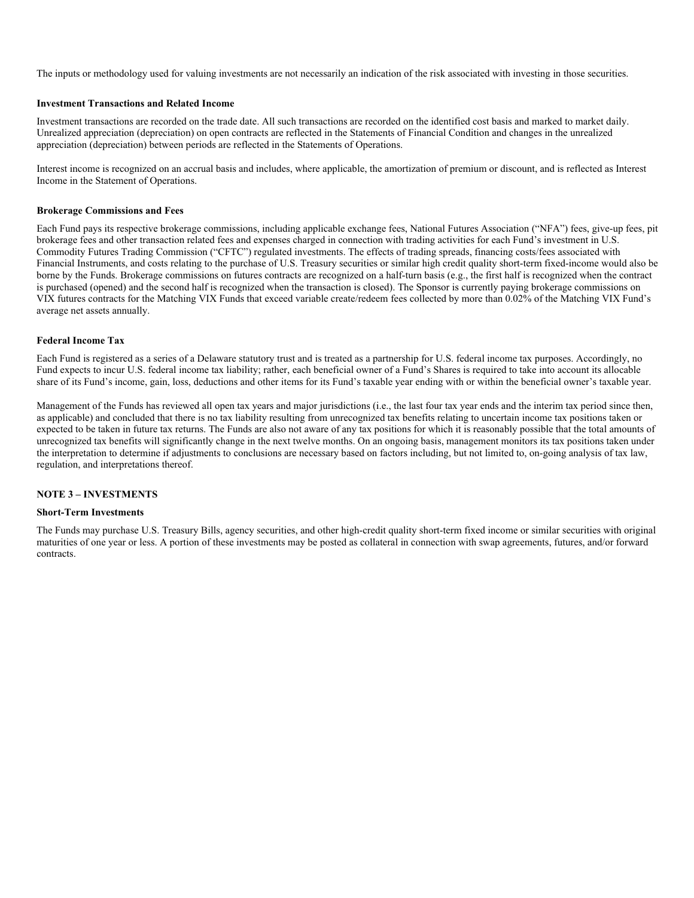The inputs or methodology used for valuing investments are not necessarily an indication of the risk associated with investing in those securities.

#### **Investment Transactions and Related Income**

Investment transactions are recorded on the trade date. All such transactions are recorded on the identified cost basis and marked to market daily. Unrealized appreciation (depreciation) on open contracts are reflected in the Statements of Financial Condition and changes in the unrealized appreciation (depreciation) between periods are reflected in the Statements of Operations.

Interest income is recognized on an accrual basis and includes, where applicable, the amortization of premium or discount, and is reflected as Interest Income in the Statement of Operations.

#### **Brokerage Commissions and Fees**

Each Fund pays its respective brokerage commissions, including applicable exchange fees, National Futures Association ("NFA") fees, give-up fees, pit brokerage fees and other transaction related fees and expenses charged in connection with trading activities for each Fund's investment in U.S. Commodity Futures Trading Commission ("CFTC") regulated investments. The effects of trading spreads, financing costs/fees associated with Financial Instruments, and costs relating to the purchase of U.S. Treasury securities or similar high credit quality short-term fixed-income would also be borne by the Funds. Brokerage commissions on futures contracts are recognized on a half-turn basis (e.g., the first half is recognized when the contract is purchased (opened) and the second half is recognized when the transaction is closed). The Sponsor is currently paying brokerage commissions on VIX futures contracts for the Matching VIX Funds that exceed variable create/redeem fees collected by more than 0.02% of the Matching VIX Fund's average net assets annually.

#### **Federal Income Tax**

Each Fund is registered as a series of a Delaware statutory trust and is treated as a partnership for U.S. federal income tax purposes. Accordingly, no Fund expects to incur U.S. federal income tax liability; rather, each beneficial owner of a Fund's Shares is required to take into account its allocable share of its Fund's income, gain, loss, deductions and other items for its Fund's taxable year ending with or within the beneficial owner's taxable year.

Management of the Funds has reviewed all open tax years and major jurisdictions (i.e., the last four tax year ends and the interim tax period since then, as applicable) and concluded that there is no tax liability resulting from unrecognized tax benefits relating to uncertain income tax positions taken or expected to be taken in future tax returns. The Funds are also not aware of any tax positions for which it is reasonably possible that the total amounts of unrecognized tax benefits will significantly change in the next twelve months. On an ongoing basis, management monitors its tax positions taken under the interpretation to determine if adjustments to conclusions are necessary based on factors including, but not limited to, on-going analysis of tax law, regulation, and interpretations thereof.

#### **NOTE 3 – INVESTMENTS**

#### **Short-Term Investments**

The Funds may purchase U.S. Treasury Bills, agency securities, and other high-credit quality short-term fixed income or similar securities with original maturities of one year or less. A portion of these investments may be posted as collateral in connection with swap agreements, futures, and/or forward contracts.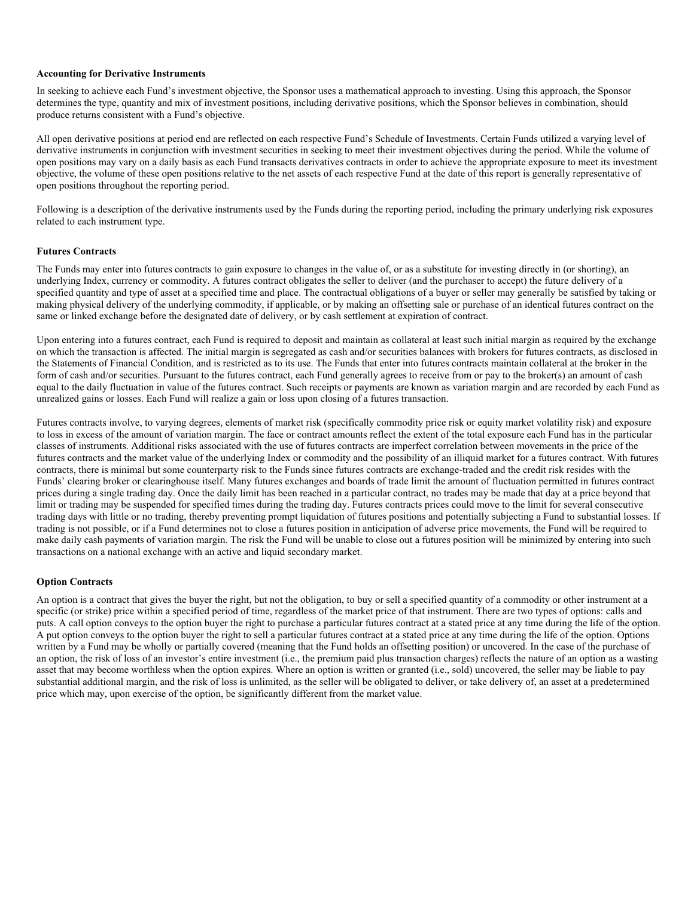#### **Accounting for Derivative Instruments**

In seeking to achieve each Fund's investment objective, the Sponsor uses a mathematical approach to investing. Using this approach, the Sponsor determines the type, quantity and mix of investment positions, including derivative positions, which the Sponsor believes in combination, should produce returns consistent with a Fund's objective.

All open derivative positions at period end are reflected on each respective Fund's Schedule of Investments. Certain Funds utilized a varying level of derivative instruments in conjunction with investment securities in seeking to meet their investment objectives during the period. While the volume of open positions may vary on a daily basis as each Fund transacts derivatives contracts in order to achieve the appropriate exposure to meet its investment objective, the volume of these open positions relative to the net assets of each respective Fund at the date of this report is generally representative of open positions throughout the reporting period.

Following is a description of the derivative instruments used by the Funds during the reporting period, including the primary underlying risk exposures related to each instrument type.

#### **Futures Contracts**

The Funds may enter into futures contracts to gain exposure to changes in the value of, or as a substitute for investing directly in (or shorting), an underlying Index, currency or commodity. A futures contract obligates the seller to deliver (and the purchaser to accept) the future delivery of a specified quantity and type of asset at a specified time and place. The contractual obligations of a buyer or seller may generally be satisfied by taking or making physical delivery of the underlying commodity, if applicable, or by making an offsetting sale or purchase of an identical futures contract on the same or linked exchange before the designated date of delivery, or by cash settlement at expiration of contract.

Upon entering into a futures contract, each Fund is required to deposit and maintain as collateral at least such initial margin as required by the exchange on which the transaction is affected. The initial margin is segregated as cash and/or securities balances with brokers for futures contracts, as disclosed in the Statements of Financial Condition, and is restricted as to its use. The Funds that enter into futures contracts maintain collateral at the broker in the form of cash and/or securities. Pursuant to the futures contract, each Fund generally agrees to receive from or pay to the broker(s) an amount of cash equal to the daily fluctuation in value of the futures contract. Such receipts or payments are known as variation margin and are recorded by each Fund as unrealized gains or losses. Each Fund will realize a gain or loss upon closing of a futures transaction.

Futures contracts involve, to varying degrees, elements of market risk (specifically commodity price risk or equity market volatility risk) and exposure to loss in excess of the amount of variation margin. The face or contract amounts reflect the extent of the total exposure each Fund has in the particular classes of instruments. Additional risks associated with the use of futures contracts are imperfect correlation between movements in the price of the futures contracts and the market value of the underlying Index or commodity and the possibility of an illiquid market for a futures contract. With futures contracts, there is minimal but some counterparty risk to the Funds since futures contracts are exchange-traded and the credit risk resides with the Funds' clearing broker or clearinghouse itself. Many futures exchanges and boards of trade limit the amount of fluctuation permitted in futures contract prices during a single trading day. Once the daily limit has been reached in a particular contract, no trades may be made that day at a price beyond that limit or trading may be suspended for specified times during the trading day. Futures contracts prices could move to the limit for several consecutive trading days with little or no trading, thereby preventing prompt liquidation of futures positions and potentially subjecting a Fund to substantial losses. If trading is not possible, or if a Fund determines not to close a futures position in anticipation of adverse price movements, the Fund will be required to make daily cash payments of variation margin. The risk the Fund will be unable to close out a futures position will be minimized by entering into such transactions on a national exchange with an active and liquid secondary market.

### **Option Contracts**

An option is a contract that gives the buyer the right, but not the obligation, to buy or sell a specified quantity of a commodity or other instrument at a specific (or strike) price within a specified period of time, regardless of the market price of that instrument. There are two types of options: calls and puts. A call option conveys to the option buyer the right to purchase a particular futures contract at a stated price at any time during the life of the option. A put option conveys to the option buyer the right to sell a particular futures contract at a stated price at any time during the life of the option. Options written by a Fund may be wholly or partially covered (meaning that the Fund holds an offsetting position) or uncovered. In the case of the purchase of an option, the risk of loss of an investor's entire investment (i.e., the premium paid plus transaction charges) reflects the nature of an option as a wasting asset that may become worthless when the option expires. Where an option is written or granted (i.e., sold) uncovered, the seller may be liable to pay substantial additional margin, and the risk of loss is unlimited, as the seller will be obligated to deliver, or take delivery of, an asset at a predetermined price which may, upon exercise of the option, be significantly different from the market value.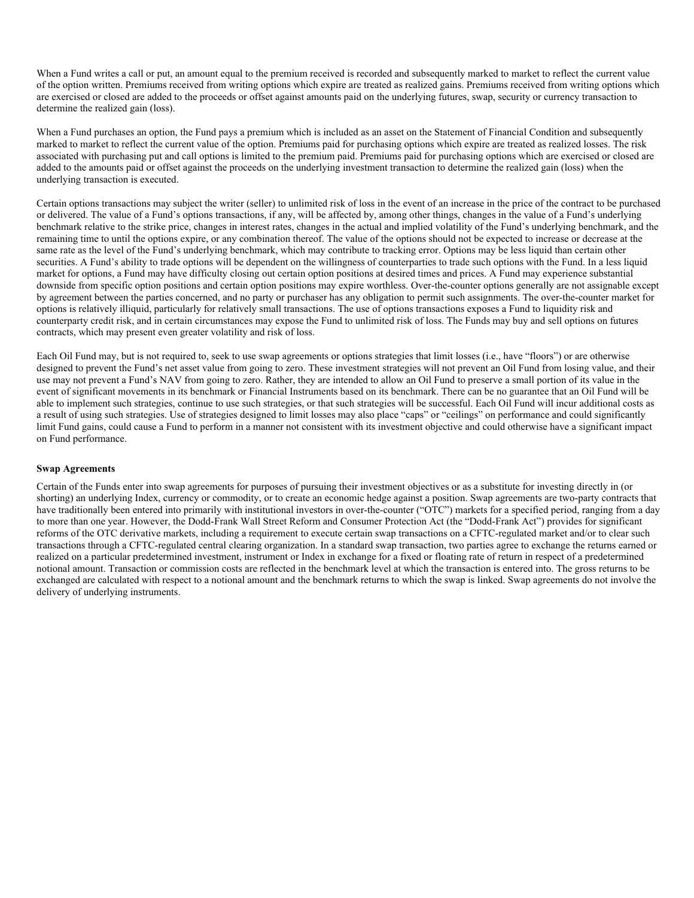When a Fund writes a call or put, an amount equal to the premium received is recorded and subsequently marked to market to reflect the current value of the option written. Premiums received from writing options which expire are treated as realized gains. Premiums received from writing options which are exercised or closed are added to the proceeds or offset against amounts paid on the underlying futures, swap, security or currency transaction to determine the realized gain (loss).

When a Fund purchases an option, the Fund pays a premium which is included as an asset on the Statement of Financial Condition and subsequently marked to market to reflect the current value of the option. Premiums paid for purchasing options which expire are treated as realized losses. The risk associated with purchasing put and call options is limited to the premium paid. Premiums paid for purchasing options which are exercised or closed are added to the amounts paid or offset against the proceeds on the underlying investment transaction to determine the realized gain (loss) when the underlying transaction is executed.

Certain options transactions may subject the writer (seller) to unlimited risk of loss in the event of an increase in the price of the contract to be purchased or delivered. The value of a Fund's options transactions, if any, will be affected by, among other things, changes in the value of a Fund's underlying benchmark relative to the strike price, changes in interest rates, changes in the actual and implied volatility of the Fund's underlying benchmark, and the remaining time to until the options expire, or any combination thereof. The value of the options should not be expected to increase or decrease at the same rate as the level of the Fund's underlying benchmark, which may contribute to tracking error. Options may be less liquid than certain other securities. A Fund's ability to trade options will be dependent on the willingness of counterparties to trade such options with the Fund. In a less liquid market for options, a Fund may have difficulty closing out certain option positions at desired times and prices. A Fund may experience substantial downside from specific option positions and certain option positions may expire worthless. Over-the-counter options generally are not assignable except by agreement between the parties concerned, and no party or purchaser has any obligation to permit such assignments. The over-the-counter market for options is relatively illiquid, particularly for relatively small transactions. The use of options transactions exposes a Fund to liquidity risk and counterparty credit risk, and in certain circumstances may expose the Fund to unlimited risk of loss. The Funds may buy and sell options on futures contracts, which may present even greater volatility and risk of loss.

Each Oil Fund may, but is not required to, seek to use swap agreements or options strategies that limit losses (i.e., have "floors") or are otherwise designed to prevent the Fund's net asset value from going to zero. These investment strategies will not prevent an Oil Fund from losing value, and their use may not prevent a Fund's NAV from going to zero. Rather, they are intended to allow an Oil Fund to preserve a small portion of its value in the event of significant movements in its benchmark or Financial Instruments based on its benchmark. There can be no guarantee that an Oil Fund will be able to implement such strategies, continue to use such strategies, or that such strategies will be successful. Each Oil Fund will incur additional costs as a result of using such strategies. Use of strategies designed to limit losses may also place "caps" or "ceilings" on performance and could significantly limit Fund gains, could cause a Fund to perform in a manner not consistent with its investment objective and could otherwise have a significant impact on Fund performance.

#### **Swap Agreements**

Certain of the Funds enter into swap agreements for purposes of pursuing their investment objectives or as a substitute for investing directly in (or shorting) an underlying Index, currency or commodity, or to create an economic hedge against a position. Swap agreements are two-party contracts that have traditionally been entered into primarily with institutional investors in over-the-counter ("OTC") markets for a specified period, ranging from a day to more than one year. However, the Dodd-Frank Wall Street Reform and Consumer Protection Act (the "Dodd-Frank Act") provides for significant reforms of the OTC derivative markets, including a requirement to execute certain swap transactions on a CFTC-regulated market and/or to clear such transactions through a CFTC-regulated central clearing organization. In a standard swap transaction, two parties agree to exchange the returns earned or realized on a particular predetermined investment, instrument or Index in exchange for a fixed or floating rate of return in respect of a predetermined notional amount. Transaction or commission costs are reflected in the benchmark level at which the transaction is entered into. The gross returns to be exchanged are calculated with respect to a notional amount and the benchmark returns to which the swap is linked. Swap agreements do not involve the delivery of underlying instruments.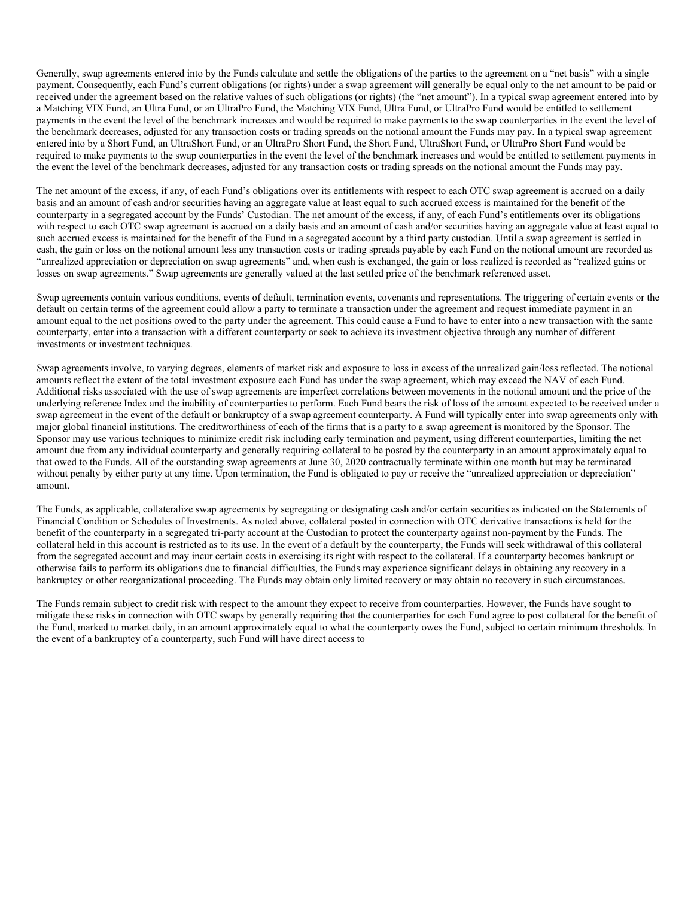Generally, swap agreements entered into by the Funds calculate and settle the obligations of the parties to the agreement on a "net basis" with a single payment. Consequently, each Fund's current obligations (or rights) under a swap agreement will generally be equal only to the net amount to be paid or received under the agreement based on the relative values of such obligations (or rights) (the "net amount"). In a typical swap agreement entered into by a Matching VIX Fund, an Ultra Fund, or an UltraPro Fund, the Matching VIX Fund, Ultra Fund, or UltraPro Fund would be entitled to settlement payments in the event the level of the benchmark increases and would be required to make payments to the swap counterparties in the event the level of the benchmark decreases, adjusted for any transaction costs or trading spreads on the notional amount the Funds may pay. In a typical swap agreement entered into by a Short Fund, an UltraShort Fund, or an UltraPro Short Fund, the Short Fund, UltraShort Fund, or UltraPro Short Fund would be required to make payments to the swap counterparties in the event the level of the benchmark increases and would be entitled to settlement payments in the event the level of the benchmark decreases, adjusted for any transaction costs or trading spreads on the notional amount the Funds may pay.

The net amount of the excess, if any, of each Fund's obligations over its entitlements with respect to each OTC swap agreement is accrued on a daily basis and an amount of cash and/or securities having an aggregate value at least equal to such accrued excess is maintained for the benefit of the counterparty in a segregated account by the Funds' Custodian. The net amount of the excess, if any, of each Fund's entitlements over its obligations with respect to each OTC swap agreement is accrued on a daily basis and an amount of cash and/or securities having an aggregate value at least equal to such accrued excess is maintained for the benefit of the Fund in a segregated account by a third party custodian. Until a swap agreement is settled in cash, the gain or loss on the notional amount less any transaction costs or trading spreads payable by each Fund on the notional amount are recorded as "unrealized appreciation or depreciation on swap agreements" and, when cash is exchanged, the gain or loss realized is recorded as "realized gains or losses on swap agreements." Swap agreements are generally valued at the last settled price of the benchmark referenced asset.

Swap agreements contain various conditions, events of default, termination events, covenants and representations. The triggering of certain events or the default on certain terms of the agreement could allow a party to terminate a transaction under the agreement and request immediate payment in an amount equal to the net positions owed to the party under the agreement. This could cause a Fund to have to enter into a new transaction with the same counterparty, enter into a transaction with a different counterparty or seek to achieve its investment objective through any number of different investments or investment techniques.

Swap agreements involve, to varying degrees, elements of market risk and exposure to loss in excess of the unrealized gain/loss reflected. The notional amounts reflect the extent of the total investment exposure each Fund has under the swap agreement, which may exceed the NAV of each Fund. Additional risks associated with the use of swap agreements are imperfect correlations between movements in the notional amount and the price of the underlying reference Index and the inability of counterparties to perform. Each Fund bears the risk of loss of the amount expected to be received under a swap agreement in the event of the default or bankruptcy of a swap agreement counterparty. A Fund will typically enter into swap agreements only with major global financial institutions. The creditworthiness of each of the firms that is a party to a swap agreement is monitored by the Sponsor. The Sponsor may use various techniques to minimize credit risk including early termination and payment, using different counterparties, limiting the net amount due from any individual counterparty and generally requiring collateral to be posted by the counterparty in an amount approximately equal to that owed to the Funds. All of the outstanding swap agreements at June 30, 2020 contractually terminate within one month but may be terminated without penalty by either party at any time. Upon termination, the Fund is obligated to pay or receive the "unrealized appreciation or depreciation" amount.

The Funds, as applicable, collateralize swap agreements by segregating or designating cash and/or certain securities as indicated on the Statements of Financial Condition or Schedules of Investments. As noted above, collateral posted in connection with OTC derivative transactions is held for the benefit of the counterparty in a segregated tri-party account at the Custodian to protect the counterparty against non-payment by the Funds. The collateral held in this account is restricted as to its use. In the event of a default by the counterparty, the Funds will seek withdrawal of this collateral from the segregated account and may incur certain costs in exercising its right with respect to the collateral. If a counterparty becomes bankrupt or otherwise fails to perform its obligations due to financial difficulties, the Funds may experience significant delays in obtaining any recovery in a bankruptcy or other reorganizational proceeding. The Funds may obtain only limited recovery or may obtain no recovery in such circumstances.

The Funds remain subject to credit risk with respect to the amount they expect to receive from counterparties. However, the Funds have sought to mitigate these risks in connection with OTC swaps by generally requiring that the counterparties for each Fund agree to post collateral for the benefit of the Fund, marked to market daily, in an amount approximately equal to what the counterparty owes the Fund, subject to certain minimum thresholds. In the event of a bankruptcy of a counterparty, such Fund will have direct access to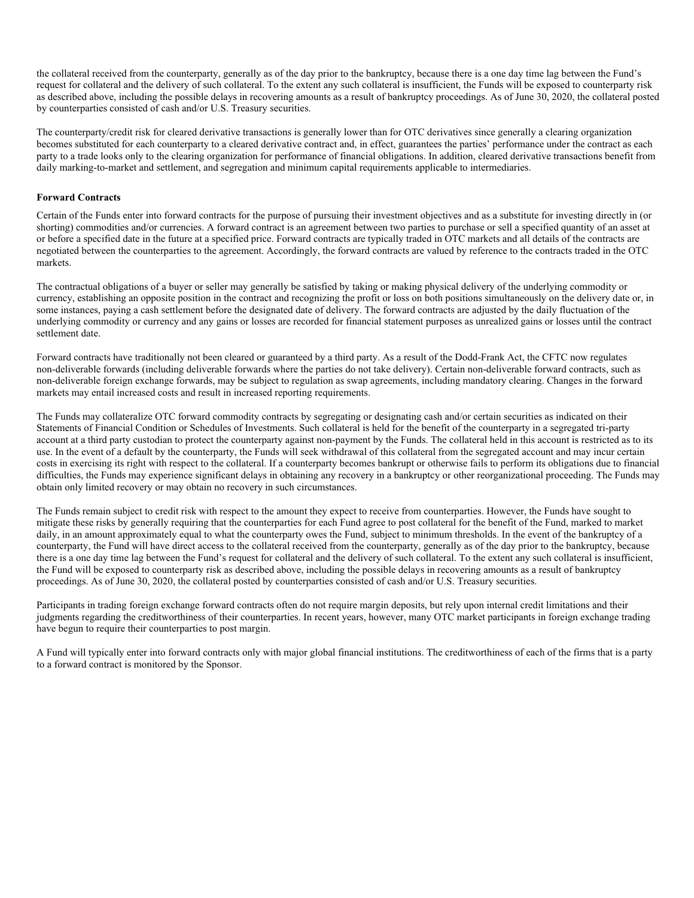the collateral received from the counterparty, generally as of the day prior to the bankruptcy, because there is a one day time lag between the Fund's request for collateral and the delivery of such collateral. To the extent any such collateral is insufficient, the Funds will be exposed to counterparty risk as described above, including the possible delays in recovering amounts as a result of bankruptcy proceedings. As of June 30, 2020, the collateral posted by counterparties consisted of cash and/or U.S. Treasury securities.

The counterparty/credit risk for cleared derivative transactions is generally lower than for OTC derivatives since generally a clearing organization becomes substituted for each counterparty to a cleared derivative contract and, in effect, guarantees the parties' performance under the contract as each party to a trade looks only to the clearing organization for performance of financial obligations. In addition, cleared derivative transactions benefit from daily marking-to-market and settlement, and segregation and minimum capital requirements applicable to intermediaries.

#### **Forward Contracts**

Certain of the Funds enter into forward contracts for the purpose of pursuing their investment objectives and as a substitute for investing directly in (or shorting) commodities and/or currencies. A forward contract is an agreement between two parties to purchase or sell a specified quantity of an asset at or before a specified date in the future at a specified price. Forward contracts are typically traded in OTC markets and all details of the contracts are negotiated between the counterparties to the agreement. Accordingly, the forward contracts are valued by reference to the contracts traded in the OTC markets.

The contractual obligations of a buyer or seller may generally be satisfied by taking or making physical delivery of the underlying commodity or currency, establishing an opposite position in the contract and recognizing the profit or loss on both positions simultaneously on the delivery date or, in some instances, paying a cash settlement before the designated date of delivery. The forward contracts are adjusted by the daily fluctuation of the underlying commodity or currency and any gains or losses are recorded for financial statement purposes as unrealized gains or losses until the contract settlement date.

Forward contracts have traditionally not been cleared or guaranteed by a third party. As a result of the Dodd-Frank Act, the CFTC now regulates non-deliverable forwards (including deliverable forwards where the parties do not take delivery). Certain non-deliverable forward contracts, such as non-deliverable foreign exchange forwards, may be subject to regulation as swap agreements, including mandatory clearing. Changes in the forward markets may entail increased costs and result in increased reporting requirements.

The Funds may collateralize OTC forward commodity contracts by segregating or designating cash and/or certain securities as indicated on their Statements of Financial Condition or Schedules of Investments. Such collateral is held for the benefit of the counterparty in a segregated tri-party account at a third party custodian to protect the counterparty against non-payment by the Funds. The collateral held in this account is restricted as to its use. In the event of a default by the counterparty, the Funds will seek withdrawal of this collateral from the segregated account and may incur certain costs in exercising its right with respect to the collateral. If a counterparty becomes bankrupt or otherwise fails to perform its obligations due to financial difficulties, the Funds may experience significant delays in obtaining any recovery in a bankruptcy or other reorganizational proceeding. The Funds may obtain only limited recovery or may obtain no recovery in such circumstances.

The Funds remain subject to credit risk with respect to the amount they expect to receive from counterparties. However, the Funds have sought to mitigate these risks by generally requiring that the counterparties for each Fund agree to post collateral for the benefit of the Fund, marked to market daily, in an amount approximately equal to what the counterparty owes the Fund, subject to minimum thresholds. In the event of the bankruptcy of a counterparty, the Fund will have direct access to the collateral received from the counterparty, generally as of the day prior to the bankruptcy, because there is a one day time lag between the Fund's request for collateral and the delivery of such collateral. To the extent any such collateral is insufficient, the Fund will be exposed to counterparty risk as described above, including the possible delays in recovering amounts as a result of bankruptcy proceedings. As of June 30, 2020, the collateral posted by counterparties consisted of cash and/or U.S. Treasury securities.

Participants in trading foreign exchange forward contracts often do not require margin deposits, but rely upon internal credit limitations and their judgments regarding the creditworthiness of their counterparties. In recent years, however, many OTC market participants in foreign exchange trading have begun to require their counterparties to post margin.

A Fund will typically enter into forward contracts only with major global financial institutions. The creditworthiness of each of the firms that is a party to a forward contract is monitored by the Sponsor.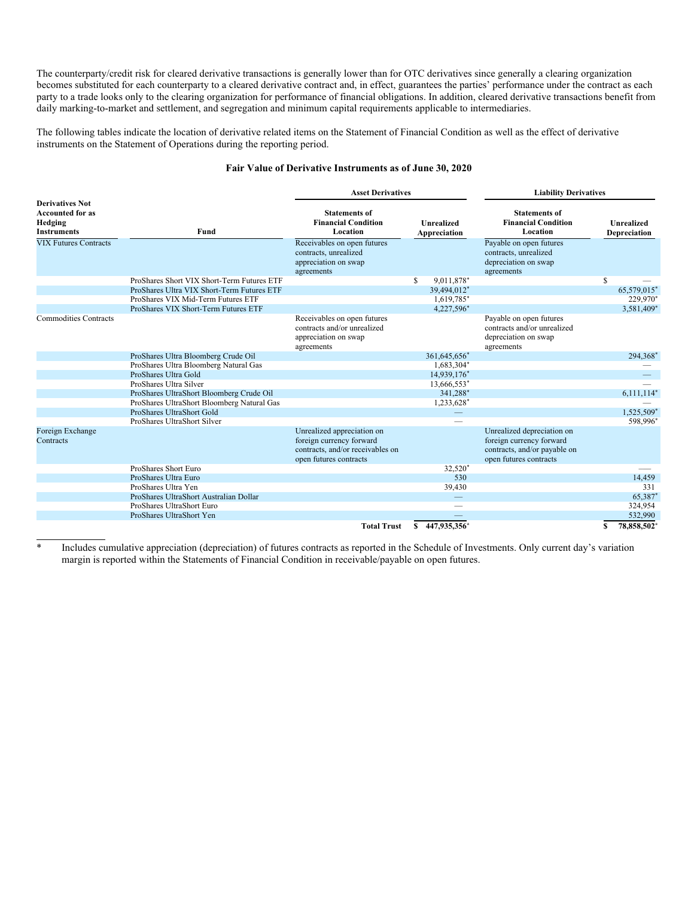The counterparty/credit risk for cleared derivative transactions is generally lower than for OTC derivatives since generally a clearing organization becomes substituted for each counterparty to a cleared derivative contract and, in effect, guarantees the parties' performance under the contract as each party to a trade looks only to the clearing organization for performance of financial obligations. In addition, cleared derivative transactions benefit from daily marking-to-market and settlement, and segregation and minimum capital requirements applicable to intermediaries.

The following tables indicate the location of derivative related items on the Statement of Financial Condition as well as the effect of derivative instruments on the Statement of Operations during the reporting period.

# **Fair Value of Derivative Instruments as of June 30, 2020**

|                                                                                    |                                                                                                                                                                        | <b>Asset Derivatives</b>                                                                                             |                                              | <b>Liability Derivatives</b>                                                                                     |    |                                   |
|------------------------------------------------------------------------------------|------------------------------------------------------------------------------------------------------------------------------------------------------------------------|----------------------------------------------------------------------------------------------------------------------|----------------------------------------------|------------------------------------------------------------------------------------------------------------------|----|-----------------------------------|
| <b>Derivatives Not</b><br><b>Accounted for as</b><br>Hedging<br><b>Instruments</b> | Fund                                                                                                                                                                   | <b>Statements of</b><br><b>Financial Condition</b><br>Location                                                       | <b>Unrealized</b><br>Appreciation            | <b>Statements of</b><br><b>Financial Condition</b><br>Location                                                   |    | <b>Unrealized</b><br>Depreciation |
| <b>VIX Futures Contracts</b>                                                       |                                                                                                                                                                        | Receivables on open futures<br>contracts, unrealized<br>appreciation on swap<br>agreements                           |                                              | Payable on open futures<br>contracts, unrealized<br>depreciation on swap<br>agreements                           |    |                                   |
|                                                                                    | ProShares Short VIX Short-Term Futures ETF<br>ProShares Ultra VIX Short-Term Futures ETF<br>ProShares VIX Mid-Term Futures ETF<br>ProShares VIX Short-Term Futures ETF |                                                                                                                      | S<br>9,011,878*<br>39,494,012*<br>1,619,785* |                                                                                                                  | S  | 65,579,015<br>229,970*            |
| <b>Commodities Contracts</b>                                                       |                                                                                                                                                                        | Receivables on open futures<br>contracts and/or unrealized<br>appreciation on swap<br>agreements                     | 4,227,596*                                   | Payable on open futures<br>contracts and/or unrealized<br>depreciation on swap<br>agreements                     |    | 3,581,409*                        |
|                                                                                    | ProShares Ultra Bloomberg Crude Oil                                                                                                                                    |                                                                                                                      | 361,645,656*                                 |                                                                                                                  |    | 294,368*                          |
|                                                                                    | ProShares Ultra Bloomberg Natural Gas                                                                                                                                  |                                                                                                                      | 1,683,304*                                   |                                                                                                                  |    |                                   |
|                                                                                    | ProShares Ultra Gold                                                                                                                                                   |                                                                                                                      | 14,939,176*                                  |                                                                                                                  |    |                                   |
|                                                                                    | ProShares Ultra Silver                                                                                                                                                 |                                                                                                                      | 13,666,553*                                  |                                                                                                                  |    |                                   |
|                                                                                    | ProShares UltraShort Bloomberg Crude Oil                                                                                                                               |                                                                                                                      | 341,288*                                     |                                                                                                                  |    | 6,111,114                         |
|                                                                                    | ProShares UltraShort Bloomberg Natural Gas                                                                                                                             |                                                                                                                      | 1,233,628*                                   |                                                                                                                  |    |                                   |
|                                                                                    | ProShares UltraShort Gold                                                                                                                                              |                                                                                                                      |                                              |                                                                                                                  |    | 1,525,509                         |
|                                                                                    | ProShares UltraShort Silver                                                                                                                                            |                                                                                                                      |                                              |                                                                                                                  |    | 598,996                           |
| Foreign Exchange<br>Contracts                                                      |                                                                                                                                                                        | Unrealized appreciation on<br>foreign currency forward<br>contracts, and/or receivables on<br>open futures contracts |                                              | Unrealized depreciation on<br>foreign currency forward<br>contracts, and/or payable on<br>open futures contracts |    |                                   |
|                                                                                    | ProShares Short Euro                                                                                                                                                   |                                                                                                                      | 32,520*                                      |                                                                                                                  |    |                                   |
|                                                                                    | ProShares Ultra Euro                                                                                                                                                   |                                                                                                                      | 530                                          |                                                                                                                  |    | 14,459                            |
|                                                                                    | ProShares Ultra Yen                                                                                                                                                    |                                                                                                                      | 39,430                                       |                                                                                                                  |    | 331                               |
|                                                                                    | ProShares UltraShort Australian Dollar                                                                                                                                 |                                                                                                                      |                                              |                                                                                                                  |    | 65,387*                           |
|                                                                                    | ProShares UltraShort Euro                                                                                                                                              |                                                                                                                      |                                              |                                                                                                                  |    | 324,954                           |
|                                                                                    | ProShares UltraShort Yen                                                                                                                                               |                                                                                                                      |                                              |                                                                                                                  |    | 532,990                           |
|                                                                                    |                                                                                                                                                                        | <b>Total Trust</b>                                                                                                   | \$447,935,356                                |                                                                                                                  | \$ | 78,858,502                        |

\* Includes cumulative appreciation (depreciation) of futures contracts as reported in the Schedule of Investments. Only current day's variation margin is reported within the Statements of Financial Condition in receivable/payable on open futures.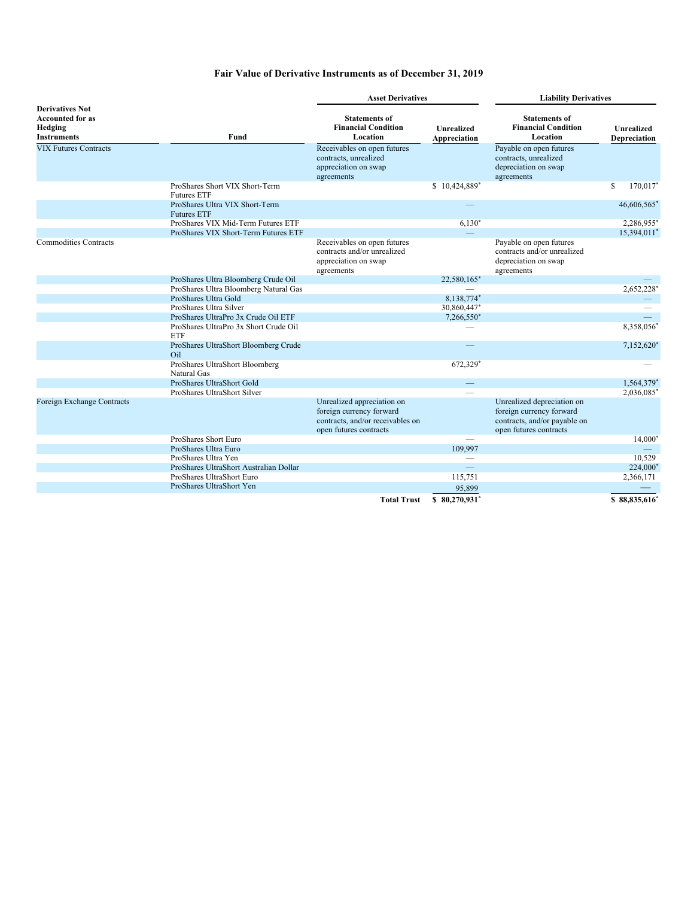# **Fair Value of Derivative Instruments as of December 31, 2019**

|                                                                                    |                                                      | <b>Asset Derivatives</b>                                                                         |                                   | <b>Liability Derivatives</b>                                                                 |                                          |  |
|------------------------------------------------------------------------------------|------------------------------------------------------|--------------------------------------------------------------------------------------------------|-----------------------------------|----------------------------------------------------------------------------------------------|------------------------------------------|--|
| <b>Derivatives Not</b><br><b>Accounted for as</b><br>Hedging<br><b>Instruments</b> | Fund                                                 | <b>Statements of</b><br><b>Financial Condition</b><br>Location                                   | <b>Unrealized</b><br>Appreciation | <b>Statements of</b><br><b>Financial Condition</b><br>Location                               | <b>Unrealized</b><br><b>Depreciation</b> |  |
| <b>VIX Futures Contracts</b>                                                       |                                                      | Receivables on open futures<br>contracts, unrealized<br>appreciation on swap<br>agreements       |                                   | Payable on open futures<br>contracts, unrealized<br>depreciation on swap<br>agreements       |                                          |  |
|                                                                                    | ProShares Short VIX Short-Term<br><b>Futures ETF</b> |                                                                                                  | $$10,424,889$ *                   |                                                                                              | \$<br>170,017*                           |  |
|                                                                                    | ProShares Ultra VIX Short-Term<br><b>Futures ETF</b> |                                                                                                  |                                   |                                                                                              | 46,606,565*                              |  |
|                                                                                    | ProShares VIX Mid-Term Futures ETF                   |                                                                                                  | $6,130*$                          |                                                                                              | 2,286,955*                               |  |
|                                                                                    | ProShares VIX Short-Term Futures ETF                 |                                                                                                  |                                   |                                                                                              | 15,394,011*                              |  |
| <b>Commodities Contracts</b>                                                       |                                                      | Receivables on open futures<br>contracts and/or unrealized<br>appreciation on swap<br>agreements |                                   | Payable on open futures<br>contracts and/or unrealized<br>depreciation on swap<br>agreements |                                          |  |
|                                                                                    | ProShares Ultra Bloomberg Crude Oil                  |                                                                                                  | 22,580,165*                       |                                                                                              |                                          |  |
|                                                                                    | ProShares Ultra Bloomberg Natural Gas                |                                                                                                  |                                   |                                                                                              | 2,652,228                                |  |
|                                                                                    | ProShares Ultra Gold                                 |                                                                                                  | 8,138,774*                        |                                                                                              |                                          |  |
|                                                                                    | ProShares Ultra Silver                               |                                                                                                  | 30,860,447*                       |                                                                                              |                                          |  |
|                                                                                    | ProShares UltraPro 3x Crude Oil ETF                  |                                                                                                  | 7,266,550*                        |                                                                                              |                                          |  |
|                                                                                    | ProShares UltraPro 3x Short Crude Oil<br>ETF         |                                                                                                  |                                   |                                                                                              | 8,358,056*                               |  |
|                                                                                    | ProShares UltraShort Bloomberg Crude<br>Oil          |                                                                                                  |                                   |                                                                                              | 7,152,620*                               |  |
|                                                                                    | ProShares UltraShort Bloomberg<br>Natural Gas        |                                                                                                  | 672,329*                          |                                                                                              |                                          |  |
|                                                                                    | ProShares UltraShort Gold                            |                                                                                                  |                                   |                                                                                              | 1,564,379*                               |  |
|                                                                                    | ProShares UltraShort Silver                          |                                                                                                  | $\sim$                            |                                                                                              | 2,036,085                                |  |
| Foreign Exchange Contracts                                                         |                                                      | Unrealized appreciation on                                                                       |                                   | Unrealized depreciation on                                                                   |                                          |  |
|                                                                                    |                                                      | foreign currency forward<br>contracts, and/or receivables on<br>open futures contracts           |                                   | foreign currency forward<br>contracts, and/or payable on<br>open futures contracts           |                                          |  |
|                                                                                    | ProShares Short Euro                                 |                                                                                                  |                                   |                                                                                              | 14,000*                                  |  |
|                                                                                    | ProShares Ultra Euro                                 |                                                                                                  | 109,997                           |                                                                                              |                                          |  |
|                                                                                    | ProShares Ultra Yen                                  |                                                                                                  |                                   |                                                                                              | 10.529                                   |  |
|                                                                                    | ProShares UltraShort Australian Dollar               |                                                                                                  | $\overline{\phantom{0}}$          |                                                                                              | 224,000*                                 |  |
|                                                                                    | ProShares UltraShort Euro                            |                                                                                                  | 115,751                           |                                                                                              | 2,366,171                                |  |
|                                                                                    | ProShares UltraShort Yen                             |                                                                                                  |                                   |                                                                                              |                                          |  |
|                                                                                    |                                                      |                                                                                                  | 95,899                            |                                                                                              |                                          |  |
|                                                                                    |                                                      | <b>Total Trust</b>                                                                               | \$80,270,931"                     |                                                                                              | \$88,835,616                             |  |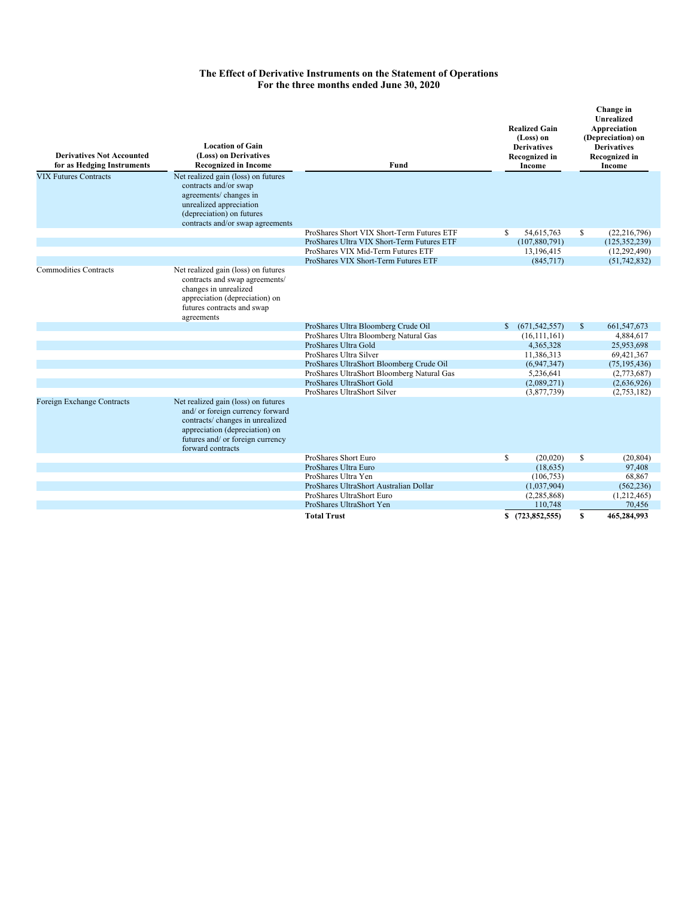# **The Effect of Derivative Instruments on the Statement of Operations For the three months ended June 30, 2020**

| <b>Derivatives Not Accounted</b><br>for as Hedging Instruments | <b>Location of Gain</b><br>(Loss) on Derivatives<br><b>Recognized in Income</b>                                                                                                                        | Fund                                       | <b>Realized Gain</b><br>(Loss) on<br><b>Derivatives</b><br><b>Recognized in</b><br>Income | Change in<br><b>Unrealized</b><br>Appreciation<br>(Depreciation) on<br><b>Derivatives</b><br><b>Recognized in</b><br>Income |
|----------------------------------------------------------------|--------------------------------------------------------------------------------------------------------------------------------------------------------------------------------------------------------|--------------------------------------------|-------------------------------------------------------------------------------------------|-----------------------------------------------------------------------------------------------------------------------------|
| <b>VIX Futures Contracts</b>                                   | Net realized gain (loss) on futures<br>contracts and/or swap<br>agreements/ changes in<br>unrealized appreciation<br>(depreciation) on futures<br>contracts and/or swap agreements                     |                                            |                                                                                           |                                                                                                                             |
|                                                                |                                                                                                                                                                                                        | ProShares Short VIX Short-Term Futures ETF | \$.<br>54,615,763                                                                         | \$<br>(22, 216, 796)                                                                                                        |
|                                                                |                                                                                                                                                                                                        | ProShares Ultra VIX Short-Term Futures ETF | (107, 880, 791)                                                                           | (125, 352, 239)                                                                                                             |
|                                                                |                                                                                                                                                                                                        | ProShares VIX Mid-Term Futures ETF         | 13,196,415                                                                                | (12, 292, 490)                                                                                                              |
|                                                                |                                                                                                                                                                                                        | ProShares VIX Short-Term Futures ETF       | (845,717)                                                                                 | (51, 742, 832)                                                                                                              |
| <b>Commodities Contracts</b>                                   | Net realized gain (loss) on futures<br>contracts and swap agreements/<br>changes in unrealized<br>appreciation (depreciation) on<br>futures contracts and swap<br>agreements                           |                                            |                                                                                           |                                                                                                                             |
|                                                                |                                                                                                                                                                                                        | ProShares Ultra Bloomberg Crude Oil        | (671, 542, 557)<br><sup>\$</sup>                                                          | $\mathbb{S}$<br>661, 547, 673                                                                                               |
|                                                                |                                                                                                                                                                                                        | ProShares Ultra Bloomberg Natural Gas      | (16, 111, 161)                                                                            | 4,884,617                                                                                                                   |
|                                                                |                                                                                                                                                                                                        | ProShares Ultra Gold                       | 4,365,328                                                                                 | 25,953,698                                                                                                                  |
|                                                                |                                                                                                                                                                                                        | ProShares Ultra Silver                     | 11,386,313                                                                                | 69,421,367                                                                                                                  |
|                                                                |                                                                                                                                                                                                        | ProShares UltraShort Bloomberg Crude Oil   | (6,947,347)                                                                               | (75, 195, 436)                                                                                                              |
|                                                                |                                                                                                                                                                                                        | ProShares UltraShort Bloomberg Natural Gas | 5,236,641                                                                                 | (2,773,687)                                                                                                                 |
|                                                                |                                                                                                                                                                                                        | ProShares UltraShort Gold                  | (2,089,271)                                                                               | (2,636,926)                                                                                                                 |
|                                                                |                                                                                                                                                                                                        | ProShares UltraShort Silver                | (3,877,739)                                                                               | (2,753,182)                                                                                                                 |
| Foreign Exchange Contracts                                     | Net realized gain (loss) on futures<br>and/ or foreign currency forward<br>contracts/ changes in unrealized<br>appreciation (depreciation) on<br>futures and/ or foreign currency<br>forward contracts |                                            |                                                                                           |                                                                                                                             |
|                                                                |                                                                                                                                                                                                        | ProShares Short Euro                       | \$<br>(20,020)                                                                            | \$<br>(20, 804)                                                                                                             |
|                                                                |                                                                                                                                                                                                        | ProShares Ultra Euro                       | (18, 635)                                                                                 | 97.408                                                                                                                      |
|                                                                |                                                                                                                                                                                                        | ProShares Ultra Yen                        | (106, 753)                                                                                | 68,867                                                                                                                      |
|                                                                |                                                                                                                                                                                                        | ProShares UltraShort Australian Dollar     | (1,037,904)                                                                               | (562, 236)                                                                                                                  |
|                                                                |                                                                                                                                                                                                        | ProShares UltraShort Euro                  | (2, 285, 868)                                                                             | (1,212,465)                                                                                                                 |
|                                                                |                                                                                                                                                                                                        | ProShares UltraShort Yen                   | 110,748                                                                                   | 70,456                                                                                                                      |
|                                                                |                                                                                                                                                                                                        | <b>Total Trust</b>                         | \$(723,852,555)                                                                           | S<br>465,284,993                                                                                                            |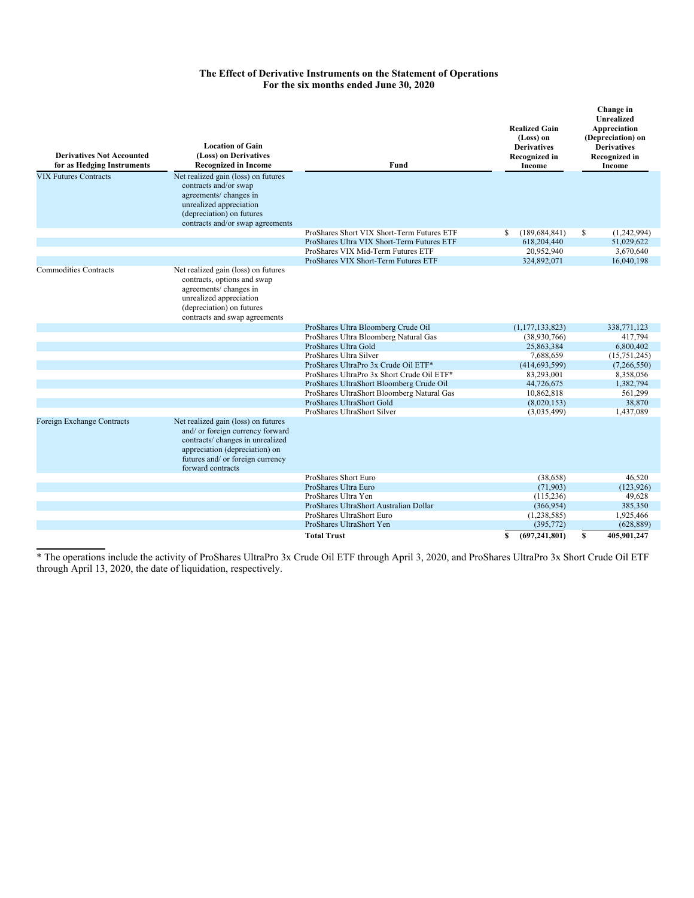# **The Effect of Derivative Instruments on the Statement of Operations For the six months ended June 30, 2020**

| <b>Derivatives Not Accounted</b><br>for as Hedging Instruments | <b>Location of Gain</b><br>(Loss) on Derivatives<br><b>Recognized in Income</b>                                                                                                                        | Fund                                       | <b>Realized Gain</b><br>(Loss) on<br><b>Derivatives</b><br>Recognized in<br>Income |   | Change in<br><b>Unrealized</b><br>Appreciation<br>(Depreciation) on<br><b>Derivatives</b><br><b>Recognized in</b><br>Income |
|----------------------------------------------------------------|--------------------------------------------------------------------------------------------------------------------------------------------------------------------------------------------------------|--------------------------------------------|------------------------------------------------------------------------------------|---|-----------------------------------------------------------------------------------------------------------------------------|
| <b>VIX Futures Contracts</b>                                   | Net realized gain (loss) on futures<br>contracts and/or swap<br>agreements/ changes in<br>unrealized appreciation<br>(depreciation) on futures<br>contracts and/or swap agreements                     |                                            |                                                                                    |   |                                                                                                                             |
|                                                                |                                                                                                                                                                                                        | ProShares Short VIX Short-Term Futures ETF | (189, 684, 841)<br>S.                                                              | S | (1,242,994)                                                                                                                 |
|                                                                |                                                                                                                                                                                                        | ProShares Ultra VIX Short-Term Futures ETF | 618,204,440                                                                        |   | 51,029,622                                                                                                                  |
|                                                                |                                                                                                                                                                                                        | ProShares VIX Mid-Term Futures ETF         | 20,952,940                                                                         |   | 3,670,640                                                                                                                   |
|                                                                |                                                                                                                                                                                                        | ProShares VIX Short-Term Futures ETF       | 324,892,071                                                                        |   | 16,040,198                                                                                                                  |
| <b>Commodities Contracts</b>                                   | Net realized gain (loss) on futures<br>contracts, options and swap<br>agreements/ changes in<br>unrealized appreciation<br>(depreciation) on futures<br>contracts and swap agreements                  |                                            |                                                                                    |   |                                                                                                                             |
|                                                                |                                                                                                                                                                                                        | ProShares Ultra Bloomberg Crude Oil        | (1, 177, 133, 823)                                                                 |   | 338,771,123                                                                                                                 |
|                                                                |                                                                                                                                                                                                        | ProShares Ultra Bloomberg Natural Gas      | (38,930,766)                                                                       |   | 417,794                                                                                                                     |
|                                                                |                                                                                                                                                                                                        | ProShares Ultra Gold                       | 25,863,384                                                                         |   | 6,800,402                                                                                                                   |
|                                                                |                                                                                                                                                                                                        | ProShares Ultra Silver                     | 7,688,659                                                                          |   | (15, 751, 245)                                                                                                              |
|                                                                |                                                                                                                                                                                                        | ProShares UltraPro 3x Crude Oil ETF*       | (414, 693, 599)                                                                    |   | (7,266,550)                                                                                                                 |
|                                                                |                                                                                                                                                                                                        | ProShares UltraPro 3x Short Crude Oil ETF* | 83,293,001                                                                         |   | 8,358,056                                                                                                                   |
|                                                                |                                                                                                                                                                                                        | ProShares UltraShort Bloomberg Crude Oil   | 44,726,675                                                                         |   | 1,382,794                                                                                                                   |
|                                                                |                                                                                                                                                                                                        | ProShares UltraShort Bloomberg Natural Gas | 10,862,818                                                                         |   | 561,299                                                                                                                     |
|                                                                |                                                                                                                                                                                                        | ProShares UltraShort Gold                  | (8,020,153)                                                                        |   | 38,870                                                                                                                      |
|                                                                |                                                                                                                                                                                                        | ProShares UltraShort Silver                | (3,035,499)                                                                        |   | 1,437,089                                                                                                                   |
| Foreign Exchange Contracts                                     | Net realized gain (loss) on futures<br>and/ or foreign currency forward<br>contracts/ changes in unrealized<br>appreciation (depreciation) on<br>futures and/ or foreign currency<br>forward contracts |                                            |                                                                                    |   |                                                                                                                             |
|                                                                |                                                                                                                                                                                                        | ProShares Short Euro                       | (38, 658)                                                                          |   | 46,520                                                                                                                      |
|                                                                |                                                                                                                                                                                                        | ProShares Ultra Euro                       | (71,903)                                                                           |   | (123, 926)                                                                                                                  |
|                                                                |                                                                                                                                                                                                        | ProShares Ultra Yen                        | (115, 236)                                                                         |   | 49.628                                                                                                                      |
|                                                                |                                                                                                                                                                                                        | ProShares UltraShort Australian Dollar     | (366, 954)                                                                         |   | 385,350                                                                                                                     |
|                                                                |                                                                                                                                                                                                        | ProShares UltraShort Euro                  | (1,238,585)                                                                        |   | 1,925,466                                                                                                                   |
|                                                                |                                                                                                                                                                                                        | ProShares UltraShort Yen                   | (395, 772)                                                                         |   | (628, 889)                                                                                                                  |
|                                                                |                                                                                                                                                                                                        | <b>Total Trust</b>                         | (697.241.801)<br>S.                                                                | S | 405.901.247                                                                                                                 |

\* The operations include the activity of ProShares UltraPro 3x Crude Oil ETF through April 3, 2020, and ProShares UltraPro 3x Short Crude Oil ETF through April 13, 2020, the date of liquidation, respectively.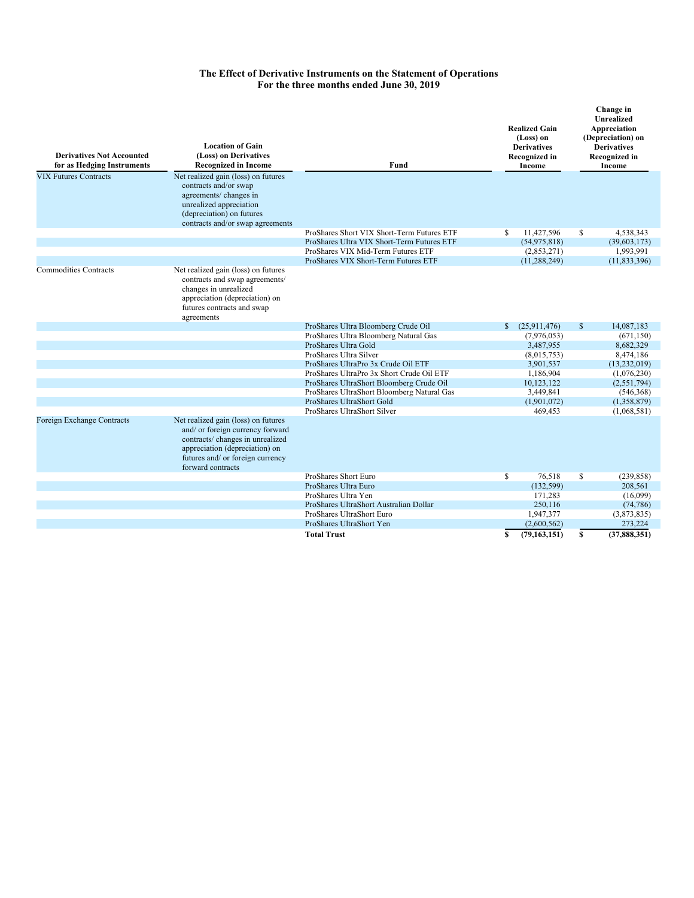# **The Effect of Derivative Instruments on the Statement of Operations For the three months ended June 30, 2019**

| <b>Derivatives Not Accounted</b><br>for as Hedging Instruments | <b>Location of Gain</b><br>(Loss) on Derivatives<br><b>Recognized in Income</b>                                                                                                                        | Fund                                       |              | <b>Realized Gain</b><br>(Loss) on<br><b>Derivatives</b><br><b>Recognized in</b><br>Income |              | Change in<br><b>Unrealized</b><br>Appreciation<br>(Depreciation) on<br><b>Derivatives</b><br>Recognized in<br>Income |
|----------------------------------------------------------------|--------------------------------------------------------------------------------------------------------------------------------------------------------------------------------------------------------|--------------------------------------------|--------------|-------------------------------------------------------------------------------------------|--------------|----------------------------------------------------------------------------------------------------------------------|
| <b>VIX Futures Contracts</b>                                   | Net realized gain (loss) on futures<br>contracts and/or swap<br>agreements/ changes in<br>unrealized appreciation<br>(depreciation) on futures<br>contracts and/or swap agreements                     |                                            |              |                                                                                           |              |                                                                                                                      |
|                                                                |                                                                                                                                                                                                        | ProShares Short VIX Short-Term Futures ETF | S            | 11.427.596                                                                                | \$           | 4,538,343                                                                                                            |
|                                                                |                                                                                                                                                                                                        | ProShares Ultra VIX Short-Term Futures ETF |              | (54, 975, 818)                                                                            |              | (39, 603, 173)                                                                                                       |
|                                                                |                                                                                                                                                                                                        | ProShares VIX Mid-Term Futures ETF         |              | (2,853,271)                                                                               |              | 1,993,991                                                                                                            |
|                                                                |                                                                                                                                                                                                        | ProShares VIX Short-Term Futures ETF       |              | (11, 288, 249)                                                                            |              | (11, 833, 396)                                                                                                       |
| <b>Commodities Contracts</b>                                   | Net realized gain (loss) on futures<br>contracts and swap agreements/<br>changes in unrealized<br>appreciation (depreciation) on<br>futures contracts and swap<br>agreements                           |                                            |              |                                                                                           |              |                                                                                                                      |
|                                                                |                                                                                                                                                                                                        | ProShares Ultra Bloomberg Crude Oil        | $\mathbb{S}$ | (25,911,476)                                                                              | $\mathbb{S}$ | 14,087,183                                                                                                           |
|                                                                |                                                                                                                                                                                                        | ProShares Ultra Bloomberg Natural Gas      |              | (7,976,053)                                                                               |              | (671, 150)                                                                                                           |
|                                                                |                                                                                                                                                                                                        | ProShares Ultra Gold                       |              | 3,487,955                                                                                 |              | 8,682,329                                                                                                            |
|                                                                |                                                                                                                                                                                                        | ProShares Ultra Silver                     |              | (8,015,753)                                                                               |              | 8.474.186                                                                                                            |
|                                                                |                                                                                                                                                                                                        | ProShares UltraPro 3x Crude Oil ETF        |              | 3,901,537                                                                                 |              | (13, 232, 019)                                                                                                       |
|                                                                |                                                                                                                                                                                                        | ProShares UltraPro 3x Short Crude Oil ETF  |              | 1,186,904                                                                                 |              | (1,076,230)                                                                                                          |
|                                                                |                                                                                                                                                                                                        | ProShares UltraShort Bloomberg Crude Oil   |              | 10,123,122                                                                                |              | (2,551,794)                                                                                                          |
|                                                                |                                                                                                                                                                                                        | ProShares UltraShort Bloomberg Natural Gas |              | 3,449,841                                                                                 |              | (546, 368)                                                                                                           |
|                                                                |                                                                                                                                                                                                        | ProShares UltraShort Gold                  |              | (1,901,072)                                                                               |              | (1,358,879)                                                                                                          |
|                                                                |                                                                                                                                                                                                        | ProShares UltraShort Silver                |              | 469,453                                                                                   |              | (1,068,581)                                                                                                          |
| Foreign Exchange Contracts                                     | Net realized gain (loss) on futures<br>and/ or foreign currency forward<br>contracts/ changes in unrealized<br>appreciation (depreciation) on<br>futures and/ or foreign currency<br>forward contracts |                                            |              |                                                                                           |              |                                                                                                                      |
|                                                                |                                                                                                                                                                                                        | ProShares Short Euro                       | \$           | 76.518                                                                                    | \$           | (239.858)                                                                                                            |
|                                                                |                                                                                                                                                                                                        | ProShares Ultra Euro                       |              | (132, 599)                                                                                |              | 208,561                                                                                                              |
|                                                                |                                                                                                                                                                                                        | ProShares Ultra Yen                        |              | 171,283                                                                                   |              | (16,099)                                                                                                             |
|                                                                |                                                                                                                                                                                                        | ProShares UltraShort Australian Dollar     |              | 250,116                                                                                   |              | (74, 786)                                                                                                            |
|                                                                |                                                                                                                                                                                                        | ProShares UltraShort Euro                  |              | 1,947,377                                                                                 |              | (3,873,835)                                                                                                          |
|                                                                |                                                                                                                                                                                                        | ProShares UltraShort Yen                   |              | (2,600,562)                                                                               |              | 273,224                                                                                                              |
|                                                                |                                                                                                                                                                                                        | <b>Total Trust</b>                         | S            | (79, 163, 151)                                                                            | \$           | (37, 888, 351)                                                                                                       |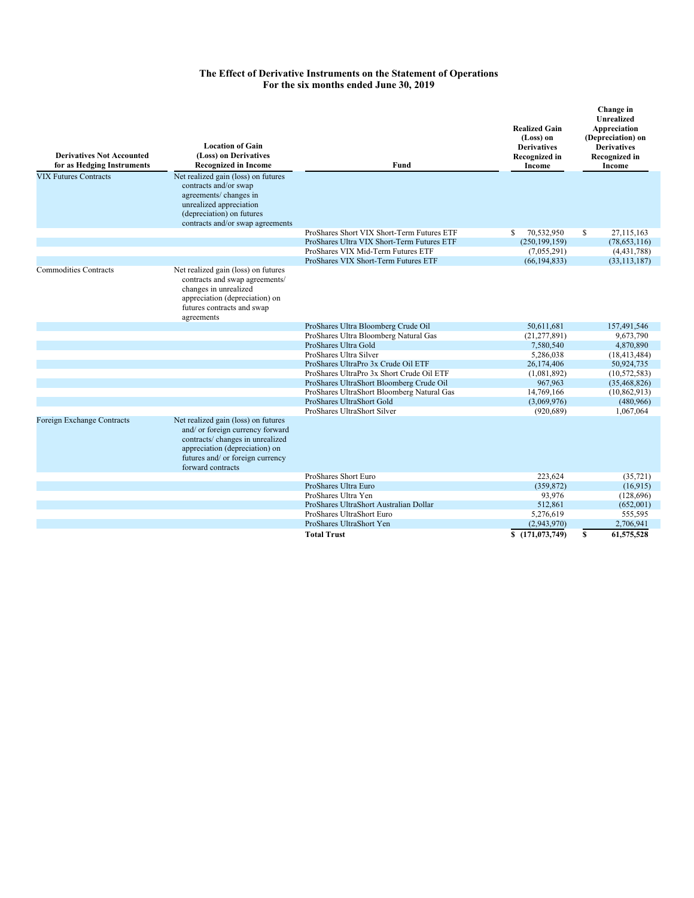# **The Effect of Derivative Instruments on the Statement of Operations For the six months ended June 30, 2019**

| <b>Derivatives Not Accounted</b><br>for as Hedging Instruments | <b>Location of Gain</b><br>(Loss) on Derivatives<br><b>Recognized in Income</b>                                                                                                                        | Fund                                       | <b>Realized Gain</b><br>(Loss) on<br><b>Derivatives</b><br><b>Recognized in</b><br>Income |              | Change in<br><b>Unrealized</b><br>Appreciation<br>(Depreciation) on<br><b>Derivatives</b><br>Recognized in<br>Income |
|----------------------------------------------------------------|--------------------------------------------------------------------------------------------------------------------------------------------------------------------------------------------------------|--------------------------------------------|-------------------------------------------------------------------------------------------|--------------|----------------------------------------------------------------------------------------------------------------------|
| <b>VIX Futures Contracts</b>                                   | Net realized gain (loss) on futures<br>contracts and/or swap<br>agreements/ changes in<br>unrealized appreciation<br>(depreciation) on futures<br>contracts and/or swap agreements                     |                                            |                                                                                           |              |                                                                                                                      |
|                                                                |                                                                                                                                                                                                        | ProShares Short VIX Short-Term Futures ETF | 70,532,950<br>S.                                                                          | \$           | 27,115,163                                                                                                           |
|                                                                |                                                                                                                                                                                                        | ProShares Ultra VIX Short-Term Futures ETF | (250, 199, 159)                                                                           |              | (78,653,116)                                                                                                         |
|                                                                |                                                                                                                                                                                                        | ProShares VIX Mid-Term Futures ETF         | (7,055,291)                                                                               |              | (4,431,788)                                                                                                          |
|                                                                |                                                                                                                                                                                                        | ProShares VIX Short-Term Futures ETF       | (66, 194, 833)                                                                            |              | (33, 113, 187)                                                                                                       |
| <b>Commodities Contracts</b>                                   | Net realized gain (loss) on futures<br>contracts and swap agreements/<br>changes in unrealized<br>appreciation (depreciation) on<br>futures contracts and swap<br>agreements                           |                                            |                                                                                           |              |                                                                                                                      |
|                                                                |                                                                                                                                                                                                        | ProShares Ultra Bloomberg Crude Oil        | 50.611.681                                                                                |              | 157,491,546                                                                                                          |
|                                                                |                                                                                                                                                                                                        | ProShares Ultra Bloomberg Natural Gas      | (21, 277, 891)                                                                            |              | 9,673,790                                                                                                            |
|                                                                |                                                                                                                                                                                                        | ProShares Ultra Gold                       | 7,580,540                                                                                 |              | 4,870,890                                                                                                            |
|                                                                |                                                                                                                                                                                                        | ProShares Ultra Silver                     | 5,286,038                                                                                 |              | (18, 413, 484)                                                                                                       |
|                                                                |                                                                                                                                                                                                        | ProShares UltraPro 3x Crude Oil ETF        | 26,174,406                                                                                |              | 50,924,735                                                                                                           |
|                                                                |                                                                                                                                                                                                        | ProShares UltraPro 3x Short Crude Oil ETF  | (1,081,892)                                                                               |              | (10, 572, 583)                                                                                                       |
|                                                                |                                                                                                                                                                                                        | ProShares UltraShort Bloomberg Crude Oil   | 967,963                                                                                   |              | (35, 468, 826)                                                                                                       |
|                                                                |                                                                                                                                                                                                        | ProShares UltraShort Bloomberg Natural Gas | 14,769,166                                                                                |              | (10, 862, 913)                                                                                                       |
|                                                                |                                                                                                                                                                                                        | ProShares UltraShort Gold                  | (3,069,976)                                                                               |              | (480, 966)                                                                                                           |
|                                                                |                                                                                                                                                                                                        | ProShares UltraShort Silver                | (920, 689)                                                                                |              | 1,067,064                                                                                                            |
| Foreign Exchange Contracts                                     | Net realized gain (loss) on futures<br>and/ or foreign currency forward<br>contracts/ changes in unrealized<br>appreciation (depreciation) on<br>futures and/ or foreign currency<br>forward contracts |                                            |                                                                                           |              |                                                                                                                      |
|                                                                |                                                                                                                                                                                                        | ProShares Short Euro                       | 223,624                                                                                   |              | (35, 721)                                                                                                            |
|                                                                |                                                                                                                                                                                                        | ProShares Ultra Euro                       | (359, 872)                                                                                |              | (16, 915)                                                                                                            |
|                                                                |                                                                                                                                                                                                        | ProShares Ultra Yen                        | 93,976                                                                                    |              | (128, 696)                                                                                                           |
|                                                                |                                                                                                                                                                                                        | ProShares UltraShort Australian Dollar     | 512,861                                                                                   |              | (652,001)                                                                                                            |
|                                                                |                                                                                                                                                                                                        | ProShares UltraShort Euro                  | 5,276,619                                                                                 |              | 555,595                                                                                                              |
|                                                                |                                                                                                                                                                                                        | ProShares UltraShort Yen                   | (2,943,970)                                                                               |              | 2,706,941                                                                                                            |
|                                                                |                                                                                                                                                                                                        | <b>Total Trust</b>                         | \$ (171,073,749)                                                                          | $\mathbf{s}$ | 61,575,528                                                                                                           |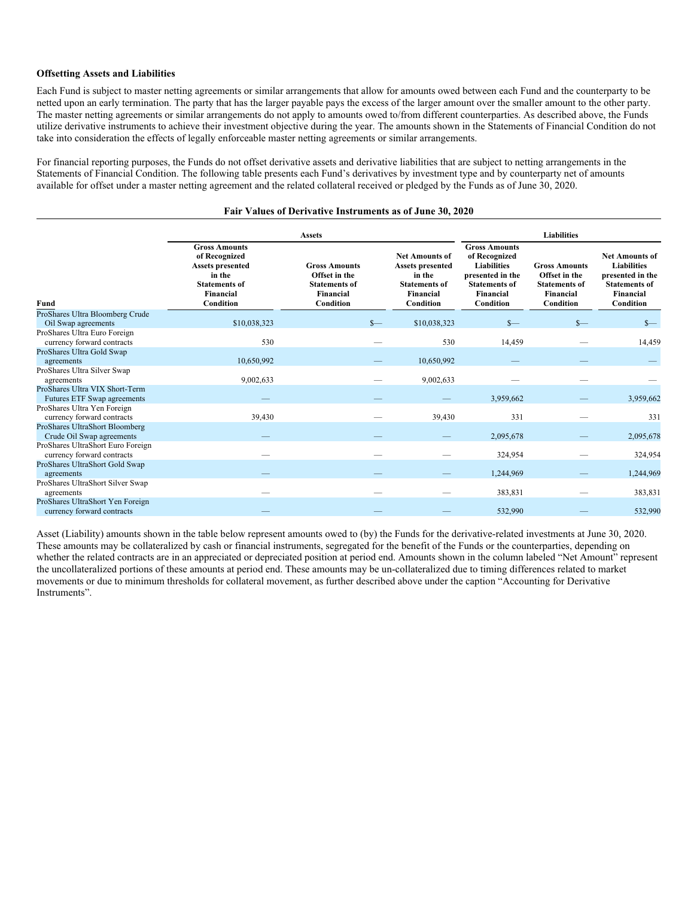### **Offsetting Assets and Liabilities**

Each Fund is subject to master netting agreements or similar arrangements that allow for amounts owed between each Fund and the counterparty to be netted upon an early termination. The party that has the larger payable pays the excess of the larger amount over the smaller amount to the other party. The master netting agreements or similar arrangements do not apply to amounts owed to/from different counterparties. As described above, the Funds utilize derivative instruments to achieve their investment objective during the year. The amounts shown in the Statements of Financial Condition do not take into consideration the effects of legally enforceable master netting agreements or similar arrangements.

For financial reporting purposes, the Funds do not offset derivative assets and derivative liabilities that are subject to netting arrangements in the Statements of Financial Condition. The following table presents each Fund's derivatives by investment type and by counterparty net of amounts available for offset under a master netting agreement and the related collateral received or pledged by the Funds as of June 30, 2020.

# **Fair Values of Derivative Instruments as of June 30, 2020**

|                                                                 | <b>Assets</b>                                                                                                                |                                                                                         |                                                                                                              | <b>Liabilities</b>                                                                                                                |                                                                                         |                                                                                                                   |
|-----------------------------------------------------------------|------------------------------------------------------------------------------------------------------------------------------|-----------------------------------------------------------------------------------------|--------------------------------------------------------------------------------------------------------------|-----------------------------------------------------------------------------------------------------------------------------------|-----------------------------------------------------------------------------------------|-------------------------------------------------------------------------------------------------------------------|
| Fund                                                            | <b>Gross Amounts</b><br>of Recognized<br><b>Assets presented</b><br>in the<br><b>Statements of</b><br>Financial<br>Condition | <b>Gross Amounts</b><br>Offset in the<br><b>Statements of</b><br>Financial<br>Condition | <b>Net Amounts of</b><br><b>Assets presented</b><br>in the<br><b>Statements of</b><br>Financial<br>Condition | <b>Gross Amounts</b><br>of Recognized<br><b>Liabilities</b><br>presented in the<br><b>Statements of</b><br>Financial<br>Condition | <b>Gross Amounts</b><br>Offset in the<br><b>Statements of</b><br>Financial<br>Condition | <b>Net Amounts of</b><br><b>Liabilities</b><br>presented in the<br><b>Statements of</b><br>Financial<br>Condition |
| ProShares Ultra Bloomberg Crude                                 |                                                                                                                              |                                                                                         |                                                                                                              |                                                                                                                                   |                                                                                         |                                                                                                                   |
| Oil Swap agreements                                             | \$10,038,323                                                                                                                 | $s-$                                                                                    | \$10,038,323                                                                                                 | $S-$                                                                                                                              | $s-$                                                                                    | $S-$                                                                                                              |
| ProShares Ultra Euro Foreign<br>currency forward contracts      | 530                                                                                                                          |                                                                                         | 530                                                                                                          | 14,459                                                                                                                            |                                                                                         | 14,459                                                                                                            |
| ProShares Ultra Gold Swap                                       |                                                                                                                              |                                                                                         |                                                                                                              |                                                                                                                                   |                                                                                         |                                                                                                                   |
| agreements                                                      | 10,650,992                                                                                                                   |                                                                                         | 10,650,992                                                                                                   |                                                                                                                                   |                                                                                         |                                                                                                                   |
| ProShares Ultra Silver Swap<br>agreements                       | 9,002,633                                                                                                                    |                                                                                         | 9,002,633                                                                                                    |                                                                                                                                   |                                                                                         |                                                                                                                   |
| ProShares Ultra VIX Short-Term                                  |                                                                                                                              |                                                                                         |                                                                                                              |                                                                                                                                   |                                                                                         |                                                                                                                   |
| Futures ETF Swap agreements                                     |                                                                                                                              |                                                                                         |                                                                                                              | 3,959,662                                                                                                                         |                                                                                         | 3,959,662                                                                                                         |
| ProShares Ultra Yen Foreign                                     |                                                                                                                              |                                                                                         |                                                                                                              |                                                                                                                                   |                                                                                         |                                                                                                                   |
| currency forward contracts                                      | 39,430                                                                                                                       |                                                                                         | 39,430                                                                                                       | 331                                                                                                                               |                                                                                         | 331                                                                                                               |
| ProShares UltraShort Bloomberg<br>Crude Oil Swap agreements     |                                                                                                                              |                                                                                         |                                                                                                              | 2,095,678                                                                                                                         |                                                                                         | 2,095,678                                                                                                         |
| ProShares UltraShort Euro Foreign<br>currency forward contracts |                                                                                                                              |                                                                                         |                                                                                                              | 324,954                                                                                                                           |                                                                                         | 324,954                                                                                                           |
| ProShares UltraShort Gold Swap                                  |                                                                                                                              |                                                                                         |                                                                                                              | 1,244,969                                                                                                                         |                                                                                         | 1,244,969                                                                                                         |
| agreements<br>ProShares UltraShort Silver Swap                  |                                                                                                                              |                                                                                         |                                                                                                              |                                                                                                                                   |                                                                                         |                                                                                                                   |
| agreements                                                      |                                                                                                                              |                                                                                         |                                                                                                              | 383,831                                                                                                                           |                                                                                         | 383,831                                                                                                           |
| ProShares UltraShort Yen Foreign                                |                                                                                                                              |                                                                                         |                                                                                                              |                                                                                                                                   |                                                                                         |                                                                                                                   |
| currency forward contracts                                      |                                                                                                                              |                                                                                         |                                                                                                              | 532,990                                                                                                                           |                                                                                         | 532,990                                                                                                           |

Asset (Liability) amounts shown in the table below represent amounts owed to (by) the Funds for the derivative-related investments at June 30, 2020. These amounts may be collateralized by cash or financial instruments, segregated for the benefit of the Funds or the counterparties, depending on whether the related contracts are in an appreciated or depreciated position at period end. Amounts shown in the column labeled "Net Amount" represent the uncollateralized portions of these amounts at period end. These amounts may be un-collateralized due to timing differences related to market movements or due to minimum thresholds for collateral movement, as further described above under the caption "Accounting for Derivative Instruments".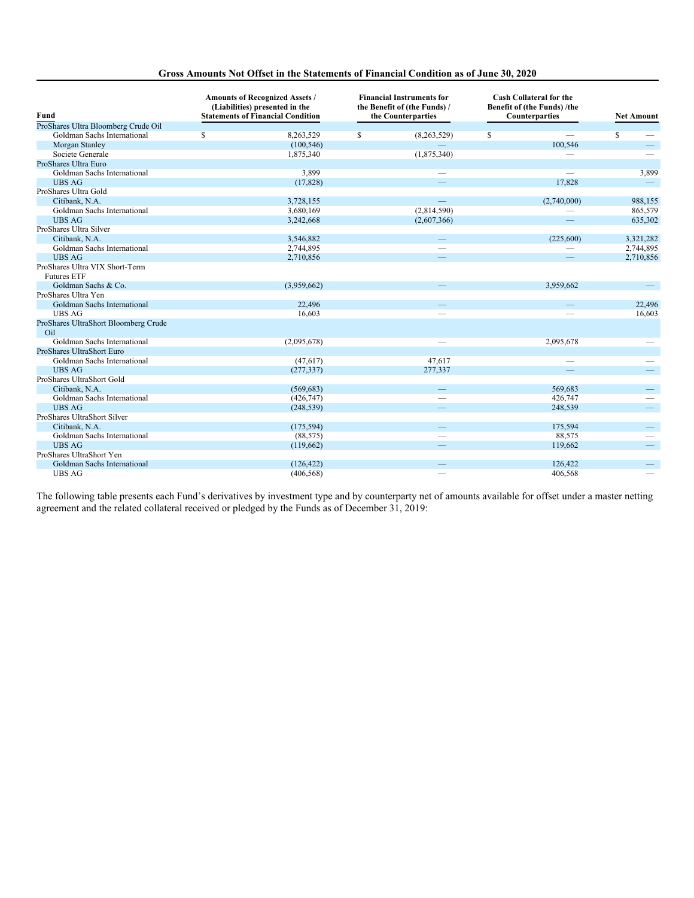| Gross Amounts Not Offset in the Statements of Financial Condition as of June 30, 2020 |  |
|---------------------------------------------------------------------------------------|--|
|---------------------------------------------------------------------------------------|--|

| Fund                                                 | <b>Amounts of Recognized Assets /</b><br>(Liabilities) presented in the<br><b>Statements of Financial Condition</b> |             | <b>Financial Instruments for</b><br>the Benefit of (the Funds) /<br>the Counterparties |    | <b>Cash Collateral for the</b><br>Benefit of (the Funds) /the<br>Counterparties |              | <b>Net Amount</b>        |  |
|------------------------------------------------------|---------------------------------------------------------------------------------------------------------------------|-------------|----------------------------------------------------------------------------------------|----|---------------------------------------------------------------------------------|--------------|--------------------------|--|
| ProShares Ultra Bloomberg Crude Oil                  |                                                                                                                     |             |                                                                                        |    |                                                                                 |              |                          |  |
| Goldman Sachs International                          | \$                                                                                                                  | 8,263,529   | \$<br>(8,263,529)                                                                      | \$ |                                                                                 | $\mathbb{S}$ |                          |  |
| Morgan Stanley                                       |                                                                                                                     | (100, 546)  |                                                                                        |    | 100,546                                                                         |              |                          |  |
| Societe Generale                                     |                                                                                                                     | 1,875,340   | (1,875,340)                                                                            |    |                                                                                 |              |                          |  |
| ProShares Ultra Euro                                 |                                                                                                                     |             |                                                                                        |    |                                                                                 |              |                          |  |
| Goldman Sachs International                          |                                                                                                                     | 3.899       |                                                                                        |    | $\overline{\phantom{a}}$                                                        |              | 3,899                    |  |
| <b>UBS AG</b>                                        |                                                                                                                     | (17, 828)   | $\overline{\phantom{0}}$                                                               |    | 17,828                                                                          |              |                          |  |
| ProShares Ultra Gold                                 |                                                                                                                     |             |                                                                                        |    |                                                                                 |              |                          |  |
| Citibank, N.A.                                       |                                                                                                                     | 3,728,155   |                                                                                        |    | (2,740,000)                                                                     |              | 988,155                  |  |
| Goldman Sachs International                          |                                                                                                                     | 3,680,169   | (2,814,590)                                                                            |    |                                                                                 |              | 865,579                  |  |
| <b>UBS AG</b>                                        |                                                                                                                     | 3,242,668   | (2,607,366)                                                                            |    |                                                                                 |              | 635,302                  |  |
| ProShares Ultra Silver                               |                                                                                                                     |             |                                                                                        |    |                                                                                 |              |                          |  |
| Citibank, N.A.                                       |                                                                                                                     | 3,546,882   |                                                                                        |    | (225,600)                                                                       | 3,321,282    |                          |  |
| Goldman Sachs International                          |                                                                                                                     | 2,744,895   |                                                                                        |    |                                                                                 | 2,744,895    |                          |  |
| <b>UBS AG</b>                                        |                                                                                                                     | 2,710,856   |                                                                                        |    |                                                                                 | 2,710,856    |                          |  |
| ProShares Ultra VIX Short-Term<br><b>Futures ETF</b> |                                                                                                                     |             |                                                                                        |    |                                                                                 |              |                          |  |
| Goldman Sachs & Co.                                  |                                                                                                                     | (3,959,662) |                                                                                        |    | 3,959,662                                                                       |              |                          |  |
| ProShares Ultra Yen                                  |                                                                                                                     |             |                                                                                        |    |                                                                                 |              |                          |  |
|                                                      |                                                                                                                     |             |                                                                                        |    |                                                                                 |              |                          |  |
| Goldman Sachs International<br><b>UBS AG</b>         |                                                                                                                     | 22,496      |                                                                                        |    |                                                                                 |              | 22,496                   |  |
|                                                      |                                                                                                                     | 16,603      |                                                                                        |    |                                                                                 |              | 16,603                   |  |
| ProShares UltraShort Bloomberg Crude<br>Oil          |                                                                                                                     |             |                                                                                        |    |                                                                                 |              |                          |  |
| Goldman Sachs International                          |                                                                                                                     | (2,095,678) |                                                                                        |    | 2,095,678                                                                       |              |                          |  |
| ProShares UltraShort Euro                            |                                                                                                                     |             |                                                                                        |    |                                                                                 |              |                          |  |
| Goldman Sachs International                          |                                                                                                                     | (47, 617)   | 47,617                                                                                 |    |                                                                                 |              |                          |  |
| <b>UBS AG</b>                                        |                                                                                                                     | (277, 337)  | 277,337                                                                                |    |                                                                                 |              |                          |  |
| ProShares UltraShort Gold                            |                                                                                                                     |             |                                                                                        |    |                                                                                 |              |                          |  |
| Citibank, N.A.                                       |                                                                                                                     | (569, 683)  | $\overline{\phantom{a}}$                                                               |    | 569,683                                                                         |              |                          |  |
| Goldman Sachs International                          |                                                                                                                     | (426, 747)  |                                                                                        |    | 426,747                                                                         |              |                          |  |
| <b>UBS AG</b>                                        |                                                                                                                     | (248, 539)  |                                                                                        |    | 248,539                                                                         |              |                          |  |
| ProShares UltraShort Silver                          |                                                                                                                     |             |                                                                                        |    |                                                                                 |              |                          |  |
| Citibank, N.A.                                       |                                                                                                                     | (175, 594)  |                                                                                        |    | 175,594                                                                         |              |                          |  |
| Goldman Sachs International                          |                                                                                                                     | (88, 575)   |                                                                                        |    | 88,575                                                                          |              |                          |  |
| <b>UBS AG</b>                                        |                                                                                                                     | (119,662)   |                                                                                        |    | 119,662                                                                         |              |                          |  |
| ProShares UltraShort Yen                             |                                                                                                                     |             |                                                                                        |    |                                                                                 |              |                          |  |
| Goldman Sachs International                          |                                                                                                                     | (126, 422)  |                                                                                        |    | 126,422                                                                         |              | $\overline{\phantom{0}}$ |  |
| <b>UBS AG</b>                                        |                                                                                                                     | (406, 568)  |                                                                                        |    | 406,568                                                                         |              |                          |  |

The following table presents each Fund's derivatives by investment type and by counterparty net of amounts available for offset under a master netting agreement and the related collateral received or pledged by the Funds as of December 31, 2019: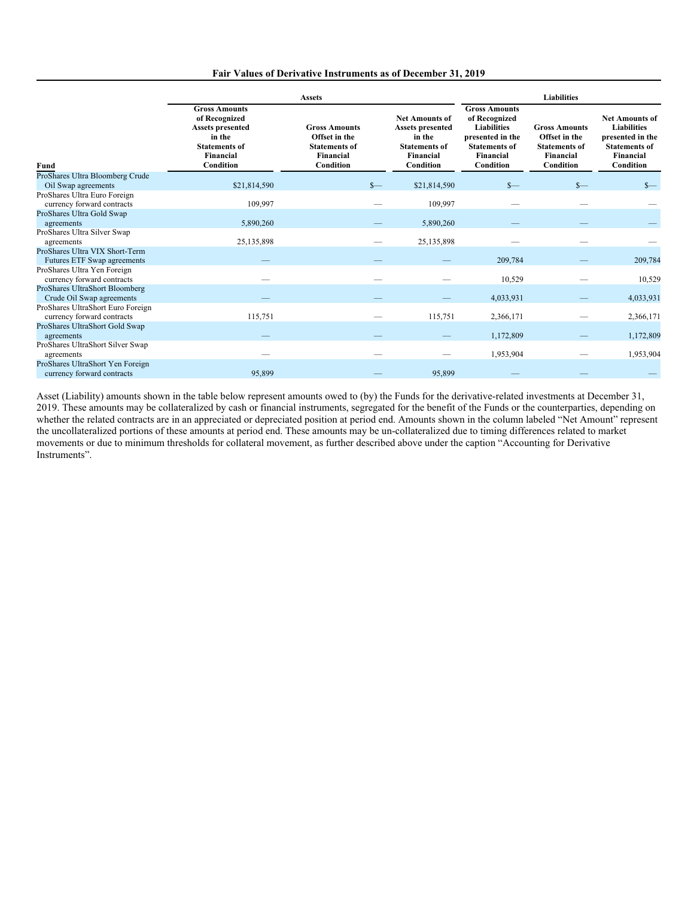### **Fair Values of Derivative Instruments as of December 31, 2019**

|                                                                 | <b>Assets</b>                                                                                                                |                                                                                         |                                                                                                              | <b>Liabilities</b>                                                                                                                |                                                                                         |                                                                                                                   |  |
|-----------------------------------------------------------------|------------------------------------------------------------------------------------------------------------------------------|-----------------------------------------------------------------------------------------|--------------------------------------------------------------------------------------------------------------|-----------------------------------------------------------------------------------------------------------------------------------|-----------------------------------------------------------------------------------------|-------------------------------------------------------------------------------------------------------------------|--|
| Fund                                                            | <b>Gross Amounts</b><br>of Recognized<br><b>Assets presented</b><br>in the<br><b>Statements of</b><br>Financial<br>Condition | <b>Gross Amounts</b><br>Offset in the<br><b>Statements of</b><br>Financial<br>Condition | <b>Net Amounts of</b><br><b>Assets presented</b><br>in the<br><b>Statements of</b><br>Financial<br>Condition | <b>Gross Amounts</b><br>of Recognized<br><b>Liabilities</b><br>presented in the<br><b>Statements of</b><br>Financial<br>Condition | <b>Gross Amounts</b><br>Offset in the<br><b>Statements of</b><br>Financial<br>Condition | <b>Net Amounts of</b><br><b>Liabilities</b><br>presented in the<br><b>Statements of</b><br>Financial<br>Condition |  |
| ProShares Ultra Bloomberg Crude                                 |                                                                                                                              |                                                                                         |                                                                                                              |                                                                                                                                   |                                                                                         |                                                                                                                   |  |
| Oil Swap agreements                                             | \$21,814,590                                                                                                                 | $s-$                                                                                    | \$21,814,590                                                                                                 | $S-$                                                                                                                              | $S-$                                                                                    | $S-$                                                                                                              |  |
| ProShares Ultra Euro Foreign<br>currency forward contracts      | 109,997                                                                                                                      |                                                                                         | 109,997                                                                                                      |                                                                                                                                   |                                                                                         |                                                                                                                   |  |
| ProShares Ultra Gold Swap                                       |                                                                                                                              |                                                                                         |                                                                                                              |                                                                                                                                   |                                                                                         |                                                                                                                   |  |
| agreements                                                      | 5,890,260                                                                                                                    |                                                                                         | 5,890,260                                                                                                    |                                                                                                                                   |                                                                                         |                                                                                                                   |  |
| ProShares Ultra Silver Swap<br>agreements                       | 25,135,898                                                                                                                   |                                                                                         | 25,135,898                                                                                                   |                                                                                                                                   |                                                                                         |                                                                                                                   |  |
| ProShares Ultra VIX Short-Term<br>Futures ETF Swap agreements   |                                                                                                                              |                                                                                         |                                                                                                              | 209,784                                                                                                                           |                                                                                         | 209,784                                                                                                           |  |
| ProShares Ultra Yen Foreign<br>currency forward contracts       |                                                                                                                              |                                                                                         |                                                                                                              | 10,529                                                                                                                            |                                                                                         | 10,529                                                                                                            |  |
| ProShares UltraShort Bloomberg                                  |                                                                                                                              |                                                                                         |                                                                                                              |                                                                                                                                   |                                                                                         |                                                                                                                   |  |
| Crude Oil Swap agreements                                       |                                                                                                                              |                                                                                         |                                                                                                              | 4,033,931                                                                                                                         |                                                                                         | 4,033,931                                                                                                         |  |
| ProShares UltraShort Euro Foreign<br>currency forward contracts | 115,751                                                                                                                      |                                                                                         | 115,751                                                                                                      | 2,366,171                                                                                                                         |                                                                                         | 2,366,171                                                                                                         |  |
| ProShares UltraShort Gold Swap<br>agreements                    |                                                                                                                              |                                                                                         |                                                                                                              | 1,172,809                                                                                                                         |                                                                                         | 1,172,809                                                                                                         |  |
| ProShares UltraShort Silver Swap                                |                                                                                                                              |                                                                                         |                                                                                                              |                                                                                                                                   |                                                                                         |                                                                                                                   |  |
| agreements                                                      |                                                                                                                              |                                                                                         |                                                                                                              | 1,953,904                                                                                                                         |                                                                                         | 1,953,904                                                                                                         |  |
| ProShares UltraShort Yen Foreign                                |                                                                                                                              |                                                                                         |                                                                                                              |                                                                                                                                   |                                                                                         |                                                                                                                   |  |
| currency forward contracts                                      | 95,899                                                                                                                       |                                                                                         | 95,899                                                                                                       |                                                                                                                                   |                                                                                         |                                                                                                                   |  |

Asset (Liability) amounts shown in the table below represent amounts owed to (by) the Funds for the derivative-related investments at December 31, 2019. These amounts may be collateralized by cash or financial instruments, segregated for the benefit of the Funds or the counterparties, depending on whether the related contracts are in an appreciated or depreciated position at period end. Amounts shown in the column labeled "Net Amount" represent the uncollateralized portions of these amounts at period end. These amounts may be un-collateralized due to timing differences related to market movements or due to minimum thresholds for collateral movement, as further described above under the caption "Accounting for Derivative Instruments".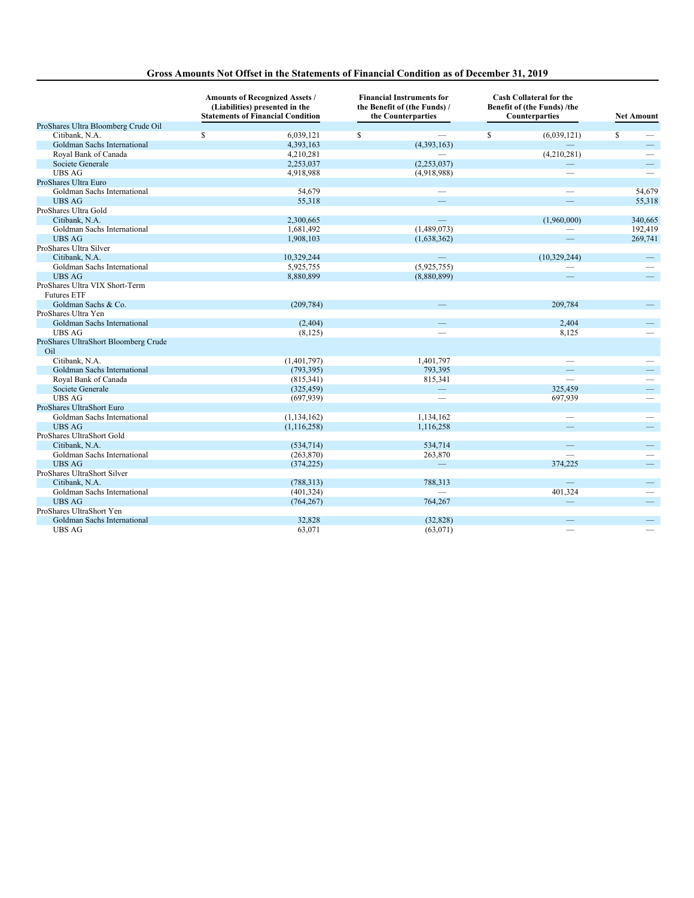# **Gross Amounts Not Offset in the Statements of Financial Condition as of December 31, 2019**

|                                                      | <b>Amounts of Recognized Assets /</b><br>(Liabilities) presented in the<br><b>Statements of Financial Condition</b> | <b>Financial Instruments for</b><br>the Benefit of (the Funds) /<br>the Counterparties | <b>Cash Collateral for the</b><br>Benefit of (the Funds) /the<br>Counterparties | <b>Net Amount</b>              |
|------------------------------------------------------|---------------------------------------------------------------------------------------------------------------------|----------------------------------------------------------------------------------------|---------------------------------------------------------------------------------|--------------------------------|
| ProShares Ultra Bloomberg Crude Oil                  |                                                                                                                     |                                                                                        |                                                                                 |                                |
| Citibank, N.A.                                       | \$<br>6,039,121                                                                                                     | \$<br>$\overline{\phantom{0}}$                                                         | \$<br>(6,039,121)                                                               | \$                             |
| Goldman Sachs International                          | 4,393,163                                                                                                           | (4,393,163)                                                                            |                                                                                 | $\overline{\phantom{0}}$       |
| Royal Bank of Canada                                 | 4,210,281                                                                                                           |                                                                                        | (4,210,281)                                                                     |                                |
| Societe Generale                                     | 2,253,037                                                                                                           | (2,253,037)                                                                            |                                                                                 |                                |
| <b>UBS AG</b>                                        | 4,918,988                                                                                                           | (4,918,988)                                                                            |                                                                                 |                                |
| ProShares Ultra Euro                                 |                                                                                                                     |                                                                                        |                                                                                 |                                |
| Goldman Sachs International                          | 54,679                                                                                                              |                                                                                        |                                                                                 | 54,679                         |
| <b>UBS AG</b>                                        | 55,318                                                                                                              |                                                                                        |                                                                                 | 55,318                         |
| ProShares Ultra Gold                                 |                                                                                                                     |                                                                                        |                                                                                 |                                |
| Citibank, N.A.                                       | 2,300,665                                                                                                           |                                                                                        | (1.960,000)                                                                     | 340,665                        |
| Goldman Sachs International                          | 1,681,492                                                                                                           | (1,489,073)                                                                            |                                                                                 | 192,419                        |
| <b>UBS AG</b>                                        | 1,908,103                                                                                                           | (1,638,362)                                                                            | $\equiv$                                                                        | 269,741                        |
| ProShares Ultra Silver                               |                                                                                                                     |                                                                                        |                                                                                 |                                |
| Citibank, N.A.                                       | 10,329,244                                                                                                          | ≐                                                                                      | (10, 329, 244)                                                                  |                                |
| Goldman Sachs International                          | 5,925,755                                                                                                           | (5,925,755)                                                                            |                                                                                 |                                |
| <b>UBS AG</b>                                        | 8,880,899                                                                                                           | (8,880,899)                                                                            | $\equiv$                                                                        | $\overline{\phantom{m}}$       |
| ProShares Ultra VIX Short-Term<br><b>Futures ETF</b> |                                                                                                                     |                                                                                        |                                                                                 |                                |
| Goldman Sachs & Co.                                  | (209, 784)                                                                                                          | $\qquad \qquad$                                                                        | 209,784                                                                         | $\qquad \qquad$                |
| ProShares Ultra Yen                                  |                                                                                                                     |                                                                                        |                                                                                 |                                |
| Goldman Sachs International                          | (2,404)                                                                                                             |                                                                                        | 2,404                                                                           |                                |
| <b>UBS AG</b>                                        | (8, 125)                                                                                                            |                                                                                        | 8.125                                                                           |                                |
| ProShares UltraShort Bloomberg Crude<br>Oil          |                                                                                                                     |                                                                                        |                                                                                 |                                |
| Citibank, N.A.                                       | (1,401,797)                                                                                                         | 1,401,797                                                                              |                                                                                 |                                |
| Goldman Sachs International                          | (793, 395)                                                                                                          | 793,395                                                                                |                                                                                 |                                |
| Royal Bank of Canada                                 | (815,341)                                                                                                           | 815,341                                                                                |                                                                                 |                                |
| Societe Generale                                     | (325, 459)                                                                                                          | $\equiv$                                                                               | 325,459                                                                         | $\overline{\phantom{m}}$       |
| <b>UBS AG</b>                                        | (697, 939)                                                                                                          |                                                                                        | 697,939                                                                         | $\frac{1}{2}$                  |
| ProShares UltraShort Euro                            |                                                                                                                     |                                                                                        |                                                                                 |                                |
| Goldman Sachs International                          | (1, 134, 162)                                                                                                       | 1,134,162                                                                              | $\overline{\phantom{0}}$                                                        |                                |
| <b>UBS AG</b>                                        | (1, 116, 258)                                                                                                       | 1,116,258                                                                              | $\overline{\phantom{a}}$                                                        |                                |
| ProShares UltraShort Gold                            |                                                                                                                     |                                                                                        |                                                                                 |                                |
| Citibank, N.A.                                       | (534,714)                                                                                                           | 534,714                                                                                | -                                                                               |                                |
| Goldman Sachs International                          | (263, 870)                                                                                                          | 263,870                                                                                |                                                                                 |                                |
| <b>UBS AG</b>                                        | (374, 225)                                                                                                          | $\equiv$                                                                               | 374,225                                                                         | $\qquad \qquad \longleftarrow$ |
| ProShares UltraShort Silver                          |                                                                                                                     |                                                                                        |                                                                                 |                                |
| Citibank, N.A.                                       | (788, 313)                                                                                                          | 788,313                                                                                | $\equiv$                                                                        | $\frac{1}{2}$                  |
| Goldman Sachs International                          | (401, 324)                                                                                                          |                                                                                        | 401,324                                                                         |                                |
| <b>UBS AG</b>                                        | (764, 267)                                                                                                          | 764,267                                                                                |                                                                                 |                                |
| ProShares UltraShort Yen                             |                                                                                                                     |                                                                                        |                                                                                 |                                |
| Goldman Sachs International                          | 32,828                                                                                                              | (32, 828)                                                                              |                                                                                 |                                |
| <b>UBS AG</b>                                        | 63,071                                                                                                              | (63,071)                                                                               |                                                                                 |                                |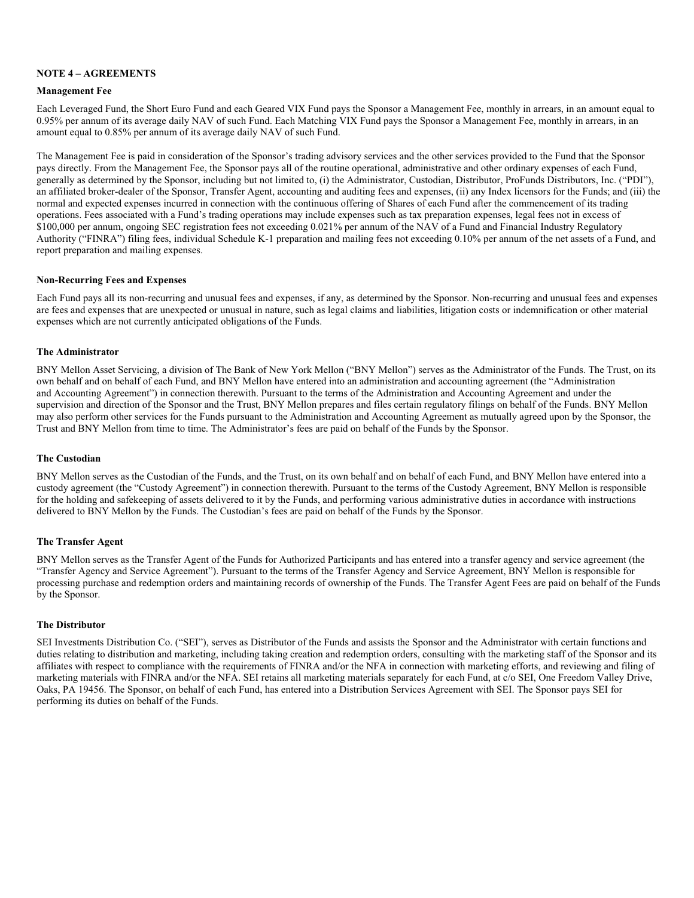# **NOTE 4 – AGREEMENTS**

### **Management Fee**

Each Leveraged Fund, the Short Euro Fund and each Geared VIX Fund pays the Sponsor a Management Fee, monthly in arrears, in an amount equal to 0.95% per annum of its average daily NAV of such Fund. Each Matching VIX Fund pays the Sponsor a Management Fee, monthly in arrears, in an amount equal to 0.85% per annum of its average daily NAV of such Fund.

The Management Fee is paid in consideration of the Sponsor's trading advisory services and the other services provided to the Fund that the Sponsor pays directly. From the Management Fee, the Sponsor pays all of the routine operational, administrative and other ordinary expenses of each Fund, generally as determined by the Sponsor, including but not limited to, (i) the Administrator, Custodian, Distributor, ProFunds Distributors, Inc. ("PDI"), an affiliated broker-dealer of the Sponsor, Transfer Agent, accounting and auditing fees and expenses, (ii) any Index licensors for the Funds; and (iii) the normal and expected expenses incurred in connection with the continuous offering of Shares of each Fund after the commencement of its trading operations. Fees associated with a Fund's trading operations may include expenses such as tax preparation expenses, legal fees not in excess of \$100,000 per annum, ongoing SEC registration fees not exceeding 0.021% per annum of the NAV of a Fund and Financial Industry Regulatory Authority ("FINRA") filing fees, individual Schedule K-1 preparation and mailing fees not exceeding 0.10% per annum of the net assets of a Fund, and report preparation and mailing expenses.

# **Non-Recurring Fees and Expenses**

Each Fund pays all its non-recurring and unusual fees and expenses, if any, as determined by the Sponsor. Non-recurring and unusual fees and expenses are fees and expenses that are unexpected or unusual in nature, such as legal claims and liabilities, litigation costs or indemnification or other material expenses which are not currently anticipated obligations of the Funds.

# **The Administrator**

BNY Mellon Asset Servicing, a division of The Bank of New York Mellon ("BNY Mellon") serves as the Administrator of the Funds. The Trust, on its own behalf and on behalf of each Fund, and BNY Mellon have entered into an administration and accounting agreement (the "Administration and Accounting Agreement") in connection therewith. Pursuant to the terms of the Administration and Accounting Agreement and under the supervision and direction of the Sponsor and the Trust, BNY Mellon prepares and files certain regulatory filings on behalf of the Funds. BNY Mellon may also perform other services for the Funds pursuant to the Administration and Accounting Agreement as mutually agreed upon by the Sponsor, the Trust and BNY Mellon from time to time. The Administrator's fees are paid on behalf of the Funds by the Sponsor.

### **The Custodian**

BNY Mellon serves as the Custodian of the Funds, and the Trust, on its own behalf and on behalf of each Fund, and BNY Mellon have entered into a custody agreement (the "Custody Agreement") in connection therewith. Pursuant to the terms of the Custody Agreement, BNY Mellon is responsible for the holding and safekeeping of assets delivered to it by the Funds, and performing various administrative duties in accordance with instructions delivered to BNY Mellon by the Funds. The Custodian's fees are paid on behalf of the Funds by the Sponsor.

### **The Transfer Agent**

BNY Mellon serves as the Transfer Agent of the Funds for Authorized Participants and has entered into a transfer agency and service agreement (the "Transfer Agency and Service Agreement"). Pursuant to the terms of the Transfer Agency and Service Agreement, BNY Mellon is responsible for processing purchase and redemption orders and maintaining records of ownership of the Funds. The Transfer Agent Fees are paid on behalf of the Funds by the Sponsor.

### **The Distributor**

SEI Investments Distribution Co. ("SEI"), serves as Distributor of the Funds and assists the Sponsor and the Administrator with certain functions and duties relating to distribution and marketing, including taking creation and redemption orders, consulting with the marketing staff of the Sponsor and its affiliates with respect to compliance with the requirements of FINRA and/or the NFA in connection with marketing efforts, and reviewing and filing of marketing materials with FINRA and/or the NFA. SEI retains all marketing materials separately for each Fund, at c/o SEI, One Freedom Valley Drive, Oaks, PA 19456. The Sponsor, on behalf of each Fund, has entered into a Distribution Services Agreement with SEI. The Sponsor pays SEI for performing its duties on behalf of the Funds.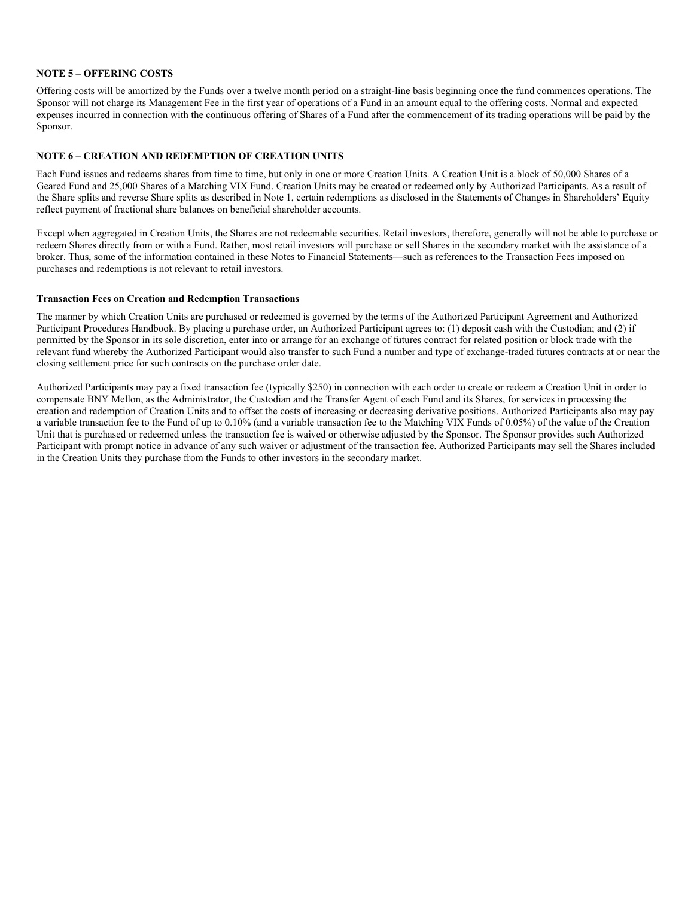# **NOTE 5 – OFFERING COSTS**

Offering costs will be amortized by the Funds over a twelve month period on a straight-line basis beginning once the fund commences operations. The Sponsor will not charge its Management Fee in the first year of operations of a Fund in an amount equal to the offering costs. Normal and expected expenses incurred in connection with the continuous offering of Shares of a Fund after the commencement of its trading operations will be paid by the Sponsor.

# **NOTE 6 – CREATION AND REDEMPTION OF CREATION UNITS**

Each Fund issues and redeems shares from time to time, but only in one or more Creation Units. A Creation Unit is a block of 50,000 Shares of a Geared Fund and 25,000 Shares of a Matching VIX Fund. Creation Units may be created or redeemed only by Authorized Participants. As a result of the Share splits and reverse Share splits as described in Note 1, certain redemptions as disclosed in the Statements of Changes in Shareholders' Equity reflect payment of fractional share balances on beneficial shareholder accounts.

Except when aggregated in Creation Units, the Shares are not redeemable securities. Retail investors, therefore, generally will not be able to purchase or redeem Shares directly from or with a Fund. Rather, most retail investors will purchase or sell Shares in the secondary market with the assistance of a broker. Thus, some of the information contained in these Notes to Financial Statements—such as references to the Transaction Fees imposed on purchases and redemptions is not relevant to retail investors.

### **Transaction Fees on Creation and Redemption Transactions**

The manner by which Creation Units are purchased or redeemed is governed by the terms of the Authorized Participant Agreement and Authorized Participant Procedures Handbook. By placing a purchase order, an Authorized Participant agrees to: (1) deposit cash with the Custodian; and (2) if permitted by the Sponsor in its sole discretion, enter into or arrange for an exchange of futures contract for related position or block trade with the relevant fund whereby the Authorized Participant would also transfer to such Fund a number and type of exchange-traded futures contracts at or near the closing settlement price for such contracts on the purchase order date.

Authorized Participants may pay a fixed transaction fee (typically \$250) in connection with each order to create or redeem a Creation Unit in order to compensate BNY Mellon, as the Administrator, the Custodian and the Transfer Agent of each Fund and its Shares, for services in processing the creation and redemption of Creation Units and to offset the costs of increasing or decreasing derivative positions. Authorized Participants also may pay a variable transaction fee to the Fund of up to 0.10% (and a variable transaction fee to the Matching VIX Funds of 0.05%) of the value of the Creation Unit that is purchased or redeemed unless the transaction fee is waived or otherwise adjusted by the Sponsor. The Sponsor provides such Authorized Participant with prompt notice in advance of any such waiver or adjustment of the transaction fee. Authorized Participants may sell the Shares included in the Creation Units they purchase from the Funds to other investors in the secondary market.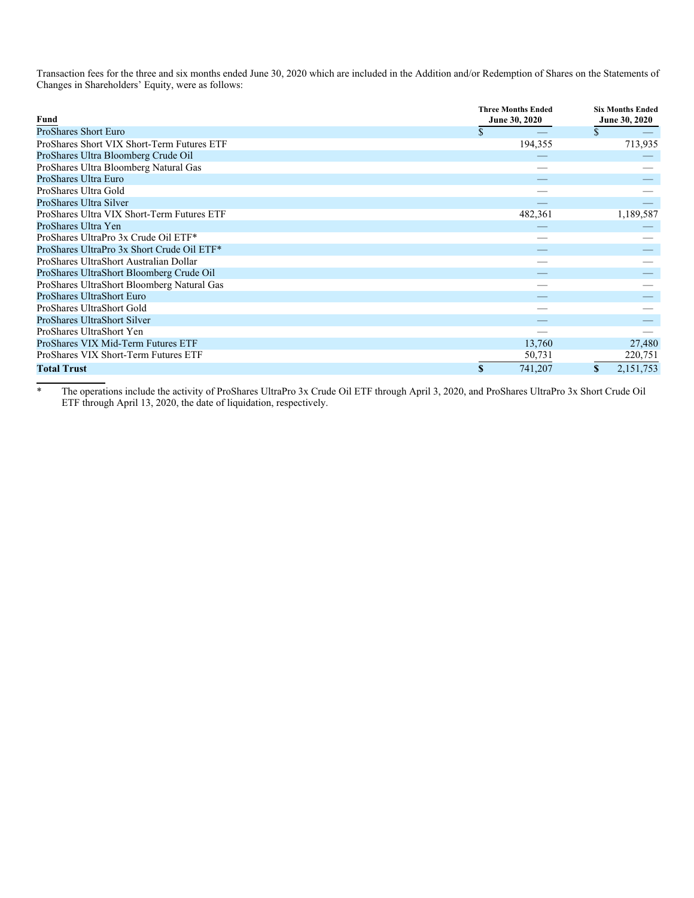Transaction fees for the three and six months ended June 30, 2020 which are included in the Addition and/or Redemption of Shares on the Statements of Changes in Shareholders' Equity, were as follows:

|                                            | <b>Three Months Ended</b> | <b>Six Months Ended</b> |
|--------------------------------------------|---------------------------|-------------------------|
| Fund                                       | June 30, 2020             | June 30, 2020           |
| <b>ProShares Short Euro</b>                | \$                        | \$                      |
| ProShares Short VIX Short-Term Futures ETF | 194,355                   | 713,935                 |
| ProShares Ultra Bloomberg Crude Oil        |                           |                         |
| ProShares Ultra Bloomberg Natural Gas      |                           |                         |
| ProShares Ultra Euro                       |                           |                         |
| ProShares Ultra Gold                       |                           |                         |
| ProShares Ultra Silver                     |                           |                         |
| ProShares Ultra VIX Short-Term Futures ETF | 482,361                   | 1,189,587               |
| ProShares Ultra Yen                        |                           |                         |
| ProShares UltraPro 3x Crude Oil ETF*       |                           |                         |
| ProShares UltraPro 3x Short Crude Oil ETF* |                           |                         |
| ProShares UltraShort Australian Dollar     |                           |                         |
| ProShares UltraShort Bloomberg Crude Oil   |                           |                         |
| ProShares UltraShort Bloomberg Natural Gas |                           |                         |
| ProShares UltraShort Euro                  |                           |                         |
| ProShares UltraShort Gold                  |                           |                         |
| ProShares UltraShort Silver                |                           |                         |
| ProShares UltraShort Yen                   |                           |                         |
| ProShares VIX Mid-Term Futures ETF         | 13,760                    | 27,480                  |
| ProShares VIX Short-Term Futures ETF       | 50,731                    | 220,751                 |
| <b>Total Trust</b>                         | 741,207<br>\$             | 2,151,753<br>S          |

\* The operations include the activity of ProShares UltraPro 3x Crude Oil ETF through April 3, 2020, and ProShares UltraPro 3x Short Crude Oil ETF through April 13, 2020, the date of liquidation, respectively.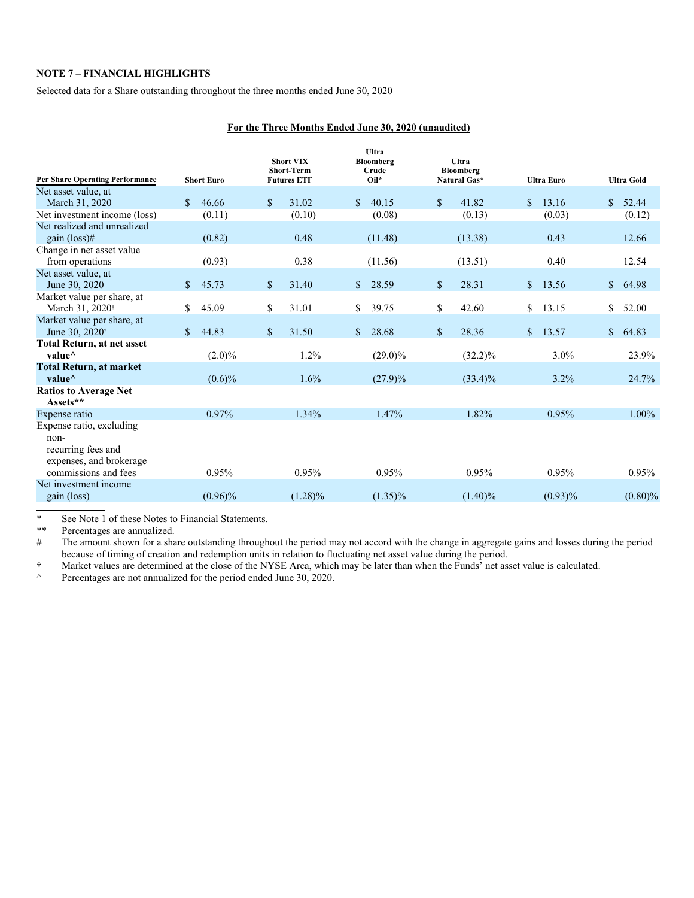# **NOTE 7 – FINANCIAL HIGHLIGHTS**

Selected data for a Share outstanding throughout the three months ended June 30, 2020

# **For the Three Months Ended June 30, 2020 (unaudited)**

| <b>Per Share Operating Performance</b>                                            | <b>Short Euro</b>     |              | <b>Short VIX</b><br><b>Short-Term</b><br><b>Futures ETF</b> |              | <b>Ultra</b><br>Bloomberg<br>Crude<br>$Oil^*$ |              | Ultra<br><b>Bloomberg</b><br>Natural Gas* |              | <b>Ultra Euro</b> |              | <b>Ultra Gold</b> |
|-----------------------------------------------------------------------------------|-----------------------|--------------|-------------------------------------------------------------|--------------|-----------------------------------------------|--------------|-------------------------------------------|--------------|-------------------|--------------|-------------------|
| Net asset value, at                                                               | $\mathbb{S}$<br>46.66 | $\mathbb{S}$ | 31.02                                                       |              | 40.15                                         | $\mathbb{S}$ | 41.82                                     | $\mathbb{S}$ | 13.16             | $\mathbb{S}$ | 52.44             |
| March 31, 2020                                                                    |                       |              |                                                             | \$           |                                               |              |                                           |              |                   |              |                   |
| Net investment income (loss)<br>Net realized and unrealized                       | (0.11)                |              | (0.10)                                                      |              | (0.08)                                        |              | (0.13)                                    |              | (0.03)            |              | (0.12)            |
| gain $(\text{loss})\#$                                                            | (0.82)                |              | 0.48                                                        |              | (11.48)                                       |              | (13.38)                                   |              | 0.43              |              | 12.66             |
| Change in net asset value<br>from operations                                      | (0.93)                |              | 0.38                                                        |              | (11.56)                                       |              | (13.51)                                   |              | 0.40              |              | 12.54             |
| Net asset value, at<br>June 30, 2020                                              | $\mathbb{S}$<br>45.73 | $\mathbb{S}$ | 31.40                                                       | $\mathbb{S}$ | 28.59                                         | $\mathbb{S}$ | 28.31                                     | $\mathbb{S}$ | 13.56             | $\mathbb{S}$ | 64.98             |
| Market value per share, at<br>March 31, 2020 <sup>t</sup>                         | \$<br>45.09           | \$           | 31.01                                                       | \$           | 39.75                                         | \$           | 42.60                                     | \$           | 13.15             | \$           | 52.00             |
| Market value per share, at                                                        |                       |              |                                                             |              |                                               |              |                                           |              |                   |              |                   |
| June 30, 2020 <sup>t</sup>                                                        | $\mathbb{S}$<br>44.83 | $\mathbb{S}$ | 31.50                                                       | $\mathbb{S}$ | 28.68                                         | \$           | 28.36                                     | $\mathbb{S}$ | 13.57             | $\mathbb{S}$ | 64.83             |
| <b>Total Return, at net asset</b><br>value^                                       | $(2.0)\%$             |              | 1.2%                                                        |              | $(29.0)\%$                                    |              | $(32.2)\%$                                |              | $3.0\%$           |              | 23.9%             |
| <b>Total Return, at market</b>                                                    |                       |              |                                                             |              |                                               |              |                                           |              |                   |              |                   |
| value^                                                                            | $(0.6)\%$             |              | 1.6%                                                        |              | $(27.9)\%$                                    |              | $(33.4)\%$                                |              | $3.2\%$           |              | 24.7%             |
| <b>Ratios to Average Net</b><br>Assets**                                          |                       |              |                                                             |              |                                               |              |                                           |              |                   |              |                   |
| Expense ratio                                                                     | 0.97%                 |              | 1.34%                                                       |              | 1.47%                                         |              | 1.82%                                     |              | 0.95%             |              | $1.00\%$          |
| Expense ratio, excluding<br>non-<br>recurring fees and<br>expenses, and brokerage |                       |              |                                                             |              |                                               |              |                                           |              |                   |              |                   |
| commissions and fees                                                              | 0.95%                 |              | 0.95%                                                       |              | 0.95%                                         |              | 0.95%                                     |              | 0.95%             |              | 0.95%             |
| Net investment income<br>gain (loss)                                              | $(0.96)\%$            |              | $(1.28)\%$                                                  |              | $(1.35)\%$                                    |              | $(1.40)\%$                                |              | $(0.93)\%$        |              | $(0.80)\%$        |

\* See Note 1 of these Notes to Financial Statements.<br>\*\* Percentages are annualized.

\*\* Percentages are annualized.<br># The amount shown for a sha

The amount shown for a share outstanding throughout the period may not accord with the change in aggregate gains and losses during the period because of timing of creation and redemption units in relation to fluctuating net asset value during the period.

 $\dagger$  Market values are determined at the close of the NYSE Arca, which may be later than when the Funds' net asset value is calculated.<br>Percentages are not annualized for the period ended June 30, 2020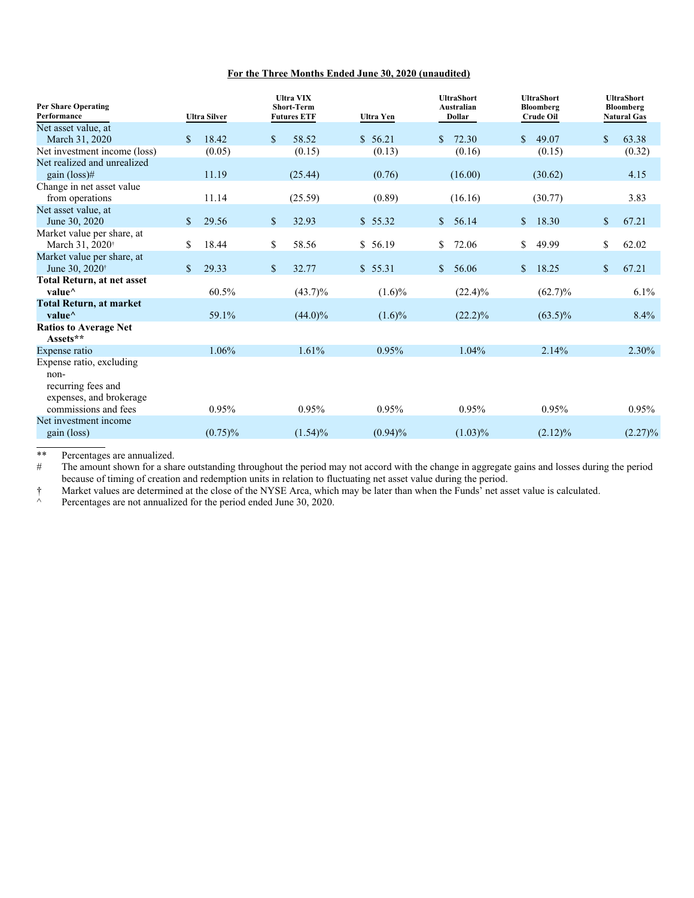# **For the Three Months Ended June 30, 2020 (unaudited)**

| <b>Per Share Operating</b><br>Performance                                         |              | <b>Ultra Silver</b> |              | <b>Ultra VIX</b><br><b>Short-Term</b><br><b>Futures ETF</b> | <b>Ultra Yen</b> |               | <b>UltraShort</b><br><b>Australian</b><br><b>Dollar</b> |               | <b>UltraShort</b><br><b>Bloomberg</b><br><b>Crude Oil</b> |              | <b>UltraShort</b><br>Bloomberg<br><b>Natural Gas</b> |
|-----------------------------------------------------------------------------------|--------------|---------------------|--------------|-------------------------------------------------------------|------------------|---------------|---------------------------------------------------------|---------------|-----------------------------------------------------------|--------------|------------------------------------------------------|
| Net asset value, at                                                               |              |                     |              |                                                             |                  |               |                                                         |               |                                                           |              |                                                      |
| March 31, 2020                                                                    | $\mathbb{S}$ | 18.42               | $\mathbb{S}$ | 58.52                                                       | \$56.21          | <sup>\$</sup> | 72.30                                                   | <sup>\$</sup> | 49.07                                                     | $\mathbb{S}$ | 63.38                                                |
| Net investment income (loss)                                                      |              | (0.05)              |              | (0.15)                                                      | (0.13)           |               | (0.16)                                                  |               | (0.15)                                                    |              | (0.32)                                               |
| Net realized and unrealized                                                       |              |                     |              |                                                             |                  |               |                                                         |               |                                                           |              |                                                      |
| gain $(\text{loss})\#$                                                            |              | 11.19               |              | (25.44)                                                     | (0.76)           |               | (16.00)                                                 |               | (30.62)                                                   |              | 4.15                                                 |
| Change in net asset value                                                         |              |                     |              |                                                             |                  |               |                                                         |               |                                                           |              |                                                      |
| from operations                                                                   |              | 11.14               |              | (25.59)                                                     | (0.89)           |               | (16.16)                                                 |               | (30.77)                                                   |              | 3.83                                                 |
| Net asset value, at<br>June 30, 2020                                              | $\mathbb{S}$ | 29.56               | $\mathbb{S}$ | 32.93                                                       | \$55.32          | $\mathbb{S}$  | 56.14                                                   | $\mathbb{S}$  | 18.30                                                     | $\mathbb{S}$ | 67.21                                                |
| Market value per share, at                                                        |              |                     |              |                                                             |                  |               |                                                         |               |                                                           |              |                                                      |
| March 31, 2020 <sup>+</sup>                                                       | \$           | 18.44               | \$           | 58.56                                                       | \$56.19          | \$            | 72.06                                                   | \$            | 49.99                                                     | \$           | 62.02                                                |
| Market value per share, at<br>June 30, 2020 <sup>t</sup>                          | $\mathbb{S}$ | 29.33               | \$           | 32.77                                                       | \$55.31          | $\mathbb{S}$  | 56.06                                                   | \$            | 18.25                                                     | $\mathbb{S}$ | 67.21                                                |
| <b>Total Return, at net asset</b>                                                 |              |                     |              |                                                             |                  |               |                                                         |               |                                                           |              |                                                      |
| value^                                                                            |              | 60.5%               |              | $(43.7)\%$                                                  | $(1.6)\%$        |               | $(22.4)\%$                                              |               | $(62.7)\%$                                                |              | 6.1%                                                 |
| <b>Total Return, at market</b>                                                    |              |                     |              |                                                             |                  |               |                                                         |               |                                                           |              |                                                      |
| value^                                                                            |              | 59.1%               |              | $(44.0)\%$                                                  | $(1.6)\%$        |               | $(22.2)\%$                                              |               | $(63.5)\%$                                                |              | 8.4%                                                 |
| <b>Ratios to Average Net</b><br>Assets**                                          |              |                     |              |                                                             |                  |               |                                                         |               |                                                           |              |                                                      |
| Expense ratio                                                                     |              | 1.06%               |              | 1.61%                                                       | 0.95%            |               | 1.04%                                                   |               | 2.14%                                                     |              | 2.30%                                                |
| Expense ratio, excluding<br>non-<br>recurring fees and<br>expenses, and brokerage |              |                     |              |                                                             |                  |               |                                                         |               |                                                           |              |                                                      |
| commissions and fees                                                              |              | 0.95%               |              | 0.95%                                                       | 0.95%            |               | 0.95%                                                   |               | 0.95%                                                     |              | $0.95\%$                                             |
| Net investment income<br>gain (loss)                                              |              | $(0.75)\%$          |              | $(1.54)\%$                                                  | $(0.94)\%$       |               | $(1.03)\%$                                              |               | $(2.12)\%$                                                |              | $(2.27)\%$                                           |

\*\* Percentages are annualized.<br># The amount shown for a sha

The amount shown for a share outstanding throughout the period may not accord with the change in aggregate gains and losses during the period because of timing of creation and redemption units in relation to fluctuating net asset value during the period.

† Market values are determined at the close of the NYSE Arca, which may be later than when the Funds<sup>7</sup> net asset value is calculated.<br>Percentages are not annualized for the period ended June 30, 2020.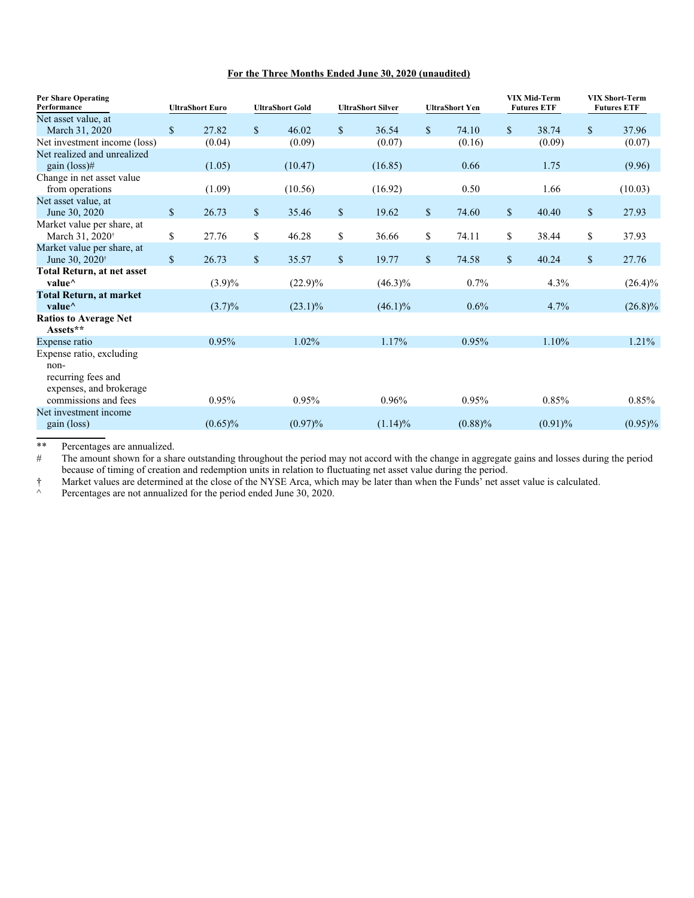# **For the Three Months Ended June 30, 2020 (unaudited)**

| <b>Per Share Operating</b><br>Performance                                         |              | <b>UltraShort Euro</b> |              | <b>UltraShort Gold</b> |             | <b>UltraShort Silver</b> |              | <b>UltraShort Yen</b> |                                                                       | VIX Mid-Term<br><b>Futures ETF</b> |                                                                       | <b>VIX Short-Term</b><br><b>Futures ETF</b> |
|-----------------------------------------------------------------------------------|--------------|------------------------|--------------|------------------------|-------------|--------------------------|--------------|-----------------------|-----------------------------------------------------------------------|------------------------------------|-----------------------------------------------------------------------|---------------------------------------------|
| Net asset value, at                                                               |              |                        |              |                        |             |                          |              |                       |                                                                       |                                    |                                                                       |                                             |
| March 31, 2020                                                                    | $\mathbb{S}$ | 27.82                  | $\mathbb{S}$ | 46.02                  | \$          | 36.54                    | $\mathbb{S}$ | 74.10                 | $\mathbb{S}$                                                          | 38.74                              | $\mathbb{S}$                                                          | 37.96                                       |
| Net investment income (loss)                                                      |              | (0.04)                 |              | (0.09)                 |             | (0.07)                   |              | (0.16)                |                                                                       | (0.09)                             |                                                                       | (0.07)                                      |
| Net realized and unrealized<br>$gain$ (loss)#                                     |              | (1.05)                 |              | (10.47)                |             | (16.85)                  |              | 0.66                  |                                                                       | 1.75                               |                                                                       | (9.96)                                      |
| Change in net asset value<br>from operations                                      |              | (1.09)                 |              | (10.56)                |             | (16.92)                  |              | 0.50                  |                                                                       | 1.66                               |                                                                       | (10.03)                                     |
| Net asset value, at<br>June 30, 2020                                              | \$           | 26.73                  | \$           | 35.46                  | \$          | 19.62                    | $\mathbb{S}$ | 74.60                 | $\mathbb{S}$                                                          | 40.40                              | $\$$                                                                  | 27.93                                       |
| Market value per share, at<br>March 31, 2020 <sup>†</sup>                         | \$           | 27.76                  | \$           | 46.28                  | \$          | 36.66                    | \$           | 74.11                 | $\mathbb{S}% _{t}\left( t\right) \equiv\mathbb{S}_{t}\left( t\right)$ | 38.44                              | $\mathbb{S}% _{t}\left( t\right) \equiv\mathbb{S}_{t}\left( t\right)$ | 37.93                                       |
| Market value per share, at<br>June 30, 2020 <sup>+</sup>                          | $\mathbb{S}$ | 26.73                  | $\mathbb S$  | 35.57                  | $\mathbb S$ | 19.77                    | $\mathbb{S}$ | 74.58                 | $\boldsymbol{\mathsf{S}}$                                             | 40.24                              | $\boldsymbol{\mathsf{S}}$                                             | 27.76                                       |
| <b>Total Return, at net asset</b>                                                 |              |                        |              |                        |             |                          |              |                       |                                                                       |                                    |                                                                       |                                             |
| value^                                                                            |              | $(3.9)\%$              |              | $(22.9)\%$             |             | $(46.3)\%$               |              | $0.7\%$               |                                                                       | 4.3%                               |                                                                       | $(26.4)\%$                                  |
| <b>Total Return, at market</b><br>value^                                          |              | $(3.7)\%$              |              | $(23.1)\%$             |             | $(46.1)\%$               |              | 0.6%                  |                                                                       | 4.7%                               |                                                                       | $(26.8)\%$                                  |
| <b>Ratios to Average Net</b><br>Assets**                                          |              |                        |              |                        |             |                          |              |                       |                                                                       |                                    |                                                                       |                                             |
| Expense ratio                                                                     |              | 0.95%                  |              | 1.02%                  |             | 1.17%                    |              | 0.95%                 |                                                                       | 1.10%                              |                                                                       | 1.21%                                       |
| Expense ratio, excluding<br>non-<br>recurring fees and<br>expenses, and brokerage |              |                        |              |                        |             |                          |              |                       |                                                                       |                                    |                                                                       |                                             |
| commissions and fees                                                              |              | 0.95%                  |              | 0.95%                  |             | 0.96%                    |              | 0.95%                 |                                                                       | 0.85%                              |                                                                       | 0.85%                                       |
| Net investment income<br>gain (loss)                                              |              | $(0.65)\%$             |              | $(0.97)\%$             |             | $(1.14)\%$               |              | $(0.88)\%$            |                                                                       | $(0.91)\%$                         |                                                                       | $(0.95)\%$                                  |

\*\* Percentages are annualized.<br># The amount shown for a sha

The amount shown for a share outstanding throughout the period may not accord with the change in aggregate gains and losses during the period because of timing of creation and redemption units in relation to fluctuating net asset value during the period.

† Market values are determined at the close of the NYSE Arca, which may be later than when the Funds' net asset value is calculated.<br>Percentages are not annualized for the period ended June 30, 2020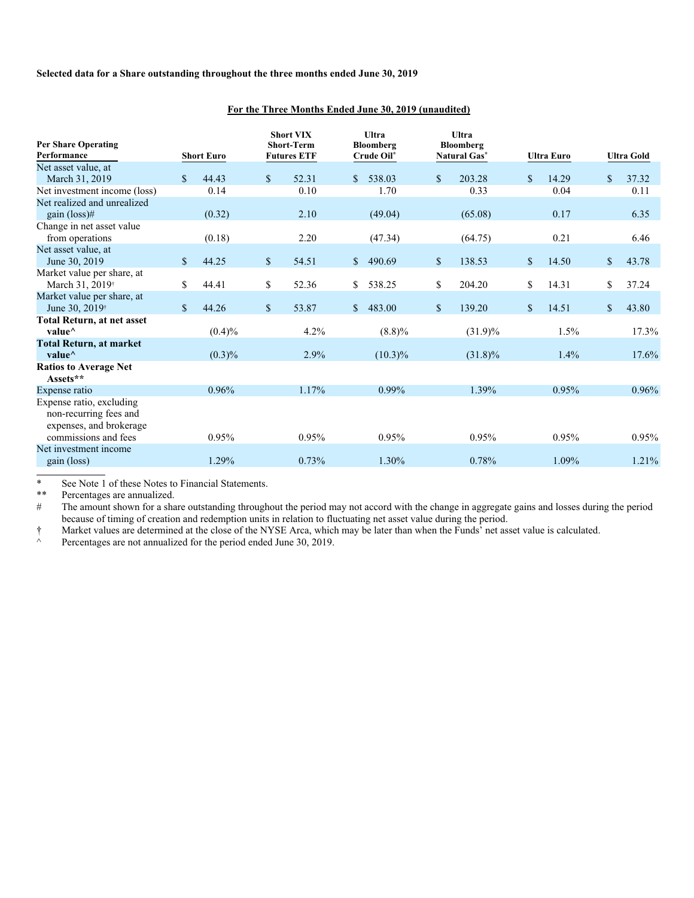**Selected data for a Share outstanding throughout the three months ended June 30, 2019** 

# **For the Three Months Ended June 30, 2019 (unaudited)**

| <b>Per Share Operating</b><br>Performance                                                             |               | <b>Short Euro</b> |              | <b>Short VIX</b><br><b>Short-Term</b><br><b>Futures ETF</b> |               | <b>Ultra</b><br>Bloomberg<br>Crude Oil* |              | <b>Ultra</b><br>Bloomberg<br>Natural Gas* |              | <b>Ultra Euro</b> |              | <b>Ultra Gold</b> |
|-------------------------------------------------------------------------------------------------------|---------------|-------------------|--------------|-------------------------------------------------------------|---------------|-----------------------------------------|--------------|-------------------------------------------|--------------|-------------------|--------------|-------------------|
| Net asset value, at<br>March 31, 2019                                                                 | $\mathcal{S}$ | 44.43             | $\mathbb{S}$ | 52.31                                                       |               | \$538.03                                | $\mathbf S$  | 203.28                                    | \$           | 14.29             | \$.          | 37.32             |
| Net investment income (loss)                                                                          |               | 0.14              |              | 0.10                                                        |               | 1.70                                    |              | 0.33                                      |              | 0.04              |              | 0.11              |
| Net realized and unrealized                                                                           |               |                   |              |                                                             |               |                                         |              |                                           |              |                   |              |                   |
| $gain$ (loss)#                                                                                        |               | (0.32)            |              | 2.10                                                        |               | (49.04)                                 |              | (65.08)                                   |              | 0.17              |              | 6.35              |
| Change in net asset value<br>from operations                                                          |               | (0.18)            |              | 2.20                                                        |               | (47.34)                                 |              | (64.75)                                   |              | 0.21              |              | 6.46              |
| Net asset value, at<br>June 30, 2019                                                                  | $\mathbb{S}$  | 44.25             | $\mathbb{S}$ | 54.51                                                       | <sup>\$</sup> | 490.69                                  | $\mathbb{S}$ | 138.53                                    | $\mathbb{S}$ | 14.50             | $\mathbf S$  | 43.78             |
| Market value per share, at                                                                            |               |                   |              |                                                             |               |                                         |              |                                           |              |                   |              |                   |
| March 31, 2019 <sup>+</sup>                                                                           | S.            | 44.41             | \$           | 52.36                                                       | \$            | 538.25                                  | \$           | 204.20                                    | \$           | 14.31             | \$           | 37.24             |
| Market value per share, at<br>June 30, 2019 <sup>t</sup>                                              | \$.           | 44.26             | $\mathbb{S}$ | 53.87                                                       | $\mathbb{S}$  | 483.00                                  | $\mathbf S$  | 139.20                                    | $\mathbf{s}$ | 14.51             | $\mathbb{S}$ | 43.80             |
| <b>Total Return, at net asset</b>                                                                     |               |                   |              |                                                             |               |                                         |              |                                           |              |                   |              |                   |
| value^                                                                                                |               | $(0.4)\%$         |              | 4.2%                                                        |               | $(8.8)\%$                               |              | $(31.9)\%$                                |              | 1.5%              |              | $17.3\%$          |
| <b>Total Return, at market</b><br>value <sup>^</sup>                                                  |               | $(0.3)\%$         |              | 2.9%                                                        |               | $(10.3)\%$                              |              | $(31.8)\%$                                |              | 1.4%              |              | 17.6%             |
| <b>Ratios to Average Net</b><br>Assets**                                                              |               |                   |              |                                                             |               |                                         |              |                                           |              |                   |              |                   |
| Expense ratio                                                                                         |               | 0.96%             |              | 1.17%                                                       |               | 0.99%                                   |              | 1.39%                                     |              | 0.95%             |              | 0.96%             |
| Expense ratio, excluding<br>non-recurring fees and<br>expenses, and brokerage<br>commissions and fees |               | 0.95%             |              | 0.95%                                                       |               | 0.95%                                   |              | 0.95%                                     |              | 0.95%             |              | 0.95%             |
| Net investment income<br>gain (loss)                                                                  |               | 1.29%             |              | 0.73%                                                       |               | 1.30%                                   |              | 0.78%                                     |              | 1.09%             |              | 1.21%             |
|                                                                                                       |               |                   |              |                                                             |               |                                         |              |                                           |              |                   |              |                   |

\* See Note 1 of these Notes to Financial Statements.<br>\*\* Percentages are annualized.

\*\* Percentages are annualized.<br># The amount shown for a sha

The amount shown for a share outstanding throughout the period may not accord with the change in aggregate gains and losses during the period because of timing of creation and redemption units in relation to fluctuating net asset value during the period.

 $\dagger$  Market values are determined at the close of the NYSE Arca, which may be later than when the Funds<sup>7</sup> net asset value is calculated.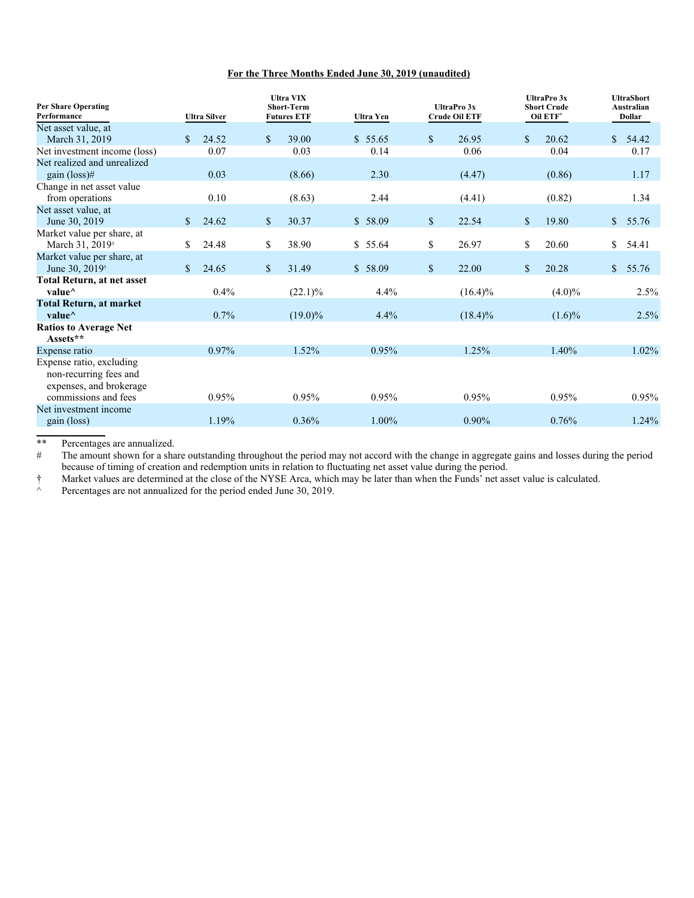# **For the Three Months Ended June 30, 2019 (unaudited)**

| <b>Per Share Operating</b><br>Performance                                     |                | <b>Ultra Silver</b> | <b>Ultra VIX</b><br><b>Short-Term</b><br><b>Futures ETF</b> |            | <b>Ultra Yen</b> |              | <b>UltraPro 3x</b><br><b>Crude Oil ETF</b> |              | <b>UltraPro 3x</b><br><b>Short Crude</b><br>Oil ETF* |              | <b>UltraShort</b><br>Australian<br><b>Dollar</b> |
|-------------------------------------------------------------------------------|----------------|---------------------|-------------------------------------------------------------|------------|------------------|--------------|--------------------------------------------|--------------|------------------------------------------------------|--------------|--------------------------------------------------|
| Net asset value, at                                                           |                |                     |                                                             |            |                  |              |                                            |              |                                                      |              |                                                  |
| March 31, 2019                                                                | $\mathbb{S}$   | 24.52               | $\mathbb{S}$                                                | 39.00      | \$55.65          | $\mathbb{S}$ | 26.95                                      | $\mathbb{S}$ | 20.62                                                | $\mathbb{S}$ | 54.42                                            |
| Net investment income (loss)                                                  |                | 0.07                |                                                             | 0.03       | 0.14             |              | 0.06                                       |              | 0.04                                                 |              | 0.17                                             |
| Net realized and unrealized                                                   |                |                     |                                                             |            |                  |              |                                            |              |                                                      |              |                                                  |
| $gain$ (loss)#                                                                |                | 0.03                |                                                             | (8.66)     | 2.30             |              | (4.47)                                     |              | (0.86)                                               |              | 1.17                                             |
| Change in net asset value                                                     |                |                     |                                                             |            |                  |              |                                            |              |                                                      |              |                                                  |
| from operations                                                               |                | 0.10                |                                                             | (8.63)     | 2.44             |              | (4.41)                                     |              | (0.82)                                               |              | 1.34                                             |
| Net asset value, at<br>June 30, 2019                                          | $\mathbb{S}^-$ | 24.62               | $\mathbb{S}$                                                | 30.37      | \$58.09          | $\mathbb{S}$ | 22.54                                      | $\mathbb{S}$ | 19.80                                                | \$           | 55.76                                            |
| Market value per share, at<br>March 31, 2019 <sup>†</sup>                     | \$             | 24.48               | \$                                                          | 38.90      | \$55.64          | \$           | 26.97                                      | \$           | 20.60                                                | \$           | 54.41                                            |
| Market value per share, at                                                    |                |                     |                                                             |            |                  |              |                                            |              |                                                      |              |                                                  |
| June 30, 2019 <sup>t</sup>                                                    | $\mathbb{S}^-$ | 24.65               | $\mathcal{S}$                                               | 31.49      | \$58.09          | $\mathbb{S}$ | 22.00                                      | $\mathbb{S}$ | 20.28                                                | $\mathbb{S}$ | 55.76                                            |
| <b>Total Return, at net asset</b>                                             |                |                     |                                                             |            |                  |              |                                            |              |                                                      |              |                                                  |
| value^                                                                        |                | 0.4%                |                                                             | $(22.1)\%$ | 4.4%             |              | $(16.4)\%$                                 |              | $(4.0)\%$                                            |              | 2.5%                                             |
| <b>Total Return, at market</b>                                                |                |                     |                                                             |            |                  |              |                                            |              |                                                      |              |                                                  |
| value^                                                                        |                | $0.7\%$             |                                                             | $(19.0)\%$ | 4.4%             |              | $(18.4)\%$                                 |              | $(1.6)\%$                                            |              | 2.5%                                             |
| <b>Ratios to Average Net</b><br>Assets**                                      |                |                     |                                                             |            |                  |              |                                            |              |                                                      |              |                                                  |
| Expense ratio                                                                 |                | 0.97%               |                                                             | 1.52%      | 0.95%            |              | 1.25%                                      |              | 1.40%                                                |              | $1.02\%$                                         |
| Expense ratio, excluding<br>non-recurring fees and<br>expenses, and brokerage |                |                     |                                                             |            |                  |              |                                            |              |                                                      |              |                                                  |
| commissions and fees                                                          |                | 0.95%               |                                                             | 0.95%      | 0.95%            |              | 0.95%                                      |              | 0.95%                                                |              | 0.95%                                            |
| Net investment income<br>gain (loss)                                          |                | 1.19%               |                                                             | 0.36%      | 1.00%            |              | $0.90\%$                                   |              | 0.76%                                                |              | 1.24%                                            |

\*\* Percentages are annualized.<br># The amount shown for a sha

The amount shown for a share outstanding throughout the period may not accord with the change in aggregate gains and losses during the period because of timing of creation and redemption units in relation to fluctuating net asset value during the period.

† Market values are determined at the close of the NYSE Arca, which may be later than when the Funds<sup>5</sup> net asset value is calculated.<br>Percentages are not annualized for the period ended June 30, 2019.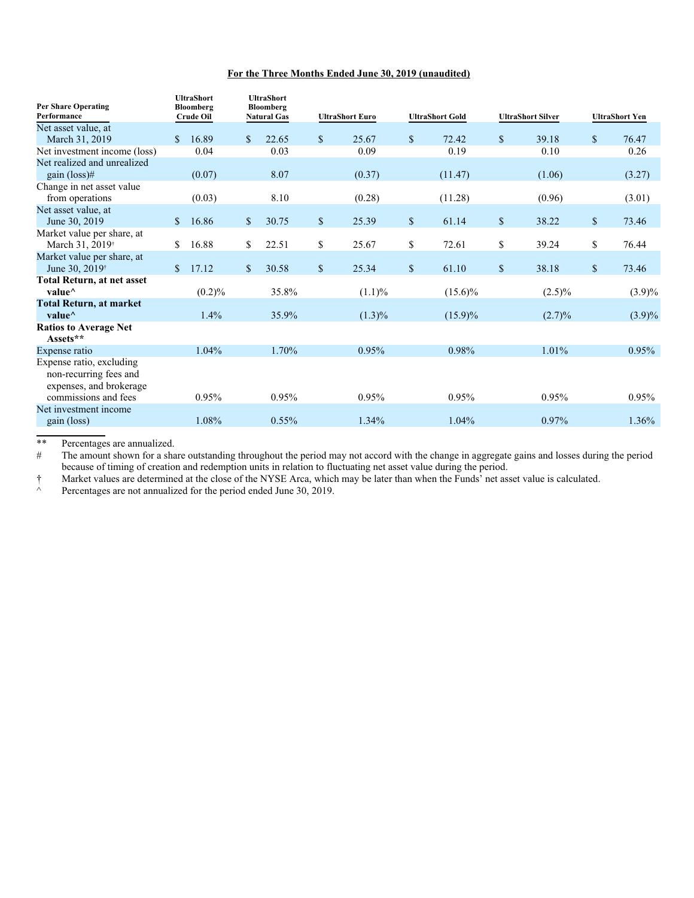# **For the Three Months Ended June 30, 2019 (unaudited)**

| <b>Per Share Operating</b><br>Performance                                     |               | <b>UltraShort</b><br><b>Bloomberg</b><br><b>Crude Oil</b> |              | <b>UltraShort</b><br>Bloomberg<br><b>Natural Gas</b> | <b>UltraShort Euro</b> |           |              | <b>UltraShort Gold</b> |              | <b>UltraShort Silver</b> |               | <b>UltraShort Yen</b> |
|-------------------------------------------------------------------------------|---------------|-----------------------------------------------------------|--------------|------------------------------------------------------|------------------------|-----------|--------------|------------------------|--------------|--------------------------|---------------|-----------------------|
| Net asset value, at                                                           |               |                                                           |              |                                                      |                        |           |              |                        |              |                          |               |                       |
| March 31, 2019                                                                | S.            | 16.89                                                     | $\mathbb{S}$ | 22.65                                                | $\mathbb{S}$           | 25.67     | $\mathbb{S}$ | 72.42                  | $\mathbb{S}$ | 39.18                    | $\mathbb{S}$  | 76.47                 |
| Net investment income (loss)                                                  |               | 0.04                                                      |              | 0.03                                                 |                        | 0.09      |              | 0.19                   |              | 0.10                     |               | 0.26                  |
| Net realized and unrealized                                                   |               |                                                           |              |                                                      |                        |           |              |                        |              |                          |               |                       |
| gain $(\text{loss})\#$                                                        |               | (0.07)                                                    |              | 8.07                                                 |                        | (0.37)    |              | (11.47)                |              | (1.06)                   |               | (3.27)                |
| Change in net asset value                                                     |               |                                                           |              |                                                      |                        |           |              |                        |              |                          |               |                       |
| from operations                                                               |               | (0.03)                                                    |              | 8.10                                                 |                        | (0.28)    |              | (11.28)                |              | (0.96)                   |               | (3.01)                |
| Net asset value, at                                                           |               |                                                           |              |                                                      |                        |           |              |                        |              |                          |               |                       |
| June 30, 2019                                                                 | $\mathbb{S}$  | 16.86                                                     | $\mathbb{S}$ | 30.75                                                | \$                     | 25.39     | $\mathbb{S}$ | 61.14                  | $\mathbb{S}$ | 38.22                    | $\mathbb{S}$  | 73.46                 |
| Market value per share, at<br>March 31, 2019 <sup>†</sup>                     | \$            | 16.88                                                     | \$           | 22.51                                                | \$                     | 25.67     | \$           | 72.61                  | \$           | 39.24                    | <sup>\$</sup> | 76.44                 |
| Market value per share, at                                                    |               |                                                           |              |                                                      |                        |           |              |                        |              |                          |               |                       |
| June 30, 2019 <sup>+</sup>                                                    | $\mathcal{S}$ | 17.12                                                     | $\mathbb{S}$ | 30.58                                                | \$                     | 25.34     | \$           | 61.10                  | \$           | 38.18                    | $\mathbb{S}$  | 73.46                 |
| <b>Total Return, at net asset</b>                                             |               |                                                           |              |                                                      |                        |           |              |                        |              |                          |               |                       |
| value^                                                                        |               | $(0.2)\%$                                                 |              | 35.8%                                                |                        | $(1.1)\%$ |              | $(15.6)\%$             |              | $(2.5)\%$                |               | $(3.9)\%$             |
| <b>Total Return, at market</b>                                                |               |                                                           |              |                                                      |                        |           |              |                        |              |                          |               |                       |
| value^                                                                        |               | 1.4%                                                      |              | 35.9%                                                |                        | $(1.3)\%$ |              | $(15.9)\%$             |              | $(2.7)\%$                |               | $(3.9)\%$             |
| <b>Ratios to Average Net</b><br>Assets**                                      |               |                                                           |              |                                                      |                        |           |              |                        |              |                          |               |                       |
| Expense ratio                                                                 |               | 1.04%                                                     |              | 1.70%                                                |                        | 0.95%     |              | 0.98%                  |              | 1.01%                    |               | 0.95%                 |
| Expense ratio, excluding<br>non-recurring fees and<br>expenses, and brokerage |               |                                                           |              |                                                      |                        |           |              |                        |              |                          |               |                       |
| commissions and fees                                                          |               | 0.95%                                                     |              | 0.95%                                                |                        | 0.95%     |              | 0.95%                  |              | 0.95%                    |               | 0.95%                 |
| Net investment income<br>gain (loss)                                          |               | 1.08%                                                     |              | $0.55\%$                                             |                        | 1.34%     |              | 1.04%                  |              | 0.97%                    |               | 1.36%                 |

\*\* Percentages are annualized.<br># The amount shown for a sha The amount shown for a share outstanding throughout the period may not accord with the change in aggregate gains and losses during the period because of timing of creation and redemption units in relation to fluctuating net asset value during the period.

† Market values are determined at the close of the NYSE Arca, which may be later than when the Funds<sup>5</sup> net asset value is calculated.<br>Percentages are not annualized for the period ended June 30, 2019.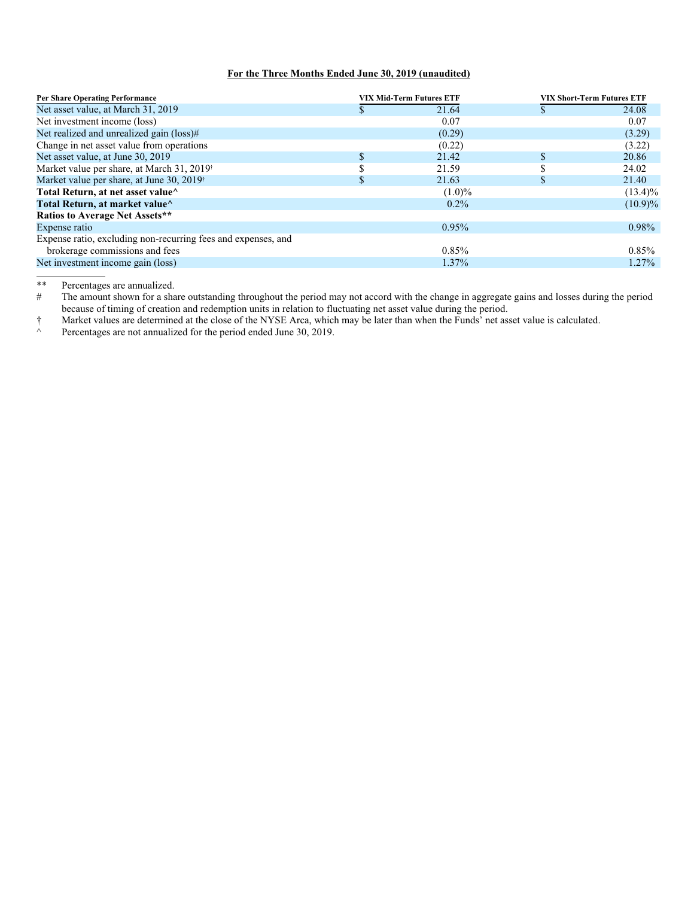# **For the Three Months Ended June 30, 2019 (unaudited)**

| <b>Per Share Operating Performance</b>                        |     | VIX Mid-Term Futures ETF |     | <b>VIX Short-Term Futures ETF</b> |
|---------------------------------------------------------------|-----|--------------------------|-----|-----------------------------------|
| Net asset value, at March 31, 2019                            |     | 21.64                    |     | 24.08                             |
| Net investment income (loss)                                  |     | 0.07                     |     | 0.07                              |
| Net realized and unrealized gain (loss)#                      |     | (0.29)                   |     | (3.29)                            |
| Change in net asset value from operations                     |     | (0.22)                   |     | (3.22)                            |
| Net asset value, at June 30, 2019                             | \$. | 21.42                    | \$. | 20.86                             |
| Market value per share, at March 31, 2019 <sup>+</sup>        |     | 21.59                    |     | 24.02                             |
| Market value per share, at June 30, 2019 <sup>t</sup>         |     | 21.63                    |     | 21.40                             |
| Total Return, at net asset value^                             |     | $(1.0)\%$                |     | $(13.4)\%$                        |
| Total Return, at market value <sup><math>\wedge</math></sup>  |     | $0.2\%$                  |     | $(10.9)\%$                        |
| <b>Ratios to Average Net Assets**</b>                         |     |                          |     |                                   |
| Expense ratio                                                 |     | 0.95%                    |     | $0.98\%$                          |
| Expense ratio, excluding non-recurring fees and expenses, and |     |                          |     |                                   |
| brokerage commissions and fees                                |     | 0.85%                    |     | 0.85%                             |
| Net investment income gain (loss)                             |     | 1.37%                    |     | $1.27\%$                          |

\*\* Percentages are annualized.<br># The amount shown for a sha The amount shown for a share outstanding throughout the period may not accord with the change in aggregate gains and losses during the period because of timing of creation and redemption units in relation to fluctuating net asset value during the period.

 $\dagger$  Market values are determined at the close of the NYSE Arca, which may be later than when the Funds<sup>5</sup> net asset value is calculated.<br>Percentages are not annualized for the period ended June 30, 2019.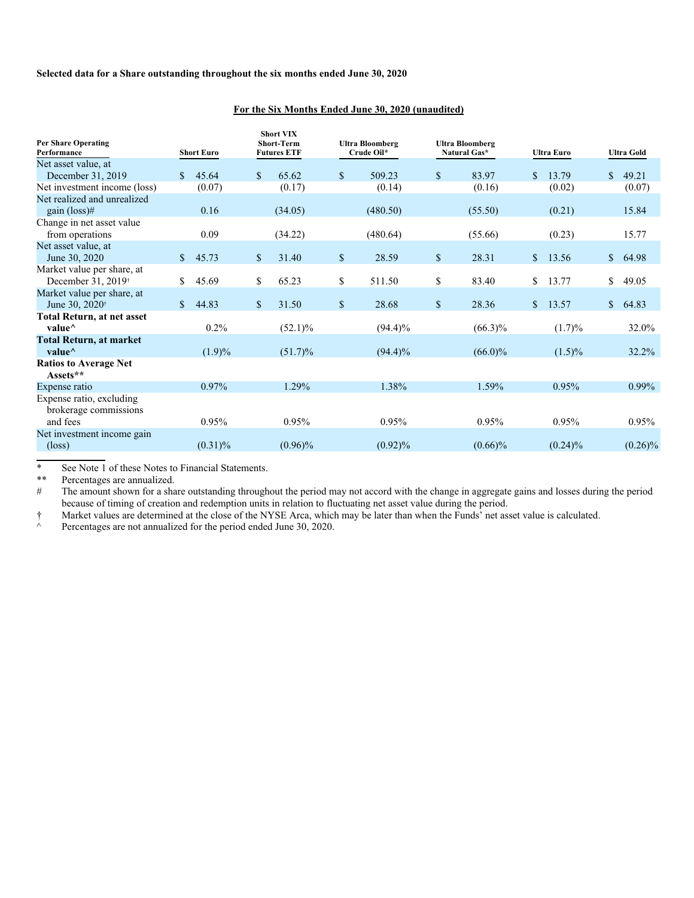# **Selected data for a Share outstanding throughout the six months ended June 30, 2020**

### **For the Six Months Ended June 30, 2020 (unaudited)**

| <b>Per Share Operating</b><br>Performance                    |               | <b>Short Euro</b> | <b>Short VIX</b><br><b>Short-Term</b><br><b>Futures ETF</b> |                       |              | <b>Ultra Bloomberg</b><br>Crude Oil* |              | <b>Ultra Bloomberg</b><br>Natural Gas* |               | <b>Ultra Euro</b> |                | <b>Ultra Gold</b> |
|--------------------------------------------------------------|---------------|-------------------|-------------------------------------------------------------|-----------------------|--------------|--------------------------------------|--------------|----------------------------------------|---------------|-------------------|----------------|-------------------|
| Net asset value, at                                          |               |                   |                                                             |                       |              |                                      |              |                                        |               |                   |                |                   |
| December 31, 2019                                            | $\mathbb{S}$  | 45.64             | $\mathbb{S}$                                                | 65.62                 | $\mathbb{S}$ | 509.23                               | $\mathbb{S}$ | 83.97                                  | $\mathbb{S}$  | 13.79             | $\mathbb{S}$   | 49.21             |
| Net investment income (loss)                                 |               | (0.07)            |                                                             | (0.17)                |              | (0.14)                               |              | (0.16)                                 |               | (0.02)            |                | (0.07)            |
| Net realized and unrealized                                  |               |                   |                                                             |                       |              |                                      |              |                                        |               |                   |                |                   |
| $gain$ (loss)#                                               |               | 0.16              |                                                             | (34.05)               |              | (480.50)                             |              | (55.50)                                |               | (0.21)            |                | 15.84             |
| Change in net asset value<br>from operations                 |               | 0.09              |                                                             | (34.22)               |              | (480.64)                             |              | (55.66)                                |               | (0.23)            |                | 15.77             |
| Net asset value, at                                          |               |                   |                                                             |                       |              |                                      |              |                                        |               |                   |                |                   |
| June 30, 2020                                                | $\mathbb{S}$  | 45.73             | $\mathbb{S}$                                                | 31.40                 | $\mathbb{S}$ | 28.59                                | \$           | 28.31                                  | $\mathcal{S}$ | 13.56             | $\mathbb{S}$   | 64.98             |
| Market value per share, at<br>December 31, 2019 <sup>†</sup> | S.            | 45.69             | \$                                                          | 65.23                 | \$           | 511.50                               | \$           | 83.40                                  | S.            | 13.77             | \$             | 49.05             |
| Market value per share, at<br>June 30, 2020 <sup>†</sup>     | $\mathcal{S}$ | 44.83             |                                                             | $\mathbb{S}$<br>31.50 |              | 28.68                                | \$           | 28.36                                  | $\mathcal{S}$ | 13.57             | $\mathbb{S}^-$ | 64.83             |
| <b>Total Return, at net asset</b>                            |               |                   |                                                             |                       | $\mathbb{S}$ |                                      |              |                                        |               |                   |                |                   |
| value^                                                       |               | 0.2%              |                                                             | $(52.1)\%$            |              | $(94.4)\%$                           |              | $(66.3)\%$                             |               | $(1.7)\%$         |                | 32.0%             |
| <b>Total Return, at market</b>                               |               |                   |                                                             |                       |              |                                      |              |                                        |               |                   |                |                   |
| value^                                                       |               | $(1.9)\%$         |                                                             | $(51.7)\%$            |              | $(94.4)\%$                           |              | $(66.0)\%$                             |               | $(1.5)\%$         |                | 32.2%             |
| <b>Ratios to Average Net</b><br>Assets**                     |               |                   |                                                             |                       |              |                                      |              |                                        |               |                   |                |                   |
| Expense ratio                                                |               | 0.97%             |                                                             | 1.29%                 |              | 1.38%                                |              | 1.59%                                  |               | 0.95%             |                | $0.99\%$          |
| Expense ratio, excluding<br>brokerage commissions            |               |                   |                                                             |                       |              |                                      |              |                                        |               |                   |                |                   |
| and fees                                                     |               | 0.95%             |                                                             | 0.95%                 |              | 0.95%                                |              | 0.95%                                  |               | 0.95%             |                | $0.95\%$          |
| Net investment income gain<br>$(\text{loss})$                |               | $(0.31)\%$        |                                                             | $(0.96)\%$            |              | $(0.92)\%$                           |              | $(0.66)\%$                             |               | $(0.24)\%$        |                | $(0.26)\%$        |

\* See Note 1 of these Notes to Financial Statements.<br>\*\* Percentages are annualized

\*\* Percentages are annualized.<br># The amount shown for a sha The amount shown for a share outstanding throughout the period may not accord with the change in aggregate gains and losses during the period because of timing of creation and redemption units in relation to fluctuating net asset value during the period.

† Market values are determined at the close of the NYSE Arca, which may be later than when the Funds' net asset value is calculated.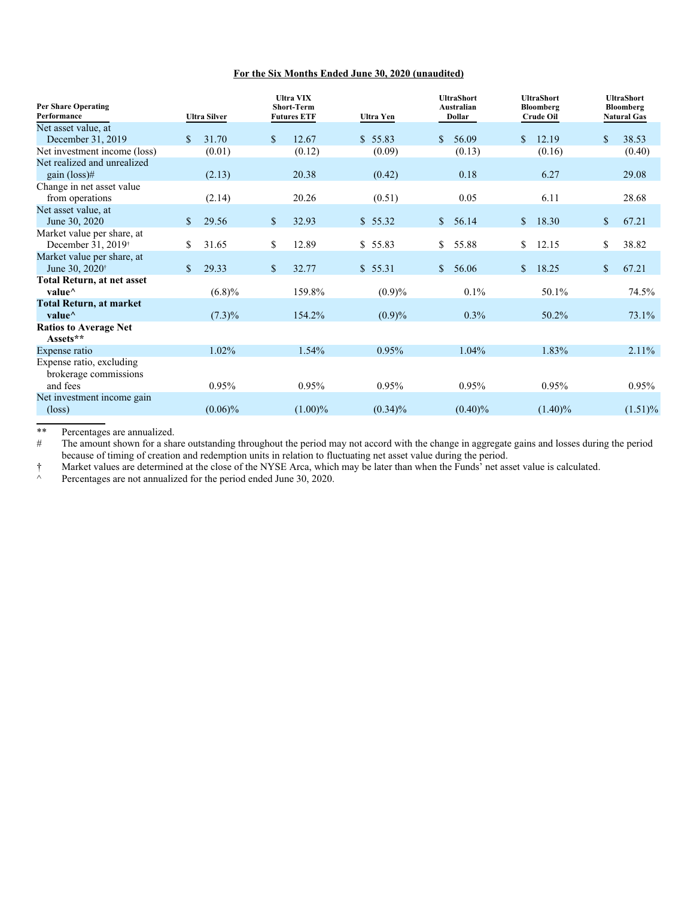# **For the Six Months Ended June 30, 2020 (unaudited)**

| <b>Per Share Operating</b><br>Performance         |              | <b>Ultra Silver</b> |              | <b>Ultra VIX</b><br><b>Short-Term</b><br><b>Futures ETF</b> | Ultra Yen  |               | <b>UltraShort</b><br><b>Australian</b><br>Dollar |              | <b>UltraShort</b><br>Bloomberg<br><b>Crude Oil</b> |              | <b>UltraShort</b><br>Bloomberg<br><b>Natural Gas</b> |
|---------------------------------------------------|--------------|---------------------|--------------|-------------------------------------------------------------|------------|---------------|--------------------------------------------------|--------------|----------------------------------------------------|--------------|------------------------------------------------------|
| Net asset value, at                               |              |                     |              |                                                             |            |               |                                                  |              |                                                    |              |                                                      |
| December 31, 2019                                 | $\mathbb{S}$ | 31.70               | $\mathbb{S}$ | 12.67                                                       | \$55.83    | $\mathbb{S}$  | 56.09                                            | $\mathbb{S}$ | 12.19                                              | $\mathbb{S}$ | 38.53                                                |
| Net investment income (loss)                      |              | (0.01)              |              | (0.12)                                                      | (0.09)     |               | (0.13)                                           |              | (0.16)                                             |              | (0.40)                                               |
| Net realized and unrealized                       |              |                     |              |                                                             |            |               |                                                  |              |                                                    |              |                                                      |
| gain $(\text{loss})\#$                            |              | (2.13)              |              | 20.38                                                       | (0.42)     |               | 0.18                                             |              | 6.27                                               |              | 29.08                                                |
| Change in net asset value                         |              |                     |              |                                                             |            |               |                                                  |              |                                                    |              |                                                      |
| from operations                                   |              | (2.14)              |              | 20.26                                                       | (0.51)     |               | 0.05                                             |              | 6.11                                               |              | 28.68                                                |
| Net asset value, at<br>June 30, 2020              | $\mathbb{S}$ | 29.56               | \$           | 32.93                                                       | \$55.32    | $\mathbb{S}$  | 56.14                                            | $\mathbb{S}$ | 18.30                                              | \$           | 67.21                                                |
| Market value per share, at                        |              |                     |              |                                                             |            |               |                                                  |              |                                                    |              |                                                      |
| December 31, 2019 <sup>†</sup>                    | \$           | 31.65               | \$           | 12.89                                                       | \$55.83    | \$            | 55.88                                            | \$           | 12.15                                              | \$           | 38.82                                                |
| Market value per share, at                        |              |                     |              |                                                             |            |               |                                                  |              |                                                    |              |                                                      |
| June 30, 2020 <sup>t</sup>                        | $\mathbb{S}$ | 29.33               | \$           | 32.77                                                       | \$55.31    | $\mathcal{S}$ | 56.06                                            | $\mathbb{S}$ | 18.25                                              | $\mathbb{S}$ | 67.21                                                |
| <b>Total Return, at net asset</b>                 |              |                     |              |                                                             |            |               |                                                  |              |                                                    |              |                                                      |
| value <sup><math>\wedge</math></sup>              |              | $(6.8)\%$           |              | 159.8%                                                      | $(0.9)\%$  |               | 0.1%                                             |              | 50.1%                                              |              | 74.5%                                                |
| <b>Total Return, at market</b>                    |              |                     |              |                                                             |            |               |                                                  |              |                                                    |              |                                                      |
| value^                                            |              | $(7.3)\%$           |              | 154.2%                                                      | $(0.9)\%$  |               | 0.3%                                             |              | 50.2%                                              |              | 73.1%                                                |
| <b>Ratios to Average Net</b><br>Assets**          |              |                     |              |                                                             |            |               |                                                  |              |                                                    |              |                                                      |
| Expense ratio                                     |              | 1.02%               |              | 1.54%                                                       | 0.95%      |               | 1.04%                                            |              | 1.83%                                              |              | 2.11%                                                |
| Expense ratio, excluding<br>brokerage commissions |              |                     |              |                                                             |            |               |                                                  |              |                                                    |              |                                                      |
| and fees                                          |              | 0.95%               |              | 0.95%                                                       | 0.95%      |               | 0.95%                                            |              | 0.95%                                              |              | $0.95\%$                                             |
| Net investment income gain<br>$(\text{loss})$     |              | $(0.06)\%$          |              | $(1.00)\%$                                                  | $(0.34)\%$ |               | $(0.40)\%$                                       |              | $(1.40)\%$                                         |              | $(1.51)\%$                                           |
|                                                   |              |                     |              |                                                             |            |               |                                                  |              |                                                    |              |                                                      |

\*\* Percentages are annualized.<br># The amount shown for a sha

The amount shown for a share outstanding throughout the period may not accord with the change in aggregate gains and losses during the period because of timing of creation and redemption units in relation to fluctuating net asset value during the period.

 $\dagger$  Market values are determined at the close of the NYSE Arca, which may be later than when the Funds' net asset value is calculated.<br>Percentages are not annualized for the period ended June 30, 2020.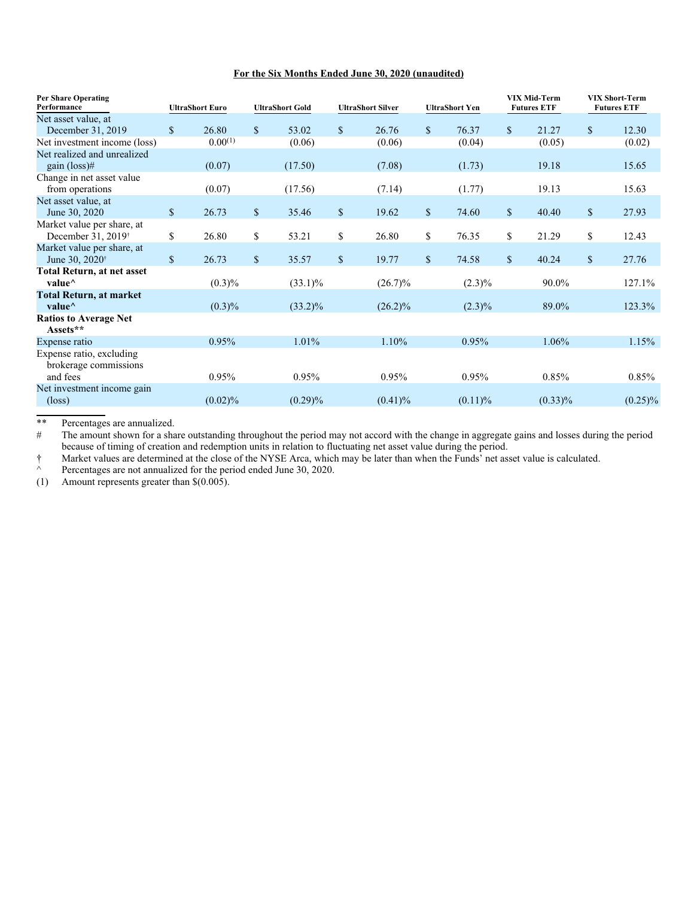# **For the Six Months Ended June 30, 2020 (unaudited)**

| <b>Per Share Operating</b><br>Performance |              | <b>UltraShort Euro</b> |              | <b>UltraShort Gold</b> |              | <b>UltraShort Silver</b> |              | <b>UltraShort Yen</b> |               | VIX Mid-Term<br><b>Futures ETF</b> |              | <b>VIX Short-Term</b><br><b>Futures ETF</b> |
|-------------------------------------------|--------------|------------------------|--------------|------------------------|--------------|--------------------------|--------------|-----------------------|---------------|------------------------------------|--------------|---------------------------------------------|
| Net asset value, at                       |              |                        |              |                        |              |                          |              |                       |               |                                    |              |                                             |
| December 31, 2019                         | $\mathbb{S}$ | 26.80                  | $\mathbb{S}$ | 53.02                  | $\mathbb{S}$ | 26.76                    | $\mathbb{S}$ | 76.37                 | $\mathbb{S}$  | 21.27                              | $\mathbb{S}$ | 12.30                                       |
| Net investment income (loss)              |              | $0.00^{(1)}$           |              | (0.06)                 |              | (0.06)                   |              | (0.04)                |               | (0.05)                             |              | (0.02)                                      |
| Net realized and unrealized               |              |                        |              |                        |              |                          |              |                       |               |                                    |              |                                             |
| $gain$ (loss)#                            |              | (0.07)                 |              | (17.50)                |              | (7.08)                   |              | (1.73)                |               | 19.18                              |              | 15.65                                       |
| Change in net asset value                 |              |                        |              |                        |              |                          |              |                       |               |                                    |              |                                             |
| from operations                           |              | (0.07)                 |              | (17.56)                |              | (7.14)                   |              | (1.77)                |               | 19.13                              |              | 15.63                                       |
| Net asset value, at                       |              |                        |              |                        |              |                          |              |                       |               |                                    |              |                                             |
| June 30, 2020                             | \$           | 26.73                  | \$           | 35.46                  | \$           | 19.62                    | $\mathbf S$  | 74.60                 | $\mathsf{\$}$ | 40.40                              | \$           | 27.93                                       |
| Market value per share, at                |              |                        |              |                        |              |                          |              |                       |               |                                    |              |                                             |
| December 31, 2019 <sup>†</sup>            | \$           | 26.80                  | \$           | 53.21                  | \$           | 26.80                    | \$           | 76.35                 | \$            | 21.29                              | \$           | 12.43                                       |
| Market value per share, at                |              |                        |              |                        |              |                          |              |                       |               |                                    |              |                                             |
| June 30, 2020 <sup>+</sup>                | \$           | 26.73                  | $\mathbb{S}$ | 35.57                  | $\mathbb{S}$ | 19.77                    | $\mathbb{S}$ | 74.58                 | $\mathbb{S}$  | 40.24                              | $\mathbb{S}$ | 27.76                                       |
| <b>Total Return, at net asset</b>         |              |                        |              |                        |              |                          |              |                       |               |                                    |              |                                             |
| $value^{\wedge}$                          |              | $(0.3)\%$              |              | $(33.1)\%$             |              | $(26.7)\%$               |              | $(2.3)\%$             |               | 90.0%                              |              | 127.1%                                      |
| <b>Total Return, at market</b>            |              |                        |              |                        |              |                          |              |                       |               |                                    |              |                                             |
| value^                                    |              | $(0.3)\%$              |              | $(33.2)\%$             |              | $(26.2)\%$               |              | $(2.3)\%$             |               | 89.0%                              |              | 123.3%                                      |
| <b>Ratios to Average Net</b><br>Assets**  |              |                        |              |                        |              |                          |              |                       |               |                                    |              |                                             |
| Expense ratio                             |              | 0.95%                  |              | 1.01%                  |              | 1.10%                    |              | 0.95%                 |               | 1.06%                              |              | 1.15%                                       |
| Expense ratio, excluding                  |              |                        |              |                        |              |                          |              |                       |               |                                    |              |                                             |
| brokerage commissions                     |              |                        |              |                        |              |                          |              |                       |               |                                    |              |                                             |
| and fees                                  |              | 0.95%                  |              | 0.95%                  |              | $0.95\%$                 |              | 0.95%                 |               | 0.85%                              |              | 0.85%                                       |
| Net investment income gain                |              |                        |              |                        |              |                          |              |                       |               |                                    |              |                                             |
| $(\text{loss})$                           |              | $(0.02)\%$             |              | $(0.29)\%$             |              | $(0.41)\%$               |              | $(0.11)\%$            |               | $(0.33)\%$                         |              | $(0.25)\%$                                  |

\*\* Percentages are annualized.<br># The amount shown for a sha

The amount shown for a share outstanding throughout the period may not accord with the change in aggregate gains and losses during the period because of timing of creation and redemption units in relation to fluctuating net asset value during the period.

† Market values are determined at the close of the NYSE Arca, which may be later than when the Funds<sup>5</sup> net asset value is calculated.<br>
Percentages are not annualized for the period ended June 30, 2020.

Percentages are not annualized for the period ended June 30, 2020.

(1) Amount represents greater than \$(0.005).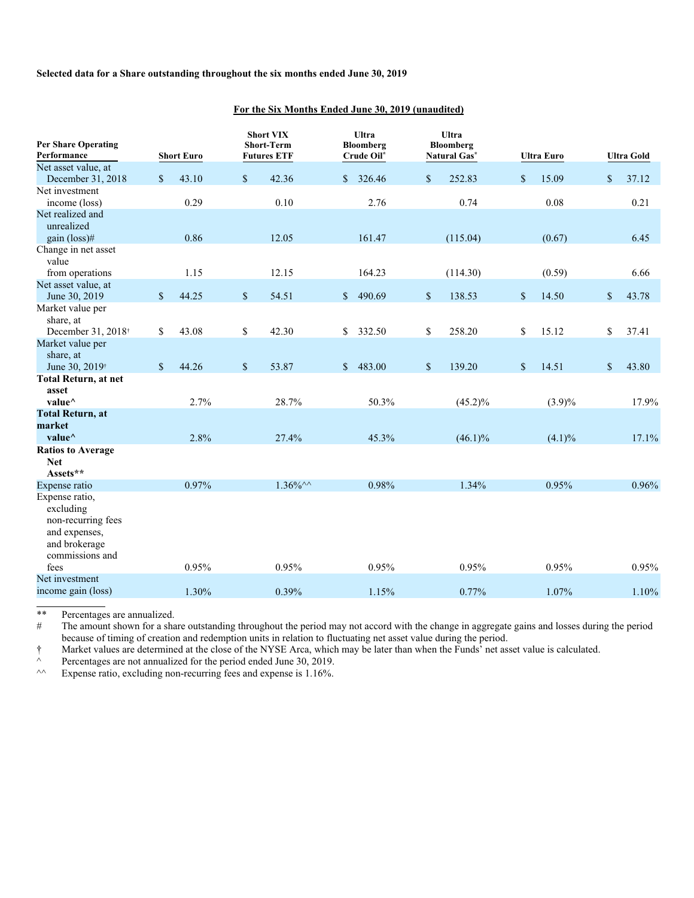**Selected data for a Share outstanding throughout the six months ended June 30, 2019** 

### **For the Six Months Ended June 30, 2019 (unaudited)**

| <b>Per Share Operating</b>                                      |              |                   |              | <b>Short VIX</b><br><b>Short-Term</b> |              | <b>Ultra</b><br>Bloomberg |               | <b>Ultra</b><br><b>Bloomberg</b> |              |                   |              |                   |
|-----------------------------------------------------------------|--------------|-------------------|--------------|---------------------------------------|--------------|---------------------------|---------------|----------------------------------|--------------|-------------------|--------------|-------------------|
| Performance                                                     |              | <b>Short Euro</b> |              | <b>Futures ETF</b>                    |              | Crude Oil*                |               | Natural Gas*                     |              | <b>Ultra Euro</b> |              | <b>Ultra Gold</b> |
| Net asset value, at<br>December 31, 2018                        | $\mathbb{S}$ | 43.10             | $\mathbb{S}$ | 42.36                                 | $\mathbb{S}$ | 326.46                    | $\mathsf{\$}$ | 252.83                           | $\mathbb{S}$ | 15.09             | \$           | 37.12             |
| Net investment                                                  |              |                   |              |                                       |              |                           |               |                                  |              |                   |              |                   |
| income (loss)                                                   |              | 0.29              |              | 0.10                                  |              | 2.76                      |               | 0.74                             |              | 0.08              |              | 0.21              |
| Net realized and<br>unrealized<br>gain $(\text{loss})$ #        |              | 0.86              |              | 12.05                                 |              | 161.47                    |               | (115.04)                         |              | (0.67)            |              | 6.45              |
| Change in net asset<br>value                                    |              |                   |              |                                       |              |                           |               |                                  |              |                   |              |                   |
| from operations                                                 |              | 1.15              |              | 12.15                                 |              | 164.23                    |               | (114.30)                         |              | (0.59)            |              | 6.66              |
| Net asset value, at<br>June 30, 2019                            | $\sqrt{\ }$  | 44.25             | $\mathbb{S}$ | 54.51                                 | S            | 490.69                    | $\mathsf{\$}$ | 138.53                           | $\mathbb S$  | 14.50             | $\mathbb{S}$ | 43.78             |
| Market value per<br>share, at<br>December 31, 2018 <sup>+</sup> | \$           | 43.08             | \$           | 42.30                                 | \$           | 332.50                    | \$            | 258.20                           | \$           | 15.12             | \$           | 37.41             |
| Market value per                                                |              |                   |              |                                       |              |                           |               |                                  |              |                   |              |                   |
| share, at<br>June 30, 2019 <sup>t</sup>                         | $\mathbb{S}$ | 44.26             | $\mathbb S$  | 53.87                                 | $\mathbb{S}$ | 483.00                    | $\mathbb S$   | 139.20                           | $\mathbb{S}$ | 14.51             | \$           | 43.80             |
| <b>Total Return, at net</b>                                     |              |                   |              |                                       |              |                           |               |                                  |              |                   |              |                   |
| asset                                                           |              |                   |              |                                       |              |                           |               |                                  |              |                   |              |                   |
| value^                                                          |              | 2.7%              |              | 28.7%                                 |              | 50.3%                     |               | $(45.2)\%$                       |              | $(3.9)\%$         |              | 17.9%             |
| <b>Total Return, at</b>                                         |              |                   |              |                                       |              |                           |               |                                  |              |                   |              |                   |
| market                                                          |              |                   |              |                                       |              |                           |               |                                  |              |                   |              |                   |
| value^                                                          |              | 2.8%              |              | 27.4%                                 |              | 45.3%                     |               | $(46.1)\%$                       |              | $(4.1)\%$         |              | 17.1%             |
| <b>Ratios to Average</b><br><b>Net</b>                          |              |                   |              |                                       |              |                           |               |                                  |              |                   |              |                   |
| Assets**<br>Expense ratio                                       |              | 0.97%             |              | $1.36\%^{\wedge\wedge}$               |              | 0.98%                     |               | 1.34%                            |              | 0.95%             |              | 0.96%             |
| Expense ratio,<br>excluding<br>non-recurring fees               |              |                   |              |                                       |              |                           |               |                                  |              |                   |              |                   |
| and expenses,<br>and brokerage<br>commissions and<br>fees       |              | 0.95%             |              | 0.95%                                 |              | 0.95%                     |               | 0.95%                            |              | 0.95%             |              | 0.95%             |
| Net investment                                                  |              |                   |              |                                       |              |                           |               |                                  |              |                   |              |                   |
| income gain (loss)                                              |              | 1.30%             |              | 0.39%                                 |              | 1.15%                     |               | 0.77%                            |              | 1.07%             |              | 1.10%             |

\*\* Percentages are annualized.<br># The amount shown for a sha

The amount shown for a share outstanding throughout the period may not accord with the change in aggregate gains and losses during the period because of timing of creation and redemption units in relation to fluctuating net asset value during the period.

† Market values are determined at the close of the NYSE Arca, which may be later than when the Funds<sup>7</sup> net asset value is calculated.<br>Percentages are not annualized for the period ended June 30, 2019

 $\sim$  Percentages are not annualized for the period ended June 30, 2019.<br>Expense ratio excluding non-recurring fees and expense is 1.16%

Expense ratio, excluding non-recurring fees and expense is 1.16%.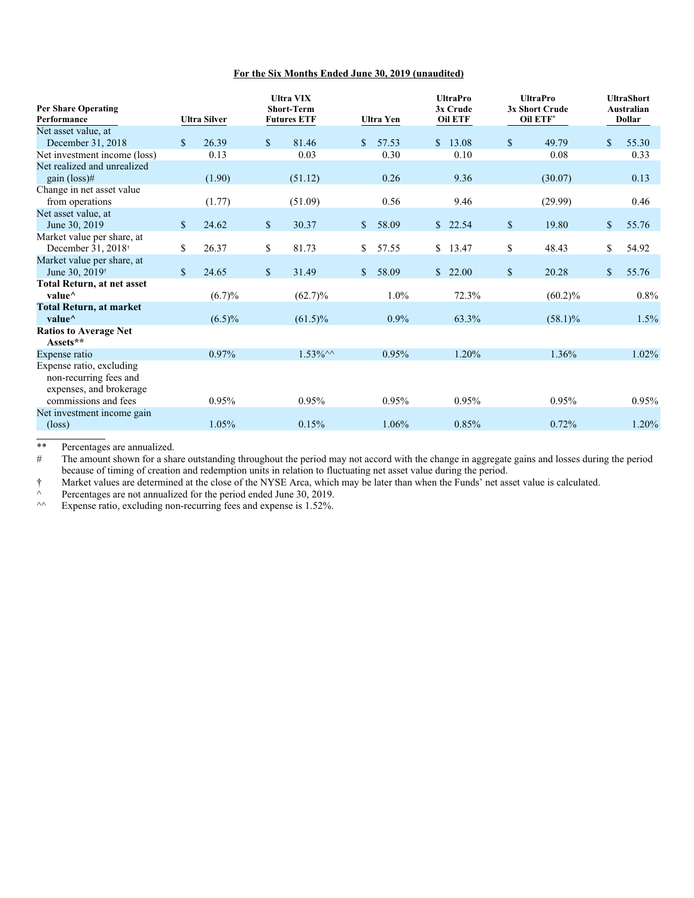# **For the Six Months Ended June 30, 2019 (unaudited)**

| <b>Per Share Operating</b><br>Performance                                                             |              | <b>Ultra Silver</b> |              | <b>Ultra VIX</b><br><b>Short-Term</b><br><b>Futures ETF</b> |               | <b>Ultra Yen</b> |              | <b>UltraPro</b><br>3x Crude<br><b>Oil ETF</b> |              | <b>UltraPro</b><br>3x Short Crude<br>Oil ${\rm \bf ETF}^*$ | <b>UltraShort</b><br>Australian<br><b>Dollar</b> |
|-------------------------------------------------------------------------------------------------------|--------------|---------------------|--------------|-------------------------------------------------------------|---------------|------------------|--------------|-----------------------------------------------|--------------|------------------------------------------------------------|--------------------------------------------------|
| Net asset value, at                                                                                   |              |                     |              |                                                             |               |                  |              |                                               |              |                                                            |                                                  |
| December 31, 2018                                                                                     | \$           | 26.39               | $\mathbb{S}$ | 81.46                                                       | <sup>\$</sup> | 57.53            | $\mathbb{S}$ | 13.08                                         | $\mathbf S$  | 49.79                                                      | \$<br>55.30                                      |
| Net investment income (loss)<br>Net realized and unrealized                                           |              | 0.13                |              | 0.03                                                        |               | 0.30             |              | 0.10                                          |              | 0.08                                                       | 0.33                                             |
| gain $(\text{loss})\#$                                                                                |              | (1.90)              |              | (51.12)                                                     |               | 0.26             |              | 9.36                                          |              | (30.07)                                                    | 0.13                                             |
| Change in net asset value<br>from operations                                                          |              | (1.77)              |              | (51.09)                                                     |               | 0.56             |              | 9.46                                          |              | (29.99)                                                    | 0.46                                             |
| Net asset value, at<br>June 30, 2019                                                                  | $\mathbb{S}$ | 24.62               | $\mathbb{S}$ | 30.37                                                       | $\mathbb{S}$  | 58.09            |              | \$22.54                                       | $\mathbb{S}$ | 19.80                                                      | \$<br>55.76                                      |
| Market value per share, at<br>December 31, 2018 <sup>†</sup>                                          | \$           | 26.37               | \$           | 81.73                                                       | \$            | 57.55            | S.           | 13.47                                         | \$           | 48.43                                                      | \$<br>54.92                                      |
| Market value per share, at<br>June 30, 2019 <sup>t</sup>                                              | \$           | 24.65               | $\mathbb{S}$ | 31.49                                                       | $\mathbb{S}$  | 58.09            | $\mathbb{S}$ | 22.00                                         | $\mathbb{S}$ | 20.28                                                      | \$<br>55.76                                      |
| <b>Total Return, at net asset</b><br>value^                                                           |              | $(6.7)\%$           |              | $(62.7)\%$                                                  |               | 1.0%             |              | 72.3%                                         |              | $(60.2)\%$                                                 | $0.8\%$                                          |
| <b>Total Return, at market</b><br>value^                                                              |              | $(6.5)\%$           |              | $(61.5)\%$                                                  |               | $0.9\%$          |              | 63.3%                                         |              | $(58.1)\%$                                                 | $1.5\%$                                          |
| <b>Ratios to Average Net</b><br>Assets**                                                              |              |                     |              |                                                             |               |                  |              |                                               |              |                                                            |                                                  |
| Expense ratio                                                                                         |              | 0.97%               |              | $1.53\%^{\wedge\wedge}$                                     |               | 0.95%            |              | 1.20%                                         |              | 1.36%                                                      | $1.02\%$                                         |
| Expense ratio, excluding<br>non-recurring fees and<br>expenses, and brokerage<br>commissions and fees |              | 0.95%               |              | 0.95%                                                       |               | 0.95%            |              | 0.95%                                         |              | 0.95%                                                      | 0.95%                                            |
| Net investment income gain                                                                            |              |                     |              |                                                             |               |                  |              |                                               |              |                                                            |                                                  |
| $(\text{loss})$                                                                                       |              | 1.05%               |              | 0.15%                                                       |               | 1.06%            |              | 0.85%                                         |              | 0.72%                                                      | 1.20%                                            |

\*\* Percentages are annualized.<br># The amount shown for a sha

The amount shown for a share outstanding throughout the period may not accord with the change in aggregate gains and losses during the period because of timing of creation and redemption units in relation to fluctuating net asset value during the period.

 $\dagger$  Market values are determined at the close of the NYSE Arca, which may be later than when the Funds<sup>7</sup> net asset value is calculated.<br>Percentages are not annualized for the period ended June 30, 2019.

 $\sim$  Percentages are not annualized for the period ended June 30, 2019.<br> $\sim$  Expense ratio, excluding non-recurring fees and expense is 1.52%.

Expense ratio, excluding non-recurring fees and expense is 1.52%.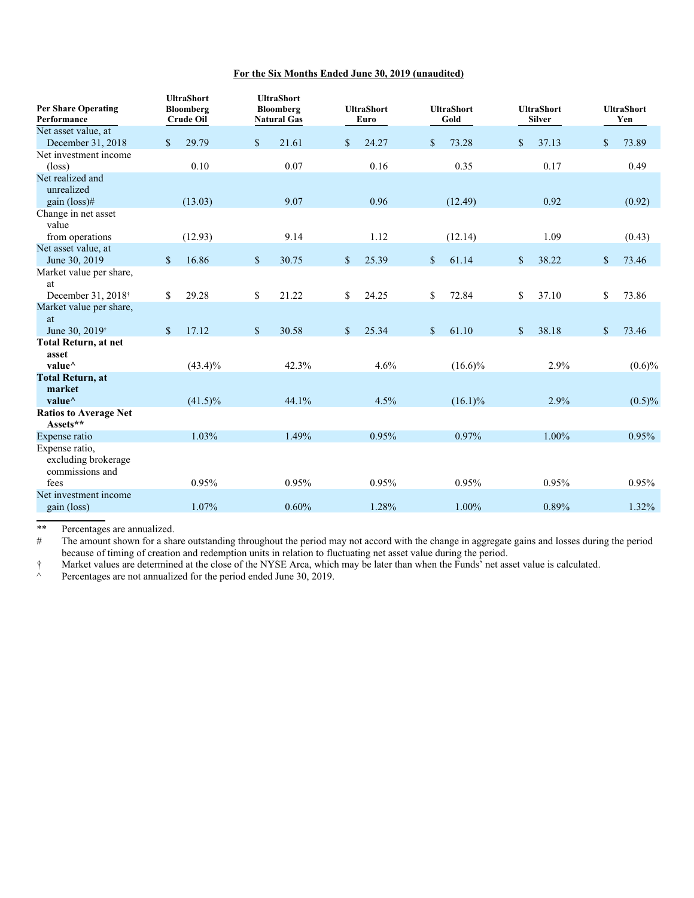# **For the Six Months Ended June 30, 2019 (unaudited)**

| <b>Per Share Operating</b><br>Performance                                    | <b>UltraShort</b><br><b>Bloomberg</b><br><b>Crude Oil</b> |              | <b>UltraShort</b><br>Bloomberg<br><b>Natural Gas</b> |              | <b>UltraShort</b><br>Euro |              | <b>UltraShort</b><br>Gold |              | <b>UltraShort</b><br><b>Silver</b> |              | <b>UltraShort</b><br>Yen |  |
|------------------------------------------------------------------------------|-----------------------------------------------------------|--------------|------------------------------------------------------|--------------|---------------------------|--------------|---------------------------|--------------|------------------------------------|--------------|--------------------------|--|
| Net asset value, at<br>December 31, 2018                                     | 29.79<br>$\mathbb{S}$                                     | $\mathbb{S}$ | 21.61                                                | $\mathbb{S}$ | 24.27                     | $\mathbb{S}$ | 73.28                     | $\mathbb{S}$ | 37.13                              | $\mathbb{S}$ | 73.89                    |  |
| Net investment income<br>$(\text{loss})$                                     | 0.10                                                      |              | 0.07                                                 |              | 0.16                      |              | 0.35                      |              | 0.17                               |              | 0.49                     |  |
| Net realized and<br>unrealized<br>gain (loss)#                               | (13.03)                                                   |              | 9.07                                                 |              | 0.96                      |              | (12.49)                   |              | 0.92                               |              | (0.92)                   |  |
| Change in net asset<br>value<br>from operations                              | (12.93)                                                   |              | 9.14                                                 |              | 1.12                      |              | (12.14)                   |              | 1.09                               |              | (0.43)                   |  |
| Net asset value, at<br>June 30, 2019                                         | $\mathbb{S}$<br>16.86                                     | $\mathbb S$  | 30.75                                                | $\mathbb{S}$ | 25.39                     | $\mathbb{S}$ | 61.14                     | $\mathbb{S}$ | 38.22                              | $\mathbb{S}$ | 73.46                    |  |
| Market value per share,<br>at<br>December 31, 2018 <sup>†</sup>              | \$<br>29.28                                               | \$           | 21.22                                                | \$           | 24.25                     | \$           | 72.84                     | \$           | 37.10                              | \$           | 73.86                    |  |
| Market value per share,<br>at                                                |                                                           |              |                                                      |              |                           |              |                           |              |                                    |              |                          |  |
| June 30, 2019 <sup>†</sup><br><b>Total Return, at net</b><br>asset<br>value^ | $\mathbb{S}$<br>17.12<br>$(43.4)\%$                       | $\mathbb{S}$ | 30.58<br>42.3%                                       | $\mathbb{S}$ | 25.34<br>4.6%             | $\mathbf S$  | 61.10<br>$(16.6)\%$       | $\mathbb{S}$ | 38.18<br>2.9%                      | $\mathbb{S}$ | 73.46<br>$(0.6)\%$       |  |
| <b>Total Return, at</b><br>market<br>value^                                  | $(41.5)\%$                                                |              | 44.1%                                                |              | 4.5%                      |              | $(16.1)\%$                |              | 2.9%                               |              | $(0.5)\%$                |  |
| <b>Ratios to Average Net</b><br>Assets**                                     |                                                           |              |                                                      |              |                           |              |                           |              |                                    |              |                          |  |
| Expense ratio                                                                | 1.03%                                                     |              | 1.49%                                                |              | 0.95%                     |              | 0.97%                     |              | 1.00%                              |              | 0.95%                    |  |
| Expense ratio,<br>excluding brokerage<br>commissions and<br>fees             | 0.95%                                                     |              | 0.95%                                                |              | 0.95%                     |              | 0.95%                     |              | 0.95%                              |              | 0.95%                    |  |
| Net investment income<br>gain (loss)                                         | 1.07%                                                     |              | 0.60%                                                |              | 1.28%                     |              | 1.00%                     |              | 0.89%                              |              | 1.32%                    |  |

\*\* Percentages are annualized.<br># The amount shown for a sha

The amount shown for a share outstanding throughout the period may not accord with the change in aggregate gains and losses during the period because of timing of creation and redemption units in relation to fluctuating net asset value during the period.

 $\dagger$  Market values are determined at the close of the NYSE Arca, which may be later than when the Funds<sup>7</sup> net asset value is calculated.<br>Percentages are not annualized for the period ended June 30, 2019.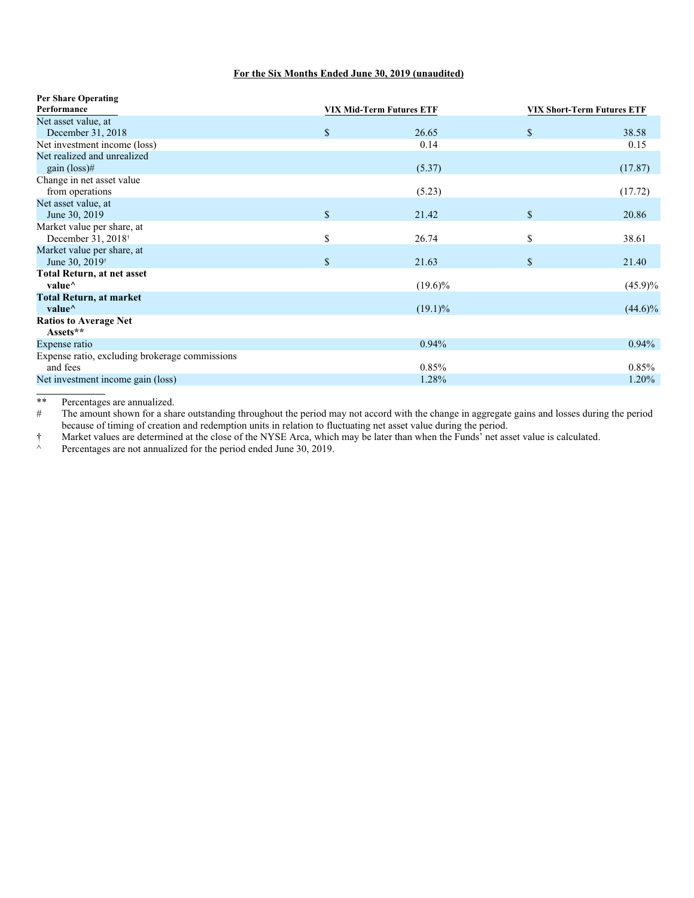# **For the Six Months Ended June 30, 2019 (unaudited)**

| <b>Per Share Operating</b>                     |              |                                 |                                   |  |  |
|------------------------------------------------|--------------|---------------------------------|-----------------------------------|--|--|
| Performance                                    |              | <b>VIX Mid-Term Futures ETF</b> | <b>VIX Short-Term Futures ETF</b> |  |  |
| Net asset value, at                            |              |                                 |                                   |  |  |
| December 31, 2018                              | \$           | 26.65                           | \$<br>38.58                       |  |  |
| Net investment income (loss)                   |              | 0.14                            | 0.15                              |  |  |
| Net realized and unrealized                    |              |                                 |                                   |  |  |
| $gain$ (loss)#                                 |              | (5.37)                          | (17.87)                           |  |  |
| Change in net asset value                      |              |                                 |                                   |  |  |
| from operations                                |              | (5.23)                          | (17.72)                           |  |  |
| Net asset value, at                            |              |                                 |                                   |  |  |
| June 30, 2019                                  | $\mathbb{S}$ | 21.42                           | \$<br>20.86                       |  |  |
| Market value per share, at                     |              |                                 |                                   |  |  |
| December 31, 2018 <sup>†</sup>                 | \$           | 26.74                           | \$<br>38.61                       |  |  |
| Market value per share, at                     |              |                                 |                                   |  |  |
| June 30, 2019 <sup>t</sup>                     | $\mathbb{S}$ | 21.63                           | \$<br>21.40                       |  |  |
| <b>Total Return, at net asset</b>              |              |                                 |                                   |  |  |
| $value^{\wedge}$                               |              | $(19.6)\%$                      | $(45.9)\%$                        |  |  |
| <b>Total Return, at market</b>                 |              |                                 |                                   |  |  |
| value $\wedge$                                 |              | $(19.1)\%$                      | $(44.6)\%$                        |  |  |
| <b>Ratios to Average Net</b>                   |              |                                 |                                   |  |  |
| Assets**                                       |              |                                 |                                   |  |  |
| Expense ratio                                  |              | $0.94\%$                        | $0.94\%$                          |  |  |
| Expense ratio, excluding brokerage commissions |              |                                 |                                   |  |  |
| and fees                                       |              | $0.85\%$                        | $0.85\%$                          |  |  |
| Net investment income gain (loss)              |              | 1.28%                           | $1.20\%$                          |  |  |
|                                                |              |                                 |                                   |  |  |

\*\* Percentages are annualized.<br># The amount shown for a sha The amount shown for a share outstanding throughout the period may not accord with the change in aggregate gains and losses during the period because of timing of creation and redemption units in relation to fluctuating net asset value during the period.

† Market values are determined at the close of the NYSE Arca, which may be later than when the Funds<sup>5</sup> net asset value is calculated.<br>Percentages are not annualized for the period ended June 30, 2019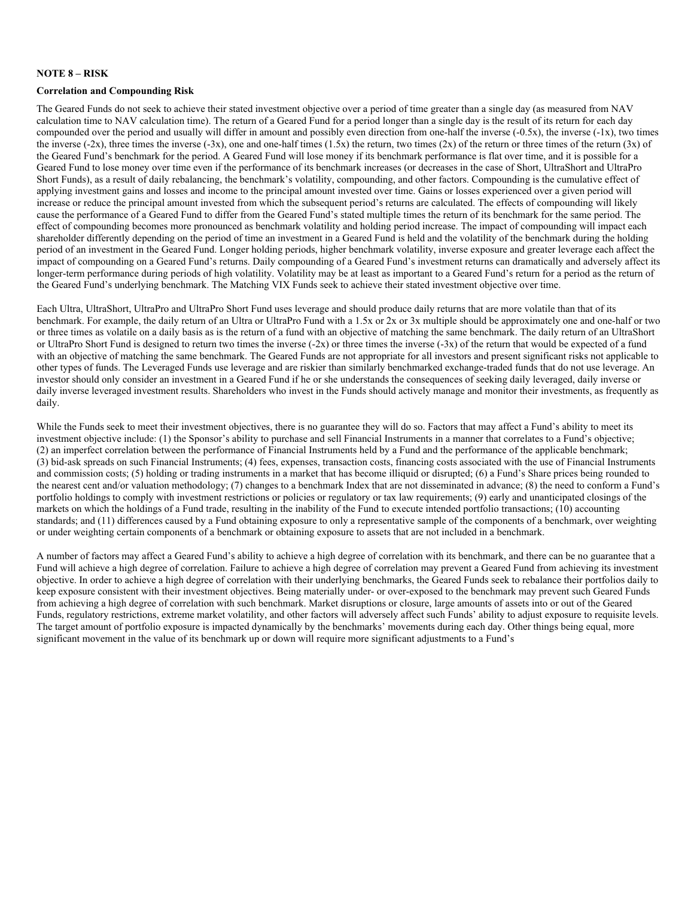### **NOTE 8 – RISK**

### **Correlation and Compounding Risk**

The Geared Funds do not seek to achieve their stated investment objective over a period of time greater than a single day (as measured from NAV calculation time to NAV calculation time). The return of a Geared Fund for a period longer than a single day is the result of its return for each day compounded over the period and usually will differ in amount and possibly even direction from one-half the inverse (-0.5x), the inverse (-1x), two times the inverse  $(-2x)$ , three times the inverse  $(-3x)$ , one and one-half times  $(1.5x)$  the return, two times  $(2x)$  of the return or three times of the return  $(3x)$  of the Geared Fund's benchmark for the period. A Geared Fund will lose money if its benchmark performance is flat over time, and it is possible for a Geared Fund to lose money over time even if the performance of its benchmark increases (or decreases in the case of Short, UltraShort and UltraPro Short Funds), as a result of daily rebalancing, the benchmark's volatility, compounding, and other factors. Compounding is the cumulative effect of applying investment gains and losses and income to the principal amount invested over time. Gains or losses experienced over a given period will increase or reduce the principal amount invested from which the subsequent period's returns are calculated. The effects of compounding will likely cause the performance of a Geared Fund to differ from the Geared Fund's stated multiple times the return of its benchmark for the same period. The effect of compounding becomes more pronounced as benchmark volatility and holding period increase. The impact of compounding will impact each shareholder differently depending on the period of time an investment in a Geared Fund is held and the volatility of the benchmark during the holding period of an investment in the Geared Fund. Longer holding periods, higher benchmark volatility, inverse exposure and greater leverage each affect the impact of compounding on a Geared Fund's returns. Daily compounding of a Geared Fund's investment returns can dramatically and adversely affect its longer-term performance during periods of high volatility. Volatility may be at least as important to a Geared Fund's return for a period as the return of the Geared Fund's underlying benchmark. The Matching VIX Funds seek to achieve their stated investment objective over time.

Each Ultra, UltraShort, UltraPro and UltraPro Short Fund uses leverage and should produce daily returns that are more volatile than that of its benchmark. For example, the daily return of an Ultra or UltraPro Fund with a 1.5x or 2x or 3x multiple should be approximately one and one-half or two or three times as volatile on a daily basis as is the return of a fund with an objective of matching the same benchmark. The daily return of an UltraShort or UltraPro Short Fund is designed to return two times the inverse  $(-2x)$  or three times the inverse  $(-3x)$  of the return that would be expected of a fund with an objective of matching the same benchmark. The Geared Funds are not appropriate for all investors and present significant risks not applicable to other types of funds. The Leveraged Funds use leverage and are riskier than similarly benchmarked exchange-traded funds that do not use leverage. An investor should only consider an investment in a Geared Fund if he or she understands the consequences of seeking daily leveraged, daily inverse or daily inverse leveraged investment results. Shareholders who invest in the Funds should actively manage and monitor their investments, as frequently as daily.

While the Funds seek to meet their investment objectives, there is no guarantee they will do so. Factors that may affect a Fund's ability to meet its investment objective include: (1) the Sponsor's ability to purchase and sell Financial Instruments in a manner that correlates to a Fund's objective; (2) an imperfect correlation between the performance of Financial Instruments held by a Fund and the performance of the applicable benchmark; (3) bid-ask spreads on such Financial Instruments; (4) fees, expenses, transaction costs, financing costs associated with the use of Financial Instruments and commission costs; (5) holding or trading instruments in a market that has become illiquid or disrupted; (6) a Fund's Share prices being rounded to the nearest cent and/or valuation methodology; (7) changes to a benchmark Index that are not disseminated in advance; (8) the need to conform a Fund's portfolio holdings to comply with investment restrictions or policies or regulatory or tax law requirements; (9) early and unanticipated closings of the markets on which the holdings of a Fund trade, resulting in the inability of the Fund to execute intended portfolio transactions; (10) accounting standards; and (11) differences caused by a Fund obtaining exposure to only a representative sample of the components of a benchmark, over weighting or under weighting certain components of a benchmark or obtaining exposure to assets that are not included in a benchmark.

A number of factors may affect a Geared Fund's ability to achieve a high degree of correlation with its benchmark, and there can be no guarantee that a Fund will achieve a high degree of correlation. Failure to achieve a high degree of correlation may prevent a Geared Fund from achieving its investment objective. In order to achieve a high degree of correlation with their underlying benchmarks, the Geared Funds seek to rebalance their portfolios daily to keep exposure consistent with their investment objectives. Being materially under- or over-exposed to the benchmark may prevent such Geared Funds from achieving a high degree of correlation with such benchmark. Market disruptions or closure, large amounts of assets into or out of the Geared Funds, regulatory restrictions, extreme market volatility, and other factors will adversely affect such Funds' ability to adjust exposure to requisite levels. The target amount of portfolio exposure is impacted dynamically by the benchmarks' movements during each day. Other things being equal, more significant movement in the value of its benchmark up or down will require more significant adjustments to a Fund's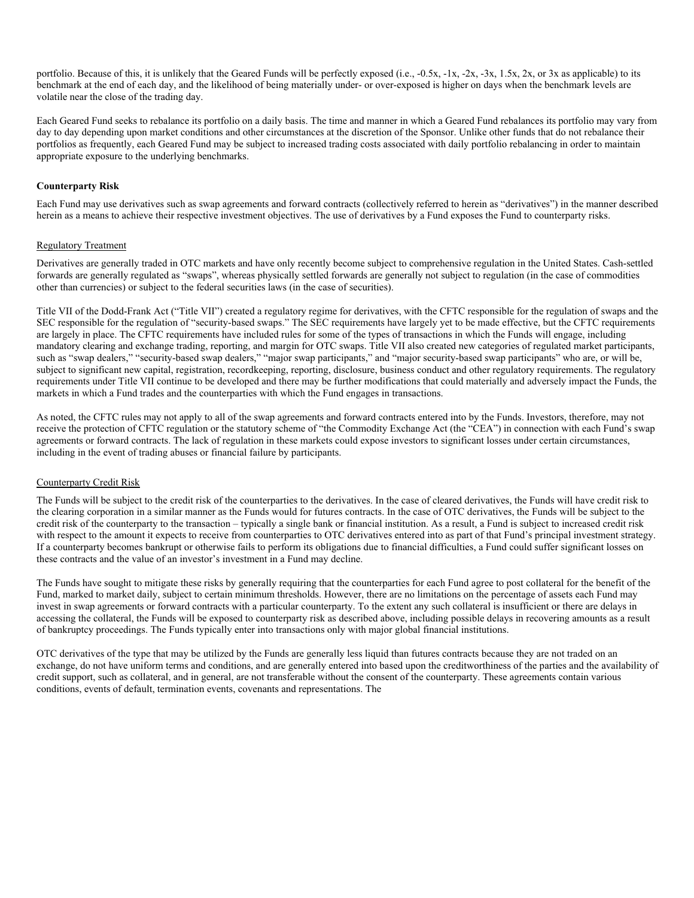portfolio. Because of this, it is unlikely that the Geared Funds will be perfectly exposed (i.e., -0.5x, -1x, -2x, -3x, 1.5x, 2x, or 3x as applicable) to its benchmark at the end of each day, and the likelihood of being materially under- or over-exposed is higher on days when the benchmark levels are volatile near the close of the trading day.

Each Geared Fund seeks to rebalance its portfolio on a daily basis. The time and manner in which a Geared Fund rebalances its portfolio may vary from day to day depending upon market conditions and other circumstances at the discretion of the Sponsor. Unlike other funds that do not rebalance their portfolios as frequently, each Geared Fund may be subject to increased trading costs associated with daily portfolio rebalancing in order to maintain appropriate exposure to the underlying benchmarks.

# **Counterparty Risk**

Each Fund may use derivatives such as swap agreements and forward contracts (collectively referred to herein as "derivatives") in the manner described herein as a means to achieve their respective investment objectives. The use of derivatives by a Fund exposes the Fund to counterparty risks.

### Regulatory Treatment

Derivatives are generally traded in OTC markets and have only recently become subject to comprehensive regulation in the United States. Cash-settled forwards are generally regulated as "swaps", whereas physically settled forwards are generally not subject to regulation (in the case of commodities other than currencies) or subject to the federal securities laws (in the case of securities).

Title VII of the Dodd-Frank Act ("Title VII") created a regulatory regime for derivatives, with the CFTC responsible for the regulation of swaps and the SEC responsible for the regulation of "security-based swaps." The SEC requirements have largely yet to be made effective, but the CFTC requirements are largely in place. The CFTC requirements have included rules for some of the types of transactions in which the Funds will engage, including mandatory clearing and exchange trading, reporting, and margin for OTC swaps. Title VII also created new categories of regulated market participants, such as "swap dealers," "security-based swap dealers," "major swap participants," and "major security-based swap participants" who are, or will be, subject to significant new capital, registration, recordkeeping, reporting, disclosure, business conduct and other regulatory requirements. The regulatory requirements under Title VII continue to be developed and there may be further modifications that could materially and adversely impact the Funds, the markets in which a Fund trades and the counterparties with which the Fund engages in transactions.

As noted, the CFTC rules may not apply to all of the swap agreements and forward contracts entered into by the Funds. Investors, therefore, may not receive the protection of CFTC regulation or the statutory scheme of "the Commodity Exchange Act (the "CEA") in connection with each Fund's swap agreements or forward contracts. The lack of regulation in these markets could expose investors to significant losses under certain circumstances, including in the event of trading abuses or financial failure by participants.

### Counterparty Credit Risk

The Funds will be subject to the credit risk of the counterparties to the derivatives. In the case of cleared derivatives, the Funds will have credit risk to the clearing corporation in a similar manner as the Funds would for futures contracts. In the case of OTC derivatives, the Funds will be subject to the credit risk of the counterparty to the transaction – typically a single bank or financial institution. As a result, a Fund is subject to increased credit risk with respect to the amount it expects to receive from counterparties to OTC derivatives entered into as part of that Fund's principal investment strategy. If a counterparty becomes bankrupt or otherwise fails to perform its obligations due to financial difficulties, a Fund could suffer significant losses on these contracts and the value of an investor's investment in a Fund may decline.

The Funds have sought to mitigate these risks by generally requiring that the counterparties for each Fund agree to post collateral for the benefit of the Fund, marked to market daily, subject to certain minimum thresholds. However, there are no limitations on the percentage of assets each Fund may invest in swap agreements or forward contracts with a particular counterparty. To the extent any such collateral is insufficient or there are delays in accessing the collateral, the Funds will be exposed to counterparty risk as described above, including possible delays in recovering amounts as a result of bankruptcy proceedings. The Funds typically enter into transactions only with major global financial institutions.

OTC derivatives of the type that may be utilized by the Funds are generally less liquid than futures contracts because they are not traded on an exchange, do not have uniform terms and conditions, and are generally entered into based upon the creditworthiness of the parties and the availability of credit support, such as collateral, and in general, are not transferable without the consent of the counterparty. These agreements contain various conditions, events of default, termination events, covenants and representations. The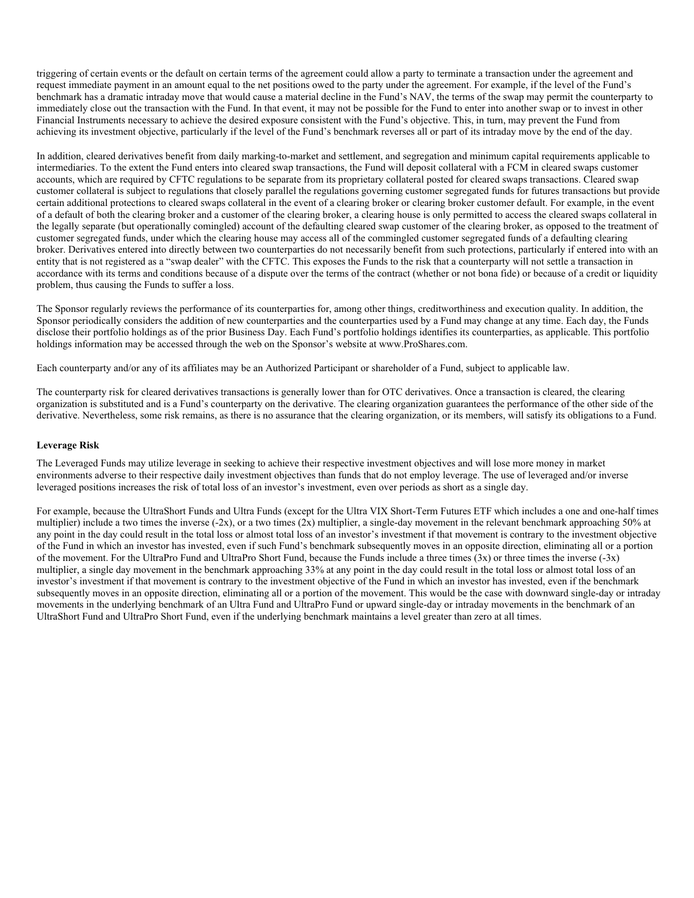triggering of certain events or the default on certain terms of the agreement could allow a party to terminate a transaction under the agreement and request immediate payment in an amount equal to the net positions owed to the party under the agreement. For example, if the level of the Fund's benchmark has a dramatic intraday move that would cause a material decline in the Fund's NAV, the terms of the swap may permit the counterparty to immediately close out the transaction with the Fund. In that event, it may not be possible for the Fund to enter into another swap or to invest in other Financial Instruments necessary to achieve the desired exposure consistent with the Fund's objective. This, in turn, may prevent the Fund from achieving its investment objective, particularly if the level of the Fund's benchmark reverses all or part of its intraday move by the end of the day.

In addition, cleared derivatives benefit from daily marking-to-market and settlement, and segregation and minimum capital requirements applicable to intermediaries. To the extent the Fund enters into cleared swap transactions, the Fund will deposit collateral with a FCM in cleared swaps customer accounts, which are required by CFTC regulations to be separate from its proprietary collateral posted for cleared swaps transactions. Cleared swap customer collateral is subject to regulations that closely parallel the regulations governing customer segregated funds for futures transactions but provide certain additional protections to cleared swaps collateral in the event of a clearing broker or clearing broker customer default. For example, in the event of a default of both the clearing broker and a customer of the clearing broker, a clearing house is only permitted to access the cleared swaps collateral in the legally separate (but operationally comingled) account of the defaulting cleared swap customer of the clearing broker, as opposed to the treatment of customer segregated funds, under which the clearing house may access all of the commingled customer segregated funds of a defaulting clearing broker. Derivatives entered into directly between two counterparties do not necessarily benefit from such protections, particularly if entered into with an entity that is not registered as a "swap dealer" with the CFTC. This exposes the Funds to the risk that a counterparty will not settle a transaction in accordance with its terms and conditions because of a dispute over the terms of the contract (whether or not bona fide) or because of a credit or liquidity problem, thus causing the Funds to suffer a loss.

The Sponsor regularly reviews the performance of its counterparties for, among other things, creditworthiness and execution quality. In addition, the Sponsor periodically considers the addition of new counterparties and the counterparties used by a Fund may change at any time. Each day, the Funds disclose their portfolio holdings as of the prior Business Day. Each Fund's portfolio holdings identifies its counterparties, as applicable. This portfolio holdings information may be accessed through the web on the Sponsor's website at www.ProShares.com.

Each counterparty and/or any of its affiliates may be an Authorized Participant or shareholder of a Fund, subject to applicable law.

The counterparty risk for cleared derivatives transactions is generally lower than for OTC derivatives. Once a transaction is cleared, the clearing organization is substituted and is a Fund's counterparty on the derivative. The clearing organization guarantees the performance of the other side of the derivative. Nevertheless, some risk remains, as there is no assurance that the clearing organization, or its members, will satisfy its obligations to a Fund.

#### **Leverage Risk**

The Leveraged Funds may utilize leverage in seeking to achieve their respective investment objectives and will lose more money in market environments adverse to their respective daily investment objectives than funds that do not employ leverage. The use of leveraged and/or inverse leveraged positions increases the risk of total loss of an investor's investment, even over periods as short as a single day.

For example, because the UltraShort Funds and Ultra Funds (except for the Ultra VIX Short-Term Futures ETF which includes a one and one-half times multiplier) include a two times the inverse (-2x), or a two times (2x) multiplier, a single-day movement in the relevant benchmark approaching 50% at any point in the day could result in the total loss or almost total loss of an investor's investment if that movement is contrary to the investment objective of the Fund in which an investor has invested, even if such Fund's benchmark subsequently moves in an opposite direction, eliminating all or a portion of the movement. For the UltraPro Fund and UltraPro Short Fund, because the Funds include a three times  $(3x)$  or three times the inverse  $(-3x)$ multiplier, a single day movement in the benchmark approaching 33% at any point in the day could result in the total loss or almost total loss of an investor's investment if that movement is contrary to the investment objective of the Fund in which an investor has invested, even if the benchmark subsequently moves in an opposite direction, eliminating all or a portion of the movement. This would be the case with downward single-day or intraday movements in the underlying benchmark of an Ultra Fund and UltraPro Fund or upward single-day or intraday movements in the benchmark of an UltraShort Fund and UltraPro Short Fund, even if the underlying benchmark maintains a level greater than zero at all times.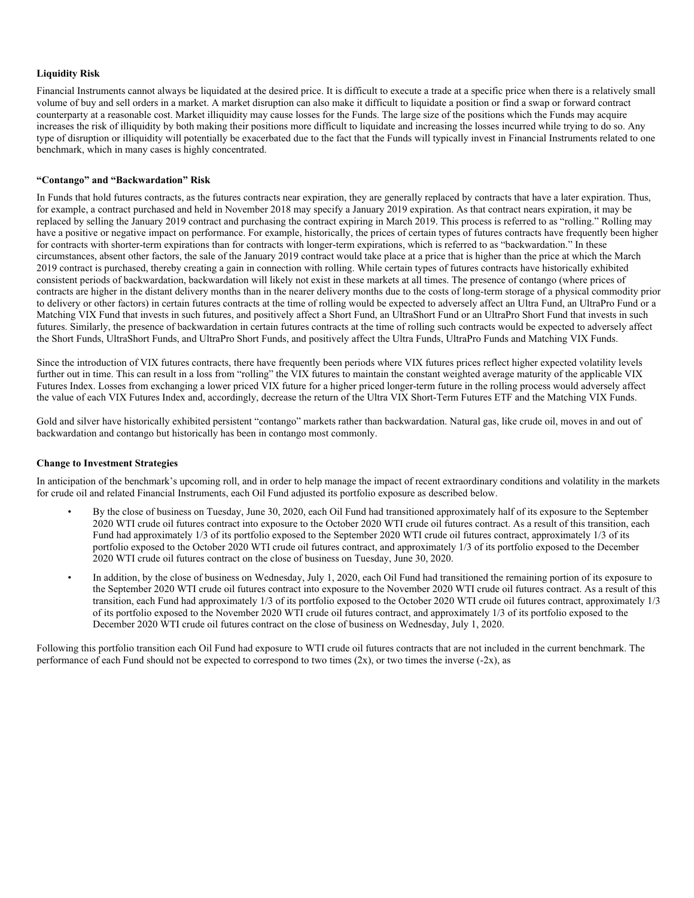# **Liquidity Risk**

Financial Instruments cannot always be liquidated at the desired price. It is difficult to execute a trade at a specific price when there is a relatively small volume of buy and sell orders in a market. A market disruption can also make it difficult to liquidate a position or find a swap or forward contract counterparty at a reasonable cost. Market illiquidity may cause losses for the Funds. The large size of the positions which the Funds may acquire increases the risk of illiquidity by both making their positions more difficult to liquidate and increasing the losses incurred while trying to do so. Any type of disruption or illiquidity will potentially be exacerbated due to the fact that the Funds will typically invest in Financial Instruments related to one benchmark, which in many cases is highly concentrated.

### **"Contango" and "Backwardation" Risk**

In Funds that hold futures contracts, as the futures contracts near expiration, they are generally replaced by contracts that have a later expiration. Thus, for example, a contract purchased and held in November 2018 may specify a January 2019 expiration. As that contract nears expiration, it may be replaced by selling the January 2019 contract and purchasing the contract expiring in March 2019. This process is referred to as "rolling." Rolling may have a positive or negative impact on performance. For example, historically, the prices of certain types of futures contracts have frequently been higher for contracts with shorter-term expirations than for contracts with longer-term expirations, which is referred to as "backwardation." In these circumstances, absent other factors, the sale of the January 2019 contract would take place at a price that is higher than the price at which the March 2019 contract is purchased, thereby creating a gain in connection with rolling. While certain types of futures contracts have historically exhibited consistent periods of backwardation, backwardation will likely not exist in these markets at all times. The presence of contango (where prices of contracts are higher in the distant delivery months than in the nearer delivery months due to the costs of long-term storage of a physical commodity prior to delivery or other factors) in certain futures contracts at the time of rolling would be expected to adversely affect an Ultra Fund, an UltraPro Fund or a Matching VIX Fund that invests in such futures, and positively affect a Short Fund, an UltraShort Fund or an UltraPro Short Fund that invests in such futures. Similarly, the presence of backwardation in certain futures contracts at the time of rolling such contracts would be expected to adversely affect the Short Funds, UltraShort Funds, and UltraPro Short Funds, and positively affect the Ultra Funds, UltraPro Funds and Matching VIX Funds.

Since the introduction of VIX futures contracts, there have frequently been periods where VIX futures prices reflect higher expected volatility levels further out in time. This can result in a loss from "rolling" the VIX futures to maintain the constant weighted average maturity of the applicable VIX Futures Index. Losses from exchanging a lower priced VIX future for a higher priced longer-term future in the rolling process would adversely affect the value of each VIX Futures Index and, accordingly, decrease the return of the Ultra VIX Short-Term Futures ETF and the Matching VIX Funds.

Gold and silver have historically exhibited persistent "contango" markets rather than backwardation. Natural gas, like crude oil, moves in and out of backwardation and contango but historically has been in contango most commonly.

### **Change to Investment Strategies**

In anticipation of the benchmark's upcoming roll, and in order to help manage the impact of recent extraordinary conditions and volatility in the markets for crude oil and related Financial Instruments, each Oil Fund adjusted its portfolio exposure as described below.

- By the close of business on Tuesday, June 30, 2020, each Oil Fund had transitioned approximately half of its exposure to the September 2020 WTI crude oil futures contract into exposure to the October 2020 WTI crude oil futures contract. As a result of this transition, each Fund had approximately 1/3 of its portfolio exposed to the September 2020 WTI crude oil futures contract, approximately 1/3 of its portfolio exposed to the October 2020 WTI crude oil futures contract, and approximately 1/3 of its portfolio exposed to the December 2020 WTI crude oil futures contract on the close of business on Tuesday, June 30, 2020.
- In addition, by the close of business on Wednesday, July 1, 2020, each Oil Fund had transitioned the remaining portion of its exposure to the September 2020 WTI crude oil futures contract into exposure to the November 2020 WTI crude oil futures contract. As a result of this transition, each Fund had approximately 1/3 of its portfolio exposed to the October 2020 WTI crude oil futures contract, approximately 1/3 of its portfolio exposed to the November 2020 WTI crude oil futures contract, and approximately 1/3 of its portfolio exposed to the December 2020 WTI crude oil futures contract on the close of business on Wednesday, July 1, 2020.

Following this portfolio transition each Oil Fund had exposure to WTI crude oil futures contracts that are not included in the current benchmark. The performance of each Fund should not be expected to correspond to two times  $(2x)$ , or two times the inverse  $(-2x)$ , as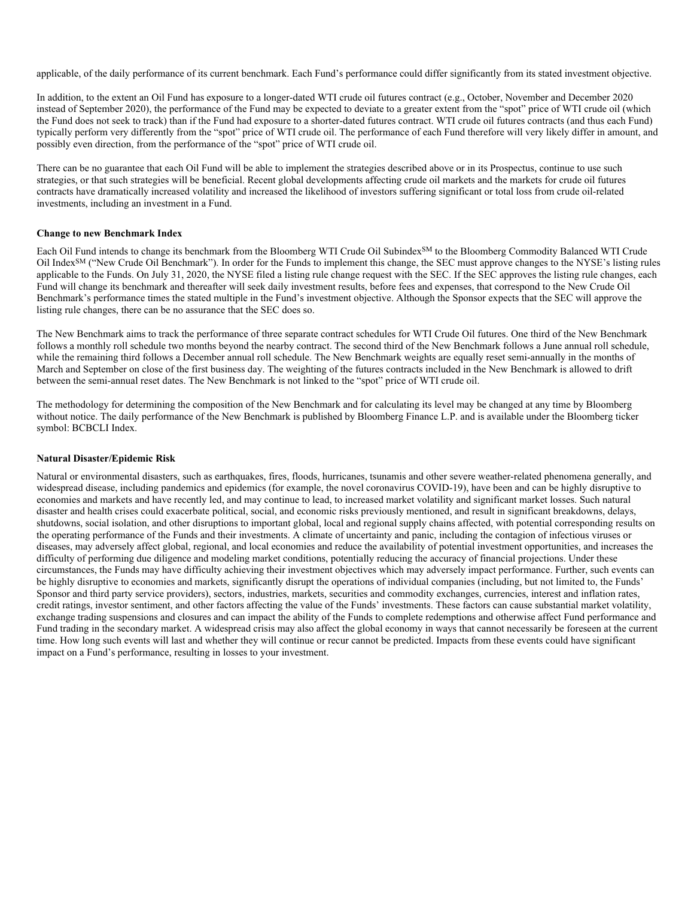applicable, of the daily performance of its current benchmark. Each Fund's performance could differ significantly from its stated investment objective.

In addition, to the extent an Oil Fund has exposure to a longer-dated WTI crude oil futures contract (e.g., October, November and December 2020 instead of September 2020), the performance of the Fund may be expected to deviate to a greater extent from the "spot" price of WTI crude oil (which the Fund does not seek to track) than if the Fund had exposure to a shorter-dated futures contract. WTI crude oil futures contracts (and thus each Fund) typically perform very differently from the "spot" price of WTI crude oil. The performance of each Fund therefore will very likely differ in amount, and possibly even direction, from the performance of the "spot" price of WTI crude oil.

There can be no guarantee that each Oil Fund will be able to implement the strategies described above or in its Prospectus, continue to use such strategies, or that such strategies will be beneficial. Recent global developments affecting crude oil markets and the markets for crude oil futures contracts have dramatically increased volatility and increased the likelihood of investors suffering significant or total loss from crude oil-related investments, including an investment in a Fund.

### **Change to new Benchmark Index**

Each Oil Fund intends to change its benchmark from the Bloomberg WTI Crude Oil Subindex<sup>SM</sup> to the Bloomberg Commodity Balanced WTI Crude Oil Index<sup>SM</sup> ("New Crude Oil Benchmark"). In order for the Funds to implement this change, the SEC must approve changes to the NYSE's listing rules applicable to the Funds. On July 31, 2020, the NYSE filed a listing rule change request with the SEC. If the SEC approves the listing rule changes, each Fund will change its benchmark and thereafter will seek daily investment results, before fees and expenses, that correspond to the New Crude Oil Benchmark's performance times the stated multiple in the Fund's investment objective. Although the Sponsor expects that the SEC will approve the listing rule changes, there can be no assurance that the SEC does so.

The New Benchmark aims to track the performance of three separate contract schedules for WTI Crude Oil futures. One third of the New Benchmark follows a monthly roll schedule two months beyond the nearby contract. The second third of the New Benchmark follows a June annual roll schedule, while the remaining third follows a December annual roll schedule. The New Benchmark weights are equally reset semi-annually in the months of March and September on close of the first business day. The weighting of the futures contracts included in the New Benchmark is allowed to drift between the semi-annual reset dates. The New Benchmark is not linked to the "spot" price of WTI crude oil.

The methodology for determining the composition of the New Benchmark and for calculating its level may be changed at any time by Bloomberg without notice. The daily performance of the New Benchmark is published by Bloomberg Finance L.P. and is available under the Bloomberg ticker symbol: BCBCLI Index.

### **Natural Disaster/Epidemic Risk**

Natural or environmental disasters, such as earthquakes, fires, floods, hurricanes, tsunamis and other severe weather-related phenomena generally, and widespread disease, including pandemics and epidemics (for example, the novel coronavirus COVID-19), have been and can be highly disruptive to economies and markets and have recently led, and may continue to lead, to increased market volatility and significant market losses. Such natural disaster and health crises could exacerbate political, social, and economic risks previously mentioned, and result in significant breakdowns, delays, shutdowns, social isolation, and other disruptions to important global, local and regional supply chains affected, with potential corresponding results on the operating performance of the Funds and their investments. A climate of uncertainty and panic, including the contagion of infectious viruses or diseases, may adversely affect global, regional, and local economies and reduce the availability of potential investment opportunities, and increases the difficulty of performing due diligence and modeling market conditions, potentially reducing the accuracy of financial projections. Under these circumstances, the Funds may have difficulty achieving their investment objectives which may adversely impact performance. Further, such events can be highly disruptive to economies and markets, significantly disrupt the operations of individual companies (including, but not limited to, the Funds' Sponsor and third party service providers), sectors, industries, markets, securities and commodity exchanges, currencies, interest and inflation rates, credit ratings, investor sentiment, and other factors affecting the value of the Funds' investments. These factors can cause substantial market volatility, exchange trading suspensions and closures and can impact the ability of the Funds to complete redemptions and otherwise affect Fund performance and Fund trading in the secondary market. A widespread crisis may also affect the global economy in ways that cannot necessarily be foreseen at the current time. How long such events will last and whether they will continue or recur cannot be predicted. Impacts from these events could have significant impact on a Fund's performance, resulting in losses to your investment.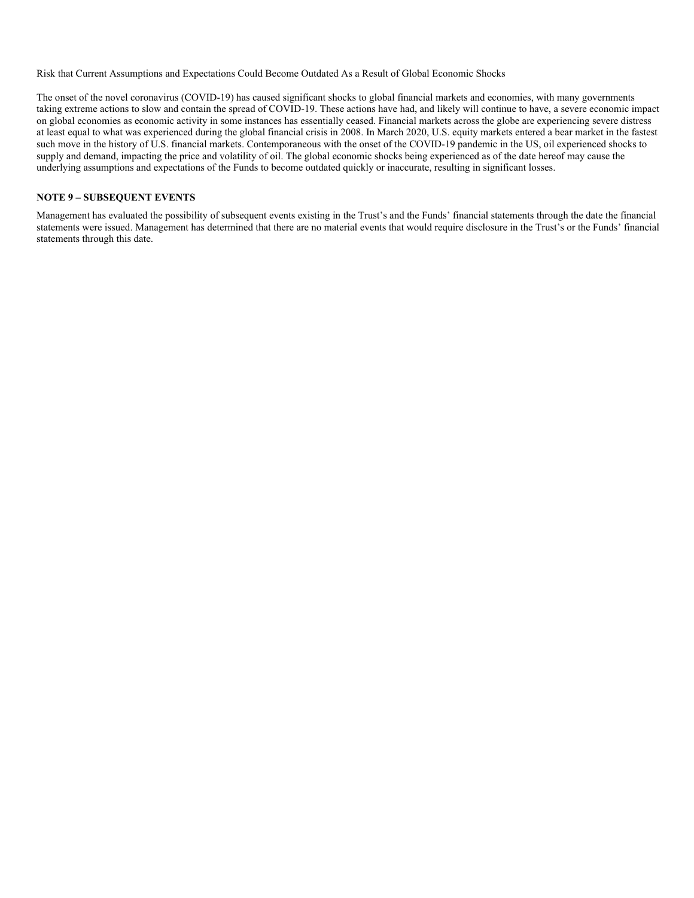Risk that Current Assumptions and Expectations Could Become Outdated As a Result of Global Economic Shocks

The onset of the novel coronavirus (COVID-19) has caused significant shocks to global financial markets and economies, with many governments taking extreme actions to slow and contain the spread of COVID-19. These actions have had, and likely will continue to have, a severe economic impact on global economies as economic activity in some instances has essentially ceased. Financial markets across the globe are experiencing severe distress at least equal to what was experienced during the global financial crisis in 2008. In March 2020, U.S. equity markets entered a bear market in the fastest such move in the history of U.S. financial markets. Contemporaneous with the onset of the COVID-19 pandemic in the US, oil experienced shocks to supply and demand, impacting the price and volatility of oil. The global economic shocks being experienced as of the date hereof may cause the underlying assumptions and expectations of the Funds to become outdated quickly or inaccurate, resulting in significant losses.

### **NOTE 9 – SUBSEQUENT EVENTS**

Management has evaluated the possibility of subsequent events existing in the Trust's and the Funds' financial statements through the date the financial statements were issued. Management has determined that there are no material events that would require disclosure in the Trust's or the Funds' financial statements through this date.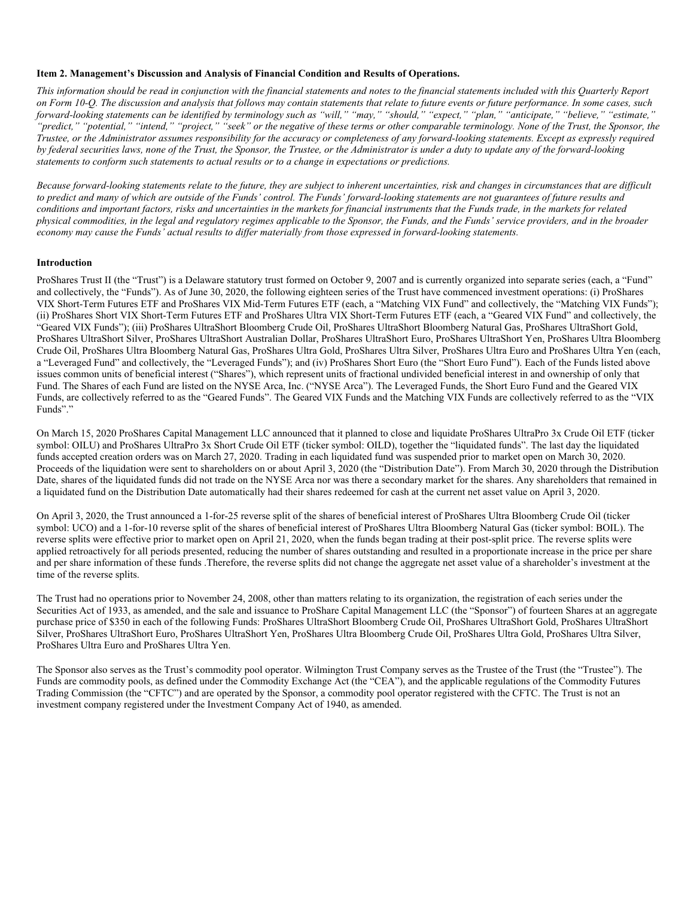### **Item 2. Management's Discussion and Analysis of Financial Condition and Results of Operations.**

*This information should be read in conjunction with the financial statements and notes to the financial statements included with this Quarterly Report on Form 10-Q. The discussion and analysis that follows may contain statements that relate to future events or future performance. In some cases, such forward-looking statements can be identified by terminology such as "will," "may," "should," "expect," "plan," "anticipate," "believe," "estimate,"*  "predict," "potential," "intend," "project," "seek" or the negative of these terms or other comparable terminology. None of the Trust, the Sponsor, the *Trustee, or the Administrator assumes responsibility for the accuracy or completeness of any forward-looking statements. Except as expressly required by federal securities laws, none of the Trust, the Sponsor, the Trustee, or the Administrator is under a duty to update any of the forward-looking statements to conform such statements to actual results or to a change in expectations or predictions.* 

*Because forward-looking statements relate to the future, they are subject to inherent uncertainties, risk and changes in circumstances that are difficult to predict and many of which are outside of the Funds' control. The Funds' forward-looking statements are not guarantees of future results and conditions and important factors, risks and uncertainties in the markets for financial instruments that the Funds trade, in the markets for related physical commodities, in the legal and regulatory regimes applicable to the Sponsor, the Funds, and the Funds' service providers, and in the broader economy may cause the Funds' actual results to differ materially from those expressed in forward-looking statements.* 

# **Introduction**

ProShares Trust II (the "Trust") is a Delaware statutory trust formed on October 9, 2007 and is currently organized into separate series (each, a "Fund" and collectively, the "Funds"). As of June 30, 2020, the following eighteen series of the Trust have commenced investment operations: (i) ProShares VIX Short-Term Futures ETF and ProShares VIX Mid-Term Futures ETF (each, a "Matching VIX Fund" and collectively, the "Matching VIX Funds"); (ii) ProShares Short VIX Short-Term Futures ETF and ProShares Ultra VIX Short-Term Futures ETF (each, a "Geared VIX Fund" and collectively, the "Geared VIX Funds"); (iii) ProShares UltraShort Bloomberg Crude Oil, ProShares UltraShort Bloomberg Natural Gas, ProShares UltraShort Gold, ProShares UltraShort Silver, ProShares UltraShort Australian Dollar, ProShares UltraShort Euro, ProShares UltraShort Yen, ProShares Ultra Bloomberg Crude Oil, ProShares Ultra Bloomberg Natural Gas, ProShares Ultra Gold, ProShares Ultra Silver, ProShares Ultra Euro and ProShares Ultra Yen (each, a "Leveraged Fund" and collectively, the "Leveraged Funds"); and (iv) ProShares Short Euro (the "Short Euro Fund"). Each of the Funds listed above issues common units of beneficial interest ("Shares"), which represent units of fractional undivided beneficial interest in and ownership of only that Fund. The Shares of each Fund are listed on the NYSE Arca, Inc. ("NYSE Arca"). The Leveraged Funds, the Short Euro Fund and the Geared VIX Funds, are collectively referred to as the "Geared Funds". The Geared VIX Funds and the Matching VIX Funds are collectively referred to as the "VIX Funds"."

On March 15, 2020 ProShares Capital Management LLC announced that it planned to close and liquidate ProShares UltraPro 3x Crude Oil ETF (ticker symbol: OILU) and ProShares UltraPro 3x Short Crude Oil ETF (ticker symbol: OILD), together the "liquidated funds". The last day the liquidated funds accepted creation orders was on March 27, 2020. Trading in each liquidated fund was suspended prior to market open on March 30, 2020. Proceeds of the liquidation were sent to shareholders on or about April 3, 2020 (the "Distribution Date"). From March 30, 2020 through the Distribution Date, shares of the liquidated funds did not trade on the NYSE Arca nor was there a secondary market for the shares. Any shareholders that remained in a liquidated fund on the Distribution Date automatically had their shares redeemed for cash at the current net asset value on April 3, 2020.

On April 3, 2020, the Trust announced a 1-for-25 reverse split of the shares of beneficial interest of ProShares Ultra Bloomberg Crude Oil (ticker symbol: UCO) and a 1-for-10 reverse split of the shares of beneficial interest of ProShares Ultra Bloomberg Natural Gas (ticker symbol: BOIL). The reverse splits were effective prior to market open on April 21, 2020, when the funds began trading at their post-split price. The reverse splits were applied retroactively for all periods presented, reducing the number of shares outstanding and resulted in a proportionate increase in the price per share and per share information of these funds .Therefore, the reverse splits did not change the aggregate net asset value of a shareholder's investment at the time of the reverse splits.

The Trust had no operations prior to November 24, 2008, other than matters relating to its organization, the registration of each series under the Securities Act of 1933, as amended, and the sale and issuance to ProShare Capital Management LLC (the "Sponsor") of fourteen Shares at an aggregate purchase price of \$350 in each of the following Funds: ProShares UltraShort Bloomberg Crude Oil, ProShares UltraShort Gold, ProShares UltraShort Silver, ProShares UltraShort Euro, ProShares UltraShort Yen, ProShares Ultra Bloomberg Crude Oil, ProShares Ultra Gold, ProShares Ultra Silver, ProShares Ultra Euro and ProShares Ultra Yen.

The Sponsor also serves as the Trust's commodity pool operator. Wilmington Trust Company serves as the Trustee of the Trust (the "Trustee"). The Funds are commodity pools, as defined under the Commodity Exchange Act (the "CEA"), and the applicable regulations of the Commodity Futures Trading Commission (the "CFTC") and are operated by the Sponsor, a commodity pool operator registered with the CFTC. The Trust is not an investment company registered under the Investment Company Act of 1940, as amended.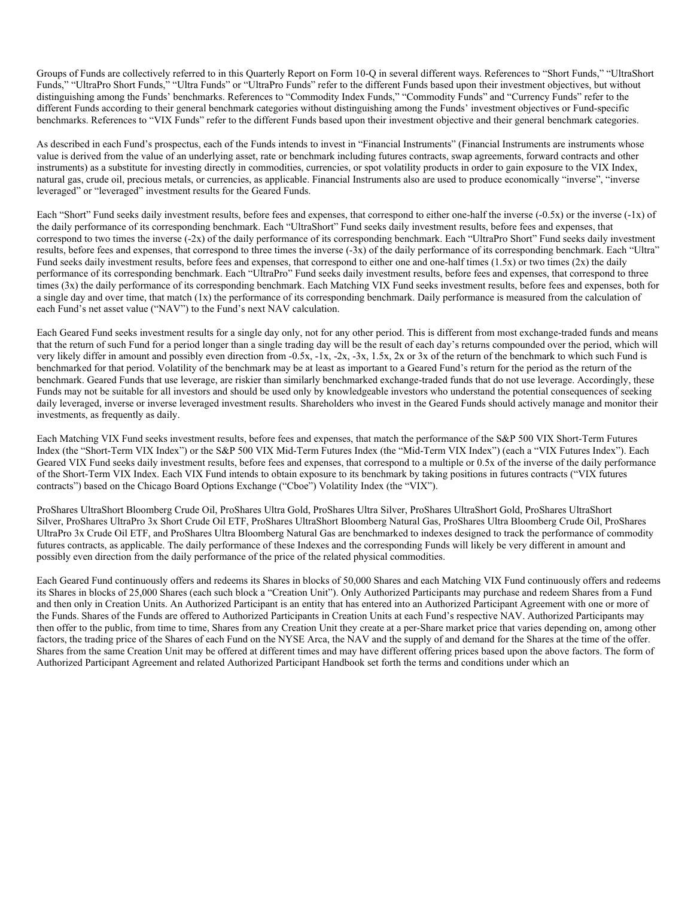Groups of Funds are collectively referred to in this Quarterly Report on Form 10-Q in several different ways. References to "Short Funds," "UltraShort Funds," "UltraPro Short Funds," "Ultra Funds" or "UltraPro Funds" refer to the different Funds based upon their investment objectives, but without distinguishing among the Funds' benchmarks. References to "Commodity Index Funds," "Commodity Funds" and "Currency Funds" refer to the different Funds according to their general benchmark categories without distinguishing among the Funds' investment objectives or Fund-specific benchmarks. References to "VIX Funds" refer to the different Funds based upon their investment objective and their general benchmark categories.

As described in each Fund's prospectus, each of the Funds intends to invest in "Financial Instruments" (Financial Instruments are instruments whose value is derived from the value of an underlying asset, rate or benchmark including futures contracts, swap agreements, forward contracts and other instruments) as a substitute for investing directly in commodities, currencies, or spot volatility products in order to gain exposure to the VIX Index, natural gas, crude oil, precious metals, or currencies, as applicable. Financial Instruments also are used to produce economically "inverse", "inverse leveraged" or "leveraged" investment results for the Geared Funds.

Each "Short" Fund seeks daily investment results, before fees and expenses, that correspond to either one-half the inverse (-0.5x) or the inverse (-1x) of the daily performance of its corresponding benchmark. Each "UltraShort" Fund seeks daily investment results, before fees and expenses, that correspond to two times the inverse (-2x) of the daily performance of its corresponding benchmark. Each "UltraPro Short" Fund seeks daily investment results, before fees and expenses, that correspond to three times the inverse  $(-3x)$  of the daily performance of its corresponding benchmark. Each "Ultra" Fund seeks daily investment results, before fees and expenses, that correspond to either one and one-half times (1.5x) or two times (2x) the daily performance of its corresponding benchmark. Each "UltraPro" Fund seeks daily investment results, before fees and expenses, that correspond to three times (3x) the daily performance of its corresponding benchmark. Each Matching VIX Fund seeks investment results, before fees and expenses, both for a single day and over time, that match (1x) the performance of its corresponding benchmark. Daily performance is measured from the calculation of each Fund's net asset value ("NAV") to the Fund's next NAV calculation.

Each Geared Fund seeks investment results for a single day only, not for any other period. This is different from most exchange-traded funds and means that the return of such Fund for a period longer than a single trading day will be the result of each day's returns compounded over the period, which will very likely differ in amount and possibly even direction from -0.5x, -1x, -2x, -3x, 1.5x, 2x or 3x of the return of the benchmark to which such Fund is benchmarked for that period. Volatility of the benchmark may be at least as important to a Geared Fund's return for the period as the return of the benchmark. Geared Funds that use leverage, are riskier than similarly benchmarked exchange-traded funds that do not use leverage. Accordingly, these Funds may not be suitable for all investors and should be used only by knowledgeable investors who understand the potential consequences of seeking daily leveraged, inverse or inverse leveraged investment results. Shareholders who invest in the Geared Funds should actively manage and monitor their investments, as frequently as daily.

Each Matching VIX Fund seeks investment results, before fees and expenses, that match the performance of the S&P 500 VIX Short-Term Futures Index (the "Short-Term VIX Index") or the S&P 500 VIX Mid-Term Futures Index (the "Mid-Term VIX Index") (each a "VIX Futures Index"). Each Geared VIX Fund seeks daily investment results, before fees and expenses, that correspond to a multiple or 0.5x of the inverse of the daily performance of the Short-Term VIX Index. Each VIX Fund intends to obtain exposure to its benchmark by taking positions in futures contracts ("VIX futures contracts") based on the Chicago Board Options Exchange ("Cboe") Volatility Index (the "VIX").

ProShares UltraShort Bloomberg Crude Oil, ProShares Ultra Gold, ProShares Ultra Silver, ProShares UltraShort Gold, ProShares UltraShort Silver, ProShares UltraPro 3x Short Crude Oil ETF, ProShares UltraShort Bloomberg Natural Gas, ProShares Ultra Bloomberg Crude Oil, ProShares UltraPro 3x Crude Oil ETF, and ProShares Ultra Bloomberg Natural Gas are benchmarked to indexes designed to track the performance of commodity futures contracts, as applicable. The daily performance of these Indexes and the corresponding Funds will likely be very different in amount and possibly even direction from the daily performance of the price of the related physical commodities.

Each Geared Fund continuously offers and redeems its Shares in blocks of 50,000 Shares and each Matching VIX Fund continuously offers and redeems its Shares in blocks of 25,000 Shares (each such block a "Creation Unit"). Only Authorized Participants may purchase and redeem Shares from a Fund and then only in Creation Units. An Authorized Participant is an entity that has entered into an Authorized Participant Agreement with one or more of the Funds. Shares of the Funds are offered to Authorized Participants in Creation Units at each Fund's respective NAV. Authorized Participants may then offer to the public, from time to time, Shares from any Creation Unit they create at a per-Share market price that varies depending on, among other factors, the trading price of the Shares of each Fund on the NYSE Arca, the NAV and the supply of and demand for the Shares at the time of the offer. Shares from the same Creation Unit may be offered at different times and may have different offering prices based upon the above factors. The form of Authorized Participant Agreement and related Authorized Participant Handbook set forth the terms and conditions under which an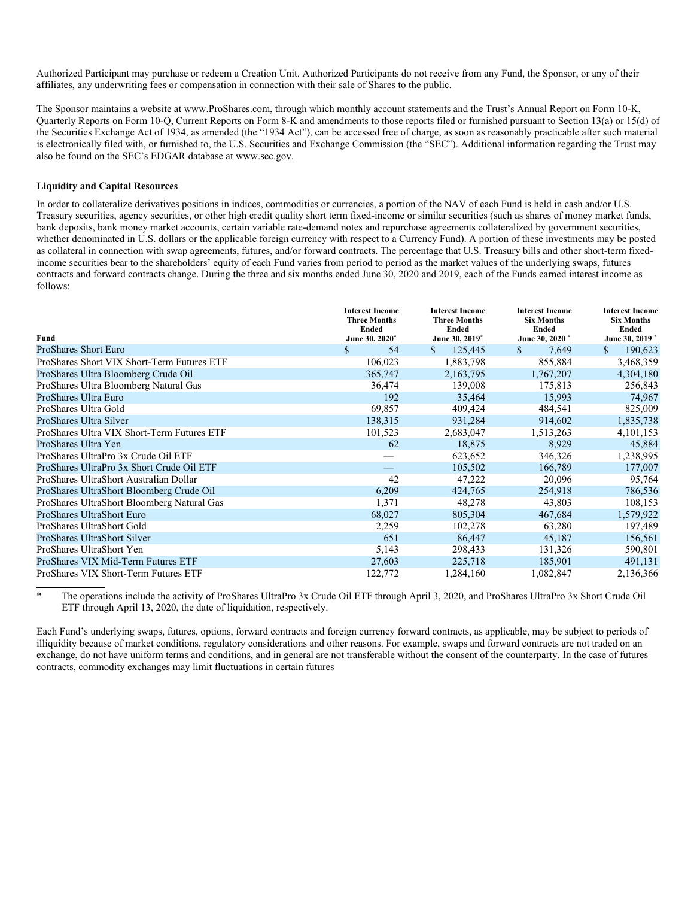Authorized Participant may purchase or redeem a Creation Unit. Authorized Participants do not receive from any Fund, the Sponsor, or any of their affiliates, any underwriting fees or compensation in connection with their sale of Shares to the public.

The Sponsor maintains a website at www.ProShares.com, through which monthly account statements and the Trust's Annual Report on Form 10-K, Quarterly Reports on Form 10-Q, Current Reports on Form 8-K and amendments to those reports filed or furnished pursuant to Section 13(a) or 15(d) of the Securities Exchange Act of 1934, as amended (the "1934 Act"), can be accessed free of charge, as soon as reasonably practicable after such material is electronically filed with, or furnished to, the U.S. Securities and Exchange Commission (the "SEC"). Additional information regarding the Trust may also be found on the SEC's EDGAR database at www.sec.gov.

### **Liquidity and Capital Resources**

In order to collateralize derivatives positions in indices, commodities or currencies, a portion of the NAV of each Fund is held in cash and/or U.S. Treasury securities, agency securities, or other high credit quality short term fixed-income or similar securities (such as shares of money market funds, bank deposits, bank money market accounts, certain variable rate-demand notes and repurchase agreements collateralized by government securities, whether denominated in U.S. dollars or the applicable foreign currency with respect to a Currency Fund). A portion of these investments may be posted as collateral in connection with swap agreements, futures, and/or forward contracts. The percentage that U.S. Treasury bills and other short-term fixedincome securities bear to the shareholders' equity of each Fund varies from period to period as the market values of the underlying swaps, futures contracts and forward contracts change. During the three and six months ended June 30, 2020 and 2019, each of the Funds earned interest income as follows:

|                                            | <b>Interest Income</b><br><b>Three Months</b><br><b>Ended</b> | <b>Interest Income</b><br><b>Three Months</b><br><b>Ended</b> | <b>Interest Income</b><br><b>Six Months</b><br><b>Ended</b> | <b>Interest Income</b><br><b>Six Months</b><br>Ended |
|--------------------------------------------|---------------------------------------------------------------|---------------------------------------------------------------|-------------------------------------------------------------|------------------------------------------------------|
| Fund                                       | June 30, 2020*                                                | June 30, 2019 <sup>*</sup>                                    | June 30, 2020 *                                             | June 30, 2019 *                                      |
| <b>ProShares Short Euro</b>                | 54<br>\$.                                                     | S.<br>125,445                                                 | \$<br>7,649                                                 | 190,623<br>S.                                        |
| ProShares Short VIX Short-Term Futures ETF | 106,023                                                       | 1,883,798                                                     | 855,884                                                     | 3,468,359                                            |
| ProShares Ultra Bloomberg Crude Oil        | 365,747                                                       | 2, 163, 795                                                   | 1,767,207                                                   | 4,304,180                                            |
| ProShares Ultra Bloomberg Natural Gas      | 36,474                                                        | 139,008                                                       | 175,813                                                     | 256,843                                              |
| ProShares Ultra Euro                       | 192                                                           | 35,464                                                        | 15,993                                                      | 74,967                                               |
| ProShares Ultra Gold                       | 69,857                                                        | 409,424                                                       | 484,541                                                     | 825,009                                              |
| ProShares Ultra Silver                     | 138,315                                                       | 931,284                                                       | 914,602                                                     | 1,835,738                                            |
| ProShares Ultra VIX Short-Term Futures ETF | 101,523                                                       | 2,683,047                                                     | 1,513,263                                                   | 4,101,153                                            |
| ProShares Ultra Yen                        | 62                                                            | 18,875                                                        | 8,929                                                       | 45,884                                               |
| ProShares UltraPro 3x Crude Oil ETF        |                                                               | 623,652                                                       | 346,326                                                     | 1,238,995                                            |
| ProShares UltraPro 3x Short Crude Oil ETF  | $\overbrace{\phantom{aaaaa}}$                                 | 105,502                                                       | 166,789                                                     | 177,007                                              |
| ProShares UltraShort Australian Dollar     | 42                                                            | 47,222                                                        | 20,096                                                      | 95,764                                               |
| ProShares UltraShort Bloomberg Crude Oil   | 6,209                                                         | 424,765                                                       | 254,918                                                     | 786,536                                              |
| ProShares UltraShort Bloomberg Natural Gas | 1,371                                                         | 48,278                                                        | 43,803                                                      | 108,153                                              |
| ProShares UltraShort Euro                  | 68,027                                                        | 805,304                                                       | 467,684                                                     | 1,579,922                                            |
| ProShares UltraShort Gold                  | 2,259                                                         | 102,278                                                       | 63,280                                                      | 197,489                                              |
| ProShares UltraShort Silver                | 651                                                           | 86,447                                                        | 45,187                                                      | 156,561                                              |
| ProShares UltraShort Yen                   | 5,143                                                         | 298,433                                                       | 131,326                                                     | 590,801                                              |
| ProShares VIX Mid-Term Futures ETF         | 27,603                                                        | 225,718                                                       | 185,901                                                     | 491,131                                              |
| ProShares VIX Short-Term Futures ETF       | 122,772                                                       | 1,284,160                                                     | 1,082,847                                                   | 2,136,366                                            |

\* The operations include the activity of ProShares UltraPro 3x Crude Oil ETF through April 3, 2020, and ProShares UltraPro 3x Short Crude Oil ETF through April 13, 2020, the date of liquidation, respectively.

Each Fund's underlying swaps, futures, options, forward contracts and foreign currency forward contracts, as applicable, may be subject to periods of illiquidity because of market conditions, regulatory considerations and other reasons. For example, swaps and forward contracts are not traded on an exchange, do not have uniform terms and conditions, and in general are not transferable without the consent of the counterparty. In the case of futures contracts, commodity exchanges may limit fluctuations in certain futures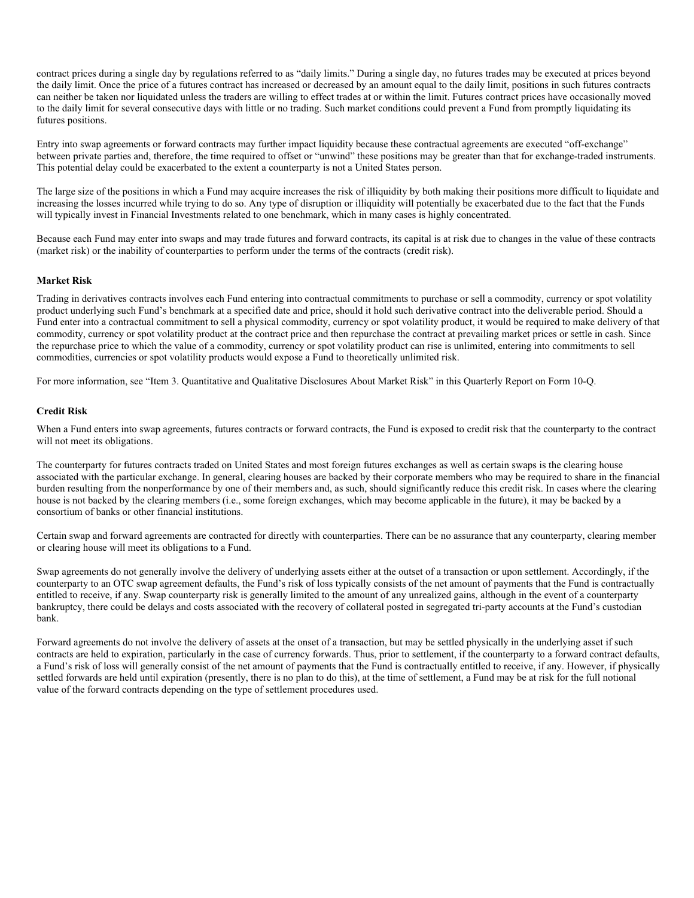contract prices during a single day by regulations referred to as "daily limits." During a single day, no futures trades may be executed at prices beyond the daily limit. Once the price of a futures contract has increased or decreased by an amount equal to the daily limit, positions in such futures contracts can neither be taken nor liquidated unless the traders are willing to effect trades at or within the limit. Futures contract prices have occasionally moved to the daily limit for several consecutive days with little or no trading. Such market conditions could prevent a Fund from promptly liquidating its futures positions.

Entry into swap agreements or forward contracts may further impact liquidity because these contractual agreements are executed "off-exchange" between private parties and, therefore, the time required to offset or "unwind" these positions may be greater than that for exchange-traded instruments. This potential delay could be exacerbated to the extent a counterparty is not a United States person.

The large size of the positions in which a Fund may acquire increases the risk of illiquidity by both making their positions more difficult to liquidate and increasing the losses incurred while trying to do so. Any type of disruption or illiquidity will potentially be exacerbated due to the fact that the Funds will typically invest in Financial Investments related to one benchmark, which in many cases is highly concentrated.

Because each Fund may enter into swaps and may trade futures and forward contracts, its capital is at risk due to changes in the value of these contracts (market risk) or the inability of counterparties to perform under the terms of the contracts (credit risk).

## **Market Risk**

Trading in derivatives contracts involves each Fund entering into contractual commitments to purchase or sell a commodity, currency or spot volatility product underlying such Fund's benchmark at a specified date and price, should it hold such derivative contract into the deliverable period. Should a Fund enter into a contractual commitment to sell a physical commodity, currency or spot volatility product, it would be required to make delivery of that commodity, currency or spot volatility product at the contract price and then repurchase the contract at prevailing market prices or settle in cash. Since the repurchase price to which the value of a commodity, currency or spot volatility product can rise is unlimited, entering into commitments to sell commodities, currencies or spot volatility products would expose a Fund to theoretically unlimited risk.

For more information, see "Item 3. Quantitative and Qualitative Disclosures About Market Risk" in this Quarterly Report on Form 10-Q.

### **Credit Risk**

When a Fund enters into swap agreements, futures contracts or forward contracts, the Fund is exposed to credit risk that the counterparty to the contract will not meet its obligations.

The counterparty for futures contracts traded on United States and most foreign futures exchanges as well as certain swaps is the clearing house associated with the particular exchange. In general, clearing houses are backed by their corporate members who may be required to share in the financial burden resulting from the nonperformance by one of their members and, as such, should significantly reduce this credit risk. In cases where the clearing house is not backed by the clearing members (i.e., some foreign exchanges, which may become applicable in the future), it may be backed by a consortium of banks or other financial institutions.

Certain swap and forward agreements are contracted for directly with counterparties. There can be no assurance that any counterparty, clearing member or clearing house will meet its obligations to a Fund.

Swap agreements do not generally involve the delivery of underlying assets either at the outset of a transaction or upon settlement. Accordingly, if the counterparty to an OTC swap agreement defaults, the Fund's risk of loss typically consists of the net amount of payments that the Fund is contractually entitled to receive, if any. Swap counterparty risk is generally limited to the amount of any unrealized gains, although in the event of a counterparty bankruptcy, there could be delays and costs associated with the recovery of collateral posted in segregated tri-party accounts at the Fund's custodian bank.

Forward agreements do not involve the delivery of assets at the onset of a transaction, but may be settled physically in the underlying asset if such contracts are held to expiration, particularly in the case of currency forwards. Thus, prior to settlement, if the counterparty to a forward contract defaults, a Fund's risk of loss will generally consist of the net amount of payments that the Fund is contractually entitled to receive, if any. However, if physically settled forwards are held until expiration (presently, there is no plan to do this), at the time of settlement, a Fund may be at risk for the full notional value of the forward contracts depending on the type of settlement procedures used.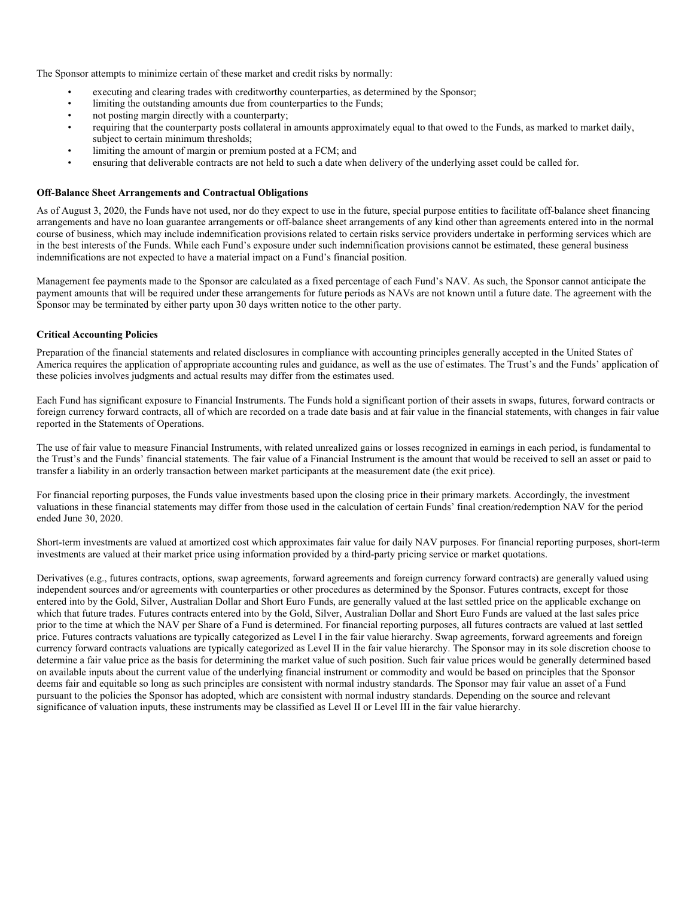The Sponsor attempts to minimize certain of these market and credit risks by normally:

- executing and clearing trades with creditworthy counterparties, as determined by the Sponsor;
- limiting the outstanding amounts due from counterparties to the Funds;
- not posting margin directly with a counterparty;
- requiring that the counterparty posts collateral in amounts approximately equal to that owed to the Funds, as marked to market daily, subject to certain minimum thresholds;
- limiting the amount of margin or premium posted at a FCM; and
- ensuring that deliverable contracts are not held to such a date when delivery of the underlying asset could be called for.

### **Off-Balance Sheet Arrangements and Contractual Obligations**

As of August 3, 2020, the Funds have not used, nor do they expect to use in the future, special purpose entities to facilitate off-balance sheet financing arrangements and have no loan guarantee arrangements or off-balance sheet arrangements of any kind other than agreements entered into in the normal course of business, which may include indemnification provisions related to certain risks service providers undertake in performing services which are in the best interests of the Funds. While each Fund's exposure under such indemnification provisions cannot be estimated, these general business indemnifications are not expected to have a material impact on a Fund's financial position.

Management fee payments made to the Sponsor are calculated as a fixed percentage of each Fund's NAV. As such, the Sponsor cannot anticipate the payment amounts that will be required under these arrangements for future periods as NAVs are not known until a future date. The agreement with the Sponsor may be terminated by either party upon 30 days written notice to the other party.

## **Critical Accounting Policies**

Preparation of the financial statements and related disclosures in compliance with accounting principles generally accepted in the United States of America requires the application of appropriate accounting rules and guidance, as well as the use of estimates. The Trust's and the Funds' application of these policies involves judgments and actual results may differ from the estimates used.

Each Fund has significant exposure to Financial Instruments. The Funds hold a significant portion of their assets in swaps, futures, forward contracts or foreign currency forward contracts, all of which are recorded on a trade date basis and at fair value in the financial statements, with changes in fair value reported in the Statements of Operations.

The use of fair value to measure Financial Instruments, with related unrealized gains or losses recognized in earnings in each period, is fundamental to the Trust's and the Funds' financial statements. The fair value of a Financial Instrument is the amount that would be received to sell an asset or paid to transfer a liability in an orderly transaction between market participants at the measurement date (the exit price).

For financial reporting purposes, the Funds value investments based upon the closing price in their primary markets. Accordingly, the investment valuations in these financial statements may differ from those used in the calculation of certain Funds' final creation/redemption NAV for the period ended June 30, 2020.

Short-term investments are valued at amortized cost which approximates fair value for daily NAV purposes. For financial reporting purposes, short-term investments are valued at their market price using information provided by a third-party pricing service or market quotations.

Derivatives (e.g., futures contracts, options, swap agreements, forward agreements and foreign currency forward contracts) are generally valued using independent sources and/or agreements with counterparties or other procedures as determined by the Sponsor. Futures contracts, except for those entered into by the Gold, Silver, Australian Dollar and Short Euro Funds, are generally valued at the last settled price on the applicable exchange on which that future trades. Futures contracts entered into by the Gold, Silver, Australian Dollar and Short Euro Funds are valued at the last sales price prior to the time at which the NAV per Share of a Fund is determined. For financial reporting purposes, all futures contracts are valued at last settled price. Futures contracts valuations are typically categorized as Level I in the fair value hierarchy. Swap agreements, forward agreements and foreign currency forward contracts valuations are typically categorized as Level II in the fair value hierarchy. The Sponsor may in its sole discretion choose to determine a fair value price as the basis for determining the market value of such position. Such fair value prices would be generally determined based on available inputs about the current value of the underlying financial instrument or commodity and would be based on principles that the Sponsor deems fair and equitable so long as such principles are consistent with normal industry standards. The Sponsor may fair value an asset of a Fund pursuant to the policies the Sponsor has adopted, which are consistent with normal industry standards. Depending on the source and relevant significance of valuation inputs, these instruments may be classified as Level II or Level III in the fair value hierarchy.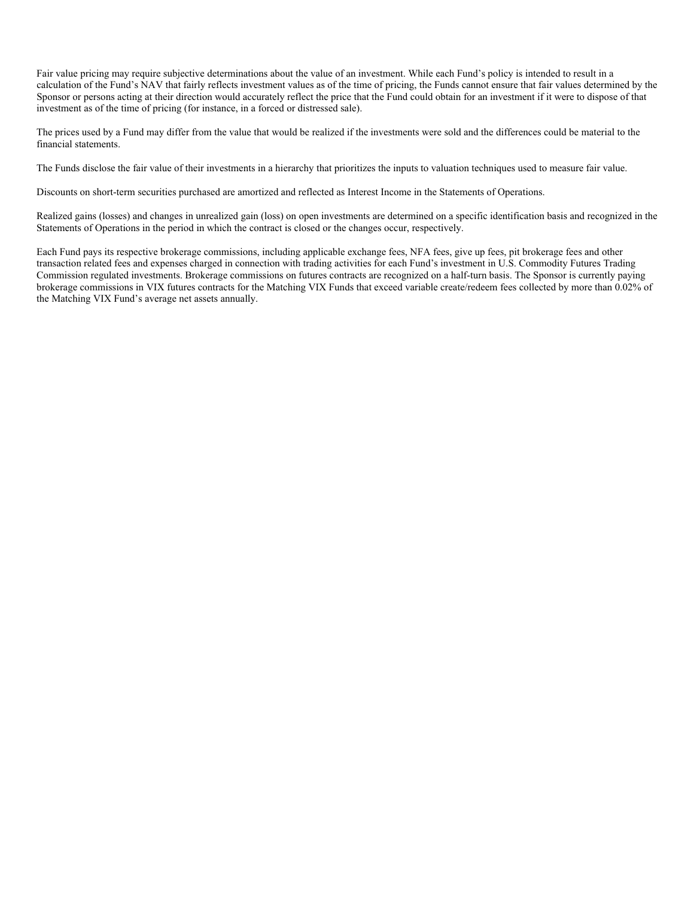Fair value pricing may require subjective determinations about the value of an investment. While each Fund's policy is intended to result in a calculation of the Fund's NAV that fairly reflects investment values as of the time of pricing, the Funds cannot ensure that fair values determined by the Sponsor or persons acting at their direction would accurately reflect the price that the Fund could obtain for an investment if it were to dispose of that investment as of the time of pricing (for instance, in a forced or distressed sale).

The prices used by a Fund may differ from the value that would be realized if the investments were sold and the differences could be material to the financial statements.

The Funds disclose the fair value of their investments in a hierarchy that prioritizes the inputs to valuation techniques used to measure fair value.

Discounts on short-term securities purchased are amortized and reflected as Interest Income in the Statements of Operations.

Realized gains (losses) and changes in unrealized gain (loss) on open investments are determined on a specific identification basis and recognized in the Statements of Operations in the period in which the contract is closed or the changes occur, respectively.

Each Fund pays its respective brokerage commissions, including applicable exchange fees, NFA fees, give up fees, pit brokerage fees and other transaction related fees and expenses charged in connection with trading activities for each Fund's investment in U.S. Commodity Futures Trading Commission regulated investments. Brokerage commissions on futures contracts are recognized on a half-turn basis. The Sponsor is currently paying brokerage commissions in VIX futures contracts for the Matching VIX Funds that exceed variable create/redeem fees collected by more than 0.02% of the Matching VIX Fund's average net assets annually.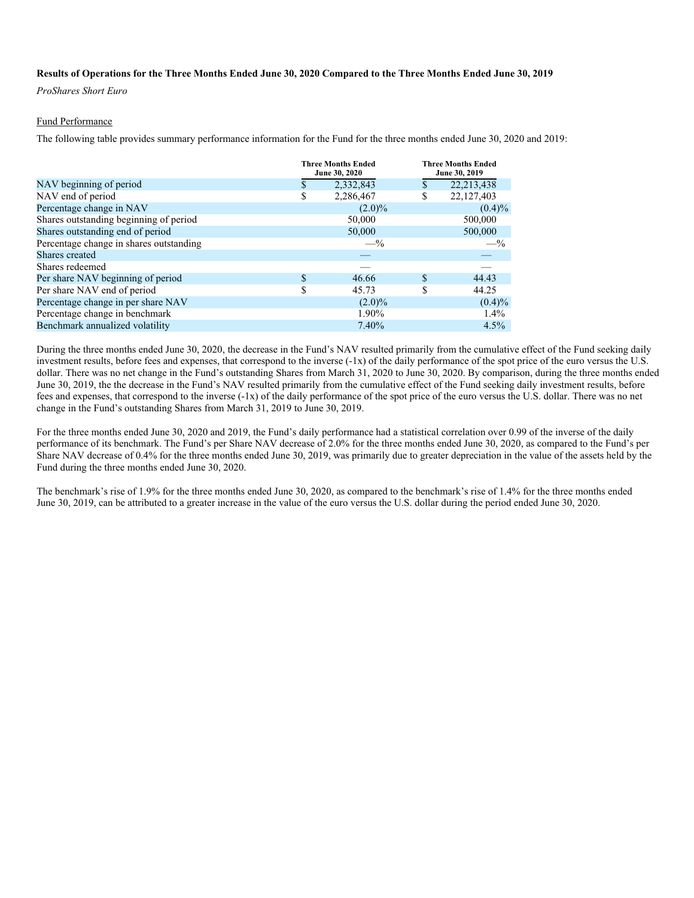### **Results of Operations for the Three Months Ended June 30, 2020 Compared to the Three Months Ended June 30, 2019**

*ProShares Short Euro* 

### Fund Performance

The following table provides summary performance information for the Fund for the three months ended June 30, 2020 and 2019:

|                                         | <b>Three Months Ended</b><br>June 30, 2020 |           |                    | <b>Three Months Ended</b><br>June 30, 2019 |  |
|-----------------------------------------|--------------------------------------------|-----------|--------------------|--------------------------------------------|--|
| NAV beginning of period                 |                                            | 2,332,843 |                    | 22,213,438                                 |  |
| NAV end of period                       | S                                          | 2,286,467 | \$                 | 22,127,403                                 |  |
| Percentage change in NAV                |                                            | $(2.0)\%$ |                    | $(0.4)\%$                                  |  |
| Shares outstanding beginning of period  |                                            | 50,000    |                    | 500,000                                    |  |
| Shares outstanding end of period        |                                            | 50,000    |                    | 500,000                                    |  |
| Percentage change in shares outstanding |                                            | $-$ %     |                    | $-$ %                                      |  |
| Shares created                          |                                            |           |                    |                                            |  |
| Shares redeemed                         |                                            |           |                    |                                            |  |
| Per share NAV beginning of period       | \$                                         | 46.66     | $\mathbf{\hat{s}}$ | 44.43                                      |  |
| Per share NAV end of period             | \$.                                        | 45.73     | S                  | 44.25                                      |  |
| Percentage change in per share NAV      |                                            | $(2.0)\%$ |                    | $(0.4)\%$                                  |  |
| Percentage change in benchmark          |                                            | 1.90%     |                    | 1.4%                                       |  |
| Benchmark annualized volatility         |                                            | 7.40%     |                    | $4.5\%$                                    |  |

During the three months ended June 30, 2020, the decrease in the Fund's NAV resulted primarily from the cumulative effect of the Fund seeking daily investment results, before fees and expenses, that correspond to the inverse (-1x) of the daily performance of the spot price of the euro versus the U.S. dollar. There was no net change in the Fund's outstanding Shares from March 31, 2020 to June 30, 2020. By comparison, during the three months ended June 30, 2019, the the decrease in the Fund's NAV resulted primarily from the cumulative effect of the Fund seeking daily investment results, before fees and expenses, that correspond to the inverse (-1x) of the daily performance of the spot price of the euro versus the U.S. dollar. There was no net change in the Fund's outstanding Shares from March 31, 2019 to June 30, 2019.

For the three months ended June 30, 2020 and 2019, the Fund's daily performance had a statistical correlation over 0.99 of the inverse of the daily performance of its benchmark. The Fund's per Share NAV decrease of 2.0% for the three months ended June 30, 2020, as compared to the Fund's per Share NAV decrease of 0.4% for the three months ended June 30, 2019, was primarily due to greater depreciation in the value of the assets held by the Fund during the three months ended June 30, 2020.

The benchmark's rise of 1.9% for the three months ended June 30, 2020, as compared to the benchmark's rise of 1.4% for the three months ended June 30, 2019, can be attributed to a greater increase in the value of the euro versus the U.S. dollar during the period ended June 30, 2020.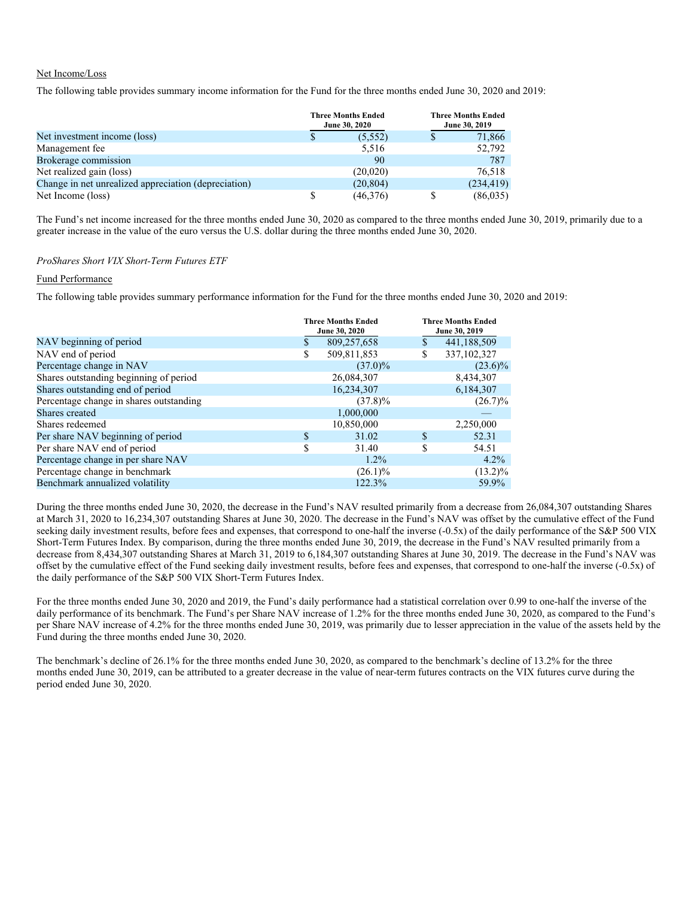The following table provides summary income information for the Fund for the three months ended June 30, 2020 and 2019:

|                                                      | <b>Three Months Ended</b><br>June 30, 2020 |  | <b>Three Months Ended</b><br>June 30, 2019 |
|------------------------------------------------------|--------------------------------------------|--|--------------------------------------------|
| Net investment income (loss)                         | (5, 552)                                   |  | 71,866                                     |
| Management fee                                       | 5,516                                      |  | 52,792                                     |
| Brokerage commission                                 | 90                                         |  | 787                                        |
| Net realized gain (loss)                             | (20,020)                                   |  | 76.518                                     |
| Change in net unrealized appreciation (depreciation) | (20, 804)                                  |  | (234, 419)                                 |
| Net Income (loss)                                    | (46,376)                                   |  | (86,035)                                   |

The Fund's net income increased for the three months ended June 30, 2020 as compared to the three months ended June 30, 2019, primarily due to a greater increase in the value of the euro versus the U.S. dollar during the three months ended June 30, 2020.

## *ProShares Short VIX Short-Term Futures ETF*

## Fund Performance

The following table provides summary performance information for the Fund for the three months ended June 30, 2020 and 2019:

|                                         | <b>Three Months Ended</b><br>June 30, 2020 |             |     | <b>Three Months Ended</b><br>June 30, 2019 |  |  |
|-----------------------------------------|--------------------------------------------|-------------|-----|--------------------------------------------|--|--|
| NAV beginning of period                 | S                                          | 809,257,658 |     | 441,188,509                                |  |  |
| NAV end of period                       | \$                                         | 509,811,853 | \$  | 337, 102, 327                              |  |  |
| Percentage change in NAV                |                                            | $(37.0)\%$  |     | $(23.6)\%$                                 |  |  |
| Shares outstanding beginning of period  |                                            | 26,084,307  |     | 8,434,307                                  |  |  |
| Shares outstanding end of period        |                                            | 16,234,307  |     | 6,184,307                                  |  |  |
| Percentage change in shares outstanding |                                            | $(37.8)\%$  |     | $(26.7)\%$                                 |  |  |
| Shares created                          |                                            | 1,000,000   |     |                                            |  |  |
| Shares redeemed                         |                                            | 10,850,000  |     | 2,250,000                                  |  |  |
| Per share NAV beginning of period       | \$.                                        | 31.02       | \$. | 52.31                                      |  |  |
| Per share NAV end of period             | S                                          | 31.40       | S   | 54.51                                      |  |  |
| Percentage change in per share NAV      |                                            | $1.2\%$     |     | $4.2\%$                                    |  |  |
| Percentage change in benchmark          |                                            | $(26.1)\%$  |     | $(13.2)\%$                                 |  |  |
| Benchmark annualized volatility         |                                            | 122.3%      |     | 59.9%                                      |  |  |

During the three months ended June 30, 2020, the decrease in the Fund's NAV resulted primarily from a decrease from 26,084,307 outstanding Shares at March 31, 2020 to 16,234,307 outstanding Shares at June 30, 2020. The decrease in the Fund's NAV was offset by the cumulative effect of the Fund seeking daily investment results, before fees and expenses, that correspond to one-half the inverse (-0.5x) of the daily performance of the S&P 500 VIX Short-Term Futures Index. By comparison, during the three months ended June 30, 2019, the decrease in the Fund's NAV resulted primarily from a decrease from 8,434,307 outstanding Shares at March 31, 2019 to 6,184,307 outstanding Shares at June 30, 2019. The decrease in the Fund's NAV was offset by the cumulative effect of the Fund seeking daily investment results, before fees and expenses, that correspond to one-half the inverse (-0.5x) of the daily performance of the S&P 500 VIX Short-Term Futures Index.

For the three months ended June 30, 2020 and 2019, the Fund's daily performance had a statistical correlation over 0.99 to one-half the inverse of the daily performance of its benchmark. The Fund's per Share NAV increase of 1.2% for the three months ended June 30, 2020, as compared to the Fund's per Share NAV increase of 4.2% for the three months ended June 30, 2019, was primarily due to lesser appreciation in the value of the assets held by the Fund during the three months ended June 30, 2020.

The benchmark's decline of 26.1% for the three months ended June 30, 2020, as compared to the benchmark's decline of 13.2% for the three months ended June 30, 2019, can be attributed to a greater decrease in the value of near-term futures contracts on the VIX futures curve during the period ended June 30, 2020.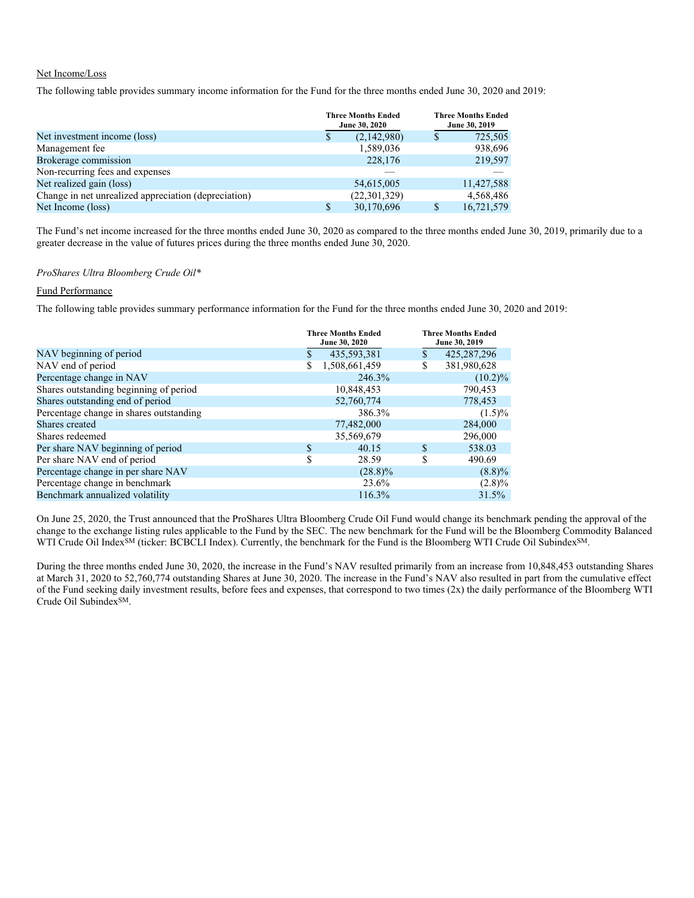The following table provides summary income information for the Fund for the three months ended June 30, 2020 and 2019:

|                                                      |              | <b>Three Months Ended</b><br>June 30, 2020 | <b>Three Months Ended</b><br>June 30, 2019 |            |
|------------------------------------------------------|--------------|--------------------------------------------|--------------------------------------------|------------|
| Net investment income (loss)                         | <sup>S</sup> | (2,142,980)                                |                                            | 725,505    |
| Management fee                                       |              | 1,589,036                                  |                                            | 938,696    |
| Brokerage commission                                 |              | 228,176                                    |                                            | 219,597    |
| Non-recurring fees and expenses                      |              |                                            |                                            |            |
| Net realized gain (loss)                             |              | 54,615,005                                 |                                            | 11,427,588 |
| Change in net unrealized appreciation (depreciation) |              | (22, 301, 329)                             |                                            | 4,568,486  |
| Net Income (loss)                                    | S            | 30,170,696                                 |                                            | 16,721,579 |

The Fund's net income increased for the three months ended June 30, 2020 as compared to the three months ended June 30, 2019, primarily due to a greater decrease in the value of futures prices during the three months ended June 30, 2020.

## *ProShares Ultra Bloomberg Crude Oil\**

#### Fund Performance

The following table provides summary performance information for the Fund for the three months ended June 30, 2020 and 2019:

|                                         | <b>Three Months Ended</b><br>June 30, 2020 |               | <b>Three Months Ended</b><br>June 30, 2019 |               |
|-----------------------------------------|--------------------------------------------|---------------|--------------------------------------------|---------------|
| NAV beginning of period                 |                                            | 435,593,381   | S.                                         | 425, 287, 296 |
| NAV end of period                       | S                                          | 1,508,661,459 | S                                          | 381,980,628   |
| Percentage change in NAV                |                                            | 246.3%        |                                            | $(10.2)\%$    |
| Shares outstanding beginning of period  |                                            | 10,848,453    |                                            | 790,453       |
| Shares outstanding end of period        |                                            | 52,760,774    |                                            | 778,453       |
| Percentage change in shares outstanding |                                            | 386.3%        |                                            | $(1.5)\%$     |
| Shares created                          |                                            | 77,482,000    |                                            | 284,000       |
| Shares redeemed                         |                                            | 35,569,679    |                                            | 296,000       |
| Per share NAV beginning of period       | \$.                                        | 40.15         | \$                                         | 538.03        |
| Per share NAV end of period             | S                                          | 28.59         | S                                          | 490.69        |
| Percentage change in per share NAV      |                                            | $(28.8)\%$    |                                            | $(8.8)\%$     |
| Percentage change in benchmark          |                                            | 23.6%         |                                            | $(2.8)\%$     |
| Benchmark annualized volatility         |                                            | 116.3%        |                                            | $31.5\%$      |

On June 25, 2020, the Trust announced that the ProShares Ultra Bloomberg Crude Oil Fund would change its benchmark pending the approval of the change to the exchange listing rules applicable to the Fund by the SEC. The new benchmark for the Fund will be the Bloomberg Commodity Balanced WTI Crude Oil Index<sup>SM</sup> (ticker: BCBCLI Index). Currently, the benchmark for the Fund is the Bloomberg WTI Crude Oil Subindex<sup>SM</sup>.

During the three months ended June 30, 2020, the increase in the Fund's NAV resulted primarily from an increase from 10,848,453 outstanding Shares at March 31, 2020 to 52,760,774 outstanding Shares at June 30, 2020. The increase in the Fund's NAV also resulted in part from the cumulative effect of the Fund seeking daily investment results, before fees and expenses, that correspond to two times (2x) the daily performance of the Bloomberg WTI Crude Oil SubindexSM.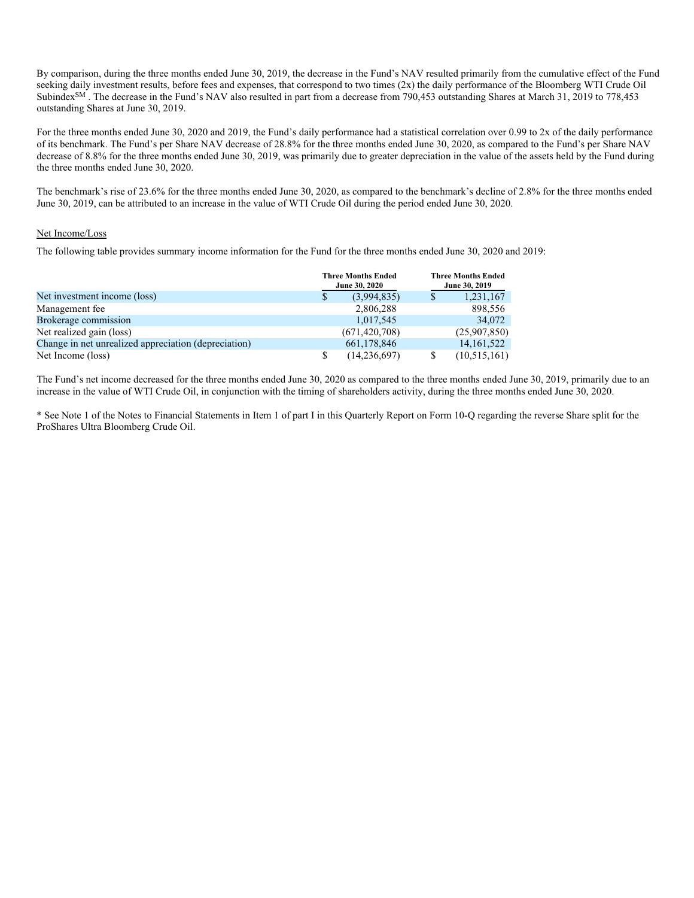By comparison, during the three months ended June 30, 2019, the decrease in the Fund's NAV resulted primarily from the cumulative effect of the Fund seeking daily investment results, before fees and expenses, that correspond to two times (2x) the daily performance of the Bloomberg WTI Crude Oil SubindexSM . The decrease in the Fund's NAV also resulted in part from a decrease from 790,453 outstanding Shares at March 31, 2019 to 778,453 outstanding Shares at June 30, 2019.

For the three months ended June 30, 2020 and 2019, the Fund's daily performance had a statistical correlation over 0.99 to 2x of the daily performance of its benchmark. The Fund's per Share NAV decrease of 28.8% for the three months ended June 30, 2020, as compared to the Fund's per Share NAV decrease of 8.8% for the three months ended June 30, 2019, was primarily due to greater depreciation in the value of the assets held by the Fund during the three months ended June 30, 2020.

The benchmark's rise of 23.6% for the three months ended June 30, 2020, as compared to the benchmark's decline of 2.8% for the three months ended June 30, 2019, can be attributed to an increase in the value of WTI Crude Oil during the period ended June 30, 2020.

#### Net Income/Loss

The following table provides summary income information for the Fund for the three months ended June 30, 2020 and 2019:

|                                                      |   | <b>Three Months Ended</b><br>June 30, 2020 | <b>Three Months Ended</b><br>June 30, 2019 |  |
|------------------------------------------------------|---|--------------------------------------------|--------------------------------------------|--|
| Net investment income (loss)                         | S | (3,994,835)                                | \$<br>1,231,167                            |  |
| Management fee                                       |   | 2,806,288                                  | 898,556                                    |  |
| Brokerage commission                                 |   | 1,017,545                                  | 34,072                                     |  |
| Net realized gain (loss)                             |   | (671, 420, 708)                            | (25,907,850)                               |  |
| Change in net unrealized appreciation (depreciation) |   | 661,178,846                                | 14, 161, 522                               |  |
| Net Income (loss)                                    |   | (14,236,697)                               | \$<br>(10,515,161)                         |  |

The Fund's net income decreased for the three months ended June 30, 2020 as compared to the three months ended June 30, 2019, primarily due to an increase in the value of WTI Crude Oil, in conjunction with the timing of shareholders activity, during the three months ended June 30, 2020.

\* See Note 1 of the Notes to Financial Statements in Item 1 of part I in this Quarterly Report on Form 10-Q regarding the reverse Share split for the ProShares Ultra Bloomberg Crude Oil.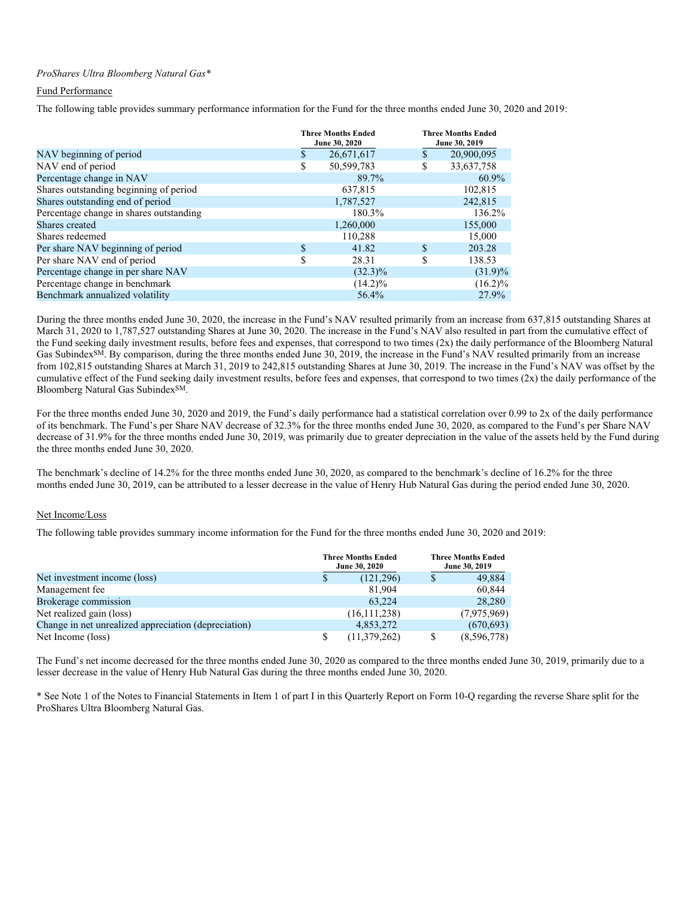## *ProShares Ultra Bloomberg Natural Gas\**

### Fund Performance

The following table provides summary performance information for the Fund for the three months ended June 30, 2020 and 2019:

|                                         | <b>Three Months Ended</b><br>June 30, 2020 |            |     | <b>Three Months Ended</b><br>June 30, 2019 |  |
|-----------------------------------------|--------------------------------------------|------------|-----|--------------------------------------------|--|
| NAV beginning of period                 | \$                                         | 26,671,617 | \$. | 20,900,095                                 |  |
| NAV end of period                       | S                                          | 50,599,783 | S.  | 33,637,758                                 |  |
| Percentage change in NAV                |                                            | 89.7%      |     | $60.9\%$                                   |  |
| Shares outstanding beginning of period  |                                            | 637.815    |     | 102,815                                    |  |
| Shares outstanding end of period        |                                            | 1,787,527  |     | 242,815                                    |  |
| Percentage change in shares outstanding |                                            | 180.3%     |     | 136.2%                                     |  |
| Shares created                          |                                            | 1,260,000  |     | 155,000                                    |  |
| Shares redeemed                         |                                            | 110.288    |     | 15,000                                     |  |
| Per share NAV beginning of period       | \$                                         | 41.82      | \$  | 203.28                                     |  |
| Per share NAV end of period             | \$                                         | 28.31      | \$  | 138.53                                     |  |
| Percentage change in per share NAV      |                                            | $(32.3)\%$ |     | $(31.9)\%$                                 |  |
| Percentage change in benchmark          |                                            | $(14.2)\%$ |     | $(16.2)\%$                                 |  |
| Benchmark annualized volatility         |                                            | 56.4%      |     | 27.9%                                      |  |

During the three months ended June 30, 2020, the increase in the Fund's NAV resulted primarily from an increase from 637,815 outstanding Shares at March 31, 2020 to 1,787,527 outstanding Shares at June 30, 2020. The increase in the Fund's NAV also resulted in part from the cumulative effect of the Fund seeking daily investment results, before fees and expenses, that correspond to two times (2x) the daily performance of the Bloomberg Natural Gas Subindex<sup>SM</sup>. By comparison, during the three months ended June 30, 2019, the increase in the Fund's NAV resulted primarily from an increase from 102,815 outstanding Shares at March 31, 2019 to 242,815 outstanding Shares at June 30, 2019. The increase in the Fund's NAV was offset by the cumulative effect of the Fund seeking daily investment results, before fees and expenses, that correspond to two times (2x) the daily performance of the Bloomberg Natural Gas Subindex<sup>SM</sup>.

For the three months ended June 30, 2020 and 2019, the Fund's daily performance had a statistical correlation over 0.99 to 2x of the daily performance of its benchmark. The Fund's per Share NAV decrease of 32.3% for the three months ended June 30, 2020, as compared to the Fund's per Share NAV decrease of 31.9% for the three months ended June 30, 2019, was primarily due to greater depreciation in the value of the assets held by the Fund during the three months ended June 30, 2020.

The benchmark's decline of 14.2% for the three months ended June 30, 2020, as compared to the benchmark's decline of 16.2% for the three months ended June 30, 2019, can be attributed to a lesser decrease in the value of Henry Hub Natural Gas during the period ended June 30, 2020.

#### Net Income/Loss

The following table provides summary income information for the Fund for the three months ended June 30, 2020 and 2019:

|                                                      | <b>Three Months Ended</b><br>June 30, 2020 |    | <b>Three Months Ended</b><br>June 30, 2019 |  |
|------------------------------------------------------|--------------------------------------------|----|--------------------------------------------|--|
| Net investment income (loss)                         | (121, 296)                                 | S  | 49,884                                     |  |
| Management fee                                       | 81,904                                     |    | 60,844                                     |  |
| Brokerage commission                                 | 63.224                                     |    | 28,280                                     |  |
| Net realized gain (loss)                             | (16, 111, 238)                             |    | (7,975,969)                                |  |
| Change in net unrealized appreciation (depreciation) | 4,853,272                                  |    | (670, 693)                                 |  |
| Net Income (loss)                                    | (11,379,262)                               | \$ | (8,596,778)                                |  |

The Fund's net income decreased for the three months ended June 30, 2020 as compared to the three months ended June 30, 2019, primarily due to a lesser decrease in the value of Henry Hub Natural Gas during the three months ended June 30, 2020.

\* See Note 1 of the Notes to Financial Statements in Item 1 of part I in this Quarterly Report on Form 10-Q regarding the reverse Share split for the ProShares Ultra Bloomberg Natural Gas.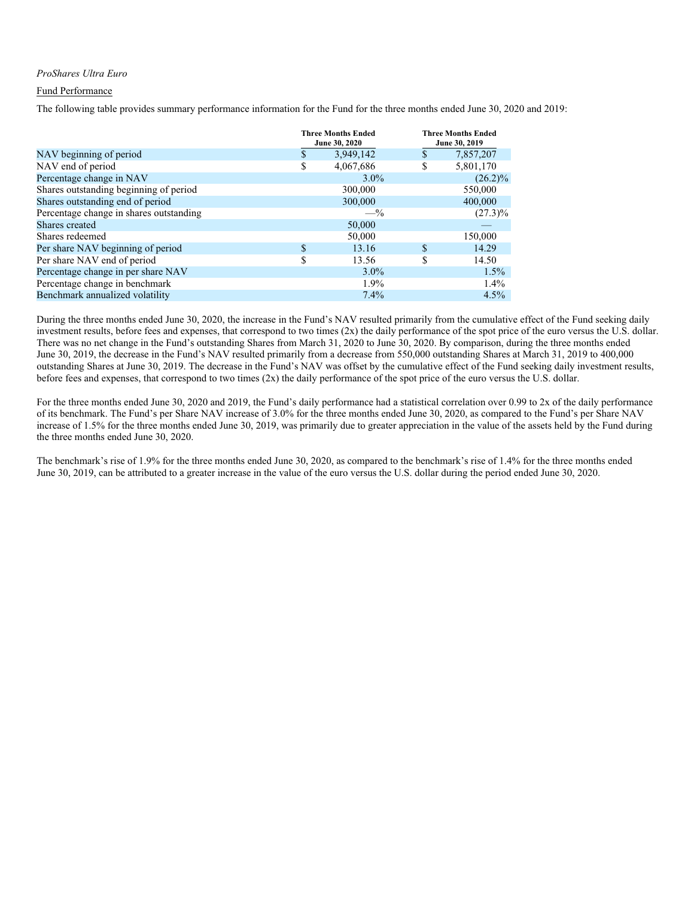## *ProShares Ultra Euro*

### Fund Performance

The following table provides summary performance information for the Fund for the three months ended June 30, 2020 and 2019:

|                                         | <b>Three Months Ended</b><br>June 30, 2020 |           | <b>Three Months Ended</b><br>June 30, 2019 |            |
|-----------------------------------------|--------------------------------------------|-----------|--------------------------------------------|------------|
| NAV beginning of period                 | \$                                         | 3,949,142 | \$                                         | 7,857,207  |
| NAV end of period                       | \$                                         | 4,067,686 | S                                          | 5,801,170  |
| Percentage change in NAV                |                                            | $3.0\%$   |                                            | $(26.2)\%$ |
| Shares outstanding beginning of period  |                                            | 300,000   |                                            | 550,000    |
| Shares outstanding end of period        |                                            | 300,000   |                                            | 400,000    |
| Percentage change in shares outstanding |                                            | $-$ %     |                                            | $(27.3)\%$ |
| Shares created                          |                                            | 50,000    |                                            |            |
| Shares redeemed                         |                                            | 50,000    |                                            | 150,000    |
| Per share NAV beginning of period       | \$                                         | 13.16     | \$.                                        | 14.29      |
| Per share NAV end of period             | S                                          | 13.56     | S                                          | 14.50      |
| Percentage change in per share NAV      |                                            | $3.0\%$   |                                            | $1.5\%$    |
| Percentage change in benchmark          |                                            | 1.9%      |                                            | 1.4%       |
| Benchmark annualized volatility         |                                            | $7.4\%$   |                                            | 4.5%       |

During the three months ended June 30, 2020, the increase in the Fund's NAV resulted primarily from the cumulative effect of the Fund seeking daily investment results, before fees and expenses, that correspond to two times (2x) the daily performance of the spot price of the euro versus the U.S. dollar. There was no net change in the Fund's outstanding Shares from March 31, 2020 to June 30, 2020. By comparison, during the three months ended June 30, 2019, the decrease in the Fund's NAV resulted primarily from a decrease from 550,000 outstanding Shares at March 31, 2019 to 400,000 outstanding Shares at June 30, 2019. The decrease in the Fund's NAV was offset by the cumulative effect of the Fund seeking daily investment results, before fees and expenses, that correspond to two times (2x) the daily performance of the spot price of the euro versus the U.S. dollar.

For the three months ended June 30, 2020 and 2019, the Fund's daily performance had a statistical correlation over 0.99 to 2x of the daily performance of its benchmark. The Fund's per Share NAV increase of 3.0% for the three months ended June 30, 2020, as compared to the Fund's per Share NAV increase of 1.5% for the three months ended June 30, 2019, was primarily due to greater appreciation in the value of the assets held by the Fund during the three months ended June 30, 2020.

The benchmark's rise of 1.9% for the three months ended June 30, 2020, as compared to the benchmark's rise of 1.4% for the three months ended June 30, 2019, can be attributed to a greater increase in the value of the euro versus the U.S. dollar during the period ended June 30, 2020.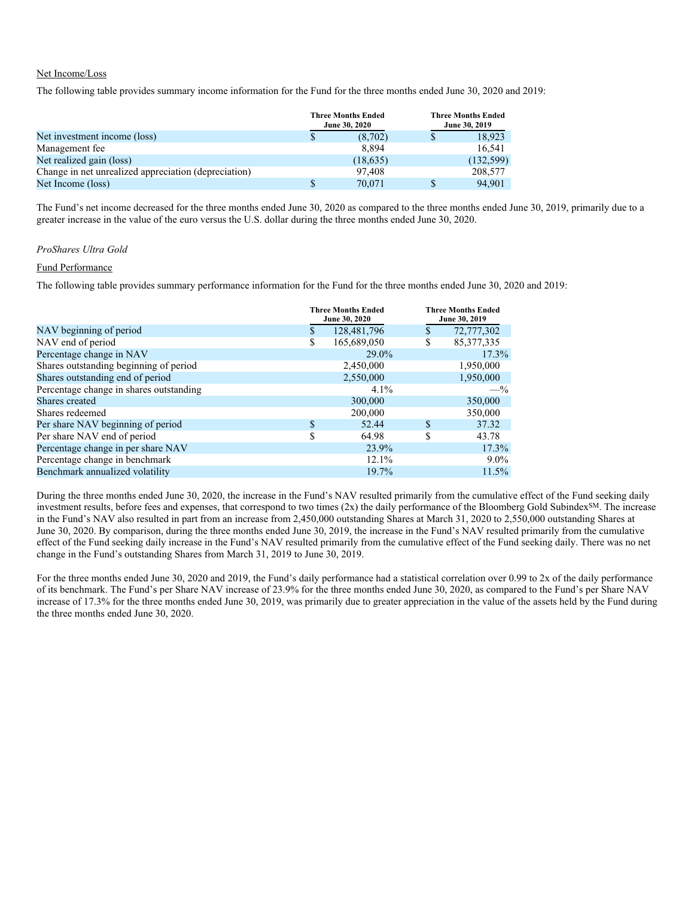The following table provides summary income information for the Fund for the three months ended June 30, 2020 and 2019:

|                                                      | <b>Three Months Ended</b><br><b>June 30, 2020</b> |           | <b>Three Months Ended</b><br>June 30, 2019 |  |
|------------------------------------------------------|---------------------------------------------------|-----------|--------------------------------------------|--|
| Net investment income (loss)                         |                                                   | (8,702)   | 18.923                                     |  |
| Management fee                                       |                                                   | 8.894     | 16.541                                     |  |
| Net realized gain (loss)                             |                                                   | (18, 635) | (132, 599)                                 |  |
| Change in net unrealized appreciation (depreciation) |                                                   | 97.408    | 208,577                                    |  |
| Net Income (loss)                                    |                                                   | 70.071    | 94.901                                     |  |

The Fund's net income decreased for the three months ended June 30, 2020 as compared to the three months ended June 30, 2019, primarily due to a greater increase in the value of the euro versus the U.S. dollar during the three months ended June 30, 2020.

# *ProShares Ultra Gold*

### Fund Performance

The following table provides summary performance information for the Fund for the three months ended June 30, 2020 and 2019:

|                                         | <b>Three Months Ended</b><br>June 30, 2020 |             | <b>Three Months Ended</b><br>June 30, 2019 |              |  |
|-----------------------------------------|--------------------------------------------|-------------|--------------------------------------------|--------------|--|
| NAV beginning of period                 |                                            | 128,481,796 |                                            | 72,777,302   |  |
| NAV end of period                       | S                                          | 165,689,050 | \$                                         | 85, 377, 335 |  |
| Percentage change in NAV                |                                            | 29.0%       |                                            | $17.3\%$     |  |
| Shares outstanding beginning of period  |                                            | 2,450,000   |                                            | 1,950,000    |  |
| Shares outstanding end of period        |                                            | 2,550,000   |                                            | 1,950,000    |  |
| Percentage change in shares outstanding |                                            | $4.1\%$     |                                            | $-$ %        |  |
| Shares created                          |                                            | 300,000     |                                            | 350,000      |  |
| Shares redeemed                         |                                            | 200,000     |                                            | 350,000      |  |
| Per share NAV beginning of period       | \$                                         | 52.44       | \$.                                        | 37.32        |  |
| Per share NAV end of period             | S                                          | 64.98       | S                                          | 43.78        |  |
| Percentage change in per share NAV      |                                            | 23.9%       |                                            | $17.3\%$     |  |
| Percentage change in benchmark          |                                            | 12.1%       |                                            | $9.0\%$      |  |
| Benchmark annualized volatility         |                                            | 19.7%       |                                            | $11.5\%$     |  |

During the three months ended June 30, 2020, the increase in the Fund's NAV resulted primarily from the cumulative effect of the Fund seeking daily investment results, before fees and expenses, that correspond to two times (2x) the daily performance of the Bloomberg Gold Subindex<sup>SM</sup>. The increase in the Fund's NAV also resulted in part from an increase from 2,450,000 outstanding Shares at March 31, 2020 to 2,550,000 outstanding Shares at June 30, 2020. By comparison, during the three months ended June 30, 2019, the increase in the Fund's NAV resulted primarily from the cumulative effect of the Fund seeking daily increase in the Fund's NAV resulted primarily from the cumulative effect of the Fund seeking daily. There was no net change in the Fund's outstanding Shares from March 31, 2019 to June 30, 2019.

For the three months ended June 30, 2020 and 2019, the Fund's daily performance had a statistical correlation over 0.99 to 2x of the daily performance of its benchmark. The Fund's per Share NAV increase of 23.9% for the three months ended June 30, 2020, as compared to the Fund's per Share NAV increase of 17.3% for the three months ended June 30, 2019, was primarily due to greater appreciation in the value of the assets held by the Fund during the three months ended June 30, 2020.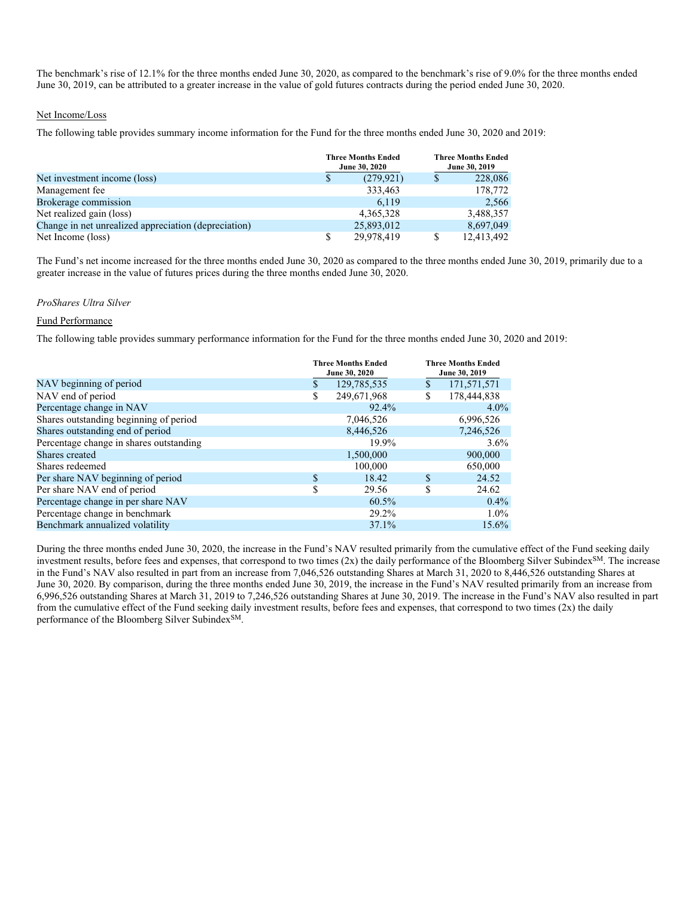The benchmark's rise of 12.1% for the three months ended June 30, 2020, as compared to the benchmark's rise of 9.0% for the three months ended June 30, 2019, can be attributed to a greater increase in the value of gold futures contracts during the period ended June 30, 2020.

## Net Income/Loss

The following table provides summary income information for the Fund for the three months ended June 30, 2020 and 2019:

|                                                      |    | <b>Three Months Ended</b><br><b>June 30, 2020</b> |   | <b>Three Months Ended</b><br>June 30, 2019 |  |
|------------------------------------------------------|----|---------------------------------------------------|---|--------------------------------------------|--|
| Net investment income (loss)                         | \$ | (279, 921)                                        | S | 228,086                                    |  |
| Management fee                                       |    | 333,463                                           |   | 178,772                                    |  |
| Brokerage commission                                 |    | 6.119                                             |   | 2,566                                      |  |
| Net realized gain (loss)                             |    | 4,365,328                                         |   | 3,488,357                                  |  |
| Change in net unrealized appreciation (depreciation) |    | 25,893,012                                        |   | 8,697,049                                  |  |
| Net Income (loss)                                    | S  | 29,978,419                                        |   | 12,413,492                                 |  |

The Fund's net income increased for the three months ended June 30, 2020 as compared to the three months ended June 30, 2019, primarily due to a greater increase in the value of futures prices during the three months ended June 30, 2020.

## *ProShares Ultra Silver*

## Fund Performance

The following table provides summary performance information for the Fund for the three months ended June 30, 2020 and 2019:

|                                         |     | <b>Three Months Ended</b><br>June 30, 2020 |     | <b>Three Months Ended</b><br>June 30, 2019 |
|-----------------------------------------|-----|--------------------------------------------|-----|--------------------------------------------|
| NAV beginning of period                 | \$  | 129,785,535                                | \$  | 171,571,571                                |
| NAV end of period                       | S   | 249,671,968                                | \$  | 178,444,838                                |
| Percentage change in NAV                |     | 92.4%                                      |     | $4.0\%$                                    |
| Shares outstanding beginning of period  |     | 7,046,526                                  |     | 6,996,526                                  |
| Shares outstanding end of period        |     | 8,446,526                                  |     | 7,246,526                                  |
| Percentage change in shares outstanding |     | 19.9%                                      |     | $3.6\%$                                    |
| Shares created                          |     | 1,500,000                                  |     | 900,000                                    |
| Shares redeemed                         |     | 100,000                                    |     | 650,000                                    |
| Per share NAV beginning of period       | \$. | 18.42                                      | \$. | 24.52                                      |
| Per share NAV end of period             | S   | 29.56                                      | S   | 24.62                                      |
| Percentage change in per share NAV      |     | 60.5%                                      |     | $0.4\%$                                    |
| Percentage change in benchmark          |     | 29.2%                                      |     | $1.0\%$                                    |
| Benchmark annualized volatility         |     | 37.1%                                      |     | 15.6%                                      |

During the three months ended June 30, 2020, the increase in the Fund's NAV resulted primarily from the cumulative effect of the Fund seeking daily investment results, before fees and expenses, that correspond to two times  $(2x)$  the daily performance of the Bloomberg Silver Subindex<sup>SM</sup>. The increase in the Fund's NAV also resulted in part from an increase from 7,046,526 outstanding Shares at March 31, 2020 to 8,446,526 outstanding Shares at June 30, 2020. By comparison, during the three months ended June 30, 2019, the increase in the Fund's NAV resulted primarily from an increase from 6,996,526 outstanding Shares at March 31, 2019 to 7,246,526 outstanding Shares at June 30, 2019. The increase in the Fund's NAV also resulted in part from the cumulative effect of the Fund seeking daily investment results, before fees and expenses, that correspond to two times (2x) the daily performance of the Bloomberg Silver SubindexSM.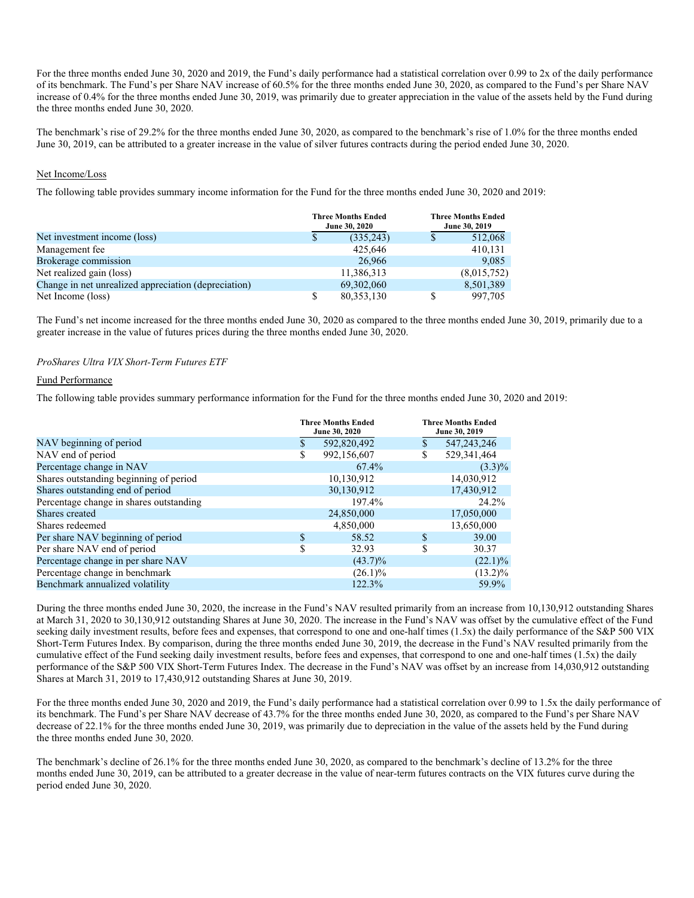For the three months ended June 30, 2020 and 2019, the Fund's daily performance had a statistical correlation over 0.99 to 2x of the daily performance of its benchmark. The Fund's per Share NAV increase of 60.5% for the three months ended June 30, 2020, as compared to the Fund's per Share NAV increase of 0.4% for the three months ended June 30, 2019, was primarily due to greater appreciation in the value of the assets held by the Fund during the three months ended June 30, 2020.

The benchmark's rise of 29.2% for the three months ended June 30, 2020, as compared to the benchmark's rise of 1.0% for the three months ended June 30, 2019, can be attributed to a greater increase in the value of silver futures contracts during the period ended June 30, 2020.

### Net Income/Loss

The following table provides summary income information for the Fund for the three months ended June 30, 2020 and 2019:

|                                                      |   | <b>Three Months Ended</b><br>June 30, 2020 |    | <b>Three Months Ended</b><br>June 30, 2019 |
|------------------------------------------------------|---|--------------------------------------------|----|--------------------------------------------|
| Net investment income (loss)                         | S | (335, 243)                                 | \$ | 512,068                                    |
| Management fee                                       |   | 425,646                                    |    | 410,131                                    |
| Brokerage commission                                 |   | 26,966                                     |    | 9,085                                      |
| Net realized gain (loss)                             |   | 11,386,313                                 |    | (8,015,752)                                |
| Change in net unrealized appreciation (depreciation) |   | 69,302,060                                 |    | 8,501,389                                  |
| Net Income (loss)                                    |   | 80, 353, 130                               |    | 997,705                                    |

The Fund's net income increased for the three months ended June 30, 2020 as compared to the three months ended June 30, 2019, primarily due to a greater increase in the value of futures prices during the three months ended June 30, 2020.

## *ProShares Ultra VIX Short-Term Futures ETF*

### Fund Performance

The following table provides summary performance information for the Fund for the three months ended June 30, 2020 and 2019:

|                                         |     | <b>Three Months Ended</b><br>June 30, 2020 | <b>Three Months Ended</b><br>June 30, 2019 |               |  |
|-----------------------------------------|-----|--------------------------------------------|--------------------------------------------|---------------|--|
| NAV beginning of period                 | \$. | 592,820,492                                | S.                                         | 547, 243, 246 |  |
| NAV end of period                       | S   | 992,156,607                                | S                                          | 529.341.464   |  |
| Percentage change in NAV                |     | 67.4%                                      |                                            | $(3.3)\%$     |  |
| Shares outstanding beginning of period  |     | 10,130,912                                 |                                            | 14,030,912    |  |
| Shares outstanding end of period        |     | 30,130,912                                 |                                            | 17,430,912    |  |
| Percentage change in shares outstanding |     | 197.4%                                     |                                            | 24.2%         |  |
| Shares created                          |     | 24,850,000                                 |                                            | 17,050,000    |  |
| Shares redeemed                         |     | 4,850,000                                  |                                            | 13,650,000    |  |
| Per share NAV beginning of period       | \$  | 58.52                                      | \$.                                        | 39.00         |  |
| Per share NAV end of period             | \$. | 32.93                                      | S                                          | 30.37         |  |
| Percentage change in per share NAV      |     | $(43.7)\%$                                 |                                            | $(22.1)\%$    |  |
| Percentage change in benchmark          |     | $(26.1)\%$                                 |                                            | $(13.2)\%$    |  |
| Benchmark annualized volatility         |     | 122.3%                                     |                                            | 59.9%         |  |

During the three months ended June 30, 2020, the increase in the Fund's NAV resulted primarily from an increase from 10,130,912 outstanding Shares at March 31, 2020 to 30,130,912 outstanding Shares at June 30, 2020. The increase in the Fund's NAV was offset by the cumulative effect of the Fund seeking daily investment results, before fees and expenses, that correspond to one and one-half times (1.5x) the daily performance of the S&P 500 VIX Short-Term Futures Index. By comparison, during the three months ended June 30, 2019, the decrease in the Fund's NAV resulted primarily from the cumulative effect of the Fund seeking daily investment results, before fees and expenses, that correspond to one and one-half times (1.5x) the daily performance of the S&P 500 VIX Short-Term Futures Index. The decrease in the Fund's NAV was offset by an increase from 14,030,912 outstanding Shares at March 31, 2019 to 17,430,912 outstanding Shares at June 30, 2019.

For the three months ended June 30, 2020 and 2019, the Fund's daily performance had a statistical correlation over 0.99 to 1.5x the daily performance of its benchmark. The Fund's per Share NAV decrease of 43.7% for the three months ended June 30, 2020, as compared to the Fund's per Share NAV decrease of 22.1% for the three months ended June 30, 2019, was primarily due to depreciation in the value of the assets held by the Fund during the three months ended June 30, 2020.

The benchmark's decline of 26.1% for the three months ended June 30, 2020, as compared to the benchmark's decline of 13.2% for the three months ended June 30, 2019, can be attributed to a greater decrease in the value of near-term futures contracts on the VIX futures curve during the period ended June 30, 2020.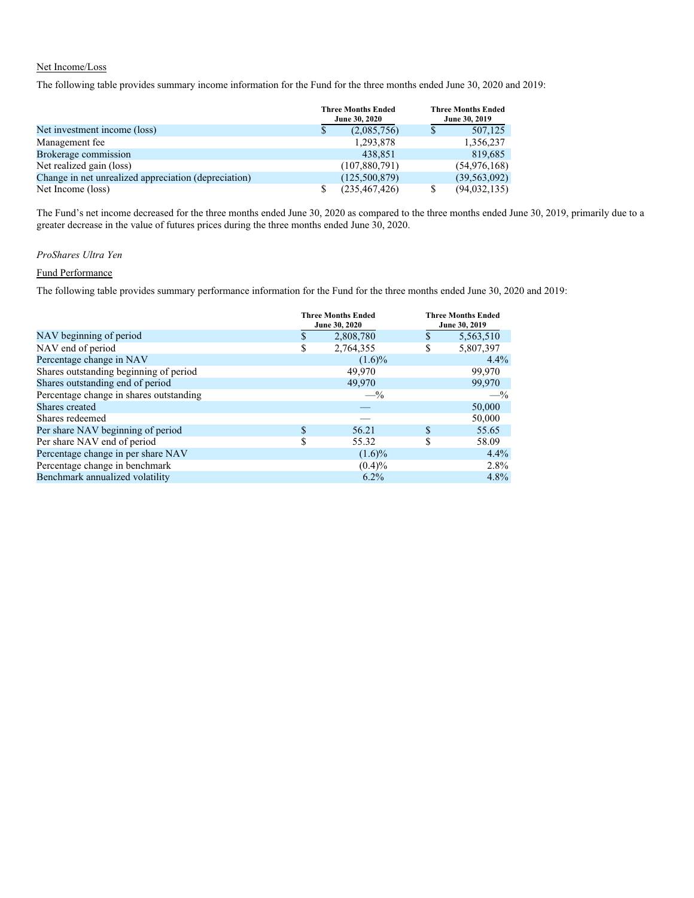The following table provides summary income information for the Fund for the three months ended June 30, 2020 and 2019:

|                                                      | <b>Three Months Ended</b><br>June 30, 2020 |   | <b>Three Months Ended</b><br>June 30, 2019 |  |
|------------------------------------------------------|--------------------------------------------|---|--------------------------------------------|--|
| Net investment income (loss)                         | (2,085,756)                                |   | 507,125                                    |  |
| Management fee                                       | 1,293,878                                  |   | 1,356,237                                  |  |
| Brokerage commission                                 | 438.851                                    |   | 819,685                                    |  |
| Net realized gain (loss)                             | (107, 880, 791)                            |   | (54, 976, 168)                             |  |
| Change in net unrealized appreciation (depreciation) | (125,500,879)                              |   | (39, 563, 092)                             |  |
| Net Income (loss)                                    | (235, 467, 426)                            | S | (94,032,135)                               |  |

The Fund's net income decreased for the three months ended June 30, 2020 as compared to the three months ended June 30, 2019, primarily due to a greater decrease in the value of futures prices during the three months ended June 30, 2020.

# *ProShares Ultra Yen*

## Fund Performance

The following table provides summary performance information for the Fund for the three months ended June 30, 2020 and 2019:

|                                         | <b>Three Months Ended</b><br>June 30, 2020 |           | <b>Three Months Ended</b><br>June 30, 2019 |           |  |
|-----------------------------------------|--------------------------------------------|-----------|--------------------------------------------|-----------|--|
| NAV beginning of period                 |                                            | 2,808,780 |                                            | 5,563,510 |  |
| NAV end of period                       | S                                          | 2,764,355 | S                                          | 5,807,397 |  |
| Percentage change in NAV                |                                            | $(1.6)\%$ |                                            | $4.4\%$   |  |
| Shares outstanding beginning of period  |                                            | 49,970    |                                            | 99,970    |  |
| Shares outstanding end of period        |                                            | 49,970    |                                            | 99,970    |  |
| Percentage change in shares outstanding |                                            | $-$ %     |                                            | $-$ %     |  |
| Shares created                          |                                            |           |                                            | 50,000    |  |
| Shares redeemed                         |                                            |           |                                            | 50,000    |  |
| Per share NAV beginning of period       | \$                                         | 56.21     | \$                                         | 55.65     |  |
| Per share NAV end of period             | \$                                         | 55.32     |                                            | 58.09     |  |
| Percentage change in per share NAV      |                                            | $(1.6)\%$ |                                            | $4.4\%$   |  |
| Percentage change in benchmark          |                                            | $(0.4)\%$ |                                            | $2.8\%$   |  |
| Benchmark annualized volatility         |                                            | $6.2\%$   |                                            | $4.8\%$   |  |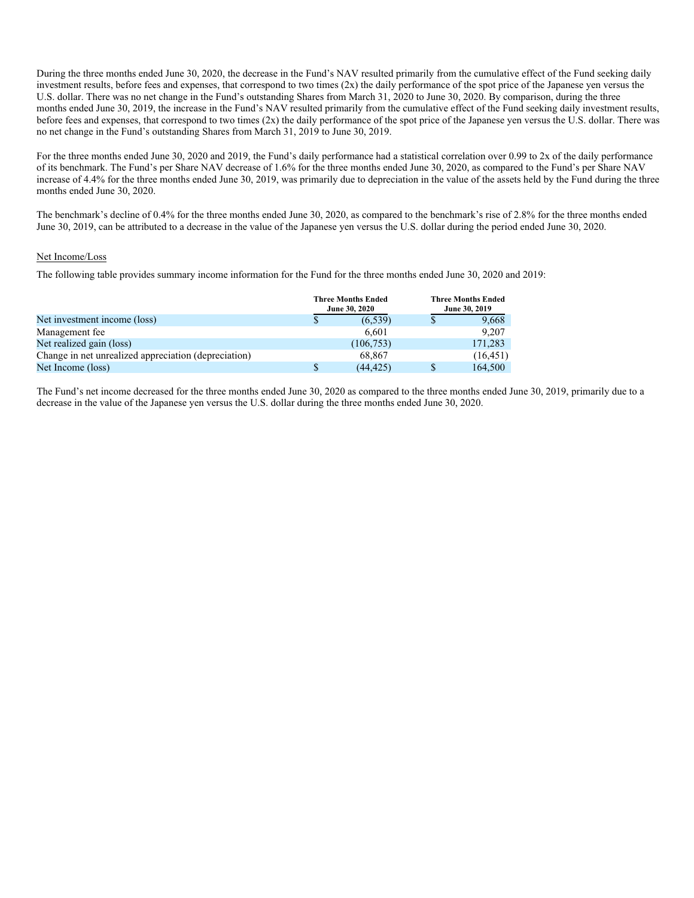During the three months ended June 30, 2020, the decrease in the Fund's NAV resulted primarily from the cumulative effect of the Fund seeking daily investment results, before fees and expenses, that correspond to two times (2x) the daily performance of the spot price of the Japanese yen versus the U.S. dollar. There was no net change in the Fund's outstanding Shares from March 31, 2020 to June 30, 2020. By comparison, during the three months ended June 30, 2019, the increase in the Fund's NAV resulted primarily from the cumulative effect of the Fund seeking daily investment results, before fees and expenses, that correspond to two times (2x) the daily performance of the spot price of the Japanese yen versus the U.S. dollar. There was no net change in the Fund's outstanding Shares from March 31, 2019 to June 30, 2019.

For the three months ended June 30, 2020 and 2019, the Fund's daily performance had a statistical correlation over 0.99 to 2x of the daily performance of its benchmark. The Fund's per Share NAV decrease of 1.6% for the three months ended June 30, 2020, as compared to the Fund's per Share NAV increase of 4.4% for the three months ended June 30, 2019, was primarily due to depreciation in the value of the assets held by the Fund during the three months ended June 30, 2020.

The benchmark's decline of 0.4% for the three months ended June 30, 2020, as compared to the benchmark's rise of 2.8% for the three months ended June 30, 2019, can be attributed to a decrease in the value of the Japanese yen versus the U.S. dollar during the period ended June 30, 2020.

### Net Income/Loss

The following table provides summary income information for the Fund for the three months ended June 30, 2020 and 2019:

|                                                      | <b>Three Months Ended</b><br>June 30, 2020 | <b>Three Months Ended</b><br>June 30, 2019 |           |
|------------------------------------------------------|--------------------------------------------|--------------------------------------------|-----------|
| Net investment income (loss)                         | (6, 539)                                   |                                            | 9,668     |
| Management fee                                       | 6.601                                      |                                            | 9.207     |
| Net realized gain (loss)                             | (106, 753)                                 |                                            | 171,283   |
| Change in net unrealized appreciation (depreciation) | 68.867                                     |                                            | (16, 451) |
| Net Income (loss)                                    | (44.425)                                   |                                            | 164,500   |

The Fund's net income decreased for the three months ended June 30, 2020 as compared to the three months ended June 30, 2019, primarily due to a decrease in the value of the Japanese yen versus the U.S. dollar during the three months ended June 30, 2020.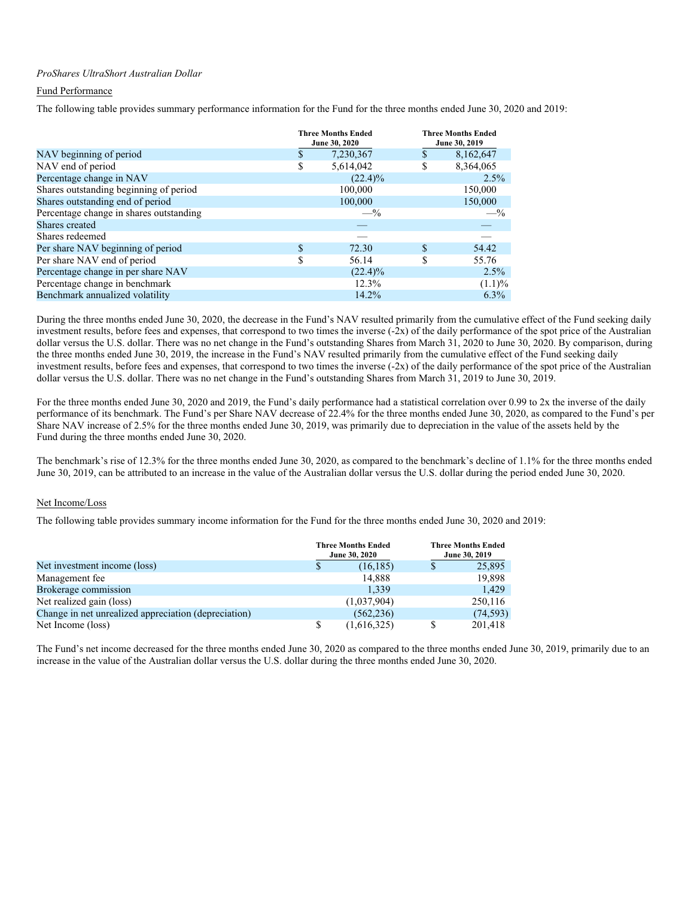## *ProShares UltraShort Australian Dollar*

## Fund Performance

The following table provides summary performance information for the Fund for the three months ended June 30, 2020 and 2019:

|                                         | <b>Three Months Ended</b><br>June 30, 2020 |            | <b>Three Months Ended</b><br>June 30, 2019 |           |
|-----------------------------------------|--------------------------------------------|------------|--------------------------------------------|-----------|
| NAV beginning of period                 |                                            | 7,230,367  |                                            | 8,162,647 |
| NAV end of period                       | S                                          | 5,614,042  | \$.                                        | 8,364,065 |
| Percentage change in NAV                |                                            | $(22.4)\%$ |                                            | $2.5\%$   |
| Shares outstanding beginning of period  |                                            | 100,000    |                                            | 150,000   |
| Shares outstanding end of period        |                                            | 100,000    |                                            | 150,000   |
| Percentage change in shares outstanding |                                            | $-$ %      |                                            | $-$ %     |
| Shares created                          |                                            |            |                                            |           |
| Shares redeemed                         |                                            |            |                                            |           |
| Per share NAV beginning of period       | \$                                         | 72.30      | S                                          | 54.42     |
| Per share NAV end of period             | S                                          | 56.14      | S                                          | 55.76     |
| Percentage change in per share NAV      |                                            | $(22.4)\%$ |                                            | $2.5\%$   |
| Percentage change in benchmark          |                                            | 12.3%      |                                            | $(1.1)\%$ |
| Benchmark annualized volatility         |                                            | 14.2%      |                                            | $6.3\%$   |

During the three months ended June 30, 2020, the decrease in the Fund's NAV resulted primarily from the cumulative effect of the Fund seeking daily investment results, before fees and expenses, that correspond to two times the inverse  $(-2x)$  of the daily performance of the spot price of the Australian dollar versus the U.S. dollar. There was no net change in the Fund's outstanding Shares from March 31, 2020 to June 30, 2020. By comparison, during the three months ended June 30, 2019, the increase in the Fund's NAV resulted primarily from the cumulative effect of the Fund seeking daily investment results, before fees and expenses, that correspond to two times the inverse (-2x) of the daily performance of the spot price of the Australian dollar versus the U.S. dollar. There was no net change in the Fund's outstanding Shares from March 31, 2019 to June 30, 2019.

For the three months ended June 30, 2020 and 2019, the Fund's daily performance had a statistical correlation over 0.99 to 2x the inverse of the daily performance of its benchmark. The Fund's per Share NAV decrease of 22.4% for the three months ended June 30, 2020, as compared to the Fund's per Share NAV increase of 2.5% for the three months ended June 30, 2019, was primarily due to depreciation in the value of the assets held by the Fund during the three months ended June 30, 2020.

The benchmark's rise of 12.3% for the three months ended June 30, 2020, as compared to the benchmark's decline of 1.1% for the three months ended June 30, 2019, can be attributed to an increase in the value of the Australian dollar versus the U.S. dollar during the period ended June 30, 2020.

## Net Income/Loss

The following table provides summary income information for the Fund for the three months ended June 30, 2020 and 2019:

|                                                      | <b>Three Months Ended</b><br>June 30, 2020 | <b>Three Months Ended</b><br>June 30, 2019 |           |
|------------------------------------------------------|--------------------------------------------|--------------------------------------------|-----------|
| Net investment income (loss)                         | \$<br>(16, 185)                            | \$                                         | 25,895    |
| Management fee                                       | 14,888                                     |                                            | 19,898    |
| Brokerage commission                                 | 1,339                                      |                                            | 1.429     |
| Net realized gain (loss)                             | (1,037,904)                                |                                            | 250,116   |
| Change in net unrealized appreciation (depreciation) | (562, 236)                                 |                                            | (74, 593) |
| Net Income (loss)                                    | \$<br>(1,616,325)                          |                                            | 201,418   |

The Fund's net income decreased for the three months ended June 30, 2020 as compared to the three months ended June 30, 2019, primarily due to an increase in the value of the Australian dollar versus the U.S. dollar during the three months ended June 30, 2020.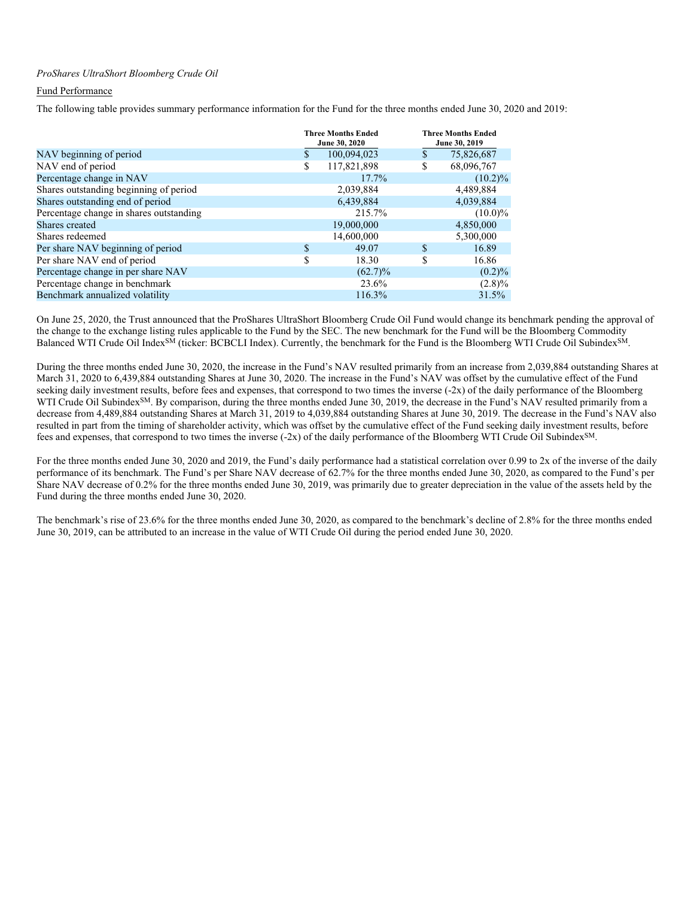## *ProShares UltraShort Bloomberg Crude Oil*

### Fund Performance

The following table provides summary performance information for the Fund for the three months ended June 30, 2020 and 2019:

|                                         | <b>Three Months Ended</b><br>June 30, 2020 |             |     | <b>Three Months Ended</b><br>June 30, 2019 |  |
|-----------------------------------------|--------------------------------------------|-------------|-----|--------------------------------------------|--|
| NAV beginning of period                 | \$                                         | 100,094,023 | \$. | 75,826,687                                 |  |
| NAV end of period                       | \$                                         | 117,821,898 | \$. | 68,096,767                                 |  |
| Percentage change in NAV                |                                            | 17.7%       |     | $(10.2)\%$                                 |  |
| Shares outstanding beginning of period  |                                            | 2,039,884   |     | 4,489,884                                  |  |
| Shares outstanding end of period        |                                            | 6,439,884   |     | 4,039,884                                  |  |
| Percentage change in shares outstanding |                                            | 215.7%      |     | $(10.0)\%$                                 |  |
| Shares created                          |                                            | 19,000,000  |     | 4,850,000                                  |  |
| Shares redeemed                         |                                            | 14,600,000  |     | 5,300,000                                  |  |
| Per share NAV beginning of period       | \$                                         | 49.07       | \$. | 16.89                                      |  |
| Per share NAV end of period             | S                                          | 18.30       | S   | 16.86                                      |  |
| Percentage change in per share NAV      |                                            | $(62.7)\%$  |     | $(0.2)\%$                                  |  |
| Percentage change in benchmark          |                                            | 23.6%       |     | $(2.8)\%$                                  |  |
| Benchmark annualized volatility         |                                            | 116.3%      |     | $31.5\%$                                   |  |

On June 25, 2020, the Trust announced that the ProShares UltraShort Bloomberg Crude Oil Fund would change its benchmark pending the approval of the change to the exchange listing rules applicable to the Fund by the SEC. The new benchmark for the Fund will be the Bloomberg Commodity Balanced WTI Crude Oil Index<sup>SM</sup> (ticker: BCBCLI Index). Currently, the benchmark for the Fund is the Bloomberg WTI Crude Oil Subindex<sup>SM</sup>.

During the three months ended June 30, 2020, the increase in the Fund's NAV resulted primarily from an increase from 2,039,884 outstanding Shares at March 31, 2020 to 6,439,884 outstanding Shares at June 30, 2020. The increase in the Fund's NAV was offset by the cumulative effect of the Fund seeking daily investment results, before fees and expenses, that correspond to two times the inverse (-2x) of the daily performance of the Bloomberg WTI Crude Oil Subindex<sup>SM</sup>. By comparison, during the three months ended June 30, 2019, the decrease in the Fund's NAV resulted primarily from a decrease from 4,489,884 outstanding Shares at March 31, 2019 to 4,039,884 outstanding Shares at June 30, 2019. The decrease in the Fund's NAV also resulted in part from the timing of shareholder activity, which was offset by the cumulative effect of the Fund seeking daily investment results, before fees and expenses, that correspond to two times the inverse (-2x) of the daily performance of the Bloomberg WTI Crude Oil SubindexSM.

For the three months ended June 30, 2020 and 2019, the Fund's daily performance had a statistical correlation over 0.99 to 2x of the inverse of the daily performance of its benchmark. The Fund's per Share NAV decrease of 62.7% for the three months ended June 30, 2020, as compared to the Fund's per Share NAV decrease of 0.2% for the three months ended June 30, 2019, was primarily due to greater depreciation in the value of the assets held by the Fund during the three months ended June 30, 2020.

The benchmark's rise of 23.6% for the three months ended June 30, 2020, as compared to the benchmark's decline of 2.8% for the three months ended June 30, 2019, can be attributed to an increase in the value of WTI Crude Oil during the period ended June 30, 2020.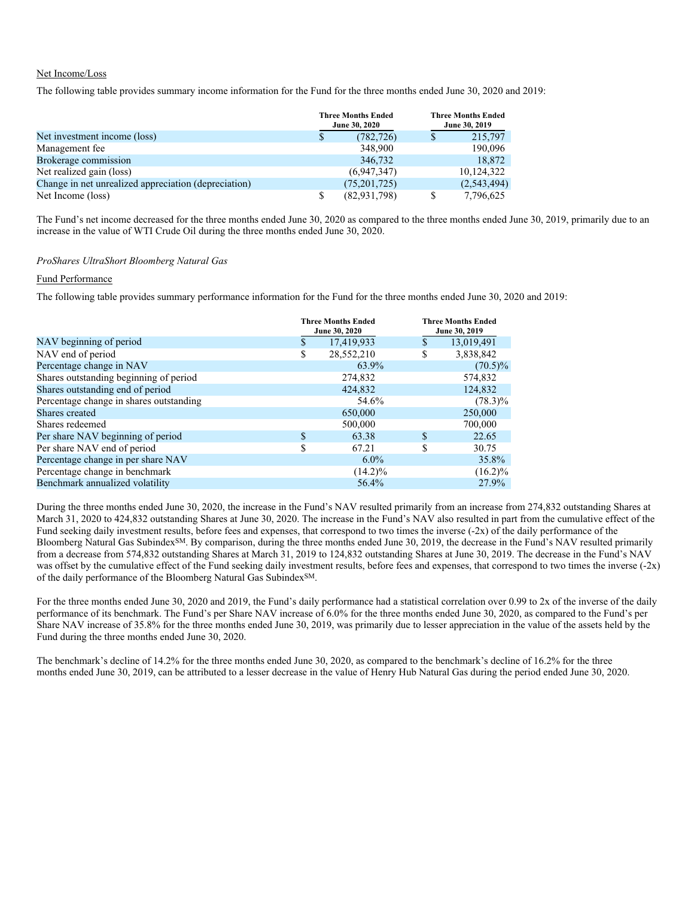The following table provides summary income information for the Fund for the three months ended June 30, 2020 and 2019:

|                                                      |   | <b>Three Months Ended</b><br>June 30, 2020 | <b>Three Months Ended</b><br>June 30, 2019 |             |
|------------------------------------------------------|---|--------------------------------------------|--------------------------------------------|-------------|
| Net investment income (loss)                         | S | (782, 726)                                 |                                            | 215,797     |
| Management fee                                       |   | 348,900                                    |                                            | 190,096     |
| Brokerage commission                                 |   | 346,732                                    |                                            | 18.872      |
| Net realized gain (loss)                             |   | (6,947,347)                                |                                            | 10,124,322  |
| Change in net unrealized appreciation (depreciation) |   | (75,201,725)                               |                                            | (2,543,494) |
| Net Income (loss)                                    |   | (82, 931, 798)                             |                                            | 7,796,625   |

The Fund's net income decreased for the three months ended June 30, 2020 as compared to the three months ended June 30, 2019, primarily due to an increase in the value of WTI Crude Oil during the three months ended June 30, 2020.

## *ProShares UltraShort Bloomberg Natural Gas*

## Fund Performance

The following table provides summary performance information for the Fund for the three months ended June 30, 2020 and 2019:

|                                         |     | <b>Three Months Ended</b><br>June 30, 2020 |     | <b>Three Months Ended</b><br>June 30, 2019 |
|-----------------------------------------|-----|--------------------------------------------|-----|--------------------------------------------|
| NAV beginning of period                 |     | 17,419,933                                 |     | 13,019,491                                 |
| NAV end of period                       | S   | 28,552,210                                 |     | 3,838,842                                  |
| Percentage change in NAV                |     | 63.9%                                      |     | $(70.5)\%$                                 |
| Shares outstanding beginning of period  |     | 274,832                                    |     | 574,832                                    |
| Shares outstanding end of period        |     | 424,832                                    |     | 124,832                                    |
| Percentage change in shares outstanding |     | 54.6%                                      |     | $(78.3)\%$                                 |
| Shares created                          |     | 650,000                                    |     | 250,000                                    |
| Shares redeemed                         |     | 500,000                                    |     | 700,000                                    |
| Per share NAV beginning of period       | \$. | 63.38                                      | \$. | 22.65                                      |
| Per share NAV end of period             | S   | 67.21                                      | S   | 30.75                                      |
| Percentage change in per share NAV      |     | $6.0\%$                                    |     | 35.8%                                      |
| Percentage change in benchmark          |     | $(14.2)\%$                                 |     | $(16.2)\%$                                 |
| Benchmark annualized volatility         |     | 56.4%                                      |     | 27.9%                                      |

During the three months ended June 30, 2020, the increase in the Fund's NAV resulted primarily from an increase from 274,832 outstanding Shares at March 31, 2020 to 424,832 outstanding Shares at June 30, 2020. The increase in the Fund's NAV also resulted in part from the cumulative effect of the Fund seeking daily investment results, before fees and expenses, that correspond to two times the inverse (-2x) of the daily performance of the Bloomberg Natural Gas Subindex<sup>SM</sup>. By comparison, during the three months ended June 30, 2019, the decrease in the Fund's NAV resulted primarily from a decrease from 574,832 outstanding Shares at March 31, 2019 to 124,832 outstanding Shares at June 30, 2019. The decrease in the Fund's NAV was offset by the cumulative effect of the Fund seeking daily investment results, before fees and expenses, that correspond to two times the inverse (-2x) of the daily performance of the Bloomberg Natural Gas SubindexSM.

For the three months ended June 30, 2020 and 2019, the Fund's daily performance had a statistical correlation over 0.99 to 2x of the inverse of the daily performance of its benchmark. The Fund's per Share NAV increase of 6.0% for the three months ended June 30, 2020, as compared to the Fund's per Share NAV increase of 35.8% for the three months ended June 30, 2019, was primarily due to lesser appreciation in the value of the assets held by the Fund during the three months ended June 30, 2020.

The benchmark's decline of 14.2% for the three months ended June 30, 2020, as compared to the benchmark's decline of 16.2% for the three months ended June 30, 2019, can be attributed to a lesser decrease in the value of Henry Hub Natural Gas during the period ended June 30, 2020.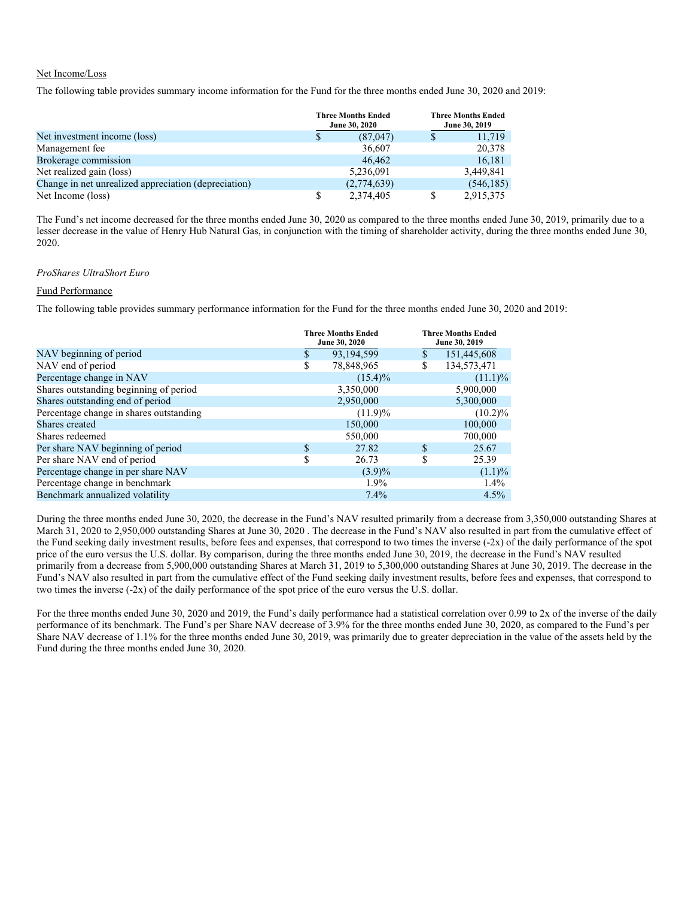The following table provides summary income information for the Fund for the three months ended June 30, 2020 and 2019:

|                                                      | <b>Three Months Ended</b><br>June 30, 2020 |   | <b>Three Months Ended</b><br>June 30, 2019 |
|------------------------------------------------------|--------------------------------------------|---|--------------------------------------------|
| Net investment income (loss)                         | \$<br>(87,047)                             | S | 11,719                                     |
| Management fee                                       | 36,607                                     |   | 20,378                                     |
| Brokerage commission                                 | 46.462                                     |   | 16,181                                     |
| Net realized gain (loss)                             | 5,236,091                                  |   | 3,449,841                                  |
| Change in net unrealized appreciation (depreciation) | (2,774,639)                                |   | (546, 185)                                 |
| Net Income (loss)                                    | \$<br>2,374,405                            |   | 2,915,375                                  |

The Fund's net income decreased for the three months ended June 30, 2020 as compared to the three months ended June 30, 2019, primarily due to a lesser decrease in the value of Henry Hub Natural Gas, in conjunction with the timing of shareholder activity, during the three months ended June 30, 2020.

## *ProShares UltraShort Euro*

#### Fund Performance

The following table provides summary performance information for the Fund for the three months ended June 30, 2020 and 2019:

|                                         | <b>Three Months Ended</b><br>June 30, 2020 |            |               | <b>Three Months Ended</b><br>June 30, 2019 |  |
|-----------------------------------------|--------------------------------------------|------------|---------------|--------------------------------------------|--|
| NAV beginning of period                 | \$                                         | 93,194,599 |               | 151,445,608                                |  |
| NAV end of period                       | \$                                         | 78,848,965 | \$            | 134,573,471                                |  |
| Percentage change in NAV                |                                            | $(15.4)\%$ |               | $(11.1)\%$                                 |  |
| Shares outstanding beginning of period  |                                            | 3,350,000  |               | 5,900,000                                  |  |
| Shares outstanding end of period        |                                            | 2,950,000  |               | 5,300,000                                  |  |
| Percentage change in shares outstanding |                                            | $(11.9)\%$ |               | $(10.2)\%$                                 |  |
| Shares created                          |                                            | 150,000    |               | 100,000                                    |  |
| Shares redeemed                         |                                            | 550,000    |               | 700,000                                    |  |
| Per share NAV beginning of period       | \$                                         | 27.82      | <sup>\$</sup> | 25.67                                      |  |
| Per share NAV end of period             | \$                                         | 26.73      | S             | 25.39                                      |  |
| Percentage change in per share NAV      |                                            | $(3.9)\%$  |               | $(1.1)\%$                                  |  |
| Percentage change in benchmark          |                                            | $1.9\%$    |               | 1.4%                                       |  |
| Benchmark annualized volatility         |                                            | $7.4\%$    |               | $4.5\%$                                    |  |

During the three months ended June 30, 2020, the decrease in the Fund's NAV resulted primarily from a decrease from 3,350,000 outstanding Shares at March 31, 2020 to 2,950,000 outstanding Shares at June 30, 2020 . The decrease in the Fund's NAV also resulted in part from the cumulative effect of the Fund seeking daily investment results, before fees and expenses, that correspond to two times the inverse (-2x) of the daily performance of the spot price of the euro versus the U.S. dollar. By comparison, during the three months ended June 30, 2019, the decrease in the Fund's NAV resulted primarily from a decrease from 5,900,000 outstanding Shares at March 31, 2019 to 5,300,000 outstanding Shares at June 30, 2019. The decrease in the Fund's NAV also resulted in part from the cumulative effect of the Fund seeking daily investment results, before fees and expenses, that correspond to two times the inverse (-2x) of the daily performance of the spot price of the euro versus the U.S. dollar.

For the three months ended June 30, 2020 and 2019, the Fund's daily performance had a statistical correlation over 0.99 to 2x of the inverse of the daily performance of its benchmark. The Fund's per Share NAV decrease of 3.9% for the three months ended June 30, 2020, as compared to the Fund's per Share NAV decrease of 1.1% for the three months ended June 30, 2019, was primarily due to greater depreciation in the value of the assets held by the Fund during the three months ended June 30, 2020.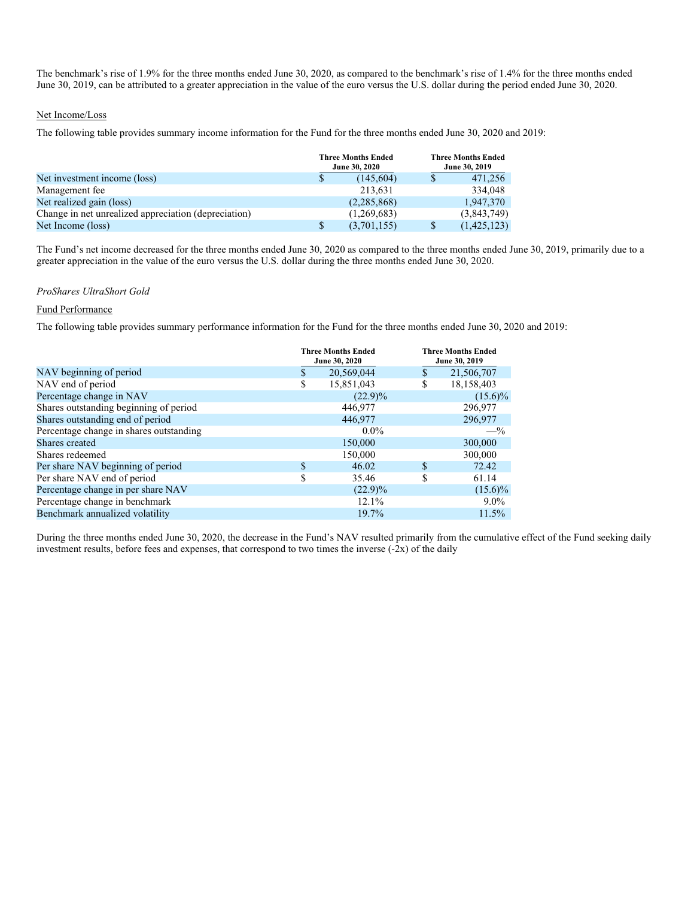The benchmark's rise of 1.9% for the three months ended June 30, 2020, as compared to the benchmark's rise of 1.4% for the three months ended June 30, 2019, can be attributed to a greater appreciation in the value of the euro versus the U.S. dollar during the period ended June 30, 2020.

## Net Income/Loss

The following table provides summary income information for the Fund for the three months ended June 30, 2020 and 2019:

|                                                      |   | <b>Three Months Ended</b><br>June 30, 2020 |    | <b>Three Months Ended</b><br>June 30, 2019 |
|------------------------------------------------------|---|--------------------------------------------|----|--------------------------------------------|
| Net investment income (loss)                         | S | (145, 604)                                 | S  | 471,256                                    |
| Management fee                                       |   | 213,631                                    |    | 334,048                                    |
| Net realized gain (loss)                             |   | (2,285,868)                                |    | 1,947,370                                  |
| Change in net unrealized appreciation (depreciation) |   | (1,269,683)                                |    | (3,843,749)                                |
| Net Income (loss)                                    | S | (3,701,155)                                | \$ | (1,425,123)                                |

The Fund's net income decreased for the three months ended June 30, 2020 as compared to the three months ended June 30, 2019, primarily due to a greater appreciation in the value of the euro versus the U.S. dollar during the three months ended June 30, 2020.

## *ProShares UltraShort Gold*

## Fund Performance

The following table provides summary performance information for the Fund for the three months ended June 30, 2020 and 2019:

|                                         | <b>Three Months Ended</b><br>June 30, 2020 |            | <b>Three Months Ended</b><br>June 30, 2019 |            |
|-----------------------------------------|--------------------------------------------|------------|--------------------------------------------|------------|
| NAV beginning of period                 | \$.                                        | 20,569,044 | \$                                         | 21,506,707 |
| NAV end of period                       | \$                                         | 15,851,043 | S                                          | 18,158,403 |
| Percentage change in NAV                |                                            | $(22.9)\%$ |                                            | $(15.6)\%$ |
| Shares outstanding beginning of period  |                                            | 446,977    |                                            | 296,977    |
| Shares outstanding end of period        |                                            | 446,977    |                                            | 296,977    |
| Percentage change in shares outstanding |                                            | $0.0\%$    |                                            | $-$ %      |
| Shares created                          |                                            | 150,000    |                                            | 300,000    |
| Shares redeemed                         |                                            | 150,000    |                                            | 300,000    |
| Per share NAV beginning of period       | \$                                         | 46.02      | \$                                         | 72.42      |
| Per share NAV end of period             | \$                                         | 35.46      | S                                          | 61.14      |
| Percentage change in per share NAV      |                                            | $(22.9)\%$ |                                            | $(15.6)\%$ |
| Percentage change in benchmark          |                                            | $12.1\%$   |                                            | $9.0\%$    |
| Benchmark annualized volatility         |                                            | 19.7%      |                                            | 11.5%      |

During the three months ended June 30, 2020, the decrease in the Fund's NAV resulted primarily from the cumulative effect of the Fund seeking daily investment results, before fees and expenses, that correspond to two times the inverse (-2x) of the daily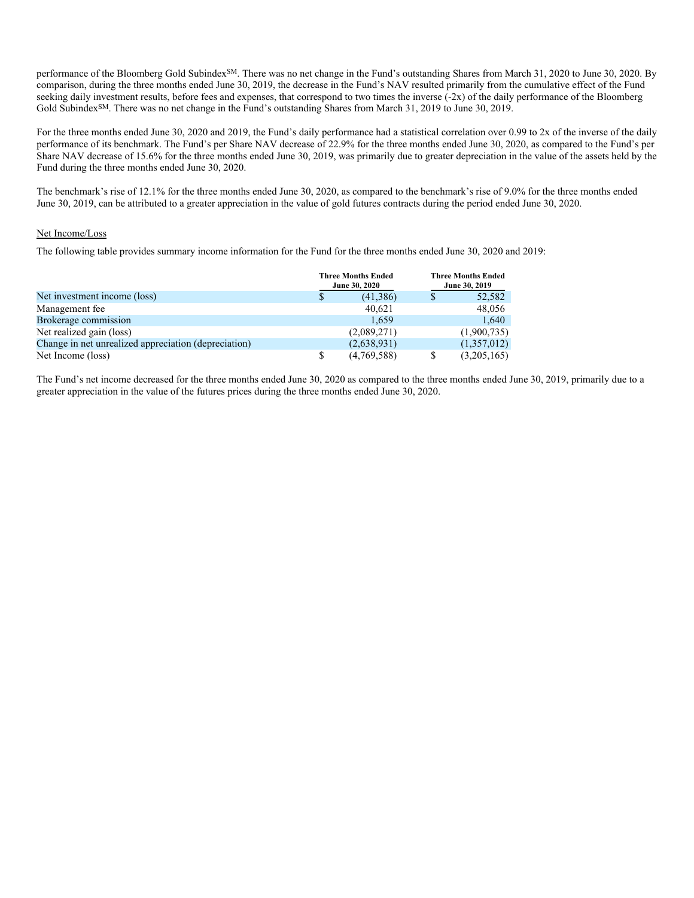performance of the Bloomberg Gold Subindex<sup>SM</sup>. There was no net change in the Fund's outstanding Shares from March 31, 2020 to June 30, 2020. By comparison, during the three months ended June 30, 2019, the decrease in the Fund's NAV resulted primarily from the cumulative effect of the Fund seeking daily investment results, before fees and expenses, that correspond to two times the inverse (-2x) of the daily performance of the Bloomberg Gold Subindex<sup>SM</sup>. There was no net change in the Fund's outstanding Shares from March 31, 2019 to June 30, 2019.

For the three months ended June 30, 2020 and 2019, the Fund's daily performance had a statistical correlation over 0.99 to 2x of the inverse of the daily performance of its benchmark. The Fund's per Share NAV decrease of 22.9% for the three months ended June 30, 2020, as compared to the Fund's per Share NAV decrease of 15.6% for the three months ended June 30, 2019, was primarily due to greater depreciation in the value of the assets held by the Fund during the three months ended June 30, 2020.

The benchmark's rise of 12.1% for the three months ended June 30, 2020, as compared to the benchmark's rise of 9.0% for the three months ended June 30, 2019, can be attributed to a greater appreciation in the value of gold futures contracts during the period ended June 30, 2020.

#### Net Income/Loss

The following table provides summary income information for the Fund for the three months ended June 30, 2020 and 2019:

|                                                      |   | <b>Three Months Ended</b><br>June 30, 2020 | <b>Three Months Ended</b><br>June 30, 2019 |             |
|------------------------------------------------------|---|--------------------------------------------|--------------------------------------------|-------------|
| Net investment income (loss)                         | S | (41,386)                                   | \$                                         | 52,582      |
| Management fee                                       |   | 40.621                                     |                                            | 48,056      |
| Brokerage commission                                 |   | 1.659                                      |                                            | 1,640       |
| Net realized gain (loss)                             |   | (2,089,271)                                |                                            | (1,900,735) |
| Change in net unrealized appreciation (depreciation) |   | (2,638,931)                                |                                            | (1,357,012) |
| Net Income (loss)                                    |   | (4,769,588)                                | \$                                         | (3,205,165) |

The Fund's net income decreased for the three months ended June 30, 2020 as compared to the three months ended June 30, 2019, primarily due to a greater appreciation in the value of the futures prices during the three months ended June 30, 2020.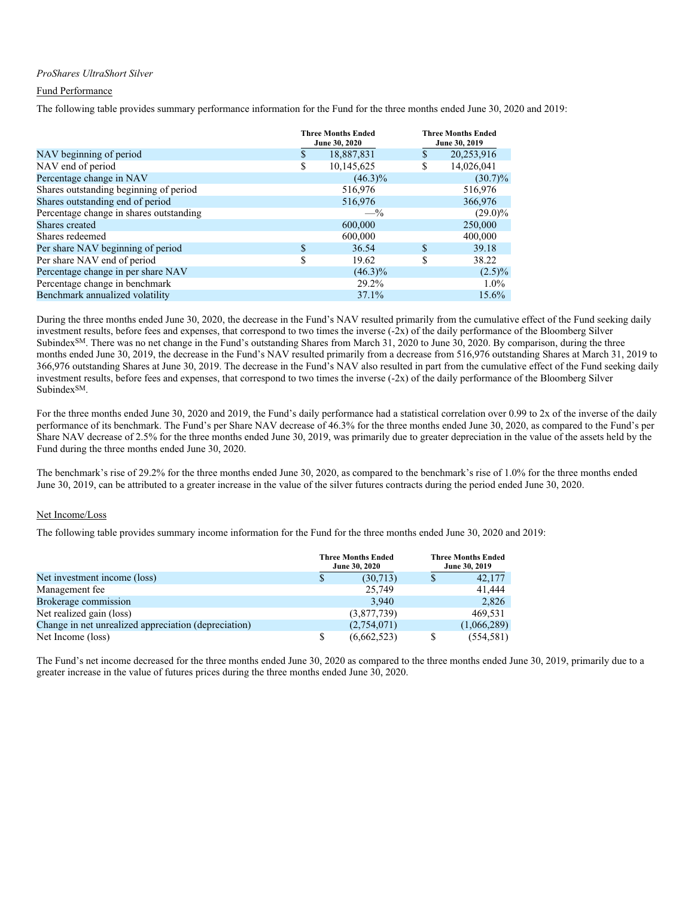## *ProShares UltraShort Silver*

## Fund Performance

The following table provides summary performance information for the Fund for the three months ended June 30, 2020 and 2019:

|                                         | <b>Three Months Ended</b><br>June 30, 2020 |            | <b>Three Months Ended</b><br>June 30, 2019 |            |
|-----------------------------------------|--------------------------------------------|------------|--------------------------------------------|------------|
| NAV beginning of period                 | \$.                                        | 18,887,831 |                                            | 20,253,916 |
| NAV end of period                       | S                                          | 10,145,625 | S                                          | 14,026,041 |
| Percentage change in NAV                |                                            | $(46.3)\%$ |                                            | $(30.7)\%$ |
| Shares outstanding beginning of period  |                                            | 516,976    |                                            | 516,976    |
| Shares outstanding end of period        |                                            | 516,976    |                                            | 366,976    |
| Percentage change in shares outstanding |                                            | $-$ %      |                                            | $(29.0)\%$ |
| Shares created                          |                                            | 600,000    |                                            | 250,000    |
| Shares redeemed                         |                                            | 600,000    |                                            | 400,000    |
| Per share NAV beginning of period       | \$                                         | 36.54      | \$.                                        | 39.18      |
| Per share NAV end of period             | S                                          | 19.62      | \$                                         | 38.22      |
| Percentage change in per share NAV      |                                            | $(46.3)\%$ |                                            | $(2.5)\%$  |
| Percentage change in benchmark          |                                            | 29.2%      |                                            | $1.0\%$    |
| Benchmark annualized volatility         |                                            | 37.1%      |                                            | 15.6%      |

During the three months ended June 30, 2020, the decrease in the Fund's NAV resulted primarily from the cumulative effect of the Fund seeking daily investment results, before fees and expenses, that correspond to two times the inverse (-2x) of the daily performance of the Bloomberg Silver Subindex<sup>SM</sup>. There was no net change in the Fund's outstanding Shares from March 31, 2020 to June 30, 2020. By comparison, during the three months ended June 30, 2019, the decrease in the Fund's NAV resulted primarily from a decrease from 516,976 outstanding Shares at March 31, 2019 to 366,976 outstanding Shares at June 30, 2019. The decrease in the Fund's NAV also resulted in part from the cumulative effect of the Fund seeking daily investment results, before fees and expenses, that correspond to two times the inverse (-2x) of the daily performance of the Bloomberg Silver SubindexSM.

For the three months ended June 30, 2020 and 2019, the Fund's daily performance had a statistical correlation over 0.99 to 2x of the inverse of the daily performance of its benchmark. The Fund's per Share NAV decrease of 46.3% for the three months ended June 30, 2020, as compared to the Fund's per Share NAV decrease of 2.5% for the three months ended June 30, 2019, was primarily due to greater depreciation in the value of the assets held by the Fund during the three months ended June 30, 2020.

The benchmark's rise of 29.2% for the three months ended June 30, 2020, as compared to the benchmark's rise of 1.0% for the three months ended June 30, 2019, can be attributed to a greater increase in the value of the silver futures contracts during the period ended June 30, 2020.

#### Net Income/Loss

The following table provides summary income information for the Fund for the three months ended June 30, 2020 and 2019:

|                                                      | <b>Three Months Ended</b><br>June 30, 2020 |   | <b>Three Months Ended</b><br>June 30, 2019 |  |
|------------------------------------------------------|--------------------------------------------|---|--------------------------------------------|--|
| Net investment income (loss)                         | (30,713)                                   | S | 42,177                                     |  |
| Management fee                                       | 25,749                                     |   | 41,444                                     |  |
| Brokerage commission                                 | 3.940                                      |   | 2,826                                      |  |
| Net realized gain (loss)                             | (3,877,739)                                |   | 469,531                                    |  |
| Change in net unrealized appreciation (depreciation) | (2,754,071)                                |   | (1,066,289)                                |  |
| Net Income (loss)                                    | (6,662,523)                                | S | (554, 581)                                 |  |

The Fund's net income decreased for the three months ended June 30, 2020 as compared to the three months ended June 30, 2019, primarily due to a greater increase in the value of futures prices during the three months ended June 30, 2020.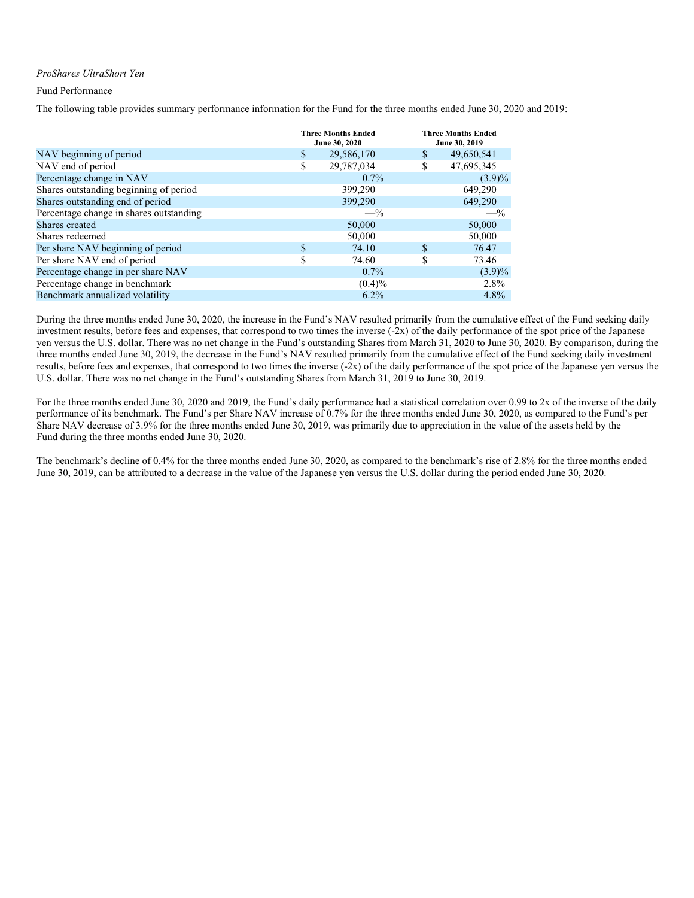## *ProShares UltraShort Yen*

### Fund Performance

The following table provides summary performance information for the Fund for the three months ended June 30, 2020 and 2019:

|                                         | <b>Three Months Ended</b><br>June 30, 2020 |            | <b>Three Months Ended</b><br>June 30, 2019 |            |  |
|-----------------------------------------|--------------------------------------------|------------|--------------------------------------------|------------|--|
| NAV beginning of period                 | \$                                         | 29,586,170 |                                            | 49,650,541 |  |
| NAV end of period                       | \$                                         | 29,787,034 | S                                          | 47,695,345 |  |
| Percentage change in NAV                |                                            | $0.7\%$    |                                            | $(3.9)\%$  |  |
| Shares outstanding beginning of period  |                                            | 399,290    |                                            | 649,290    |  |
| Shares outstanding end of period        |                                            | 399,290    |                                            | 649,290    |  |
| Percentage change in shares outstanding |                                            | $-$ %      |                                            | $-$ %      |  |
| Shares created                          |                                            | 50,000     |                                            | 50,000     |  |
| Shares redeemed                         |                                            | 50,000     |                                            | 50,000     |  |
| Per share NAV beginning of period       | \$.                                        | 74.10      | \$.                                        | 76.47      |  |
| Per share NAV end of period             | S                                          | 74.60      | S                                          | 73.46      |  |
| Percentage change in per share NAV      |                                            | $0.7\%$    |                                            | $(3.9)\%$  |  |
| Percentage change in benchmark          |                                            | $(0.4)\%$  |                                            | $2.8\%$    |  |
| Benchmark annualized volatility         |                                            | $6.2\%$    |                                            | $4.8\%$    |  |

During the three months ended June 30, 2020, the increase in the Fund's NAV resulted primarily from the cumulative effect of the Fund seeking daily investment results, before fees and expenses, that correspond to two times the inverse (-2x) of the daily performance of the spot price of the Japanese yen versus the U.S. dollar. There was no net change in the Fund's outstanding Shares from March 31, 2020 to June 30, 2020. By comparison, during the three months ended June 30, 2019, the decrease in the Fund's NAV resulted primarily from the cumulative effect of the Fund seeking daily investment results, before fees and expenses, that correspond to two times the inverse  $(-2x)$  of the daily performance of the spot price of the Japanese yen versus the U.S. dollar. There was no net change in the Fund's outstanding Shares from March 31, 2019 to June 30, 2019.

For the three months ended June 30, 2020 and 2019, the Fund's daily performance had a statistical correlation over 0.99 to 2x of the inverse of the daily performance of its benchmark. The Fund's per Share NAV increase of 0.7% for the three months ended June 30, 2020, as compared to the Fund's per Share NAV decrease of 3.9% for the three months ended June 30, 2019, was primarily due to appreciation in the value of the assets held by the Fund during the three months ended June 30, 2020.

The benchmark's decline of 0.4% for the three months ended June 30, 2020, as compared to the benchmark's rise of 2.8% for the three months ended June 30, 2019, can be attributed to a decrease in the value of the Japanese yen versus the U.S. dollar during the period ended June 30, 2020.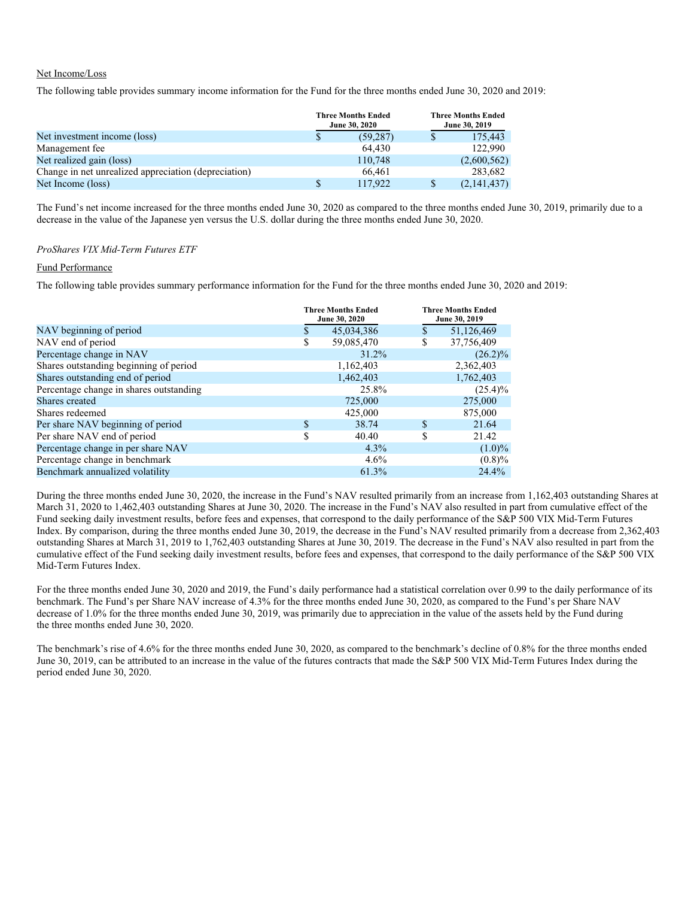The following table provides summary income information for the Fund for the three months ended June 30, 2020 and 2019:

|                                                      |    | <b>Three Months Ended</b><br>June 30, 2020 | <b>Three Months Ended</b><br>June 30, 2019 |             |  |
|------------------------------------------------------|----|--------------------------------------------|--------------------------------------------|-------------|--|
| Net investment income (loss)                         | S  | (59, 287)                                  |                                            | 175,443     |  |
| Management fee                                       |    | 64.430                                     |                                            | 122,990     |  |
| Net realized gain (loss)                             |    | 110,748                                    |                                            | (2,600,562) |  |
| Change in net unrealized appreciation (depreciation) |    | 66.461                                     |                                            | 283,682     |  |
| Net Income (loss)                                    | \$ | 117.922                                    |                                            | (2,141,437) |  |

The Fund's net income increased for the three months ended June 30, 2020 as compared to the three months ended June 30, 2019, primarily due to a decrease in the value of the Japanese yen versus the U.S. dollar during the three months ended June 30, 2020.

## *ProShares VIX Mid-Term Futures ETF*

#### Fund Performance

The following table provides summary performance information for the Fund for the three months ended June 30, 2020 and 2019:

|                                         |    | <b>Three Months Ended</b><br>June 30, 2020 |              | Three Months Ended<br>June 30, 2019 |
|-----------------------------------------|----|--------------------------------------------|--------------|-------------------------------------|
| NAV beginning of period                 | S  | 45,034,386                                 |              | 51,126,469                          |
| NAV end of period                       | \$ | 59,085,470                                 | S            | 37,756,409                          |
| Percentage change in NAV                |    | 31.2%                                      |              | $(26.2)\%$                          |
| Shares outstanding beginning of period  |    | 1,162,403                                  |              | 2,362,403                           |
| Shares outstanding end of period        |    | 1,462,403                                  |              | 1,762,403                           |
| Percentage change in shares outstanding |    | 25.8%                                      |              | $(25.4)\%$                          |
| Shares created                          |    | 725,000                                    |              | 275,000                             |
| Shares redeemed                         |    | 425,000                                    |              | 875,000                             |
| Per share NAV beginning of period       | \$ | 38.74                                      | $\mathbf{s}$ | 21.64                               |
| Per share NAV end of period             | S  | 40.40                                      | S            | 21.42                               |
| Percentage change in per share NAV      |    | $4.3\%$                                    |              | $(1.0)\%$                           |
| Percentage change in benchmark          |    | 4.6%                                       |              | $(0.8)\%$                           |
| Benchmark annualized volatility         |    | 61.3%                                      |              | 24.4%                               |

During the three months ended June 30, 2020, the increase in the Fund's NAV resulted primarily from an increase from 1,162,403 outstanding Shares at March 31, 2020 to 1,462,403 outstanding Shares at June 30, 2020. The increase in the Fund's NAV also resulted in part from cumulative effect of the Fund seeking daily investment results, before fees and expenses, that correspond to the daily performance of the S&P 500 VIX Mid-Term Futures Index. By comparison, during the three months ended June 30, 2019, the decrease in the Fund's NAV resulted primarily from a decrease from 2,362,403 outstanding Shares at March 31, 2019 to 1,762,403 outstanding Shares at June 30, 2019. The decrease in the Fund's NAV also resulted in part from the cumulative effect of the Fund seeking daily investment results, before fees and expenses, that correspond to the daily performance of the S&P 500 VIX Mid-Term Futures Index.

For the three months ended June 30, 2020 and 2019, the Fund's daily performance had a statistical correlation over 0.99 to the daily performance of its benchmark. The Fund's per Share NAV increase of 4.3% for the three months ended June 30, 2020, as compared to the Fund's per Share NAV decrease of 1.0% for the three months ended June 30, 2019, was primarily due to appreciation in the value of the assets held by the Fund during the three months ended June 30, 2020.

The benchmark's rise of 4.6% for the three months ended June 30, 2020, as compared to the benchmark's decline of 0.8% for the three months ended June 30, 2019, can be attributed to an increase in the value of the futures contracts that made the S&P 500 VIX Mid-Term Futures Index during the period ended June 30, 2020.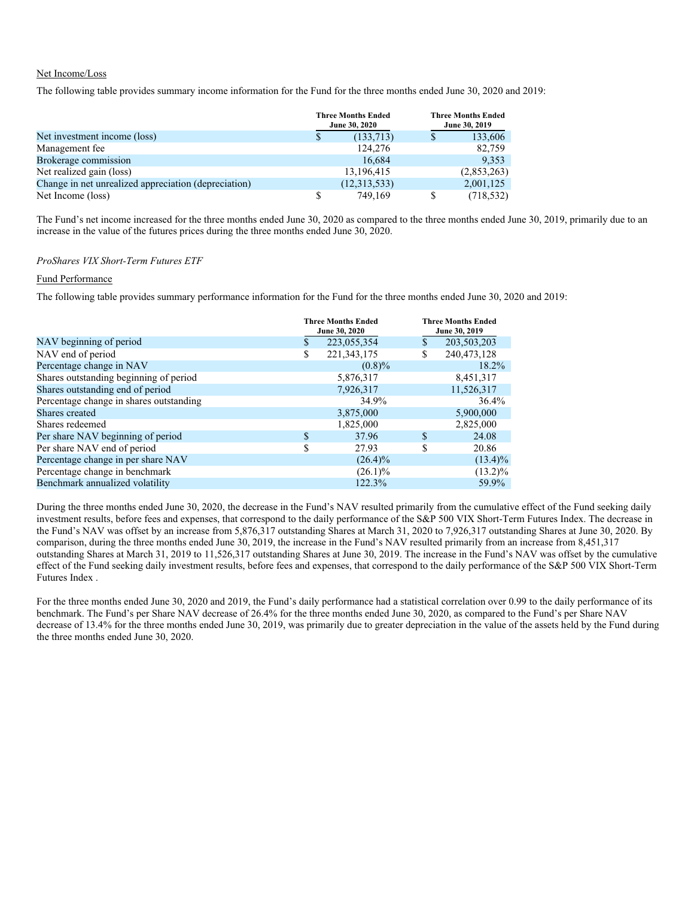The following table provides summary income information for the Fund for the three months ended June 30, 2020 and 2019:

|                                                      |    | <b>Three Months Ended</b><br>June 30, 2020 | <b>Three Months Ended</b><br>June 30, 2019 |             |
|------------------------------------------------------|----|--------------------------------------------|--------------------------------------------|-------------|
| Net investment income (loss)                         | S  | (133,713)                                  |                                            | 133,606     |
| Management fee                                       |    | 124,276                                    |                                            | 82,759      |
| Brokerage commission                                 |    | 16.684                                     |                                            | 9,353       |
| Net realized gain (loss)                             |    | 13,196,415                                 |                                            | (2,853,263) |
| Change in net unrealized appreciation (depreciation) |    | (12,313,533)                               |                                            | 2,001,125   |
| Net Income (loss)                                    | \$ | 749,169                                    |                                            | (718, 532)  |

The Fund's net income increased for the three months ended June 30, 2020 as compared to the three months ended June 30, 2019, primarily due to an increase in the value of the futures prices during the three months ended June 30, 2020.

## *ProShares VIX Short-Term Futures ETF*

## Fund Performance

The following table provides summary performance information for the Fund for the three months ended June 30, 2020 and 2019:

|                                         | <b>Three Months Ended</b><br>June 30, 2020 |               |               | <b>Three Months Ended</b><br>June 30, 2019 |  |
|-----------------------------------------|--------------------------------------------|---------------|---------------|--------------------------------------------|--|
| NAV beginning of period                 | \$                                         | 223,055,354   | \$            | 203,503,203                                |  |
| NAV end of period                       | \$                                         | 221, 343, 175 | \$            | 240, 473, 128                              |  |
| Percentage change in NAV                |                                            | $(0.8)\%$     |               | $18.2\%$                                   |  |
| Shares outstanding beginning of period  |                                            | 5,876,317     |               | 8,451,317                                  |  |
| Shares outstanding end of period        |                                            | 7,926,317     |               | 11,526,317                                 |  |
| Percentage change in shares outstanding |                                            | 34.9%         |               | 36.4%                                      |  |
| Shares created                          |                                            | 3,875,000     |               | 5,900,000                                  |  |
| Shares redeemed                         |                                            | 1,825,000     |               | 2,825,000                                  |  |
| Per share NAV beginning of period       | \$                                         | 37.96         | <sup>\$</sup> | 24.08                                      |  |
| Per share NAV end of period             | \$                                         | 27.93         | \$.           | 20.86                                      |  |
| Percentage change in per share NAV      |                                            | $(26.4)\%$    |               | $(13.4)\%$                                 |  |
| Percentage change in benchmark          |                                            | $(26.1)\%$    |               | $(13.2)\%$                                 |  |
| Benchmark annualized volatility         |                                            | 122.3%        |               | 59.9%                                      |  |

During the three months ended June 30, 2020, the decrease in the Fund's NAV resulted primarily from the cumulative effect of the Fund seeking daily investment results, before fees and expenses, that correspond to the daily performance of the S&P 500 VIX Short-Term Futures Index. The decrease in the Fund's NAV was offset by an increase from 5,876,317 outstanding Shares at March 31, 2020 to 7,926,317 outstanding Shares at June 30, 2020. By comparison, during the three months ended June 30, 2019, the increase in the Fund's NAV resulted primarily from an increase from 8,451,317 outstanding Shares at March 31, 2019 to 11,526,317 outstanding Shares at June 30, 2019. The increase in the Fund's NAV was offset by the cumulative effect of the Fund seeking daily investment results, before fees and expenses, that correspond to the daily performance of the S&P 500 VIX Short-Term Futures Index .

For the three months ended June 30, 2020 and 2019, the Fund's daily performance had a statistical correlation over 0.99 to the daily performance of its benchmark. The Fund's per Share NAV decrease of 26.4% for the three months ended June 30, 2020, as compared to the Fund's per Share NAV decrease of 13.4% for the three months ended June 30, 2019, was primarily due to greater depreciation in the value of the assets held by the Fund during the three months ended June 30, 2020.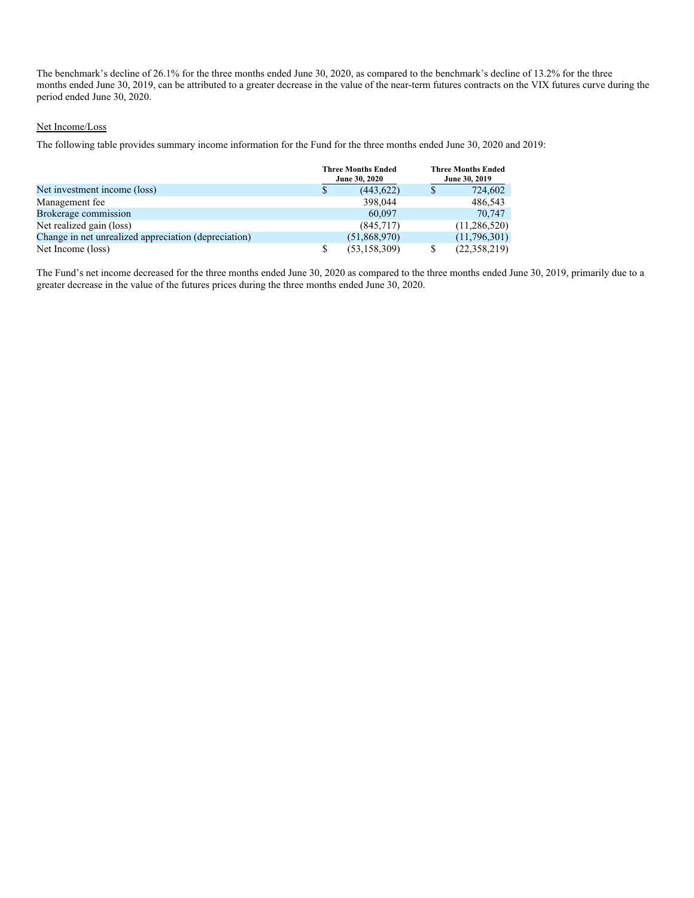The benchmark's decline of 26.1% for the three months ended June 30, 2020, as compared to the benchmark's decline of 13.2% for the three months ended June 30, 2019, can be attributed to a greater decrease in the value of the near-term futures contracts on the VIX futures curve during the period ended June 30, 2020.

## Net Income/Loss

The following table provides summary income information for the Fund for the three months ended June 30, 2020 and 2019:

|                                                      | <b>Three Months Ended</b><br>June 30, 2020 |   | <b>Three Months Ended</b><br>June 30, 2019 |  |
|------------------------------------------------------|--------------------------------------------|---|--------------------------------------------|--|
| Net investment income (loss)                         | (443, 622)                                 | S | 724,602                                    |  |
| Management fee                                       | 398,044                                    |   | 486,543                                    |  |
| Brokerage commission                                 | 60,097                                     |   | 70.747                                     |  |
| Net realized gain (loss)                             | (845,717)                                  |   | (11,286,520)                               |  |
| Change in net unrealized appreciation (depreciation) | (51,868,970)                               |   | (11,796,301)                               |  |
| Net Income (loss)                                    | (53, 158, 309)                             |   | (22,358,219)                               |  |

The Fund's net income decreased for the three months ended June 30, 2020 as compared to the three months ended June 30, 2019, primarily due to a greater decrease in the value of the futures prices during the three months ended June 30, 2020.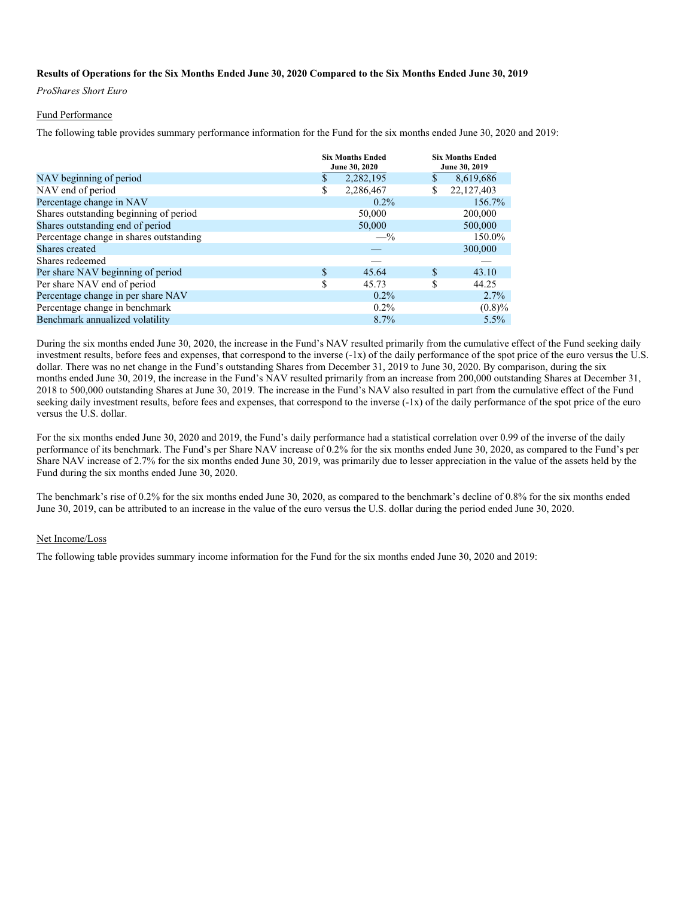## **Results of Operations for the Six Months Ended June 30, 2020 Compared to the Six Months Ended June 30, 2019**

*ProShares Short Euro* 

# Fund Performance

The following table provides summary performance information for the Fund for the six months ended June 30, 2020 and 2019:

|                                         | <b>Six Months Ended</b><br>June 30, 2020 |           | <b>Six Months Ended</b><br>June 30, 2019 |            |
|-----------------------------------------|------------------------------------------|-----------|------------------------------------------|------------|
| NAV beginning of period                 | \$                                       | 2,282,195 | S                                        | 8,619,686  |
| NAV end of period                       | \$                                       | 2,286,467 | S                                        | 22,127,403 |
| Percentage change in NAV                |                                          | $0.2\%$   |                                          | 156.7%     |
| Shares outstanding beginning of period  |                                          | 50,000    |                                          | 200,000    |
| Shares outstanding end of period        |                                          | 50,000    |                                          | 500,000    |
| Percentage change in shares outstanding |                                          | $-$ %     |                                          | 150.0%     |
| Shares created                          |                                          |           |                                          | 300,000    |
| Shares redeemed                         |                                          |           |                                          |            |
| Per share NAV beginning of period       | \$                                       | 45.64     | \$                                       | 43.10      |
| Per share NAV end of period             | \$                                       | 45.73     | S                                        | 44.25      |
| Percentage change in per share NAV      |                                          | $0.2\%$   |                                          | $2.7\%$    |
| Percentage change in benchmark          |                                          | $0.2\%$   |                                          | $(0.8)\%$  |
| Benchmark annualized volatility         |                                          | $8.7\%$   |                                          | $5.5\%$    |

During the six months ended June 30, 2020, the increase in the Fund's NAV resulted primarily from the cumulative effect of the Fund seeking daily investment results, before fees and expenses, that correspond to the inverse (-1x) of the daily performance of the spot price of the euro versus the U.S. dollar. There was no net change in the Fund's outstanding Shares from December 31, 2019 to June 30, 2020. By comparison, during the six months ended June 30, 2019, the increase in the Fund's NAV resulted primarily from an increase from 200,000 outstanding Shares at December 31, 2018 to 500,000 outstanding Shares at June 30, 2019. The increase in the Fund's NAV also resulted in part from the cumulative effect of the Fund seeking daily investment results, before fees and expenses, that correspond to the inverse  $(-1x)$  of the daily performance of the spot price of the euro versus the U.S. dollar.

For the six months ended June 30, 2020 and 2019, the Fund's daily performance had a statistical correlation over 0.99 of the inverse of the daily performance of its benchmark. The Fund's per Share NAV increase of 0.2% for the six months ended June 30, 2020, as compared to the Fund's per Share NAV increase of 2.7% for the six months ended June 30, 2019, was primarily due to lesser appreciation in the value of the assets held by the Fund during the six months ended June 30, 2020.

The benchmark's rise of 0.2% for the six months ended June 30, 2020, as compared to the benchmark's decline of 0.8% for the six months ended June 30, 2019, can be attributed to an increase in the value of the euro versus the U.S. dollar during the period ended June 30, 2020.

#### Net Income/Loss

The following table provides summary income information for the Fund for the six months ended June 30, 2020 and 2019: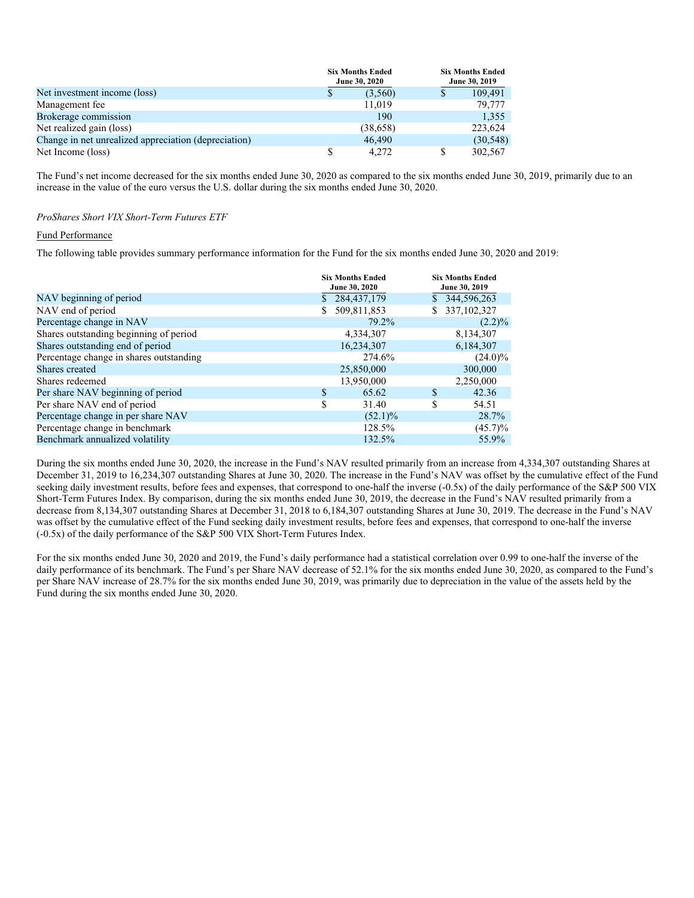|                                                      |   | <b>Six Months Ended</b><br>June 30, 2020 |   | <b>Six Months Ended</b><br>June 30, 2019 |  |
|------------------------------------------------------|---|------------------------------------------|---|------------------------------------------|--|
| Net investment income (loss)                         | S | (3,560)                                  | S | 109.491                                  |  |
| Management fee                                       |   | 11.019                                   |   | 79.777                                   |  |
| Brokerage commission                                 |   | 190                                      |   | 1,355                                    |  |
| Net realized gain (loss)                             |   | (38,658)                                 |   | 223.624                                  |  |
| Change in net unrealized appreciation (depreciation) |   | 46,490                                   |   | (30, 548)                                |  |
| Net Income (loss)                                    | S | 4.272                                    |   | 302,567                                  |  |

The Fund's net income decreased for the six months ended June 30, 2020 as compared to the six months ended June 30, 2019, primarily due to an increase in the value of the euro versus the U.S. dollar during the six months ended June 30, 2020.

#### *ProShares Short VIX Short-Term Futures ETF*

#### Fund Performance

The following table provides summary performance information for the Fund for the six months ended June 30, 2020 and 2019:

|                                         |            | <b>Six Months Ended</b><br>June 30, 2020 | <b>Six Months Ended</b><br>June 30, 2019 |               |  |
|-----------------------------------------|------------|------------------------------------------|------------------------------------------|---------------|--|
| NAV beginning of period                 |            | \$284,437,179                            |                                          | 344,596,263   |  |
| NAV end of period                       |            | 509,811,853                              | S.                                       | 337, 102, 327 |  |
| Percentage change in NAV                |            | 79.2%                                    |                                          | $(2.2)\%$     |  |
| Shares outstanding beginning of period  |            | 4,334,307                                |                                          | 8,134,307     |  |
| Shares outstanding end of period        | 16,234,307 |                                          |                                          | 6,184,307     |  |
| Percentage change in shares outstanding |            | 274.6%                                   |                                          | $(24.0)\%$    |  |
| Shares created                          |            | 25,850,000                               |                                          | 300,000       |  |
| Shares redeemed                         |            | 13,950,000                               |                                          | 2,250,000     |  |
| Per share NAV beginning of period       | \$         | 65.62                                    | \$                                       | 42.36         |  |
| Per share NAV end of period             | S          | 31.40                                    | S                                        | 54.51         |  |
| Percentage change in per share NAV      |            | $(52.1)\%$                               |                                          | 28.7%         |  |
| Percentage change in benchmark          |            | 128.5%                                   |                                          | $(45.7)\%$    |  |
| Benchmark annualized volatility         |            | 132.5%                                   |                                          | 55.9%         |  |

During the six months ended June 30, 2020, the increase in the Fund's NAV resulted primarily from an increase from 4,334,307 outstanding Shares at December 31, 2019 to 16,234,307 outstanding Shares at June 30, 2020. The increase in the Fund's NAV was offset by the cumulative effect of the Fund seeking daily investment results, before fees and expenses, that correspond to one-half the inverse (-0.5x) of the daily performance of the S&P 500 VIX Short-Term Futures Index. By comparison, during the six months ended June 30, 2019, the decrease in the Fund's NAV resulted primarily from a decrease from 8,134,307 outstanding Shares at December 31, 2018 to 6,184,307 outstanding Shares at June 30, 2019. The decrease in the Fund's NAV was offset by the cumulative effect of the Fund seeking daily investment results, before fees and expenses, that correspond to one-half the inverse (-0.5x) of the daily performance of the S&P 500 VIX Short-Term Futures Index.

For the six months ended June 30, 2020 and 2019, the Fund's daily performance had a statistical correlation over 0.99 to one-half the inverse of the daily performance of its benchmark. The Fund's per Share NAV decrease of 52.1% for the six months ended June 30, 2020, as compared to the Fund's per Share NAV increase of 28.7% for the six months ended June 30, 2019, was primarily due to depreciation in the value of the assets held by the Fund during the six months ended June 30, 2020.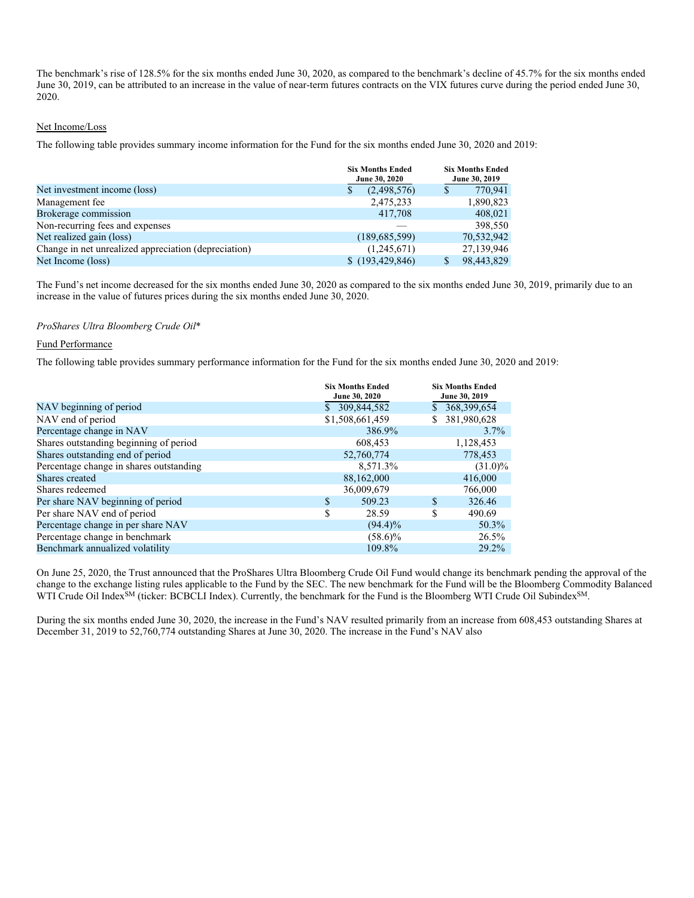The benchmark's rise of 128.5% for the six months ended June 30, 2020, as compared to the benchmark's decline of 45.7% for the six months ended June 30, 2019, can be attributed to an increase in the value of near-term futures contracts on the VIX futures curve during the period ended June 30, 2020.

## Net Income/Loss

The following table provides summary income information for the Fund for the six months ended June 30, 2020 and 2019:

|                                                      | <b>Six Months Ended</b><br>June 30, 2020 | <b>Six Months Ended</b><br>June 30, 2019 |
|------------------------------------------------------|------------------------------------------|------------------------------------------|
| Net investment income (loss)                         | (2,498,576)<br>S.                        | 770.941<br>S                             |
| Management fee                                       | 2,475,233                                | 1,890,823                                |
| Brokerage commission                                 | 417,708                                  | 408,021                                  |
| Non-recurring fees and expenses                      |                                          | 398,550                                  |
| Net realized gain (loss)                             | (189, 685, 599)                          | 70,532,942                               |
| Change in net unrealized appreciation (depreciation) | (1,245,671)                              | 27,139,946                               |
| Net Income (loss)                                    | (193, 429, 846)                          | 98,443,829                               |

The Fund's net income decreased for the six months ended June 30, 2020 as compared to the six months ended June 30, 2019, primarily due to an increase in the value of futures prices during the six months ended June 30, 2020.

## *ProShares Ultra Bloomberg Crude Oil*\*

# Fund Performance

The following table provides summary performance information for the Fund for the six months ended June 30, 2020 and 2019:

|                                         |     | <b>Six Months Ended</b><br>June 30, 2020 | <b>Six Months Ended</b><br>June 30, 2019 |                |  |  |
|-----------------------------------------|-----|------------------------------------------|------------------------------------------|----------------|--|--|
| NAV beginning of period                 |     | \$ 309,844,582                           |                                          | \$ 368,399,654 |  |  |
| NAV end of period                       |     | \$1,508,661,459                          |                                          | 381,980,628    |  |  |
| Percentage change in NAV                |     | 386.9%                                   | $3.7\%$                                  |                |  |  |
| Shares outstanding beginning of period  |     | 608,453                                  | 1,128,453                                |                |  |  |
| Shares outstanding end of period        |     | 52,760,774                               |                                          | 778,453        |  |  |
| Percentage change in shares outstanding |     | 8,571.3%                                 |                                          | $(31.0)\%$     |  |  |
| Shares created                          |     | 88,162,000                               |                                          | 416,000        |  |  |
| Shares redeemed                         |     | 36,009,679                               |                                          | 766,000        |  |  |
| Per share NAV beginning of period       | \$. | 509.23                                   | \$.                                      | 326.46         |  |  |
| Per share NAV end of period             | S   | 28.59                                    | \$.                                      | 490.69         |  |  |
| Percentage change in per share NAV      |     | $(94.4)\%$                               |                                          | 50.3%          |  |  |
| Percentage change in benchmark          |     | $(58.6)\%$                               |                                          | 26.5%          |  |  |
| Benchmark annualized volatility         |     | 109.8%<br>$29.2\%$                       |                                          |                |  |  |

On June 25, 2020, the Trust announced that the ProShares Ultra Bloomberg Crude Oil Fund would change its benchmark pending the approval of the change to the exchange listing rules applicable to the Fund by the SEC. The new benchmark for the Fund will be the Bloomberg Commodity Balanced WTI Crude Oil Index<sup>SM</sup> (ticker: BCBCLI Index). Currently, the benchmark for the Fund is the Bloomberg WTI Crude Oil Subindex<sup>SM</sup>.

During the six months ended June 30, 2020, the increase in the Fund's NAV resulted primarily from an increase from 608,453 outstanding Shares at December 31, 2019 to 52,760,774 outstanding Shares at June 30, 2020. The increase in the Fund's NAV also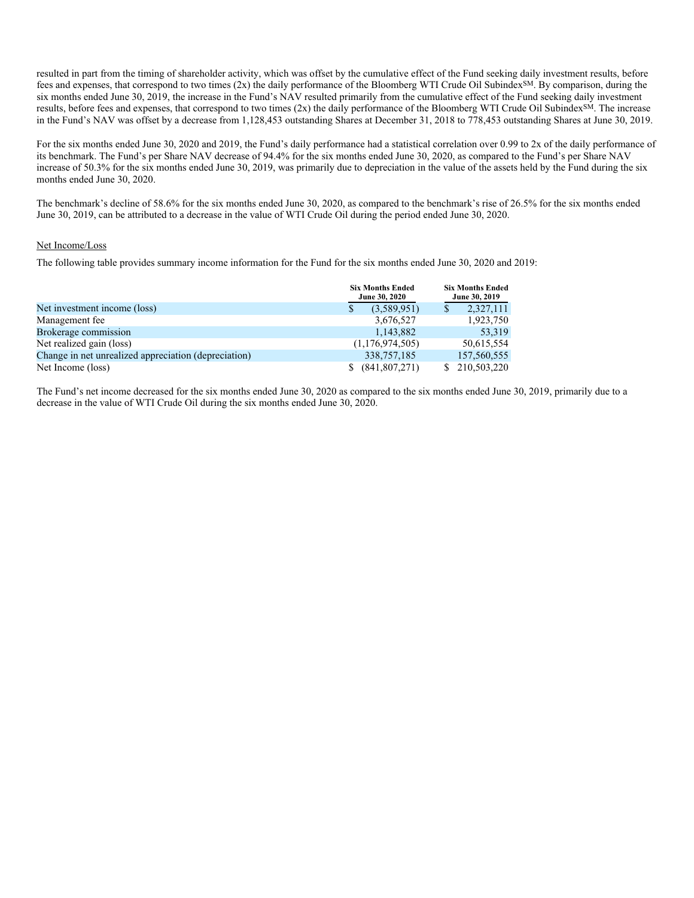resulted in part from the timing of shareholder activity, which was offset by the cumulative effect of the Fund seeking daily investment results, before fees and expenses, that correspond to two times (2x) the daily performance of the Bloomberg WTI Crude Oil Subindex<sup>SM</sup>. By comparison, during the six months ended June 30, 2019, the increase in the Fund's NAV resulted primarily from the cumulative effect of the Fund seeking daily investment results, before fees and expenses, that correspond to two times (2x) the daily performance of the Bloomberg WTI Crude Oil Subindex<sup>SM</sup>. The increase in the Fund's NAV was offset by a decrease from 1,128,453 outstanding Shares at December 31, 2018 to 778,453 outstanding Shares at June 30, 2019.

For the six months ended June 30, 2020 and 2019, the Fund's daily performance had a statistical correlation over 0.99 to 2x of the daily performance of its benchmark. The Fund's per Share NAV decrease of 94.4% for the six months ended June 30, 2020, as compared to the Fund's per Share NAV increase of 50.3% for the six months ended June 30, 2019, was primarily due to depreciation in the value of the assets held by the Fund during the six months ended June 30, 2020.

The benchmark's decline of 58.6% for the six months ended June 30, 2020, as compared to the benchmark's rise of 26.5% for the six months ended June 30, 2019, can be attributed to a decrease in the value of WTI Crude Oil during the period ended June 30, 2020.

#### Net Income/Loss

The following table provides summary income information for the Fund for the six months ended June 30, 2020 and 2019:

|                                                      | <b>Six Months Ended</b><br><b>June 30, 2020</b> | <b>Six Months Ended</b><br>June 30, 2019 |  |  |
|------------------------------------------------------|-------------------------------------------------|------------------------------------------|--|--|
| Net investment income (loss)                         | (3,589,951)<br>S                                | 2,327,111<br>S                           |  |  |
| Management fee                                       | 3,676,527                                       | 1,923,750                                |  |  |
| Brokerage commission                                 | 1,143,882                                       | 53,319                                   |  |  |
| Net realized gain (loss)                             | (1,176,974,505)                                 | 50,615,554                               |  |  |
| Change in net unrealized appreciation (depreciation) | 338, 757, 185                                   | 157,560,555                              |  |  |
| Net Income (loss)                                    | (841, 807, 271)<br>S                            | 210,503,220<br>S.                        |  |  |

The Fund's net income decreased for the six months ended June 30, 2020 as compared to the six months ended June 30, 2019, primarily due to a decrease in the value of WTI Crude Oil during the six months ended June 30, 2020.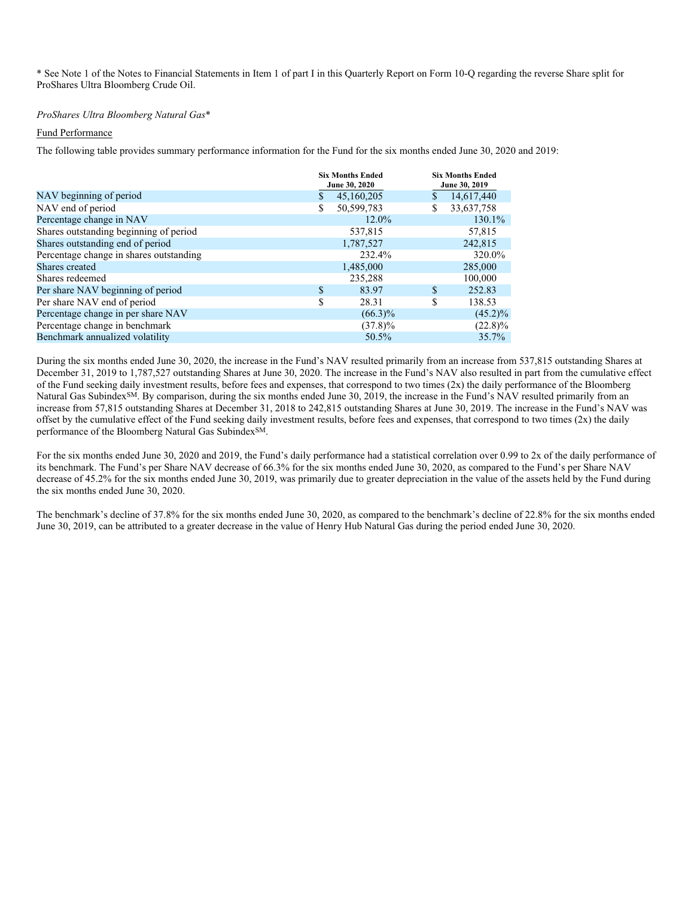\* See Note 1 of the Notes to Financial Statements in Item 1 of part I in this Quarterly Report on Form 10-Q regarding the reverse Share split for ProShares Ultra Bloomberg Crude Oil.

### *ProShares Ultra Bloomberg Natural Gas*\*

# Fund Performance

The following table provides summary performance information for the Fund for the six months ended June 30, 2020 and 2019:

|                                         |           | <b>Six Months Ended</b><br>June 30, 2020 | <b>Six Months Ended</b><br>June 30, 2019 |            |  |
|-----------------------------------------|-----------|------------------------------------------|------------------------------------------|------------|--|
| NAV beginning of period                 |           | 45,160,205                               | \$                                       | 14,617,440 |  |
| NAV end of period                       | \$        | 50,599,783                               | S                                        | 33,637,758 |  |
| Percentage change in NAV                |           | $12.0\%$                                 |                                          | $130.1\%$  |  |
| Shares outstanding beginning of period  | 537,815   |                                          |                                          | 57,815     |  |
| Shares outstanding end of period        | 1,787,527 |                                          |                                          | 242,815    |  |
| Percentage change in shares outstanding |           | 232.4%                                   |                                          | 320.0%     |  |
| Shares created                          |           | 1,485,000                                |                                          | 285,000    |  |
| Shares redeemed                         |           | 235,288                                  |                                          | 100,000    |  |
| Per share NAV beginning of period       | \$.       | 83.97                                    | \$                                       | 252.83     |  |
| Per share NAV end of period             | \$.       | 28.31                                    | S                                        | 138.53     |  |
| Percentage change in per share NAV      |           | $(66.3)\%$                               |                                          | $(45.2)\%$ |  |
| Percentage change in benchmark          |           | $(37.8)\%$                               |                                          | $(22.8)\%$ |  |
| Benchmark annualized volatility         |           | 50.5%                                    |                                          | $35.7\%$   |  |

During the six months ended June 30, 2020, the increase in the Fund's NAV resulted primarily from an increase from 537,815 outstanding Shares at December 31, 2019 to 1,787,527 outstanding Shares at June 30, 2020. The increase in the Fund's NAV also resulted in part from the cumulative effect of the Fund seeking daily investment results, before fees and expenses, that correspond to two times (2x) the daily performance of the Bloomberg Natural Gas Subindex<sup>SM</sup>. By comparison, during the six months ended June 30, 2019, the increase in the Fund's NAV resulted primarily from an increase from 57,815 outstanding Shares at December 31, 2018 to 242,815 outstanding Shares at June 30, 2019. The increase in the Fund's NAV was offset by the cumulative effect of the Fund seeking daily investment results, before fees and expenses, that correspond to two times (2x) the daily performance of the Bloomberg Natural Gas SubindexSM.

For the six months ended June 30, 2020 and 2019, the Fund's daily performance had a statistical correlation over 0.99 to 2x of the daily performance of its benchmark. The Fund's per Share NAV decrease of 66.3% for the six months ended June 30, 2020, as compared to the Fund's per Share NAV decrease of 45.2% for the six months ended June 30, 2019, was primarily due to greater depreciation in the value of the assets held by the Fund during the six months ended June 30, 2020.

The benchmark's decline of 37.8% for the six months ended June 30, 2020, as compared to the benchmark's decline of 22.8% for the six months ended June 30, 2019, can be attributed to a greater decrease in the value of Henry Hub Natural Gas during the period ended June 30, 2020.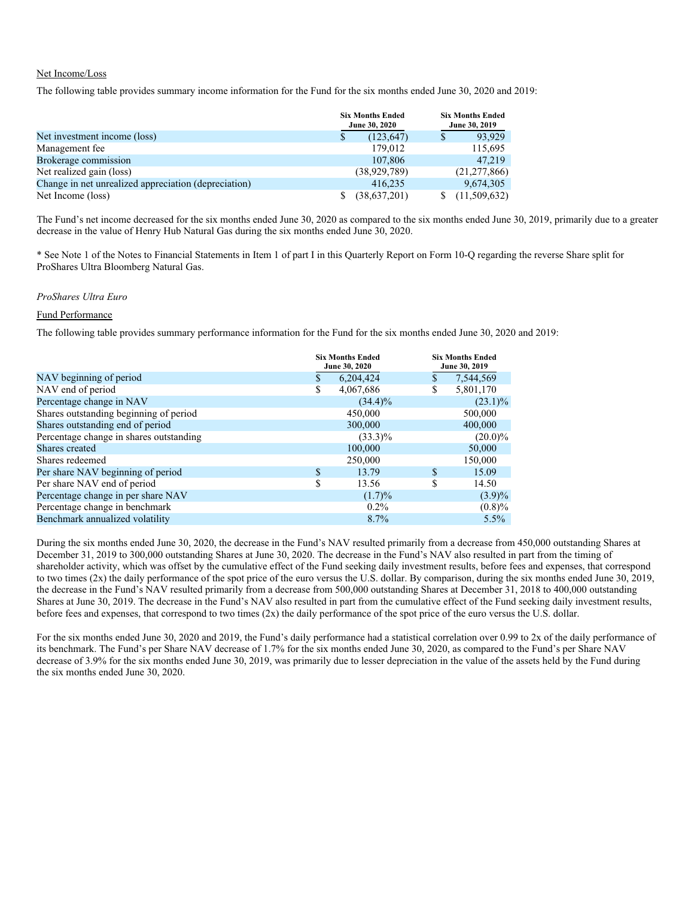The following table provides summary income information for the Fund for the six months ended June 30, 2020 and 2019:

|                                                      | <b>Six Months Ended</b><br>June 30, 2020 | <b>Six Months Ended</b><br>June 30, 2019 |
|------------------------------------------------------|------------------------------------------|------------------------------------------|
| Net investment income (loss)                         | (123, 647)<br>S                          | 93.929<br>\$                             |
| Management fee                                       | 179,012                                  | 115,695                                  |
| Brokerage commission                                 | 107,806                                  | 47.219                                   |
| Net realized gain (loss)                             | (38,929,789)                             | (21, 277, 866)                           |
| Change in net unrealized appreciation (depreciation) | 416,235                                  | 9,674,305                                |
| Net Income (loss)                                    | (38, 637, 201)                           | (11,509,632)                             |

The Fund's net income decreased for the six months ended June 30, 2020 as compared to the six months ended June 30, 2019, primarily due to a greater decrease in the value of Henry Hub Natural Gas during the six months ended June 30, 2020.

\* See Note 1 of the Notes to Financial Statements in Item 1 of part I in this Quarterly Report on Form 10-Q regarding the reverse Share split for ProShares Ultra Bloomberg Natural Gas.

## *ProShares Ultra Euro*

## Fund Performance

The following table provides summary performance information for the Fund for the six months ended June 30, 2020 and 2019:

|                                         | <b>Six Months Ended</b><br>June 30, 2020 |            | <b>Six Months Ended</b><br>June 30, 2019 |            |
|-----------------------------------------|------------------------------------------|------------|------------------------------------------|------------|
| NAV beginning of period                 | \$                                       | 6,204,424  | \$                                       | 7,544,569  |
| NAV end of period                       | \$                                       | 4,067,686  | \$                                       | 5,801,170  |
| Percentage change in NAV                |                                          | $(34.4)\%$ |                                          | $(23.1)\%$ |
| Shares outstanding beginning of period  |                                          | 450,000    |                                          | 500,000    |
| Shares outstanding end of period        |                                          | 300,000    |                                          | 400,000    |
| Percentage change in shares outstanding |                                          | $(33.3)\%$ |                                          | $(20.0)\%$ |
| Shares created                          |                                          | 100,000    |                                          | 50,000     |
| Shares redeemed                         |                                          | 250,000    |                                          | 150,000    |
| Per share NAV beginning of period       | \$                                       | 13.79      | S                                        | 15.09      |
| Per share NAV end of period             | \$                                       | 13.56      | S                                        | 14.50      |
| Percentage change in per share NAV      |                                          | $(1.7)\%$  |                                          | $(3.9)\%$  |
| Percentage change in benchmark          |                                          | $0.2\%$    |                                          | $(0.8)\%$  |
| Benchmark annualized volatility         |                                          | $8.7\%$    |                                          | $5.5\%$    |

During the six months ended June 30, 2020, the decrease in the Fund's NAV resulted primarily from a decrease from 450,000 outstanding Shares at December 31, 2019 to 300,000 outstanding Shares at June 30, 2020. The decrease in the Fund's NAV also resulted in part from the timing of shareholder activity, which was offset by the cumulative effect of the Fund seeking daily investment results, before fees and expenses, that correspond to two times (2x) the daily performance of the spot price of the euro versus the U.S. dollar. By comparison, during the six months ended June 30, 2019, the decrease in the Fund's NAV resulted primarily from a decrease from 500,000 outstanding Shares at December 31, 2018 to 400,000 outstanding Shares at June 30, 2019. The decrease in the Fund's NAV also resulted in part from the cumulative effect of the Fund seeking daily investment results, before fees and expenses, that correspond to two times (2x) the daily performance of the spot price of the euro versus the U.S. dollar.

For the six months ended June 30, 2020 and 2019, the Fund's daily performance had a statistical correlation over 0.99 to 2x of the daily performance of its benchmark. The Fund's per Share NAV decrease of 1.7% for the six months ended June 30, 2020, as compared to the Fund's per Share NAV decrease of 3.9% for the six months ended June 30, 2019, was primarily due to lesser depreciation in the value of the assets held by the Fund during the six months ended June 30, 2020.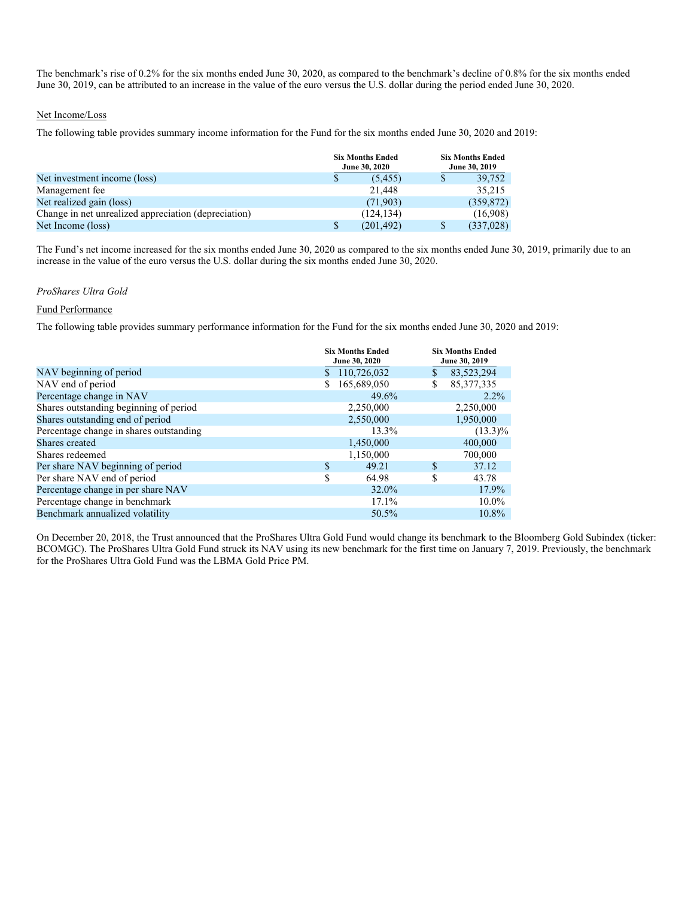The benchmark's rise of 0.2% for the six months ended June 30, 2020, as compared to the benchmark's decline of 0.8% for the six months ended June 30, 2019, can be attributed to an increase in the value of the euro versus the U.S. dollar during the period ended June 30, 2020.

## Net Income/Loss

The following table provides summary income information for the Fund for the six months ended June 30, 2020 and 2019:

|                                                      | <b>Six Months Ended</b><br><b>June 30, 2020</b> |   | <b>Six Months Ended</b><br>June 30, 2019 |  |
|------------------------------------------------------|-------------------------------------------------|---|------------------------------------------|--|
| Net investment income (loss)                         | (5, 455)                                        | S | 39,752                                   |  |
| Management fee                                       | 21.448                                          |   | 35.215                                   |  |
| Net realized gain (loss)                             | (71,903)                                        |   | (359, 872)                               |  |
| Change in net unrealized appreciation (depreciation) | (124, 134)                                      |   | (16,908)                                 |  |
| Net Income (loss)                                    | (201, 492)                                      |   | (337,028)                                |  |

The Fund's net income increased for the six months ended June 30, 2020 as compared to the six months ended June 30, 2019, primarily due to an increase in the value of the euro versus the U.S. dollar during the six months ended June 30, 2020.

## *ProShares Ultra Gold*

## Fund Performance

The following table provides summary performance information for the Fund for the six months ended June 30, 2020 and 2019:

|                                         |       | <b>Six Months Ended</b><br>June 30, 2020 | <b>Six Months Ended</b><br>June 30, 2019 |              |
|-----------------------------------------|-------|------------------------------------------|------------------------------------------|--------------|
| NAV beginning of period                 |       | \$110,726,032                            | \$                                       | 83,523,294   |
| NAV end of period                       | S     | 165,689,050                              | \$                                       | 85, 377, 335 |
| Percentage change in NAV                | 49.6% |                                          |                                          | $2.2\%$      |
| Shares outstanding beginning of period  |       | 2,250,000                                |                                          | 2,250,000    |
| Shares outstanding end of period        |       | 2,550,000                                |                                          | 1,950,000    |
| Percentage change in shares outstanding |       | 13.3%                                    |                                          | $(13.3)\%$   |
| Shares created                          |       | 1,450,000                                |                                          | 400,000      |
| Shares redeemed                         |       | 1,150,000                                |                                          | 700,000      |
| Per share NAV beginning of period       | S     | 49.21                                    | \$                                       | 37.12        |
| Per share NAV end of period             | S     | 64.98                                    | S                                        | 43.78        |
| Percentage change in per share NAV      |       | 32.0%                                    |                                          | 17.9%        |
| Percentage change in benchmark          |       | 17.1%                                    |                                          | $10.0\%$     |
| Benchmark annualized volatility         |       | 50.5%                                    |                                          | $10.8\%$     |

On December 20, 2018, the Trust announced that the ProShares Ultra Gold Fund would change its benchmark to the Bloomberg Gold Subindex (ticker: BCOMGC). The ProShares Ultra Gold Fund struck its NAV using its new benchmark for the first time on January 7, 2019. Previously, the benchmark for the ProShares Ultra Gold Fund was the LBMA Gold Price PM.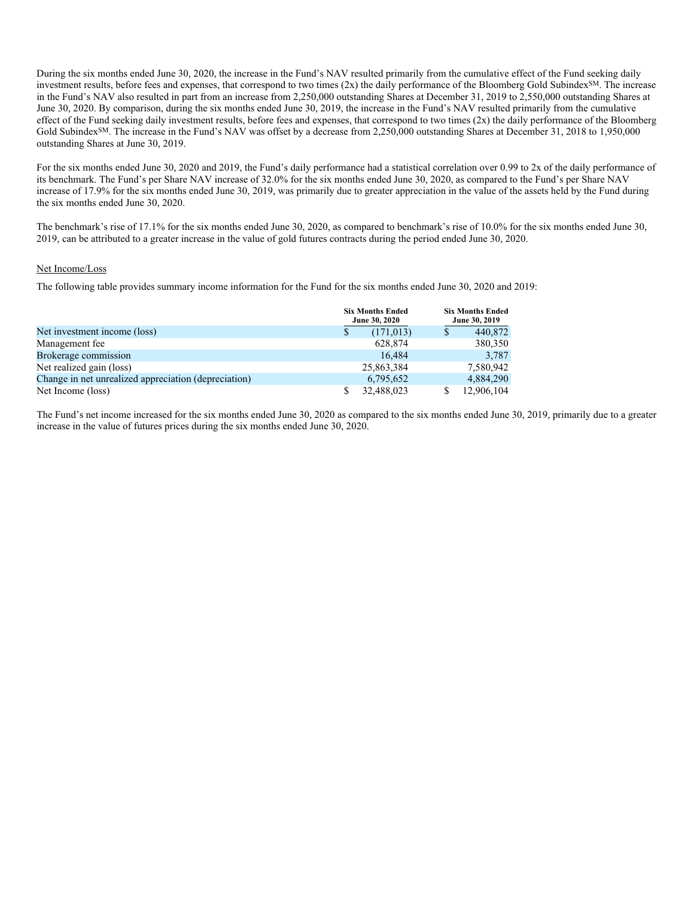During the six months ended June 30, 2020, the increase in the Fund's NAV resulted primarily from the cumulative effect of the Fund seeking daily investment results, before fees and expenses, that correspond to two times (2x) the daily performance of the Bloomberg Gold SubindexSM. The increase in the Fund's NAV also resulted in part from an increase from 2,250,000 outstanding Shares at December 31, 2019 to 2,550,000 outstanding Shares at June 30, 2020. By comparison, during the six months ended June 30, 2019, the increase in the Fund's NAV resulted primarily from the cumulative effect of the Fund seeking daily investment results, before fees and expenses, that correspond to two times  $(2x)$  the daily performance of the Bloomberg Gold Subindex<sup>SM</sup>. The increase in the Fund's NAV was offset by a decrease from 2,250,000 outstanding Shares at December 31, 2018 to 1,950,000 outstanding Shares at June 30, 2019.

For the six months ended June 30, 2020 and 2019, the Fund's daily performance had a statistical correlation over 0.99 to 2x of the daily performance of its benchmark. The Fund's per Share NAV increase of 32.0% for the six months ended June 30, 2020, as compared to the Fund's per Share NAV increase of 17.9% for the six months ended June 30, 2019, was primarily due to greater appreciation in the value of the assets held by the Fund during the six months ended June 30, 2020.

The benchmark's rise of 17.1% for the six months ended June 30, 2020, as compared to benchmark's rise of 10.0% for the six months ended June 30, 2019, can be attributed to a greater increase in the value of gold futures contracts during the period ended June 30, 2020.

#### Net Income/Loss

The following table provides summary income information for the Fund for the six months ended June 30, 2020 and 2019:

|                                                      |   | <b>Six Months Ended</b><br><b>June 30, 2020</b> |    | <b>Six Months Ended</b><br>June 30, 2019 |  |
|------------------------------------------------------|---|-------------------------------------------------|----|------------------------------------------|--|
| Net investment income (loss)                         | S | (171, 013)                                      | \$ | 440,872                                  |  |
| Management fee                                       |   | 628,874                                         |    | 380,350                                  |  |
| Brokerage commission                                 |   | 16.484                                          |    | 3,787                                    |  |
| Net realized gain (loss)                             |   | 25,863,384                                      |    | 7,580,942                                |  |
| Change in net unrealized appreciation (depreciation) |   | 6,795,652                                       |    | 4,884,290                                |  |
| Net Income (loss)                                    | S | 32,488,023                                      |    | 12,906,104                               |  |

The Fund's net income increased for the six months ended June 30, 2020 as compared to the six months ended June 30, 2019, primarily due to a greater increase in the value of futures prices during the six months ended June 30, 2020.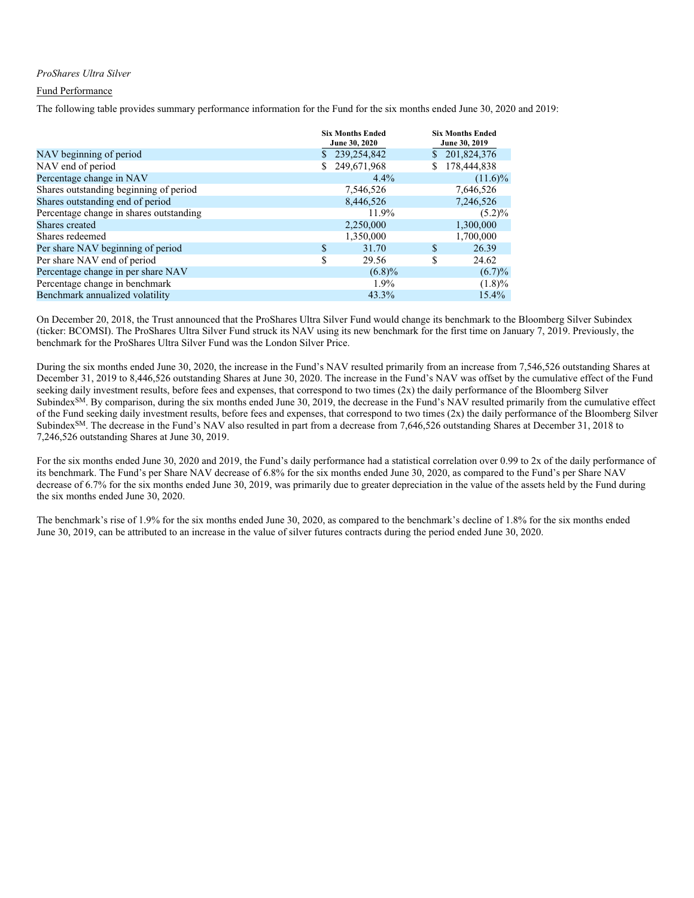## *ProShares Ultra Silver*

### Fund Performance

The following table provides summary performance information for the Fund for the six months ended June 30, 2020 and 2019:

|                                         |    | <b>Six Months Ended</b><br>June 30, 2020 |              | <b>Six Months Ended</b><br>June 30, 2019 |
|-----------------------------------------|----|------------------------------------------|--------------|------------------------------------------|
| NAV beginning of period                 |    | \$239,254,842                            | $\mathbb{S}$ | 201,824,376                              |
| NAV end of period                       |    | 249,671,968                              | \$           | 178,444,838                              |
| Percentage change in NAV                |    | $4.4\%$                                  |              | $(11.6)\%$                               |
| Shares outstanding beginning of period  |    | 7,546,526                                |              | 7,646,526                                |
| Shares outstanding end of period        |    | 8,446,526                                |              | 7,246,526                                |
| Percentage change in shares outstanding |    | 11.9%                                    |              | $(5.2)\%$                                |
| Shares created                          |    | 2,250,000                                |              | 1,300,000                                |
| Shares redeemed                         |    | 1,350,000                                |              | 1,700,000                                |
| Per share NAV beginning of period       | \$ | 31.70                                    | \$           | 26.39                                    |
| Per share NAV end of period             | S  | 29.56                                    | S            | 24.62                                    |
| Percentage change in per share NAV      |    | $(6.8)\%$                                |              | $(6.7)\%$                                |
| Percentage change in benchmark          |    | $1.9\%$                                  |              | $(1.8)\%$                                |
| Benchmark annualized volatility         |    | 43.3%                                    |              | $15.4\%$                                 |

On December 20, 2018, the Trust announced that the ProShares Ultra Silver Fund would change its benchmark to the Bloomberg Silver Subindex (ticker: BCOMSI). The ProShares Ultra Silver Fund struck its NAV using its new benchmark for the first time on January 7, 2019. Previously, the benchmark for the ProShares Ultra Silver Fund was the London Silver Price.

During the six months ended June 30, 2020, the increase in the Fund's NAV resulted primarily from an increase from 7,546,526 outstanding Shares at December 31, 2019 to 8,446,526 outstanding Shares at June 30, 2020. The increase in the Fund's NAV was offset by the cumulative effect of the Fund seeking daily investment results, before fees and expenses, that correspond to two times  $(2x)$  the daily performance of the Bloomberg Silver Subindex<sup>SM</sup>. By comparison, during the six months ended June 30, 2019, the decrease in the Fund's NAV resulted primarily from the cumulative effect of the Fund seeking daily investment results, before fees and expenses, that correspond to two times  $(2x)$  the daily performance of the Bloomberg Silver Subindex<sup>SM</sup>. The decrease in the Fund's NAV also resulted in part from a decrease from 7,646,526 outstanding Shares at December 31, 2018 to 7,246,526 outstanding Shares at June 30, 2019.

For the six months ended June 30, 2020 and 2019, the Fund's daily performance had a statistical correlation over 0.99 to 2x of the daily performance of its benchmark. The Fund's per Share NAV decrease of 6.8% for the six months ended June 30, 2020, as compared to the Fund's per Share NAV decrease of 6.7% for the six months ended June 30, 2019, was primarily due to greater depreciation in the value of the assets held by the Fund during the six months ended June 30, 2020.

The benchmark's rise of 1.9% for the six months ended June 30, 2020, as compared to the benchmark's decline of 1.8% for the six months ended June 30, 2019, can be attributed to an increase in the value of silver futures contracts during the period ended June 30, 2020.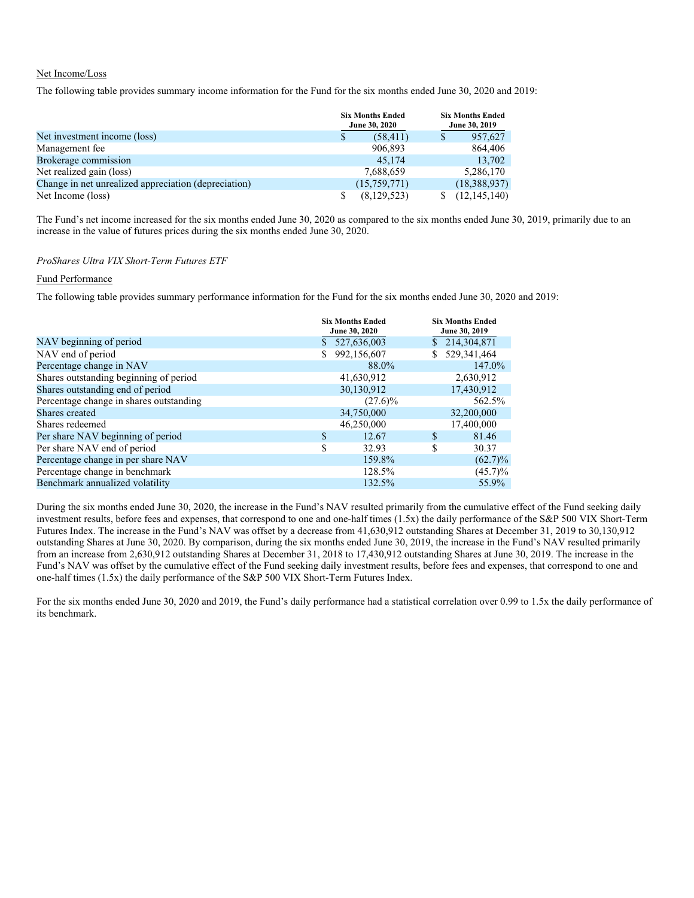The following table provides summary income information for the Fund for the six months ended June 30, 2020 and 2019:

|                                                      | <b>Six Months Ended</b><br><b>June 30, 2020</b> | <b>Six Months Ended</b><br>June 30, 2019 |  |
|------------------------------------------------------|-------------------------------------------------|------------------------------------------|--|
| Net investment income (loss)                         | (58, 411)<br>S                                  | 957,627<br><sup>\$</sup>                 |  |
| Management fee                                       | 906,893                                         | 864,406                                  |  |
| Brokerage commission                                 | 45,174                                          | 13,702                                   |  |
| Net realized gain (loss)                             | 7,688,659                                       | 5,286,170                                |  |
| Change in net unrealized appreciation (depreciation) | (15,759,771)                                    | (18,388,937)                             |  |
| Net Income (loss)                                    | S<br>(8,129,523)                                | (12, 145, 140)                           |  |

The Fund's net income increased for the six months ended June 30, 2020 as compared to the six months ended June 30, 2019, primarily due to an increase in the value of futures prices during the six months ended June 30, 2020.

## *ProShares Ultra VIX Short-Term Futures ETF*

## Fund Performance

The following table provides summary performance information for the Fund for the six months ended June 30, 2020 and 2019:

|                                         |     | <b>Six Months Ended</b><br>June 30, 2020 |     | <b>Six Months Ended</b><br>June 30, 2019 |
|-----------------------------------------|-----|------------------------------------------|-----|------------------------------------------|
| NAV beginning of period                 |     | \$527,636,003                            |     | \$214,304,871                            |
| NAV end of period                       |     | 992,156,607                              |     | 529, 341, 464                            |
| Percentage change in NAV                |     | 88.0%                                    |     | 147.0%                                   |
| Shares outstanding beginning of period  |     | 41,630,912                               |     | 2,630,912                                |
| Shares outstanding end of period        |     | 30,130,912                               |     | 17,430,912                               |
| Percentage change in shares outstanding |     | $(27.6)\%$                               |     | 562.5%                                   |
| Shares created                          |     | 34,750,000                               |     | 32,200,000                               |
| Shares redeemed                         |     | 46,250,000                               |     | 17,400,000                               |
| Per share NAV beginning of period       | \$. | 12.67                                    | \$. | 81.46                                    |
| Per share NAV end of period             | S   | 32.93                                    | S   | 30.37                                    |
| Percentage change in per share NAV      |     | 159.8%                                   |     | $(62.7)\%$                               |
| Percentage change in benchmark          |     | 128.5%                                   |     | $(45.7)\%$                               |
| Benchmark annualized volatility         |     | 132.5%                                   |     | 55.9%                                    |

During the six months ended June 30, 2020, the increase in the Fund's NAV resulted primarily from the cumulative effect of the Fund seeking daily investment results, before fees and expenses, that correspond to one and one-half times (1.5x) the daily performance of the S&P 500 VIX Short-Term Futures Index. The increase in the Fund's NAV was offset by a decrease from 41,630,912 outstanding Shares at December 31, 2019 to 30,130,912 outstanding Shares at June 30, 2020. By comparison, during the six months ended June 30, 2019, the increase in the Fund's NAV resulted primarily from an increase from 2,630,912 outstanding Shares at December 31, 2018 to 17,430,912 outstanding Shares at June 30, 2019. The increase in the Fund's NAV was offset by the cumulative effect of the Fund seeking daily investment results, before fees and expenses, that correspond to one and one-half times (1.5x) the daily performance of the S&P 500 VIX Short-Term Futures Index.

For the six months ended June 30, 2020 and 2019, the Fund's daily performance had a statistical correlation over 0.99 to 1.5x the daily performance of its benchmark.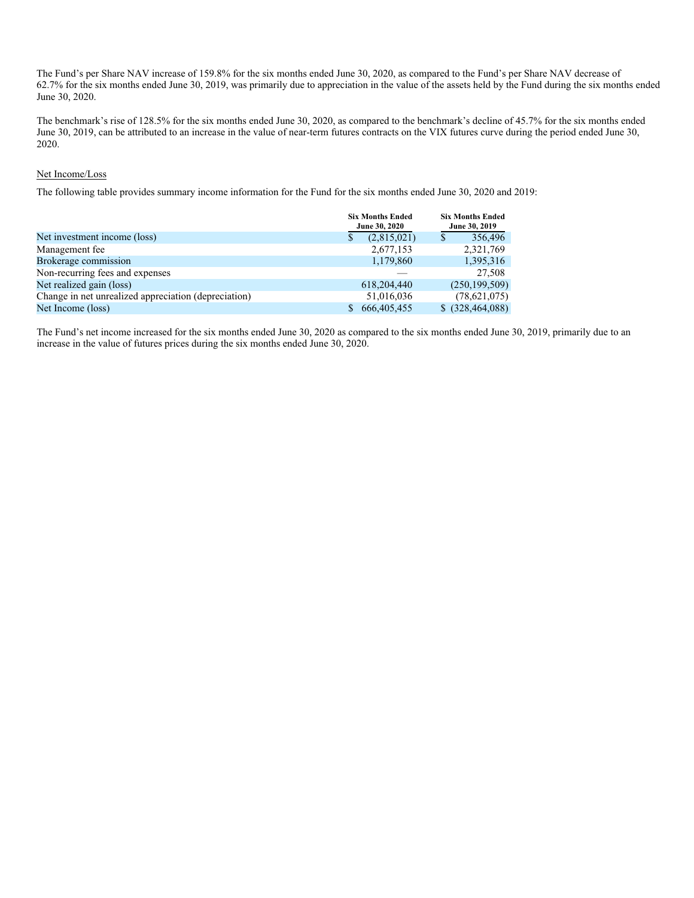The Fund's per Share NAV increase of 159.8% for the six months ended June 30, 2020, as compared to the Fund's per Share NAV decrease of 62.7% for the six months ended June 30, 2019, was primarily due to appreciation in the value of the assets held by the Fund during the six months ended June 30, 2020.

The benchmark's rise of 128.5% for the six months ended June 30, 2020, as compared to the benchmark's decline of 45.7% for the six months ended June 30, 2019, can be attributed to an increase in the value of near-term futures contracts on the VIX futures curve during the period ended June 30, 2020.

# Net Income/Loss

The following table provides summary income information for the Fund for the six months ended June 30, 2020 and 2019:

|                                                      | <b>Six Months Ended</b><br><b>June 30, 2020</b> | <b>Six Months Ended</b><br>June 30, 2019 |  |
|------------------------------------------------------|-------------------------------------------------|------------------------------------------|--|
| Net investment income (loss)                         | (2,815,021)                                     | 356,496                                  |  |
| Management fee                                       | 2,677,153                                       | 2,321,769                                |  |
| Brokerage commission                                 | 1,179,860                                       | 1,395,316                                |  |
| Non-recurring fees and expenses                      |                                                 | 27,508                                   |  |
| Net realized gain (loss)                             | 618,204,440                                     | (250, 199, 509)                          |  |
| Change in net unrealized appreciation (depreciation) | 51,016,036                                      | (78,621,075)                             |  |
| Net Income (loss)                                    | 666, 405, 455                                   | $$$ (328,464,088)                        |  |

The Fund's net income increased for the six months ended June 30, 2020 as compared to the six months ended June 30, 2019, primarily due to an increase in the value of futures prices during the six months ended June 30, 2020.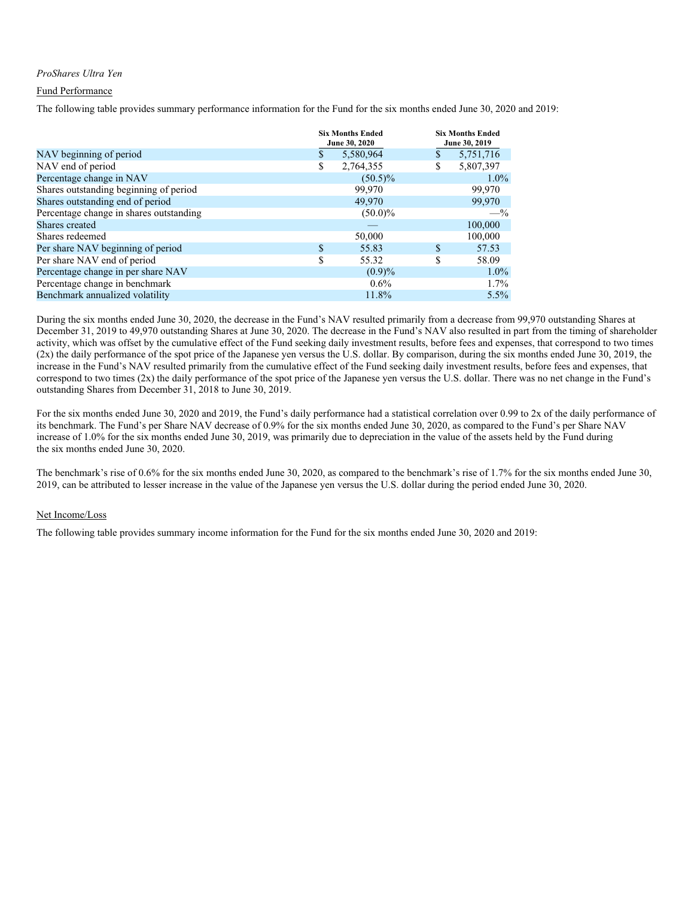## *ProShares Ultra Yen*

## Fund Performance

The following table provides summary performance information for the Fund for the six months ended June 30, 2020 and 2019:

|                                         | <b>Six Months Ended</b><br>June 30, 2020 |            | <b>Six Months Ended</b><br>June 30, 2019 |           |
|-----------------------------------------|------------------------------------------|------------|------------------------------------------|-----------|
| NAV beginning of period                 | \$                                       | 5,580,964  | \$                                       | 5,751,716 |
| NAV end of period                       | \$                                       | 2,764,355  | \$                                       | 5,807,397 |
| Percentage change in NAV                |                                          | $(50.5)\%$ |                                          | $1.0\%$   |
| Shares outstanding beginning of period  |                                          | 99,970     |                                          | 99,970    |
| Shares outstanding end of period        |                                          | 49,970     |                                          | 99,970    |
| Percentage change in shares outstanding |                                          | $(50.0)\%$ |                                          | $-$ %     |
| Shares created                          |                                          |            |                                          | 100,000   |
| Shares redeemed                         |                                          | 50,000     |                                          | 100,000   |
| Per share NAV beginning of period       | \$                                       | 55.83      | \$                                       | 57.53     |
| Per share NAV end of period             | S                                        | 55.32      | S                                        | 58.09     |
| Percentage change in per share NAV      |                                          | $(0.9)\%$  |                                          | $1.0\%$   |
| Percentage change in benchmark          |                                          | $0.6\%$    |                                          | $1.7\%$   |
| Benchmark annualized volatility         |                                          | 11.8%      |                                          | $5.5\%$   |

During the six months ended June 30, 2020, the decrease in the Fund's NAV resulted primarily from a decrease from 99,970 outstanding Shares at December 31, 2019 to 49,970 outstanding Shares at June 30, 2020. The decrease in the Fund's NAV also resulted in part from the timing of shareholder activity, which was offset by the cumulative effect of the Fund seeking daily investment results, before fees and expenses, that correspond to two times (2x) the daily performance of the spot price of the Japanese yen versus the U.S. dollar. By comparison, during the six months ended June 30, 2019, the increase in the Fund's NAV resulted primarily from the cumulative effect of the Fund seeking daily investment results, before fees and expenses, that correspond to two times (2x) the daily performance of the spot price of the Japanese yen versus the U.S. dollar. There was no net change in the Fund's outstanding Shares from December 31, 2018 to June 30, 2019.

For the six months ended June 30, 2020 and 2019, the Fund's daily performance had a statistical correlation over 0.99 to 2x of the daily performance of its benchmark. The Fund's per Share NAV decrease of 0.9% for the six months ended June 30, 2020, as compared to the Fund's per Share NAV increase of 1.0% for the six months ended June 30, 2019, was primarily due to depreciation in the value of the assets held by the Fund during the six months ended June 30, 2020.

The benchmark's rise of 0.6% for the six months ended June 30, 2020, as compared to the benchmark's rise of 1.7% for the six months ended June 30, 2019, can be attributed to lesser increase in the value of the Japanese yen versus the U.S. dollar during the period ended June 30, 2020.

### Net Income/Loss

The following table provides summary income information for the Fund for the six months ended June 30, 2020 and 2019: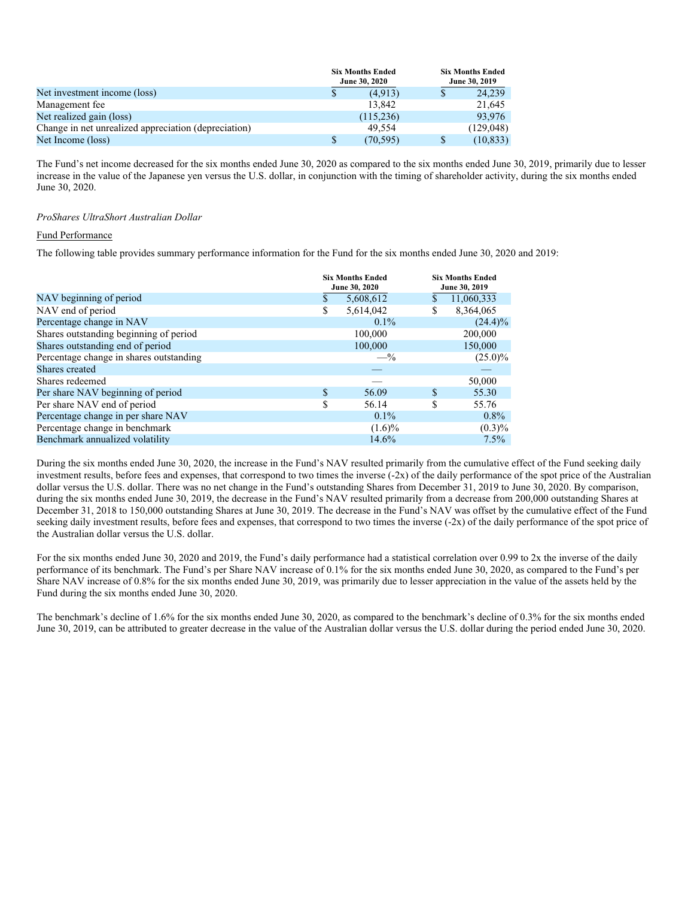|                                                      | <b>Six Months Ended</b><br>June 30, 2020 |           | <b>Six Months Ended</b><br>June 30, 2019 |           |
|------------------------------------------------------|------------------------------------------|-----------|------------------------------------------|-----------|
| Net investment income (loss)                         |                                          | (4.913)   | S                                        | 24,239    |
| Management fee                                       |                                          | 13.842    |                                          | 21,645    |
| Net realized gain (loss)                             |                                          | (115,236) |                                          | 93.976    |
| Change in net unrealized appreciation (depreciation) |                                          | 49.554    |                                          | (129.048) |
| Net Income (loss)                                    |                                          | (70, 595) |                                          | (10, 833) |

The Fund's net income decreased for the six months ended June 30, 2020 as compared to the six months ended June 30, 2019, primarily due to lesser increase in the value of the Japanese yen versus the U.S. dollar, in conjunction with the timing of shareholder activity, during the six months ended June 30, 2020.

### *ProShares UltraShort Australian Dollar*

## Fund Performance

The following table provides summary performance information for the Fund for the six months ended June 30, 2020 and 2019:

|                                         | <b>Six Months Ended</b><br>June 30, 2020 |           | <b>Six Months Ended</b><br>June 30, 2019 |            |
|-----------------------------------------|------------------------------------------|-----------|------------------------------------------|------------|
| NAV beginning of period                 |                                          | 5,608,612 | \$                                       | 11,060,333 |
| NAV end of period                       | \$                                       | 5,614,042 | \$                                       | 8,364,065  |
| Percentage change in NAV                |                                          | $0.1\%$   |                                          | $(24.4)\%$ |
| Shares outstanding beginning of period  |                                          | 100,000   |                                          | 200,000    |
| Shares outstanding end of period        |                                          | 100,000   |                                          | 150,000    |
| Percentage change in shares outstanding |                                          | $-$ %     |                                          | $(25.0)\%$ |
| Shares created                          |                                          |           |                                          |            |
| Shares redeemed                         |                                          |           |                                          | 50,000     |
| Per share NAV beginning of period       | \$                                       | 56.09     | \$                                       | 55.30      |
| Per share NAV end of period             | S                                        | 56.14     | S                                        | 55.76      |
| Percentage change in per share NAV      |                                          | $0.1\%$   |                                          | $0.8\%$    |
| Percentage change in benchmark          |                                          | $(1.6)\%$ |                                          | $(0.3)\%$  |
| Benchmark annualized volatility         |                                          | 14.6%     |                                          | $7.5\%$    |

During the six months ended June 30, 2020, the increase in the Fund's NAV resulted primarily from the cumulative effect of the Fund seeking daily investment results, before fees and expenses, that correspond to two times the inverse (-2x) of the daily performance of the spot price of the Australian dollar versus the U.S. dollar. There was no net change in the Fund's outstanding Shares from December 31, 2019 to June 30, 2020. By comparison, during the six months ended June 30, 2019, the decrease in the Fund's NAV resulted primarily from a decrease from 200,000 outstanding Shares at December 31, 2018 to 150,000 outstanding Shares at June 30, 2019. The decrease in the Fund's NAV was offset by the cumulative effect of the Fund seeking daily investment results, before fees and expenses, that correspond to two times the inverse (-2x) of the daily performance of the spot price of the Australian dollar versus the U.S. dollar.

For the six months ended June 30, 2020 and 2019, the Fund's daily performance had a statistical correlation over 0.99 to 2x the inverse of the daily performance of its benchmark. The Fund's per Share NAV increase of 0.1% for the six months ended June 30, 2020, as compared to the Fund's per Share NAV increase of 0.8% for the six months ended June 30, 2019, was primarily due to lesser appreciation in the value of the assets held by the Fund during the six months ended June 30, 2020.

The benchmark's decline of 1.6% for the six months ended June 30, 2020, as compared to the benchmark's decline of 0.3% for the six months ended June 30, 2019, can be attributed to greater decrease in the value of the Australian dollar versus the U.S. dollar during the period ended June 30, 2020.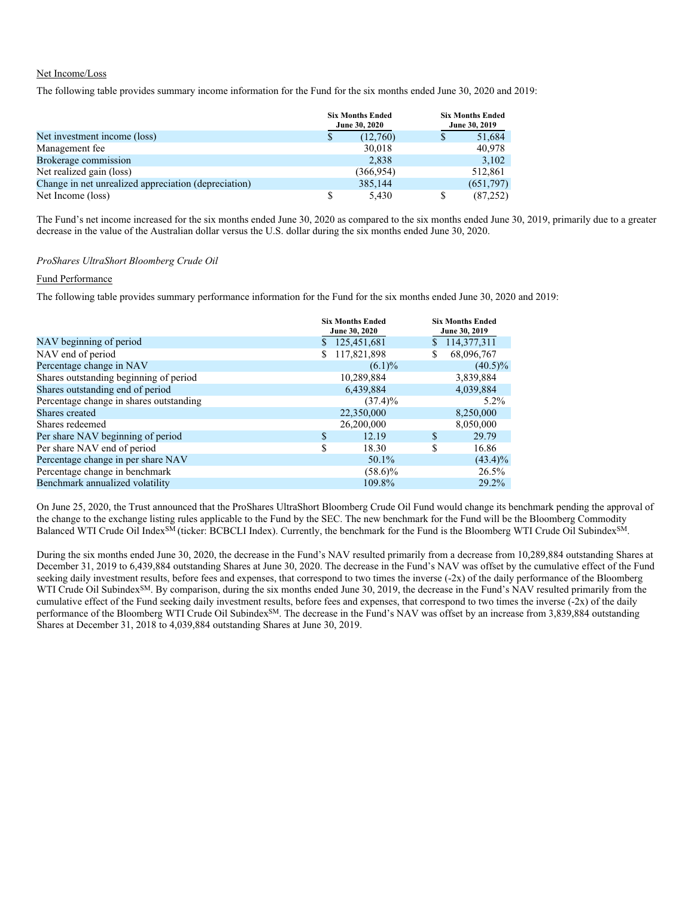## Net Income/Loss

The following table provides summary income information for the Fund for the six months ended June 30, 2020 and 2019:

|                                                      | <b>Six Months Ended</b><br>June 30, 2020 |            | <b>Six Months Ended</b><br>June 30, 2019 |           |
|------------------------------------------------------|------------------------------------------|------------|------------------------------------------|-----------|
| Net investment income (loss)                         |                                          | (12,760)   | S                                        | 51,684    |
| Management fee                                       |                                          | 30,018     |                                          | 40,978    |
| Brokerage commission                                 |                                          | 2,838      |                                          | 3,102     |
| Net realized gain (loss)                             |                                          | (366, 954) |                                          | 512.861   |
| Change in net unrealized appreciation (depreciation) |                                          | 385,144    |                                          | (651,797) |
| Net Income (loss)                                    |                                          | 5.430      |                                          | (87,252)  |

The Fund's net income increased for the six months ended June 30, 2020 as compared to the six months ended June 30, 2019, primarily due to a greater decrease in the value of the Australian dollar versus the U.S. dollar during the six months ended June 30, 2020.

## *ProShares UltraShort Bloomberg Crude Oil*

## Fund Performance

The following table provides summary performance information for the Fund for the six months ended June 30, 2020 and 2019:

|                                         | <b>Six Months Ended</b><br>June 30, 2020 |             | <b>Six Months Ended</b><br>June 30, 2019 |  |  |
|-----------------------------------------|------------------------------------------|-------------|------------------------------------------|--|--|
| NAV beginning of period                 | \$125,451,681                            |             | 114,377,311                              |  |  |
| NAV end of period                       | 117,821,898                              |             | 68,096,767                               |  |  |
| Percentage change in NAV                |                                          | $(6.1)\%$   | $(40.5)\%$                               |  |  |
| Shares outstanding beginning of period  |                                          | 10,289,884  | 3,839,884                                |  |  |
| Shares outstanding end of period        |                                          | 6,439,884   | 4,039,884                                |  |  |
| Percentage change in shares outstanding |                                          | $(37.4)\%$  | $5.2\%$                                  |  |  |
| Shares created                          | 22,350,000                               |             | 8,250,000                                |  |  |
| Shares redeemed                         |                                          | 26,200,000  | 8,050,000                                |  |  |
| Per share NAV beginning of period       | \$.                                      | 12.19<br>\$ | 29.79                                    |  |  |
| Per share NAV end of period             | S                                        | S<br>18.30  | 16.86                                    |  |  |
| Percentage change in per share NAV      |                                          | 50.1%       | $(43.4)\%$                               |  |  |
| Percentage change in benchmark          |                                          | $(58.6)\%$  | 26.5%                                    |  |  |
| Benchmark annualized volatility         |                                          | 109.8%      | $29.2\%$                                 |  |  |

On June 25, 2020, the Trust announced that the ProShares UltraShort Bloomberg Crude Oil Fund would change its benchmark pending the approval of the change to the exchange listing rules applicable to the Fund by the SEC. The new benchmark for the Fund will be the Bloomberg Commodity Balanced WTI Crude Oil Index<sup>SM</sup> (ticker: BCBCLI Index). Currently, the benchmark for the Fund is the Bloomberg WTI Crude Oil Subindex<sup>SM</sup>.

During the six months ended June 30, 2020, the decrease in the Fund's NAV resulted primarily from a decrease from 10,289,884 outstanding Shares at December 31, 2019 to 6,439,884 outstanding Shares at June 30, 2020. The decrease in the Fund's NAV was offset by the cumulative effect of the Fund seeking daily investment results, before fees and expenses, that correspond to two times the inverse (-2x) of the daily performance of the Bloomberg WTI Crude Oil Subindex<sup>SM</sup>. By comparison, during the six months ended June 30, 2019, the decrease in the Fund's NAV resulted primarily from the cumulative effect of the Fund seeking daily investment results, before fees and expenses, that correspond to two times the inverse (-2x) of the daily performance of the Bloomberg WTI Crude Oil Subindex<sup>SM</sup>. The decrease in the Fund's NAV was offset by an increase from 3,839,884 outstanding Shares at December 31, 2018 to 4,039,884 outstanding Shares at June 30, 2019.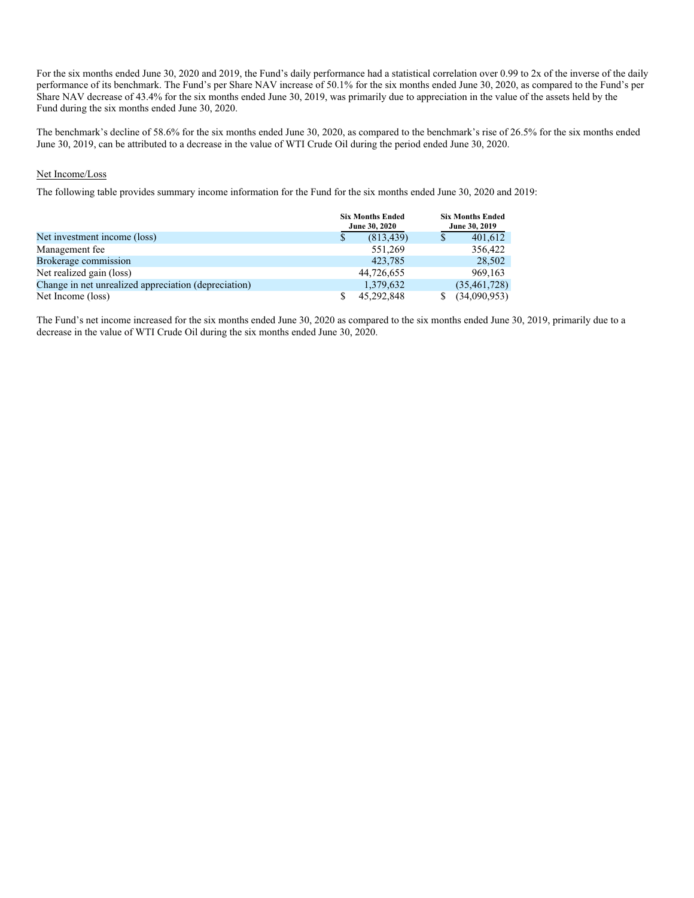For the six months ended June 30, 2020 and 2019, the Fund's daily performance had a statistical correlation over 0.99 to 2x of the inverse of the daily performance of its benchmark. The Fund's per Share NAV increase of 50.1% for the six months ended June 30, 2020, as compared to the Fund's per Share NAV decrease of 43.4% for the six months ended June 30, 2019, was primarily due to appreciation in the value of the assets held by the Fund during the six months ended June 30, 2020.

The benchmark's decline of 58.6% for the six months ended June 30, 2020, as compared to the benchmark's rise of 26.5% for the six months ended June 30, 2019, can be attributed to a decrease in the value of WTI Crude Oil during the period ended June 30, 2020.

## Net Income/Loss

The following table provides summary income information for the Fund for the six months ended June 30, 2020 and 2019:

|                                                      |   | <b>Six Months Ended</b><br>June 30, 2020 |   | <b>Six Months Ended</b><br>June 30, 2019 |
|------------------------------------------------------|---|------------------------------------------|---|------------------------------------------|
| Net investment income (loss)                         |   | (813, 439)                               | S | 401,612                                  |
| Management fee                                       |   | 551,269                                  |   | 356,422                                  |
| Brokerage commission                                 |   | 423,785                                  |   | 28,502                                   |
| Net realized gain (loss)                             |   | 44,726,655                               |   | 969.163                                  |
| Change in net unrealized appreciation (depreciation) |   | 1,379,632                                |   | (35, 461, 728)                           |
| Net Income (loss)                                    | S | 45,292,848                               |   | (34,090,953)                             |

The Fund's net income increased for the six months ended June 30, 2020 as compared to the six months ended June 30, 2019, primarily due to a decrease in the value of WTI Crude Oil during the six months ended June 30, 2020.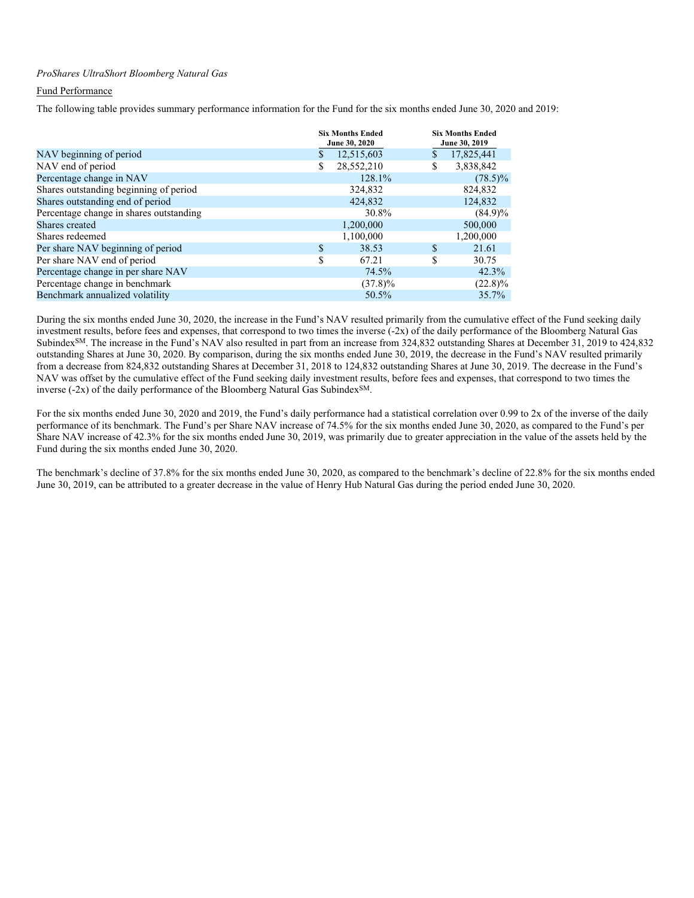## *ProShares UltraShort Bloomberg Natural Gas*

## Fund Performance

The following table provides summary performance information for the Fund for the six months ended June 30, 2020 and 2019:

|                                         | <b>Six Months Ended</b><br>June 30, 2020 |            |    | <b>Six Months Ended</b><br>June 30, 2019 |
|-----------------------------------------|------------------------------------------|------------|----|------------------------------------------|
| NAV beginning of period                 |                                          | 12,515,603 | \$ | 17,825,441                               |
| NAV end of period                       | \$.                                      | 28,552,210 | \$ | 3,838,842                                |
| Percentage change in NAV                |                                          | 128.1%     |    | $(78.5)\%$                               |
| Shares outstanding beginning of period  |                                          | 324,832    |    | 824,832                                  |
| Shares outstanding end of period        |                                          | 424,832    |    | 124,832                                  |
| Percentage change in shares outstanding |                                          | 30.8%      |    | $(84.9)\%$                               |
| Shares created                          |                                          | 1,200,000  |    | 500,000                                  |
| Shares redeemed                         |                                          | 1,100,000  |    | 1,200,000                                |
| Per share NAV beginning of period       | \$                                       | 38.53      | \$ | 21.61                                    |
| Per share NAV end of period             | \$.                                      | 67.21      | S  | 30.75                                    |
| Percentage change in per share NAV      |                                          | 74.5%      |    | 42.3%                                    |
| Percentage change in benchmark          |                                          | $(37.8)\%$ |    | $(22.8)\%$                               |
| Benchmark annualized volatility         |                                          | 50.5%      |    | $35.7\%$                                 |

During the six months ended June 30, 2020, the increase in the Fund's NAV resulted primarily from the cumulative effect of the Fund seeking daily investment results, before fees and expenses, that correspond to two times the inverse (-2x) of the daily performance of the Bloomberg Natural Gas SubindexSM. The increase in the Fund's NAV also resulted in part from an increase from 324,832 outstanding Shares at December 31, 2019 to 424,832 outstanding Shares at June 30, 2020. By comparison, during the six months ended June 30, 2019, the decrease in the Fund's NAV resulted primarily from a decrease from 824,832 outstanding Shares at December 31, 2018 to 124,832 outstanding Shares at June 30, 2019. The decrease in the Fund's NAV was offset by the cumulative effect of the Fund seeking daily investment results, before fees and expenses, that correspond to two times the inverse (-2x) of the daily performance of the Bloomberg Natural Gas SubindexSM.

For the six months ended June 30, 2020 and 2019, the Fund's daily performance had a statistical correlation over 0.99 to 2x of the inverse of the daily performance of its benchmark. The Fund's per Share NAV increase of 74.5% for the six months ended June 30, 2020, as compared to the Fund's per Share NAV increase of 42.3% for the six months ended June 30, 2019, was primarily due to greater appreciation in the value of the assets held by the Fund during the six months ended June 30, 2020.

The benchmark's decline of 37.8% for the six months ended June 30, 2020, as compared to the benchmark's decline of 22.8% for the six months ended June 30, 2019, can be attributed to a greater decrease in the value of Henry Hub Natural Gas during the period ended June 30, 2020.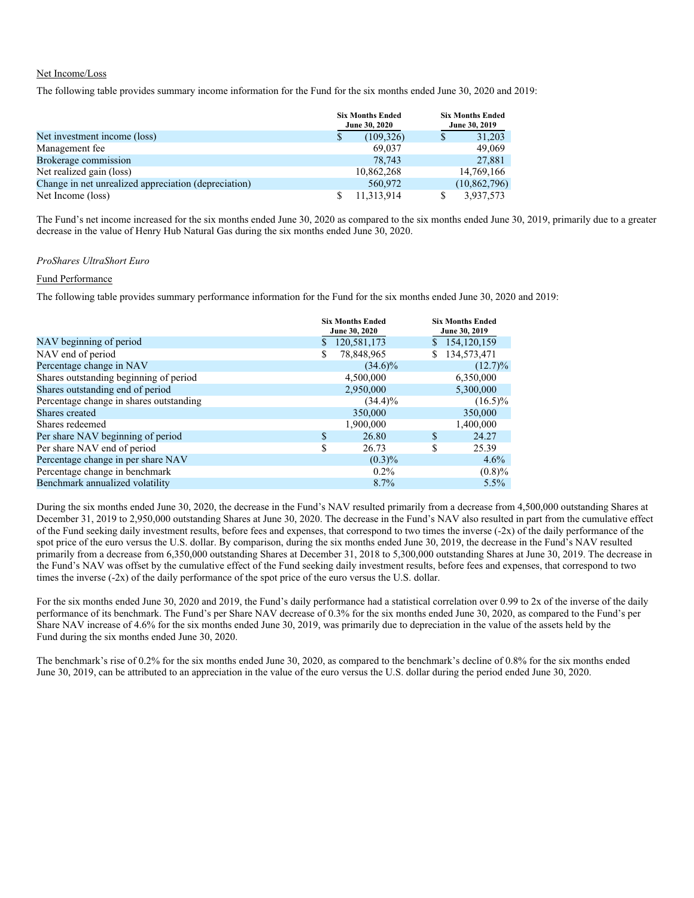## Net Income/Loss

The following table provides summary income information for the Fund for the six months ended June 30, 2020 and 2019:

|                                                      | <b>Six Months Ended</b><br>June 30, 2020 |            |   | <b>Six Months Ended</b><br>June 30, 2019 |
|------------------------------------------------------|------------------------------------------|------------|---|------------------------------------------|
| Net investment income (loss)                         |                                          | (109, 326) | S | 31,203                                   |
| Management fee                                       |                                          | 69.037     |   | 49,069                                   |
| Brokerage commission                                 |                                          | 78.743     |   | 27,881                                   |
| Net realized gain (loss)                             |                                          | 10,862,268 |   | 14,769,166                               |
| Change in net unrealized appreciation (depreciation) |                                          | 560,972    |   | (10, 862, 796)                           |
| Net Income (loss)                                    |                                          | 11,313,914 |   | 3,937,573                                |

The Fund's net income increased for the six months ended June 30, 2020 as compared to the six months ended June 30, 2019, primarily due to a greater decrease in the value of Henry Hub Natural Gas during the six months ended June 30, 2020.

### *ProShares UltraShort Euro*

## Fund Performance

The following table provides summary performance information for the Fund for the six months ended June 30, 2020 and 2019:

|                                         | <b>Six Months Ended</b><br>June 30, 2020 | <b>Six Months Ended</b><br>June 30, 2019 |
|-----------------------------------------|------------------------------------------|------------------------------------------|
| NAV beginning of period                 | 120,581,173                              | 154,120,159                              |
| NAV end of period                       | 78,848,965                               | 134,573,471                              |
| Percentage change in NAV                | $(34.6)\%$                               | $(12.7)\%$                               |
| Shares outstanding beginning of period  | 4,500,000                                | 6,350,000                                |
| Shares outstanding end of period        | 2,950,000                                | 5,300,000                                |
| Percentage change in shares outstanding | $(34.4)\%$                               | $(16.5)\%$                               |
| Shares created                          | 350,000                                  | 350,000                                  |
| Shares redeemed                         | 1,900,000                                | 1,400,000                                |
| Per share NAV beginning of period       | S<br>26.80                               | \$<br>24.27                              |
| Per share NAV end of period             | S<br>26.73                               | \$<br>25.39                              |
| Percentage change in per share NAV      | $(0.3)\%$                                | $4.6\%$                                  |
| Percentage change in benchmark          | $0.2\%$                                  | $(0.8)\%$                                |
| Benchmark annualized volatility         | $8.7\%$                                  | 5.5%                                     |

During the six months ended June 30, 2020, the decrease in the Fund's NAV resulted primarily from a decrease from 4,500,000 outstanding Shares at December 31, 2019 to 2,950,000 outstanding Shares at June 30, 2020. The decrease in the Fund's NAV also resulted in part from the cumulative effect of the Fund seeking daily investment results, before fees and expenses, that correspond to two times the inverse (-2x) of the daily performance of the spot price of the euro versus the U.S. dollar. By comparison, during the six months ended June 30, 2019, the decrease in the Fund's NAV resulted primarily from a decrease from 6,350,000 outstanding Shares at December 31, 2018 to 5,300,000 outstanding Shares at June 30, 2019. The decrease in the Fund's NAV was offset by the cumulative effect of the Fund seeking daily investment results, before fees and expenses, that correspond to two times the inverse (-2x) of the daily performance of the spot price of the euro versus the U.S. dollar.

For the six months ended June 30, 2020 and 2019, the Fund's daily performance had a statistical correlation over 0.99 to 2x of the inverse of the daily performance of its benchmark. The Fund's per Share NAV decrease of 0.3% for the six months ended June 30, 2020, as compared to the Fund's per Share NAV increase of 4.6% for the six months ended June 30, 2019, was primarily due to depreciation in the value of the assets held by the Fund during the six months ended June 30, 2020.

The benchmark's rise of 0.2% for the six months ended June 30, 2020, as compared to the benchmark's decline of 0.8% for the six months ended June 30, 2019, can be attributed to an appreciation in the value of the euro versus the U.S. dollar during the period ended June 30, 2020.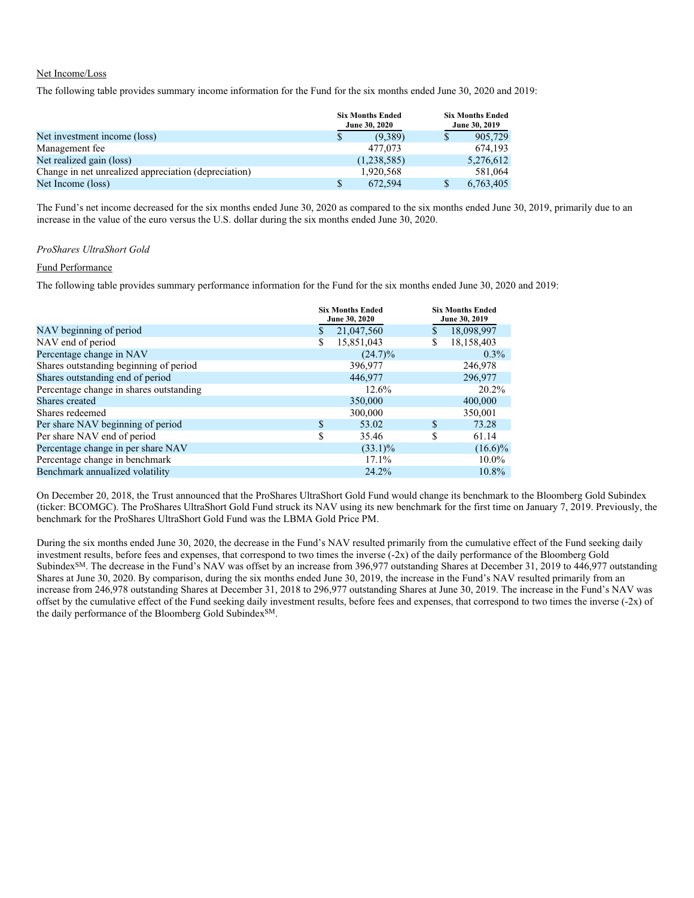## Net Income/Loss

The following table provides summary income information for the Fund for the six months ended June 30, 2020 and 2019:

|                                                      | <b>Six Months Ended</b><br><b>June 30, 2020</b> |   | <b>Six Months Ended</b><br>June 30, 2019 |
|------------------------------------------------------|-------------------------------------------------|---|------------------------------------------|
| Net investment income (loss)                         | (9.389)                                         | S | 905,729                                  |
| Management fee                                       | 477,073                                         |   | 674,193                                  |
| Net realized gain (loss)                             | (1,238,585)                                     |   | 5,276,612                                |
| Change in net unrealized appreciation (depreciation) | 1,920,568                                       |   | 581,064                                  |
| Net Income (loss)                                    | 672.594                                         |   | 6,763,405                                |

The Fund's net income decreased for the six months ended June 30, 2020 as compared to the six months ended June 30, 2019, primarily due to an increase in the value of the euro versus the U.S. dollar during the six months ended June 30, 2020.

# *ProShares UltraShort Gold*

### Fund Performance

The following table provides summary performance information for the Fund for the six months ended June 30, 2020 and 2019:

|                                         | <b>Six Months Ended</b><br>June 30, 2020 |            |    | <b>Six Months Ended</b><br>June 30, 2019 |
|-----------------------------------------|------------------------------------------|------------|----|------------------------------------------|
| NAV beginning of period                 |                                          | 21,047,560 |    | 18,098,997                               |
| NAV end of period                       | S                                        | 15,851,043 | \$ | 18,158,403                               |
| Percentage change in NAV                |                                          | $(24.7)\%$ |    | $0.3\%$                                  |
| Shares outstanding beginning of period  |                                          | 396,977    |    | 246,978                                  |
| Shares outstanding end of period        |                                          | 446,977    |    | 296,977                                  |
| Percentage change in shares outstanding |                                          | $12.6\%$   |    | 20.2%                                    |
| Shares created                          |                                          | 350,000    |    | 400,000                                  |
| Shares redeemed                         |                                          | 300,000    |    | 350,001                                  |
| Per share NAV beginning of period       | <sup>\$</sup>                            | 53.02      | S  | 73.28                                    |
| Per share NAV end of period             | <sup>\$</sup>                            | 35.46      | S  | 61.14                                    |
| Percentage change in per share NAV      |                                          | $(33.1)\%$ |    | $(16.6)\%$                               |
| Percentage change in benchmark          |                                          | $17.1\%$   |    | $10.0\%$                                 |
| Benchmark annualized volatility         |                                          | 24.2%      |    | 10.8%                                    |

On December 20, 2018, the Trust announced that the ProShares UltraShort Gold Fund would change its benchmark to the Bloomberg Gold Subindex (ticker: BCOMGC). The ProShares UltraShort Gold Fund struck its NAV using its new benchmark for the first time on January 7, 2019. Previously, the benchmark for the ProShares UltraShort Gold Fund was the LBMA Gold Price PM.

During the six months ended June 30, 2020, the decrease in the Fund's NAV resulted primarily from the cumulative effect of the Fund seeking daily investment results, before fees and expenses, that correspond to two times the inverse (-2x) of the daily performance of the Bloomberg Gold SubindexSM. The decrease in the Fund's NAV was offset by an increase from 396,977 outstanding Shares at December 31, 2019 to 446,977 outstanding Shares at June 30, 2020. By comparison, during the six months ended June 30, 2019, the increase in the Fund's NAV resulted primarily from an increase from 246,978 outstanding Shares at December 31, 2018 to 296,977 outstanding Shares at June 30, 2019. The increase in the Fund's NAV was offset by the cumulative effect of the Fund seeking daily investment results, before fees and expenses, that correspond to two times the inverse  $(-2x)$  of the daily performance of the Bloomberg Gold SubindexSM.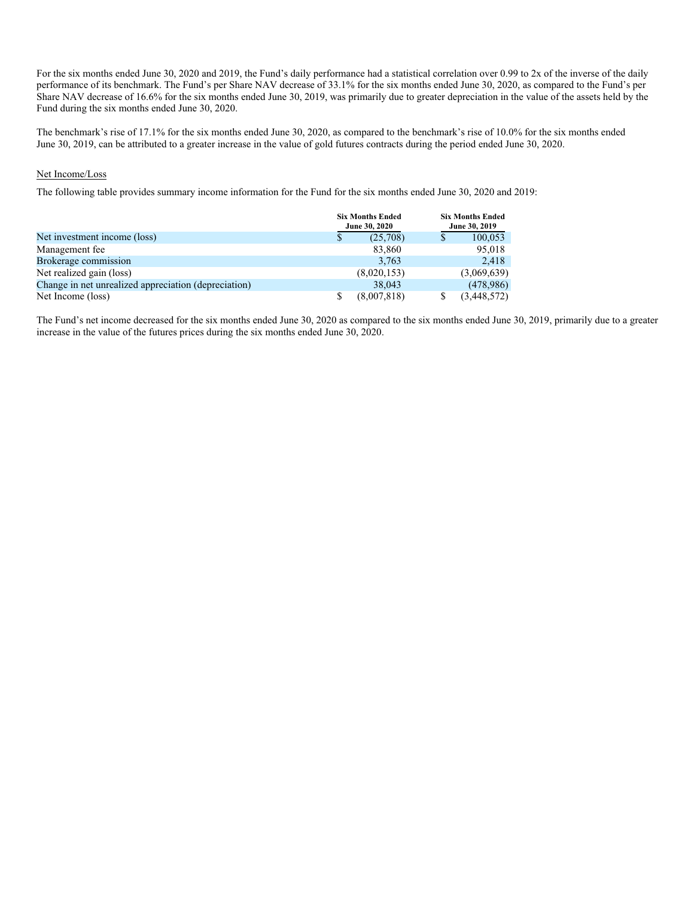For the six months ended June 30, 2020 and 2019, the Fund's daily performance had a statistical correlation over 0.99 to 2x of the inverse of the daily performance of its benchmark. The Fund's per Share NAV decrease of 33.1% for the six months ended June 30, 2020, as compared to the Fund's per Share NAV decrease of 16.6% for the six months ended June 30, 2019, was primarily due to greater depreciation in the value of the assets held by the Fund during the six months ended June 30, 2020.

The benchmark's rise of 17.1% for the six months ended June 30, 2020, as compared to the benchmark's rise of 10.0% for the six months ended June 30, 2019, can be attributed to a greater increase in the value of gold futures contracts during the period ended June 30, 2020.

## Net Income/Loss

The following table provides summary income information for the Fund for the six months ended June 30, 2020 and 2019:

|                                                      | <b>Six Months Ended</b><br>June 30, 2020 |             |   | <b>Six Months Ended</b><br>June 30, 2019 |
|------------------------------------------------------|------------------------------------------|-------------|---|------------------------------------------|
| Net investment income (loss)                         |                                          | (25,708)    | S | 100,053                                  |
| Management fee                                       |                                          | 83,860      |   | 95,018                                   |
| Brokerage commission                                 |                                          | 3.763       |   | 2,418                                    |
| Net realized gain (loss)                             |                                          | (8,020,153) |   | (3,069,639)                              |
| Change in net unrealized appreciation (depreciation) |                                          | 38,043      |   | (478,986)                                |
| Net Income (loss)                                    |                                          | (8,007,818) |   | (3,448,572)                              |

The Fund's net income decreased for the six months ended June 30, 2020 as compared to the six months ended June 30, 2019, primarily due to a greater increase in the value of the futures prices during the six months ended June 30, 2020.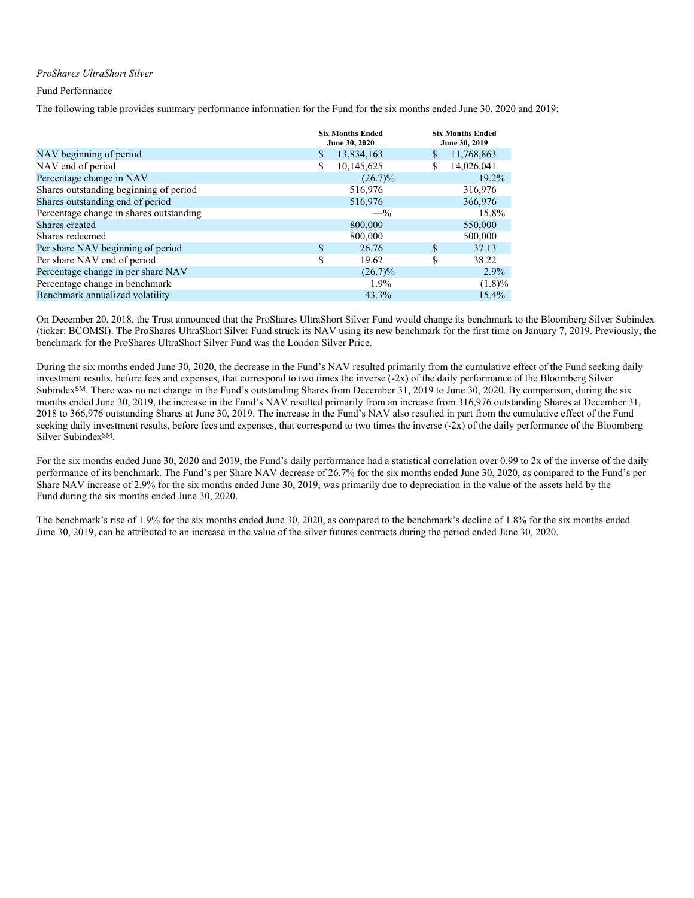## *ProShares UltraShort Silver*

## Fund Performance

The following table provides summary performance information for the Fund for the six months ended June 30, 2020 and 2019:

|                                         |     | <b>Six Months Ended</b><br>June 30, 2020 | <b>Six Months Ended</b><br>June 30, 2019 |            |  |
|-----------------------------------------|-----|------------------------------------------|------------------------------------------|------------|--|
| NAV beginning of period                 |     | 13,834,163                               | \$                                       | 11,768,863 |  |
| NAV end of period                       | \$  | 10,145,625                               | \$                                       | 14,026,041 |  |
| Percentage change in NAV                |     | $(26.7)\%$                               |                                          | $19.2\%$   |  |
| Shares outstanding beginning of period  |     | 516,976                                  |                                          | 316,976    |  |
| Shares outstanding end of period        |     | 516,976                                  |                                          | 366,976    |  |
| Percentage change in shares outstanding |     | $-$ %                                    |                                          | 15.8%      |  |
| Shares created                          |     | 800,000                                  |                                          | 550,000    |  |
| Shares redeemed                         |     | 800,000                                  |                                          | 500,000    |  |
| Per share NAV beginning of period       | \$. | 26.76                                    | \$                                       | 37.13      |  |
| Per share NAV end of period             | S   | 19.62                                    | S                                        | 38.22      |  |
| Percentage change in per share NAV      |     | $(26.7)\%$                               |                                          | $2.9\%$    |  |
| Percentage change in benchmark          |     | 1.9%                                     |                                          | $(1.8)\%$  |  |
| Benchmark annualized volatility         |     | 43.3%                                    |                                          | $15.4\%$   |  |

On December 20, 2018, the Trust announced that the ProShares UltraShort Silver Fund would change its benchmark to the Bloomberg Silver Subindex (ticker: BCOMSI). The ProShares UltraShort Silver Fund struck its NAV using its new benchmark for the first time on January 7, 2019. Previously, the benchmark for the ProShares UltraShort Silver Fund was the London Silver Price.

During the six months ended June 30, 2020, the decrease in the Fund's NAV resulted primarily from the cumulative effect of the Fund seeking daily investment results, before fees and expenses, that correspond to two times the inverse (-2x) of the daily performance of the Bloomberg Silver Subindex<sup>SM</sup>. There was no net change in the Fund's outstanding Shares from December 31, 2019 to June 30, 2020. By comparison, during the six months ended June 30, 2019, the increase in the Fund's NAV resulted primarily from an increase from 316,976 outstanding Shares at December 31, 2018 to 366,976 outstanding Shares at June 30, 2019. The increase in the Fund's NAV also resulted in part from the cumulative effect of the Fund seeking daily investment results, before fees and expenses, that correspond to two times the inverse (-2x) of the daily performance of the Bloomberg Silver Subindex<sup>SM</sup>.

For the six months ended June 30, 2020 and 2019, the Fund's daily performance had a statistical correlation over 0.99 to 2x of the inverse of the daily performance of its benchmark. The Fund's per Share NAV decrease of 26.7% for the six months ended June 30, 2020, as compared to the Fund's per Share NAV increase of 2.9% for the six months ended June 30, 2019, was primarily due to depreciation in the value of the assets held by the Fund during the six months ended June 30, 2020.

The benchmark's rise of 1.9% for the six months ended June 30, 2020, as compared to the benchmark's decline of 1.8% for the six months ended June 30, 2019, can be attributed to an increase in the value of the silver futures contracts during the period ended June 30, 2020.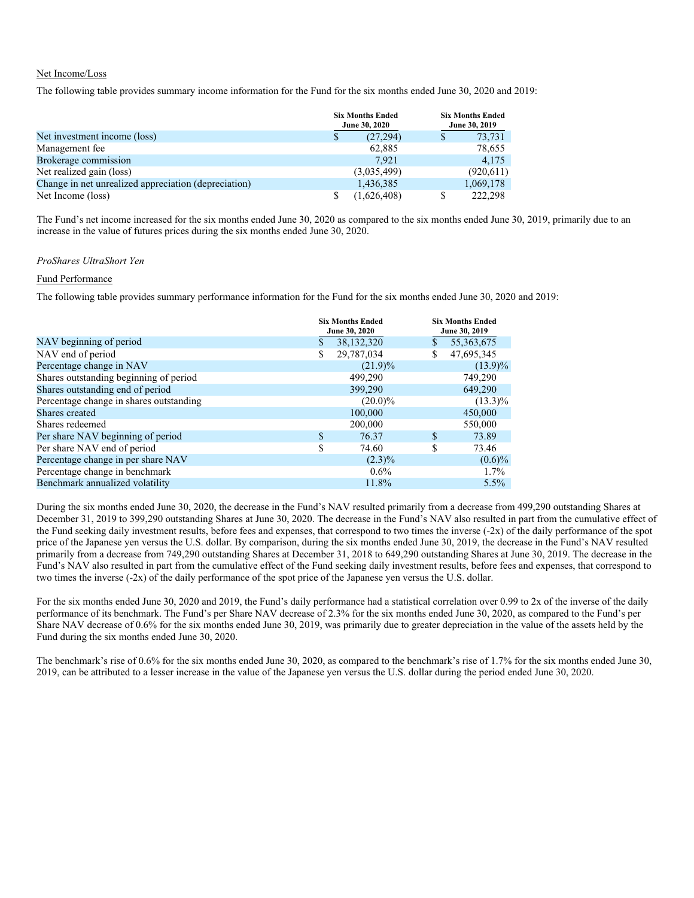## Net Income/Loss

The following table provides summary income information for the Fund for the six months ended June 30, 2020 and 2019:

|                                                      |  | <b>Six Months Ended</b><br>June 30, 2020 |   | <b>Six Months Ended</b><br>June 30, 2019 |
|------------------------------------------------------|--|------------------------------------------|---|------------------------------------------|
| Net investment income (loss)                         |  | (27, 294)                                | S | 73,731                                   |
| Management fee                                       |  | 62.885                                   |   | 78,655                                   |
| Brokerage commission                                 |  | 7.921                                    |   | 4,175                                    |
| Net realized gain (loss)                             |  | (3,035,499)                              |   | (920, 611)                               |
| Change in net unrealized appreciation (depreciation) |  | 1,436,385                                |   | 1,069,178                                |
| Net Income (loss)                                    |  | (1,626,408)                              |   | 222,298                                  |

The Fund's net income increased for the six months ended June 30, 2020 as compared to the six months ended June 30, 2019, primarily due to an increase in the value of futures prices during the six months ended June 30, 2020.

### *ProShares UltraShort Yen*

## Fund Performance

The following table provides summary performance information for the Fund for the six months ended June 30, 2020 and 2019:

|                                         |               | <b>Six Months Ended</b><br>June 30, 2020 |    | <b>Six Months Ended</b><br>June 30, 2019 |
|-----------------------------------------|---------------|------------------------------------------|----|------------------------------------------|
| NAV beginning of period                 |               | 38,132,320                               |    | 55, 363, 675                             |
| NAV end of period                       | \$            | 29,787,034                               | S  | 47,695,345                               |
| Percentage change in NAV                |               | $(21.9)\%$                               |    | $(13.9)\%$                               |
| Shares outstanding beginning of period  |               | 499,290                                  |    | 749,290                                  |
| Shares outstanding end of period        |               | 399,290                                  |    | 649,290                                  |
| Percentage change in shares outstanding |               | $(20.0)\%$                               |    | $(13.3)\%$                               |
| Shares created                          |               | 100,000                                  |    | 450,000                                  |
| Shares redeemed                         |               | 200,000                                  |    | 550,000                                  |
| Per share NAV beginning of period       | <sup>\$</sup> | 76.37                                    | \$ | 73.89                                    |
| Per share NAV end of period             | S             | 74.60                                    | \$ | 73.46                                    |
| Percentage change in per share NAV      |               | $(2.3)\%$                                |    | $(0.6)\%$                                |
| Percentage change in benchmark          |               | $0.6\%$                                  |    | $1.7\%$                                  |
| Benchmark annualized volatility         |               | 11.8%                                    |    | 5.5%                                     |

During the six months ended June 30, 2020, the decrease in the Fund's NAV resulted primarily from a decrease from 499,290 outstanding Shares at December 31, 2019 to 399,290 outstanding Shares at June 30, 2020. The decrease in the Fund's NAV also resulted in part from the cumulative effect of the Fund seeking daily investment results, before fees and expenses, that correspond to two times the inverse (-2x) of the daily performance of the spot price of the Japanese yen versus the U.S. dollar. By comparison, during the six months ended June 30, 2019, the decrease in the Fund's NAV resulted primarily from a decrease from 749,290 outstanding Shares at December 31, 2018 to 649,290 outstanding Shares at June 30, 2019. The decrease in the Fund's NAV also resulted in part from the cumulative effect of the Fund seeking daily investment results, before fees and expenses, that correspond to two times the inverse (-2x) of the daily performance of the spot price of the Japanese yen versus the U.S. dollar.

For the six months ended June 30, 2020 and 2019, the Fund's daily performance had a statistical correlation over 0.99 to 2x of the inverse of the daily performance of its benchmark. The Fund's per Share NAV decrease of 2.3% for the six months ended June 30, 2020, as compared to the Fund's per Share NAV decrease of 0.6% for the six months ended June 30, 2019, was primarily due to greater depreciation in the value of the assets held by the Fund during the six months ended June 30, 2020.

The benchmark's rise of 0.6% for the six months ended June 30, 2020, as compared to the benchmark's rise of 1.7% for the six months ended June 30, 2019, can be attributed to a lesser increase in the value of the Japanese yen versus the U.S. dollar during the period ended June 30, 2020.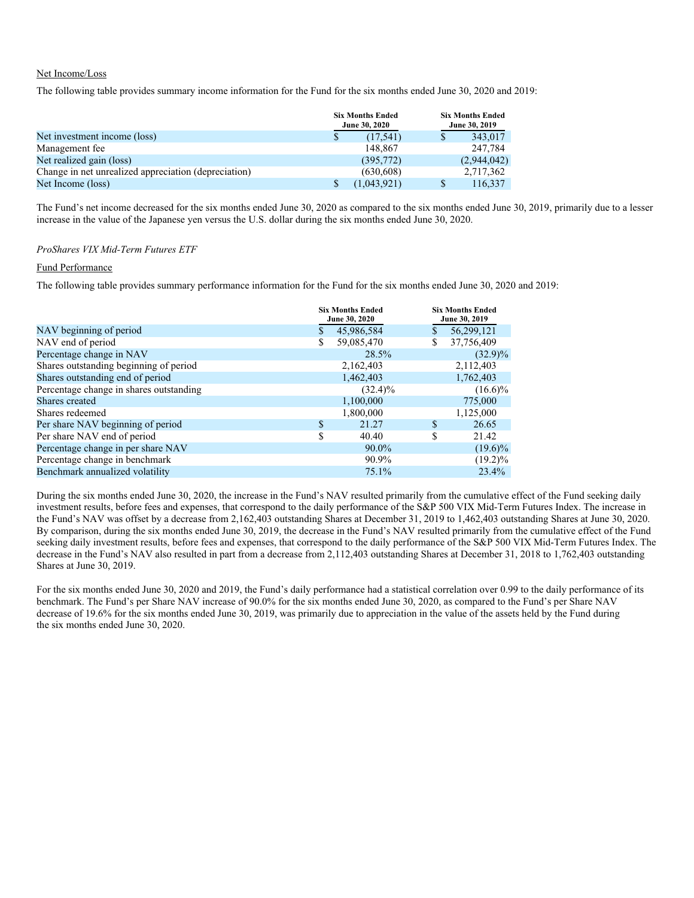## Net Income/Loss

The following table provides summary income information for the Fund for the six months ended June 30, 2020 and 2019:

|                                                      | <b>Six Months Ended</b><br><b>June 30, 2020</b> |    | <b>Six Months Ended</b><br>June 30, 2019 |
|------------------------------------------------------|-------------------------------------------------|----|------------------------------------------|
| Net investment income (loss)                         | (17, 541)                                       | S. | 343,017                                  |
| Management fee                                       | 148,867                                         |    | 247.784                                  |
| Net realized gain (loss)                             | (395,772)                                       |    | (2,944,042)                              |
| Change in net unrealized appreciation (depreciation) | (630, 608)                                      |    | 2,717,362                                |
| Net Income (loss)                                    | (1,043,921)                                     |    | 116,337                                  |

The Fund's net income decreased for the six months ended June 30, 2020 as compared to the six months ended June 30, 2019, primarily due to a lesser increase in the value of the Japanese yen versus the U.S. dollar during the six months ended June 30, 2020.

## *ProShares VIX Mid-Term Futures ETF*

### Fund Performance

The following table provides summary performance information for the Fund for the six months ended June 30, 2020 and 2019:

|                                         |    | <b>Six Months Ended</b><br>June 30, 2020 | <b>Six Months Ended</b><br>June 30, 2019 |            |  |
|-----------------------------------------|----|------------------------------------------|------------------------------------------|------------|--|
| NAV beginning of period                 |    | 45,986,584                               | \$                                       | 56,299,121 |  |
| NAV end of period                       | \$ | 59,085,470                               | S                                        | 37,756,409 |  |
| Percentage change in NAV                |    | 28.5%                                    |                                          | $(32.9)\%$ |  |
| Shares outstanding beginning of period  |    | 2,162,403                                |                                          | 2,112,403  |  |
| Shares outstanding end of period        |    | 1,462,403                                |                                          | 1,762,403  |  |
| Percentage change in shares outstanding |    | $(32.4)\%$                               |                                          | $(16.6)\%$ |  |
| Shares created                          |    | 1,100,000                                |                                          | 775,000    |  |
| Shares redeemed                         |    | 1,800,000                                |                                          | 1,125,000  |  |
| Per share NAV beginning of period       | S  | 21.27                                    | \$                                       | 26.65      |  |
| Per share NAV end of period             | S  | 40.40                                    | S                                        | 21.42      |  |
| Percentage change in per share NAV      |    | $90.0\%$                                 |                                          | $(19.6)\%$ |  |
| Percentage change in benchmark          |    | 90.9%                                    |                                          | $(19.2)\%$ |  |
| Benchmark annualized volatility         |    | 75.1%                                    |                                          | $23.4\%$   |  |

During the six months ended June 30, 2020, the increase in the Fund's NAV resulted primarily from the cumulative effect of the Fund seeking daily investment results, before fees and expenses, that correspond to the daily performance of the S&P 500 VIX Mid-Term Futures Index. The increase in the Fund's NAV was offset by a decrease from 2,162,403 outstanding Shares at December 31, 2019 to 1,462,403 outstanding Shares at June 30, 2020. By comparison, during the six months ended June 30, 2019, the decrease in the Fund's NAV resulted primarily from the cumulative effect of the Fund seeking daily investment results, before fees and expenses, that correspond to the daily performance of the S&P 500 VIX Mid-Term Futures Index. The decrease in the Fund's NAV also resulted in part from a decrease from 2,112,403 outstanding Shares at December 31, 2018 to 1,762,403 outstanding Shares at June 30, 2019.

For the six months ended June 30, 2020 and 2019, the Fund's daily performance had a statistical correlation over 0.99 to the daily performance of its benchmark. The Fund's per Share NAV increase of 90.0% for the six months ended June 30, 2020, as compared to the Fund's per Share NAV decrease of 19.6% for the six months ended June 30, 2019, was primarily due to appreciation in the value of the assets held by the Fund during the six months ended June 30, 2020.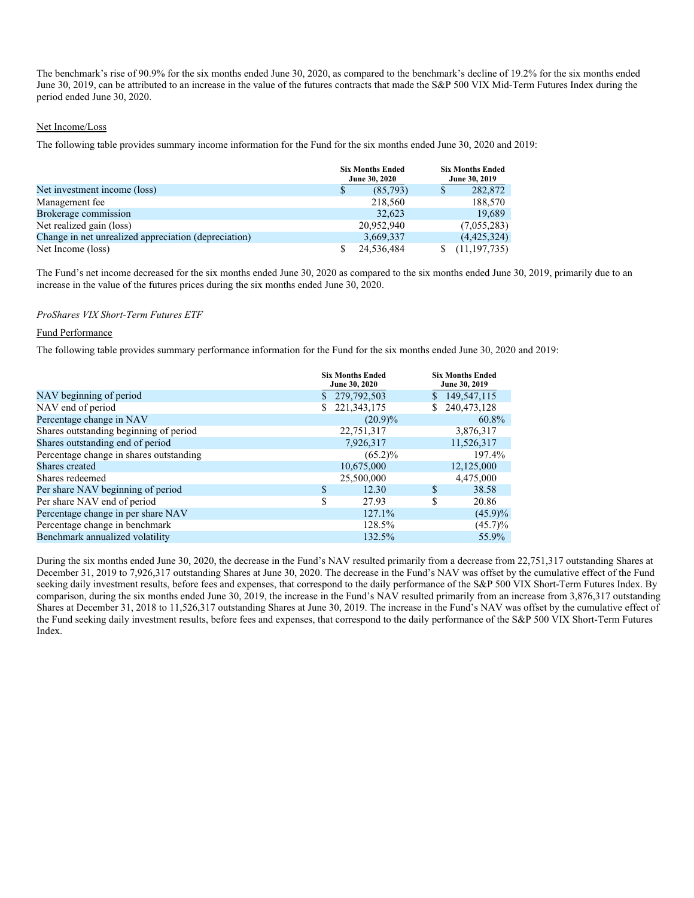The benchmark's rise of 90.9% for the six months ended June 30, 2020, as compared to the benchmark's decline of 19.2% for the six months ended June 30, 2019, can be attributed to an increase in the value of the futures contracts that made the S&P 500 VIX Mid-Term Futures Index during the period ended June 30, 2020.

## Net Income/Loss

The following table provides summary income information for the Fund for the six months ended June 30, 2020 and 2019:

|                                                      | <b>Six Months Ended</b><br><b>June 30, 2020</b> |   | <b>Six Months Ended</b><br>June 30, 2019 |
|------------------------------------------------------|-------------------------------------------------|---|------------------------------------------|
| Net investment income (loss)                         | \$<br>(85,793)                                  | S | 282,872                                  |
| Management fee                                       | 218,560                                         |   | 188,570                                  |
| Brokerage commission                                 | 32,623                                          |   | 19.689                                   |
| Net realized gain (loss)                             | 20,952,940                                      |   | (7,055,283)                              |
| Change in net unrealized appreciation (depreciation) | 3,669,337                                       |   | (4,425,324)                              |
| Net Income (loss)                                    | 24,536,484                                      |   | (11, 197, 735)                           |

The Fund's net income decreased for the six months ended June 30, 2020 as compared to the six months ended June 30, 2019, primarily due to an increase in the value of the futures prices during the six months ended June 30, 2020.

# *ProShares VIX Short-Term Futures ETF*

## Fund Performance

The following table provides summary performance information for the Fund for the six months ended June 30, 2020 and 2019:

|                                         |   | <b>Six Months Ended</b><br>June 30, 2020 |    | <b>Six Months Ended</b><br>June 30, 2019 |
|-----------------------------------------|---|------------------------------------------|----|------------------------------------------|
| NAV beginning of period                 |   | \$279,792,503                            |    | 149,547,115                              |
| NAV end of period                       |   | 221, 343, 175                            |    | 240, 473, 128                            |
| Percentage change in NAV                |   | $(20.9)\%$                               |    | 60.8%                                    |
| Shares outstanding beginning of period  |   | 22,751,317                               |    | 3,876,317                                |
| Shares outstanding end of period        |   | 7,926,317                                |    | 11,526,317                               |
| Percentage change in shares outstanding |   | $(65.2)\%$                               |    | 197.4%                                   |
| Shares created                          |   | 10,675,000                               |    | 12,125,000                               |
| Shares redeemed                         |   | 25,500,000                               |    | 4,475,000                                |
| Per share NAV beginning of period       | S | 12.30                                    | \$ | 38.58                                    |
| Per share NAV end of period             | S | 27.93                                    | S  | 20.86                                    |
| Percentage change in per share NAV      |   | 127.1%                                   |    | $(45.9)\%$                               |
| Percentage change in benchmark          |   | 128.5%                                   |    | $(45.7)\%$                               |
| Benchmark annualized volatility         |   | 132.5%                                   |    | 55.9%                                    |

During the six months ended June 30, 2020, the decrease in the Fund's NAV resulted primarily from a decrease from 22,751,317 outstanding Shares at December 31, 2019 to 7,926,317 outstanding Shares at June 30, 2020. The decrease in the Fund's NAV was offset by the cumulative effect of the Fund seeking daily investment results, before fees and expenses, that correspond to the daily performance of the S&P 500 VIX Short-Term Futures Index. By comparison, during the six months ended June 30, 2019, the increase in the Fund's NAV resulted primarily from an increase from 3,876,317 outstanding Shares at December 31, 2018 to 11,526,317 outstanding Shares at June 30, 2019. The increase in the Fund's NAV was offset by the cumulative effect of the Fund seeking daily investment results, before fees and expenses, that correspond to the daily performance of the S&P 500 VIX Short-Term Futures Index.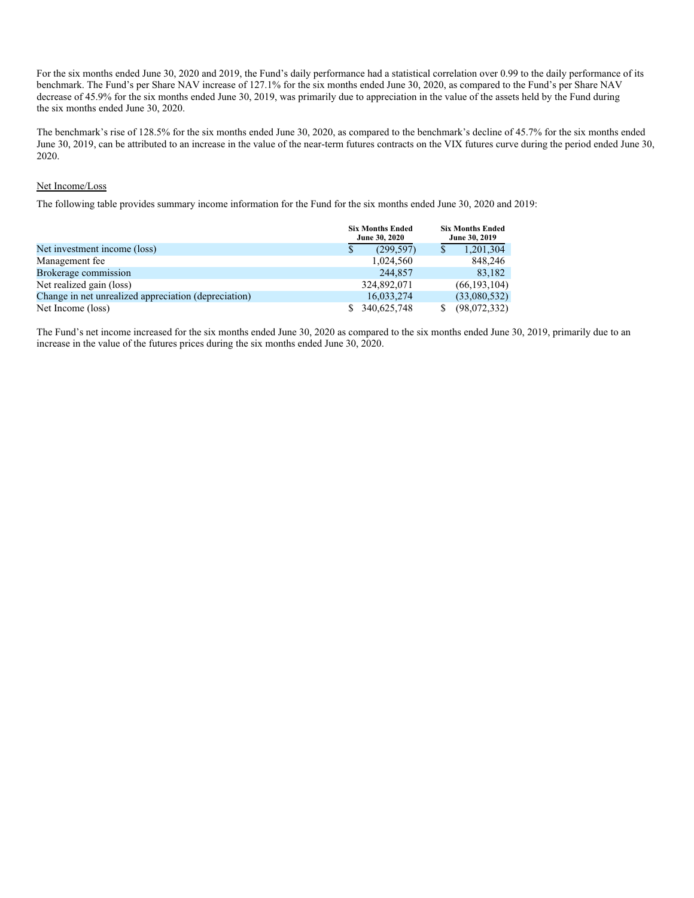For the six months ended June 30, 2020 and 2019, the Fund's daily performance had a statistical correlation over 0.99 to the daily performance of its benchmark. The Fund's per Share NAV increase of 127.1% for the six months ended June 30, 2020, as compared to the Fund's per Share NAV decrease of 45.9% for the six months ended June 30, 2019, was primarily due to appreciation in the value of the assets held by the Fund during the six months ended June 30, 2020.

The benchmark's rise of 128.5% for the six months ended June 30, 2020, as compared to the benchmark's decline of 45.7% for the six months ended June 30, 2019, can be attributed to an increase in the value of the near-term futures contracts on the VIX futures curve during the period ended June 30, 2020.

# Net Income/Loss

The following table provides summary income information for the Fund for the six months ended June 30, 2020 and 2019:

|                                                      | <b>Six Months Ended</b><br><b>June 30, 2020</b> |             |              | <b>Six Months Ended</b><br>June 30, 2019 |
|------------------------------------------------------|-------------------------------------------------|-------------|--------------|------------------------------------------|
| Net investment income (loss)                         |                                                 | (299.597)   | <sup>S</sup> | 1,201,304                                |
| Management fee                                       |                                                 | 1,024,560   |              | 848,246                                  |
| Brokerage commission                                 |                                                 | 244,857     |              | 83,182                                   |
| Net realized gain (loss)                             |                                                 | 324,892,071 |              | (66, 193, 104)                           |
| Change in net unrealized appreciation (depreciation) |                                                 | 16,033,274  |              | (33,080,532)                             |
| Net Income (loss)                                    |                                                 | 340,625,748 |              | (98,072,332)                             |

The Fund's net income increased for the six months ended June 30, 2020 as compared to the six months ended June 30, 2019, primarily due to an increase in the value of the futures prices during the six months ended June 30, 2020.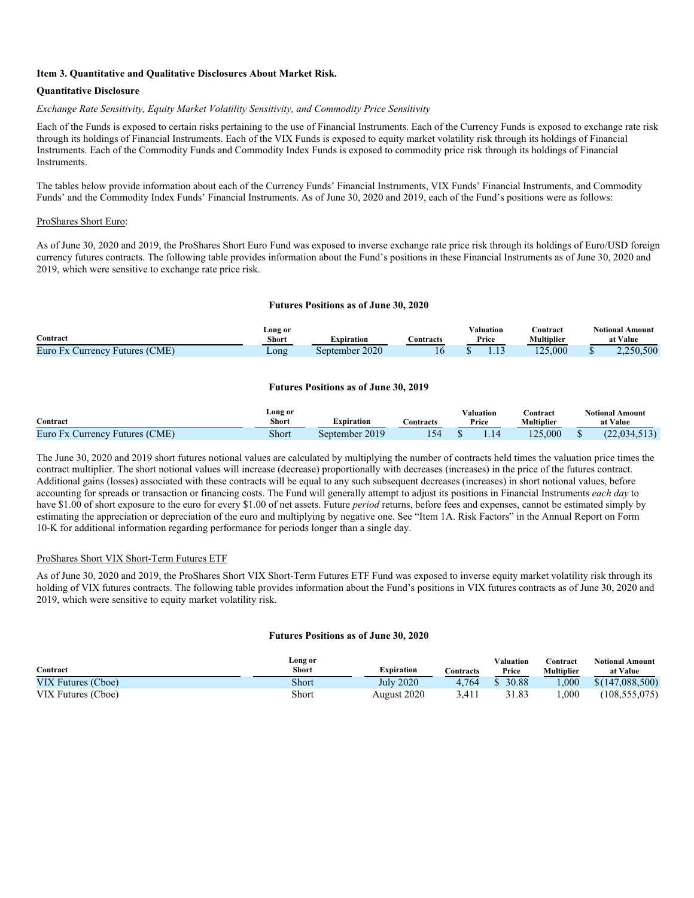## **Item 3. Quantitative and Qualitative Disclosures About Market Risk.**

## **Quantitative Disclosure**

## *Exchange Rate Sensitivity, Equity Market Volatility Sensitivity, and Commodity Price Sensitivity*

Each of the Funds is exposed to certain risks pertaining to the use of Financial Instruments. Each of the Currency Funds is exposed to exchange rate risk through its holdings of Financial Instruments. Each of the VIX Funds is exposed to equity market volatility risk through its holdings of Financial Instruments. Each of the Commodity Funds and Commodity Index Funds is exposed to commodity price risk through its holdings of Financial Instruments.

The tables below provide information about each of the Currency Funds' Financial Instruments, VIX Funds' Financial Instruments, and Commodity Funds' and the Commodity Index Funds' Financial Instruments. As of June 30, 2020 and 2019, each of the Fund's positions were as follows:

### ProShares Short Euro:

As of June 30, 2020 and 2019, the ProShares Short Euro Fund was exposed to inverse exchange rate price risk through its holdings of Euro/USD foreign currency futures contracts. The following table provides information about the Fund's positions in these Financial Instruments as of June 30, 2020 and 2019, which were sensitive to exchange rate price risk.

## **Futures Positions as of June 30, 2020**

|                                | Long or      |                |           | /aluation |      | <b>∶ontract</b> | <b>Notional Amount</b> |
|--------------------------------|--------------|----------------|-----------|-----------|------|-----------------|------------------------|
| Contract                       | <b>Short</b> | xpiration      | `ontracts | Price     |      | Multiplier      | at Value               |
| Euro Fx Currency Futures (CME) | $\omega$ ong | September 2020 |           |           | $-1$ | 125.000         | 2.250.500              |

### **Futures Positions as of June 30, 2019**

|                                | Long or |                   |                  | ⁄aluation | <b>Contract</b>   | $\mathbf{H}$ | Notional Amount |
|--------------------------------|---------|-------------------|------------------|-----------|-------------------|--------------|-----------------|
| Contract                       | Short   | xpiration         | <b>Contracts</b> | $P$ rice  | <b>Multiplier</b> |              | at Value        |
| Euro Fx Currency Futures (CME) | Short   | 2019<br>September |                  |           | .25,000           |              |                 |

The June 30, 2020 and 2019 short futures notional values are calculated by multiplying the number of contracts held times the valuation price times the contract multiplier. The short notional values will increase (decrease) proportionally with decreases (increases) in the price of the futures contract. Additional gains (losses) associated with these contracts will be equal to any such subsequent decreases (increases) in short notional values, before accounting for spreads or transaction or financing costs. The Fund will generally attempt to adjust its positions in Financial Instruments *each day* to have \$1.00 of short exposure to the euro for every \$1.00 of net assets. Future *period* returns, before fees and expenses, cannot be estimated simply by estimating the appreciation or depreciation of the euro and multiplying by negative one. See "Item 1A. Risk Factors" in the Annual Report on Form 10-K for additional information regarding performance for periods longer than a single day.

# ProShares Short VIX Short-Term Futures ETF

As of June 30, 2020 and 2019, the ProShares Short VIX Short-Term Futures ETF Fund was exposed to inverse equity market volatility risk through its holding of VIX futures contracts. The following table provides information about the Fund's positions in VIX futures contracts as of June 30, 2020 and 2019, which were sensitive to equity market volatility risk.

| Contract           | Long or<br><b>Short</b> | <b>Expiration</b> | <b>Contracts</b> | Valuation<br>Price | Contract<br><b>Multiplier</b> | <b>Notional Amount</b><br>at Value |
|--------------------|-------------------------|-------------------|------------------|--------------------|-------------------------------|------------------------------------|
| VIX Futures (Cboe) | Short                   | <b>July 2020</b>  | 4.764            | 30.88              | .000                          | \$(147,088,500)                    |
| VIX Futures (Cboe) | Short                   | August 2020       | 3,411            | 31.83              | ,000                          | (108, 555, 075)                    |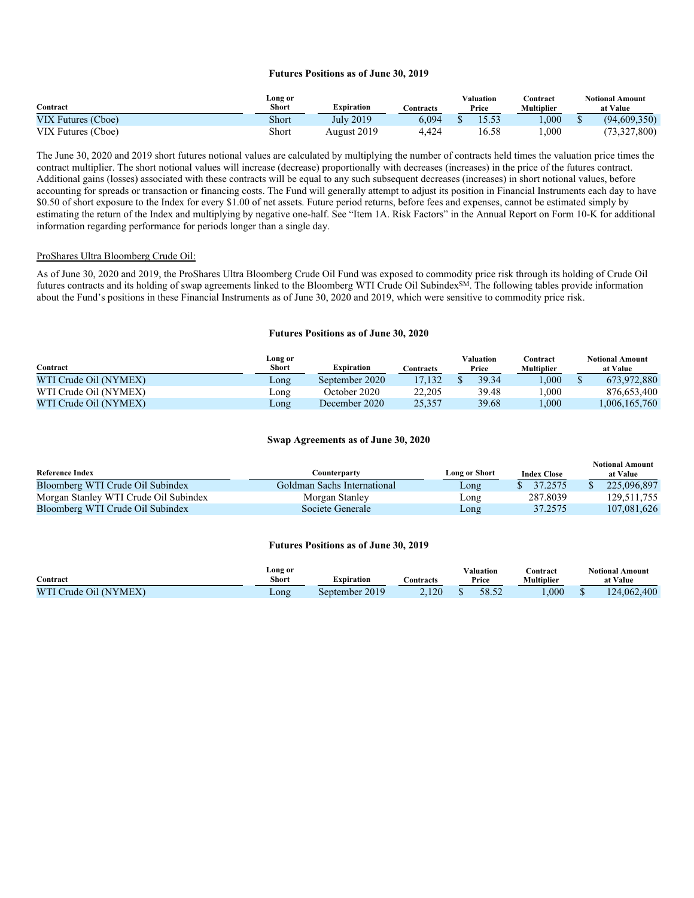### **Futures Positions as of June 30, 2019**

| Contract           | Long or<br>Short | Expiration       | <b>Contracts</b> | $\mathrm{V}$ aluation<br>Price | Contract<br><b>Multiplier</b> | <b>Notional Amount</b><br>at Value |
|--------------------|------------------|------------------|------------------|--------------------------------|-------------------------------|------------------------------------|
| VIX Futures (Cboe) | Short            | <b>July 2019</b> | 6.094            |                                | 000.                          | (94.609.350)                       |
| VIX Futures (Cboe) | <b>Short</b>     | August 2019      | 4.424            | 16.58                          | $000$ .                       | (73,327,800)                       |

The June 30, 2020 and 2019 short futures notional values are calculated by multiplying the number of contracts held times the valuation price times the contract multiplier. The short notional values will increase (decrease) proportionally with decreases (increases) in the price of the futures contract. Additional gains (losses) associated with these contracts will be equal to any such subsequent decreases (increases) in short notional values, before accounting for spreads or transaction or financing costs. The Fund will generally attempt to adjust its position in Financial Instruments each day to have \$0.50 of short exposure to the Index for every \$1.00 of net assets. Future period returns, before fees and expenses, cannot be estimated simply by estimating the return of the Index and multiplying by negative one-half. See "Item 1A. Risk Factors" in the Annual Report on Form 10-K for additional information regarding performance for periods longer than a single day.

# ProShares Ultra Bloomberg Crude Oil:

As of June 30, 2020 and 2019, the ProShares Ultra Bloomberg Crude Oil Fund was exposed to commodity price risk through its holding of Crude Oil futures contracts and its holding of swap agreements linked to the Bloomberg WTI Crude Oil Subindex<sup>SM</sup>. The following tables provide information about the Fund's positions in these Financial Instruments as of June 30, 2020 and 2019, which were sensitive to commodity price risk.

## **Futures Positions as of June 30, 2020**

|                       | Long or      |                   |           |       | Valuation | Contract   |  | <b>Notional Amount</b> |
|-----------------------|--------------|-------------------|-----------|-------|-----------|------------|--|------------------------|
| Contract              | Short        | <b>Expiration</b> | Contracts | Price |           | Multiplier |  | at Value               |
| WTI Crude Oil (NYMEX) | $\angle$ ong | September 2020    | 17.132    |       | 39.34     | .000       |  | 673.972.880            |
| WTI Crude Oil (NYMEX) | Long         | October 2020      | 22,205    |       | 39.48     | .000       |  | 876,653,400            |
| WTI Crude Oil (NYMEX) | Long         | December 2020     | 25.357    |       | 39.68     | .000       |  | .006.165.760           |

### **Swap Agreements as of June 30, 2020**

| <b>Reference Index</b>                | Counterparty                | Long or Short | <b>Index Close</b> | <b>Notional Amount</b><br>at Value |
|---------------------------------------|-----------------------------|---------------|--------------------|------------------------------------|
|                                       |                             |               |                    |                                    |
| Bloomberg WTI Crude Oil Subindex      | Goldman Sachs International | Long          | 37.2575            | 225,096,897                        |
| Morgan Stanley WTI Crude Oil Subindex | Morgan Stanley              | Long          | 287.8039           | 129.511.755                        |
| Bloomberg WTI Crude Oil Subindex      | Societe Generale            | Long          | 37.2575            | 107.081.626                        |

|                       | ∟ong or      |                   |           |                               | Valuation      | <b>Contract</b> |          | <b>Notional Amount</b> |
|-----------------------|--------------|-------------------|-----------|-------------------------------|----------------|-----------------|----------|------------------------|
| Contract              | <b>Short</b> | Expiration        | contracts | $P$ rice<br><b>Multiplier</b> |                |                 | at Value |                        |
| WTI Crude Oil (NYMEX) | Long         | 2019<br>September | 2.120     |                               | co ch<br>20.JZ | 0.000           |          | .24,062,400            |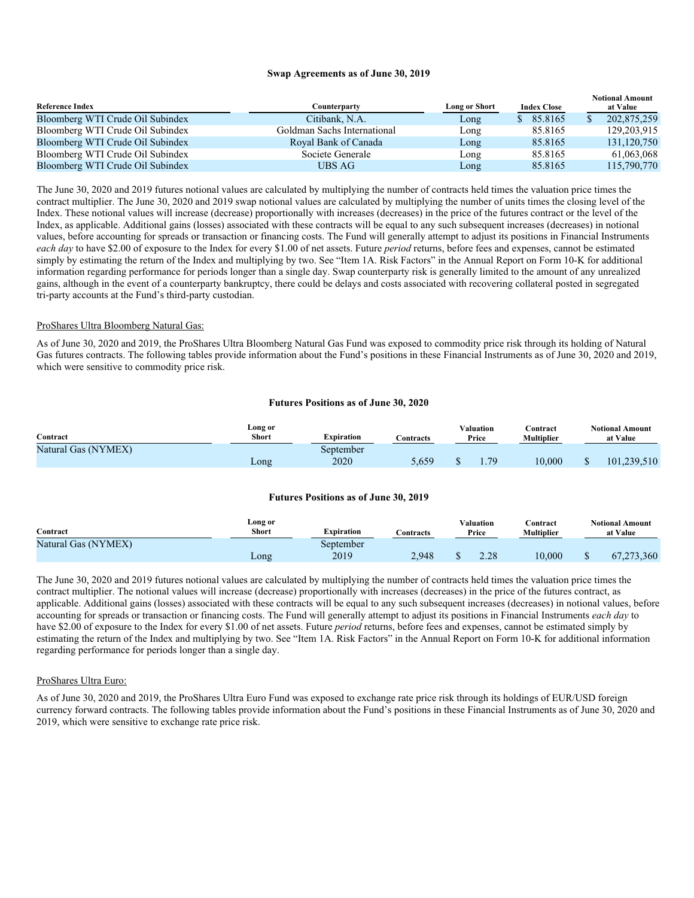## **Swap Agreements as of June 30, 2019**

|                                  |                             |               |                    | <b>Notional Amount</b> |
|----------------------------------|-----------------------------|---------------|--------------------|------------------------|
| <b>Reference Index</b>           | Counterparty                | Long or Short | <b>Index Close</b> | at Value               |
| Bloomberg WTI Crude Oil Subindex | Citibank, N.A.              | Long          | \$85.8165          | 202,875,259            |
| Bloomberg WTI Crude Oil Subindex | Goldman Sachs International | Long          | 85.8165            | 129, 203, 915          |
| Bloomberg WTI Crude Oil Subindex | Royal Bank of Canada        | Long          | 85.8165            | 131,120,750            |
| Bloomberg WTI Crude Oil Subindex | Societe Generale            | Long          | 85.8165            | 61.063.068             |
| Bloomberg WTI Crude Oil Subindex | UBS AG                      | Long          | 85.8165            | 115,790,770            |

The June 30, 2020 and 2019 futures notional values are calculated by multiplying the number of contracts held times the valuation price times the contract multiplier. The June 30, 2020 and 2019 swap notional values are calculated by multiplying the number of units times the closing level of the Index. These notional values will increase (decrease) proportionally with increases (decreases) in the price of the futures contract or the level of the Index, as applicable. Additional gains (losses) associated with these contracts will be equal to any such subsequent increases (decreases) in notional values, before accounting for spreads or transaction or financing costs. The Fund will generally attempt to adjust its positions in Financial Instruments *each day* to have \$2.00 of exposure to the Index for every \$1.00 of net assets. Future *period* returns, before fees and expenses, cannot be estimated simply by estimating the return of the Index and multiplying by two. See "Item 1A. Risk Factors" in the Annual Report on Form 10-K for additional information regarding performance for periods longer than a single day. Swap counterparty risk is generally limited to the amount of any unrealized gains, although in the event of a counterparty bankruptcy, there could be delays and costs associated with recovering collateral posted in segregated tri-party accounts at the Fund's third-party custodian.

## ProShares Ultra Bloomberg Natural Gas:

As of June 30, 2020 and 2019, the ProShares Ultra Bloomberg Natural Gas Fund was exposed to commodity price risk through its holding of Natural Gas futures contracts. The following tables provide information about the Fund's positions in these Financial Instruments as of June 30, 2020 and 2019, which were sensitive to commodity price risk.

### **Futures Positions as of June 30, 2020**

| Contract            | Long or<br>Short | <b>Expiration</b> | Contracts | Valuation<br>Price | <b>⊃ontract</b><br><b>Multiplier</b> | <b>Notional Amount</b><br>at Value |
|---------------------|------------------|-------------------|-----------|--------------------|--------------------------------------|------------------------------------|
| Natural Gas (NYMEX) |                  | September         |           |                    |                                      |                                    |
|                     | Long             | 2020              | 5,659     | 70                 | 10.000                               | 101.239.510                        |

### **Futures Positions as of June 30, 2019**

| Contract            | Long or<br><b>Short</b> | Expiration | Contracts | Valuation<br>Price | Contract<br>Multiplier | <b>Notional Amount</b><br>at Value |
|---------------------|-------------------------|------------|-----------|--------------------|------------------------|------------------------------------|
| Natural Gas (NYMEX) |                         | September  |           |                    |                        |                                    |
|                     | Long                    | 2019       | 2,948     | 2.28               | 10.000                 | 67,273,360                         |

The June 30, 2020 and 2019 futures notional values are calculated by multiplying the number of contracts held times the valuation price times the contract multiplier. The notional values will increase (decrease) proportionally with increases (decreases) in the price of the futures contract, as applicable. Additional gains (losses) associated with these contracts will be equal to any such subsequent increases (decreases) in notional values, before accounting for spreads or transaction or financing costs. The Fund will generally attempt to adjust its positions in Financial Instruments *each day* to have \$2.00 of exposure to the Index for every \$1.00 of net assets. Future *period* returns, before fees and expenses, cannot be estimated simply by estimating the return of the Index and multiplying by two. See "Item 1A. Risk Factors" in the Annual Report on Form 10-K for additional information regarding performance for periods longer than a single day.

# ProShares Ultra Euro:

As of June 30, 2020 and 2019, the ProShares Ultra Euro Fund was exposed to exchange rate price risk through its holdings of EUR/USD foreign currency forward contracts. The following tables provide information about the Fund's positions in these Financial Instruments as of June 30, 2020 and 2019, which were sensitive to exchange rate price risk.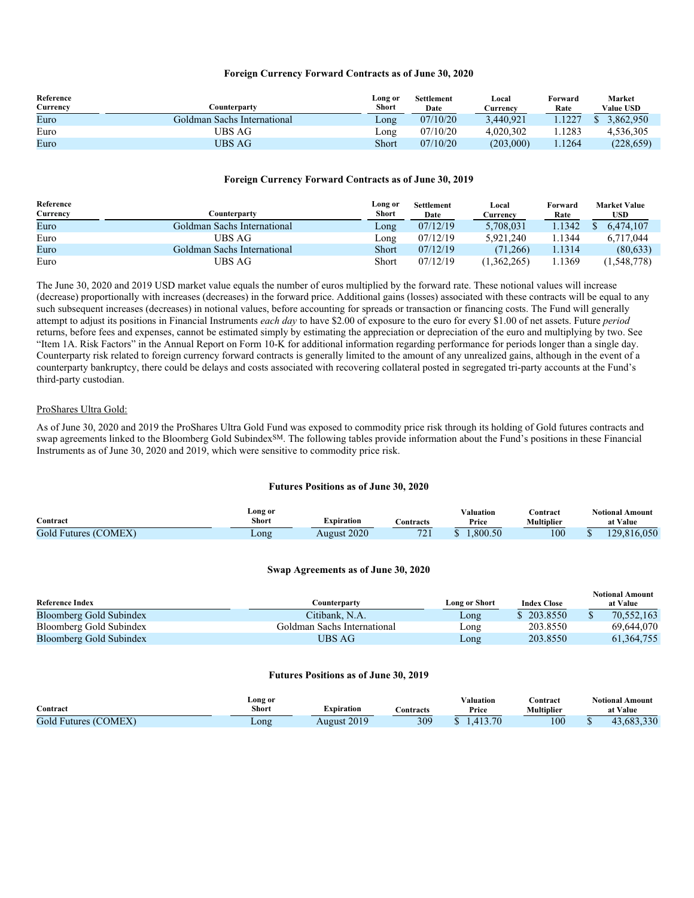# **Foreign Currency Forward Contracts as of June 30, 2020**

| Reference |                             | Long or | <b>Settlement</b> | Local     | Forward | Market           |
|-----------|-----------------------------|---------|-------------------|-----------|---------|------------------|
| Currencv  | Counterparty                | Short   | Date              | Aurrency  | Rate    | <b>Value USD</b> |
| Euro      | Goldman Sachs International | Long    | 07/10/20          | 3.440.921 | .1227   | 3.862.950        |
| Euro      | UBS AG                      | ong     | 07/10/20          | 4.020.302 | 1283    | 4,536,305        |
| Euro      | UBS AG                      | Short   | 07/10/20          | (203,000) | 1264    | (228.659)        |

#### **Foreign Currency Forward Contracts as of June 30, 2019**

| Reference |                             | Long or | <b>Settlement</b> | Local     | Forward | Market Value |
|-----------|-----------------------------|---------|-------------------|-----------|---------|--------------|
| Currencv  | C <b>ounterpartv</b>        | Short   | Date              | Currencv  | Rate    | <b>USD</b>   |
| Euro      | Goldman Sachs International | Long    | 07/12/19          | 5.708.031 | 1.1342  | 6.474.107    |
| Euro      | UBS AG                      | Long    | 07/12/19          | 5.921.240 | l.1344  | 6.717.044    |
| Euro      | Goldman Sachs International | Short   | 07/12/19          | (71.266)  | 1.1314  | (80.633)     |
| Euro      | UBS AG                      | Short   | 07/12/19          | 1,362,265 | 1.1369  | 1,548,778)   |

The June 30, 2020 and 2019 USD market value equals the number of euros multiplied by the forward rate. These notional values will increase (decrease) proportionally with increases (decreases) in the forward price. Additional gains (losses) associated with these contracts will be equal to any such subsequent increases (decreases) in notional values, before accounting for spreads or transaction or financing costs. The Fund will generally attempt to adjust its positions in Financial Instruments *each day* to have \$2.00 of exposure to the euro for every \$1.00 of net assets. Future *period* returns, before fees and expenses, cannot be estimated simply by estimating the appreciation or depreciation of the euro and multiplying by two. See "Item 1A. Risk Factors" in the Annual Report on Form 10-K for additional information regarding performance for periods longer than a single day. Counterparty risk related to foreign currency forward contracts is generally limited to the amount of any unrealized gains, although in the event of a counterparty bankruptcy, there could be delays and costs associated with recovering collateral posted in segregated tri-party accounts at the Fund's third-party custodian.

#### ProShares Ultra Gold:

As of June 30, 2020 and 2019 the ProShares Ultra Gold Fund was exposed to commodity price risk through its holding of Gold futures contracts and swap agreements linked to the Bloomberg Gold Subindex<sup>SM</sup>. The following tables provide information about the Fund's positions in these Financial Instruments as of June 30, 2020 and 2019, which were sensitive to commodity price risk.

#### **Futures Positions as of June 30, 2020**

|                      | ⊥ong or |             |                  | ⁄ aluation | <b>Contract</b>   | <b>Notional Amount</b> |
|----------------------|---------|-------------|------------------|------------|-------------------|------------------------|
| Contract             | Short   | Expiration  | <b>Contracts</b> | Price      | <b>Multiplier</b> | at Value               |
| Gold Futures (COMEX) | Long    | August 2020 | 701<br>, , ,     | .800.50    | 100               | 816,050                |

#### **Swap Agreements as of June 30, 2020**

| <b>Reference Index</b>  | Counterparty                | <b>Long or Short</b> | <b>Index Close</b> | <b>Notional Amount</b><br>at Value |
|-------------------------|-----------------------------|----------------------|--------------------|------------------------------------|
| Bloomberg Gold Subindex | Citibank. N.A.              | Long                 | \$203.8550         | 70.552.163                         |
| Bloomberg Gold Subindex | Goldman Sachs International | Long                 | 203.8550           | 69.644.070                         |
| Bloomberg Gold Subindex | UBS AG                      | Long                 | 203.8550           | 61.364.755                         |

|                                | Long or      |                |                  | ⁄ aluation | <b>Contract</b>   | <b>Notional</b><br>Amount  |
|--------------------------------|--------------|----------------|------------------|------------|-------------------|----------------------------|
| Contract                       | <b>Short</b> | ixpiration     | <b>Contracts</b> | $P$ rice   | <b>Multiplier</b> | at Value                   |
| <b>Futures (COMEX)</b><br>Gold | $\omega$ ong | 2010<br>August | 309              | 70         | 100               | 330<br>602<br>$\mathbf{a}$ |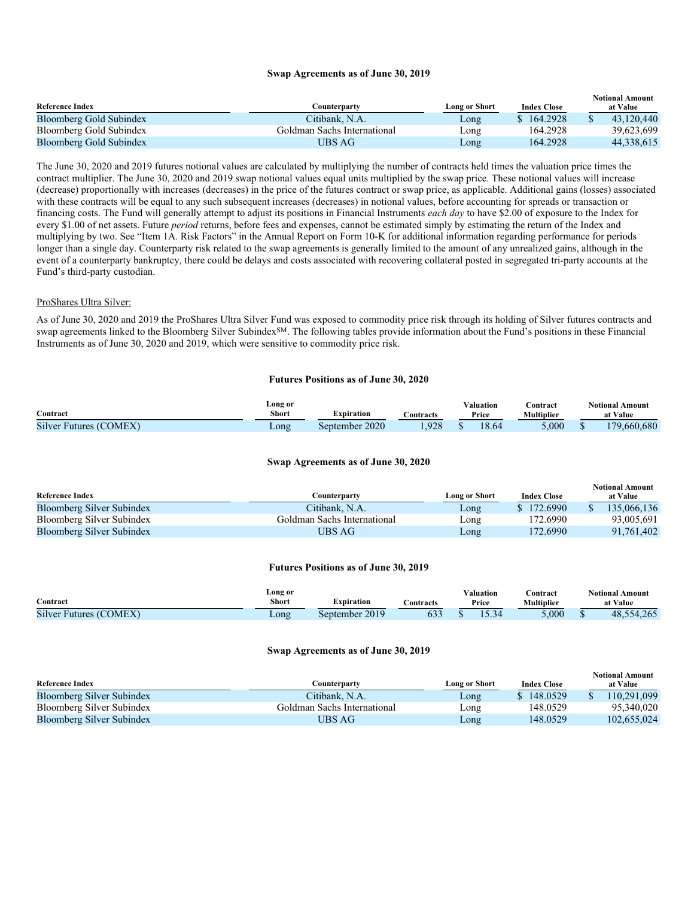### **Swap Agreements as of June 30, 2019**

| <b>Reference Index</b>  | C <b>ounterparty</b>        | Long or Short | <b>Index Close</b> | <b>Notional Amount</b><br>at Value |
|-------------------------|-----------------------------|---------------|--------------------|------------------------------------|
| Bloomberg Gold Subindex | Citibank, N.A.              | Long          | 164.2928           | 43.120.440                         |
| Bloomberg Gold Subindex | Goldman Sachs International | Long          | 164.2928           | 39.623.699                         |
| Bloomberg Gold Subindex | UBS AG                      | Long          | 164.2928           | 44.338.615                         |

The June 30, 2020 and 2019 futures notional values are calculated by multiplying the number of contracts held times the valuation price times the contract multiplier. The June 30, 2020 and 2019 swap notional values equal units multiplied by the swap price. These notional values will increase (decrease) proportionally with increases (decreases) in the price of the futures contract or swap price, as applicable. Additional gains (losses) associated with these contracts will be equal to any such subsequent increases (decreases) in notional values, before accounting for spreads or transaction or financing costs. The Fund will generally attempt to adjust its positions in Financial Instruments *each day* to have \$2.00 of exposure to the Index for every \$1.00 of net assets. Future *period* returns, before fees and expenses, cannot be estimated simply by estimating the return of the Index and multiplying by two. See "Item 1A. Risk Factors" in the Annual Report on Form 10-K for additional information regarding performance for periods longer than a single day. Counterparty risk related to the swap agreements is generally limited to the amount of any unrealized gains, although in the event of a counterparty bankruptcy, there could be delays and costs associated with recovering collateral posted in segregated tri-party accounts at the Fund's third-party custodian.

### ProShares Ultra Silver:

As of June 30, 2020 and 2019 the ProShares Ultra Silver Fund was exposed to commodity price risk through its holding of Silver futures contracts and swap agreements linked to the Bloomberg Silver Subindex<sup>SM</sup>. The following tables provide information about the Fund's positions in these Financial Instruments as of June 30, 2020 and 2019, which were sensitive to commodity price risk.

#### **Futures Positions as of June 30, 2020**

|                               | Long or         |                   |                  | ⁄ aluation | <b>Contract</b> | Notional Amount |
|-------------------------------|-----------------|-------------------|------------------|------------|-----------------|-----------------|
| Contract                      | <b>Short</b>    | xniration         | <b>Contracts</b> | Price      | Multiplier      | at Value        |
| <b>Silver Futures (COMEX)</b> | $\mathsf{cong}$ | 2020<br>September | 1,928            | 8.64       | 5,000           | 79.660.680      |

#### **Swap Agreements as of June 30, 2020**

| <b>Reference Index</b>    | Counterparty                | Long or Short | <b>Index Close</b> | <b>Notional Amount</b><br>at Value |
|---------------------------|-----------------------------|---------------|--------------------|------------------------------------|
| Bloomberg Silver Subindex | Citibank, N.A.              | Long          | \$172,6990         | 135.066.136                        |
| Bloomberg Silver Subindex | Goldman Sachs International | Long          | 172.6990           | 93,005,691                         |
| Bloomberg Silver Subindex | UBS AG                      | Long          | 172.6990           | 91.761.402                         |

#### **Futures Positions as of June 30, 2019**

|                                        | Long or      |                   |               | ⁄ aluation | `ontract              | \mount<br>Notiona        |
|----------------------------------------|--------------|-------------------|---------------|------------|-----------------------|--------------------------|
| Contract                               | <b>Short</b> | xpiration         | ontracts      | Price      | $\cdots$<br>Multiplie | at Value                 |
| $\sim$ 11<br>OMEX`<br>Silver<br>utures | Long         | 2019<br>september | $\sim$<br>υυ. |            | 5.000                 | $\overline{AB}$<br>T.∠∪J |

#### **Swap Agreements as of June 30, 2019**

| <b>Reference Index</b>           | C <b>ounterparty</b>        | Long or Short | <b>Index Close</b> | <b>Notional Amount</b><br>at Value |
|----------------------------------|-----------------------------|---------------|--------------------|------------------------------------|
| <b>Bloomberg Silver Subindex</b> | Citibank. N.A.              | Long          | \$148,0529         | 110.291.099                        |
| Bloomberg Silver Subindex        | Goldman Sachs International | Long          | 148.0529           | 95,340,020                         |
| <b>Bloomberg Silver Subindex</b> | UBS AG                      | Long          | 148.0529           | 102.655.024                        |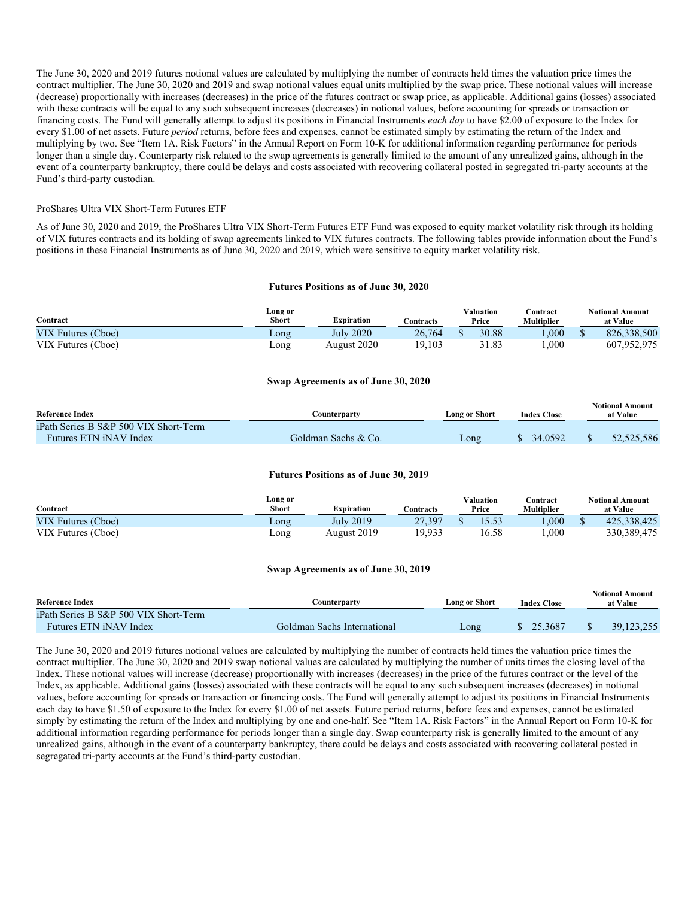The June 30, 2020 and 2019 futures notional values are calculated by multiplying the number of contracts held times the valuation price times the contract multiplier. The June 30, 2020 and 2019 and swap notional values equal units multiplied by the swap price. These notional values will increase (decrease) proportionally with increases (decreases) in the price of the futures contract or swap price, as applicable. Additional gains (losses) associated with these contracts will be equal to any such subsequent increases (decreases) in notional values, before accounting for spreads or transaction or financing costs. The Fund will generally attempt to adjust its positions in Financial Instruments *each day* to have \$2.00 of exposure to the Index for every \$1.00 of net assets. Future *period* returns, before fees and expenses, cannot be estimated simply by estimating the return of the Index and multiplying by two. See "Item 1A. Risk Factors" in the Annual Report on Form 10-K for additional information regarding performance for periods longer than a single day. Counterparty risk related to the swap agreements is generally limited to the amount of any unrealized gains, although in the event of a counterparty bankruptcy, there could be delays and costs associated with recovering collateral posted in segregated tri-party accounts at the Fund's third-party custodian.

### ProShares Ultra VIX Short-Term Futures ETF

As of June 30, 2020 and 2019, the ProShares Ultra VIX Short-Term Futures ETF Fund was exposed to equity market volatility risk through its holding of VIX futures contracts and its holding of swap agreements linked to VIX futures contracts. The following tables provide information about the Fund's positions in these Financial Instruments as of June 30, 2020 and 2019, which were sensitive to equity market volatility risk.

### **Futures Positions as of June 30, 2020**

| Contract           | Long or<br>Short | Expiration       | <b>Contracts</b> | Valuation<br>Price | <b>Contract</b><br>Multiplier | <b>Notional Amount</b><br>at Value |
|--------------------|------------------|------------------|------------------|--------------------|-------------------------------|------------------------------------|
| VIX Futures (Cboe) | $L$ ong          | <b>July 2020</b> | 26,764           | 30.88              | .000                          | 826,338,500                        |
| VIX Futures (Cboe) | ∟ong             | August 2020      | 19.103           | 31.83              | .000                          | 607.952.975                        |

#### **Swap Agreements as of June 30, 2020**

| <b>Reference Index</b>                | Counterparty        | Long or Short | <b>Index Close</b> | <b>Notional Amount</b><br>at Value |
|---------------------------------------|---------------------|---------------|--------------------|------------------------------------|
| iPath Series B S&P 500 VIX Short-Term |                     |               |                    |                                    |
| Futures ETN <i>iNAV</i> Index         | Goldman Sachs & Co. | Long          | 34.0592            | 52, 525, 586                       |

### **Futures Positions as of June 30, 2019**

| Contract           | Long or<br>Short | <b>Expiration</b> | <b>Contracts</b> | Valuation<br>Price | Contract<br>Multiplier | Notional Amount<br>at Value |
|--------------------|------------------|-------------------|------------------|--------------------|------------------------|-----------------------------|
| VIX Futures (Cboe) | $L$ ong          | <b>July 2019</b>  | 27.397           |                    | .000                   | 425.338.425                 |
| VIX Futures (Cboe) | _ong             | August 2019       | 19.933           | 6.58               | .000                   | 330, 389, 475               |

#### **Swap Agreements as of June 30, 2019**

| Reference Index                       | Counterparty                | Long or Short | <b>Index Close</b> | <b>Notional Amount</b><br>at Value |
|---------------------------------------|-----------------------------|---------------|--------------------|------------------------------------|
| iPath Series B S&P 500 VIX Short-Term |                             |               |                    |                                    |
| Futures ETN <i>iNAV</i> Index         | Goldman Sachs International | Long          | 25.3687            | 39, 123, 255                       |

The June 30, 2020 and 2019 futures notional values are calculated by multiplying the number of contracts held times the valuation price times the contract multiplier. The June 30, 2020 and 2019 swap notional values are calculated by multiplying the number of units times the closing level of the Index. These notional values will increase (decrease) proportionally with increases (decreases) in the price of the futures contract or the level of the Index, as applicable. Additional gains (losses) associated with these contracts will be equal to any such subsequent increases (decreases) in notional values, before accounting for spreads or transaction or financing costs. The Fund will generally attempt to adjust its positions in Financial Instruments each day to have \$1.50 of exposure to the Index for every \$1.00 of net assets. Future period returns, before fees and expenses, cannot be estimated simply by estimating the return of the Index and multiplying by one and one-half. See "Item 1A. Risk Factors" in the Annual Report on Form 10-K for additional information regarding performance for periods longer than a single day. Swap counterparty risk is generally limited to the amount of any unrealized gains, although in the event of a counterparty bankruptcy, there could be delays and costs associated with recovering collateral posted in segregated tri-party accounts at the Fund's third-party custodian.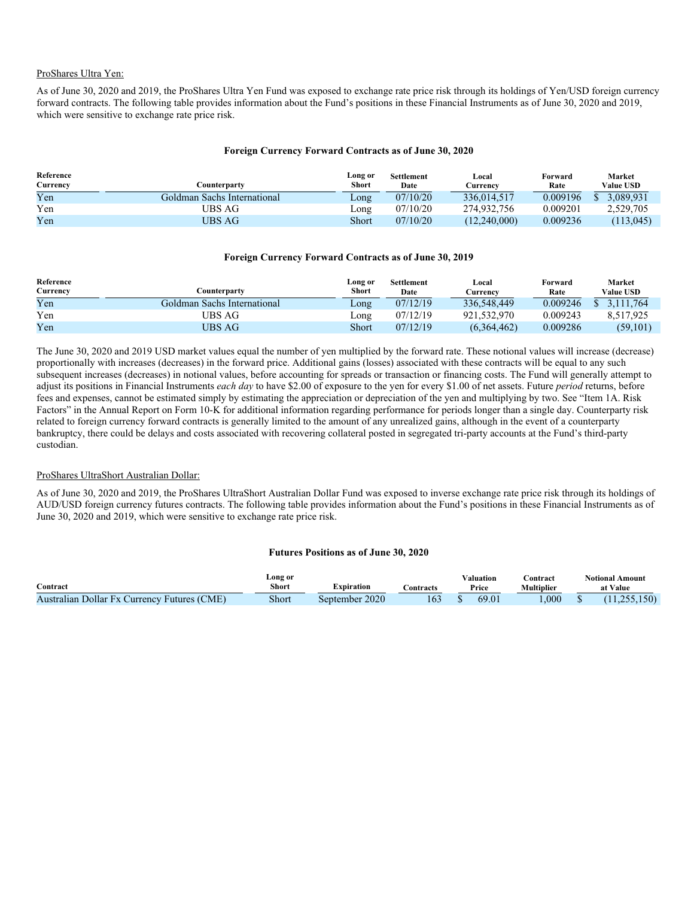## ProShares Ultra Yen:

As of June 30, 2020 and 2019, the ProShares Ultra Yen Fund was exposed to exchange rate price risk through its holdings of Yen/USD foreign currency forward contracts. The following table provides information about the Fund's positions in these Financial Instruments as of June 30, 2020 and 2019, which were sensitive to exchange rate price risk.

## **Foreign Currency Forward Contracts as of June 30, 2020**

| Reference<br>Currency | Counterparty                | Long or<br><b>Short</b> | <b>Settlement</b><br>Date | Local<br>Currencv | Forward<br>Rate | Market<br><b>Value USD</b> |
|-----------------------|-----------------------------|-------------------------|---------------------------|-------------------|-----------------|----------------------------|
| Yen                   | Goldman Sachs International | Long                    | 07/10/20                  | 336,014.517       | 0.009196        | 3,089,931                  |
| Yen                   | UBS AG                      | ∟ong                    | 07/10/20                  | 274,932,756       | 0.009201        | 2,529,705                  |
| Yen                   | UBS AG                      | Short                   | 07/10/20                  | (12,240,000)      | 0.009236        | (113, 045)                 |

## **Foreign Currency Forward Contracts as of June 30, 2019**

| Reference<br>Currency | Counterparty                | Long or<br>Short | <b>Settlement</b><br>Date | Local<br>Currencv | Forward<br>Rate | Market<br><b>Value USD</b> |
|-----------------------|-----------------------------|------------------|---------------------------|-------------------|-----------------|----------------------------|
| Yen                   | Goldman Sachs International | Long             | 07/12/19                  | 336,548,449       | 0.009246        | 3.111.764                  |
| Yen                   | UBS AG                      | Long             | 07/12/19                  | 921,532,970       | 0.009243        | 8.517.925                  |
| Yen                   | UBS AG                      | Short            | 07/12/19                  | (6,364,462)       | 0.009286        | (59, 101)                  |

The June 30, 2020 and 2019 USD market values equal the number of yen multiplied by the forward rate. These notional values will increase (decrease) proportionally with increases (decreases) in the forward price. Additional gains (losses) associated with these contracts will be equal to any such subsequent increases (decreases) in notional values, before accounting for spreads or transaction or financing costs. The Fund will generally attempt to adjust its positions in Financial Instruments *each day* to have \$2.00 of exposure to the yen for every \$1.00 of net assets. Future *period* returns, before fees and expenses, cannot be estimated simply by estimating the appreciation or depreciation of the yen and multiplying by two. See "Item 1A. Risk Factors" in the Annual Report on Form 10-K for additional information regarding performance for periods longer than a single day. Counterparty risk related to foreign currency forward contracts is generally limited to the amount of any unrealized gains, although in the event of a counterparty bankruptcy, there could be delays and costs associated with recovering collateral posted in segregated tri-party accounts at the Fund's third-party custodian.

### ProShares UltraShort Australian Dollar:

As of June 30, 2020 and 2019, the ProShares UltraShort Australian Dollar Fund was exposed to inverse exchange rate price risk through its holdings of AUD/USD foreign currency futures contracts. The following table provides information about the Fund's positions in these Financial Instruments as of June 30, 2020 and 2019, which were sensitive to exchange rate price risk.

|                                             | Long or |                |           | /aluation | :ontract          | <b>Notional Amount</b> |
|---------------------------------------------|---------|----------------|-----------|-----------|-------------------|------------------------|
| Contract                                    | Short   | Expiration     | Contracts | Price     | <b>Multiplier</b> | at Value               |
| Australian Dollar Fx Currency Futures (CME) | Short   | September 2020 | 163       | 69.01     | .000              | 1.255.150)             |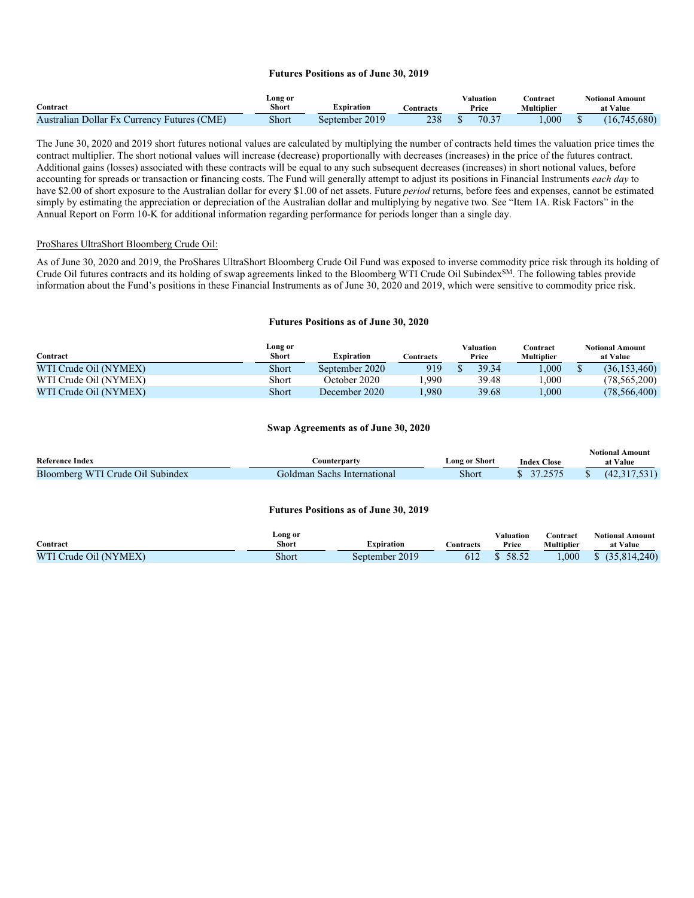## **Futures Positions as of June 30, 2019**

|                                             | Long or      |                   |            | ′aluation | <b>∪ontract</b> | Notional Amount |
|---------------------------------------------|--------------|-------------------|------------|-----------|-----------------|-----------------|
| Contract                                    | <b>Short</b> | kxpiration        | .`ontracts | Price     | Multiplier      | at Value        |
| Australian Dollar Fx Currency Futures (CME) | Short        | 2019<br>September | 238        | 70.5      | .000            | 745<br>0.680V   |

The June 30, 2020 and 2019 short futures notional values are calculated by multiplying the number of contracts held times the valuation price times the contract multiplier. The short notional values will increase (decrease) proportionally with decreases (increases) in the price of the futures contract. Additional gains (losses) associated with these contracts will be equal to any such subsequent decreases (increases) in short notional values, before accounting for spreads or transaction or financing costs. The Fund will generally attempt to adjust its positions in Financial Instruments *each day* to have \$2.00 of short exposure to the Australian dollar for every \$1.00 of net assets. Future *period* returns, before fees and expenses, cannot be estimated simply by estimating the appreciation or depreciation of the Australian dollar and multiplying by negative two. See "Item 1A. Risk Factors" in the Annual Report on Form 10-K for additional information regarding performance for periods longer than a single day.

### ProShares UltraShort Bloomberg Crude Oil:

As of June 30, 2020 and 2019, the ProShares UltraShort Bloomberg Crude Oil Fund was exposed to inverse commodity price risk through its holding of Crude Oil futures contracts and its holding of swap agreements linked to the Bloomberg WTI Crude Oil SubindexSM. The following tables provide information about the Fund's positions in these Financial Instruments as of June 30, 2020 and 2019, which were sensitive to commodity price risk.

### **Futures Positions as of June 30, 2020**

| Contract              | Long or<br><b>Short</b> | <b>Expiration</b> | <b>Contracts</b> | Valuation<br>Price | Contract<br><b>Multiplier</b> | <b>Notional Amount</b><br>at Value |
|-----------------------|-------------------------|-------------------|------------------|--------------------|-------------------------------|------------------------------------|
| WTI Crude Oil (NYMEX) | Short                   | September 2020    | 919              | 39.34              | .000.                         | (36.153.460)                       |
| WTI Crude Oil (NYMEX) | Short                   | October 2020      | .990             | 39.48              | .000                          | (78, 565, 200)                     |
| WTI Crude Oil (NYMEX) | Short                   | December 2020     | .980             | 39.68              | .000                          | (78.566.400)                       |

#### **Swap Agreements as of June 30, 2020**

|                                  |                             |               |                    | Notional Amount |
|----------------------------------|-----------------------------|---------------|--------------------|-----------------|
| <b>Reference Index</b>           | <b>counterparty</b>         | Long or Short | <b>Index Close</b> | at Value        |
| Bloomberg WTI Crude Oil Subindex | Goldman Sachs International | Short         | 37.2575            | (42,317,531)    |

|                       | Long or      |                   |                  | Valuation | <b>Contract</b>   | <b>Notional Amount</b> |
|-----------------------|--------------|-------------------|------------------|-----------|-------------------|------------------------|
| Contract              | <b>Short</b> | xpiration         | <b>Contracts</b> | Price     | <b>Multiplier</b> | at Value               |
| WTI Crude Oil (NYMEX) | Short        | 2019<br>September | 612              | 58.52     | 000.              | 35,814.<br>4.240)      |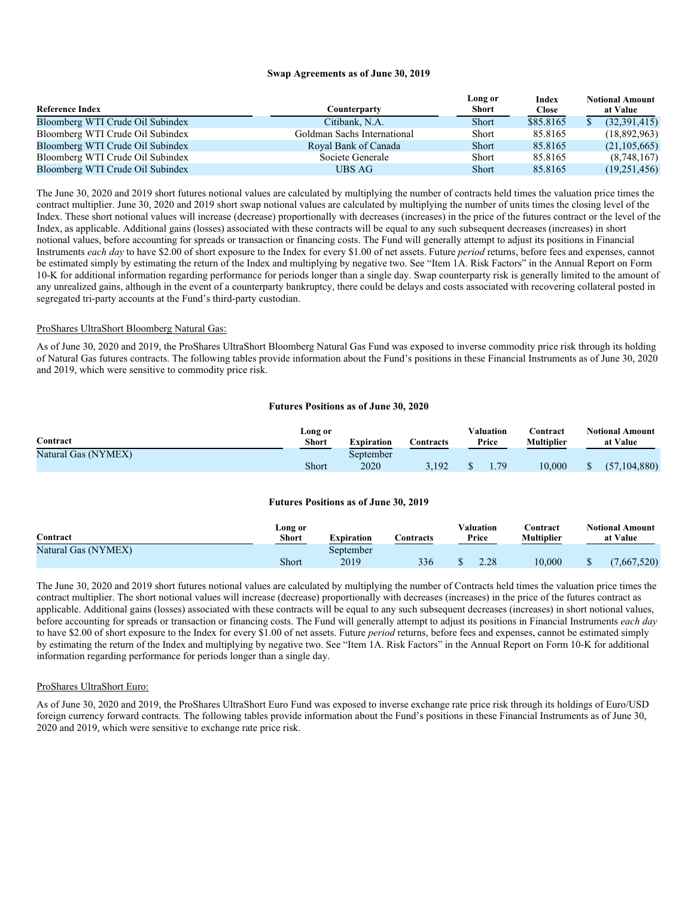## **Swap Agreements as of June 30, 2019**

|                                  |                             | Long or      | Index        | <b>Notional Amount</b> |
|----------------------------------|-----------------------------|--------------|--------------|------------------------|
| <b>Reference Index</b>           | Counterparty                | <b>Short</b> | <b>Close</b> | at Value               |
| Bloomberg WTI Crude Oil Subindex | Citibank, N.A.              | Short        | \$85,8165    | (32,391,415)           |
| Bloomberg WTI Crude Oil Subindex | Goldman Sachs International | Short        | 85.8165      | (18,892,963)           |
| Bloomberg WTI Crude Oil Subindex | Royal Bank of Canada        | Short        | 85.8165      | (21, 105, 665)         |
| Bloomberg WTI Crude Oil Subindex | Societe Generale            | Short        | 85.8165      | (8,748,167)            |
| Bloomberg WTI Crude Oil Subindex | UBS AG                      | Short        | 85.8165      | (19,251,456)           |

The June 30, 2020 and 2019 short futures notional values are calculated by multiplying the number of contracts held times the valuation price times the contract multiplier. June 30, 2020 and 2019 short swap notional values are calculated by multiplying the number of units times the closing level of the Index. These short notional values will increase (decrease) proportionally with decreases (increases) in the price of the futures contract or the level of the Index, as applicable. Additional gains (losses) associated with these contracts will be equal to any such subsequent decreases (increases) in short notional values, before accounting for spreads or transaction or financing costs. The Fund will generally attempt to adjust its positions in Financial Instruments *each day* to have \$2.00 of short exposure to the Index for every \$1.00 of net assets. Future *period* returns, before fees and expenses, cannot be estimated simply by estimating the return of the Index and multiplying by negative two. See "Item 1A. Risk Factors" in the Annual Report on Form 10-K for additional information regarding performance for periods longer than a single day. Swap counterparty risk is generally limited to the amount of any unrealized gains, although in the event of a counterparty bankruptcy, there could be delays and costs associated with recovering collateral posted in segregated tri-party accounts at the Fund's third-party custodian.

## ProShares UltraShort Bloomberg Natural Gas:

As of June 30, 2020 and 2019, the ProShares UltraShort Bloomberg Natural Gas Fund was exposed to inverse commodity price risk through its holding of Natural Gas futures contracts. The following tables provide information about the Fund's positions in these Financial Instruments as of June 30, 2020 and 2019, which were sensitive to commodity price risk.

## **Futures Positions as of June 30, 2020**

| Contract            | Long or<br><b>Short</b> | <b>Expiration</b> | Contracts | <b>Valuation</b><br>Price | $\Gamma$ ontract<br><b>Multiplier</b> | <b>Notional Amount</b><br>at Value |
|---------------------|-------------------------|-------------------|-----------|---------------------------|---------------------------------------|------------------------------------|
| Natural Gas (NYMEX) |                         | September         |           |                           |                                       |                                    |
|                     | Short                   | 2020              | 3.192     | 1.79                      | 10,000                                | (57, 104, 880)                     |

### **Futures Positions as of June 30, 2019**

| Contract            | Long or<br>Short | Expiration | <b>Contracts</b> | Valuation<br>Price | <b>⊃ontract</b><br><b>Multiplier</b> | <b>Notional Amount</b><br>at Value |
|---------------------|------------------|------------|------------------|--------------------|--------------------------------------|------------------------------------|
| Natural Gas (NYMEX) |                  | September  |                  |                    |                                      |                                    |
|                     | Short            | 2019       | 336              | 2.28               | 10.000                               | (7.667.520)                        |

The June 30, 2020 and 2019 short futures notional values are calculated by multiplying the number of Contracts held times the valuation price times the contract multiplier. The short notional values will increase (decrease) proportionally with decreases (increases) in the price of the futures contract as applicable. Additional gains (losses) associated with these contracts will be equal to any such subsequent decreases (increases) in short notional values, before accounting for spreads or transaction or financing costs. The Fund will generally attempt to adjust its positions in Financial Instruments *each day* to have \$2.00 of short exposure to the Index for every \$1.00 of net assets. Future *period* returns, before fees and expenses, cannot be estimated simply by estimating the return of the Index and multiplying by negative two. See "Item 1A. Risk Factors" in the Annual Report on Form 10-K for additional information regarding performance for periods longer than a single day.

### ProShares UltraShort Euro:

As of June 30, 2020 and 2019, the ProShares UltraShort Euro Fund was exposed to inverse exchange rate price risk through its holdings of Euro/USD foreign currency forward contracts. The following tables provide information about the Fund's positions in these Financial Instruments as of June 30, 2020 and 2019, which were sensitive to exchange rate price risk.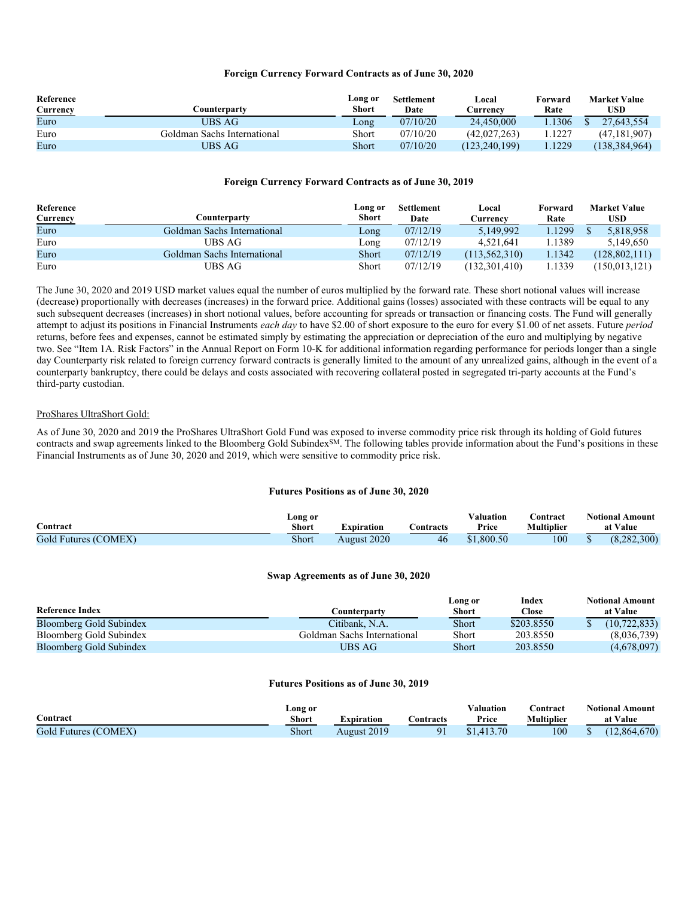## **Foreign Currency Forward Contracts as of June 30, 2020**

| Reference       |                             | Long or      | <b>Settlement</b> | Local           | Forward | <b>Market Value</b> |
|-----------------|-----------------------------|--------------|-------------------|-----------------|---------|---------------------|
| <b>Currency</b> | Counterparty                | <b>Short</b> | Date              | <b>€urrencv</b> | Rate    | USD                 |
| Euro            | UBS AG                      | Long         | 07/10/20          | 24,450,000      | 4.1306  | 27.643.554<br>ጣ     |
| Euro            | Goldman Sachs International | Short        | 07/10/20          | (42.027.263)    | 1.1227  | (47, 181, 907)      |
| Euro            | UBS AG                      | Short        | 07/10/20          | (123.240.199)   | .1229   | (138.384.964)       |

#### **Foreign Currency Forward Contracts as of June 30, 2019**

| Reference<br>Currency | Counterparty                | Long or<br>Short | <b>Settlement</b><br>Date | Local<br>∪urrencv | Forward<br>Rate | <b>Market Value</b><br><b>USD</b> |
|-----------------------|-----------------------------|------------------|---------------------------|-------------------|-----------------|-----------------------------------|
| Euro                  | Goldman Sachs International | Long             | 07/12/19                  | 5.149.992         | 1.1299          | 5.818.958                         |
| Euro                  | UBS AG                      | Long             | 07/12/19                  | 4.521.641         | 1.1389          | 5.149.650                         |
| Euro                  | Goldman Sachs International | Short            | 07/12/19                  | (113.562.310)     | 1.1342          | (128.802.111)                     |
| Euro                  | UBS AG                      | Short            | 07/12/19                  | (132.301.410)     | 1.1339          | (150, 013, 121)                   |

The June 30, 2020 and 2019 USD market values equal the number of euros multiplied by the forward rate. These short notional values will increase (decrease) proportionally with decreases (increases) in the forward price. Additional gains (losses) associated with these contracts will be equal to any such subsequent decreases (increases) in short notional values, before accounting for spreads or transaction or financing costs. The Fund will generally attempt to adjust its positions in Financial Instruments *each day* to have \$2.00 of short exposure to the euro for every \$1.00 of net assets. Future *period* returns, before fees and expenses, cannot be estimated simply by estimating the appreciation or depreciation of the euro and multiplying by negative two. See "Item 1A. Risk Factors" in the Annual Report on Form 10-K for additional information regarding performance for periods longer than a single day Counterparty risk related to foreign currency forward contracts is generally limited to the amount of any unrealized gains, although in the event of a counterparty bankruptcy, there could be delays and costs associated with recovering collateral posted in segregated tri-party accounts at the Fund's third-party custodian.

#### ProShares UltraShort Gold:

As of June 30, 2020 and 2019 the ProShares UltraShort Gold Fund was exposed to inverse commodity price risk through its holding of Gold futures contracts and swap agreements linked to the Bloomberg Gold Subindex<sup>SM</sup>. The following tables provide information about the Fund's positions in these Financial Instruments as of June 30, 2020 and 2019, which were sensitive to commodity price risk.

#### **Futures Positions as of June 30, 2020**

|                      | ⊥ong or |             |                  | Valuation  | <b>Contract</b>   | <b>Notional Amount</b> |
|----------------------|---------|-------------|------------------|------------|-------------------|------------------------|
| Contract             | Short   | Expiration  | <b>Contracts</b> | Price      | <b>Multiplier</b> | at Value               |
| Gold Futures (COMEX) | Short   | August 2020 | 46               | \$1,800.50 | 100               | (8.282.300)            |

#### **Swap Agreements as of June 30, 2020**

|                         |                             | Long or      | Index      | <b>Notional Amount</b> |
|-------------------------|-----------------------------|--------------|------------|------------------------|
| <b>Reference Index</b>  | C <b>ounterpartv</b>        | <b>Short</b> | Close      | at Value               |
| Bloomberg Gold Subindex | Citibank. N.A.              | Short        | \$203,8550 | (10.722.833)           |
| Bloomberg Gold Subindex | Goldman Sachs International | Short        | 203.8550   | (8,036,739)            |
| Bloomberg Gold Subindex | UBS AG                      | Short        | 203.8550   | (4,678,097)            |

|                      | Long or      |             |                  | Valuation  | <b>≥ontract</b>   | <b>Notional Amount</b> |
|----------------------|--------------|-------------|------------------|------------|-------------------|------------------------|
| Contract             | <b>Short</b> | Expiration  | <b>Contracts</b> | Price      | <b>Multiplier</b> | at Value               |
| Gold Futures (COMEX) | Short        | August 2019 | Q <sub>1</sub>   | \$1,413.70 | 100               | (12,864,670)           |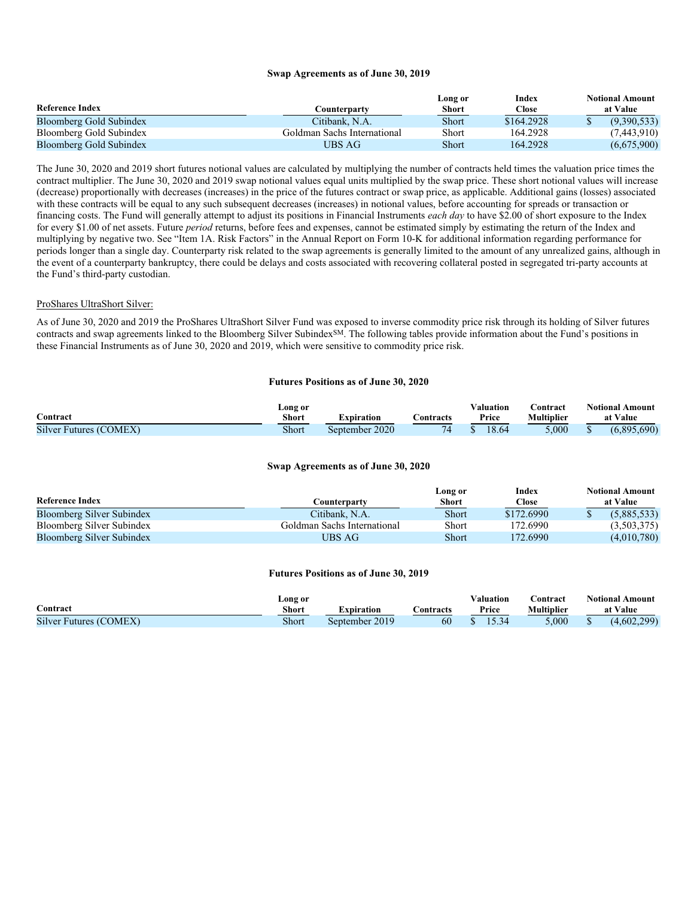### **Swap Agreements as of June 30, 2019**

|                         |                             | Long or      | Index      | <b>Notional Amount</b> |
|-------------------------|-----------------------------|--------------|------------|------------------------|
| <b>Reference Index</b>  | Counterparty                | <b>Short</b> | Close      | at Value               |
| Bloomberg Gold Subindex | Citibank. N.A.              | Short        | \$164.2928 | (9,390,533)            |
| Bloomberg Gold Subindex | Goldman Sachs International | Short        | 164.2928   | (7, 443, 910)          |
| Bloomberg Gold Subindex | UBS AG                      | Short        | 164.2928   | (6,675,900)            |

The June 30, 2020 and 2019 short futures notional values are calculated by multiplying the number of contracts held times the valuation price times the contract multiplier. The June 30, 2020 and 2019 swap notional values equal units multiplied by the swap price. These short notional values will increase (decrease) proportionally with decreases (increases) in the price of the futures contract or swap price, as applicable. Additional gains (losses) associated with these contracts will be equal to any such subsequent decreases (increases) in notional values, before accounting for spreads or transaction or financing costs. The Fund will generally attempt to adjust its positions in Financial Instruments *each day* to have \$2.00 of short exposure to the Index for every \$1.00 of net assets. Future *period* returns, before fees and expenses, cannot be estimated simply by estimating the return of the Index and multiplying by negative two. See "Item 1A. Risk Factors" in the Annual Report on Form 10-K for additional information regarding performance for periods longer than a single day. Counterparty risk related to the swap agreements is generally limited to the amount of any unrealized gains, although in the event of a counterparty bankruptcy, there could be delays and costs associated with recovering collateral posted in segregated tri-party accounts at the Fund's third-party custodian.

## ProShares UltraShort Silver:

As of June 30, 2020 and 2019 the ProShares UltraShort Silver Fund was exposed to inverse commodity price risk through its holding of Silver futures contracts and swap agreements linked to the Bloomberg Silver Subindex<sup>SM</sup>. The following tables provide information about the Fund's positions in these Financial Instruments as of June 30, 2020 and 2019, which were sensitive to commodity price risk.

#### **Futures Positions as of June 30, 2020**

| Contract                      | Long or<br>Short | Expiration     | <b>Contracts</b> | /aluation<br>Price | <b>∶ontract</b><br><b>Multiplier</b> | <b>Notional Amount</b><br>at Value |
|-------------------------------|------------------|----------------|------------------|--------------------|--------------------------------------|------------------------------------|
| <b>Silver Futures (COMEX)</b> | Short            | September 2020 | 71               | 18.64              | 5.000                                | (6.895.690)                        |

#### **Swap Agreements as of June 30, 2020**

| <b>Reference Index</b>           | C <b>ounterparty</b>        | Long or<br>Short | Index<br>Close | <b>Notional Amount</b><br>at Value |
|----------------------------------|-----------------------------|------------------|----------------|------------------------------------|
| <b>Bloomberg Silver Subindex</b> | Citibank, N.A.              | Short            | \$172,6990     | (5,885,533)                        |
| Bloomberg Silver Subindex        | Goldman Sachs International | Short            | 172.6990       | (3,503,375)                        |
| <b>Bloomberg Silver Subindex</b> | UBS AG                      | Short            | 172.6990       | (4,010,780)                        |

|                        | Long or |                |                  | $\mathrm{a}$ luation | <b>Contract</b>   | <b>Notional Amount</b> |
|------------------------|---------|----------------|------------------|----------------------|-------------------|------------------------|
| Contract               | Short   | Expiration     | <b>Contracts</b> | Price                | <b>Multiplier</b> | at Value               |
| Silver Futures (COMEX) | Short   | September 2019 | 60               | .34                  | 5.000             | (4.602.299)            |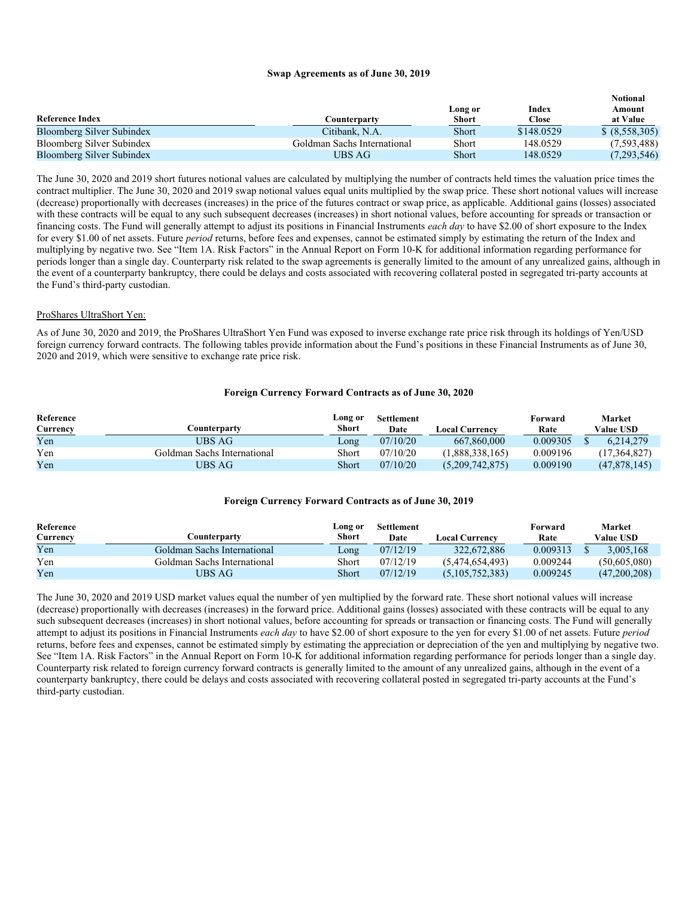## **Swap Agreements as of June 30, 2019**

|                                  |                             | Long or      | Index        | <b>Notional</b><br>Amount |
|----------------------------------|-----------------------------|--------------|--------------|---------------------------|
| <b>Reference Index</b>           | Counterparty                | <b>Short</b> | <b>Close</b> | at Value                  |
| <b>Bloomberg Silver Subindex</b> | Citibank, N.A.              | Short        | \$148,0529   | \$ (8,558,305)            |
| Bloomberg Silver Subindex        | Goldman Sachs International | Short        | 148.0529     | (7,593,488)               |
| <b>Bloomberg Silver Subindex</b> | UBS AG                      | Short        | 148.0529     | (7,293,546)               |

The June 30, 2020 and 2019 short futures notional values are calculated by multiplying the number of contracts held times the valuation price times the contract multiplier. The June 30, 2020 and 2019 swap notional values equal units multiplied by the swap price. These short notional values will increase (decrease) proportionally with decreases (increases) in the price of the futures contract or swap price, as applicable. Additional gains (losses) associated with these contracts will be equal to any such subsequent decreases (increases) in short notional values, before accounting for spreads or transaction or financing costs. The Fund will generally attempt to adjust its positions in Financial Instruments *each day* to have \$2.00 of short exposure to the Index for every \$1.00 of net assets. Future *period* returns, before fees and expenses, cannot be estimated simply by estimating the return of the Index and multiplying by negative two. See "Item 1A. Risk Factors" in the Annual Report on Form 10-K for additional information regarding performance for periods longer than a single day. Counterparty risk related to the swap agreements is generally limited to the amount of any unrealized gains, although in the event of a counterparty bankruptcy, there could be delays and costs associated with recovering collateral posted in segregated tri-party accounts at the Fund's third-party custodian.

### ProShares UltraShort Yen:

As of June 30, 2020 and 2019, the ProShares UltraShort Yen Fund was exposed to inverse exchange rate price risk through its holdings of Yen/USD foreign currency forward contracts. The following tables provide information about the Fund's positions in these Financial Instruments as of June 30, 2020 and 2019, which were sensitive to exchange rate price risk.

### **Foreign Currency Forward Contracts as of June 30, 2020**

| Reference |                             | Long or | <b>Settlement</b> |                 | Forward  | <b>Market</b> |
|-----------|-----------------------------|---------|-------------------|-----------------|----------|---------------|
| Currency  | Counterparty                | Short   | Date              | Local Currencv  | Rate     | Value USD-    |
| Yen       | UBS AG                      | Long    | 07/10/20          | 667,860,000     | 0.009305 | 6.214.279     |
| Yen       | Goldman Sachs International | Short   | 07/10/20          | (1,888,338,165) | 0.009196 | (17.364.827)  |
| Yen       | UBS AG                      | Short   | 07/10/20          | (5,209,742,875) | 0.009190 | (47.878.145)  |

### **Foreign Currency Forward Contracts as of June 30, 2019**

| Reference |                             | Long or | <b>Settlement</b> |                 | Forward  | Market       |
|-----------|-----------------------------|---------|-------------------|-----------------|----------|--------------|
| Currency  | Counterparty                | Short   | Date              | Local Currencv  | Rate     | Value USD    |
| Yen       | Goldman Sachs International | Long    | 07/12/19          | 322,672,886     | 0.009313 | 3.005.168    |
| Yen       | Goldman Sachs International | Short   | 07/12/19          | (5,474,654,493) | 0.009244 | (50,605,080) |
| Yen       | UBS AG                      | Short   | 07/12/19          | (5,105,752,383) | 0.009245 | (47.200.208) |

The June 30, 2020 and 2019 USD market values equal the number of yen multiplied by the forward rate. These short notional values will increase (decrease) proportionally with decreases (increases) in the forward price. Additional gains (losses) associated with these contracts will be equal to any such subsequent decreases (increases) in short notional values, before accounting for spreads or transaction or financing costs. The Fund will generally attempt to adjust its positions in Financial Instruments *each day* to have \$2.00 of short exposure to the yen for every \$1.00 of net assets. Future *period* returns, before fees and expenses, cannot be estimated simply by estimating the appreciation or depreciation of the yen and multiplying by negative two. See "Item 1A. Risk Factors" in the Annual Report on Form 10-K for additional information regarding performance for periods longer than a single day. Counterparty risk related to foreign currency forward contracts is generally limited to the amount of any unrealized gains, although in the event of a counterparty bankruptcy, there could be delays and costs associated with recovering collateral posted in segregated tri-party accounts at the Fund's third-party custodian.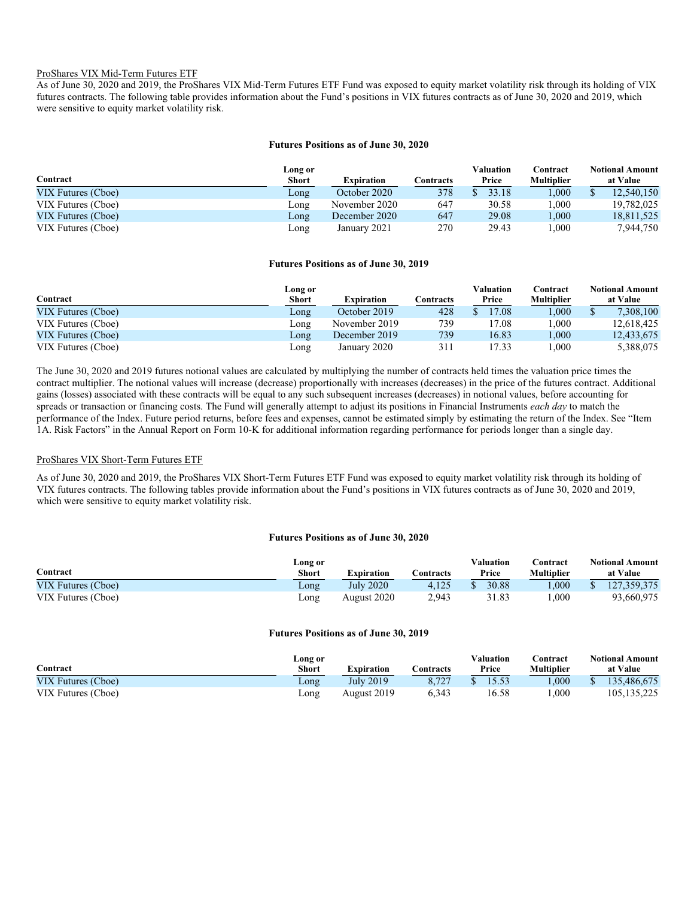### ProShares VIX Mid-Term Futures ETF

As of June 30, 2020 and 2019, the ProShares VIX Mid-Term Futures ETF Fund was exposed to equity market volatility risk through its holding of VIX futures contracts. The following table provides information about the Fund's positions in VIX futures contracts as of June 30, 2020 and 2019, which were sensitive to equity market volatility risk.

#### **Futures Positions as of June 30, 2020**

|                    | Long or      |                   |           | Valuation | Contract          | <b>Notional Amount</b> |
|--------------------|--------------|-------------------|-----------|-----------|-------------------|------------------------|
| Contract           | <b>Short</b> | <b>Expiration</b> | Contracts | Price     | <b>Multiplier</b> | at Value               |
| VIX Futures (Cboe) | Long         | October 2020      | 378       | 33.18     | 1.000             | 12,540,150             |
| VIX Futures (Cboe) | Long         | November 2020     | 647       | 30.58     | 000.              | 19.782,025             |
| VIX Futures (Cboe) | Long         | December 2020     | 647       | 29.08     | 1.000             | 18,811,525             |
| VIX Futures (Cboe) | Long         | January 2021      | 270       | 29.43     | 000.              | 7.944.750              |

#### **Futures Positions as of June 30, 2019**

|                    | Long or      |                   |           | Valuation | Contract          | <b>Notional Amount</b> |
|--------------------|--------------|-------------------|-----------|-----------|-------------------|------------------------|
| Contract           | <b>Short</b> | <b>Expiration</b> | Contracts | Price     | <b>Multiplier</b> | at Value               |
| VIX Futures (Cboe) | Long         | October 2019      | 428       | 17.08     | 000.1             | 7,308,100              |
| VIX Futures (Cboe) | Long         | November 2019     | 739       | 17.08     | $000$ .           | 12,618,425             |
| VIX Futures (Cboe) | Long         | December 2019     | 739       | 16.83     | 000.1             | 12,433,675             |
| VIX Futures (Cboe) | Long         | January 2020      | 311       | 17.33     | 000.              | 5,388,075              |

The June 30, 2020 and 2019 futures notional values are calculated by multiplying the number of contracts held times the valuation price times the contract multiplier. The notional values will increase (decrease) proportionally with increases (decreases) in the price of the futures contract. Additional gains (losses) associated with these contracts will be equal to any such subsequent increases (decreases) in notional values, before accounting for spreads or transaction or financing costs. The Fund will generally attempt to adjust its positions in Financial Instruments *each day* to match the performance of the Index. Future period returns, before fees and expenses, cannot be estimated simply by estimating the return of the Index. See "Item 1A. Risk Factors" in the Annual Report on Form 10-K for additional information regarding performance for periods longer than a single day.

### ProShares VIX Short-Term Futures ETF

As of June 30, 2020 and 2019, the ProShares VIX Short-Term Futures ETF Fund was exposed to equity market volatility risk through its holding of VIX futures contracts. The following tables provide information about the Fund's positions in VIX futures contracts as of June 30, 2020 and 2019, which were sensitive to equity market volatility risk.

### **Futures Positions as of June 30, 2020**

| Contract           | Long or<br>Short | Expiration       | <b>Contracts</b> | Valuation<br>Price | Contract<br>Multiplier | <b>Notional Amount</b><br>at Value |
|--------------------|------------------|------------------|------------------|--------------------|------------------------|------------------------------------|
| VIX Futures (Cboe) | Long             | <b>July 2020</b> | 4.125            | 30.88              | .000                   | 127,359,375                        |
| VIX Futures (Cboe) | Long             | August 2020      | 2.943            | 31.83              | .000                   | 93,660,975                         |

| Contract           | Long or<br><b>Short</b> | <b>Expiration</b> | Contracts | Valuation<br>Price | Contract<br><b>Multiplier</b> | <b>Notional Amount</b><br>at Value |
|--------------------|-------------------------|-------------------|-----------|--------------------|-------------------------------|------------------------------------|
| VIX Futures (Cboe) | Long                    | July 2019         | 8.727     | 15.53              | .000                          | 135.486.675                        |
| VIX Futures (Cboe) | Long                    | August 2019       | 6,343     | 16.58              | .000                          | 105, 135, 225                      |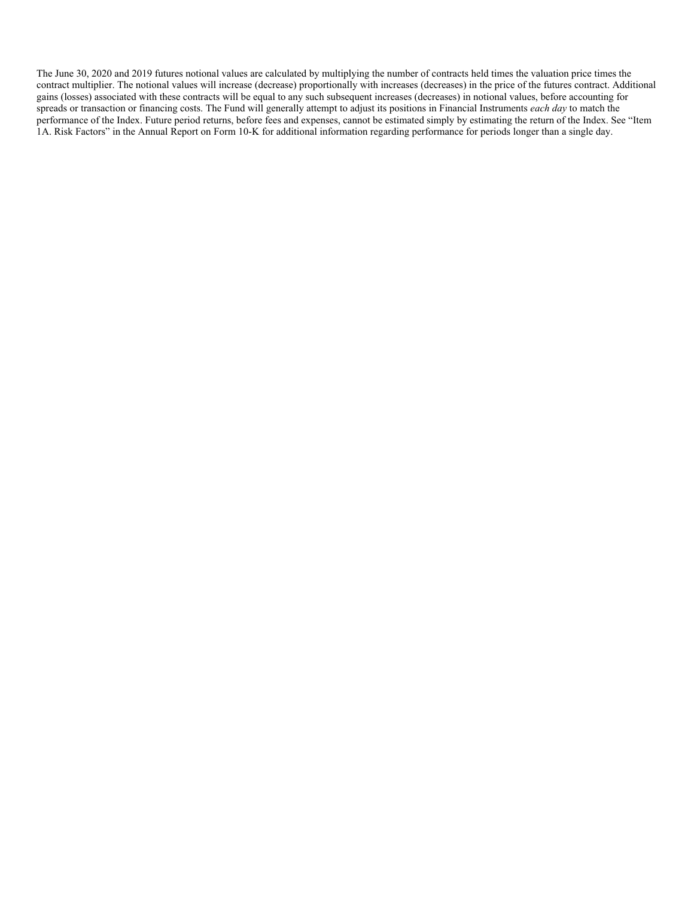The June 30, 2020 and 2019 futures notional values are calculated by multiplying the number of contracts held times the valuation price times the contract multiplier. The notional values will increase (decrease) proportionally with increases (decreases) in the price of the futures contract. Additional gains (losses) associated with these contracts will be equal to any such subsequent increases (decreases) in notional values, before accounting for spreads or transaction or financing costs. The Fund will generally attempt to adjust its positions in Financial Instruments *each day* to match the performance of the Index. Future period returns, before fees and expenses, cannot be estimated simply by estimating the return of the Index. See "Item 1A. Risk Factors" in the Annual Report on Form 10-K for additional information regarding performance for periods longer than a single day.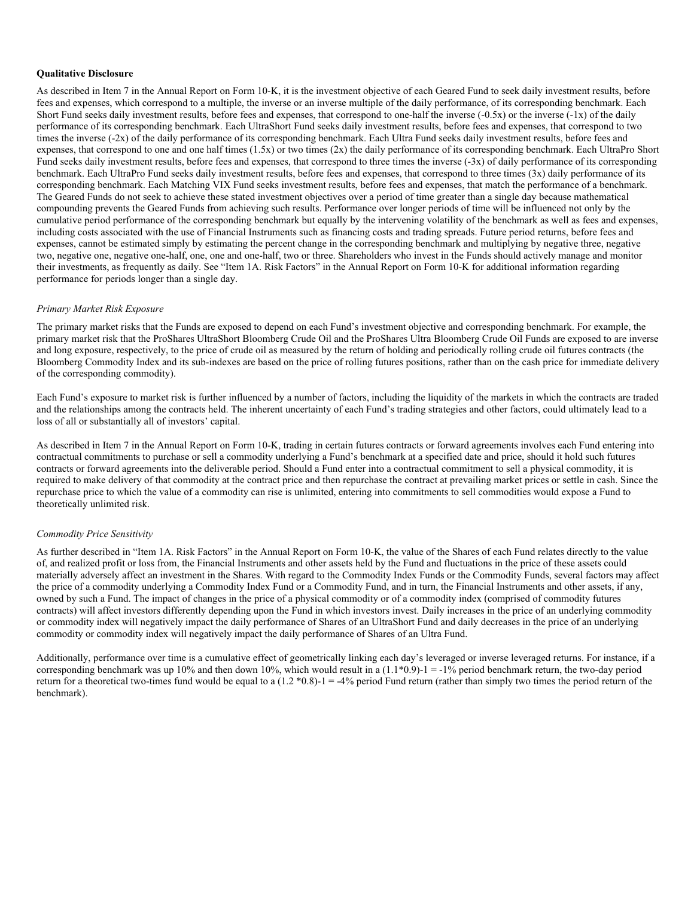### **Qualitative Disclosure**

As described in Item 7 in the Annual Report on Form 10-K, it is the investment objective of each Geared Fund to seek daily investment results, before fees and expenses, which correspond to a multiple, the inverse or an inverse multiple of the daily performance, of its corresponding benchmark. Each Short Fund seeks daily investment results, before fees and expenses, that correspond to one-half the inverse (-0.5x) or the inverse (-1x) of the daily performance of its corresponding benchmark. Each UltraShort Fund seeks daily investment results, before fees and expenses, that correspond to two times the inverse (-2x) of the daily performance of its corresponding benchmark. Each Ultra Fund seeks daily investment results, before fees and expenses, that correspond to one and one half times (1.5x) or two times (2x) the daily performance of its corresponding benchmark. Each UltraPro Short Fund seeks daily investment results, before fees and expenses, that correspond to three times the inverse (-3x) of daily performance of its corresponding benchmark. Each UltraPro Fund seeks daily investment results, before fees and expenses, that correspond to three times (3x) daily performance of its corresponding benchmark. Each Matching VIX Fund seeks investment results, before fees and expenses, that match the performance of a benchmark. The Geared Funds do not seek to achieve these stated investment objectives over a period of time greater than a single day because mathematical compounding prevents the Geared Funds from achieving such results. Performance over longer periods of time will be influenced not only by the cumulative period performance of the corresponding benchmark but equally by the intervening volatility of the benchmark as well as fees and expenses, including costs associated with the use of Financial Instruments such as financing costs and trading spreads. Future period returns, before fees and expenses, cannot be estimated simply by estimating the percent change in the corresponding benchmark and multiplying by negative three, negative two, negative one, negative one-half, one, one and one-half, two or three. Shareholders who invest in the Funds should actively manage and monitor their investments, as frequently as daily. See "Item 1A. Risk Factors" in the Annual Report on Form 10-K for additional information regarding performance for periods longer than a single day.

### *Primary Market Risk Exposure*

The primary market risks that the Funds are exposed to depend on each Fund's investment objective and corresponding benchmark. For example, the primary market risk that the ProShares UltraShort Bloomberg Crude Oil and the ProShares Ultra Bloomberg Crude Oil Funds are exposed to are inverse and long exposure, respectively, to the price of crude oil as measured by the return of holding and periodically rolling crude oil futures contracts (the Bloomberg Commodity Index and its sub-indexes are based on the price of rolling futures positions, rather than on the cash price for immediate delivery of the corresponding commodity).

Each Fund's exposure to market risk is further influenced by a number of factors, including the liquidity of the markets in which the contracts are traded and the relationships among the contracts held. The inherent uncertainty of each Fund's trading strategies and other factors, could ultimately lead to a loss of all or substantially all of investors' capital.

As described in Item 7 in the Annual Report on Form 10-K, trading in certain futures contracts or forward agreements involves each Fund entering into contractual commitments to purchase or sell a commodity underlying a Fund's benchmark at a specified date and price, should it hold such futures contracts or forward agreements into the deliverable period. Should a Fund enter into a contractual commitment to sell a physical commodity, it is required to make delivery of that commodity at the contract price and then repurchase the contract at prevailing market prices or settle in cash. Since the repurchase price to which the value of a commodity can rise is unlimited, entering into commitments to sell commodities would expose a Fund to theoretically unlimited risk.

### *Commodity Price Sensitivity*

As further described in "Item 1A. Risk Factors" in the Annual Report on Form 10-K, the value of the Shares of each Fund relates directly to the value of, and realized profit or loss from, the Financial Instruments and other assets held by the Fund and fluctuations in the price of these assets could materially adversely affect an investment in the Shares. With regard to the Commodity Index Funds or the Commodity Funds, several factors may affect the price of a commodity underlying a Commodity Index Fund or a Commodity Fund, and in turn, the Financial Instruments and other assets, if any, owned by such a Fund. The impact of changes in the price of a physical commodity or of a commodity index (comprised of commodity futures contracts) will affect investors differently depending upon the Fund in which investors invest. Daily increases in the price of an underlying commodity or commodity index will negatively impact the daily performance of Shares of an UltraShort Fund and daily decreases in the price of an underlying commodity or commodity index will negatively impact the daily performance of Shares of an Ultra Fund.

Additionally, performance over time is a cumulative effect of geometrically linking each day's leveraged or inverse leveraged returns. For instance, if a corresponding benchmark was up 10% and then down 10%, which would result in a  $(1.1*0.9)-1 = -1%$  period benchmark return, the two-day period return for a theoretical two-times fund would be equal to a  $(1.2 *0.8)$ -1 = -4% period Fund return (rather than simply two times the period return of the benchmark).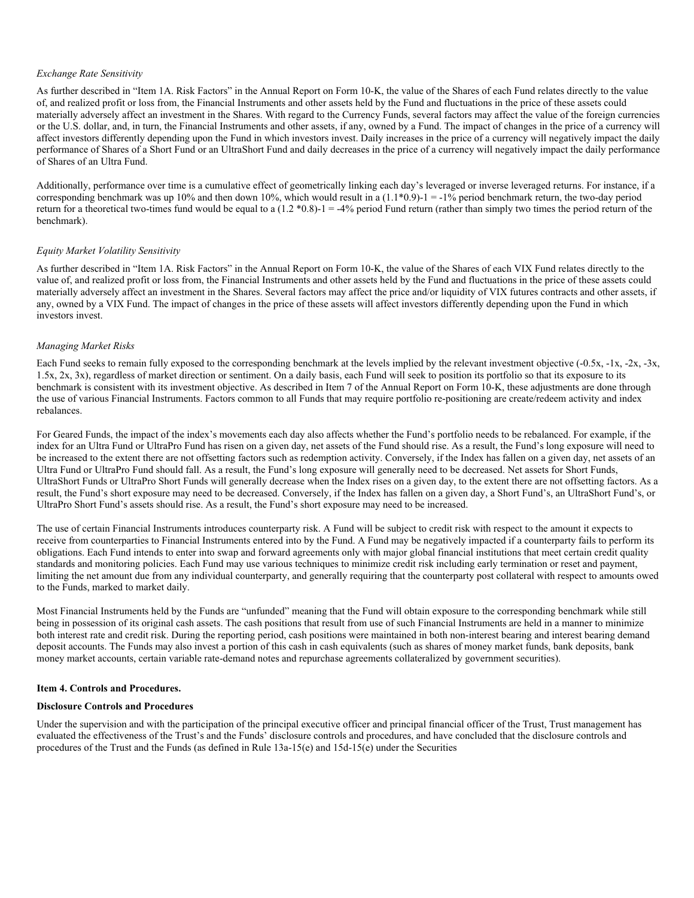### *Exchange Rate Sensitivity*

As further described in "Item 1A. Risk Factors" in the Annual Report on Form 10-K, the value of the Shares of each Fund relates directly to the value of, and realized profit or loss from, the Financial Instruments and other assets held by the Fund and fluctuations in the price of these assets could materially adversely affect an investment in the Shares. With regard to the Currency Funds, several factors may affect the value of the foreign currencies or the U.S. dollar, and, in turn, the Financial Instruments and other assets, if any, owned by a Fund. The impact of changes in the price of a currency will affect investors differently depending upon the Fund in which investors invest. Daily increases in the price of a currency will negatively impact the daily performance of Shares of a Short Fund or an UltraShort Fund and daily decreases in the price of a currency will negatively impact the daily performance of Shares of an Ultra Fund.

Additionally, performance over time is a cumulative effect of geometrically linking each day's leveraged or inverse leveraged returns. For instance, if a corresponding benchmark was up 10% and then down 10%, which would result in a  $(1.1*0.9)-1 = -1%$  period benchmark return, the two-day period return for a theoretical two-times fund would be equal to a  $(1.2 *0.8)-1 = -4%$  period Fund return (rather than simply two times the period return of the benchmark).

### *Equity Market Volatility Sensitivity*

As further described in "Item 1A. Risk Factors" in the Annual Report on Form 10-K, the value of the Shares of each VIX Fund relates directly to the value of, and realized profit or loss from, the Financial Instruments and other assets held by the Fund and fluctuations in the price of these assets could materially adversely affect an investment in the Shares. Several factors may affect the price and/or liquidity of VIX futures contracts and other assets, if any, owned by a VIX Fund. The impact of changes in the price of these assets will affect investors differently depending upon the Fund in which investors invest.

#### *Managing Market Risks*

Each Fund seeks to remain fully exposed to the corresponding benchmark at the levels implied by the relevant investment objective (-0.5x, -1x, -2x, -3x, 1.5x, 2x, 3x), regardless of market direction or sentiment. On a daily basis, each Fund will seek to position its portfolio so that its exposure to its benchmark is consistent with its investment objective. As described in Item 7 of the Annual Report on Form 10-K, these adjustments are done through the use of various Financial Instruments. Factors common to all Funds that may require portfolio re-positioning are create/redeem activity and index rebalances.

For Geared Funds, the impact of the index's movements each day also affects whether the Fund's portfolio needs to be rebalanced. For example, if the index for an Ultra Fund or UltraPro Fund has risen on a given day, net assets of the Fund should rise. As a result, the Fund's long exposure will need to be increased to the extent there are not offsetting factors such as redemption activity. Conversely, if the Index has fallen on a given day, net assets of an Ultra Fund or UltraPro Fund should fall. As a result, the Fund's long exposure will generally need to be decreased. Net assets for Short Funds, UltraShort Funds or UltraPro Short Funds will generally decrease when the Index rises on a given day, to the extent there are not offsetting factors. As a result, the Fund's short exposure may need to be decreased. Conversely, if the Index has fallen on a given day, a Short Fund's, an UltraShort Fund's, or UltraPro Short Fund's assets should rise. As a result, the Fund's short exposure may need to be increased.

The use of certain Financial Instruments introduces counterparty risk. A Fund will be subject to credit risk with respect to the amount it expects to receive from counterparties to Financial Instruments entered into by the Fund. A Fund may be negatively impacted if a counterparty fails to perform its obligations. Each Fund intends to enter into swap and forward agreements only with major global financial institutions that meet certain credit quality standards and monitoring policies. Each Fund may use various techniques to minimize credit risk including early termination or reset and payment, limiting the net amount due from any individual counterparty, and generally requiring that the counterparty post collateral with respect to amounts owed to the Funds, marked to market daily.

Most Financial Instruments held by the Funds are "unfunded" meaning that the Fund will obtain exposure to the corresponding benchmark while still being in possession of its original cash assets. The cash positions that result from use of such Financial Instruments are held in a manner to minimize both interest rate and credit risk. During the reporting period, cash positions were maintained in both non-interest bearing and interest bearing demand deposit accounts. The Funds may also invest a portion of this cash in cash equivalents (such as shares of money market funds, bank deposits, bank money market accounts, certain variable rate-demand notes and repurchase agreements collateralized by government securities).

### **Item 4. Controls and Procedures.**

## **Disclosure Controls and Procedures**

Under the supervision and with the participation of the principal executive officer and principal financial officer of the Trust, Trust management has evaluated the effectiveness of the Trust's and the Funds' disclosure controls and procedures, and have concluded that the disclosure controls and procedures of the Trust and the Funds (as defined in Rule 13a-15(e) and 15d-15(e) under the Securities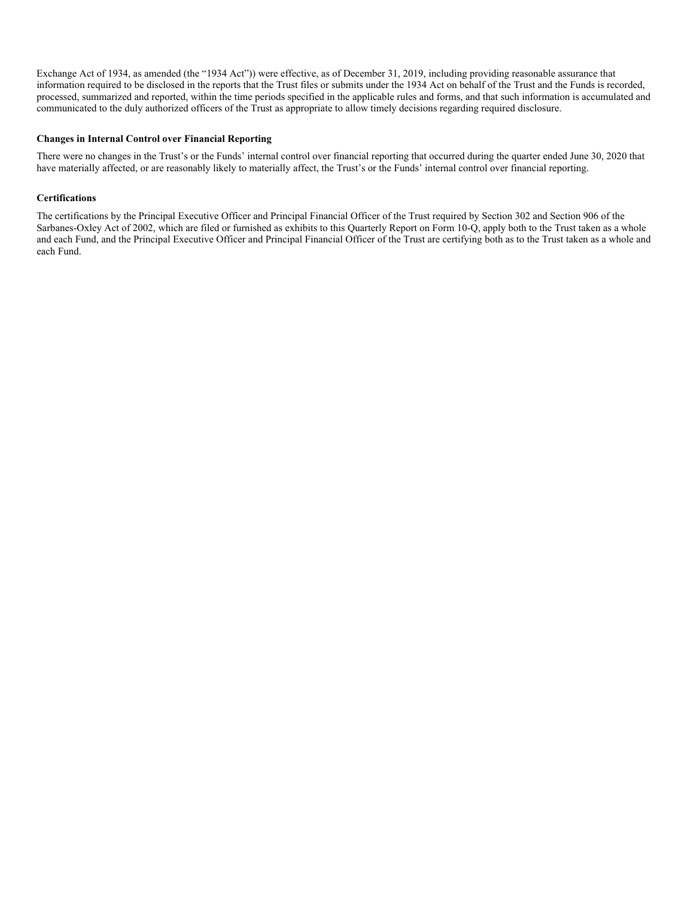Exchange Act of 1934, as amended (the "1934 Act")) were effective, as of December 31, 2019, including providing reasonable assurance that information required to be disclosed in the reports that the Trust files or submits under the 1934 Act on behalf of the Trust and the Funds is recorded, processed, summarized and reported, within the time periods specified in the applicable rules and forms, and that such information is accumulated and communicated to the duly authorized officers of the Trust as appropriate to allow timely decisions regarding required disclosure.

### **Changes in Internal Control over Financial Reporting**

There were no changes in the Trust's or the Funds' internal control over financial reporting that occurred during the quarter ended June 30, 2020 that have materially affected, or are reasonably likely to materially affect, the Trust's or the Funds' internal control over financial reporting.

#### **Certifications**

The certifications by the Principal Executive Officer and Principal Financial Officer of the Trust required by Section 302 and Section 906 of the Sarbanes-Oxley Act of 2002, which are filed or furnished as exhibits to this Quarterly Report on Form 10-Q, apply both to the Trust taken as a whole and each Fund, and the Principal Executive Officer and Principal Financial Officer of the Trust are certifying both as to the Trust taken as a whole and each Fund.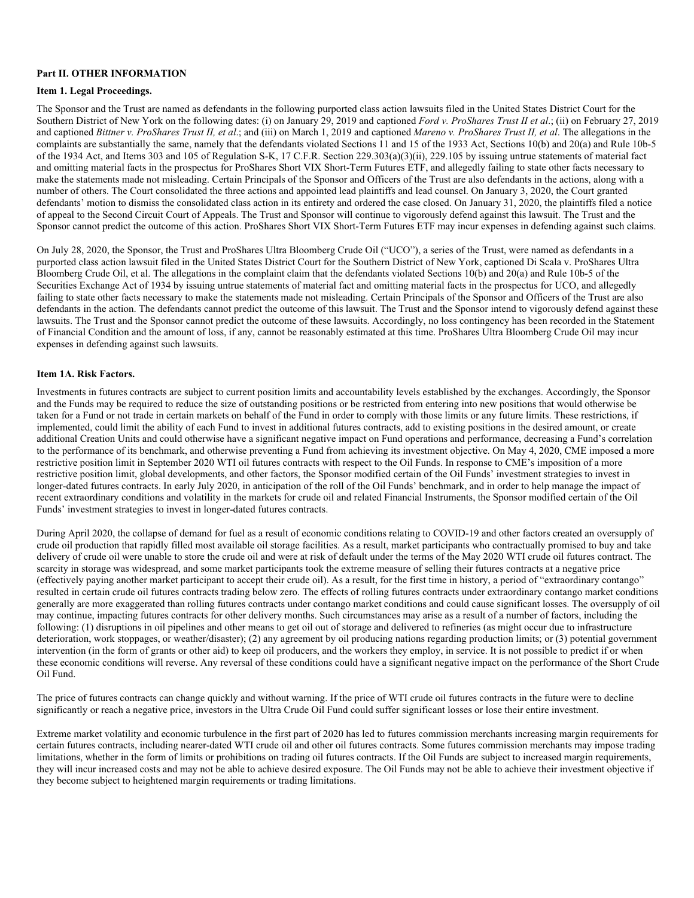### **Part II. OTHER INFORMATION**

### **Item 1. Legal Proceedings.**

The Sponsor and the Trust are named as defendants in the following purported class action lawsuits filed in the United States District Court for the Southern District of New York on the following dates: (i) on January 29, 2019 and captioned *Ford v. ProShares Trust II et al*.; (ii) on February 27, 2019 and captioned *Bittner v. ProShares Trust II, et al*.; and (iii) on March 1, 2019 and captioned *Mareno v. ProShares Trust II, et al*. The allegations in the complaints are substantially the same, namely that the defendants violated Sections 11 and 15 of the 1933 Act, Sections 10(b) and 20(a) and Rule 10b-5 of the 1934 Act, and Items 303 and 105 of Regulation S-K, 17 C.F.R. Section 229.303(a)(3)(ii), 229.105 by issuing untrue statements of material fact and omitting material facts in the prospectus for ProShares Short VIX Short-Term Futures ETF, and allegedly failing to state other facts necessary to make the statements made not misleading. Certain Principals of the Sponsor and Officers of the Trust are also defendants in the actions, along with a number of others. The Court consolidated the three actions and appointed lead plaintiffs and lead counsel. On January 3, 2020, the Court granted defendants' motion to dismiss the consolidated class action in its entirety and ordered the case closed. On January 31, 2020, the plaintiffs filed a notice of appeal to the Second Circuit Court of Appeals. The Trust and Sponsor will continue to vigorously defend against this lawsuit. The Trust and the Sponsor cannot predict the outcome of this action. ProShares Short VIX Short-Term Futures ETF may incur expenses in defending against such claims.

On July 28, 2020, the Sponsor, the Trust and ProShares Ultra Bloomberg Crude Oil ("UCO"), a series of the Trust, were named as defendants in a purported class action lawsuit filed in the United States District Court for the Southern District of New York, captioned Di Scala v. ProShares Ultra Bloomberg Crude Oil, et al. The allegations in the complaint claim that the defendants violated Sections 10(b) and 20(a) and Rule 10b-5 of the Securities Exchange Act of 1934 by issuing untrue statements of material fact and omitting material facts in the prospectus for UCO, and allegedly failing to state other facts necessary to make the statements made not misleading. Certain Principals of the Sponsor and Officers of the Trust are also defendants in the action. The defendants cannot predict the outcome of this lawsuit. The Trust and the Sponsor intend to vigorously defend against these lawsuits. The Trust and the Sponsor cannot predict the outcome of these lawsuits. Accordingly, no loss contingency has been recorded in the Statement of Financial Condition and the amount of loss, if any, cannot be reasonably estimated at this time. ProShares Ultra Bloomberg Crude Oil may incur expenses in defending against such lawsuits.

## **Item 1A. Risk Factors.**

Investments in futures contracts are subject to current position limits and accountability levels established by the exchanges. Accordingly, the Sponsor and the Funds may be required to reduce the size of outstanding positions or be restricted from entering into new positions that would otherwise be taken for a Fund or not trade in certain markets on behalf of the Fund in order to comply with those limits or any future limits. These restrictions, if implemented, could limit the ability of each Fund to invest in additional futures contracts, add to existing positions in the desired amount, or create additional Creation Units and could otherwise have a significant negative impact on Fund operations and performance, decreasing a Fund's correlation to the performance of its benchmark, and otherwise preventing a Fund from achieving its investment objective. On May 4, 2020, CME imposed a more restrictive position limit in September 2020 WTI oil futures contracts with respect to the Oil Funds. In response to CME's imposition of a more restrictive position limit, global developments, and other factors, the Sponsor modified certain of the Oil Funds' investment strategies to invest in longer-dated futures contracts. In early July 2020, in anticipation of the roll of the Oil Funds' benchmark, and in order to help manage the impact of recent extraordinary conditions and volatility in the markets for crude oil and related Financial Instruments, the Sponsor modified certain of the Oil Funds' investment strategies to invest in longer-dated futures contracts.

During April 2020, the collapse of demand for fuel as a result of economic conditions relating to COVID-19 and other factors created an oversupply of crude oil production that rapidly filled most available oil storage facilities. As a result, market participants who contractually promised to buy and take delivery of crude oil were unable to store the crude oil and were at risk of default under the terms of the May 2020 WTI crude oil futures contract. The scarcity in storage was widespread, and some market participants took the extreme measure of selling their futures contracts at a negative price (effectively paying another market participant to accept their crude oil). As a result, for the first time in history, a period of "extraordinary contango" resulted in certain crude oil futures contracts trading below zero. The effects of rolling futures contracts under extraordinary contango market conditions generally are more exaggerated than rolling futures contracts under contango market conditions and could cause significant losses. The oversupply of oil may continue, impacting futures contracts for other delivery months. Such circumstances may arise as a result of a number of factors, including the following: (1) disruptions in oil pipelines and other means to get oil out of storage and delivered to refineries (as might occur due to infrastructure deterioration, work stoppages, or weather/disaster); (2) any agreement by oil producing nations regarding production limits; or (3) potential government intervention (in the form of grants or other aid) to keep oil producers, and the workers they employ, in service. It is not possible to predict if or when these economic conditions will reverse. Any reversal of these conditions could have a significant negative impact on the performance of the Short Crude Oil Fund.

The price of futures contracts can change quickly and without warning. If the price of WTI crude oil futures contracts in the future were to decline significantly or reach a negative price, investors in the Ultra Crude Oil Fund could suffer significant losses or lose their entire investment.

Extreme market volatility and economic turbulence in the first part of 2020 has led to futures commission merchants increasing margin requirements for certain futures contracts, including nearer-dated WTI crude oil and other oil futures contracts. Some futures commission merchants may impose trading limitations, whether in the form of limits or prohibitions on trading oil futures contracts. If the Oil Funds are subject to increased margin requirements, they will incur increased costs and may not be able to achieve desired exposure. The Oil Funds may not be able to achieve their investment objective if they become subject to heightened margin requirements or trading limitations.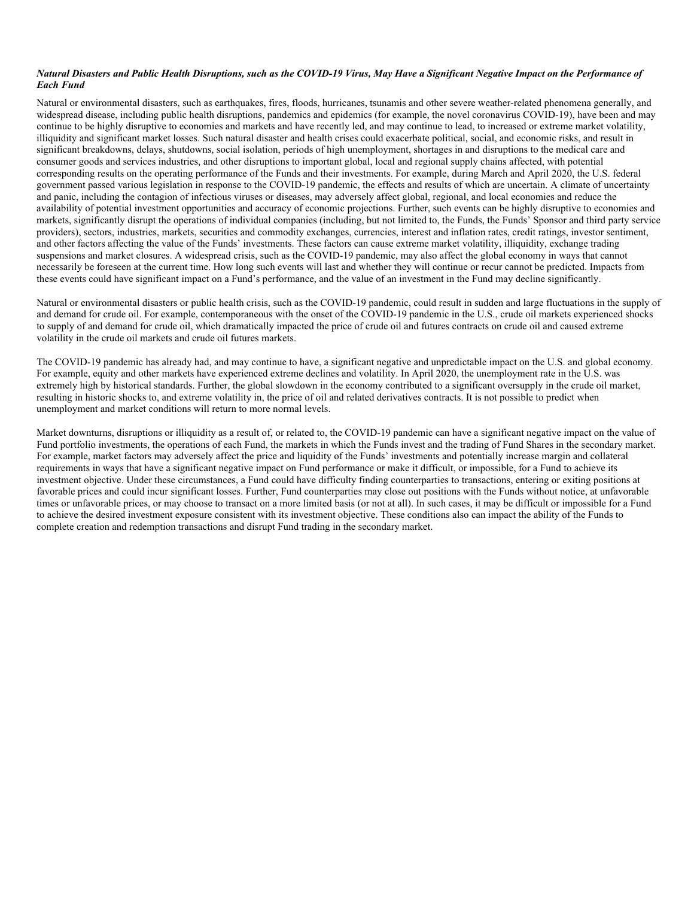## *Natural Disasters and Public Health Disruptions, such as the COVID-19 Virus, May Have a Significant Negative Impact on the Performance of Each Fund*

Natural or environmental disasters, such as earthquakes, fires, floods, hurricanes, tsunamis and other severe weather-related phenomena generally, and widespread disease, including public health disruptions, pandemics and epidemics (for example, the novel coronavirus COVID-19), have been and may continue to be highly disruptive to economies and markets and have recently led, and may continue to lead, to increased or extreme market volatility, illiquidity and significant market losses. Such natural disaster and health crises could exacerbate political, social, and economic risks, and result in significant breakdowns, delays, shutdowns, social isolation, periods of high unemployment, shortages in and disruptions to the medical care and consumer goods and services industries, and other disruptions to important global, local and regional supply chains affected, with potential corresponding results on the operating performance of the Funds and their investments. For example, during March and April 2020, the U.S. federal government passed various legislation in response to the COVID-19 pandemic, the effects and results of which are uncertain. A climate of uncertainty and panic, including the contagion of infectious viruses or diseases, may adversely affect global, regional, and local economies and reduce the availability of potential investment opportunities and accuracy of economic projections. Further, such events can be highly disruptive to economies and markets, significantly disrupt the operations of individual companies (including, but not limited to, the Funds, the Funds' Sponsor and third party service providers), sectors, industries, markets, securities and commodity exchanges, currencies, interest and inflation rates, credit ratings, investor sentiment, and other factors affecting the value of the Funds' investments. These factors can cause extreme market volatility, illiquidity, exchange trading suspensions and market closures. A widespread crisis, such as the COVID-19 pandemic, may also affect the global economy in ways that cannot necessarily be foreseen at the current time. How long such events will last and whether they will continue or recur cannot be predicted. Impacts from these events could have significant impact on a Fund's performance, and the value of an investment in the Fund may decline significantly.

Natural or environmental disasters or public health crisis, such as the COVID-19 pandemic, could result in sudden and large fluctuations in the supply of and demand for crude oil. For example, contemporaneous with the onset of the COVID-19 pandemic in the U.S., crude oil markets experienced shocks to supply of and demand for crude oil, which dramatically impacted the price of crude oil and futures contracts on crude oil and caused extreme volatility in the crude oil markets and crude oil futures markets.

The COVID-19 pandemic has already had, and may continue to have, a significant negative and unpredictable impact on the U.S. and global economy. For example, equity and other markets have experienced extreme declines and volatility. In April 2020, the unemployment rate in the U.S. was extremely high by historical standards. Further, the global slowdown in the economy contributed to a significant oversupply in the crude oil market, resulting in historic shocks to, and extreme volatility in, the price of oil and related derivatives contracts. It is not possible to predict when unemployment and market conditions will return to more normal levels.

Market downturns, disruptions or illiquidity as a result of, or related to, the COVID-19 pandemic can have a significant negative impact on the value of Fund portfolio investments, the operations of each Fund, the markets in which the Funds invest and the trading of Fund Shares in the secondary market. For example, market factors may adversely affect the price and liquidity of the Funds' investments and potentially increase margin and collateral requirements in ways that have a significant negative impact on Fund performance or make it difficult, or impossible, for a Fund to achieve its investment objective. Under these circumstances, a Fund could have difficulty finding counterparties to transactions, entering or exiting positions at favorable prices and could incur significant losses. Further, Fund counterparties may close out positions with the Funds without notice, at unfavorable times or unfavorable prices, or may choose to transact on a more limited basis (or not at all). In such cases, it may be difficult or impossible for a Fund to achieve the desired investment exposure consistent with its investment objective. These conditions also can impact the ability of the Funds to complete creation and redemption transactions and disrupt Fund trading in the secondary market.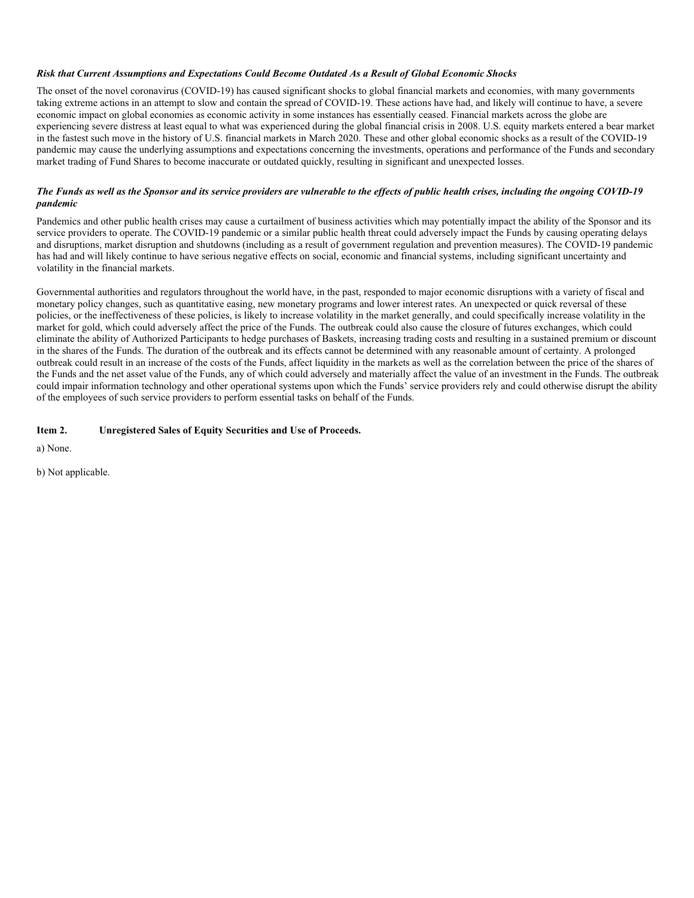## *Risk that Current Assumptions and Expectations Could Become Outdated As a Result of Global Economic Shocks*

The onset of the novel coronavirus (COVID-19) has caused significant shocks to global financial markets and economies, with many governments taking extreme actions in an attempt to slow and contain the spread of COVID-19. These actions have had, and likely will continue to have, a severe economic impact on global economies as economic activity in some instances has essentially ceased. Financial markets across the globe are experiencing severe distress at least equal to what was experienced during the global financial crisis in 2008. U.S. equity markets entered a bear market in the fastest such move in the history of U.S. financial markets in March 2020. These and other global economic shocks as a result of the COVID-19 pandemic may cause the underlying assumptions and expectations concerning the investments, operations and performance of the Funds and secondary market trading of Fund Shares to become inaccurate or outdated quickly, resulting in significant and unexpected losses.

## *The Funds as well as the Sponsor and its service providers are vulnerable to the effects of public health crises, including the ongoing COVID-19 pandemic*

Pandemics and other public health crises may cause a curtailment of business activities which may potentially impact the ability of the Sponsor and its service providers to operate. The COVID-19 pandemic or a similar public health threat could adversely impact the Funds by causing operating delays and disruptions, market disruption and shutdowns (including as a result of government regulation and prevention measures). The COVID-19 pandemic has had and will likely continue to have serious negative effects on social, economic and financial systems, including significant uncertainty and volatility in the financial markets.

Governmental authorities and regulators throughout the world have, in the past, responded to major economic disruptions with a variety of fiscal and monetary policy changes, such as quantitative easing, new monetary programs and lower interest rates. An unexpected or quick reversal of these policies, or the ineffectiveness of these policies, is likely to increase volatility in the market generally, and could specifically increase volatility in the market for gold, which could adversely affect the price of the Funds. The outbreak could also cause the closure of futures exchanges, which could eliminate the ability of Authorized Participants to hedge purchases of Baskets, increasing trading costs and resulting in a sustained premium or discount in the shares of the Funds. The duration of the outbreak and its effects cannot be determined with any reasonable amount of certainty. A prolonged outbreak could result in an increase of the costs of the Funds, affect liquidity in the markets as well as the correlation between the price of the shares of the Funds and the net asset value of the Funds, any of which could adversely and materially affect the value of an investment in the Funds. The outbreak could impair information technology and other operational systems upon which the Funds' service providers rely and could otherwise disrupt the ability of the employees of such service providers to perform essential tasks on behalf of the Funds.

## **Item 2. Unregistered Sales of Equity Securities and Use of Proceeds.**

a) None.

b) Not applicable.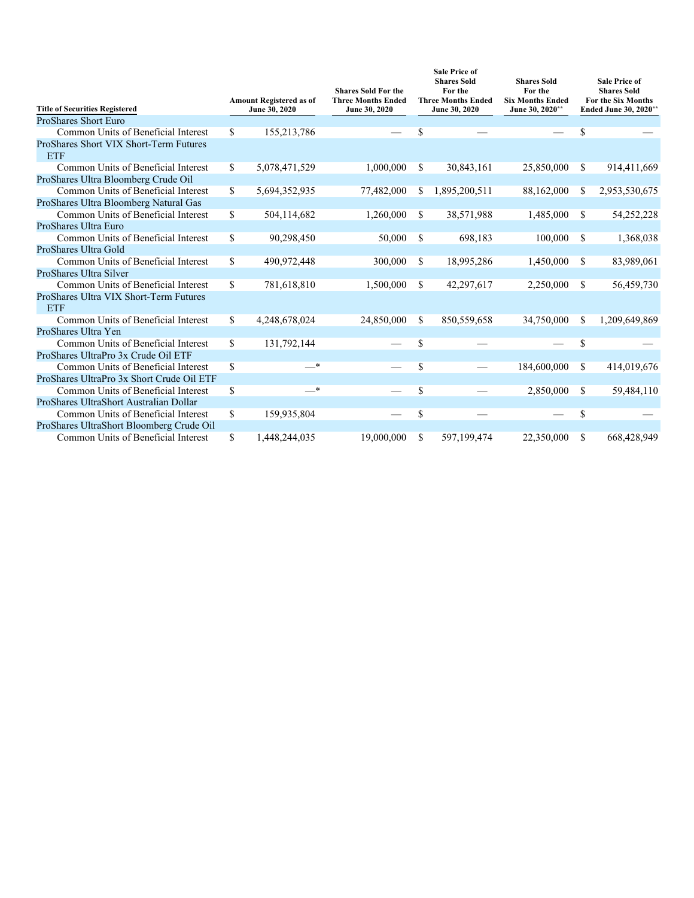|                                                      | <b>Amount Registered as of</b> | <b>Shares Sold For the</b><br><b>Three Months Ended</b> | <b>Sale Price of</b><br><b>Shares Sold</b><br>For the<br><b>Three Months Ended</b> |               | <b>Shares Sold</b><br>For the<br><b>Six Months Ended</b> | <b>Sale Price of</b><br><b>Shares Sold</b><br>For the Six Months |                       |
|------------------------------------------------------|--------------------------------|---------------------------------------------------------|------------------------------------------------------------------------------------|---------------|----------------------------------------------------------|------------------------------------------------------------------|-----------------------|
| <b>Title of Securities Registered</b>                | June 30, 2020                  | June 30, 2020                                           |                                                                                    | June 30, 2020 | June 30, 2020**                                          |                                                                  | Ended June 30, 2020** |
| <b>ProShares Short Euro</b>                          |                                |                                                         |                                                                                    |               |                                                          |                                                                  |                       |
| Common Units of Beneficial Interest                  | \$<br>155,213,786              |                                                         | \$                                                                                 |               |                                                          | \$                                                               |                       |
| ProShares Short VIX Short-Term Futures<br><b>ETF</b> |                                |                                                         |                                                                                    |               |                                                          |                                                                  |                       |
| Common Units of Beneficial Interest                  | \$<br>5,078,471,529            | 1,000,000                                               | \$                                                                                 | 30,843,161    | 25,850,000                                               | \$                                                               | 914,411,669           |
| ProShares Ultra Bloomberg Crude Oil                  |                                |                                                         |                                                                                    |               |                                                          |                                                                  |                       |
| Common Units of Beneficial Interest                  | \$<br>5,694,352,935            | 77,482,000                                              | \$                                                                                 | 1,895,200,511 | 88,162,000                                               | \$                                                               | 2,953,530,675         |
| ProShares Ultra Bloomberg Natural Gas                |                                |                                                         |                                                                                    |               |                                                          |                                                                  |                       |
| Common Units of Beneficial Interest                  | \$<br>504,114,682              | 1,260,000                                               | <sup>\$</sup>                                                                      | 38,571,988    | 1,485,000                                                | <sup>\$</sup>                                                    | 54,252,228            |
| ProShares Ultra Euro                                 |                                |                                                         |                                                                                    |               |                                                          |                                                                  |                       |
| Common Units of Beneficial Interest                  | \$<br>90,298,450               | 50,000                                                  | \$                                                                                 | 698,183       | 100,000                                                  | \$                                                               | 1,368,038             |
| ProShares Ultra Gold                                 |                                |                                                         |                                                                                    |               |                                                          |                                                                  |                       |
| Common Units of Beneficial Interest                  | \$<br>490,972,448              | 300,000                                                 | \$                                                                                 | 18,995,286    | 1,450,000                                                | \$                                                               | 83,989,061            |
| ProShares Ultra Silver                               |                                |                                                         |                                                                                    |               |                                                          |                                                                  |                       |
| Common Units of Beneficial Interest                  | \$<br>781,618,810              | 1,500,000                                               | \$                                                                                 | 42,297,617    | 2,250,000                                                | \$                                                               | 56,459,730            |
| ProShares Ultra VIX Short-Term Futures<br><b>ETF</b> |                                |                                                         |                                                                                    |               |                                                          |                                                                  |                       |
| Common Units of Beneficial Interest                  | \$<br>4,248,678,024            | 24,850,000                                              | \$                                                                                 | 850,559,658   | 34,750,000                                               | \$                                                               | 1,209,649,869         |
| ProShares Ultra Yen                                  |                                |                                                         |                                                                                    |               |                                                          |                                                                  |                       |
| Common Units of Beneficial Interest                  | \$<br>131,792,144              |                                                         | \$                                                                                 |               |                                                          | \$                                                               |                       |
| ProShares UltraPro 3x Crude Oil ETF                  |                                |                                                         |                                                                                    |               |                                                          |                                                                  |                       |
| Common Units of Beneficial Interest                  | \$<br>—*                       |                                                         | \$                                                                                 |               | 184,600,000                                              | \$                                                               | 414,019,676           |
| ProShares UltraPro 3x Short Crude Oil ETF            |                                |                                                         |                                                                                    |               |                                                          |                                                                  |                       |
| Common Units of Beneficial Interest                  | \$<br>—*                       |                                                         | \$                                                                                 |               | 2,850,000                                                | \$                                                               | 59,484,110            |
| ProShares UltraShort Australian Dollar               |                                |                                                         |                                                                                    |               |                                                          |                                                                  |                       |
| Common Units of Beneficial Interest                  | \$<br>159,935,804              |                                                         | \$                                                                                 |               |                                                          | \$                                                               |                       |
| ProShares UltraShort Bloomberg Crude Oil             |                                |                                                         |                                                                                    |               |                                                          |                                                                  |                       |
| Common Units of Beneficial Interest                  | \$<br>1,448,244,035            | 19,000,000                                              | S                                                                                  | 597,199,474   | 22,350,000                                               | \$                                                               | 668,428,949           |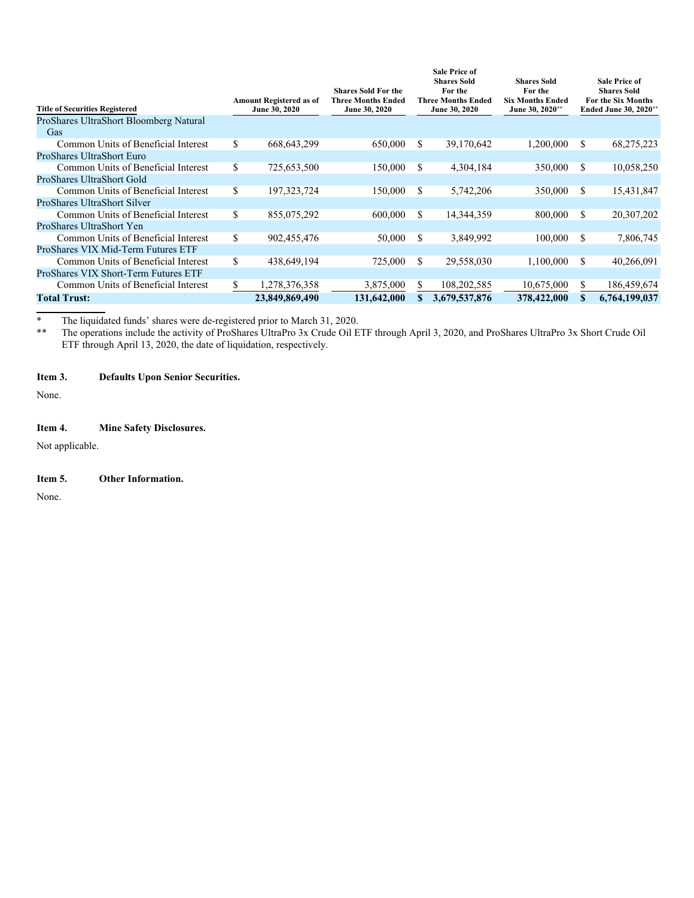| <b>Title of Securities Registered</b>         | <b>Amount Registered as of</b><br>June 30, 2020 | <b>Shares Sold For the</b><br><b>Three Months Ended</b><br>June 30, 2020 |     | <b>Sale Price of</b><br><b>Shares Sold</b><br><b>Shares Sold</b><br>For the<br>For the<br><b>Six Months Ended</b><br>Three Months Ended<br>June 30, 2020<br>June 30, 2020** |             |     | <b>Sale Price of</b><br><b>Shares Sold</b><br>For the Six Months<br><b>Ended June 30, 2020**</b> |
|-----------------------------------------------|-------------------------------------------------|--------------------------------------------------------------------------|-----|-----------------------------------------------------------------------------------------------------------------------------------------------------------------------------|-------------|-----|--------------------------------------------------------------------------------------------------|
| ProShares UltraShort Bloomberg Natural<br>Gas |                                                 |                                                                          |     |                                                                                                                                                                             |             |     |                                                                                                  |
| Common Units of Beneficial Interest           | \$<br>668, 643, 299                             | 650,000                                                                  | S   | 39,170,642                                                                                                                                                                  | 1,200,000   | S   | 68,275,223                                                                                       |
| ProShares UltraShort Euro                     |                                                 |                                                                          |     |                                                                                                                                                                             |             |     |                                                                                                  |
| Common Units of Beneficial Interest           | \$<br>725,653,500                               | 150,000                                                                  | \$. | 4,304,184                                                                                                                                                                   | 350,000     | \$. | 10,058,250                                                                                       |
| ProShares UltraShort Gold                     |                                                 |                                                                          |     |                                                                                                                                                                             |             |     |                                                                                                  |
| Common Units of Beneficial Interest           | \$<br>197, 323, 724                             | 150,000                                                                  | S   | 5,742,206                                                                                                                                                                   | 350,000     | S   | 15,431,847                                                                                       |
| <b>ProShares UltraShort Silver</b>            |                                                 |                                                                          |     |                                                                                                                                                                             |             |     |                                                                                                  |
| Common Units of Beneficial Interest           | \$<br>855,075,292                               | 600,000                                                                  | S.  | 14,344,359                                                                                                                                                                  | 800,000     | S   | 20,307,202                                                                                       |
| ProShares UltraShort Yen                      |                                                 |                                                                          |     |                                                                                                                                                                             |             |     |                                                                                                  |
| Common Units of Beneficial Interest           | \$<br>902,455,476                               | 50,000                                                                   | S   | 3,849,992                                                                                                                                                                   | 100,000     | S   | 7,806,745                                                                                        |
| ProShares VIX Mid-Term Futures ETF            |                                                 |                                                                          |     |                                                                                                                                                                             |             |     |                                                                                                  |
| Common Units of Beneficial Interest           | \$<br>438,649,194                               | 725,000                                                                  | S   | 29,558,030                                                                                                                                                                  | 1,100,000   | S   | 40,266,091                                                                                       |
| ProShares VIX Short-Term Futures ETF          |                                                 |                                                                          |     |                                                                                                                                                                             |             |     |                                                                                                  |
| Common Units of Beneficial Interest           | \$<br>1,278,376,358                             | 3,875,000                                                                | \$  | 108,202,585                                                                                                                                                                 | 10,675,000  | S   | 186,459,674                                                                                      |
| <b>Total Trust:</b>                           | 23,849,869,490                                  | 131,642,000                                                              |     | 3,679,537,876                                                                                                                                                               | 378,422,000 | \$  | 6,764,199,037                                                                                    |

\* The liquidated funds' shares were de-registered prior to March 31, 2020.<br>\*\* The operations include the activity of ProShares UltraPro 3x Crude Oil E

The operations include the activity of ProShares UltraPro 3x Crude Oil ETF through April 3, 2020, and ProShares UltraPro 3x Short Crude Oil ETF through April 13, 2020, the date of liquidation, respectively.

**Item 3. Defaults Upon Senior Securities.** 

None.

## **Item 4. Mine Safety Disclosures.**

Not applicable.

**Item 5. Other Information.** 

None.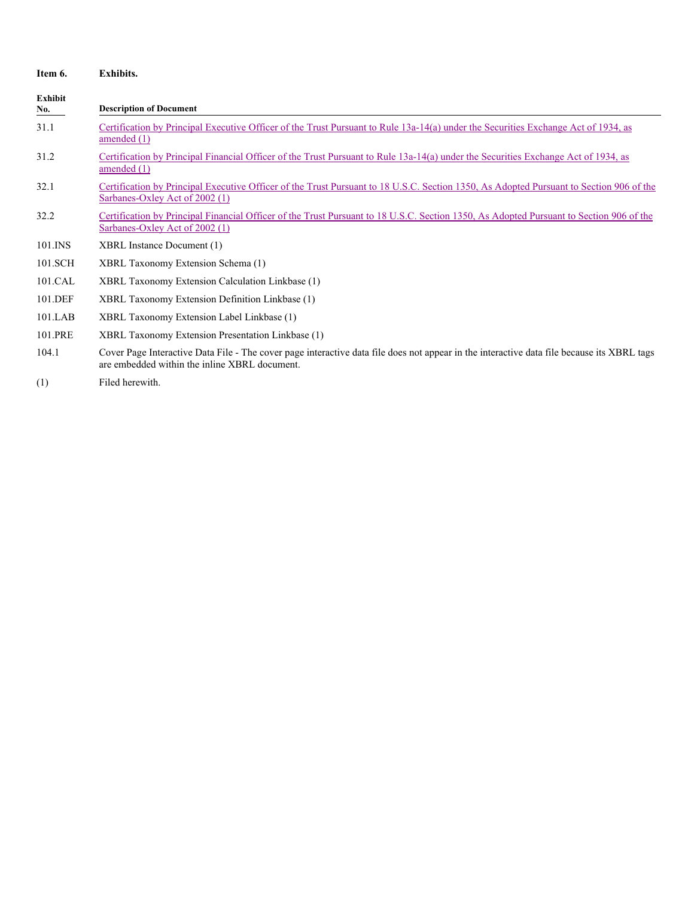| Item 6.        | <b>Exhibits.</b>                                                                                                                                                                            |
|----------------|---------------------------------------------------------------------------------------------------------------------------------------------------------------------------------------------|
| Exhibit<br>No. | <b>Description of Document</b>                                                                                                                                                              |
| 31.1           | Certification by Principal Executive Officer of the Trust Pursuant to Rule 13a-14(a) under the Securities Exchange Act of 1934, as<br>amended $(1)$                                         |
| 31.2           | Certification by Principal Financial Officer of the Trust Pursuant to Rule 13a-14(a) under the Securities Exchange Act of 1934, as<br>amended $(1)$                                         |
| 32.1           | Certification by Principal Executive Officer of the Trust Pursuant to 18 U.S.C. Section 1350, As Adopted Pursuant to Section 906 of the<br>Sarbanes-Oxley Act of 2002 (1)                   |
| 32.2           | Certification by Principal Financial Officer of the Trust Pursuant to 18 U.S.C. Section 1350, As Adopted Pursuant to Section 906 of the<br>Sarbanes-Oxley Act of 2002 (1)                   |
| 101.INS        | XBRL Instance Document (1)                                                                                                                                                                  |
| 101.SCH        | XBRL Taxonomy Extension Schema (1)                                                                                                                                                          |
| 101.CAL        | XBRL Taxonomy Extension Calculation Linkbase (1)                                                                                                                                            |
| 101.DEF        | XBRL Taxonomy Extension Definition Linkbase (1)                                                                                                                                             |
| 101.LAB        | XBRL Taxonomy Extension Label Linkbase (1)                                                                                                                                                  |
| 101.PRE        | XBRL Taxonomy Extension Presentation Linkbase (1)                                                                                                                                           |
| 104.1          | Cover Page Interactive Data File - The cover page interactive data file does not appear in the interactive data file because its XBRL tags<br>are embedded within the inline XBRL document. |
| (1)            | Filed herewith.                                                                                                                                                                             |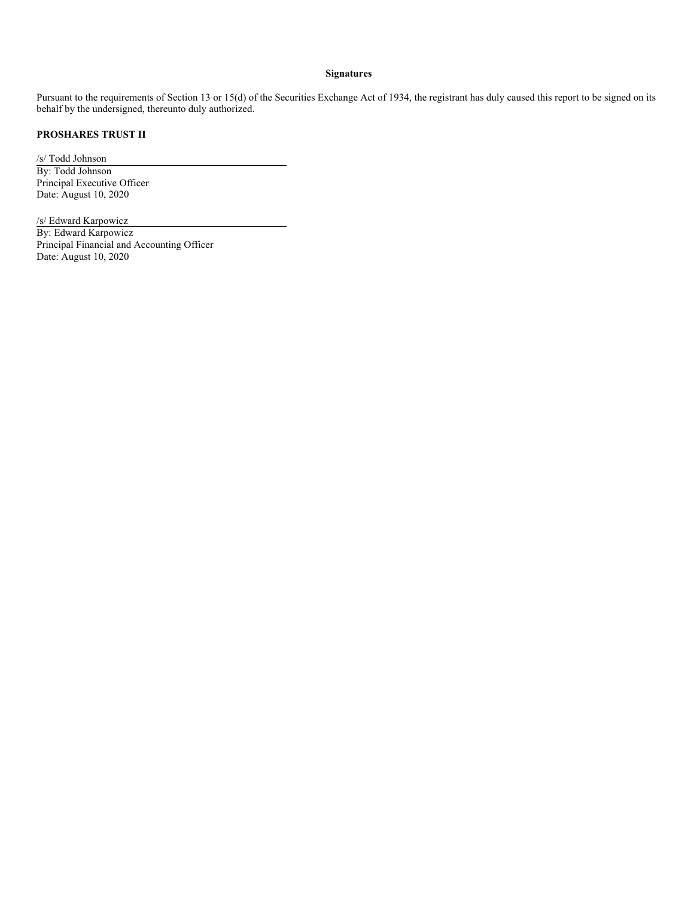## **Signatures**

Pursuant to the requirements of Section 13 or 15(d) of the Securities Exchange Act of 1934, the registrant has duly caused this report to be signed on its behalf by the undersigned, thereunto duly authorized.

# **PROSHARES TRUST II**

/s/ Todd Johnson

By: Todd Johnson Principal Executive Officer Date: August 10, 2020

/s/ Edward Karpowicz

By: Edward Karpowicz Principal Financial and Accounting Officer Date: August 10, 2020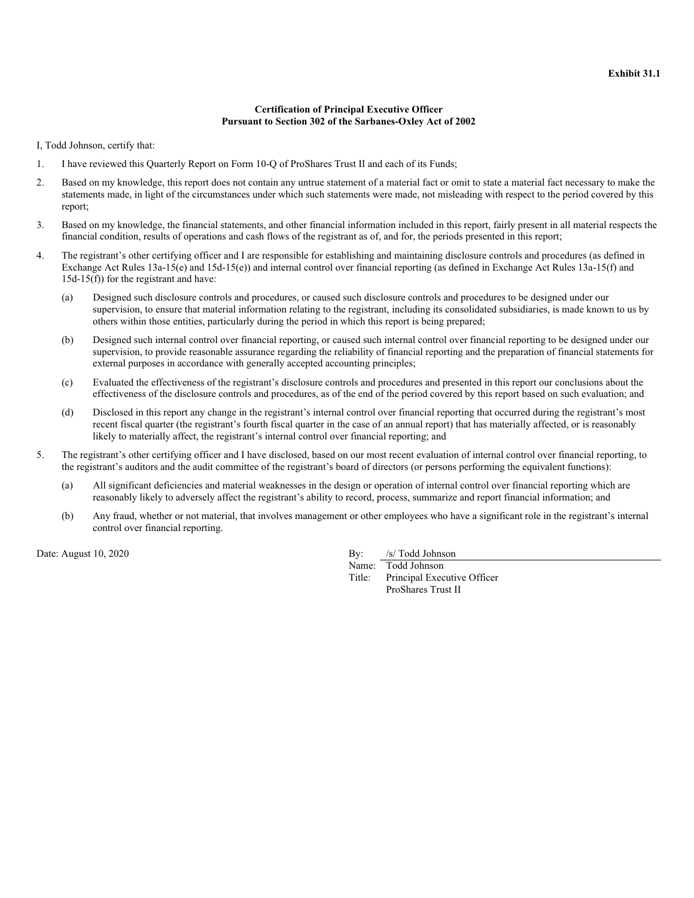## **Certification of Principal Executive Officer Pursuant to Section 302 of the Sarbanes-Oxley Act of 2002**

I, Todd Johnson, certify that:

- 1. I have reviewed this Quarterly Report on Form 10-Q of ProShares Trust II and each of its Funds;
- 2. Based on my knowledge, this report does not contain any untrue statement of a material fact or omit to state a material fact necessary to make the statements made, in light of the circumstances under which such statements were made, not misleading with respect to the period covered by this report;
- 3. Based on my knowledge, the financial statements, and other financial information included in this report, fairly present in all material respects the financial condition, results of operations and cash flows of the registrant as of, and for, the periods presented in this report;
- 4. The registrant's other certifying officer and I are responsible for establishing and maintaining disclosure controls and procedures (as defined in Exchange Act Rules 13a-15(e) and 15d-15(e)) and internal control over financial reporting (as defined in Exchange Act Rules 13a-15(f) and 15d-15(f)) for the registrant and have:
	- (a) Designed such disclosure controls and procedures, or caused such disclosure controls and procedures to be designed under our supervision, to ensure that material information relating to the registrant, including its consolidated subsidiaries, is made known to us by others within those entities, particularly during the period in which this report is being prepared;
	- (b) Designed such internal control over financial reporting, or caused such internal control over financial reporting to be designed under our supervision, to provide reasonable assurance regarding the reliability of financial reporting and the preparation of financial statements for external purposes in accordance with generally accepted accounting principles;
	- (c) Evaluated the effectiveness of the registrant's disclosure controls and procedures and presented in this report our conclusions about the effectiveness of the disclosure controls and procedures, as of the end of the period covered by this report based on such evaluation; and
	- (d) Disclosed in this report any change in the registrant's internal control over financial reporting that occurred during the registrant's most recent fiscal quarter (the registrant's fourth fiscal quarter in the case of an annual report) that has materially affected, or is reasonably likely to materially affect, the registrant's internal control over financial reporting; and
- 5. The registrant's other certifying officer and I have disclosed, based on our most recent evaluation of internal control over financial reporting, to the registrant's auditors and the audit committee of the registrant's board of directors (or persons performing the equivalent functions):
	- (a) All significant deficiencies and material weaknesses in the design or operation of internal control over financial reporting which are reasonably likely to adversely affect the registrant's ability to record, process, summarize and report financial information; and
	- (b) Any fraud, whether or not material, that involves management or other employees who have a significant role in the registrant's internal control over financial reporting.

Date: August 10, 2020 By: /s/ Todd Johnson

Name: Todd Johnson Title: Principal Executive Officer ProShares Trust II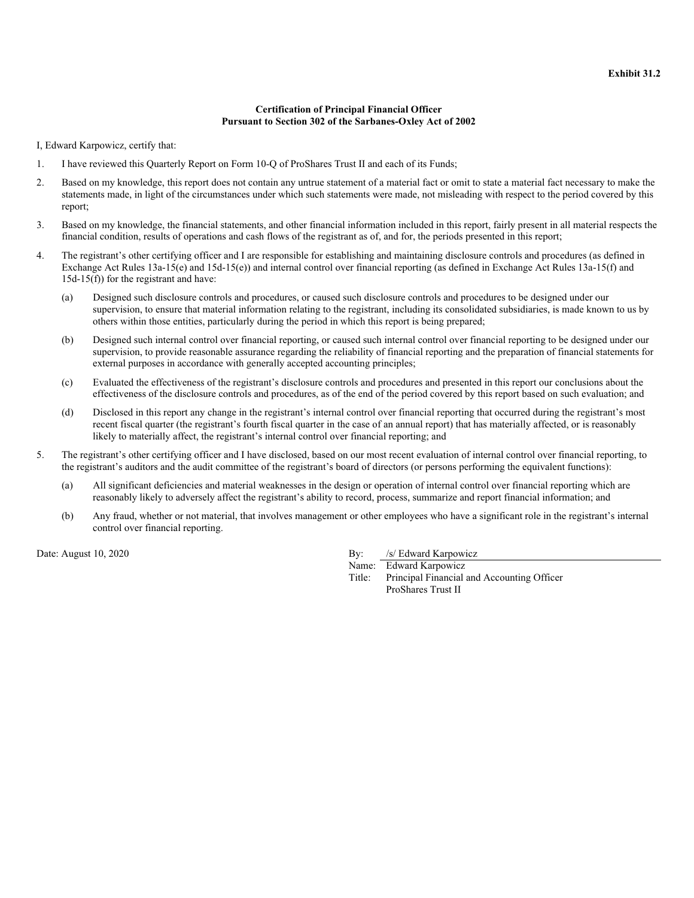## **Certification of Principal Financial Officer Pursuant to Section 302 of the Sarbanes-Oxley Act of 2002**

I, Edward Karpowicz, certify that:

- 1. I have reviewed this Quarterly Report on Form 10-Q of ProShares Trust II and each of its Funds;
- 2. Based on my knowledge, this report does not contain any untrue statement of a material fact or omit to state a material fact necessary to make the statements made, in light of the circumstances under which such statements were made, not misleading with respect to the period covered by this report;
- 3. Based on my knowledge, the financial statements, and other financial information included in this report, fairly present in all material respects the financial condition, results of operations and cash flows of the registrant as of, and for, the periods presented in this report;
- 4. The registrant's other certifying officer and I are responsible for establishing and maintaining disclosure controls and procedures (as defined in Exchange Act Rules 13a-15(e) and 15d-15(e)) and internal control over financial reporting (as defined in Exchange Act Rules 13a-15(f) and 15d-15(f)) for the registrant and have:
	- (a) Designed such disclosure controls and procedures, or caused such disclosure controls and procedures to be designed under our supervision, to ensure that material information relating to the registrant, including its consolidated subsidiaries, is made known to us by others within those entities, particularly during the period in which this report is being prepared;
	- (b) Designed such internal control over financial reporting, or caused such internal control over financial reporting to be designed under our supervision, to provide reasonable assurance regarding the reliability of financial reporting and the preparation of financial statements for external purposes in accordance with generally accepted accounting principles;
	- (c) Evaluated the effectiveness of the registrant's disclosure controls and procedures and presented in this report our conclusions about the effectiveness of the disclosure controls and procedures, as of the end of the period covered by this report based on such evaluation; and
	- (d) Disclosed in this report any change in the registrant's internal control over financial reporting that occurred during the registrant's most recent fiscal quarter (the registrant's fourth fiscal quarter in the case of an annual report) that has materially affected, or is reasonably likely to materially affect, the registrant's internal control over financial reporting; and
- 5. The registrant's other certifying officer and I have disclosed, based on our most recent evaluation of internal control over financial reporting, to the registrant's auditors and the audit committee of the registrant's board of directors (or persons performing the equivalent functions):
	- (a) All significant deficiencies and material weaknesses in the design or operation of internal control over financial reporting which are reasonably likely to adversely affect the registrant's ability to record, process, summarize and report financial information; and
	- (b) Any fraud, whether or not material, that involves management or other employees who have a significant role in the registrant's internal control over financial reporting.

Date: August 10, 2020 By: /s/ Edward Karpowicz

Name: Edward Karpowicz Title: Principal Financial and Accounting Officer ProShares Trust II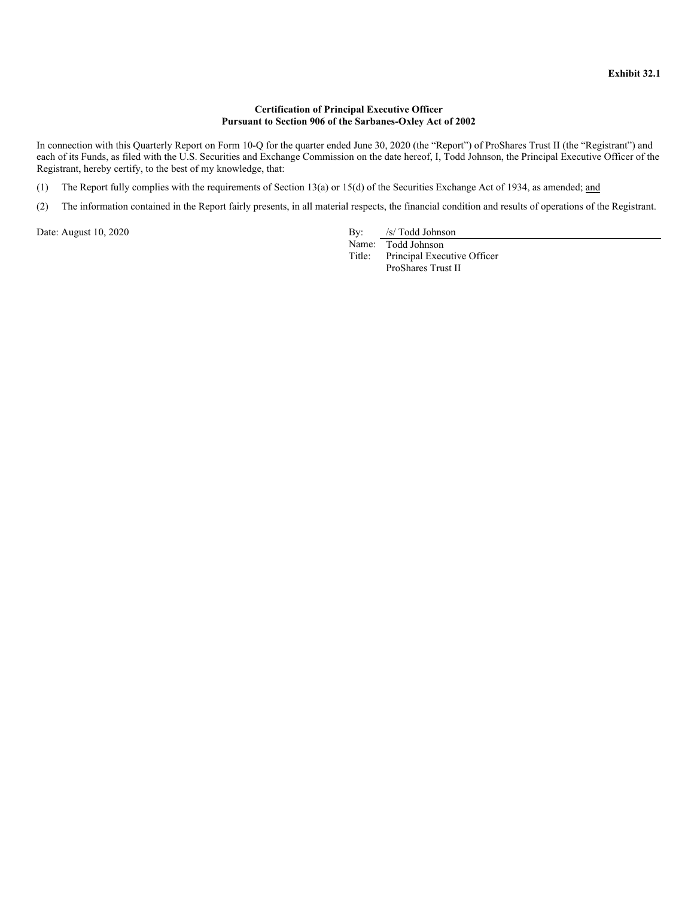#### **Certification of Principal Executive Officer Pursuant to Section 906 of the Sarbanes-Oxley Act of 2002**

In connection with this Quarterly Report on Form 10-Q for the quarter ended June 30, 2020 (the "Report") of ProShares Trust II (the "Registrant") and each of its Funds, as filed with the U.S. Securities and Exchange Commission on the date hereof, I, Todd Johnson, the Principal Executive Officer of the Registrant, hereby certify, to the best of my knowledge, that:

(1) The Report fully complies with the requirements of Section 13(a) or 15(d) of the Securities Exchange Act of 1934, as amended; and

(2) The information contained in the Report fairly presents, in all material respects, the financial condition and results of operations of the Registrant.

Date: August 10, 2020 By: /s/ Todd Johnson

Name: Todd Johnson<br>Title: Principal Exec Principal Executive Officer ProShares Trust II